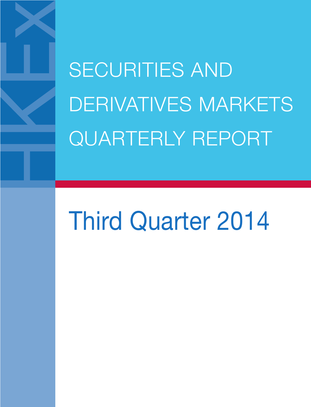SECURITIES AND DERIVATIVES MARKETS QUARTERLY REPORT

# Third Quarter 2014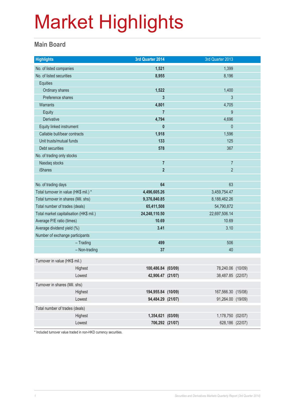#### **Main Board**

| <b>Highlights</b>                       |               | 3rd Quarter 2014   | 3rd Quarter 2013   |  |
|-----------------------------------------|---------------|--------------------|--------------------|--|
| No. of listed companies                 |               | 1,521              | 1,399              |  |
| No. of listed securities                |               | 8,955              | 8,196              |  |
| <b>Equities</b>                         |               |                    |                    |  |
| Ordinary shares                         |               | 1,522              | 1,400              |  |
| Preference shares                       |               | 3                  | 3                  |  |
| <b>Warrants</b>                         |               | 4,801              | 4,705              |  |
| Equity                                  |               | $\overline{7}$     | 9                  |  |
| <b>Derivative</b>                       |               | 4,794              | 4,696              |  |
| Equity linked instrument                |               | $\mathbf{0}$       | $\mathbf{0}$       |  |
| Callable bull/bear contracts            |               | 1,918              | 1,596              |  |
| Unit trusts/mutual funds                |               | 133                | 125                |  |
| Debt securities                         |               | 578                | 367                |  |
| No. of trading only stocks              |               |                    |                    |  |
| Nasdaq stocks                           |               | $\overline{7}$     | $\overline{7}$     |  |
| <b>iShares</b>                          |               | $\overline{2}$     | $\overline{2}$     |  |
|                                         |               |                    |                    |  |
| No. of trading days                     |               | 64                 | 63                 |  |
| Total turnover in value (HK\$ mil.) *   |               | 4,496,605.26       | 3,459,754.47       |  |
| Total turnover in shares (Mil. shs)     |               | 9,376,840.85       | 8,188,462.26       |  |
| Total number of trades (deals)          |               | 65,411,508         | 54,790,872         |  |
| Total market capitalisation (HK\$ mil.) |               | 24,248,110.50      | 22,697,506.14      |  |
| Average P/E ratio (times)               |               | 10.69              | 10.69              |  |
| Average dividend yield (%)              |               | 3.41               | 3.10               |  |
| Number of exchange participants         |               |                    |                    |  |
|                                         | $-$ Trading   | 499                | 506                |  |
|                                         | - Non-trading | 37                 | 40                 |  |
| Turnover in value (HK\$ mil.)           |               |                    |                    |  |
|                                         | Highest       | 100,486.84 (03/09) | 78,240.06 (10/09)  |  |
|                                         | Lowest        | 42,906.47 (21/07)  | 38,487.85 (22/07)  |  |
| Turnover in shares (Mil. shs)           |               |                    |                    |  |
|                                         | Highest       | 194,955.84 (10/09) | 167,566.30 (15/08) |  |
|                                         | Lowest        | 94,484.29 (21/07)  | 91,264.00 (19/09)  |  |
| Total number of trades (deals)          |               |                    |                    |  |
|                                         | Highest       | 1,354,621 (03/09)  | 1,178,750 (02/07)  |  |
|                                         | Lowest        | 706,292 (21/07)    | 628,186 (22/07)    |  |
|                                         |               |                    |                    |  |

\* Included turnover value traded in non-HKD currency securities.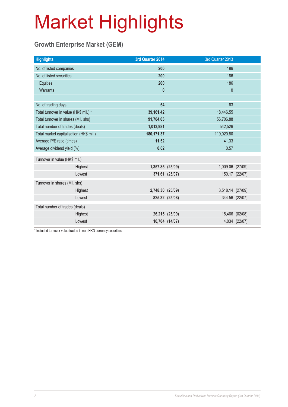### **Growth Enterprise Market (GEM)**

| <b>Highlights</b>                       |         | 3rd Quarter 2014 |                | 3rd Quarter 2013 |                |
|-----------------------------------------|---------|------------------|----------------|------------------|----------------|
| No. of listed companies                 |         | 200              |                | 186              |                |
| No. of listed securities                |         | 200              |                | 186              |                |
| Equities                                |         | 200              |                | 186              |                |
| Warrants                                |         | $\mathbf{0}$     |                | $\mathbf 0$      |                |
|                                         |         |                  |                |                  |                |
| No. of trading days                     |         | 64               |                | 63               |                |
| Total turnover in value (HK\$ mil.) *   |         | 39,161.42        |                | 18,446.55        |                |
| Total turnover in shares (Mil. shs)     |         | 91,704.03        |                | 56,706.88        |                |
| Total number of trades (deals)          |         | 1,013,981        |                | 542,526          |                |
| Total market capitalisation (HK\$ mil.) |         | 180,171.37       | 119,020.80     |                  |                |
| Average P/E ratio (times)               |         | 11.52            |                | 41.33            |                |
| Average dividend yield (%)              |         | 0.62             | 0.57           |                  |                |
| Turnover in value (HK\$ mil.)           |         |                  |                |                  |                |
|                                         | Highest | 1,357.85 (25/09) |                | 1,009.06 (27/09) |                |
|                                         | Lowest  |                  | 371.61 (25/07) |                  | 150.17 (22/07) |
| Turnover in shares (Mil. shs)           |         |                  |                |                  |                |
|                                         | Highest | 2,748.30 (25/09) |                | 3,518.14 (27/09) |                |
|                                         | Lowest  |                  | 825.32 (25/08) |                  | 344.56 (22/07) |
| Total number of trades (deals)          |         |                  |                |                  |                |
|                                         | Highest |                  | 26,215 (25/09) |                  | 15,466 (02/08) |
|                                         | Lowest  |                  | 10,704 (14/07) |                  | 4,034 (22/07)  |
|                                         |         |                  |                |                  |                |

\* Included turnover value traded in non-HKD currency securities.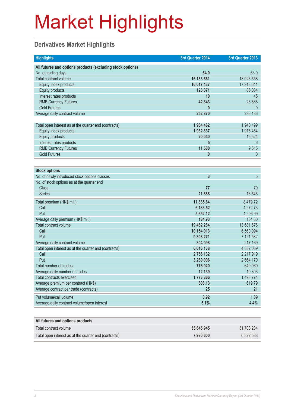### **Derivatives Market Highlights**

| <b>Highlights</b>                                          | 3rd Quarter 2014 | 3rd Quarter 2013 |
|------------------------------------------------------------|------------------|------------------|
| All futures and options products (excluding stock options) |                  |                  |
| No. of trading days                                        | 64.0             | 63.0             |
| Total contract volume                                      | 16,183,661       | 18,026,558       |
| Equity index products                                      | 16,017,437       | 17,913,611       |
| <b>Equity products</b>                                     | 123,371          | 86,034           |
| Interest rates products                                    | 10               | 45               |
| <b>RMB Currency Futures</b>                                | 42,843           | 26,868           |
| <b>Gold Futures</b>                                        | O                | $\overline{0}$   |
| Average daily contract volume                              | 252,870          | 286,136          |
|                                                            |                  |                  |
| Total open interest as at the quarter end (contracts)      | 1,964,462        | 1,940,499        |
| Equity index products                                      | 1,932,837        | 1,915,454        |
| <b>Equity products</b>                                     | 20,040           | 15,524           |
| Interest rates products                                    | 5                | 6                |
| <b>RMB Currency Futures</b>                                | 11,580           | 9,515            |
| <b>Gold Futures</b>                                        | 0                | $\mathbf{0}$     |
|                                                            |                  |                  |
| <b>Stock options</b>                                       |                  |                  |
| No. of newly introduced stock options classes              | $\overline{3}$   | 5                |
| No. of stock options as at the quarter end                 |                  |                  |
| <b>Class</b>                                               | 77               | 70               |
| <b>Series</b>                                              | 21,888           | 16,546           |
| Total premium (HK\$ mil.)                                  | 11,835.64        | 8,479.72         |
| Call                                                       | 6,183.52         | 4,272.73         |
| Put                                                        | 5,652.12         | 4,206.99         |
| Average daily premium (HK\$ mil.)                          | 184.93           | 134.60           |
| Total contract volume                                      | 19,462,284       | 13,681,676       |
| Call                                                       | 10,154,013       | 6,560,094        |
| Put                                                        | 9,308,271        | 7,121,582        |
| Average daily contract volume                              | 304,098          | 217,169          |
| Total open interest as at the quarter end (contracts)      | 6,016,138        | 4,882,089        |
| Call                                                       | 2,756,132        | 2,217,919        |
| Put                                                        | 3,260,006        | 2,664,170        |
| Total number of trades                                     | 776,920          | 649,069          |
| Average daily number of trades                             | 12,139           | 10,303           |
| <b>Total contracts exercised</b>                           | 1,773,366        | 1,498,774        |
| Average premium per contract (HK\$)                        | 608.13           | 619.79           |
| Average contract per trade (contracts)                     | 25               | 21               |
| Put volume/call volume                                     | 0.92             | 1.09             |
| Average daily contract volume/open interest                | 5.1%             | 4.4%             |
|                                                            |                  |                  |
| All futures and options products                           |                  |                  |
| Total contract volume                                      | 35,645,945       | 31,708,234       |

Total open interest as at the quarter end (contracts) **7,980,600 7,980,600 6,822,588**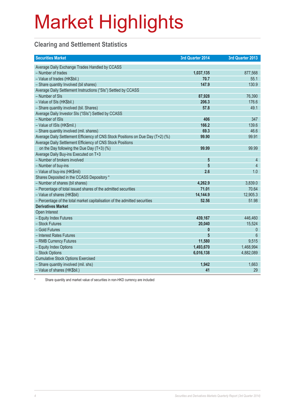### **Clearing and Settlement Statistics**

| <b>Securities Market</b>                                                        | 3rd Quarter 2014 | 3rd Quarter 2013 |
|---------------------------------------------------------------------------------|------------------|------------------|
| Average Daily Exchange Trades Handled by CCASS                                  |                  |                  |
| - Number of trades                                                              | 1,037,135        | 877,568          |
| - Value of trades (HK\$bil.)                                                    | 70.7             | 55.1             |
| - Share quantity Involved (bil shares)                                          | 147.9            | 130.9            |
| Average Daily Settlement Instructions ("SIs") Settled by CCASS                  |                  |                  |
| - Number of SIs                                                                 | 87,928           | 76,390           |
| - Value of SIs (HK\$bil.)                                                       | 206.3            | 176.6            |
| - Share quantity involved (bil. Shares)                                         | 57.8             | 49.1             |
| Average Daily Investor SIs ("ISIs") Settled by CCASS                            |                  |                  |
| - Number of ISIs                                                                | 406              | 347              |
| - Value of ISIs (HK\$mil.)                                                      | 166.2            | 139.6            |
| - Share quantity involved (mil. shares)                                         | 69.3             | 46.6             |
| Average Daily Settlement Efficiency of CNS Stock Positions on Due Day (T+2) (%) | 99.90            | 99.91            |
| Average Daily Settlement Efficiency of CNS Stock Positions                      |                  |                  |
| on the Day following the Due Day (T+3) (%)                                      | 99.99            | 99.99            |
| Average Daily Buy-ins Executed on T+3                                           |                  |                  |
| - Number of brokers involved                                                    | 5                | 4                |
| - Number of buy-ins                                                             | 5                | $\overline{4}$   |
| - Value of buy-ins (HK\$mil)                                                    | 2.6              | 1.0              |
| Shares Deposited in the CCASS Depository *                                      |                  |                  |
| - Number of shares (bil shares)                                                 | 4,262.9          | 3,839.0          |
| - Percentage of total issued shares of the admitted securities                  | 71.01            | 70.64            |
| - Value of shares (HK\$bil)                                                     | 14,144.9         | 12,905.3         |
| - Percentage of the total market capitalisation of the admitted securities      | 52.56            | 51.98            |
| <b>Derivatives Market</b>                                                       |                  |                  |
| Open Interest                                                                   |                  |                  |
| - Equity Index Futures                                                          | 439,167          | 446,460          |
| - Stock Futures                                                                 | 20,040           | 15,524           |
| - Gold Futures                                                                  | $\boldsymbol{0}$ | $\mathbf 0$      |
| - Interest Rates Futures                                                        | 5                | $6\overline{6}$  |
| - RMB Currency Futures                                                          | 11,580           | 9,515            |
| - Equity Index Options                                                          | 1,493,670        | 1,468,994        |
| - Stock Options                                                                 | 6,016,138        | 4,882,089        |
| <b>Cumulative Stock Options Exercised</b>                                       |                  |                  |
| - Share quantity involved (mil. shs)                                            | 1,942            | 1,663            |
| - Value of shares (HK\$bil.)                                                    | 41               | 29               |

Share quantity and market value of securities in non-HKD currency are included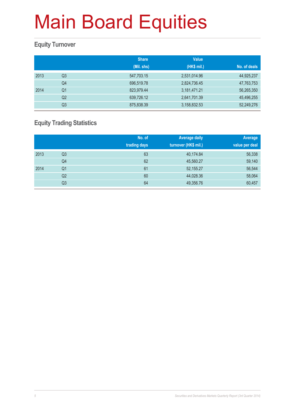### **Equity Turnover**

|      |                | <b>Share</b><br>(Mil. shs) | <b>Value</b><br>(HK\$ mil.) | No. of deals |
|------|----------------|----------------------------|-----------------------------|--------------|
| 2013 | Q3             | 547,703.15                 | 2,531,014.96                | 44,925,237   |
|      | Q <sub>4</sub> | 696,519.78                 | 2,824,736.45                | 47,763,753   |
| 2014 | Q1             | 823,979.44                 | 3,181,471.21                | 56,265,350   |
|      | Q <sub>2</sub> | 639,726.12                 | 2,641,701.39                | 45,496,255   |
|      | Q3             | 875,838.39                 | 3,158,832.53                | 52,249,276   |

### **Equity Trading Statistics**

|      |                | No. of<br>trading days | <b>Average daily</b><br>turnover (HK\$ mil.) | Average<br>value per deal |
|------|----------------|------------------------|----------------------------------------------|---------------------------|
| 2013 | Q <sub>3</sub> | 63                     | 40,174.84                                    | 56,338                    |
|      | Q4             | 62                     | 45,560.27                                    | 59,140                    |
| 2014 | Q <sub>1</sub> | 61                     | 52,155.27                                    | 56,544                    |
|      | Q2             | 60                     | 44,028.36                                    | 58,064                    |
|      | Q3             | 64                     | 49,356.76                                    | 60,457                    |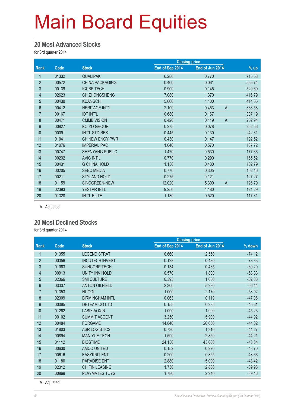#### **20 Most Advanced Stocks**

for 3rd quarter 2014

|                |       |                        |                 | <b>Closing price</b>    |        |
|----------------|-------|------------------------|-----------------|-------------------------|--------|
| <b>Rank</b>    | Code  | <b>Stock</b>           | End of Sep 2014 | End of Jun 2014         | $%$ up |
| 1              | 01332 | <b>QUALIPAK</b>        | 6.280           | 0.770                   | 715.58 |
| $\overline{2}$ | 00572 | <b>CHINA PACKAGING</b> | 0.400           | 0.061                   | 555.74 |
| 3              | 00139 | <b>ICUBE TECH</b>      | 0.900           | 0.145                   | 520.69 |
| 4              | 02623 | <b>CH ZHONGSHENG</b>   | 7.080           | 1.370                   | 416.79 |
| $\overline{5}$ | 00439 | <b>KUANGCHI</b>        | 5.660           | 1.100                   | 414.55 |
| $6\phantom{.}$ | 00412 | <b>HERITAGE INT'L</b>  | 2.100           | 0.453<br>$\overline{A}$ | 363.58 |
| $\overline{7}$ | 00167 | <b>IDT INT'L</b>       | 0.680           | 0.167                   | 307.19 |
| $\bf 8$        | 00471 | <b>CMMB VISION</b>     | 0.420           | 0.119<br>$\overline{A}$ | 252.94 |
| 9              | 00827 | KO YO GROUP            | 0.275           | 0.078                   | 252.56 |
| 10             | 00091 | INT'L STD RES          | 0.445           | 0.130                   | 242.31 |
| 11             | 01041 | CH NEW ENGY PWR        | 0.430           | 0.147                   | 192.52 |
| 12             | 01076 | <b>IMPERIAL PAC</b>    | 1.640           | 0.570                   | 187.72 |
| 13             | 00747 | <b>SHENYANG PUBLIC</b> | 1.470           | 0.530                   | 177.36 |
| 14             | 00232 | <b>AVIC INT'L</b>      | 0.770           | 0.290                   | 165.52 |
| 15             | 00431 | <b>G CHINA HOLD</b>    | 1.130           | 0.430                   | 162.79 |
| 16             | 00205 | <b>SEEC MEDIA</b>      | 0.770           | 0.305                   | 152.46 |
| 17             | 00211 | <b>STYLAND HOLD</b>    | 0.275           | 0.121                   | 127.27 |
| 18             | 01159 | SINOGREEN-NEW          | 12.020          | $\overline{A}$<br>5.300 | 126.79 |
| 19             | 02393 | <b>YESTAR INTL</b>     | 9.250           | 4.180                   | 121.29 |
| 20             | 01328 | <b>INT'L ELITE</b>     | 1.130           | 0.520                   | 117.31 |

A Adjusted

#### **20 Most Declined Stocks**

for 3rd quarter 2014

|                |       |                        |                 | <b>Closing price</b> |          |  |
|----------------|-------|------------------------|-----------------|----------------------|----------|--|
| Rank           | Code  | <b>Stock</b>           | End of Sep 2014 | End of Jun 2014      | % down   |  |
| 1              | 01355 | <b>LEGEND STRAT</b>    | 0.660           | 2.550                | $-74.12$ |  |
| $\overline{2}$ | 00356 | <b>INCUTECH INVEST</b> | 0.128           | 0.480                | $-73.33$ |  |
| 3              | 01063 | <b>SUNCORP TECH</b>    | 0.134           | 0.435                | $-69.20$ |  |
| 4              | 00913 | UNITY INV HOLD         | 0.570           | 1.800                | $-68.33$ |  |
| 5              | 02366 | <b>SMI CULTURE</b>     | 0.395           | 1.050                | $-62.38$ |  |
| $6\phantom{.}$ | 03337 | <b>ANTON OILFIELD</b>  | 2.300           | 5.280                | $-56.44$ |  |
| $\overline{7}$ | 01353 | <b>NUOQI</b>           | 1.000           | 2.170                | $-53.92$ |  |
| 8              | 02309 | <b>BIRMINGHAM INTL</b> | 0.063           | 0.119                | $-47.06$ |  |
| 9              | 00065 | DETEAM CO LTD          | 0.155           | 0.285                | $-45.61$ |  |
| 10             | 01262 | <b>LABIXIAOXIN</b>     | 1.090           | 1.990                | $-45.23$ |  |
| 11             | 00102 | <b>SUMMIT ASCENT</b>   | 3.250           | 5.900                | $-44.92$ |  |
| 12             | 00484 | <b>FORGAME</b>         | 14.840          | 26.650               | $-44.32$ |  |
| 13             | 01803 | <b>ASR LOGISTICS</b>   | 0.730           | 1.310                | $-44.27$ |  |
| 14             | 00894 | <b>MAN YUE TECH</b>    | 1.590           | 2.850                | $-44.21$ |  |
| 15             | 01112 | <b>BIOSTIME</b>        | 24.150          | 43.000               | $-43.84$ |  |
| 16             | 00630 | AMCO UNITED            | 0.152           | 0.270                | $-43.70$ |  |
| 17             | 00616 | <b>EASYKNIT ENT</b>    | 0.200           | 0.355                | $-43.66$ |  |
| 18             | 01180 | <b>PARADISE ENT</b>    | 2.880           | 5.090                | $-43.42$ |  |
| 19             | 02312 | <b>CH FIN LEASING</b>  | 1.730           | 2.880                | $-39.93$ |  |
| 20             | 00869 | PLAYMATES TOYS         | 1.780           | 2.940                | $-39.46$ |  |

A Adjusted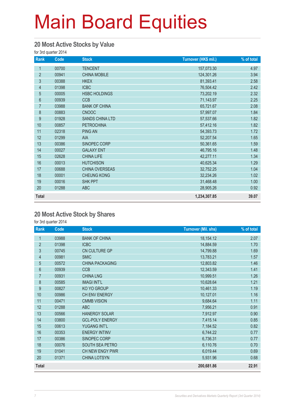#### **20 Most Active Stocks by Value**

for 3rd quarter 2014

| Rank           | Code  | <b>Stock</b>           | Turnover (HK\$ mil.) | % of total |
|----------------|-------|------------------------|----------------------|------------|
| 1              | 00700 | <b>TENCENT</b>         | 157,073.30           | 4.97       |
| $\overline{2}$ | 00941 | <b>CHINA MOBILE</b>    | 124,301.26           | 3.94       |
| 3              | 00388 | <b>HKEX</b>            | 81,393.41            | 2.58       |
| $\overline{4}$ | 01398 | <b>ICBC</b>            | 76,504.42            | 2.42       |
| 5              | 00005 | <b>HSBC HOLDINGS</b>   | 73,202.19            | 2.32       |
| $6\,$          | 00939 | <b>CCB</b>             | 71,143.97            | 2.25       |
| $\overline{7}$ | 03988 | <b>BANK OF CHINA</b>   | 65,721.67            | 2.08       |
| $\bf 8$        | 00883 | <b>CNOOC</b>           | 57,997.07            | 1.84       |
| 9              | 01928 | <b>SANDS CHINA LTD</b> | 57,537.66            | 1.82       |
| 10             | 00857 | <b>PETROCHINA</b>      | 57,412.16            | 1.82       |
| 11             | 02318 | <b>PING AN</b>         | 54,393.73            | 1.72       |
| 12             | 01299 | <b>AIA</b>             | 52,207.54            | 1.65       |
| 13             | 00386 | SINOPEC CORP           | 50,361.65            | 1.59       |
| 14             | 00027 | <b>GALAXY ENT</b>      | 46,795.16            | 1.48       |
| 15             | 02628 | <b>CHINA LIFE</b>      | 42,277.11            | 1.34       |
| 16             | 00013 | <b>HUTCHISON</b>       | 40,625.34            | 1.29       |
| 17             | 00688 | CHINA OVERSEAS         | 32,752.25            | 1.04       |
| 18             | 00001 | <b>CHEUNG KONG</b>     | 32,234.26            | 1.02       |
| 19             | 00016 | <b>SHK PPT</b>         | 31,468.48            | 1.00       |
| 20             | 01288 | <b>ABC</b>             | 28,905.26            | 0.92       |
| <b>Total</b>   |       |                        | 1,234,307.85         | 39.07      |

#### **20 Most Active Stock by Shares**

for 3rd quarter 2014

| Rank           | Code  | <b>Stock</b>           | <b>Turnover (Mil. shs)</b> | % of total |
|----------------|-------|------------------------|----------------------------|------------|
| 1              | 03988 | <b>BANK OF CHINA</b>   | 18,154.12                  | 2.07       |
| $\overline{2}$ | 01398 | <b>ICBC</b>            | 14,884.59                  | 1.70       |
| 3              | 00745 | CN CULTURE GP          | 14,799.88                  | 1.69       |
| $\overline{4}$ | 00981 | <b>SMIC</b>            | 13,783.21                  | 1.57       |
| 5              | 00572 | <b>CHINA PACKAGING</b> | 12,803.82                  | 1.46       |
| 6              | 00939 | <b>CCB</b>             | 12,343.59                  | 1.41       |
| $\overline{7}$ | 00931 | <b>CHINA LNG</b>       | 10,999.51                  | 1.26       |
| 8              | 00585 | <b>IMAGI INT'L</b>     | 10,628.64                  | 1.21       |
| 9              | 00827 | KO YO GROUP            | 10,461.33                  | 1.19       |
| 10             | 00986 | CH ENV ENERGY          | 10,127.01                  | 1.16       |
| 11             | 00471 | <b>CMMB VISION</b>     | 9,684.64                   | 1.11       |
| 12             | 01288 | <b>ABC</b>             | 7,956.21                   | 0.91       |
| 13             | 00566 | <b>HANERGY SOLAR</b>   | 7,912.97                   | 0.90       |
| 14             | 03800 | <b>GCL-POLY ENERGY</b> | 7,415.14                   | 0.85       |
| 15             | 00613 | YUGANG INT'L           | 7,184.52                   | 0.82       |
| 16             | 00353 | <b>ENERGY INTINV</b>   | 6,744.22                   | 0.77       |
| 17             | 00386 | SINOPEC CORP           | 6,736.31                   | 0.77       |
| 18             | 00076 | SOUTH SEA PETRO        | 6,110.76                   | 0.70       |
| 19             | 01041 | CH NEW ENGY PWR        | 6,019.44                   | 0.69       |
| 20             | 01371 | <b>CHINA LOTSYN</b>    | 5,931.96                   | 0.68       |
| <b>Total</b>   |       |                        | 200,681.86                 | 22.91      |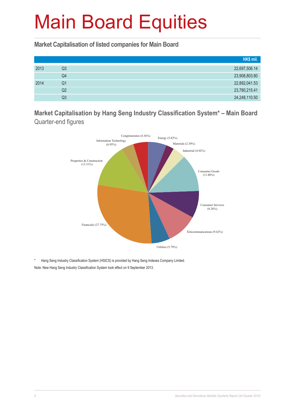**Market Capitalisation of listed companies for Main Board**

|      |                | HK\$ mil.     |
|------|----------------|---------------|
| 2013 | Q <sub>3</sub> | 22,697,506.14 |
|      | Q4             | 23,908,803.80 |
| 2014 | Q <sub>1</sub> | 22,892,041.53 |
|      | Q2             | 23,780,215.41 |
|      | Q <sub>3</sub> | 24,248,110.50 |

**Market Capitalisation by Hang Seng Industry Classification System\* – Main Board**  Quarter-end figures



\* Hang Seng Industry Classification System (HSICS) is provided by Hang Seng Indexes Company Limited. Note: New Hang Seng Industry Classification System took effect on 9 September 2013.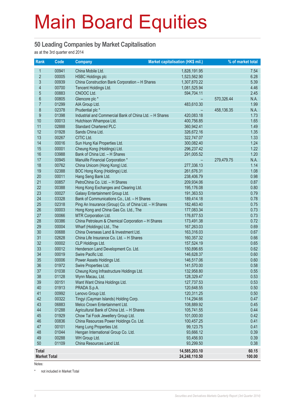#### **50 Leading Companies by Market Capitalisation**

as at the 3rd quarter end 2014

| Rank                | <b>Code</b> | Company                                                 | Market capitalisation (HK\$ mil.) |            | % of market total |
|---------------------|-------------|---------------------------------------------------------|-----------------------------------|------------|-------------------|
| $\mathbf{1}$        | 00941       | China Mobile Ltd.                                       | 1,828,191.95                      |            | 7.54              |
| $\overline{2}$      | 00005       | <b>HSBC Holdings plc</b>                                | 1,523,562.90                      |            | 6.28              |
| 3                   | 00939       | China Construction Bank Corporation - H Shares          | 1,307,870.22                      |            | 5.39              |
| 4                   | 00700       | Tencent Holdings Ltd.                                   | 1,081,525.94                      |            | 4.46              |
| $\overline{5}$      | 00883       | CNOOC Ltd.                                              | 594,704.11                        |            | 2.45              |
| $6\phantom{a}$      | 00805       | Glencore plc *                                          |                                   | 570,326.44 | N.A.              |
| $\overline{7}$      | 01299       | AIA Group Ltd.                                          | 483,610.30                        |            | 1.99              |
| 8                   | 02378       | Prudential plc *                                        |                                   | 458,136.35 | N.A.              |
| 9                   | 01398       | Industrial and Commercial Bank of China Ltd. - H Shares | 420,083.18                        |            | 1.73              |
| 10                  | 00013       | Hutchison Whampoa Ltd.                                  | 400,756.85                        |            | 1.65              |
| 11                  | 02888       | <b>Standard Chartered PLC</b>                           | 360,942.41                        |            | 1.49              |
| 12                  | 01928       | Sands China Ltd.                                        | 326,672.16                        |            | 1.35              |
| 13                  | 00267       | CITIC Ltd.                                              | 322,747.07                        |            | 1.33              |
| 14                  | 00016       | Sun Hung Kai Properties Ltd.                            | 300,082.40                        |            | 1.24              |
| 15                  | 00001       | Cheung Kong (Holdings) Ltd.                             | 296,237.42                        |            | 1.22              |
| 16                  | 03988       | Bank of China Ltd. - H Shares                           | 291,005.52                        |            | 1.20              |
| 17                  | 00945       | Manulife Financial Corporation *                        |                                   | 279,479.75 | N.A.              |
| 18                  | 00762       | China Unicom (Hong Kong) Ltd.                           | 277,336.13                        |            | 1.14              |
| 19                  | 02388       | BOC Hong Kong (Holdings) Ltd.                           | 261,676.31                        |            | 1.08              |
| 20                  | 00011       | Hang Seng Bank Ltd.                                     | 238,406.79                        |            | 0.98              |
| 21                  | 00857       | PetroChina Co. Ltd. - H Shares                          | 209,934.06                        |            | 0.87              |
| 22                  | 00388       | Hong Kong Exchanges and Clearing Ltd.                   | 195,176.08                        |            | 0.80              |
| 23                  | 00027       | Galaxy Entertainment Group Ltd.                         | 191,363.53                        |            | 0.79              |
| 24                  | 03328       | Bank of Communications Co., Ltd. - H Shares             | 189,414.18                        |            | 0.78              |
| 25                  | 02318       | Ping An Insurance (Group) Co. of China Ltd. - H Shares  | 182,463.40                        |            | 0.75              |
| 26                  | 00003       | Hong Kong and China Gas Co. Ltd., The                   | 177,083.34                        |            | 0.73              |
| 27                  | 00066       | MTR Corporation Ltd.                                    | 176,877.53                        |            | 0.73              |
| 28                  | 00386       | China Petroleum & Chemical Corporation - H Shares       | 173,491.38                        |            | 0.72              |
| 29                  | 00004       | Wharf (Holdings) Ltd., The                              | 167,263.03                        |            | 0.69              |
| 30                  | 00688       | China Overseas Land & Investment Ltd.                   | 163,316.03                        |            | 0.67              |
| 31                  | 02628       | China Life Insurance Co. Ltd. - H Shares                | 160,357.32                        |            | 0.66              |
| 32                  | 00002       | CLP Holdings Ltd.                                       | 157,524.19                        |            | 0.65              |
| 33                  | 00012       | Henderson Land Development Co. Ltd.                     | 150,896.65                        |            | 0.62              |
| 34                  | 00019       | Swire Pacific Ltd.                                      | 146,628.37                        |            | 0.60              |
| 35                  | 00006       | Power Assets Holdings Ltd.                              | 146,517.06                        |            | 0.60              |
| 36                  | 01972       | Swire Properties Ltd.                                   | 141,570.00                        |            | 0.58              |
| 37                  | 01038       | Cheung Kong Infrastructure Holdings Ltd.                | 132,958.80                        |            | 0.55              |
| 38                  | 01128       | Wynn Macau, Ltd.                                        | 128,329.47                        |            | 0.53              |
| 39                  | 00151       | Want Want China Holdings Ltd.                           | 127,737.53                        |            | 0.53              |
| 40                  | 01913       | PRADA S.p.A.                                            | 120,648.55                        |            | 0.50              |
| 41                  | 00992       | Lenovo Group Ltd.                                       | 120,311.25                        |            | 0.50              |
| 42                  | 00322       | Tingyi (Cayman Islands) Holding Corp.                   | 114,294.66                        |            | 0.47              |
| 43                  | 06883       | Melco Crown Entertainment Ltd.                          | 108,889.92                        |            | 0.45              |
| 44                  | 01288       | Agricultural Bank of China Ltd. - H Shares              | 105,741.55                        |            | 0.44              |
| 45                  | 01929       | Chow Tai Fook Jewellery Group Ltd.                      | 101,000.00                        |            | 0.42              |
| 46                  | 00836       | China Resources Power Holdings Co. Ltd.                 | 100,457.25                        |            | 0.41              |
| 47                  | 00101       | Hang Lung Properties Ltd.                               | 99,123.75                         |            | 0.41              |
| 48                  | 01044       | Hengan International Group Co. Ltd.                     | 93,666.12                         |            | 0.39              |
| 49                  | 00288       | WH Group Ltd.                                           | 93,456.93                         |            | 0.39              |
| 50                  | 01109       | China Resources Land Ltd.                               | 93,299.50                         |            | 0.38              |
| <b>Total</b>        |             |                                                         | 14,585,203.10                     |            | 60.15             |
| <b>Market Total</b> |             |                                                         | 24,248,110.50                     |            | 100.00            |

Notes:

\* not included in Market Total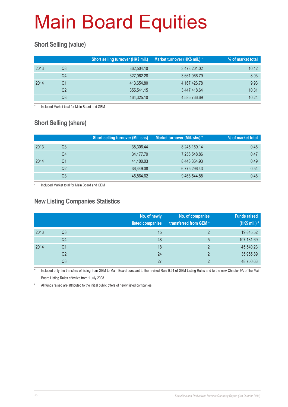### **Short Selling (value)**

|      |    | Short selling turnover (HK\$ mil.) | Market turnover (HK\$ mil.) * | % of market total |
|------|----|------------------------------------|-------------------------------|-------------------|
| 2013 | Q3 | 362,504.10                         | 3,478,201.02                  | 10.42             |
|      | Q4 | 327,062.28                         | 3,661,066.79                  | 8.93              |
| 2014 | Q1 | 413,654.80                         | 4,167,426.78                  | 9.93              |
|      | Q2 | 355,541.15                         | 3,447,418.64                  | 10.31             |
|      | Q3 | 464,325.10                         | 4,535,766.69                  | 10.24             |

Included Market total for Main Board and GEM

### **Short Selling (share)**

|      |    | <b>Short selling turnover (Mil. shs)</b> | Market turnover (Mil. shs) * | % of market total |
|------|----|------------------------------------------|------------------------------|-------------------|
| 2013 | Q3 | 38.306.44                                | 8,245,169.14                 | 0.46              |
|      | Q4 | 34,177.79                                | 7,256,548.86                 | 0.47              |
| 2014 | Q1 | 41,100.03                                | 8,443,354.93                 | 0.49              |
|      | Q2 | 36,449.08                                | 6,775,296.43                 | 0.54              |
|      | Q3 | 45,864.62                                | 9,468,544.88                 | 0.48              |

Included Market total for Main Board and GEM

#### **New Listing Companies Statistics**

|      |                | No. of newly<br>listed companies | No. of companies<br>transferred from GEM* | <b>Funds raised</b><br>(HK\$ mil.) # |
|------|----------------|----------------------------------|-------------------------------------------|--------------------------------------|
| 2013 | Q <sub>3</sub> | 15                               | $\mathfrak{p}$                            | 19,845.52                            |
|      | Q4             | 48                               | 5                                         | 107,181.69                           |
| 2014 | Q1             | 18                               | $\mathfrak{p}$                            | 45,540.23                            |
|      | Q <sub>2</sub> | 24                               | $\mathfrak{p}$                            | 35,955.89                            |
|      | Q3             | 27                               | C                                         | 48,750.63                            |

Included only the transfers of listing from GEM to Main Board pursuant to the revised Rule 9.24 of GEM Listing Rules and to the new Chapter 9A of the Main Board Listing Rules effective from 1 July 2008

# All funds raised are attributed to the initial public offers of newly listed companies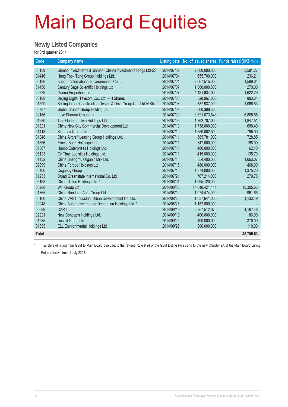#### **Newly Listed Companies**

for 3rd quarter 2014

| Code         | <b>Company name</b>                                          |            |                | Listing date No. of issued shares Funds raised (HK\$ mil.) |
|--------------|--------------------------------------------------------------|------------|----------------|------------------------------------------------------------|
| 06139        | Jinmao Investments & Jinmao (China) Investments HIdgs Ltd-SS | 2014/07/02 | 2,000,000,000  | 3,581.27                                                   |
| 01446        | Hung Fook Tong Group Holdings Ltd.                           | 2014/07/04 | 655,700,000    | 236.21                                                     |
| 06136        | Kangda International Environmental Co. Ltd.                  | 2014/07/04 | 2,067,515,000  | 1,589.04                                                   |
| 01450        | Century Sage Scientific Holdings Ltd.                        | 2014/07/07 | 1,000,000,000  | 270.00                                                     |
| 02329        | Guorui Properties Ltd.                                       | 2014/07/07 | 4,431,634,000  | 1,622.29                                                   |
| 06188        | Beijing Digital Telecom Co., Ltd. - H Shares                 | 2014/07/08 | 328,967,000    | 883.34                                                     |
| 01599        | Beijing Urban Construction Design & Dev. Group Co., Ltd-H Sh | 2014/07/08 | 387,937,000    | 1,066.83                                                   |
| 00787        | Global Brands Group Holding Ltd.                             | 2014/07/09 | 8,360,398,306  |                                                            |
| 02186        | Luye Pharma Group Ltd.                                       | 2014/07/09 | 3,321,073,843  | 6,805.55                                                   |
| 01980        | Tian Ge Interactive Holdings Ltd.                            | 2014/07/09 | 1,262,707,000  | 1,847.51                                                   |
| 01321        | China New City Commercial Development Ltd.                   | 2014/07/10 | 1,738,000,000  | 608.40                                                     |
| 01418        | Sinomax Group Ltd.                                           | 2014/07/10 | 1,650,002,000  | 795.00                                                     |
| 01848        | China Aircraft Leasing Group Holdings Ltd.                   | 2014/07/11 | 585,781,000    | 728.85                                                     |
| 01856        | Ernest Borel Holdings Ltd.                                   | 2014/07/11 | 347,000,000    | 198.00                                                     |
| 01367        | Hanbo Enterprises Holdings Ltd.                              | 2014/07/11 | 480,000,000    | 62.40                                                      |
| 06123        | On Time Logistics Holdings Ltd.                              | 2014/07/11 | 415,000,000    | 135.70                                                     |
| 01432        | China Shengmu Organic Milk Ltd.                              | 2014/07/15 | 6,354,400,000  | 1,063.07                                                   |
| 02399        | China Fordoo Holdings Ltd.                                   | 2014/07/16 | 480,000,000    | 468.00                                                     |
| 00400        | Cogobuy Group                                                | 2014/07/18 | 1,374,000,000  | 1,375.20                                                   |
| 01253        | Broad Greenstate International Co. Ltd.                      | 2014/07/21 | 767,214,000    | 279.78                                                     |
| 06168        | China U-Ton Holdings Ltd. *                                  | 2014/08/01 | 1,695,120,000  |                                                            |
| 00288        | WH Group Ltd.                                                | 2014/08/05 | 14,648,421,111 | 18,305.56                                                  |
| 01365        | China Rundong Auto Group Ltd.                                | 2014/08/12 | 1,074,474,000  | 961.66                                                     |
| 06166        | China VAST Industrial Urban Development Co. Ltd.             | 2014/08/25 | 1,637,641,000  | 1,133.49                                                   |
| 00048        | China Automotive Interior Decoration Holdings Ltd. *         | 2014/08/25 | 1,152,000,000  |                                                            |
| 00699        | CAR Inc.                                                     | 2014/09/19 | 2,357,512,070  | 4,167.48                                                   |
| 02221        | New Concepts Holdings Ltd.                                   | 2014/09/19 | 400,000,000    | 86.00                                                      |
| 01285        | Jiashili Group Ltd.                                          | 2014/09/25 | 400,000,000    | 370.00                                                     |
| 01395        | ELL Environmental Holdings Ltd.                              | 2014/09/26 | 800,000,000    | 110.00                                                     |
| <b>Total</b> |                                                              |            |                | 48,750.63                                                  |

Transfers of listing from GEM to Main Board pursuant to the revised Rule 9.24 of the GEM Listing Rules and to the new Chapter 9A of the Main Board Listing Rules effective from 1 July 2008.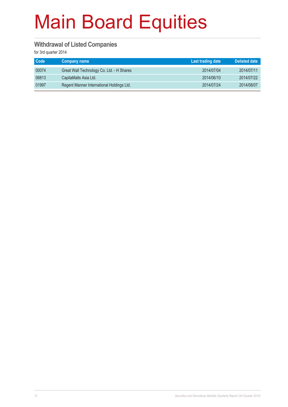#### **Withdrawal of Listed Companies**

for 3rd quarter 2014

| Code  | <b>Company name</b>                       | Last trading date | <b>Delisted date</b> |
|-------|-------------------------------------------|-------------------|----------------------|
| 00074 | Great Wall Technology Co. Ltd. - H Shares | 2014/07/04        | 2014/07/11           |
| 06813 | CapitaMalls Asia Ltd.                     | 2014/06/10        | 2014/07/22           |
| 01997 | Regent Manner International Holdings Ltd. | 2014/07/24        | 2014/08/07           |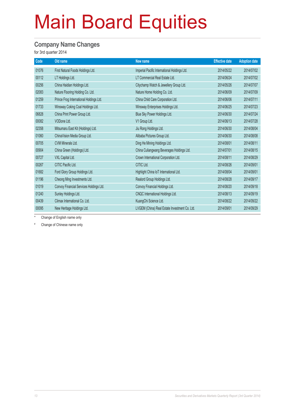#### **Company Name Changes**

for 3rd quarter 2014

| Old name                                | New name                                      | <b>Effective date</b> | <b>Adoption date</b> |
|-----------------------------------------|-----------------------------------------------|-----------------------|----------------------|
| First Natural Foods Holdings Ltd.       | Imperial Pacific International Holdings Ltd.  | 2014/05/22            | 2014/07/02           |
| LT Holdings Ltd.                        | LT Commercial Real Estate Ltd.                | 2014/06/24            | 2014/07/02           |
| China Haidian Holdings Ltd.             | Citychamp Watch & Jewellery Group Ltd.        | 2014/05/26            | 2014/07/07           |
| Nature Flooring Holding Co. Ltd.        | Nature Home Holding Co. Ltd.                  | 2014/06/09            | 2014/07/09           |
| Prince Frog International Holdings Ltd. | China Child Care Corporation Ltd.             | 2014/06/06            | 2014/07/11           |
| Winsway Coking Coal Holdings Ltd.       | Winsway Enterprises Holdings Ltd.             | 2014/06/25            | 2014/07/23           |
| China Print Power Group Ltd.            | Blue Sky Power Holdings Ltd.                  | 2014/06/30            | 2014/07/24           |
| VODone Ltd.                             | V1 Group Ltd.                                 | 2014/06/13            | 2014/07/28           |
| Mitsumaru East Kit (Holdings) Ltd.      | Jiu Rong Holdings Ltd.                        | 2014/06/30            | 2014/08/04           |
| ChinaVision Media Group Ltd.            | Alibaba Pictures Group Ltd.                   | 2014/06/30            | 2014/08/08           |
| CVM Minerals Ltd.                       | Ding He Mining Holdings Ltd.                  | 2014/08/01            | 2014/08/11           |
| China Green (Holdings) Ltd.             | China Culiangwang Beverages Holdings Ltd.     | 2014/07/01            | 2014/08/15           |
| VXL Capital Ltd.                        | Crown International Corporation Ltd.          | 2014/08/11            | 2014/08/29           |
| CITIC Pacific Ltd.                      | CITIC Ltd.                                    | 2014/08/26            | 2014/09/01           |
| Ford Glory Group Holdings Ltd.          | Highlight China IoT International Ltd.        | 2014/08/04            | 2014/09/01           |
| Cheong Ming Investments Ltd.            | Realord Group Holdings Ltd.                   | 2014/08/28            | 2014/09/17           |
| Convoy Financial Services Holdings Ltd. | Convoy Financial Holdings Ltd.                | 2014/08/20            | 2014/09/18           |
| Sunley Holdings Ltd.                    | CNQC International Holdings Ltd.              | 2014/08/13            | 2014/09/19           |
| Climax International Co. Ltd.           | KuangChi Science Ltd.                         | 2014/08/22            | 2014/09/22           |
| New Heritage Holdings Ltd.              | LVGEM (China) Real Estate Investment Co. Ltd. | 2014/09/01            | 2014/09/29           |
|                                         |                                               |                       |                      |

Change of English name only

# Change of Chinese name only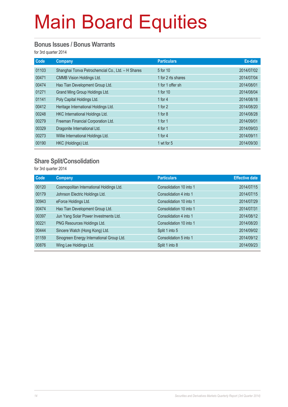#### **Bonus Issues / Bonus Warrants**

for 3rd quarter 2014

| Code  | Company                                           | <b>Particulars</b> | Ex-date    |
|-------|---------------------------------------------------|--------------------|------------|
| 01103 | Shanghai Tonva Petrochemcial Co., Ltd. - H Shares | 5 for 10           | 2014/07/02 |
| 00471 | CMMB Vision Holdings Ltd.                         | 1 for 2 rts shares | 2014/07/04 |
| 00474 | Hao Tian Development Group Ltd.                   | 1 for 1 offer sh   | 2014/08/01 |
| 01271 | Grand Ming Group Holdings Ltd.                    | 1 for 10           | 2014/08/04 |
| 01141 | Poly Capital Holdings Ltd.                        | 1 for $4$          | 2014/08/18 |
| 00412 | Heritage International Holdings Ltd.              | 1 for $2$          | 2014/08/20 |
| 00248 | HKC International Holdings Ltd.                   | 1 for $8$          | 2014/08/28 |
| 00279 | Freeman Financial Corporation Ltd.                | 1 for $1$          | 2014/09/01 |
| 00329 | Dragonite International Ltd.                      | 4 for 1            | 2014/09/03 |
| 00273 | Willie International Holdings Ltd.                | 1 for $4$          | 2014/09/11 |
| 00190 | HKC (Holdings) Ltd.                               | 1 wt for 5         | 2014/09/30 |

#### **Share Split/Consolidation**

for 3rd quarter 2014

| Code  | <b>Company</b>                            | <b>Particulars</b>      | <b>Effective date</b> |
|-------|-------------------------------------------|-------------------------|-----------------------|
| 00120 | Cosmopolitan International Holdings Ltd.  | Consolidation 10 into 1 | 2014/07/15            |
| 00179 | Johnson Electric Holdings Ltd.            | Consolidation 4 into 1  | 2014/07/15            |
| 00943 | eForce Holdings Ltd.                      | Consolidation 10 into 1 | 2014/07/29            |
| 00474 | Hao Tian Development Group Ltd.           | Consolidation 10 into 1 | 2014/07/31            |
| 00397 | Jun Yang Solar Power Investments Ltd.     | Consolidation 4 into 1  | 2014/08/12            |
| 00221 | PNG Resources Holdings Ltd.               | Consolidation 10 into 1 | 2014/08/20            |
| 00444 | Sincere Watch (Hong Kong) Ltd.            | Split 1 into 5          | 2014/09/02            |
| 01159 | Sinogreen Energy International Group Ltd. | Consolidation 5 into 1  | 2014/09/12            |
| 00876 | Wing Lee Holdings Ltd.                    | Split 1 into 8          | 2014/09/23            |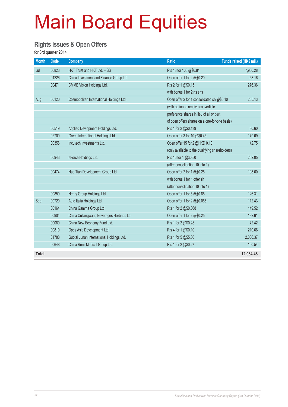#### **Rights Issues & Open Offers**

for 3rd quarter 2014

| <b>Month</b> | Code  | <b>Company</b>                            | <b>Ratio</b>                                    | Funds raised (HK\$ mil.) |
|--------------|-------|-------------------------------------------|-------------------------------------------------|--------------------------|
| Jul          | 06823 | HKT Trust and HKT Ltd. - SS               | Rts 18 for 100 @\$6.84                          | 7,900.28                 |
|              | 01226 | China Investment and Finance Group Ltd.   | Open offer 1 for 2 @\$0.20                      | 58.16                    |
|              | 00471 | <b>CMMB Vision Holdings Ltd.</b>          | Rts 2 for 1 @\$0.15                             | 276.36                   |
|              |       |                                           | with bonus 1 for 2 rts shs                      |                          |
| Aug          | 00120 | Cosmopolitan International Holdings Ltd.  | Open offer 2 for 1 consolidated sh @\$0.10      | 205.13                   |
|              |       |                                           | (with option to receive convertible             |                          |
|              |       |                                           | preference shares in lieu of all or part        |                          |
|              |       |                                           | of open offers shares on a one-for-one basis)   |                          |
|              | 00519 | Applied Devlopment Holdings Ltd.          | Rts 1 for 2 @\$0.139                            | 80.60                    |
|              | 02700 | Green International Holdings Ltd.         | Open offer 3 for 10 @\$0.45                     | 179.69                   |
|              | 00356 | Incutech Investments Ltd.                 | Open offer 15 for 2 @HKD 0.10                   | 42.75                    |
|              |       |                                           | (only available to the qualifying shareholders) |                          |
|              | 00943 | eForce Holdings Ltd.                      | Rts 16 for 1 @\$0.50                            | 262.05                   |
|              |       |                                           | (after consolidation 10 into 1)                 |                          |
|              | 00474 | Hao Tian Development Group Ltd.           | Open offer 2 for 1 @\$0.25                      | 198.60                   |
|              |       |                                           | with bonus 1 for 1 offer sh                     |                          |
|              |       |                                           | (after consolidation 10 into 1)                 |                          |
|              | 00859 | Henry Group Holdings Ltd.                 | Open offer 1 for 5 @\$0.85                      | 126.31                   |
| Sep          | 00720 | Auto Italia Holdings Ltd.                 | Open offer 1 for 2 @\$0.065                     | 112.43                   |
|              | 00164 | China Gamma Group Ltd.                    | Rts 1 for 2 @\$0.068                            | 149.52                   |
|              | 00904 | China Culiangwang Beverages Holdings Ltd. | Open offer 1 for 2 @\$0.25                      | 132.61                   |
|              | 00080 | China New Economy Fund Ltd.               | Rts 1 for 2 @\$0.28                             | 42.42                    |
|              | 00810 | Opes Asia Development Ltd.                | Rts 4 for 1 @\$0.10                             | 210.66                   |
|              | 01788 | Guotai Junan International Holdings Ltd.  | Rts 1 for 5 @\$5.30                             | 2,006.37                 |
|              | 00648 | China Renji Medical Group Ltd.            | Rts 1 for 2 @\$0.27                             | 100.54                   |
| <b>Total</b> |       |                                           |                                                 | 12,084.48                |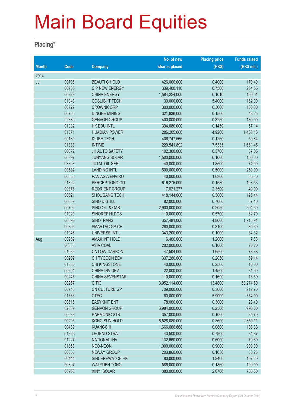#### **Placing\***

|              |       |                        | No. of new    | <b>Placing price</b> | <b>Funds raised</b> |
|--------------|-------|------------------------|---------------|----------------------|---------------------|
| <b>Month</b> | Code  | <b>Company</b>         | shares placed | (HKS)                | (HK\$ mil.)         |
| 2014         |       |                        |               |                      |                     |
| Jul          | 00706 | <b>BEAUTI C HOLD</b>   | 426,000,000   | 0.4000               | 170.40              |
|              | 00735 | C P NEW ENERGY         | 339,400,110   | 0.7500               | 254.55              |
|              | 00228 | <b>CHINA ENERGY</b>    | 1,584,224,000 | 0.1010               | 160.01              |
|              | 01043 | <b>COSLIGHT TECH</b>   | 30,000,000    | 5.4000               | 162.00              |
|              | 00727 | <b>CROWNICORP</b>      | 300,000,000   | 0.3600               | 108.00              |
|              | 00705 | <b>DINGHE MINING</b>   | 321,636,000   | 0.1500               | 48.25               |
|              | 02389 | <b>GENVON GROUP</b>    | 400,000,000   | 0.3250               | 130.00              |
|              | 01082 | HK EDU INTL            | 394,080,000   | 0.1450               | 57.14               |
|              | 01071 | <b>HUADIAN POWER</b>   | 286,205,600   | 4.9200               | 1,408.13            |
|              | 00139 | <b>ICUBE TECH</b>      | 406,747,565   | 0.1250               | 50.84               |
|              | 01833 | <b>INTIME</b>          | 220,541,892   | 7.5335               | 1,661.45            |
|              | 00872 | <b>JH AUTO SAFETY</b>  | 102,300,000   | 0.3700               | 37.85               |
|              | 00397 | <b>JUNYANG SOLAR</b>   | 1,500,000,000 | 0.1000               | 150.00              |
|              | 03303 | <b>JUTAL OIL SER</b>   | 40,000,000    | 1.8500               | 74.00               |
|              | 00582 | <b>LANDING INTL</b>    | 500,000,000   | 0.5000               | 250.00              |
|              | 00556 | PAN ASIA ENVIRO        | 40,000,000    | 1.6300               | 65.20               |
|              | 01822 | <b>PERCEPTIONDIGIT</b> | 616,275,000   | 0.1680               | 103.53              |
|              | 00376 | <b>REORIENT GROUP</b>  | 17,021,277    | 2.3500               | 40.00               |
|              | 00521 | <b>SHOUGANG TECH</b>   | 418,144,000   | 0.3000               | 125.44              |
|              | 00039 | SINO DISTILL           | 82,000,000    | 0.7000               | 57.40               |
|              | 00702 | SINO OIL & GAS         | 2,900,000,000 | 0.2050               | 594.50              |
|              | 01020 | SINOREF HLDGS          | 110,000,000   | 0.5700               | 62.70               |
|              | 00598 | <b>SINOTRANS</b>       | 357,481,000   | 4.8000               | 1,715.91            |
|              | 00395 | SMARTAC GP CH          | 260,000,000   | 0.3100               | 80.60               |
|              | 01046 | UNIVERSE INT'L         | 343,200,000   | 0.1000               | 34.32               |
| Aug          | 00959 | <b>AMAX INT HOLD</b>   | 6,400,000     | 1.2000               | 7.68                |
|              | 00835 | <b>ASIA COAL</b>       | 202,000,000   | 0.1000               | 20.20               |
|              | 01069 | CA LOW-CARBON          | 47,504,000    | 1.6500               | 78.38               |
|              | 00209 | CH TYCOON BEV          | 337,280,000   | 0.2050               | 69.14               |
|              | 01380 | CHI KINGSTONE          | 40,000,000    | 0.2500               | 10.00               |
|              | 00204 | <b>CHINA INV DEV</b>   | 22,000,000    | 1.4500               | 31.90               |
|              | 00245 | CHINA SEVENSTAR        | 110,000,000   | 0.1690               | 18.59               |
|              | 00267 | <b>CITIC</b>           | 3,952,114,000 | 13.4800              | 53,274.50           |
|              | 00745 | CN CULTURE GP          | 709,000,000   | 0.3000               | 212.70              |
|              | 01363 | <b>CTEG</b>            | 60,000,000    | 5.9000               | 354.00              |
|              | 00616 | <b>EASYKNIT ENT</b>    | 78,000,000    | 0.3000               | 23.40               |
|              | 02389 | <b>GENVON GROUP</b>    | 3,984,000,000 | 0.2500               | 996.00              |
|              | 00033 | <b>HARMONIC STR</b>    | 357,000,000   | 0.1000               | 35.70               |
|              | 00295 | <b>KONG SUN HOLD</b>   | 6,528,080,000 | 0.3600               | 2,350.11            |
|              | 00439 | <b>KUANGCHI</b>        | 1,666,666,668 | 0.0800               | 133.33              |
|              | 01355 | <b>LEGEND STRAT</b>    | 43,500,000    | 0.7900               | 34.37               |
|              | 01227 | <b>NATIONAL INV</b>    | 132,660,000   | 0.6000               | 79.60               |
|              | 01868 | <b>NEO-NEON</b>        | 1,000,000,000 | 0.9000               | 900.00              |
|              | 00055 | <b>NEWAY GROUP</b>     | 203,860,000   | 0.1630               | 33.23               |
|              | 00444 | SINCEREWATCH HK        | 80,000,000    | 1.3400               | 107.20              |
|              | 00897 | <b>WAI YUEN TONG</b>   | 586,000,000   | 0.1860               | 109.00              |
|              | 00968 | XINYI SOLAR            | 380,000,000   | 2.0700               | 786.60              |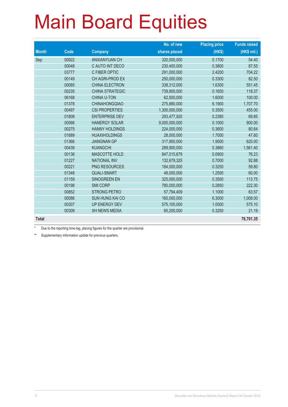|              |             |                        | No. of new    | <b>Placing price</b> | <b>Funds raised</b> |
|--------------|-------------|------------------------|---------------|----------------------|---------------------|
| <b>Month</b> | <b>Code</b> | <b>Company</b>         | shares placed | (HK\$)               | (HK\$ mil.)         |
| Sep          | 00922       | <b>ANXIANYUAN CH</b>   | 320,000,000   | 0.1700               | 54.40               |
|              | 00048       | C AUTO INT DECO        | 230,400,000   | 0.3800               | 87.55               |
|              | 03777       | C FIBER OPTIC          | 291,000,000   | 2.4200               | 704.22              |
|              | 00149       | CH AGRI-PROD EX        | 250,000,000   | 0.3300               | 82.50               |
|              | 00085       | <b>CHINA ELECTRON</b>  | 338,312,000   | 1.6300               | 551.45              |
|              | 00235       | <b>CHINA STRATEGIC</b> | 739,800,000   | 0.1600               | 118.37              |
|              | 06168       | <b>CHINA U-TON</b>     | 62,500,000    | 1.6000               | 100.00              |
|              | 01378       | <b>CHINAHONGQIAO</b>   | 275,880,000   | 6.1900               | 1,707.70            |
|              | 00497       | <b>CSI PROPERTIES</b>  | 1,300,000,000 | 0.3500               | 455.00              |
|              | 01808       | <b>ENTERPRISE DEV</b>  | 293,477,920   | 0.2380               | 69.85               |
|              | 00566       | <b>HANERGY SOLAR</b>   | 9,000,000,000 | 0.1000               | 900.00              |
|              | 00275       | <b>HANNY HOLDINGS</b>  | 224,000,000   | 0.3600               | 80.64               |
|              | 01689       | <b>HUAXIHOLDINGS</b>   | 28,000,000    | 1.7000               | 47.60               |
|              | 01366       | <b>JIANGNAN GP</b>     | 317,950,000   | 1.9500               | 620.00              |
|              | 00439       | <b>KUANGCHI</b>        | 289,900,000   | 5.3860               | 1,561.40            |
|              | 00136       | <b>MASCOTTE HOLD</b>   | 847,015,679   | 0.0900               | 76.23               |
|              | 01227       | <b>NATIONAL INV</b>    | 132,679,325   | 0.7000               | 92.88               |
|              | 00221       | PNG RESOURCES          | 184,000,000   | 0.3250               | 59.80               |
|              | 01348       | <b>QUALI-SMART</b>     | 48,000,000    | 1.2500               | 60.00               |
|              | 01159       | SINOGREEN EN           | 325,000,000   | 0.3500               | 113.75              |
|              | 00198       | <b>SMI CORP</b>        | 780,000,000   | 0.2850               | 222.30              |
|              | 00852       | <b>STRONG PETRO</b>    | 57,794,409    | 1.1000               | 63.57               |
|              | 00086       | <b>SUN HUNG KAI CO</b> | 160,000,000   | 6.3000               | 1,008.00            |
|              | 00307       | <b>UP ENERGY DEV</b>   | 575,100,000   | 1.0000               | 575.10              |
|              | 00309       | <b>XH NEWS MEDIA</b>   | 65,200,000    | 0.3250               | 21.19               |
| <b>Total</b> |             |                        |               |                      | 76,701.35           |

\* Due to the reporting time-lag, placing figures for the quarter are provisional.

\*\* Supplementary information update for previous quarters.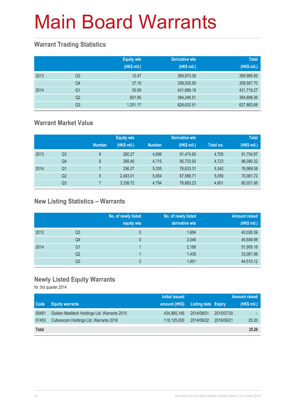### **Warrant Trading Statistics**

|      |                | <b>Equity wts</b><br>(HK\$ mil.) | <b>Derivative wts</b><br>(HK\$ mil.) | <b>Total</b><br>(HK\$ mil.) |
|------|----------------|----------------------------------|--------------------------------------|-----------------------------|
| 2013 | Q <sub>3</sub> | 12.47                            | 389,973.38                           | 389,985.85                  |
|      | Q <sub>4</sub> | 37.19                            | 358,530.50                           | 358,567.70                  |
| 2014 | Q1             | 30.09                            | 431,689.18                           | 431,719.27                  |
|      | Q <sub>2</sub> | 651.85                           | 384,246.51                           | 384,898.36                  |
|      | Q <sub>3</sub> | 1,251.17                         | 626,632.51                           | 627,883.68                  |

### **Warrant Market Value**

|      |                |               | <b>Equity wts</b> |               | <b>Derivative wts</b> |           | <b>Total</b> |
|------|----------------|---------------|-------------------|---------------|-----------------------|-----------|--------------|
|      |                | <b>Number</b> | (HK\$ mil.)       | <b>Number</b> | (HK\$ mil.)           | Total no. | (HK\$ mil.)  |
| 2013 | Q <sub>3</sub> | 9             | 280.27            | 4.696         | 91.474.60             | 4,705     | 91,754.87    |
|      | Q <sub>4</sub> | 8             | 356.40            | 4.715         | 95,733.93             | 4,723     | 96,090.32    |
| 2014 | Q1             |               | 336.27            | 5.335         | 76,633.31             | 5,342     | 76,969.58    |
|      | Q <sub>2</sub> | 5             | 2,493.01          | 5.054         | 67,588.71             | 5,059     | 70,081.72    |
|      | Q3             |               | 3,338.72          | 4.794         | 76,683.23             | 4.801     | 80,021.95    |

### **New Listing Statistics – Warrants**

|      |                | No. of newly listed<br>equity wts | No. of newly listed<br>derivative wts | <b>Amount raised</b><br>(HK\$ mil.) |
|------|----------------|-----------------------------------|---------------------------------------|-------------------------------------|
| 2013 | Q <sub>3</sub> | 0                                 | 1,654                                 | 40,026.39                           |
|      | Q4             | $\mathbf{0}$                      | 2,046                                 | 45,648.98                           |
| 2014 | Q1             |                                   | 2,188                                 | 51,909.16                           |
|      | Q <sub>2</sub> |                                   | 1,435                                 | 33,081.98                           |
|      | Q <sub>3</sub> | C                                 | 1,951                                 | 44,515.12                           |

### **Newly Listed Equity Warrants**

for 3rd quarter 2014

|              |                                             | Initial issued |                            |            | <b>Amount raised</b> |
|--------------|---------------------------------------------|----------------|----------------------------|------------|----------------------|
| <b>Code</b>  | <b>Equity warrants</b>                      | amount (HK\$)  | <b>Listing date Expiry</b> |            | (HK\$ mil.)          |
| 00481        | Golden Meditech Holdings Ltd. Warrants 2015 | 434,965,146    | 2014/08/01                 | 2015/07/30 |                      |
| 01453        | Culturecom Holdings Ltd. Warrants 2016      | 118,125,000    | 2014/09/22                 | 2016/09/21 | 25.20                |
| <b>Total</b> |                                             |                |                            |            | 25.20                |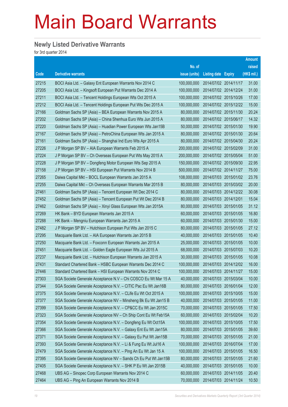### **Newly Listed Derivative Warrants**

for 3rd quarter 2014

|       |                                                                |               |                            |                       | <b>Amount</b> |
|-------|----------------------------------------------------------------|---------------|----------------------------|-----------------------|---------------|
|       |                                                                | No. of        |                            |                       | raised        |
| Code  | <b>Derivative warrants</b>                                     | issue (units) | <b>Listing date Expiry</b> |                       | (HK\$ mil.)   |
| 27215 | BOCI Asia Ltd. - Galaxy Ent European Warrants Nov 2014 C       | 100,000,000   | 2014/07/02 2014/11/17      |                       | 31.00         |
| 27205 | BOCI Asia Ltd. - Kingsoft European Put Warrants Dec 2014 A     | 100.000.000   |                            | 2014/07/02 2014/12/24 | 31.00         |
| 27211 | BOCI Asia Ltd. - Tencent Holdings European Wts Oct 2015 A      | 100,000,000   |                            | 2014/07/02 2015/10/26 | 17.00         |
| 27212 | BOCI Asia Ltd. - Tencent Holdings European Put Wts Dec 2015 A  | 100,000,000   |                            | 2014/07/02 2015/12/22 | 15.00         |
| 27166 | Goldman Sachs SP (Asia) - BEA European Warrants Nov 2015 A     | 80,000,000    |                            | 2014/07/02 2015/11/30 | 20.24         |
| 27202 | Goldman Sachs SP (Asia) – China Shenhua Euro Wts Jun 2015 A    | 80,000,000    |                            | 2014/07/02 2015/06/17 | 14.32         |
| 27220 | Goldman Sachs SP (Asia) – Huadian Power European Wts Jan15B    | 50,000,000    |                            | 2014/07/02 2015/01/30 | 19.90         |
| 27167 | Goldman Sachs SP (Asia) - PetroChina European Wts Jan 2015 A   | 80,000,000    |                            | 2014/07/02 2015/01/30 | 20.64         |
| 27161 | Goldman Sachs SP (Asia) - Shanghai Ind Euro Wts Apr 2015 A     | 80,000,000    |                            | 2014/07/02 2015/04/30 | 20.24         |
| 27226 | J P Morgan SP BV - AIA European Warrants Feb 2015 A            | 200,000,000   |                            | 2014/07/02 2015/02/09 | 31.00         |
| 27224 | J P Morgan SP BV - Ch Overseas European Put Wts May 2015 A     | 200,000,000   |                            | 2014/07/02 2015/05/04 | 51.00         |
| 27228 | J P Morgan SP BV – Dongfeng Motor European Wts Sep 2015 A      | 150,000,000   |                            | 2014/07/02 2015/09/30 | 22.95         |
| 27158 | J P Morgan SP BV - HSI European Put Warrants Nov 2014 B        | 500,000,000   |                            | 2014/07/02 2014/11/27 | 75.00         |
| 27265 | Daiwa Capital Mkt - BOCL European Warrants Jan 2015 A          | 108,000,000   |                            | 2014/07/03 2015/01/02 | 23.76         |
| 27255 | Daiwa Capital Mkt – Ch Overseas European Warrants Mar 2015 B   | 80,000,000    |                            | 2014/07/03 2015/03/02 | 20.00         |
| 27461 | Goldman Sachs SP (Asia) – Tencent European Wt Dec 2014 C       | 80,000,000    |                            | 2014/07/03 2014/12/22 | 30.08         |
| 27452 | Goldman Sachs SP (Asia) - Tencent European Put Wt Dec 2014 B   | 80,000,000    | 2014/07/03 2014/12/01      |                       | 15.04         |
| 27462 | Goldman Sachs SP (Asia) - Xinyi Glass European Wts Jan 2015A   | 80,000,000    |                            | 2014/07/03 2015/01/05 | 31.12         |
| 27269 | HK Bank – BYD European Warrants Jan 2015 A                     | 60,000,000    |                            | 2014/07/03 2015/01/05 | 16.80         |
| 27288 | HK Bank - Mengniu European Warrants Jan 2015 A                 | 60,000,000    |                            | 2014/07/03 2015/01/30 | 15.00         |
| 27482 | J P Morgan SP BV - Hutchison European Put Wts Jan 2015 C       | 80,000,000    |                            | 2014/07/03 2015/01/05 | 27.12         |
| 27295 | Macquarie Bank Ltd. - AIA European Warrants Jan 2015 B         | 40,000,000    |                            | 2014/07/03 2015/01/05 | 10.40         |
| 27250 | Macquarie Bank Ltd. - Foxconn European Warrants Jan 2015 A     | 25,000,000    |                            | 2014/07/03 2015/01/05 | 10.00         |
| 27451 | Macquarie Bank Ltd. - Golden Eagle European Wts Jul 2015 A     | 68,000,000    |                            | 2014/07/03 2015/07/03 | 10.20         |
| 27237 | Macquarie Bank Ltd. - Hutchison European Warrants Jan 2015 A   | 30,000,000    |                            | 2014/07/03 2015/01/05 | 10.08         |
| 27431 | Standard Chartered Bank - HSBC European Warrants Dec 2014 C    | 100,000,000   |                            | 2014/07/03 2014/12/02 | 16.00         |
| 27446 | Standard Chartered Bank - HSI European Warrants Nov 2014 C     | 100,000,000   |                            | 2014/07/03 2014/11/27 | 15.00         |
| 27303 | SGA Societe Generale Acceptance N.V - Chi COSCO Eu Wt Mar 15 A | 40,000,000    | 2014/07/03 2015/03/04      |                       | 10.00         |
| 27344 | SGA Societe Generale Acceptance N.V. - CITIC Pac Eu Wt Jan16B  | 80,000,000    |                            | 2014/07/03 2016/01/04 | 12.00         |
| 27375 | SGA Societe Generale Acceptance N.V. - CLife Eu Wt Oct 2015 A  | 100,000,000   | 2014/07/03 2015/10/05      |                       | 15.00         |
| 27377 | SGA Societe Generale Acceptance NV - Minsheng Bk Eu Wt Jan15 B | 40,000,000    |                            | 2014/07/03 2015/01/05 | 11.00         |
| 27399 | SGA Societe Generale Acceptance N.V. - CP&CC Eu Wt Jan 2015C   | 70,000,000    | 2014/07/03 2015/01/05      |                       | 17.50         |
| 27323 | SGA Societe Generale Acceptance NV - Ch Ship Cont Eu Wt Feb15A | 60,000,000    |                            | 2014/07/03 2015/02/04 | 10.20         |
| 27354 | SGA Societe Generale Acceptance N.V. - Dongfeng Eu Wt Oct15A   | 100,000,000   | 2014/07/03 2015/10/05      |                       | 17.50         |
| 27366 | SGA Societe Generale Acceptance N.V. - Galaxy Ent Eu Wt Jan15A | 80,000,000    |                            | 2014/07/03 2015/01/05 | 39.60         |
| 27371 | SGA Societe Generale Acceptance N.V. - Galaxy Eu Put Wt Jan15B | 70,000,000    | 2014/07/03 2015/01/05      |                       | 21.00         |
| 27393 | SGA Societe Generale Acceptance N.V. - Li & Fung Eu Wt Jul16 A | 100,000,000   |                            | 2014/07/03 2016/07/04 | 17.00         |
| 27479 | SGA Societe Generale Acceptance N.V. - Ping An Eu Wt Jan 15 A  | 100,000,000   | 2014/07/03 2015/01/05      |                       | 16.50         |
| 27395 | SGA Societe Generale Acceptance NV - Sands Ch Eu Put Wt Jan15B | 80,000,000    |                            | 2014/07/03 2015/01/05 | 21.60         |
| 27405 | SGA Societe Generale Acceptance N.V. - SHK P Eu Wt Jan 2015B   | 40,000,000    | 2014/07/03 2015/01/05      |                       | 10.00         |
| 27468 | UBS AG - Sinopec Corp European Warrants Nov 2014 C             | 60,000,000    |                            | 2014/07/03 2014/11/05 | 20.40         |
| 27464 | UBS AG - Ping An European Warrants Nov 2014 B                  | 70,000,000    | 2014/07/03 2014/11/24      |                       | 10.50         |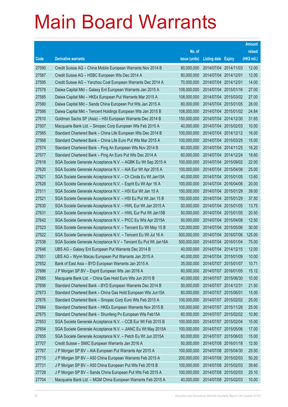|       |                                                                |               |                       |                       | <b>Amount</b> |
|-------|----------------------------------------------------------------|---------------|-----------------------|-----------------------|---------------|
|       |                                                                | No. of        |                       |                       | raised        |
| Code  | <b>Derivative warrants</b>                                     | issue (units) | Listing date Expiry   |                       | (HK\$ mil.)   |
| 27590 | Credit Suisse AG - China Mobile European Warrants Nov 2014 B   | 80,000,000    | 2014/07/04 2014/11/03 |                       | 12.00         |
| 27587 | Credit Suisse AG - HSBC European Wts Dec 2014 A                | 80,000,000    | 2014/07/04 2014/12/01 |                       | 12.00         |
| 27595 | Credit Suisse AG - Yanzhou Coal European Warrants Dec 2014 A   | 70,000,000    | 2014/07/04 2014/12/01 |                       | 14.00         |
| 27578 | Daiwa Capital Mkt - Galaxy Ent European Warrants Jan 2015 A    | 108,000,000   | 2014/07/04 2015/01/16 |                       | 27.00         |
| 27585 | Daiwa Capital Mkt - HKEx European Put Warrants Mar 2015 A      | 108,000,000   |                       | 2014/07/04 2015/03/02 | 27.00         |
| 27580 | Daiwa Capital Mkt - Sands China European Put Wts Jan 2015 A    | 80,000,000    |                       | 2014/07/04 2015/01/05 | 28.00         |
| 27586 | Daiwa Capital Mkt - Tencent Holdings European Wts Jan 2015 B   | 108,000,000   |                       | 2014/07/04 2015/01/02 | 24.84         |
| 27610 | Goldman Sachs SP (Asia) - HSI European Warrants Dec 2014 B     | 150,000,000   |                       | 2014/07/04 2014/12/30 | 31.65         |
| 27507 | Macquarie Bank Ltd. - Sinopec Corp European Wts Feb 2015 A     | 40,000,000    |                       | 2014/07/04 2015/02/03 | 10.00         |
| 27565 | Standard Chartered Bank - China Life European Wts Dec 2014 B   | 100,000,000   |                       | 2014/07/04 2014/12/12 | 16.00         |
| 27568 | Standard Chartered Bank - China Life Euro Put Wts Mar 2015 A   | 100,000,000   | 2014/07/04 2015/03/25 |                       | 15.00         |
| 27574 | Standard Chartered Bank - Ping An European Wts Nov 2014 B      | 60,000,000    |                       | 2014/07/04 2014/11/25 | 16.20         |
| 27577 | Standard Chartered Bank - Ping An Euro Put Wts Dec 2014 A      | 60,000,000    | 2014/07/04 2014/12/24 |                       | 18.60         |
| 27618 | SGA Societe Generale Acceptance N.V. - AGBK Eu Wt Sep 2015 A   | 100,000,000   |                       | 2014/07/04 2015/09/02 | 22.00         |
| 27620 | SGA Societe Generale Acceptance N.V. - AIA Eur Wt Apr 2015 A   | 100,000,000   | 2014/07/04 2015/04/08 |                       | 25.00         |
| 27621 | SGA Societe Generale Acceptance N.V. - Ch Cinda Eu Wt Jan15A   | 40,000,000    |                       | 2014/07/04 2015/01/05 | 13.60         |
| 27628 | SGA Societe Generale Acceptance N.V. - Esprit Eu Wt Apr 16 A   | 100,000,000   |                       | 2014/07/04 2016/04/06 | 20.00         |
| 27511 | SGA Societe Generale Acceptance N.V. - HSI Eur Wt Jan 15 A     | 150,000,000   |                       | 2014/07/04 2015/01/29 | 39.00         |
| 27521 | SGA Societe Generale Acceptance N.V. - HSI Eu Put Wt Jan 15 B  | 150,000,000   | 2014/07/04            | 2015/01/29            | 37.50         |
| 27630 | SGA Societe Generale Acceptance N.V. - HWL Eur Wt Jan 2015 A   | 50,000,000    |                       | 2014/07/04 2015/01/05 | 13.75         |
| 27631 | SGA Societe Generale Acceptance N.V. - HWL Eur Put Wt Jan15B   | 50,000,000    |                       | 2014/07/04 2015/01/05 | 20.50         |
| 27642 | SGA Societe Generale Acceptance N.V. - PICC Eu Wts Apr 2015A   | 50,000,000    |                       | 2014/07/04 2015/04/08 | 12.50         |
| 27523 | SGA Societe Generale Acceptance N.V. - Tencent Eu Wt May 15 B  | 120,000,000   | 2014/07/04            | 2015/05/06            | 30.00         |
| 27522 | SGA Societe Generale Acceptance N.V. - Tencent Eu Wt Jul 16 A  | 500,000,000   |                       | 2014/07/04 2016/07/06 | 125.00        |
| 27538 | SGA Societe Generale Acceptance N.V - Tencent Eu Put Wt Jan16A | 500,000,000   | 2014/07/04 2016/01/04 |                       | 75.00         |
| 27646 | UBS AG - Galaxy Ent European Put Warrants Dec 2014 B           | 40,000,000    | 2014/07/04 2014/12/15 |                       | 12.00         |
| 27651 | UBS AG - Wynn Macau European Put Warrants Jan 2015 A           | 40,000,000    |                       | 2014/07/04 2015/01/09 | 10.00         |
| 27652 | Bank of East Asia - BYD European Warrants Jan 2015 A           | 35,000,000    | 2014/07/07 2015/01/07 |                       | 10.71         |
| 27686 | J P Morgan SP BV - Esprit European Wts Jan 2016 A              | 60,000,000    | 2014/07/07 2016/01/05 |                       | 15.12         |
| 27685 | Macquarie Bank Ltd. - China Gas Hold Euro Wts Jun 2015 B       | 40,000,000    |                       | 2014/07/07 2015/06/30 | 10.00         |
| 27656 | Standard Chartered Bank - BYD European Warrants Dec 2014 B     | 50,000,000    | 2014/07/07 2014/12/31 |                       | 21.50         |
| 27673 | Standard Chartered Bank - China Gas Hold European Wts Jun15A   | 60,000,000    | 2014/07/07 2015/06/01 |                       | 15.00         |
| 27676 | Standard Chartered Bank - Sinopec Corp Euro Wts Feb 2015 A     | 100,000,000   | 2014/07/07 2015/02/02 |                       | 25.00         |
| 27684 | Standard Chartered Bank - HKEx European Warrants Nov 2015 B    | 100,000,000   | 2014/07/07 2015/11/26 |                       | 25.00         |
| 27675 | Standard Chartered Bank - Shunfeng Pv European Wts Feb15A      | 60,000,000    | 2014/07/07 2015/02/02 |                       | 10.80         |
| 27653 | SGA Societe Generale Acceptance N.V. - CCB Eur Wt Feb 2015 B   | 100,000,000   | 2014/07/07 2015/02/04 |                       | 15.00         |
| 27654 | SGA Societe Generale Acceptance N.V. - JIANC Eu Wt May 2015A   | 100,000,000   | 2014/07/07 2015/05/06 |                       | 17.00         |
| 27655 | SGA Societe Generale Acceptance N.V. - Petch Eu Wt Jun 2015A   | 60,000,000    |                       | 2014/07/07 2015/06/03 | 15.00         |
| 27707 | Credit Suisse - SMIC European Warrants Jan 2016 A              | 50,000,000    | 2014/07/08 2016/01/18 |                       | 12.50         |
| 27767 | J P Morgan SP BV - AIA European Put Warrants Apr 2015 A        | 100,000,000   | 2014/07/08 2015/04/30 |                       | 25.50         |
| 27715 | J P Morgan SP BV - A50 China European Warrants Feb 2015 A      | 200,000,000   | 2014/07/08 2015/02/03 |                       | 50.20         |
| 27731 | J P Morgan SP BV - A50 China European Put Wts Feb 2015 B       | 100,000,000   | 2014/07/08 2015/02/03 |                       | 39.60         |
| 27728 | J P Morgan SP BV - Sands China European Put Wts Feb 2015 A     | 100,000,000   | 2014/07/08 2015/02/03 |                       | 25.10         |
| 27704 | Macquarie Bank Ltd. - MGM China European Warrants Feb 2015 A   | 40,000,000    | 2014/07/08 2015/02/03 |                       | 10.00         |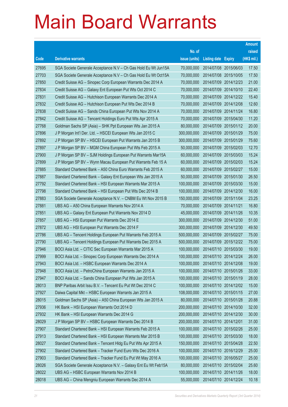|       |                                                                |               |                            |            | <b>Amount</b> |
|-------|----------------------------------------------------------------|---------------|----------------------------|------------|---------------|
|       |                                                                | No. of        |                            |            | raised        |
| Code  | <b>Derivative warrants</b>                                     | issue (units) | <b>Listing date Expiry</b> |            | (HK\$ mil.)   |
| 27695 | SGA Societe Generale Acceptance N.V - Ch Gas Hold Eu Wt Jun15A | 70,000,000    | 2014/07/08 2015/06/03      |            | 17.50         |
| 27703 | SGA Societe Generale Acceptance N.V - Ch Gas Hold Eu Wt Oct15A | 70,000,000    | 2014/07/08 2015/10/05      |            | 17.50         |
| 27850 | Credit Suisse AG – Sinopec Corp European Warrants Dec 2014 A   | 70,000,000    | 2014/07/09 2014/12/23      |            | 21.00         |
| 27834 | Credit Suisse AG – Galaxy Ent European Put Wts Oct 2014 C      | 70,000,000    | 2014/07/09 2014/10/10      |            | 22.40         |
| 27831 | Credit Suisse AG - Hutchison European Warrants Dec 2014 A      | 70,000,000    | 2014/07/09 2014/12/22      |            | 15.40         |
| 27832 | Credit Suisse AG - Hutchison European Put Wts Dec 2014 B       | 70,000,000    | 2014/07/09 2014/12/08      |            | 12.60         |
| 27838 | Credit Suisse AG - Sands China European Put Wts Nov 2014 A     | 70,000,000    | 2014/07/09 2014/11/24      |            | 16.80         |
| 27842 | Credit Suisse AG - Tencent Holdings Euro Put Wts Apr 2015 A    | 70,000,000    | 2014/07/09 2015/04/30      |            | 11.20         |
| 27768 | Goldman Sachs SP (Asia) – SHK Ppt European Wts Jan 2015 A      | 80,000,000    | 2014/07/09 2015/01/12      |            | 20.00         |
| 27896 | J P Morgan Int'l Der. Ltd. - HSCEI European Wts Jan 2015 C     | 300,000,000   | 2014/07/09 2015/01/29      |            | 75.00         |
| 27892 | J P Morgan SP BV - HSCEI European Put Warrants Jan 2015 B      | 300,000,000   | 2014/07/09                 | 2015/01/29 | 75.60         |
| 27897 | J P Morgan SP BV - MGM China European Put Wts Feb 2015 A       | 50,000,000    | 2014/07/09 2015/02/03      |            | 12.70         |
| 27900 | J P Morgan SP BV - SJM Holdings European Put Warrants Mar15A   | 60,000,000    | 2014/07/09 2015/03/03      |            | 15.24         |
| 27899 | J P Morgan SP BV - Wynn Macau European Put Warrants Feb 15 A   | 60,000,000    | 2014/07/09 2015/02/03      |            | 15.24         |
| 27885 | Standard Chartered Bank - A50 China Euro Warrants Feb 2015 A   | 60,000,000    | 2014/07/09 2015/02/27      |            | 15.00         |
| 27887 | Standard Chartered Bank - Galaxy Ent European Wts Jan 2015 A   | 50,000,000    | 2014/07/09 2015/01/30      |            | 26.50         |
| 27792 | Standard Chartered Bank - HSI European Warrants Mar 2015 A     | 100,000,000   | 2014/07/09 2015/03/30      |            | 15.00         |
| 27798 | Standard Chartered Bank - HSI European Put Wts Dec 2014 B      | 100,000,000   | 2014/07/09 2014/12/30      |            | 16.00         |
| 27883 | SGA Societe Generale Acceptance N.V. - CNBM Eu Wt Nov 2015 B   | 150,000,000   | 2014/07/09 2015/11/04      |            | 23.25         |
| 27881 | UBS AG - A50 China European Warrants Nov 2014 A                | 70,000,000    | 2014/07/09 2014/11/21      |            | 16.80         |
| 27851 | UBS AG - Galaxy Ent European Put Warrants Nov 2014 D           | 45,000,000    | 2014/07/09 2014/11/26      |            | 10.35         |
| 27857 | UBS AG - HSI European Put Warrants Dec 2014 E                  | 300,000,000   | 2014/07/09 2014/12/30      |            | 51.00         |
| 27872 | UBS AG - HSI European Put Warrants Dec 2014 F                  | 300,000,000   | 2014/07/09 2014/12/30      |            | 49.50         |
| 27786 | UBS AG - Tencent Holdings European Put Warrants Feb 2015 A     | 500,000,000   | 2014/07/09 2015/02/27      |            | 75.00         |
| 27790 | UBS AG - Tencent Holdings European Put Warrants Dec 2015 A     | 500,000,000   | 2014/07/09 2015/12/22      |            | 75.00         |
| 27946 | BOCI Asia Ltd. - CITIC Sec European Warrants Mar 2015 A        | 100,000,000   | 2014/07/10 2015/03/30      |            | 19.00         |
| 27999 | BOCI Asia Ltd. - Sinopec Corp European Warrants Dec 2014 A     | 100,000,000   | 2014/07/10 2014/12/24      |            | 26.00         |
| 27943 | BOCI Asia Ltd. - HSBC European Warrants Dec 2014 A             | 100,000,000   | 2014/07/10 2014/12/08      |            | 19.00         |
| 27948 | BOCI Asia Ltd. - PetroChina European Warrants Jan 2015 A       | 100,000,000   | 2014/07/10 2015/01/26      |            | 33.00         |
| 27947 | BOCI Asia Ltd. - Sands China European Put Wts Jan 2015 A       | 100,000,000   | 2014/07/10 2015/01/19      |            | 28.00         |
| 28013 | BNP Paribas Arbit Issu B.V. - Tencent Eu Put Wt Dec 2014 C     | 100,000,000   | 2014/07/10 2014/12/02      |            | 15.00         |
| 27927 | Daiwa Capital Mkt - HSBC European Warrants Jan 2015 A          | 108,000,000   | 2014/07/10 2015/01/15      |            | 27.00         |
| 28015 | Goldman Sachs SP (Asia) - A50 China European Wts Jan 2015 A    | 80,000,000    | 2014/07/10 2015/01/28      |            | 20.88         |
| 27936 | HK Bank - HSI European Warrants Oct 2014 D                     | 200,000,000   | 2014/07/10 2014/10/30      |            | 32.00         |
| 27932 | HK Bank - HSI European Warrants Dec 2014 G                     | 200,000,000   | 2014/07/10 2014/12/30      |            | 30.00         |
| 28029 | J P Morgan SP BV - HSBC European Warrants Dec 2014 B           | 200,000,000   | 2014/07/10 2014/12/01      |            | 31.00         |
| 27907 | Standard Chartered Bank - HSI European Warrants Feb 2015 A     | 100,000,000   | 2014/07/10 2015/02/26      |            | 25.00         |
| 27913 | Standard Chartered Bank - HSI European Warrants Mar 2015 B     | 100,000,000   | 2014/07/10 2015/03/30      |            | 18.00         |
| 28027 | Standard Chartered Bank - Tencent Hidg Eu Put Wts Apr 2015 A   | 150,000,000   | 2014/07/10 2015/04/28      |            | 22.50         |
| 27902 | Standard Chartered Bank - Tracker Fund Euro Wts Dec 2016 A     | 100,000,000   | 2014/07/10 2016/12/29      |            | 25.00         |
| 27903 | Standard Chartered Bank - Tracker Fund Eu Put Wt May 2016 A    | 100,000,000   | 2014/07/10 2016/05/27      |            | 25.00         |
| 28026 | SGA Societe Generale Acceptance N.V. - Galaxy Ent Eu Wt Feb15A | 80,000,000    | 2014/07/10 2015/02/04      |            | 25.60         |
| 28022 | UBS AG - HSBC European Warrants Nov 2014 B                     | 100,000,000   | 2014/07/10 2014/11/26      |            | 18.00         |
| 28018 | UBS AG - China Mengniu European Warrants Dec 2014 A            | 55,000,000    | 2014/07/10 2014/12/24      |            | 10.18         |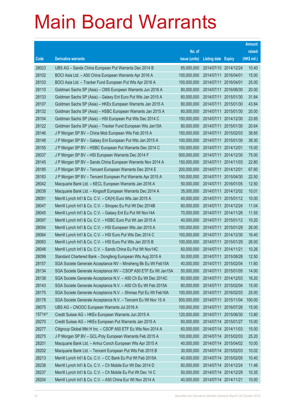|        |                                                                |               |                            |            | <b>Amount</b> |
|--------|----------------------------------------------------------------|---------------|----------------------------|------------|---------------|
|        |                                                                | No. of        |                            |            | raised        |
| Code   | <b>Derivative warrants</b>                                     | issue (units) | <b>Listing date Expiry</b> |            | (HK\$ mil.)   |
| 28023  | UBS AG - Sands China European Put Warrants Dec 2014 B          | 65,000,000    | 2014/07/10 2014/12/24      |            | 10.40         |
| 28102  | BOCI Asia Ltd. - A50 China European Warrants Apr 2016 A        | 100,000,000   | 2014/07/11                 | 2016/04/01 | 15.00         |
| 28103  | BOCI Asia Ltd. - Tracker Fund European Put Wts Apr 2016 A      | 100,000,000   | 2014/07/11                 | 2016/04/01 | 25.00         |
| 28110  | Goldman Sachs SP (Asia) – CMS European Warrants Jun 2016 A     | 80,000,000    | 2014/07/11                 | 2016/06/30 | 20.00         |
| 28133  | Goldman Sachs SP (Asia) – Galaxy Ent Euro Put Wts Jan 2015 A   | 80,000,000    | 2014/07/11                 | 2015/01/30 | 31.84         |
| 28107  | Goldman Sachs SP (Asia) - HKEx European Warrants Jan 2015 A    | 80,000,000    | 2014/07/11                 | 2015/01/30 | 43.84         |
| 28132  | Goldman Sachs SP (Asia) - HSBC European Warrants Jan 2015 A    | 80,000,000    | 2014/07/11                 | 2015/01/30 | 20.00         |
| 28104  | Goldman Sachs SP (Asia) – HSI European Put Wts Dec 2014 C      | 150,000,000   | 2014/07/11                 | 2014/12/30 | 23.85         |
| 28122  | Goldman Sachs SP (Asia) – Tracker Fund European Wts Jan15A     | 80,000,000    | 2014/07/11                 | 2015/01/30 | 20.64         |
| 28146  | J P Morgan SP BV - China Mob European Wts Feb 2015 A           | 150,000,000   | 2014/07/11                 | 2015/02/03 | 38.85         |
| 28148  | J P Morgan SP BV - Galaxy Ent European Put Wts Jan 2015 A      | 100,000,000   | 2014/07/11                 | 2015/01/30 | 38.30         |
| 28155  | J P Morgan SP BV - HSBC European Put Warrants Dec 2014 C       | 100,000,000   | 2014/07/11 2014/12/01      |            | 15.00         |
| 28037  | J P Morgan SP BV - HSI European Warrants Dec 2014 F            | 500,000,000   | 2014/07/11                 | 2014/12/30 | 75.00         |
| 28145  | J P Morgan SP BV - Sands China European Warrants Nov 2014 A    | 150,000,000   | 2014/07/11                 | 2014/11/03 | 22.80         |
| 28185  | J P Morgan SP BV - Tencent European Warrants Dec 2014 E        | 200,000,000   | 2014/07/11                 | 2014/12/01 | 67.60         |
| 28183  | J P Morgan SP BV - Tencent European Put Warrants Apr 2015 A    | 150,000,000   | 2014/07/11                 | 2015/04/30 | 22.50         |
| 28042  | Macquarie Bank Ltd. - KECL European Warrants Jan 2016 A        | 50,000,000    | 2014/07/11                 | 2016/01/05 | 12.50         |
| 28039  | Macquarie Bank Ltd. - Kingsoft European Warrants Dec 2014 A    | 35,000,000    | 2014/07/11                 | 2014/12/02 | 10.01         |
| 28091  | Merrill Lynch Int'l & Co. C.V. - CK(H) Euro Wts Jan 2015 A     | 40,000,000    | 2014/07/11                 | 2015/01/12 | 10.00         |
| 28047  | Merrill Lynch Int'l & Co. C.V. - Sinopec Eu Put Wt Dec 2014B   | 60,000,000    | 2014/07/11 2014/12/24      |            | 11.04         |
| 28045  | Merrill Lynch Int'l & Co. C.V. - Galaxy Ent Eu Put Wt Nov14A   | 70,000,000    | 2014/07/11                 | 2014/11/26 | 11.55         |
| 28097  | Merrill Lynch Int'l & Co. C.V. - HSBC Euro Put Wt Jan 2015 A   | 40,000,000    | 2014/07/11                 | 2015/01/12 | 10.20         |
| 28054  | Merrill Lynch Int'l & Co. C.V. - HSI European Wts Jan 2015 A   | 100,000,000   | 2014/07/11                 | 2015/01/29 | 26.00         |
| 28064  | Merrill Lynch Int'l & Co. C.V. - HSI Euro Put Wts Dec 2014 C   | 100,000,000   | 2014/07/11 2014/12/30      |            | 16.40         |
| 28063  | Merrill Lynch Int'l & Co. C.V. - HSI Euro Put Wts Jan 2015 B   | 100,000,000   | 2014/07/11                 | 2015/01/29 | 26.00         |
| 28048  | Merrill Lynch Int'l & Co. C.V. - Sands China Eu Put Wt Nov14C  | 60,000,000    | 2014/07/11                 | 2014/11/21 | 10.26         |
| 28099  | Standard Chartered Bank - Dongfeng European Wts Aug 2015 A     | 50,000,000    | 2014/07/11 2015/08/28      |            | 12.50         |
| 28157  | SGA Societe Generale Acceptance NV - Minsheng Bk Eu Wt Feb15A  | 40,000,000    | 2014/07/11 2015/02/04      |            | 11.60         |
| 28134  | SGA Societe Generale Acceptance NV - CSOP A50 ETF Eu Wt Jan15A | 50,000,000    | 2014/07/11                 | 2015/01/05 | 14.00         |
| 28138  | SGA Societe Generale Acceptance N.V. - A50 Ch Eu Wt Dec 2014C  | 60,000,000    | 2014/07/11 2014/12/03      |            | 16.20         |
| 28143  | SGA Societe Generale Acceptance N.V. - A50 Ch Eu Wt Feb 2015A  | 60,000,000    | 2014/07/11                 | 2015/02/04 | 15.00         |
| 28175  | SGA Societe Generale Acceptance N.V. - Shimao Ppt Eu Wt Feb16A | 100,000,000   | 2014/07/11                 | 2016/02/03 | 25.00         |
| 28178  | SGA Societe Generale Acceptance N.V. - Tencent Eu Wt Nov 15 A  | 500,000,000   | 2014/07/11                 | 2015/11/04 | 100.00        |
| 28075  | UBS AG - CNOOC European Warrants Jul 2016 A                    | 100,000,000   | 2014/07/11                 | 2016/07/26 | 15.00         |
| 15714# | Credit Suisse AG - HKEx European Warrants Jun 2015 A           | 120,000,000   | 2014/07/11                 | 2015/06/30 | 13.80         |
| 28270  | Credit Suisse AG - HKEx European Put Warrants Jan 2015 A       | 60,000,000    | 2014/07/14 2015/01/27      |            | 15.00         |
| 28277  | Citigroup Global Mkt H Inc. - CSOP A50 ETF Eu Wts Nov 2014 A   | 60,000,000    | 2014/07/14                 | 2014/11/03 | 15.00         |
| 28275  | J P Morgan SP BV - GCL-Poly European Warrants Feb 2015 A       | 100,000,000   | 2014/07/14 2015/02/03      |            | 25.20         |
| 28201  | Macquarie Bank Ltd. - Anhui Conch European Wts Apr 2015 A      | 40,000,000    | 2014/07/14 2015/04/02      |            | 10.00         |
| 28202  | Macquarie Bank Ltd. - Tencent European Put Wts Feb 2015 B      | 30,000,000    | 2014/07/14 2015/02/03      |            | 10.02         |
| 28213  | Merrill Lynch Int'l & Co. C.V. - CC Bank Eu Put Wt Feb 2015A   | 40,000,000    | 2014/07/14                 | 2015/02/05 | 10.40         |
| 28238  | Merrill Lynch Int'l & Co. C.V. - Ch Mobile Eur Wt Dec 2014 D   | 60,000,000    | 2014/07/14 2014/12/24      |            | 11.46         |
| 28237  | Merrill Lynch Int'l & Co. C.V. - Ch Mobile Eu Put Wt Dec 14 C  | 50,000,000    | 2014/07/14 2014/12/29      |            | 10.35         |
| 28204  | Merrill Lynch Int'l & Co. C.V. - A50 China Eur Wt Nov 2014 A   | 40,000,000    | 2014/07/14 2014/11/21      |            | 10.00         |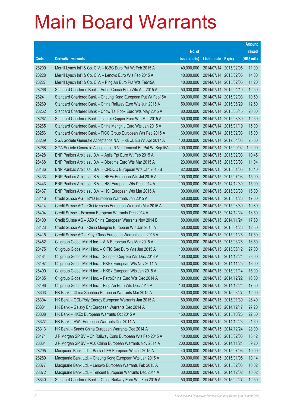|       |                                                                |               |                            |                       | <b>Amount</b> |
|-------|----------------------------------------------------------------|---------------|----------------------------|-----------------------|---------------|
|       |                                                                | No. of        |                            |                       | raised        |
| Code  | <b>Derivative warrants</b>                                     | issue (units) | <b>Listing date Expiry</b> |                       | (HK\$ mil.)   |
| 28209 | Merrill Lynch Int'l & Co. C.V. - ICBC Euro Put Wt Feb 2015 A   | 40,000,000    |                            | 2014/07/14 2015/02/05 | 11.00         |
| 28228 | Merrill Lynch Int'l & Co. C.V. - Lenovo Euro Wts Feb 2015 A    | 40,000,000    | 2014/07/14 2015/02/05      |                       | 14.00         |
| 28227 | Merrill Lynch Int'l & Co. C.V. - Ping An Euro Put Wts Feb15A   | 40,000,000    | 2014/07/14                 | 2015/02/05            | 11.20         |
| 28266 | Standard Chartered Bank - Anhui Conch Euro Wts Apr 2015 A      | 50,000,000    | 2014/07/14 2015/04/10      |                       | 12.50         |
| 28241 | Standard Chartered Bank – Cheung Kong European Put Wt Feb15A   | 30,000,000    |                            | 2014/07/14 2015/02/03 | 10.50         |
| 28269 | Standard Chartered Bank - China Railway Euro Wts Jun 2015 A    | 50,000,000    | 2014/07/14 2015/06/29      |                       | 12.50         |
| 28262 | Standard Chartered Bank - Chow Tai Fook Euro Wts May 2015 A    | 80,000,000    | 2014/07/14                 | 2015/05/15            | 20.00         |
| 28267 | Standard Chartered Bank - Jiangxi Copper Euro Wts Mar 2015 A   | 50,000,000    | 2014/07/14 2015/03/30      |                       | 12.50         |
| 28265 | Standard Chartered Bank – China Mengniu Euro Wts Jan 2015 A    | 60,000,000    | 2014/07/14 2015/01/19      |                       | 15.00         |
| 28256 | Standard Chartered Bank – PICC Group European Wts Feb 2015 A   | 60,000,000    | 2014/07/14 2015/02/03      |                       | 15.00         |
| 28239 | SGA Societe Generale Acceptance N.V. - KECL Eu Wt Apr 2017 A   | 100,000,000   | 2014/07/14 2017/04/03      |                       | 25.00         |
| 28268 | SGA Societe Generale Acceptance N.V - Tencent Eu Put Wt Sep15A | 400,000,000   | 2014/07/14 2015/09/02      |                       | 102.00        |
| 28428 | BNP Paribas Arbit Issu B.V. - Agile Ppt Euro Wt Feb 2015 A     | 19,000,000    | 2014/07/15 2015/02/03      |                       | 10.45         |
| 28468 | BNP Paribas Arbit Issu B.V. - Biostime Euro Wts Mar 2015 A     | 23,000,000    | 2014/07/15 2015/03/03      |                       | 11.04         |
| 28436 | BNP Paribas Arbit Issu B.V. - CNOOC European Wts Jan 2015 B    | 82,000,000    | 2014/07/15 2015/01/05      |                       | 16.40         |
| 28433 | BNP Paribas Arbit Issu B.V. - HKEx European Wts Jul 2015 A     | 100,000,000   | 2014/07/15 2015/07/03      |                       | 15.00         |
| 28443 | BNP Paribas Arbit Issu B.V. - HSI European Wts Dec 2014 A      | 100,000,000   |                            | 2014/07/15 2014/12/30 | 15.00         |
| 28467 | BNP Paribas Arbit Issu B.V. - HSI European Wts Mar 2015 A      | 100,000,000   | 2014/07/15 2015/03/30      |                       | 15.00         |
| 28416 | Credit Suisse AG - BYD European Warrants Jan 2015 A            | 50,000,000    | 2014/07/15 2015/01/26      |                       | 17.00         |
| 28414 | Credit Suisse AG - Ch Overseas European Warrants Mar 2015 A    | 60,000,000    | 2014/07/15 2015/03/30      |                       | 10.80         |
| 28404 | Credit Suisse – Foxconn European Warrants Dec 2014 A           | 50,000,000    |                            | 2014/07/15 2014/12/24 | 13.50         |
| 28400 | Credit Suisse AG - A50 China European Warrants Nov 2014 B      | 80,000,000    | 2014/07/15 2014/11/24      |                       | 17.60         |
| 28423 | Credit Suisse AG - China Mengniu European Wts Jan 2015 A       | 50,000,000    | 2014/07/15 2015/01/26      |                       | 12.50         |
| 28415 | Credit Suisse AG - Xinyi Glass European Warrants Jan 2015 A    | 50,000,000    |                            | 2014/07/15 2015/01/26 | 17.50         |
| 28482 | Citigroup Global Mkt H Inc. - AIA European Wts Mar 2015 A      | 100,000,000   |                            | 2014/07/15 2015/03/26 | 16.50         |
| 28475 | Citigroup Global Mkt H Inc. - CITIC Sec Euro Wts Jun 2015 A    | 100,000,000   | 2014/07/15 2015/06/12      |                       | 27.00         |
| 28484 | Citigroup Global Mkt H Inc. - Sinopec Corp Eu Wts Dec 2014 A   | 100,000,000   | 2014/07/15 2014/12/24      |                       | 28.00         |
| 28497 | Citigroup Global Mkt H Inc. - HKEx European Wts Nov 2014 A     | 50,000,000    | 2014/07/15 2014/11/25      |                       | 13.00         |
| 28499 | Citigroup Global Mkt H Inc. - HKEx European Wts Jan 2015 A     | 50,000,000    | 2014/07/15 2015/01/14      |                       | 15.00         |
| 28485 | Citigroup Global Mkt H Inc. - PetroChina Euro Wts Dec 2014 A   | 80,000,000    | 2014/07/15 2014/12/22      |                       | 16.00         |
| 28496 | Citigroup Global Mkt H Inc. - Ping An Euro Wts Dec 2014 A      | 100,000,000   | 2014/07/15 2014/12/24      |                       | 17.50         |
| 28303 | HK Bank - China Shenhua European Warrants Mar 2015 A           | 80,000,000    | 2014/07/15 2015/03/27      |                       | 12.00         |
| 28304 | HK Bank - GCL-Poly Energy European Warrants Jan 2015 A         | 80,000,000    | 2014/07/15 2015/01/30      |                       | 26.40         |
| 28331 | HK Bank - Galaxy Ent European Warrants Dec 2014 A              | 80,000,000    | 2014/07/15 2014/12/17      |                       | 27.20         |
| 28308 | HK Bank - HKEx European Warrants Oct 2015 A                    | 150,000,000   | 2014/07/15 2015/10/26      |                       | 22.50         |
| 28327 | HK Bank - HWL European Warrants Dec 2014 A                     | 80,000,000    | 2014/07/15 2014/12/23      |                       | 21.60         |
| 28313 | HK Bank - Sands China European Warrants Dec 2014 A             | 80,000,000    | 2014/07/15 2014/12/24      |                       | 28.00         |
| 28471 | J P Morgan SP BV - Ch Railway Cons European Wts Feb 2015 A     | 40,000,000    | 2014/07/15 2015/02/03      |                       | 15.12         |
| 28334 | J P Morgan SP BV - A50 China European Warrants Nov 2014 A      | 200,000,000   | 2014/07/15 2014/11/21      |                       | 39.20         |
| 28295 | Macquarie Bank Ltd. - Bank of EA European Wts Jul 2015 A       | 40,000,000    | 2014/07/15 2015/07/03      |                       | 10.00         |
| 28289 | Macquarie Bank Ltd. - Cheung Kong European Wts Jan 2015 A      | 60,000,000    | 2014/07/15 2015/01/05      |                       | 10.14         |
| 28377 | Macquarie Bank Ltd. - Lenovo European Warrants Feb 2015 A      | 30,000,000    | 2014/07/15 2015/02/03      |                       | 10.02         |
| 28372 | Macquarie Bank Ltd. - Tencent European Warrants Dec 2014 A     | 30,000,000    | 2014/07/15 2014/12/02      |                       | 10.02         |
| 28340 | Standard Chartered Bank - China Railway Euro Wts Feb 2015 A    | 50,000,000    | 2014/07/15 2015/02/27      |                       | 12.50         |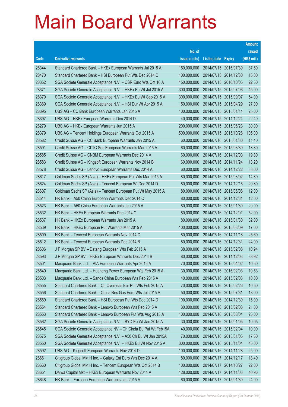|       |                                                                |               |                            |                       | <b>Amount</b> |
|-------|----------------------------------------------------------------|---------------|----------------------------|-----------------------|---------------|
|       |                                                                | No. of        |                            |                       | raised        |
| Code  | <b>Derivative warrants</b>                                     | issue (units) | <b>Listing date Expiry</b> |                       | (HK\$ mil.)   |
| 28344 | Standard Chartered Bank - HKEx European Warrants Jul 2015 A    | 150,000,000   |                            | 2014/07/15 2015/07/30 | 37.50         |
| 28470 | Standard Chartered Bank - HSI European Put Wts Dec 2014 C      | 100,000,000   |                            | 2014/07/15 2014/12/30 | 15.00         |
| 28352 | SGA Societe Generale Acceptance N.V. - CSR Euro Wts Oct 16 A   | 150,000,000   | 2014/07/15 2016/10/05      |                       | 22.50         |
| 28371 | SGA Societe Generale Acceptance N.V. - HKEx Eu Wt Jul 2015 A   | 300,000,000   |                            | 2014/07/15 2015/07/06 | 45.00         |
| 28370 | SGA Societe Generale Acceptance N.V. - HKEx Eu Wt Sep 2015 A   | 300,000,000   | 2014/07/15 2015/09/07      |                       | 54.00         |
| 28369 | SGA Societe Generale Acceptance N.V. - HSI Eur Wt Apr 2015 A   | 150,000,000   |                            | 2014/07/15 2015/04/29 | 27.00         |
| 28395 | UBS AG - CC Bank European Warrants Jan 2015 A                  | 100,000,000   | 2014/07/15 2015/01/14      |                       | 25.00         |
| 28397 | UBS AG - HKEx European Warrants Dec 2014 D                     | 40,000,000    |                            | 2014/07/15 2014/12/24 | 22.40         |
| 28279 | UBS AG - HKEx European Warrants Jun 2015 A                     | 200,000,000   |                            | 2014/07/15 2015/06/23 | 30.00         |
| 28379 | UBS AG - Tencent Holdings European Warrants Oct 2015 A         | 500,000,000   |                            | 2014/07/15 2015/10/26 | 105.00        |
| 28582 | Credit Suisse AG - CC Bank European Warrants Jan 2015 A        | 60,000,000    | 2014/07/16 2015/01/30      |                       | 11.40         |
| 28591 | Credit Suisse AG - CITIC Sec European Warrants Mar 2015 A      | 60,000,000    |                            | 2014/07/16 2015/03/30 | 13.80         |
| 28585 | Credit Suisse AG - CNBM European Warrants Dec 2014 A           | 60,000,000    |                            | 2014/07/16 2014/12/03 | 19.80         |
| 28583 | Credit Suisse AG - Kingsoft European Warrants Nov 2014 B       | 60,000,000    |                            | 2014/07/16 2014/11/24 | 13.20         |
| 28578 | Credit Suisse AG - Lenovo European Warrants Dec 2014 A         | 60,000,000    |                            | 2014/07/16 2014/12/22 | 33.00         |
| 28617 | Goldman Sachs SP (Asia) - HKEx European Put Wts Mar 2015 A     | 80,000,000    |                            | 2014/07/16 2015/03/02 | 14.80         |
| 28624 | Goldman Sachs SP (Asia) - Tencent European Wt Dec 2014 D       | 80,000,000    | 2014/07/16 2014/12/16      |                       | 20.80         |
| 28607 | Goldman Sachs SP (Asia) - Tencent European Put Wt May 2015 A   | 80,000,000    |                            | 2014/07/16 2015/05/06 | 12.00         |
| 28514 | HK Bank - A50 China European Warrants Dec 2014 C               | 80,000,000    | 2014/07/16 2014/12/31      |                       | 12.00         |
| 28523 | HK Bank - A50 China European Warrants Jan 2015 A               | 80,000,000    | 2014/07/16 2015/01/30      |                       | 20.00         |
| 28532 | HK Bank - HKEx European Warrants Dec 2014 C                    | 80,000,000    | 2014/07/16 2014/12/01      |                       | 52.00         |
| 28537 | HK Bank - HKEx European Warrants Jan 2015 A                    | 80,000,000    |                            | 2014/07/16 2015/01/30 | 32.00         |
| 28539 | HK Bank - HKEx European Put Warrants Mar 2015 A                | 100,000,000   | 2014/07/16 2015/03/09      |                       | 17.00         |
| 28509 | HK Bank - Tencent European Warrants Nov 2014 C                 | 80,000,000    |                            | 2014/07/16 2014/11/18 | 25.60         |
| 28512 | HK Bank - Tencent European Warrants Dec 2014 B                 | 80,000,000    | 2014/07/16 2014/12/31      |                       | 24.00         |
| 28606 | J P Morgan SP BV - Datang European Wts Feb 2015 A              | 38,000,000    | 2014/07/16 2015/02/03      |                       | 10.94         |
| 28593 | J P Morgan SP BV - HKEx European Warrants Dec 2014 B           | 80,000,000    |                            | 2014/07/16 2014/12/03 | 33.92         |
| 28501 | Macquarie Bank Ltd. - AIA European Warrants Apr 2015 A         | 70,000,000    | 2014/07/16 2015/04/02      |                       | 10.50         |
| 28540 | Macquarie Bank Ltd. - Huaneng Power European Wts Feb 2015 A    | 30,000,000    | 2014/07/16 2015/02/03      |                       | 10.53         |
| 28503 | Macquarie Bank Ltd. - Sands China European Wts Feb 2015 A      | 40,000,000    | 2014/07/16 2015/02/03      |                       | 10.00         |
| 28555 | Standard Chartered Bank - Ch Overseas Eur Put Wts Feb 2015 A   | 70,000,000    | 2014/07/16 2015/02/26      |                       | 10.50         |
| 28556 | Standard Chartered Bank - China Res Gas Euro Wts Jul 2015 A    | 50,000,000    | 2014/07/16 2015/07/31      |                       | 13.00         |
| 28559 | Standard Chartered Bank - HSI European Put Wts Dec 2014 D      | 100,000,000   | 2014/07/16 2014/12/30      |                       | 15.00         |
| 28554 | Standard Chartered Bank - Lenovo European Wts Feb 2015 A       | 30,000,000    | 2014/07/16 2015/02/03      |                       | 21.00         |
| 28553 | Standard Chartered Bank - Lenovo European Put Wts Aug 2015 A   | 100,000,000   | 2014/07/16 2015/08/04      |                       | 25.00         |
| 28562 | SGA Societe Generale Acceptance N.V. - BYD Eu Wt Jan 2015 A    | 30,000,000    | 2014/07/16 2015/01/05      |                       | 10.05         |
| 28545 | SGA Societe Generale Acceptance NV - Ch Cinda Eu Put Wt Feb15A | 40,000,000    | 2014/07/16 2015/02/04      |                       | 10.00         |
| 28575 | SGA Societe Generale Acceptance N.V. - A50 Ch Eu Wt Jan 2015A  | 70,000,000    | 2014/07/16 2015/01/05      |                       | 17.50         |
| 28550 | SGA Societe Generale Acceptance N.V. - HKEx Eu Wt Nov 2015 A   | 300,000,000   | 2014/07/16 2015/11/04      |                       | 45.00         |
| 28592 | UBS AG - Kingsoft European Warrants Nov 2014 D                 | 100,000,000   | 2014/07/16 2014/11/28      |                       | 25.00         |
| 28661 | Citigroup Global Mkt H Inc. - Galaxy Ent Euro Wts Dec 2014 A   | 80,000,000    | 2014/07/17 2014/12/17      |                       | 18.40         |
| 28660 | Citigroup Global Mkt H Inc. - Tencent European Wts Oct 2014 B  | 100,000,000   | 2014/07/17 2014/10/27      |                       | 22.00         |
| 28651 | Daiwa Capital Mkt - HKEx European Warrants Nov 2014 A          | 128,000,000   | 2014/07/17 2014/11/03      |                       | 40.96         |
| 28648 | HK Bank - Foxconn European Warrants Jan 2015 A                 | 60,000,000    | 2014/07/17 2015/01/30      |                       | 24.00         |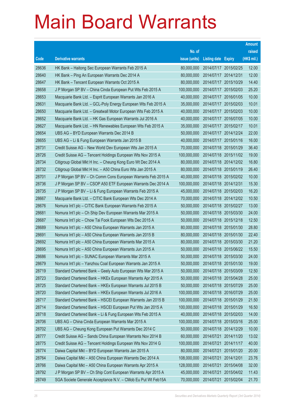|       |                                                               |               |                                  |            | <b>Amount</b> |
|-------|---------------------------------------------------------------|---------------|----------------------------------|------------|---------------|
|       |                                                               | No. of        |                                  |            | raised        |
| Code  | <b>Derivative warrants</b>                                    | issue (units) | <b>Listing date Expiry</b>       |            | (HK\$ mil.)   |
| 28636 | HK Bank – Haitong Sec European Warrants Feb 2015 A            | 80,000,000    | 2014/07/17 2015/02/25            |            | 12.00         |
| 28640 | HK Bank - Ping An European Warrants Dec 2014 A                | 80,000,000    | 2014/07/17 2014/12/31            |            | 12.00         |
| 28647 | HK Bank - Tencent European Warrants Oct 2015 A                | 80,000,000    | 2014/07/17                       | 2015/10/29 | 14.40         |
| 28658 | J P Morgan SP BV - China Cinda European Put Wts Feb 2015 A    | 100,000,000   | 2014/07/17 2015/02/03            |            | 25.20         |
| 28653 | Macquarie Bank Ltd. - Esprit European Warrants Jan 2016 A     | 40,000,000    | 2014/07/17 2016/01/05            |            | 10.00         |
| 28631 | Macquarie Bank Ltd. - GCL-Poly Energy European Wts Feb 2015 A | 35,000,000    | 2014/07/17 2015/02/03            |            | 10.01         |
| 28650 | Macquarie Bank Ltd. - Greatwall Motor European Wts Feb 2015 A | 40,000,000    | 2014/07/17                       | 2015/02/03 | 10.00         |
| 28652 | Macquarie Bank Ltd. - HK Gas European Warrants Jul 2016 A     | 40,000,000    | 2014/07/17 2016/07/05            |            | 10.00         |
| 28627 | Macquarie Bank Ltd. - HN Renewables European Wts Feb 2015 A   | 35,000,000    | 2014/07/17 2015/02/17            |            | 10.01         |
| 28654 | UBS AG - BYD European Warrants Dec 2014 B                     | 50,000,000    | 2014/07/17 2014/12/24            |            | 22.00         |
| 28655 | UBS AG - Li & Fung European Warrants Jan 2015 B               | 40,000,000    | 2014/07/17 2015/01/16            |            | 16.00         |
| 28731 | Credit Suisse AG - New World Dev European Wts Jan 2015 A      | 70,000,000    | 2014/07/18 2015/01/29            |            | 36.40         |
| 28726 | Credit Suisse AG - Tencent Holdings European Wts Nov 2015 A   | 100,000,000   | 2014/07/18 2015/11/02            |            | 19.00         |
| 28734 | Citigroup Global Mkt H Inc. - Cheung Kong Euro Wt Dec 2014 A  | 80,000,000    | 2014/07/18 2014/12/02            |            | 16.80         |
| 28732 | Citigroup Global Mkt H Inc. - A50 China Euro Wts Jan 2015 A   | 80,000,000    | 2014/07/18 2015/01/19            |            | 26.40         |
| 28701 | J P Morgan SP BV - Ch Comm Cons European Warrants Feb 2015 A  | 40,000,000    | 2014/07/18 2015/02/02            |            | 10.00         |
| 28736 | J P Morgan SP BV - CSOP A50 ETF European Warrants Dec 2014 A  | 100,000,000   | 2014/07/18 2014/12/31            |            | 15.30         |
| 28735 | J P Morgan SP BV - Li & Fung European Warrants Feb 2015 A     | 45,000,000    | 2014/07/18 2015/02/03            |            | 16.20         |
| 28667 | Macquarie Bank Ltd. - CITIC Bank European Wts Dec 2014 A      | 70,000,000    | 2014/07/18 2014/12/02            |            | 10.50         |
| 28676 | Nomura Int'l plc - CITIC Bank European Warrants Feb 2015 A    | 50,000,000    | 2014/07/18 2015/02/27            |            | 13.00         |
| 28681 | Nomura Int'l plc - Ch Ship Dev European Warrants Mar 2015 A   | 50,000,000    | 2014/07/18 2015/03/30            |            | 24.00         |
| 28687 | Nomura Int'l plc - Chow Tai Fook European Wts Dec 2015 A      | 50,000,000    | 2014/07/18 2015/12/18            |            | 12.50         |
| 28689 | Nomura Int'l plc - A50 China European Warrants Jan 2015 A     | 80,000,000    | 2014/07/18 2015/01/30            |            | 28.80         |
| 28691 | Nomura Int'l plc - A50 China European Warrants Jan 2015 B     | 80,000,000    | 2014/07/18 2015/01/30            |            | 22.40         |
| 28692 | Nomura Int'l plc - A50 China European Warrants Mar 2015 A     | 80,000,000    | 2014/07/18 2015/03/30            |            | 21.20         |
| 28695 | Nomura Int'l plc - A50 China European Warrants Jun 2015 A     | 50,000,000    | 2014/07/18 2015/06/22            |            | 15.50         |
| 28686 | Nomura Int'l plc - SUNAC European Warrants Mar 2015 A         |               | 50,000,000 2014/07/18 2015/03/30 |            | 24.00         |
| 28679 | Nomura Int'l plc - Yanzhou Coal European Warrants Jan 2015 A  | 50,000,000    | 2014/07/18 2015/01/30            |            | 19.00         |
| 28719 | Standard Chartered Bank - Geely Auto European Wts Mar 2015 A  | 50,000,000    | 2014/07/18 2015/03/09            |            | 12.50         |
| 28723 | Standard Chartered Bank - HKEx European Warrants Apr 2015 A   | 50,000,000    | 2014/07/18 2015/04/28            |            | 25.00         |
| 28725 | Standard Chartered Bank - HKEx European Warrants Jul 2015 B   | 50,000,000    | 2014/07/18 2015/07/29            |            | 25.00         |
| 28720 | Standard Chartered Bank - HKEx European Warrants Jul 2016 A   | 100,000,000   | 2014/07/18 2016/07/29            |            | 25.00         |
| 28717 | Standard Chartered Bank - HSCEI European Warrants Jan 2015 B  | 100,000,000   | 2014/07/18 2015/01/29            |            | 21.50         |
| 28714 | Standard Chartered Bank - HSCEI European Put Wts Jan 2015 A   | 100,000,000   | 2014/07/18 2015/01/29            |            | 16.50         |
| 28718 | Standard Chartered Bank - Li & Fung European Wts Feb 2015 A   | 40,000,000    | 2014/07/18 2015/02/03            |            | 14.00         |
| 28706 | UBS AG - China Cinda European Warrants Mar 2015 A             | 100,000,000   | 2014/07/18 2015/03/16            |            | 25.00         |
| 28702 | UBS AG - Cheung Kong European Put Warrants Dec 2014 C         | 50,000,000    | 2014/07/18 2014/12/29            |            | 10.00         |
| 28777 | Credit Suisse AG - Sands China European Warrants Nov 2014 B   | 60,000,000    | 2014/07/21                       | 2014/11/20 | 13.02         |
| 28775 | Credit Suisse AG - Tencent Holdings European Wts Nov 2014 G   | 100,000,000   | 2014/07/21                       | 2014/11/17 | 40.00         |
| 28774 | Daiwa Capital Mkt - BYD European Warrants Jan 2015 A          | 80,000,000    | 2014/07/21                       | 2015/01/20 | 20.00         |
| 28764 | Daiwa Capital Mkt - A50 China European Warrants Dec 2014 A    | 108,000,000   | 2014/07/21                       | 2014/12/01 | 23.76         |
| 28766 | Daiwa Capital Mkt - A50 China European Warrants Apr 2015 A    | 128,000,000   | 2014/07/21                       | 2015/04/08 | 32.00         |
| 28792 | J P Morgan SP BV - Ch Ship Cont European Warrants Apr 2015 A  | 45,000,000    | 2014/07/21                       | 2015/04/02 | 11.43         |
| 28749 | SGA Societe Generale Acceptance N.V. - CMob Eu Put Wt Feb15A  | 70,000,000    | 2014/07/21                       | 2015/02/04 | 21.70         |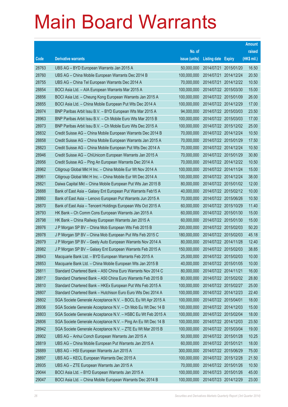|       |                                                               |               |                            |                       | <b>Amount</b> |
|-------|---------------------------------------------------------------|---------------|----------------------------|-----------------------|---------------|
|       |                                                               | No. of        |                            |                       | raised        |
| Code  | <b>Derivative warrants</b>                                    | issue (units) | <b>Listing date Expiry</b> |                       | (HK\$ mil.)   |
| 28763 | UBS AG - BYD European Warrants Jan 2015 A                     | 50,000,000    |                            | 2014/07/21 2015/01/20 | 16.50         |
| 28760 | UBS AG - China Mobile European Warrants Dec 2014 B            | 100,000,000   |                            | 2014/07/21 2014/12/24 | 20.50         |
| 28755 | UBS AG - China Tel European Warrants Dec 2014 A               | 70,000,000    |                            | 2014/07/21 2014/12/22 | 10.50         |
| 28854 | BOCI Asia Ltd. - AIA European Warrants Mar 2015 A             | 100,000,000   |                            | 2014/07/22 2015/03/30 | 15.00         |
| 28856 | BOCI Asia Ltd. - Cheung Kong European Warrants Jan 2015 A     | 100,000,000   | 2014/07/22 2015/01/09      |                       | 26.00         |
| 28855 | BOCI Asia Ltd. - China Mobile European Put Wts Dec 2014 A     | 100,000,000   | 2014/07/22 2014/12/29      |                       | 17.00         |
| 28974 | BNP Paribas Arbit Issu B.V. - BYD European Wts Mar 2015 A     | 94,000,000    |                            | 2014/07/22 2015/03/03 | 23.50         |
| 28963 | BNP Paribas Arbit Issu B.V. - Ch Mobile Euro Wts Mar 2015 B   | 100,000,000   |                            | 2014/07/22 2015/03/03 | 17.00         |
| 28973 | BNP Paribas Arbit Issu B.V. - Ch Mobile Euro Wts Dec 2015 A   | 100,000,000   |                            | 2014/07/22 2015/12/02 | 25.00         |
| 28832 | Credit Suisse AG - China Mobile European Warrants Dec 2014 B  | 70,000,000    |                            | 2014/07/22 2014/12/24 | 10.50         |
| 28858 | Credit Suisse AG - China Mobile European Warrants Jan 2015 A  | 70,000,000    | 2014/07/22 2015/01/29      |                       | 17.50         |
| 28823 | Credit Suisse AG – China Mobile European Put Wts Dec 2014 A   | 70,000,000    | 2014/07/22 2014/12/24      |                       | 10.50         |
| 28946 | Credit Suisse AG - ChiUnicom European Warrants Jan 2015 A     | 70,000,000    | 2014/07/22 2015/01/29      |                       | 30.80         |
| 28956 | Credit Suisse AG - Ping An European Warrants Dec 2014 A       | 70,000,000    |                            | 2014/07/22 2014/12/22 | 10.50         |
| 28962 | Citigroup Global Mkt H Inc. - China Mobile Eur Wt Nov 2014 A  | 100,000,000   |                            | 2014/07/22 2014/11/24 | 15.00         |
| 28961 | Citigroup Global Mkt H Inc. - China Mobile Eur Wt Dec 2014 A  | 100,000,000   | 2014/07/22 2014/12/24      |                       | 38.00         |
| 28821 | Daiwa Capital Mkt - China Mobile European Put Wts Jan 2015 B  | 80,000,000    |                            | 2014/07/22 2015/01/02 | 12.00         |
| 28888 | Bank of East Asia - Galaxy Ent European Put Warrants Feb15 A  | 40,000,000    |                            | 2014/07/22 2015/02/12 | 10.00         |
| 28860 | Bank of East Asia - Lenovo European Put Warrants Jun 2015 A   | 70,000,000    |                            | 2014/07/22 2015/06/26 | 10.50         |
| 28870 | Bank of East Asia - Tencent Holdings European Wts Oct 2015 A  | 60,000,000    | 2014/07/22 2015/10/29      |                       | 11.40         |
| 28793 | HK Bank – Ch Comm Cons European Warrants Jan 2015 A           | 60,000,000    |                            | 2014/07/22 2015/01/30 | 15.00         |
| 28798 | HK Bank - China Railway European Warrants Jan 2015 A          | 60,000,000    |                            | 2014/07/22 2015/01/30 | 15.00         |
| 28976 | J P Morgan SP BV - China Mob European Wts Feb 2015 B          | 200,000,000   |                            | 2014/07/22 2015/02/03 | 50.20         |
| 28978 | J P Morgan SP BV - China Mob European Put Wts Feb 2015 C      | 180,000,000   | 2014/07/22 2015/02/03      |                       | 45.18         |
| 28979 | J P Morgan SP BV - Geely Auto European Warrants Nov 2014 A    | 80,000,000    |                            | 2014/07/22 2014/11/28 | 12.40         |
| 28982 | J P Morgan SP BV - Galaxy Ent European Warrants Feb 2015 A    | 150,000,000   | 2014/07/22 2015/02/03      |                       | 38.85         |
| 28843 | Macquarie Bank Ltd. - BYD European Warrants Feb 2015 A        | 25,000,000    | 2014/07/22 2015/02/03      |                       | 10.00         |
| 28853 | Macquarie Bank Ltd. - China Mobile European Wts Jan 2015 B    | 40,000,000    | 2014/07/22 2015/01/05      |                       | 10.00         |
| 28811 | Standard Chartered Bank - A50 China Euro Warrants Nov 2014 C  | 80,000,000    | 2014/07/22 2014/11/21      |                       | 16.00         |
| 28817 | Standard Chartered Bank - A50 China Euro Warrants Feb 2015 B  | 80,000,000    | 2014/07/22 2015/02/02      |                       | 28.80         |
| 28810 | Standard Chartered Bank - HKEx European Put Wts Feb 2015 A    | 100,000,000   |                            | 2014/07/22 2015/02/27 | 25.00         |
| 28807 | Standard Chartered Bank - Hutchison Euro Euro Wts Dec 2014 A  | 100,000,000   | 2014/07/22 2014/12/23      |                       | 22.40         |
| 28802 | SGA Societe Generale Acceptance N.V. - BOCL Eu Wt Apr 2015 A  | 100,000,000   | 2014/07/22 2015/04/01      |                       | 18.00         |
| 28936 | SGA Societe Generale Acceptance N.V. - Ch Mob Eu Wt Dec 14 B  | 100,000,000   | 2014/07/22 2014/12/03      |                       | 15.00         |
| 28803 | SGA Societe Generale Acceptance N.V. - HSBC Eu Wt Feb 2015 A  | 100,000,000   |                            | 2014/07/22 2015/02/04 | 18.00         |
| 28806 | SGA Societe Generale Acceptance N.V. - Ping An Eu Wt Dec 14 B | 100,000,000   | 2014/07/22 2014/12/03      |                       | 23.50         |
| 28942 | SGA Societe Generale Acceptance N.V. - ZTE Eu Wt Mar 2015 B   | 100,000,000   |                            | 2014/07/22 2015/03/04 | 19.00         |
| 28902 | UBS AG - Anhui Conch European Warrants Jan 2015 A             | 50,000,000    | 2014/07/22 2015/01/28      |                       | 10.25         |
| 28819 | UBS AG - China Mobile European Put Warrants Jan 2015 A        | 60,000,000    | 2014/07/22 2015/01/21      |                       | 18.00         |
| 28889 | UBS AG - HSI European Warrants Jun 2015 A                     | 300,000,000   | 2014/07/22 2015/06/29      |                       | 75.00         |
| 28897 | UBS AG - KECL European Warrants Dec 2015 A                    | 100,000,000   | 2014/07/22 2015/12/28      |                       | 21.50         |
| 28935 | UBS AG - ZTE European Warrants Jan 2015 A                     | 70,000,000    | 2014/07/22 2015/01/26      |                       | 10.50         |
| 29044 | BOCI Asia Ltd. - BYD European Warrants Jan 2015 A             | 100,000,000   |                            | 2014/07/23 2015/01/26 | 45.00         |
| 29047 | BOCI Asia Ltd. - China Mobile European Warrants Dec 2014 B    | 100,000,000   | 2014/07/23 2014/12/29      |                       | 23.00         |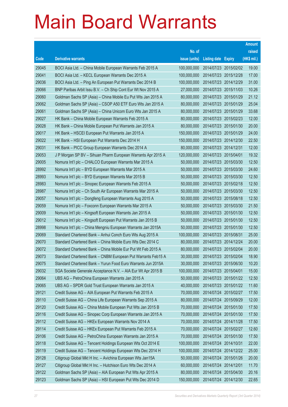|       |                                                              |               |                            | <b>Amount</b> |
|-------|--------------------------------------------------------------|---------------|----------------------------|---------------|
|       |                                                              | No. of        |                            | raised        |
| Code  | <b>Derivative warrants</b>                                   | issue (units) | <b>Listing date Expiry</b> | (HK\$ mil.)   |
| 29045 | BOCI Asia Ltd. - China Mobile European Warrants Feb 2015 A   | 100,000,000   | 2014/07/23 2015/02/02      | 19.00         |
| 29041 | BOCI Asia Ltd. - KECL European Warrants Dec 2015 A           | 100,000,000   | 2014/07/23 2015/12/28      | 17.00         |
| 29036 | BOCI Asia Ltd. – Ping An European Put Warrants Dec 2014 B    | 100,000,000   | 2014/07/23 2014/12/29      | 31.00         |
| 29066 | BNP Paribas Arbit Issu B.V. - Ch Ship Cont Eur Wt Nov 2015 A | 27,000,000    | 2014/07/23 2015/11/03      | 10.26         |
| 29060 | Goldman Sachs SP (Asia) – China Mobile Eu Put Wts Jan 2015 A | 80,000,000    | 2014/07/23 2015/01/29      | 21.12         |
| 29062 | Goldman Sachs SP (Asia) - CSOP A50 ETF Euro Wts Jan 2015 A   | 80,000,000    | 2014/07/23 2015/01/29      | 25.04         |
| 29061 | Goldman Sachs SP (Asia) – China Unicom Euro Wts Jan 2015 A   | 80,000,000    | 2014/07/23 2015/01/29      | 33.68         |
| 29027 | HK Bank – China Mobile European Warrants Feb 2015 A          | 80,000,000    | 2014/07/23 2015/02/23      | 12.00         |
| 29028 | HK Bank – China Mobile European Put Warrants Jan 2015 A      | 80,000,000    | 2014/07/23 2015/01/30      | 20.00         |
| 29017 | HK Bank – HSCEI European Put Warrants Jan 2015 A             | 150,000,000   | 2014/07/23 2015/01/29      | 24.00         |
| 29022 | HK Bank – HSI European Put Warrants Dec 2014 H               | 150,000,000   | 2014/07/23 2014/12/30      | 22.50         |
| 29031 | HK Bank - PICC Group European Warrants Dec 2014 A            | 80,000,000    | 2014/07/23 2014/12/31      | 12.00         |
| 29053 | J P Morgan SP BV - Sihuan Pharm European Warrants Apr 2015 A | 120,000,000   | 2014/07/23 2015/04/01      | 19.32         |
| 29005 | Nomura Int'l plc - CHALCO European Warrants Mar 2015 A       | 50,000,000    | 2014/07/23 2015/03/30      | 12.50         |
| 28992 | Nomura Int'l plc - BYD European Warrants Mar 2015 A          | 50,000,000    | 2014/07/23 2015/03/30      | 24.60         |
| 28993 | Nomura Int'l plc - BYD European Warrants Mar 2015 B          | 50,000,000    | 2014/07/23 2015/03/30      | 12.50         |
| 28983 | Nomura Int'l plc – Sinopec European Warrants Feb 2015 A      | 50,000,000    | 2014/07/23 2015/02/18      | 12.50         |
| 28987 | Nomura Int'l plc - Ch South Air European Warrants Mar 2015 A | 50,000,000    | 2014/07/23 2015/03/30      | 12.50         |
| 29057 | Nomura Int'l plc - Dongfeng European Warrants Aug 2015 A     | 50,000,000    | 2014/07/23 2015/08/18      | 12.50         |
| 29059 | Nomura Int'l plc - Foxconn European Warrants Mar 2015 A      | 50,000,000    | 2014/07/23 2015/03/30      | 21.50         |
| 29009 | Nomura Int'l plc - Kingsoft European Warrants Jan 2015 A     | 50,000,000    | 2014/07/23 2015/01/30      | 12.50         |
| 29012 | Nomura Int'l plc - Kingsoft European Put Warrants Jan 2015 B | 50,000,000    | 2014/07/23 2015/01/30      | 12.50         |
| 28998 | Nomura Int'l plc - China Mengniu European Warrants Jan 2015A | 50,000,000    | 2014/07/23 2015/01/30      | 12.50         |
| 29069 | Standard Chartered Bank - Anhui Conch Euro Wts Aug 2015 A    | 100,000,000   | 2014/07/23 2015/08/31      | 25.00         |
| 29070 | Standard Chartered Bank - China Mobile Euro Wts Dec 2014 C   | 80,000,000    | 2014/07/23 2014/12/24      | 20.00         |
| 29072 | Standard Chartered Bank – China Mobile Eur Put Wt Feb 2015 A | 80,000,000    | 2014/07/23 2015/02/04      | 20.00         |
| 29073 | Standard Chartered Bank - CNBM European Put Warrants Feb15 A | 30,000,000    | 2014/07/23 2015/02/04      | 18.90         |
| 29075 | Standard Chartered Bank - Yurun Food Euro Warrants Jun 2015A | 30,000,000    | 2014/07/23 2015/06/30      | 10.20         |
| 29032 | SGA Societe Generale Acceptance N.V. - AIA Eur Wt Apr 2015 B | 100,000,000   | 2014/07/23 2015/04/01      | 15.00         |
| 29064 | UBS AG - PetroChina European Warrants Jan 2015 A             | 50,000,000    | 2014/07/23 2015/01/22      | 12.50         |
| 29065 | UBS AG - SPDR Gold Trust European Warrants Jan 2015 A        | 40,000,000    | 2014/07/23 2015/01/22      | 11.60         |
| 29121 | Credit Suisse AG - AIA European Put Warrants Feb 2015 A      | 70,000,000    | 2014/07/24 2015/02/27      | 17.50         |
| 29110 | Credit Suisse AG - China Life European Warrants Sep 2015 A   | 80,000,000    | 2014/07/24 2015/09/29      | 12.00         |
| 29120 | Credit Suisse AG - China Mobile European Put Wts Jan 2015 B  | 70,000,000    | 2014/07/24 2015/01/30      | 17.50         |
| 29116 | Credit Suisse AG - Sinopec Corp European Warrants Jan 2015 A | 70,000,000    | 2014/07/24 2015/01/30      | 17.50         |
| 29112 | Credit Suisse AG - HKEx European Warrants Nov 2014 A         | 70,000,000    | 2014/07/24 2014/11/28      | 17.50         |
| 29114 | Credit Suisse AG - HKEx European Put Warrants Feb 2015 A     | 70,000,000    | 2014/07/24 2015/02/27      | 12.60         |
| 29106 | Credit Suisse AG - PetroChina European Warrants Jan 2015 A   | 70,000,000    | 2014/07/24 2015/01/30      | 17.50         |
| 29118 | Credit Suisse AG - Tencent Holdings European Wts Oct 2014 E  | 100,000,000   | 2014/07/24 2014/10/31      | 22.00         |
| 29119 | Credit Suisse AG - Tencent Holdings European Wts Dec 2014 H  | 100,000,000   | 2014/07/24 2014/12/22      | 25.00         |
| 29128 | Citigroup Global Mkt H Inc. - Avichina European Wts Jan15A   | 50,000,000    | 2014/07/24 2015/01/26      | 20.00         |
| 29127 | Citigroup Global Mkt H Inc. - Hutchison Euro Wts Dec 2014 A  | 60,000,000    | 2014/07/24 2014/12/01      | 11.70         |
| 29122 | Goldman Sachs SP (Asia) - AIA European Put Wts Apr 2015 A    | 80,000,000    | 2014/07/24 2015/04/30      | 20.16         |
| 29123 | Goldman Sachs SP (Asia) - HSI European Put Wts Dec 2014 D    | 150,000,000   | 2014/07/24 2014/12/30      | 22.65         |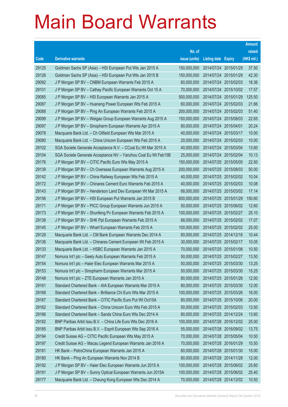|       |                                                                |               |                            | <b>Amount</b> |
|-------|----------------------------------------------------------------|---------------|----------------------------|---------------|
|       |                                                                | No. of        |                            | raised        |
| Code  | <b>Derivative warrants</b>                                     | issue (units) | <b>Listing date Expiry</b> | (HK\$ mil.)   |
| 29125 | Goldman Sachs SP (Asia) - HSI European Put Wts Jan 2015 A      | 150,000,000   | 2014/07/24 2015/01/29      | 37.50         |
| 29126 | Goldman Sachs SP (Asia) - HSI European Put Wts Jan 2015 B      | 150,000,000   | 2014/07/24 2015/01/29      | 42.30         |
| 29092 | J P Morgan SP BV - CNBM European Warrants Feb 2015 A           | 60,000,000    | 2014/07/24 2015/02/03      | 18.36         |
| 29101 | J P Morgan SP BV - Cathay Pacific European Warrants Oct 15 A   | 70,000,000    | 2014/07/24 2015/10/02      | 17.57         |
| 29085 | J P Morgan SP BV - HSI European Warrants Jan 2015 A            | 500,000,000   | 2014/07/24 2015/01/29      | 125.50        |
| 29087 | J P Morgan SP BV - Huaneng Power European Wts Feb 2015 A       | 60,000,000    | 2014/07/24 2015/02/03      | 21.66         |
| 29088 | J P Morgan SP BV - Ping An European Warrants Feb 2015 A        | 200,000,000   | 2014/07/24 2015/02/03      | 51.40         |
| 29099 | J P Morgan SP BV - Weigao Group European Warrants Aug 2015 A   | 150,000,000   | 2014/07/24 2015/08/03      | 22.65         |
| 29097 | J P Morgan SP BV - Sinopharm European Warrants Apr 2015 A      | 80,000,000    | 2014/07/24 2015/04/01      | 20.24         |
| 29078 | Macquarie Bank Ltd. - Ch Oilfield European Wts Mar 2015 A      | 40,000,000    | 2014/07/24 2015/03/17      | 10.00         |
| 29080 | Macquarie Bank Ltd. - China Unicom European Wts Feb 2015 A     | 20,000,000    | 2014/07/24 2015/02/03      | 10.00         |
| 29102 | SGA Societe Generale Acceptance N.V. - CCoal Eu Wt Mar 2015 A  | 40,000,000    | 2014/07/24 2015/03/04      | 13.60         |
| 29104 | SGA Societe Generale Acceptance NV - Yanzhou Coal Eu Wt Feb15B | 25,000,000    | 2014/07/24 2015/02/04      | 10.13         |
| 29176 | J P Morgan SP BV - CITIC Pacific Euro Wts May 2015 A           | 150,000,000   | 2014/07/25 2015/05/05      | 22.50         |
| 29139 | J P Morgan SP BV - Ch Overseas European Warrants Aug 2015 A    | 200,000,000   | 2014/07/25 2015/08/03      | 50.00         |
| 29142 | J P Morgan SP BV - China Railway European Wts Feb 2015 A       | 40,000,000    | 2014/07/25 2015/02/02      | 10.04         |
| 29172 | J P Morgan SP BV - Chinares Cement Euro Warrants Feb 2015 A    | 40,000,000    | 2014/07/25 2015/02/03      | 10.08         |
| 29143 | J P Morgan SP BV - Henderson Land Dev European Wt Mar 2015 A   | 68,000,000    | 2014/07/25 2015/03/02      | 17.14         |
| 29156 | J P Morgan SP BV - HSI European Put Warrants Jan 2015 B        | 600,000,000   | 2014/07/25 2015/01/29      | 150.60        |
| 29171 | J P Morgan SP BV - PICC Group European Warrants Jun 2015 A     | 50,000,000    | 2014/07/25 2015/06/02      | 12.60         |
| 29173 | J P Morgan SP BV - Shunfeng Pv European Warrants Feb 2015 A    | 100,000,000   | 2014/07/25 2015/02/27      | 25.10         |
| 29138 | J P Morgan SP BV - SHK Ppt European Warrants Feb 2015 A        | 68,000,000    | 2014/07/25 2015/02/02      | 17.07         |
| 29145 | J P Morgan SP BV - Wharf European Warrants Feb 2015 A          | 100,000,000   | 2014/07/25 2015/02/02      | 25.00         |
| 29129 | Macquarie Bank Ltd. - CM Bank European Warrants Dec 2014 A     | 60,000,000    | 2014/07/25 2014/12/16      | 10.44         |
| 29136 | Macquarie Bank Ltd. - Chinares Cement European Wt Feb 2015 A   | 30,000,000    | 2014/07/25 2015/02/17      | 10.05         |
| 29133 | Macquarie Bank Ltd. - HSBC European Warrants Jan 2015 A        | 70,000,000    | 2014/07/25 2015/01/08      | 10.50         |
| 29147 | Nomura Int'l plc - Geely Auto European Warrants Feb 2015 A     | 50,000,000    | 2014/07/25 2015/02/27      | 13.50         |
| 29154 | Nomura Int'l plc - Haier Elec European Warrants Mar 2015 A     | 50,000,000    | 2014/07/25 2015/03/30      | 13.25         |
| 29153 | Nomura Int'l plc - Sinopharm European Warrants Mar 2015 A      | 50,000,000    | 2014/07/25 2015/03/30      | 15.25         |
| 29148 | Nomura Int'l plc - ZTE European Warrants Jan 2015 A            | 80,000,000    | 2014/07/25 2015/01/26      | 12.00         |
| 29161 | Standard Chartered Bank - AIA European Warrants Mar 2015 A     | 80,000,000    | 2014/07/25 2015/03/30      | 12.00         |
| 29168 | Standard Chartered Bank - Brilliance Chi Euro Wts Mar 2015 A   | 100,000,000   | 2014/07/25 2015/03/26      | 16.00         |
| 29167 | Standard Chartered Bank - CITIC Pacific Euro Put Wt Oct15A     | 80,000,000    | 2014/07/25 2015/10/06      | 20.00         |
| 29162 | Standard Chartered Bank - China Unicom Euro Wts Feb 2015 A     | 50,000,000    | 2014/07/25 2015/02/03      | 13.50         |
| 29166 | Standard Chartered Bank - Sands China Euro Wts Dec 2014 A      | 80,000,000    | 2014/07/25 2014/12/24      | 13.60         |
| 29182 | BNP Paribas Arbit Issu B.V. - China Life Euro Wts Dec 2016 A   | 100,000,000   | 2014/07/28 2016/12/02      | 25.00         |
| 29185 | BNP Paribas Arbit Issu B.V. - Esprit European Wts Sep 2016 A   | 55,000,000    | 2014/07/28 2016/09/02      | 13.75         |
| 29194 | Credit Suisse AG - CITIC Pacific European Wts May 2015 A       | 70,000,000    | 2014/07/28 2015/05/04      | 10.50         |
| 29197 | Credit Suisse AG - Macau Legend European Warrants Jan 2016 A   | 70,000,000    | 2014/07/28 2016/01/29      | 10.50         |
| 29181 | HK Bank - PetroChina European Warrants Jan 2015 A              | 60,000,000    | 2014/07/28 2015/01/30      | 15.00         |
| 29180 | HK Bank - Ping An European Warrants Nov 2014 B                 | 80,000,000    | 2014/07/28 2014/11/28      | 12.00         |
| 29192 | J P Morgan SP BV - Haier Elec European Warrants Jun 2015 A     | 100,000,000   | 2014/07/28 2015/06/02      | 25.60         |
| 29191 | J P Morgan SP BV - Sunny Optical European Warrants Jun 2015A   | 100,000,000   | 2014/07/28 2015/06/02      | 25.40         |
| 29177 | Macquarie Bank Ltd. - Cheung Kong European Wts Dec 2014 A      | 70,000,000    | 2014/07/28 2014/12/02      | 10.50         |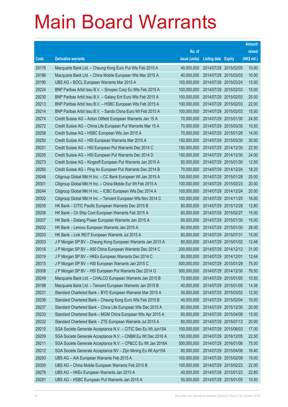|       |                                                                |               |                       |                       | <b>Amount</b> |
|-------|----------------------------------------------------------------|---------------|-----------------------|-----------------------|---------------|
|       |                                                                | No. of        |                       |                       | raised        |
| Code  | <b>Derivative warrants</b>                                     | issue (units) | <b>Listing date</b>   | <b>Expiry</b>         | (HK\$ mil.)   |
| 29178 | Macquarie Bank Ltd. - Cheung Kong Euro Put Wts Feb 2015 A      | 40,000,000    | 2014/07/28 2015/02/05 |                       | 10.00         |
| 29186 | Macquarie Bank Ltd. - China Mobile European Wts Mar 2015 A     | 40,000,000    | 2014/07/28 2015/03/03 |                       | 10.00         |
| 29190 | UBS AG - BOCL European Warrants Mar 2015 A                     | 100,000,000   |                       | 2014/07/28 2015/03/24 | 15.00         |
| 29224 | BNP Paribas Arbit Issu B.V. - Sinopec Corp Eu Wts Feb 2015 A   | 100,000,000   | 2014/07/29 2015/02/03 |                       | 15.00         |
| 29230 | BNP Paribas Arbit Issu B.V. - Galaxy Ent Euro Wts Feb 2015 A   | 100,000,000   |                       | 2014/07/29 2015/02/03 | 25.00         |
| 29213 | BNP Paribas Arbit Issu B.V. - HSBC European Wts Feb 2015 A     | 100,000,000   |                       | 2014/07/29 2015/02/03 | 22.00         |
| 29214 | BNP Paribas Arbit Issu B.V. - Sands China Euro Wt Feb 2015 A   | 100,000,000   | 2014/07/29 2015/02/03 |                       | 15.00         |
| 29274 | Credit Suisse AG - Anton Oilfield European Warrants Jan 15 A   | 70,000,000    | 2014/07/29 2015/01/30 |                       | 24.50         |
| 29272 | Credit Suisse AG - China Life European Put Warrants Mar 15 A   | 70,000,000    |                       | 2014/07/29 2015/03/30 | 10.50         |
| 29258 | Credit Suisse AG - HSBC European Wts Jan 2015 A                | 70,000,000    | 2014/07/29 2015/01/26 |                       | 14.00         |
| 29250 | Credit Suisse AG - HSI European Warrants Mar 2015 A            | 150,000,000   |                       | 2014/07/29 2015/03/30 | 30.00         |
| 29251 | Credit Suisse AG - HSI European Put Warrants Dec 2014 C        | 150,000,000   | 2014/07/29 2014/12/30 |                       | 22.50         |
| 29255 | Credit Suisse AG - HSI European Put Warrants Dec 2014 D        | 150,000,000   |                       | 2014/07/29 2014/12/30 | 24.00         |
| 29273 | Credit Suisse AG - Kingsoft European Put Warrants Jan 2015 A   | 50,000,000    | 2014/07/29 2015/01/30 |                       | 12.50         |
| 29260 | Credit Suisse AG - Ping An European Put Warrants Dec 2014 B    | 70,000,000    |                       | 2014/07/29 2014/12/24 | 18.20         |
| 29248 | Citigroup Global Mkt H Inc. - CC Bank European Wt Jan 2015 A   | 100,000,000   | 2014/07/29 2015/01/28 |                       | 25.00         |
| 29301 | Citigroup Global Mkt H Inc. - China Mobile Eur Wt Feb 2015 A   | 100,000,000   |                       | 2014/07/29 2015/02/23 | 20.00         |
| 29244 | Citigroup Global Mkt H Inc. - ICBC European Wts Dec 2014 A     | 100,000,000   |                       | 2014/07/29 2014/12/24 | 20.00         |
| 29302 | Citigroup Global Mkt H Inc. - Tencent European Wts Nov 2014 C  | 100,000,000   |                       | 2014/07/29 2014/11/25 | 16.00         |
| 29205 | HK Bank - CITIC Pacific European Warrants Dec 2015 B           | 80,000,000    | 2014/07/29 2015/12/28 |                       | 12.80         |
| 29206 | HK Bank - Ch Ship Cont European Warrants Feb 2015 A            | 60,000,000    |                       | 2014/07/29 2015/02/27 | 15.00         |
| 29207 | HK Bank - Datang Power European Warrants Jan 2015 A            | 60,000,000    | 2014/07/29 2015/01/30 |                       | 15.00         |
| 29202 | HK Bank - Lenovo European Warrants Jan 2015 A                  | 80,000,000    | 2014/07/29 2015/01/30 |                       | 28.00         |
| 29203 | HK Bank - Link REIT European Warrants Jul 2015 A               | 60,000,000    | 2014/07/29 2015/07/31 |                       | 15.00         |
| 29303 | J P Morgan SP BV - Cheung Kong European Warrants Jan 2015 A    | 80,000,000    | 2014/07/29 2015/01/02 |                       | 12.48         |
| 29316 | J P Morgan SP BV - A50 China European Warrants Dec 2014 C      | 200,000,000   | 2014/07/29 2014/12/12 |                       | 31.00         |
| 29319 | J P Morgan SP BV - HKEx European Warrants Dec 2014 C           | 80,000,000    | 2014/07/29 2014/12/01 |                       | 12.64         |
| 29315 | J P Morgan SP BV - HSI European Warrants Jan 2015 C            | 500,000,000   | 2014/07/29 2015/01/29 |                       | 75.00         |
| 29308 | J P Morgan SP BV - HSI European Put Warrants Dec 2014 G        | 500,000,000   |                       | 2014/07/29 2014/12/30 | 76.50         |
| 29249 | Macquarie Bank Ltd. - CHALCO European Warrants Jan 2015 B      | 70,000,000    | 2014/07/29 2015/01/05 |                       | 10.50         |
| 29198 | Macquarie Bank Ltd. - Tencent European Warrants Jan 2015 B     | 40,000,000    | 2014/07/29 2015/01/05 |                       | 14.36         |
| 29231 | Standard Chartered Bank - BYD European Warrants Mar 2015 A     | 50,000,000    | 2014/07/29 2015/03/02 |                       | 12.50         |
| 29236 | Standard Chartered Bank - Cheung Kong Euro Wts Feb 2015 B      | 40,000,000    | 2014/07/29 2015/02/04 |                       | 10.00         |
| 29237 | Standard Chartered Bank - China Life European Wts Dec 2015 A   | 80,000,000    | 2014/07/29 2015/12/30 |                       | 20.00         |
| 29233 | Standard Chartered Bank - MGM China European Wts Apr 2015 A    | 60,000,000    | 2014/07/29 2015/04/08 |                       | 15.00         |
| 29232 | Standard Chartered Bank - ZTE European Warrants Jul 2015 A     | 80,000,000    | 2014/07/29 2015/07/13 |                       | 20.00         |
| 29210 | SGA Societe Generale Acceptance N.V. - CITIC Sec Eu Wt Jun15A  | 100,000,000   | 2014/07/29 2015/06/03 |                       | 17.00         |
| 29209 | SGA Societe Generale Acceptance N.V. - CNBM Eu Wt Dec 2016 A   | 150,000,000   | 2014/07/29 2016/12/05 |                       | 22.50         |
| 29211 | SGA Societe Generale Acceptance N.V. - CP&CC Eu Wt Jan 2016A   | 500,000,000   | 2014/07/29 2016/01/06 |                       | 75.00         |
| 29212 | SGA Societe Generale Acceptance NV - Zijin Mining Eu Wt Apr15A | 80,000,000    | 2014/07/29 2015/04/08 |                       | 16.40         |
| 29293 | UBS AG - AIA European Warrants Feb 2015 A                      | 100,000,000   | 2014/07/29 2015/02/09 |                       | 19.00         |
| 29300 | UBS AG - China Mobile European Warrants Feb 2015 B             | 100,000,000   | 2014/07/29 2015/02/23 |                       | 22.00         |
| 29276 | UBS AG - HKEx European Warrants Jan 2015 A                     | 40,000,000    | 2014/07/29 2015/01/23 |                       | 22.80         |
| 29281 | UBS AG - HSBC European Put Warrants Jan 2015 A                 | 50,000,000    | 2014/07/29 2015/01/05 |                       | 10.50         |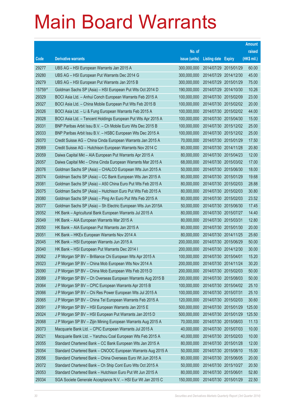|        |                                                               |               |                            | <b>Amount</b> |
|--------|---------------------------------------------------------------|---------------|----------------------------|---------------|
|        |                                                               | No. of        |                            | raised        |
| Code   | <b>Derivative warrants</b>                                    | issue (units) | <b>Listing date Expiry</b> | (HK\$ mil.)   |
| 29277  | UBS AG - HSI European Warrants Jan 2015 A                     | 300,000,000   | 2014/07/29 2015/01/29      | 60.00         |
| 29280  | UBS AG - HSI European Put Warrants Dec 2014 G                 | 300,000,000   | 2014/07/29 2014/12/30      | 45.00         |
| 29279  | UBS AG - HSI European Put Warrants Jan 2015 B                 | 300,000,000   | 2014/07/29 2015/01/29      | 75.00         |
| 15759# | Goldman Sachs SP (Asia) - HSI European Put Wts Oct 2014 D     | 190,000,000   | 2014/07/29 2014/10/30      | 10.26         |
| 29329  | BOCI Asia Ltd. - Anhui Conch European Warrants Feb 2015 A     | 100,000,000   | 2014/07/30 2015/02/09      | 23.00         |
| 29327  | BOCI Asia Ltd. - China Mobile European Put Wts Feb 2015 B     | 100,000,000   | 2014/07/30 2015/02/02      | 20.00         |
| 29326  | BOCI Asia Ltd. - Li & Fung European Warrants Feb 2015 A       | 100,000,000   | 2014/07/30 2015/02/02      | 44.00         |
| 29328  | BOCI Asia Ltd. - Tencent Holdings European Put Wts Apr 2015 A | 100,000,000   | 2014/07/30 2015/04/30      | 15.00         |
| 29331  | BNP Paribas Arbit Issu B.V. - Ch Mobile Euro Wts Dec 2015 B   | 100,000,000   | 2014/07/30 2015/12/02      | 25.00         |
| 29333  | BNP Paribas Arbit Issu B.V. - HSBC European Wts Dec 2015 A    | 100,000,000   | 2014/07/30 2015/12/02      | 25.00         |
| 29370  | Credit Suisse AG - China Cinda European Warrants Jan 2015 A   | 70,000,000    | 2014/07/30 2015/01/29      | 17.50         |
| 29369  | Credit Suisse AG - Hutchison European Warrants Nov 2014 C     | 80,000,000    | 2014/07/30 2014/11/28      | 20.80         |
| 29359  | Daiwa Capital Mkt - AIA European Put Warrants Apr 2015 A      | 80,000,000    | 2014/07/30 2015/04/23      | 12.00         |
| 29357  | Daiwa Capital Mkt - China Cinda European Warrants Mar 2015 A  | 68,000,000    | 2014/07/30 2015/03/02      | 17.00         |
| 29376  | Goldman Sachs SP (Asia) - CHALCO European Wts Jun 2015 A      | 50,000,000    | 2014/07/30 2015/06/30      | 18.00         |
| 29374  | Goldman Sachs SP (Asia) - CC Bank European Wts Jan 2015 A     | 80,000,000    | 2014/07/30 2015/01/29      | 19.68         |
| 29381  | Goldman Sachs SP (Asia) - A50 China Euro Put Wts Feb 2015 A   | 80,000,000    | 2014/07/30 2015/02/03      | 28.88         |
| 29375  | Goldman Sachs SP (Asia) - Hutchison Euro Put Wts Feb 2015 A   | 80,000,000    | 2014/07/30 2015/02/03      | 30.80         |
| 29380  | Goldman Sachs SP (Asia) - Ping An Euro Put Wts Feb 2015 A     | 80,000,000    | 2014/07/30 2015/02/03      | 23.52         |
| 29377  | Goldman Sachs SP (Asia) - Sh Electric European Wts Jun 2015A  | 50,000,000    | 2014/07/30 2015/06/30      | 17.45         |
| 29352  | HK Bank - Agricultural Bank European Warrants Jul 2015 A      | 80,000,000    | 2014/07/30 2015/07/27      | 14.40         |
| 29349  | HK Bank - AIA European Warrants Mar 2015 A                    | 80,000,000    | 2014/07/30 2015/03/31      | 12.80         |
| 29350  | HK Bank - AIA European Put Warrants Jan 2015 A                | 80,000,000    | 2014/07/30 2015/01/30      | 20.00         |
| 29351  | HK Bank - HKEx European Warrants Nov 2014 A                   | 80,000,000    | 2014/07/30 2014/11/25      | 25.60         |
| 29345  | HK Bank - HSI European Warrants Jun 2015 A                    | 200,000,000   | 2014/07/30 2015/06/29      | 50.00         |
| 29340  | HK Bank - HSI European Put Warrants Dec 2014 I                | 200,000,000   | 2014/07/30 2014/12/30      | 30.00         |
| 29362  | J P Morgan SP BV – Brilliance Chi European Wts Apr 2015 A     | 100,000,000   | 2014/07/30 2015/04/01      | 15.20         |
| 29323  | J P Morgan SP BV - China Mob European Wts Nov 2014 A          | 200,000,000   | 2014/07/30 2014/11/24      | 30.20         |
| 29390  | J P Morgan SP BV - China Mob European Wts Feb 2015 D          | 200,000,000   | 2014/07/30 2015/02/03      | 50.00         |
| 29389  | J P Morgan SP BV - Ch Overseas European Warrants Aug 2015 B   | 200,000,000   | 2014/07/30 2015/08/03      | 50.00         |
| 29364  | J P Morgan SP BV - CPIC European Warrants Apr 2015 B          | 100,000,000   | 2014/07/30 2015/04/02      | 25.10         |
| 29366  | J P Morgan SP BV - Chi Res Power European Wts Jul 2015 A      | 100,000,000   | 2014/07/30 2015/07/31      | 25.10         |
| 29365  | J P Morgan SP BV - China Tel European Warrants Feb 2015 A     | 120,000,000   | 2014/07/30 2015/02/03      | 30.60         |
| 29391  | J P Morgan SP BV - HSI European Warrants Jan 2015 E           | 500,000,000   | 2014/07/30 2015/01/29      | 125.00        |
| 29324  | J P Morgan SP BV - HSI European Put Warrants Jan 2015 D       | 500,000,000   | 2014/07/30 2015/01/29      | 125.50        |
| 29368  | J P Morgan SP BV - Zijin Mining European Warrants Aug 2015 A  | 70,000,000    | 2014/07/30 2015/08/03      | 11.13         |
| 29373  | Macquarie Bank Ltd. - CPIC European Warrants Jul 2015 A       | 40,000,000    | 2014/07/30 2015/07/03      | 10.00         |
| 29321  | Macquarie Bank Ltd. - Yanzhou Coal European Wts Feb 2015 A    | 40,000,000    | 2014/07/30 2015/02/03      | 10.00         |
| 29355  | Standard Chartered Bank - CC Bank European Wts Jan 2015 A     | 80,000,000    | 2014/07/30 2015/01/28      | 12.00         |
| 29354  | Standard Chartered Bank - CNOOC European Warrants Aug 2015 A  | 50,000,000    | 2014/07/30 2015/08/10      | 15.00         |
| 29356  | Standard Chartered Bank - China Overseas Euro Wt Jun 2015 A   | 80,000,000    | 2014/07/30 2015/06/05      | 20.00         |
| 29372  | Standard Chartered Bank - Ch Ship Cont Euro Wts Oct 2015 A    | 50,000,000    | 2014/07/30 2015/10/27      | 20.50         |
| 29353  | Standard Chartered Bank - Hutchison Euro Put Wt Jun 2015 A    | 80,000,000    | 2014/07/30 2015/06/01      | 52.80         |
| 29334  | SGA Societe Generale Acceptance N.V. - HSI Eur Wt Jan 2015 C  | 150,000,000   | 2014/07/30 2015/01/29      | 22.50         |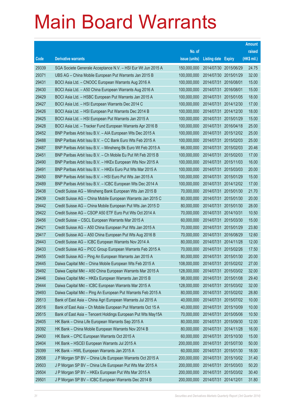|       |                                                              |               |                       |                       | <b>Amount</b> |
|-------|--------------------------------------------------------------|---------------|-----------------------|-----------------------|---------------|
|       |                                                              | No. of        |                       |                       | raised        |
| Code  | <b>Derivative warrants</b>                                   | issue (units) | <b>Listing date</b>   | <b>Expiry</b>         | (HK\$ mil.)   |
| 29339 | SGA Societe Generale Acceptance N.V. - HSI Eur Wt Jun 2015 A | 150,000,000   | 2014/07/30 2015/06/29 |                       | 24.75         |
| 29371 | UBS AG - China Mobile European Put Warrants Jan 2015 B       | 100,000,000   | 2014/07/30 2015/01/29 |                       | 32.00         |
| 29431 | BOCI Asia Ltd. - CNOOC European Warrants Aug 2016 A          | 100,000,000   | 2014/07/31            | 2016/08/01            | 15.00         |
| 29430 | BOCI Asia Ltd. - A50 China European Warrants Aug 2016 A      | 100,000,000   | 2014/07/31 2016/08/01 |                       | 15.00         |
| 29429 | BOCI Asia Ltd. - HSBC European Put Warrants Jan 2015 A       | 100,000,000   | 2014/07/31            | 2015/01/05            | 18.00         |
| 29427 | BOCI Asia Ltd. - HSI European Warrants Dec 2014 C            | 100,000,000   | 2014/07/31 2014/12/30 |                       | 17.00         |
| 29426 | BOCI Asia Ltd. - HSI European Put Warrants Dec 2014 B        | 100,000,000   | 2014/07/31            | 2014/12/30            | 18.00         |
| 29425 | BOCI Asia Ltd. - HSI European Put Warrants Jan 2015 A        | 100,000,000   | 2014/07/31 2015/01/29 |                       | 15.00         |
| 29428 | BOCI Asia Ltd. - Tracker Fund European Warrants Apr 2016 B   | 100,000,000   | 2014/07/31            | 2016/04/18            | 25.00         |
| 29452 | BNP Paribas Arbit Issu B.V. - AIA European Wts Dec 2015 A    | 100,000,000   |                       | 2014/07/31 2015/12/02 | 25.00         |
| 29488 | BNP Paribas Arbit Issu B.V. - CC Bank Euro Wts Feb 2015 A    | 100,000,000   | 2014/07/31            | 2015/02/03            | 25.00         |
| 29487 | BNP Paribas Arbit Issu B.V. - Minsheng Bk Euro Wt Feb 2015 A | 66,000,000    | 2014/07/31 2015/02/03 |                       | 20.46         |
| 29451 | BNP Paribas Arbit Issu B.V. - Ch Mobile Eu Put Wt Feb 2015 B | 100,000,000   |                       | 2014/07/31 2015/02/03 | 17.00         |
| 29490 | BNP Paribas Arbit Issu B.V. - HKEx European Wts Nov 2015 A   | 100,000,000   |                       | 2014/07/31 2015/11/03 | 16.00         |
| 29491 | BNP Paribas Arbit Issu B.V. - HKEx Euro Put Wts Mar 2015 A   | 100,000,000   | 2014/07/31            | 2015/03/03            | 20.00         |
| 29450 | BNP Paribas Arbit Issu B.V. - HSI Euro Put Wts Jan 2015 A    | 100,000,000   | 2014/07/31 2015/01/29 |                       | 15.00         |
| 29489 | BNP Paribas Arbit Issu B.V. - ICBC European Wts Dec 2014 A   | 100,000,000   |                       | 2014/07/31 2014/12/02 | 17.00         |
| 29438 | Credit Suisse AG - Minsheng Bank European Wts Jan 2015 B     | 70,000,000    | 2014/07/31 2015/01/30 |                       | 21.70         |
| 29439 | Credit Suisse AG - China Mobile European Warrants Jan 2015 C | 80,000,000    | 2014/07/31            | 2015/01/30            | 20.00         |
| 29442 | Credit Suisse AG - China Mobile European Put Wts Jan 2015 D  | 80,000,000    | 2014/07/31 2015/01/30 |                       | 28.00         |
| 29422 | Credit Suisse AG - CSOP A50 ETF Euro Put Wts Oct 2014 A      | 70,000,000    | 2014/07/31            | 2014/10/31            | 10.50         |
| 29456 | Credit Suisse - CSCL European Warrants Mar 2015 A            | 60,000,000    | 2014/07/31 2015/03/30 |                       | 15.00         |
| 29421 | Credit Suisse AG - A50 China European Put Wts Jan 2015 A     | 70,000,000    | 2014/07/31            | 2015/01/29            | 23.80         |
| 29417 | Credit Suisse AG - A50 China European Put Wts Aug 2016 B     | 70,000,000    | 2014/07/31 2016/08/29 |                       | 12.60         |
| 29443 | Credit Suisse AG - ICBC European Warrants Nov 2014 A         | 80,000,000    | 2014/07/31 2014/11/28 |                       | 12.00         |
| 29433 | Credit Suisse AG - PICC Group European Warrants Feb 2015 A   | 70,000,000    | 2014/07/31 2015/02/26 |                       | 17.50         |
| 29455 | Credit Suisse AG - Ping An European Warrants Jan 2015 A      | 80,000,000    |                       | 2014/07/31 2015/01/30 | 20.00         |
| 29445 | Daiwa Capital Mkt - China Mobile European Wts Feb 2015 A     | 108,000,000   | 2014/07/31 2015/02/02 |                       | 27.00         |
| 29492 | Daiwa Capital Mkt - A50 China European Warrants Mar 2015 A   | 128,000,000   | 2014/07/31            | 2015/03/02            | 32.00         |
| 29446 | Daiwa Capital Mkt - HKEx European Warrants Jan 2015 B        | 98,000,000    | 2014/07/31 2015/01/08 |                       | 29.40         |
| 29444 | Daiwa Capital Mkt - ICBC European Warrants Mar 2015 A        | 128,000,000   | 2014/07/31            | 2015/03/02            | 32.00         |
| 29493 | Daiwa Capital Mkt - Ping An European Put Warrants Feb 2015 A | 80,000,000    | 2014/07/31            | 2015/02/02            | 28.80         |
| 29513 | Bank of East Asia - China Agri European Warrants Jul 2015 A  | 40,000,000    | 2014/07/31            | 2015/07/02            | 10.00         |
| 29516 | Bank of East Asia - Ch Mobile European Put Warrants Oct 15 A | 40,000,000    | 2014/07/31 2015/10/09 |                       | 10.00         |
| 29515 | Bank of East Asia - Tencent Holdings European Put Wts May15A | 70,000,000    | 2014/07/31            | 2015/05/06            | 10.50         |
| 29405 | HK Bank - China Life European Warrants Sep 2015 A            | 80,000,000    | 2014/07/31 2015/09/30 |                       | 12.00         |
| 29392 | HK Bank - China Mobile European Warrants Nov 2014 B          | 80,000,000    | 2014/07/31            | 2014/11/28            | 16.00         |
| 29400 | HK Bank - CPIC European Warrants Oct 2015 A                  | 60,000,000    | 2014/07/31 2015/10/30 |                       | 15.00         |
| 29404 | HK Bank - HSCEI European Warrants Jul 2015 A                 | 200,000,000   | 2014/07/31            | 2015/07/30            | 50.00         |
| 29399 | HK Bank - HWL European Warrants Jan 2015 A                   | 60,000,000    |                       | 2014/07/31 2015/01/30 | 18.00         |
| 29508 | J P Morgan SP BV - China Life European Warrants Oct 2015 A   | 200,000,000   | 2014/07/31            | 2015/10/02            | 31.40         |
| 29503 | J P Morgan SP BV - China Life European Put Wts Mar 2015 A    | 200,000,000   | 2014/07/31 2015/03/03 |                       | 50.20         |
| 29504 | J P Morgan SP BV - HKEx European Put Wts Mar 2015 A          | 200,000,000   | 2014/07/31            | 2015/03/02            | 30.40         |
| 29501 | J P Morgan SP BV - ICBC European Warrants Dec 2014 B         | 200,000,000   | 2014/07/31            | 2014/12/01            | 31.80         |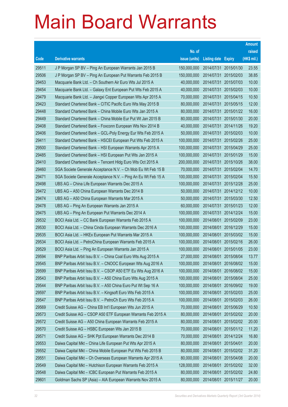|       |                                                               |               |                            |                       | <b>Amount</b> |
|-------|---------------------------------------------------------------|---------------|----------------------------|-----------------------|---------------|
|       |                                                               | No. of        |                            |                       | raised        |
| Code  | <b>Derivative warrants</b>                                    | issue (units) | <b>Listing date Expiry</b> |                       | (HK\$ mil.)   |
| 29511 | J P Morgan SP BV - Ping An European Warrants Jan 2015 B       | 150,000,000   |                            | 2014/07/31 2015/01/30 | 23.55         |
| 29506 | J P Morgan SP BV - Ping An European Put Warrants Feb 2015 B   | 150,000,000   |                            | 2014/07/31 2015/02/03 | 38.85         |
| 29453 | Macquarie Bank Ltd. - Ch Southern Air Euro Wts Jul 2015 A     | 40,000,000    |                            | 2014/07/31 2015/07/03 | 10.00         |
| 29454 | Macquarie Bank Ltd. - Galaxy Ent European Put Wts Feb 2015 A  | 40,000,000    |                            | 2014/07/31 2015/02/03 | 10.00         |
| 29479 | Macquarie Bank Ltd. - Jiangxi Copper European Wts Apr 2015 A  | 70,000,000    |                            | 2014/07/31 2015/04/15 | 10.50         |
| 29423 | Standard Chartered Bank - CITIC Pacific Euro Wts May 2015 B   | 80,000,000    |                            | 2014/07/31 2015/05/15 | 12.00         |
| 29448 | Standard Chartered Bank - China Mobile Euro Wts Jan 2015 A    | 80,000,000    |                            | 2014/07/31 2015/01/22 | 16.00         |
| 29449 | Standard Chartered Bank - China Mobile Eur Put Wt Jan 2015 B  | 80,000,000    |                            | 2014/07/31 2015/01/30 | 20.00         |
| 29408 | Standard Chartered Bank - Foxconn European Wts Nov 2014 B     | 40,000,000    |                            | 2014/07/31 2014/11/26 | 19.20         |
| 29406 | Standard Chartered Bank - GCL-Poly Energy Eur Wts Feb 2015 A  | 50,000,000    |                            | 2014/07/31 2015/02/03 | 10.00         |
| 29411 | Standard Chartered Bank - HSCEI European Put Wts Feb 2015 A   | 100,000,000   |                            | 2014/07/31 2015/02/26 | 25.00         |
| 29500 | Standard Chartered Bank - HSI European Warrants Apr 2015 A    | 100,000,000   |                            | 2014/07/31 2015/04/29 | 25.00         |
| 29485 | Standard Chartered Bank - HSI European Put Wts Jan 2015 A     | 100,000,000   |                            | 2014/07/31 2015/01/29 | 15.00         |
| 29410 | Standard Chartered Bank - Tencent Hidg Euro Wts Oct 2015 A    | 200,000,000   |                            | 2014/07/31 2015/10/26 | 38.00         |
| 29460 | SGA Societe Generale Acceptance N.V. - Ch Mob Eu Wt Feb 15 B  | 70,000,000    |                            | 2014/07/31 2015/02/04 | 14.70         |
| 29471 | SGA Societe Generale Acceptance N.V. - Ping An Eu Wt Feb 15 A | 100,000,000   |                            | 2014/07/31 2015/02/04 | 15.50         |
| 29498 | UBS AG - China Life European Warrants Dec 2015 A              | 100,000,000   |                            | 2014/07/31 2015/12/28 | 25.00         |
| 29472 | UBS AG - A50 China European Warrants Dec 2014 B               | 50,000,000    |                            | 2014/07/31 2014/12/12 | 10.00         |
| 29474 | UBS AG - A50 China European Warrants Mar 2015 A               | 50,000,000    | 2014/07/31                 | 2015/03/30            | 12.50         |
| 29478 | UBS AG - Ping An European Warrants Jan 2015 A                 | 60,000,000    |                            | 2014/07/31 2015/01/23 | 12.00         |
| 29475 | UBS AG - Ping An European Put Warrants Dec 2014 A             | 100,000,000   |                            | 2014/07/31 2014/12/24 | 15.00         |
| 29532 | BOCI Asia Ltd. - CC Bank European Warrants Feb 2015 A         | 100,000,000   |                            | 2014/08/01 2015/02/09 | 23.00         |
| 29530 | BOCI Asia Ltd. - China Cinda European Warrants Dec 2016 A     | 100,000,000   | 2014/08/01                 | 2016/12/29            | 15.00         |
| 29535 | BOCI Asia Ltd. - HKEx European Put Warrants Mar 2015 A        | 100,000,000   |                            | 2014/08/01 2015/03/02 | 15.00         |
| 29534 | BOCI Asia Ltd. - PetroChina European Warrants Feb 2015 A      | 100,000,000   |                            | 2014/08/01 2015/02/16 | 26.00         |
| 29529 | BOCI Asia Ltd. - Ping An European Warrants Jan 2015 A         | 100,000,000   | 2014/08/01                 | 2015/01/05            | 23.00         |
| 29594 | BNP Paribas Arbit Issu B.V. - China Coal Euro Wts Aug 2015 A  | 27,000,000    | 2014/08/01                 | 2015/08/04            | 13.77         |
| 29545 | BNP Paribas Arbit Issu B.V. - CNOOC European Wts Aug 2016 A   | 100,000,000   |                            | 2014/08/01 2016/08/02 | 15.00         |
| 29599 | BNP Paribas Arbit Issu B.V. - CSOP A50 ETF Eu Wts Aug 2016 A  | 100,000,000   | 2014/08/01                 | 2016/08/02            | 15.00         |
| 29543 | BNP Paribas Arbit Issu B.V. - A50 China Euro Wts Aug 2015 A   | 100,000,000   | 2014/08/01                 | 2015/08/04            | 25.00         |
| 29544 | BNP Paribas Arbit Issu B.V. - A50 China Euro Put Wt Sep 16 A  | 100,000,000   | 2014/08/01                 | 2016/09/02            | 19.00         |
| 29597 | BNP Paribas Arbit Issu B.V. - Kingsoft Euro Wts Feb 2015 A    | 100,000,000   | 2014/08/01                 | 2015/02/03            | 25.00         |
| 29547 | BNP Paribas Arbit Issu B.V. - PetroCh Euro Wts Feb 2015 A     | 100,000,000   | 2014/08/01                 | 2015/02/03            | 26.00         |
| 29569 | Credit Suisse AG - China EB Int'l European Wts Jun 2015 A     | 70,000,000    | 2014/08/01                 | 2015/06/29            | 10.50         |
| 29573 | Credit Suisse AG - CSOP A50 ETF European Warrants Feb 2015 A  | 80,000,000    | 2014/08/01                 | 2015/02/02            | 20.00         |
| 29572 | Credit Suisse AG - A50 China European Warrants Feb 2015 A     | 80,000,000    | 2014/08/01                 | 2015/02/02            | 20.00         |
| 29570 | Credit Suisse AG - HSBC European Wts Jan 2015 B               | 70,000,000    | 2014/08/01                 | 2015/01/12            | 11.20         |
| 29571 | Credit Suisse AG - SHK Ppt European Warrants Dec 2014 B       | 70,000,000    | 2014/08/01                 | 2014/12/24            | 16.80         |
| 29553 | Daiwa Capital Mkt - China Life European Put Wts Apr 2015 A    | 80,000,000    | 2014/08/01                 | 2015/04/01            | 20.00         |
| 29552 | Daiwa Capital Mkt - China Mobile European Put Wts Feb 2015 B  | 80,000,000    | 2014/08/01                 | 2015/02/02            | 31.20         |
| 29551 | Daiwa Capital Mkt - Ch Overseas European Warrants Apr 2015 A  | 80,000,000    | 2014/08/01                 | 2015/04/08            | 20.00         |
| 29549 | Daiwa Capital Mkt - Hutchison European Warrants Feb 2015 A    | 128,000,000   | 2014/08/01                 | 2015/02/02            | 32.00         |
| 29548 | Daiwa Capital Mkt - ICBC European Put Warrants Feb 2015 A     | 80,000,000    | 2014/08/01                 | 2015/02/02            | 24.80         |
| 29601 | Goldman Sachs SP (Asia) - AIA European Warrants Nov 2015 A    | 80,000,000    | 2014/08/01                 | 2015/11/27            | 20.00         |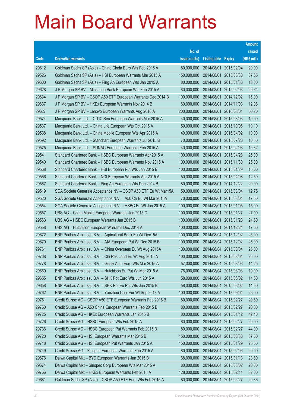|       |                                                                |               |                       |                       | <b>Amount</b> |
|-------|----------------------------------------------------------------|---------------|-----------------------|-----------------------|---------------|
|       |                                                                | No. of        |                       |                       | raised        |
| Code  | <b>Derivative warrants</b>                                     | issue (units) | Listing date Expiry   |                       | (HK\$ mil.)   |
| 29612 | Goldman Sachs SP (Asia) - China Cinda Euro Wts Feb 2015 A      | 80,000,000    | 2014/08/01            | 2015/02/04            | 20.00         |
| 29526 | Goldman Sachs SP (Asia) - HSI European Warrants Mar 2015 A     | 150,000,000   | 2014/08/01            | 2015/03/30            | 37.65         |
| 29600 | Goldman Sachs SP (Asia) - Ping An European Wts Jan 2015 A      | 80,000,000    | 2014/08/01            | 2015/01/30            | 18.00         |
| 29628 | J P Morgan SP BV - Minsheng Bank European Wts Feb 2015 A       | 80,000,000    | 2014/08/01            | 2015/02/03            | 20.64         |
| 29634 | J P Morgan SP BV - CSOP A50 ETF European Warrants Dec 2014 B   | 100,000,000   | 2014/08/01            | 2014/12/02            | 15.90         |
| 29637 | J P Morgan SP BV - HKEx European Warrants Nov 2014 B           | 80,000,000    | 2014/08/01            | 2014/11/03            | 12.08         |
| 29627 | J P Morgan SP BV - Lenovo European Warrants Aug 2016 A         | 200,000,000   | 2014/08/01            | 2016/08/01            | 50.20         |
| 29574 | Macquarie Bank Ltd. - CITIC Sec European Warrants Mar 2015 A   | 40,000,000    | 2014/08/01            | 2015/03/03            | 10.00         |
| 29537 | Macquarie Bank Ltd. - China Life European Wts Oct 2015 A       | 50,000,000    | 2014/08/01            | 2015/10/05            | 10.10         |
| 29538 | Macquarie Bank Ltd. - China Mobile European Wts Apr 2015 A     | 40,000,000    | 2014/08/01            | 2015/04/02            | 10.00         |
| 29592 | Macquarie Bank Ltd. - Stanchart European Warrants Jul 2015 B   | 70,000,000    | 2014/08/01            | 2015/07/20            | 10.50         |
| 29575 | Macquarie Bank Ltd. - SUNAC European Warrants Feb 2015 A       | 40,000,000    | 2014/08/01            | 2015/02/03            | 10.32         |
| 29541 | Standard Chartered Bank - HSBC European Warrants Apr 2015 A    | 100,000,000   | 2014/08/01            | 2015/04/28            | 25.00         |
| 29540 | Standard Chartered Bank - HSBC European Warrants Nov 2015 A    | 100,000,000   | 2014/08/01            | 2015/11/30            | 25.00         |
| 29568 | Standard Chartered Bank - HSI European Put Wts Jan 2015 B      | 100,000,000   | 2014/08/01            | 2015/01/29            | 15.00         |
| 29566 | Standard Chartered Bank - NCI European Warrants Apr 2015 A     | 50,000,000    | 2014/08/01            | 2015/04/08            | 12.50         |
| 29567 | Standard Chartered Bank - Ping An European Wts Dec 2014 B      | 80,000,000    | 2014/08/01            | 2014/12/22            | 20.00         |
| 29519 | SGA Societe Generale Acceptance NV - CSOP A50 ETF Eu Wt Mar15A | 50,000,000    | 2014/08/01            | 2015/03/04            | 12.75         |
| 29520 | SGA Societe Generale Acceptance N.V. - A50 Ch Eu Wt Mar 2015A  | 70,000,000    | 2014/08/01            | 2015/03/04            | 17.50         |
| 29554 | SGA Societe Generale Acceptance N.V. - HSBC Eu Wt Jan 2015 A   | 100,000,000   | 2014/08/01            | 2015/01/05            | 15.00         |
| 29557 | UBS AG - China Mobile European Warrants Jan 2015 C             | 100,000,000   | 2014/08/01            | 2015/01/27            | 27.00         |
| 29563 | UBS AG - HSBC European Warrants Jan 2015 B                     | 100,000,000   | 2014/08/01            | 2015/01/23            | 24.50         |
| 29558 | UBS AG - Hutchison European Warrants Dec 2014 A                | 100,000,000   | 2014/08/01            | 2014/12/24            | 17.50         |
| 29672 | BNP Paribas Arbit Issu B.V. - Agricultural Bank Eu Wt Dec15A   | 100,000,000   |                       | 2014/08/04 2015/12/02 | 25.00         |
| 29670 | BNP Paribas Arbit Issu B.V. - AIA European Put Wt Dec 2015 B   | 100,000,000   |                       | 2014/08/04 2015/12/02 | 25.00         |
| 29761 | BNP Paribas Arbit Issu B.V. - China Overseas Eu Wt Aug 2015A   | 100,000,000   |                       | 2014/08/04 2015/08/04 | 25.00         |
| 29768 | BNP Paribas Arbit Issu B.V. - Chi Res Land Eu Wt Aug 2015 A    | 100,000,000   |                       | 2014/08/04 2015/08/04 | 20.00         |
| 29778 | BNP Paribas Arbit Issu B.V. - Geely Auto Euro Wts Mar 2015 A   | 57,000,000    |                       | 2014/08/04 2015/03/03 | 14.25         |
| 29660 | BNP Paribas Arbit Issu B.V. - Hutchison Eu Put Wt Mar 2015 A   | 76,000,000    | 2014/08/04            | 2015/03/03            | 19.00         |
| 29655 | BNP Paribas Arbit Issu B.V. - SHK Ppt Euro Wts Jun 2015 A      | 58,000,000    |                       | 2014/08/04 2015/06/02 | 14.50         |
| 29658 | BNP Paribas Arbit Issu B.V. - SHK Ppt Eu Put Wts Jun 2015 B    | 58,000,000    | 2014/08/04            | 2015/06/02            | 14.50         |
| 29762 | BNP Paribas Arbit Issu B.V. - Yanzhou Coal Eur Wt Sep 2018 A   | 100,000,000   | 2014/08/04            | 2018/09/04            | 25.00         |
| 29751 | Credit Suisse AG - CSOP A50 ETF European Warrants Feb 2015 B   | 80,000,000    | 2014/08/04            | 2015/02/27            | 20.80         |
| 29750 | Credit Suisse AG - A50 China European Warrants Feb 2015 B      | 80,000,000    |                       | 2014/08/04 2015/02/27 | 20.80         |
| 29725 | Credit Suisse AG - HKEx European Warrants Jan 2015 B           | 80,000,000    | 2014/08/04            | 2015/01/12            | 42.40         |
| 29726 | Credit Suisse AG - HSBC European Wts Feb 2015 A                | 80,000,000    |                       | 2014/08/04 2015/02/27 | 20.00         |
| 29736 | Credit Suisse AG - HSBC European Put Warrants Feb 2015 B       | 80,000,000    | 2014/08/04            | 2015/02/27            | 44.00         |
| 29720 | Credit Suisse AG - HSI European Warrants Mar 2015 B            | 150,000,000   |                       | 2014/08/04 2015/03/30 | 37.50         |
| 29718 | Credit Suisse AG - HSI European Put Warrants Jan 2015 A        | 150,000,000   | 2014/08/04            | 2015/01/29            | 25.50         |
| 29749 | Credit Suisse AG - Kingsoft European Warrants Feb 2015 A       | 80,000,000    |                       | 2014/08/04 2015/02/06 | 20.00         |
| 29676 | Daiwa Capital Mkt - BYD European Warrants Jan 2015 B           | 68,000,000    | 2014/08/04            | 2015/01/13            | 23.80         |
| 29674 | Daiwa Capital Mkt - Sinopec Corp European Wts Mar 2015 A       | 80,000,000    |                       | 2014/08/04 2015/03/02 | 20.00         |
| 29756 | Daiwa Capital Mkt - HKEx European Warrants Feb 2015 A          | 128,000,000   | 2014/08/04            | 2015/02/11            | 32.00         |
| 29681 | Goldman Sachs SP (Asia) - CSOP A50 ETF Euro Wts Feb 2015 A     | 80,000,000    | 2014/08/04 2015/02/27 |                       | 29.36         |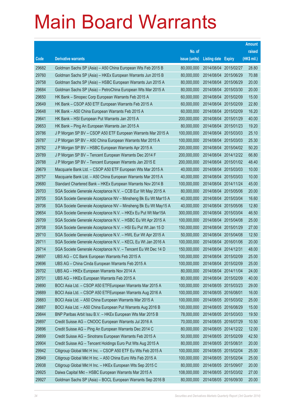|       |                                                                |               |                            |                       | <b>Amount</b> |
|-------|----------------------------------------------------------------|---------------|----------------------------|-----------------------|---------------|
|       |                                                                | No. of        |                            |                       | raised        |
| Code  | <b>Derivative warrants</b>                                     | issue (units) | <b>Listing date Expiry</b> |                       | (HK\$ mil.)   |
| 29682 | Goldman Sachs SP (Asia) - A50 China European Wts Feb 2015 B    | 80,000,000    | 2014/08/04 2015/02/27      |                       | 28.80         |
| 29760 | Goldman Sachs SP (Asia) - HKEx European Warrants Jun 2015 B    | 80,000,000    | 2014/08/04 2015/06/29      |                       | 70.88         |
| 29758 | Goldman Sachs SP (Asia) - HSBC European Warrants Jun 2015 A    | 80,000,000    | 2014/08/04                 | 2015/06/29            | 20.00         |
| 29684 | Goldman Sachs SP (Asia) - PetroChina European Wts Mar 2015 A   | 80,000,000    | 2014/08/04 2015/03/30      |                       | 20.00         |
| 29650 | HK Bank - Sinopec Corp European Warrants Feb 2015 A            | 60,000,000    | 2014/08/04                 | 2015/02/09            | 15.00         |
| 29649 | HK Bank - CSOP A50 ETF European Warrants Feb 2015 A            | 60,000,000    |                            | 2014/08/04 2015/02/09 | 22.80         |
| 29648 | HK Bank - A50 China European Warrants Feb 2015 A               | 60,000,000    | 2014/08/04                 | 2015/02/09            | 16.20         |
| 29641 | HK Bank - HSI European Put Warrants Jan 2015 A                 | 200,000,000   | 2014/08/04 2015/01/29      |                       | 40.00         |
| 29653 | HK Bank - Ping An European Warrants Jan 2015 A                 | 80,000,000    |                            | 2014/08/04 2015/01/23 | 19.20         |
| 29786 | J P Morgan SP BV - CSOP A50 ETF European Warrants Mar 2015 A   | 100,000,000   |                            | 2014/08/04 2015/03/03 | 25.10         |
| 29787 | J P Morgan SP BV - A50 China European Warrants Mar 2015 A      | 100,000,000   | 2014/08/04                 | 2015/03/03            | 25.30         |
| 29782 | J P Morgan SP BV - HSBC European Warrants Apr 2015 A           | 200,000,000   |                            | 2014/08/04 2015/04/02 | 50.20         |
| 29789 | J P Morgan SP BV - Tencent European Warrants Dec 2014 F        | 200,000,000   |                            | 2014/08/04 2014/12/22 | 66.80         |
| 29788 | J P Morgan SP BV - Tencent European Warrants Jan 2015 E        | 200,000,000   |                            | 2014/08/04 2015/01/02 | 48.40         |
| 29679 | Macquarie Bank Ltd. - CSOP A50 ETF European Wts Mar 2015 A     | 40,000,000    | 2014/08/04                 | 2015/03/03            | 10.00         |
| 29757 | Macquarie Bank Ltd. - A50 China European Warrants Mar 2015 A   | 40,000,000    | 2014/08/04 2015/03/03      |                       | 10.00         |
| 29680 | Standard Chartered Bank - HKEx European Warrants Nov 2014 B    | 100,000,000   | 2014/08/04                 | 2014/11/24            | 45.00         |
| 29703 | SGA Societe Generale Acceptance N.V. - CCB Eur Wt May 2015 A   | 80,000,000    |                            | 2014/08/04 2015/05/06 | 20.00         |
| 29705 | SGA Societe Generale Acceptance NV - Minsheng Bk Eu Wt Mar15 A | 40,000,000    | 2014/08/04                 | 2015/03/04            | 16.60         |
| 29706 | SGA Societe Generale Acceptance NV - Minsheng Bk Eu Wt May15 A | 40,000,000    |                            | 2014/08/04 2015/05/06 | 12.80         |
| 29654 | SGA Societe Generale Acceptance N.V. - HKEx Eu Put Wt Mar15A   | 300,000,000   | 2014/08/04                 | 2015/03/04            | 46.50         |
| 29709 | SGA Societe Generale Acceptance N.V. - HSBC Eu Wt Apr 2015 A   | 100,000,000   |                            | 2014/08/04 2015/04/08 | 25.00         |
| 29708 | SGA Societe Generale Acceptance N.V. - HSI Eu Put Wt Jan 15 D  | 150,000,000   | 2014/08/04                 | 2015/01/29            | 27.00         |
| 29710 | SGA Societe Generale Acceptance N.V. - HWL Eur Wt Apr 2015 A   | 50,000,000    |                            | 2014/08/04 2015/04/08 | 12.50         |
| 29711 | SGA Societe Generale Acceptance N.V. - KECL Eu Wt Jan 2016 A   | 100,000,000   | 2014/08/04                 | 2016/01/06            | 20.00         |
| 29714 | SGA Societe Generale Acceptance N.V. - Tencent Eu Wt Dec 14 D  | 150,000,000   | 2014/08/04 2014/12/31      |                       | 48.00         |
| 29697 | UBS AG – CC Bank European Warrants Feb 2015 A                  | 100,000,000   | 2014/08/04 2015/02/09      |                       | 25.00         |
| 29696 | UBS AG - China Cinda European Warrants Feb 2015 A              | 100,000,000   | 2014/08/04 2015/02/09      |                       | 25.00         |
| 29702 | UBS AG - HKEx European Warrants Nov 2014 A                     | 80,000,000    | 2014/08/04                 | 2014/11/04            | 24.00         |
| 29701 | UBS AG - HKEx European Warrants Feb 2015 A                     | 80,000,000    | 2014/08/04 2015/02/09      |                       | 40.00         |
| 29890 | BOCI Asia Ltd. - CSOP A50 ETFEuropean Warrants Mar 2015 A      | 100,000,000   | 2014/08/05 2015/03/23      |                       | 29.00         |
| 29889 | BOCI Asia Ltd. - CSOP A50 ETFEuropean Warrants Aug 2016 A      | 100,000,000   | 2014/08/05 2016/08/01      |                       | 16.00         |
| 29883 | BOCI Asia Ltd. - A50 China European Warrants Mar 2015 A        | 100,000,000   | 2014/08/05 2015/03/02      |                       | 25.00         |
| 29887 | BOCI Asia Ltd. - A50 China European Put Warrants Aug 2016 B    | 100,000,000   | 2014/08/05 2016/08/29      |                       | 15.00         |
| 29844 | BNP Paribas Arbit Issu B.V. - HKEx European Wts Mar 2015 B     | 78,000,000    | 2014/08/05 2015/03/03      |                       | 19.50         |
| 29897 | Credit Suisse AG - CNOOC European Warrants Jul 2016 A          | 70,000,000    | 2014/08/05 2016/07/29      |                       | 10.50         |
| 29896 | Credit Suisse AG - Ping An European Warrants Dec 2014 C        | 80,000,000    | 2014/08/05 2014/12/22      |                       | 12.00         |
| 29899 | Credit Suisse AG - Sinotrans European Warrants Feb 2015 A      | 50,000,000    | 2014/08/05 2015/02/09      |                       | 42.50         |
| 29904 | Credit Suisse AG - Tencent Holdings Euro Put Wts Aug 2015 A    | 80,000,000    | 2014/08/05 2015/08/31      |                       | 20.00         |
| 29942 | Citigroup Global Mkt H Inc. - CSOP A50 ETF Eu Wts Feb 2015 A   | 100,000,000   | 2014/08/05 2015/02/04      |                       | 25.00         |
| 29949 | Citigroup Global Mkt H Inc. - A50 China Euro Wts Feb 2015 A    | 100,000,000   | 2014/08/05 2015/02/04      |                       | 25.00         |
| 29938 | Citigroup Global Mkt H Inc. - HKEx European Wts Sep 2015 C     | 80,000,000    | 2014/08/05 2015/09/07      |                       | 20.00         |
| 29925 | Daiwa Capital Mkt - HSBC European Warrants Mar 2015 A          | 108,000,000   | 2014/08/05 2015/03/02      |                       | 27.00         |
| 29927 | Goldman Sachs SP (Asia) - BOCL European Warrants Sep 2016 B    | 80,000,000    | 2014/08/05 2016/09/30      |                       | 20.00         |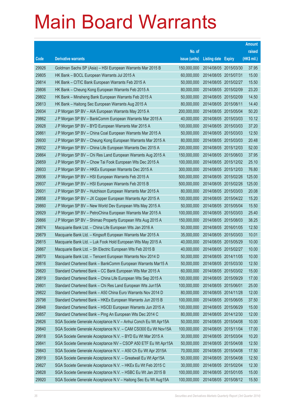|       |                                                                |               |                            |                       | <b>Amount</b> |
|-------|----------------------------------------------------------------|---------------|----------------------------|-----------------------|---------------|
|       |                                                                | No. of        |                            |                       | raised        |
| Code  | <b>Derivative warrants</b>                                     | issue (units) | <b>Listing date Expiry</b> |                       | (HK\$ mil.)   |
| 29926 | Goldman Sachs SP (Asia) - HSI European Warrants Mar 2015 B     | 150,000,000   |                            | 2014/08/05 2015/03/30 | 37.95         |
| 29805 | HK Bank - BOCL European Warrants Jul 2015 A                    | 60,000,000    | 2014/08/05 2015/07/31      |                       | 15.00         |
| 29814 | HK Bank - CITIC Bank European Warrants Feb 2015 A              | 50,000,000    | 2014/08/05 2015/02/27      |                       | 15.50         |
| 29806 | HK Bank - Cheung Kong European Warrants Feb 2015 A             | 80,000,000    | 2014/08/05 2015/02/09      |                       | 23.20         |
| 29802 | HK Bank - Minsheng Bank European Warrants Feb 2015 A           | 50,000,000    |                            | 2014/08/05 2015/02/09 | 14.50         |
| 29813 | HK Bank - Haitong Sec European Warrants Aug 2015 A             | 80,000,000    | 2014/08/05 2015/08/11      |                       | 14.40         |
| 29934 | J P Morgan SP BV - AIA European Warrants May 2015 A            | 200,000,000   | 2014/08/05 2015/05/04      |                       | 50.20         |
| 29862 | J P Morgan SP BV - BankComm European Warrants Mar 2015 A       | 40,000,000    |                            | 2014/08/05 2015/03/03 | 10.12         |
| 29928 | J P Morgan SP BV - BYD European Warrants Mar 2015 A            | 100,000,000   |                            | 2014/08/05 2015/03/03 | 37.20         |
| 29861 | J P Morgan SP BV - China Coal European Warrants Mar 2015 A     | 50,000,000    |                            | 2014/08/05 2015/03/03 | 12.50         |
| 29930 | J P Morgan SP BV - Cheung Kong European Warrants Mar 2015 A    | 80,000,000    | 2014/08/05 2015/03/03      |                       | 20.48         |
| 29932 | J P Morgan SP BV - China Life European Warrants Dec 2015 A     | 200,000,000   |                            | 2014/08/05 2015/12/03 | 52.00         |
| 29864 | J P Morgan SP BV - Chi Res Land European Warrants Aug 2015 A   | 150,000,000   |                            | 2014/08/05 2015/08/03 | 37.95         |
| 29859 | J P Morgan SP BV - Chow Tai Fook European Wts Dec 2015 A       | 100,000,000   |                            | 2014/08/05 2015/12/02 | 25.10         |
| 29933 | J P Morgan SP BV - HKEx European Warrants Dec 2015 A           | 300,000,000   | 2014/08/05 2015/12/03      |                       | 76.80         |
| 29936 | J P Morgan SP BV - HSI European Warrants Feb 2015 A            | 500,000,000   |                            | 2014/08/05 2015/02/26 | 125.00        |
| 29937 | J P Morgan SP BV - HSI European Warrants Feb 2015 B            | 500,000,000   |                            | 2014/08/05 2015/02/26 | 125.00        |
| 29931 | J P Morgan SP BV - Hutchison European Warrants Mar 2015 A      | 80,000,000    |                            | 2014/08/05 2015/03/03 | 20.08         |
| 29858 | J P Morgan SP BV - JX Copper European Warrants Apr 2015 A      | 100,000,000   |                            | 2014/08/05 2015/04/22 | 15.20         |
| 29860 | J P Morgan SP BV - New World Dev European Wts May 2015 A       | 50,000,000    |                            | 2014/08/05 2015/05/04 | 15.50         |
| 29929 | J P Morgan SP BV - PetroChina European Warrants Mar 2015 A     | 100,000,000   |                            | 2014/08/05 2015/03/03 | 25.40         |
| 29866 | J P Morgan SP BV - Shimao Property European Wts Aug 2015 A     | 150,000,000   |                            | 2014/08/05 2015/08/03 | 38.25         |
| 29874 | Macquarie Bank Ltd. - China Life European Wts Jan 2016 A       | 50,000,000    | 2014/08/05 2016/01/05      |                       | 12.50         |
| 29879 | Macquarie Bank Ltd. - Kingsoft European Warrants Mar 2015 A    | 35,000,000    |                            | 2014/08/05 2015/03/03 | 10.01         |
| 29815 | Macquarie Bank Ltd. - Luk Fook Hold European Wts May 2015 A    | 40,000,000    |                            | 2014/08/05 2015/05/29 | 10.00         |
| 29867 | Macquarie Bank Ltd. - Sh Electric European Wts Feb 2015 B      | 40,000,000    | 2014/08/05 2015/02/27      |                       | 10.00         |
| 29870 | Macquarie Bank Ltd. - Tencent European Warrants Nov 2014 D     | 50,000,000    | 2014/08/05 2014/11/05      |                       | 10.00         |
| 29816 | Standard Chartered Bank - BankComm European Warrants Mar15 A   | 50,000,000    | 2014/08/05 2015/03/30      |                       | 12.50         |
| 29820 | Standard Chartered Bank - CC Bank European Wts Mar 2015 A      | 60,000,000    | 2014/08/05 2015/03/02      |                       | 15.00         |
| 29819 | Standard Chartered Bank - China Life European Wts Sep 2015 A   | 100,000,000   | 2014/08/05 2015/09/29      |                       | 17.00         |
| 29801 | Standard Chartered Bank - Chi Res Land European Wts Jun15A     | 100,000,000   | 2014/08/05 2015/06/01      |                       | 25.00         |
| 29822 | Standard Chartered Bank - A50 China Euro Warrants Nov 2014 D   | 80,000,000    | 2014/08/05 2014/11/28      |                       | 12.00         |
| 29798 | Standard Chartered Bank - HKEx European Warrants Jun 2015 B    | 100,000,000   | 2014/08/05 2015/06/05      |                       | 37.50         |
| 29848 | Standard Chartered Bank - HSCEI European Warrants Jun 2015 A   | 100,000,000   | 2014/08/05 2015/06/29      |                       | 15.00         |
| 29857 | Standard Chartered Bank - Ping An European Wts Dec 2014 C      | 80,000,000    | 2014/08/05 2014/12/30      |                       | 12.00         |
| 29826 | SGA Societe Generale Acceptance N.V - Anhui Conch Eu Wt Apr15A | 50,000,000    | 2014/08/05 2015/04/08      |                       | 10.00         |
| 29840 | SGA Societe Generale Acceptance N.V. - CAM CSI300 Eu Wt Nov15A | 100,000,000   | 2014/08/05 2015/11/04      |                       | 17.00         |
| 29918 | SGA Societe Generale Acceptance N.V. - BYD Eu Wt Mar 2015 A    | 30,000,000    | 2014/08/05 2015/03/04      |                       | 10.20         |
| 29841 | SGA Societe Generale Acceptance NV - CSOP A50 ETF Eu Wt Apr15A | 50,000,000    | 2014/08/05 2015/04/08      |                       | 12.50         |
| 29843 | SGA Societe Generale Acceptance N.V. - A50 Ch Eu Wt Apr 2015A  | 70,000,000    | 2014/08/05 2015/04/08      |                       | 17.50         |
| 29919 | SGA Societe Generale Acceptance N.V. - Greatwall Eu Wt Apr15A  | 50,000,000    | 2014/08/05 2015/04/08      |                       | 12.50         |
| 29827 | SGA Societe Generale Acceptance N.V. - HKEx Eu Wt Feb 2015 C   | 30,000,000    | 2014/08/05 2015/02/04      |                       | 12.30         |
| 29828 | SGA Societe Generale Acceptance N.V. - HSBC Eu Wt Jan 2015 B   | 100,000,000   | 2014/08/05 2015/01/05      |                       | 15.00         |
| 29920 | SGA Societe Generale Acceptance N.V - Haitong Sec Eu Wt Aug15A | 100,000,000   | 2014/08/05 2015/08/12      |                       | 15.50         |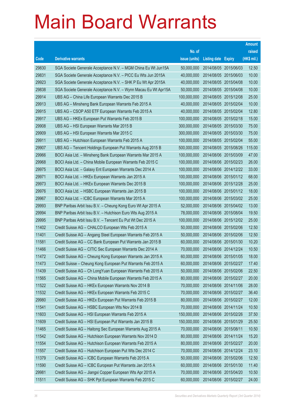|       |                                                                |               |                            | <b>Amount</b> |
|-------|----------------------------------------------------------------|---------------|----------------------------|---------------|
|       |                                                                | No. of        |                            | raised        |
| Code  | <b>Derivative warrants</b>                                     | issue (units) | <b>Listing date Expiry</b> | (HK\$ mil.)   |
| 29830 | SGA Societe Generale Acceptance N.V. - MGM China Eu Wt Jun15A  | 50,000,000    | 2014/08/05 2015/06/03      | 12.50         |
| 29831 | SGA Societe Generale Acceptance N.V. - PICC Eu Wts Jun 2015A   | 40,000,000    | 2014/08/05 2015/06/03      | 10.00         |
| 29923 | SGA Societe Generale Acceptance N.V. - SHK P Eu Wt Apr 2015A   | 40,000,000    | 2014/08/05 2015/04/08      | 10.00         |
| 29838 | SGA Societe Generale Acceptance N.V. - Wynn Macau Eu Wt Apr15A | 50,000,000    | 2014/08/05 2015/04/08      | 10.00         |
| 29914 | UBS AG - China Life European Warrants Dec 2015 B               | 100,000,000   | 2014/08/05 2015/12/08      | 25.00         |
| 29913 | UBS AG - Minsheng Bank European Warrants Feb 2015 A            | 40,000,000    | 2014/08/05 2015/02/04      | 10.00         |
| 29915 | UBS AG - CSOP A50 ETF European Warrants Feb 2015 A             | 40,000,000    | 2014/08/05 2015/02/04      | 12.80         |
| 29917 | UBS AG - HKEx European Put Warrants Feb 2015 B                 | 100,000,000   | 2014/08/05 2015/02/18      | 15.00         |
| 29908 | UBS AG - HSI European Warrants Mar 2015 B                      | 300,000,000   | 2014/08/05 2015/03/30      | 75.00         |
| 29909 | UBS AG - HSI European Warrants Mar 2015 C                      | 300,000,000   | 2014/08/05 2015/03/30      | 75.00         |
| 29911 | UBS AG - Hutchison European Warrants Feb 2015 A                | 100,000,000   | 2014/08/05 2015/02/04      | 55.00         |
| 29907 | UBS AG - Tencent Holdings European Put Warrants Aug 2015 B     | 500,000,000   | 2014/08/05 2015/08/26      | 115.00        |
| 29966 | BOCI Asia Ltd. - Minsheng Bank European Warrants Mar 2015 A    | 100,000,000   | 2014/08/06 2015/03/09      | 47.00         |
| 29968 | BOCI Asia Ltd. - China Mobile European Warrants Feb 2015 C     | 100,000,000   | 2014/08/06 2015/02/23      | 26.00         |
| 29975 | BOCI Asia Ltd. - Galaxy Ent European Warrants Dec 2014 A       | 100,000,000   | 2014/08/06 2014/12/22      | 33.00         |
| 29971 | BOCI Asia Ltd. - HKEx European Warrants Jan 2015 A             | 100,000,000   | 2014/08/06 2015/01/12      | 68.00         |
| 29973 | BOCI Asia Ltd. - HKEx European Warrants Dec 2015 B             | 100,000,000   | 2014/08/06 2015/12/28      | 25.00         |
| 29976 | BOCI Asia Ltd. - HSBC European Warrants Jan 2015 B             | 100,000,000   | 2014/08/06 2015/01/12      | 18.00         |
| 29967 | BOCI Asia Ltd. - ICBC European Warrants Mar 2015 A             | 100,000,000   | 2014/08/06 2015/03/02      | 25.00         |
| 29993 | BNP Paribas Arbit Issu B.V. - Cheung Kong Euro Wt Apr 2015 A   | 52,000,000    | 2014/08/06 2015/04/02      | 13.00         |
| 29994 | BNP Paribas Arbit Issu B.V. - Hutchison Euro Wts Aug 2015 A    | 78,000,000    | 2014/08/06 2015/08/04      | 19.50         |
| 29995 | BNP Paribas Arbit Issu B.V. - Tencent Eu Put Wt Dec 2015 A     | 100,000,000   | 2014/08/06 2015/12/02      | 25.00         |
| 11402 | Credit Suisse AG - CHALCO European Wts Feb 2015 A              | 50,000,000    | 2014/08/06 2015/02/06      | 12.50         |
| 11401 | Credit Suisse AG - Angang Steel European Warrants Feb 2015 A   | 50,000,000    | 2014/08/06 2015/02/06      | 12.50         |
| 11581 | Credit Suisse AG - CC Bank European Put Warrants Jan 2015 B    | 60,000,000    | 2014/08/06 2015/01/30      | 10.20         |
| 11466 | Credit Suisse AG - CITIC Sec European Warrants Dec 2014 A      | 70,000,000    | 2014/08/06 2014/12/24      | 10.50         |
| 11472 | Credit Suisse AG - Cheung Kong European Warrants Jan 2015 A    | 60,000,000    | 2014/08/06 2015/01/05      | 18.00         |
| 11473 | Credit Suisse - Cheung Kong European Put Warrants Feb 2015 A   | 60,000,000    | 2014/08/06 2015/02/27      | 17.40         |
| 11439 | Credit Suisse AG - Ch LongYuan European Warrants Feb 2015 A    | 50,000,000    | 2014/08/06 2015/02/06      | 22.50         |
| 11565 | Credit Suisse AG - China Mobile European Warrants Feb 2015 A   | 80,000,000    | 2014/08/06 2015/02/27      | 20.00         |
| 11522 | Credit Suisse AG - HKEx European Warrants Nov 2014 B           | 70,000,000    | 2014/08/06 2014/11/06      | 28.00         |
| 11532 | Credit Suisse AG - HKEx European Warrants Feb 2015 C           | 70,000,000    | 2014/08/06 2015/02/27      | 36.40         |
| 29980 | Credit Suisse AG - HKEx European Put Warrants Feb 2015 B       | 80,000,000    | 2014/08/06 2015/02/27      | 12.00         |
| 11541 | Credit Suisse AG - HSBC European Wts Nov 2014 B                | 70,000,000    | 2014/08/06 2014/11/24      | 10.50         |
| 11603 | Credit Suisse AG - HSI European Warrants Feb 2015 A            | 150,000,000   | 2014/08/06 2015/02/26      | 37.50         |
| 11609 | Credit Suisse AG - HSI European Put Warrants Jan 2015 B        | 150,000,000   | 2014/08/06 2015/01/29      | 25.50         |
| 11465 | Credit Suisse AG - Haitong Sec European Warrants Aug 2015 A    | 70,000,000    | 2014/08/06 2015/08/11      | 10.50         |
| 11542 | Credit Suisse AG - Hutchison European Warrants Nov 2014 D      | 80,000,000    | 2014/08/06 2014/11/24      | 15.20         |
| 11554 | Credit Suisse AG - Hutchison European Warrants Feb 2015 A      | 80,000,000    | 2014/08/06 2015/02/27      | 20.00         |
| 11557 | Credit Suisse AG - Hutchison European Put Wts Dec 2014 C       | 70,000,000    | 2014/08/06 2014/12/24      | 23.10         |
| 11379 | Credit Suisse AG - ICBC European Warrants Feb 2015 A           | 50,000,000    | 2014/08/06 2015/02/06      | 12.50         |
| 11590 | Credit Suisse AG - ICBC European Put Warrants Jan 2015 A       | 60,000,000    | 2014/08/06 2015/01/30      | 11.40         |
| 29981 | Credit Suisse AG - Jiangxi Copper European Wts Apr 2015 A      | 70,000,000    | 2014/08/06 2015/04/20      | 10.50         |
| 11511 | Credit Suisse AG - SHK Ppt European Warrants Feb 2015 C        | 60,000,000    | 2014/08/06 2015/02/27      | 24.00         |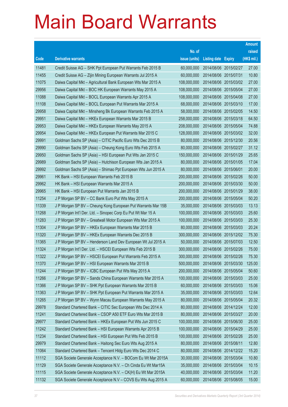|       |                                                               |               |                            | <b>Amount</b> |
|-------|---------------------------------------------------------------|---------------|----------------------------|---------------|
|       |                                                               | No. of        |                            | raised        |
| Code  | <b>Derivative warrants</b>                                    | issue (units) | <b>Listing date Expiry</b> | (HK\$ mil.)   |
| 11481 | Credit Suisse AG - SHK Ppt European Put Warrants Feb 2015 B   | 60,000,000    | 2014/08/06 2015/02/27      | 27.00         |
| 11455 | Credit Suisse AG - Zijin Mining European Warrants Jul 2015 A  | 60,000,000    | 2014/08/06 2015/07/31      | 10.80         |
| 11075 | Daiwa Capital Mkt - Agricultural Bank European Wts Mar 2015 A | 108,000,000   | 2014/08/06 2015/03/02      | 27.00         |
| 29956 | Daiwa Capital Mkt - BOC HK European Warrants May 2015 A       | 108,000,000   | 2014/08/06 2015/05/04      | 27.00         |
| 11088 | Daiwa Capital Mkt - BOCL European Warrants Apr 2015 A         | 108,000,000   | 2014/08/06 2015/04/08      | 27.00         |
| 11108 | Daiwa Capital Mkt - BOCL European Put Warrants Mar 2015 A     | 68,000,000    | 2014/08/06 2015/03/10      | 17.00         |
| 29958 | Daiwa Capital Mkt - Minsheng Bk European Warrants Feb 2015 A  | 58,000,000    | 2014/08/06 2015/02/05      | 14.50         |
| 29951 | Daiwa Capital Mkt - HKEx European Warrants Mar 2015 B         | 258,000,000   | 2014/08/06 2015/03/18      | 64.50         |
| 29953 | Daiwa Capital Mkt - HKEx European Warrants May 2015 A         | 208,000,000   | 2014/08/06 2015/05/04      | 74.88         |
| 29954 | Daiwa Capital Mkt - HKEx European Put Warrants Mar 2015 C     | 128,000,000   | 2014/08/06 2015/03/02      | 32.00         |
| 29991 | Goldman Sachs SP (Asia) - CITIC Pacific Euro Wts Dec 2015 B   | 80,000,000    | 2014/08/06 2015/12/30      | 20.56         |
| 29990 | Goldman Sachs SP (Asia) - Cheung Kong Euro Wts Feb 2015 A     | 80,000,000    | 2014/08/06 2015/02/27      | 31.12         |
| 29950 | Goldman Sachs SP (Asia) – HSI European Put Wts Jan 2015 C     | 150,000,000   | 2014/08/06 2015/01/29      | 25.65         |
| 29989 | Goldman Sachs SP (Asia) - Hutchison European Wts Jan 2015 A   | 80,000,000    | 2014/08/06 2015/01/05      | 17.04         |
| 29992 | Goldman Sachs SP (Asia) - Shimao Ppt European Wts Jun 2015 A  | 80,000,000    | 2014/08/06 2015/06/01      | 20.00         |
| 29961 | HK Bank – HSI European Warrants Feb 2015 B                    | 200,000,000   | 2014/08/06 2015/02/26      | 50.00         |
| 29962 | HK Bank – HSI European Warrants Mar 2015 A                    | 200,000,000   | 2014/08/06 2015/03/30      | 50.00         |
| 29965 | HK Bank - HSI European Put Warrants Jan 2015 B                | 200,000,000   | 2014/08/06 2015/01/29      | 38.00         |
| 11254 | J P Morgan SP BV - CC Bank Euro Put Wts May 2015 A            | 200,000,000   | 2014/08/06 2015/05/04      | 50.20         |
| 11339 | J P Morgan SP BV - Cheung Kong European Put Warrants Mar 15B  | 35,000,000    | 2014/08/06 2015/03/03      | 13.13         |
| 11268 | J P Morgan Int'l Der. Ltd. - Sinopec Corp Eu Put Wt Mar 15 A  | 100,000,000   | 2014/08/06 2015/03/03      | 25.60         |
| 11283 | J P Morgan SP BV - Greatwall Motor European Wts Mar 2015 A    | 100,000,000   | 2014/08/06 2015/03/03      | 25.30         |
| 11304 | J P Morgan SP BV - HKEx European Warrants Mar 2015 B          | 80,000,000    | 2014/08/06 2015/03/03      | 20.24         |
| 11320 | J P Morgan SP BV - HKEx European Warrants Dec 2015 B          | 300,000,000   | 2014/08/06 2015/12/02      | 75.30         |
| 11365 | J P Morgan SP BV - Henderson Land Dev European Wt Jul 2015 A  | 50,000,000    | 2014/08/06 2015/07/03      | 12.50         |
| 11324 | J P Morgan Int'l Der. Ltd. - HSCEI European Wts Feb 2015 B    | 300,000,000   | 2014/08/06 2015/02/26      | 75.00         |
| 11322 | J P Morgan SP BV - HSCEI European Put Warrants Feb 2015 A     | 300,000,000   | 2014/08/06 2015/02/26      | 75.30         |
| 11370 | J P Morgan SP BV - HSI European Warrants Mar 2015 B           | 500,000,000   | 2014/08/06 2015/03/30      | 125.00        |
| 11244 | J P Morgan SP BV - ICBC European Put Wts May 2015 A           | 200,000,000   | 2014/08/06 2015/05/04      | 50.60         |
| 11266 | J P Morgan SP BV - Sands China European Warrants Mar 2015 A   | 100,000,000   | 2014/08/06 2015/03/03      | 25.00         |
| 11366 | J P Morgan SP BV - SHK Ppt European Warrants Mar 2015 B       | 60,000,000    | 2014/08/06 2015/03/03      | 15.06         |
| 11363 | J P Morgan SP BV - SHK Ppt European Put Warrants Mar 2015 A   | 35,000,000    | 2014/08/06 2015/03/03      | 12.64         |
| 11265 | J P Morgan SP BV - Wynn Macau European Warrants May 2015 A    | 80,000,000    | 2014/08/06 2015/05/04      | 20.32         |
| 29978 | Standard Chartered Bank - CITIC Sec European Wts Dec 2014 A   | 80,000,000    | 2014/08/06 2014/12/24      | 12.00         |
| 11241 | Standard Chartered Bank - CSOP A50 ETF Euro Wts Mar 2015 B    | 80,000,000    | 2014/08/06 2015/03/27      | 20.00         |
| 29977 | Standard Chartered Bank - HKEx European Put Wts Jun 2015 C    | 100,000,000   | 2014/08/06 2015/06/30      | 25.00         |
| 11242 | Standard Chartered Bank - HSI European Warrants Apr 2015 B    | 100,000,000   | 2014/08/06 2015/04/29      | 25.00         |
| 11234 | Standard Chartered Bank - HSI European Put Wts Feb 2015 B     | 100,000,000   | 2014/08/06 2015/02/26      | 25.00         |
| 29979 | Standard Chartered Bank - Haitong Sec Euro Wts Aug 2015 A     | 80,000,000    | 2014/08/06 2015/08/11      | 12.80         |
| 11064 | Standard Chartered Bank - Tencent Hidg Euro Wts Dec 2014 C    | 80,000,000    | 2014/08/06 2014/12/22      | 15.20         |
| 11112 | SGA Societe Generale Acceptance N.V. - BOCom Eu Wt Mar 2015A  | 30,000,000    | 2014/08/06 2015/03/04      | 10.80         |
| 11129 | SGA Societe Generale Acceptance N.V. - Ch Cinda Eu Wt Mar15A  | 35,000,000    | 2014/08/06 2015/03/04      | 10.15         |
| 11115 | SGA Societe Generale Acceptance N.V. - CK(H) Eu Wt Mar 2015A  | 40,000,000    | 2014/08/06 2015/03/04      | 11.20         |
| 11132 | SGA Societe Generale Acceptance N.V - COVS Eu Wts Aug 2015 A  | 60,000,000    | 2014/08/06 2015/08/05      | 15.00         |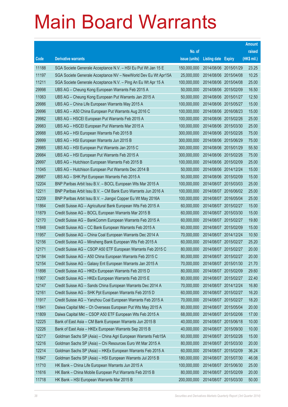|       |                                                                |               |                            |                       | <b>Amount</b> |
|-------|----------------------------------------------------------------|---------------|----------------------------|-----------------------|---------------|
|       |                                                                | No. of        |                            |                       | raised        |
| Code  | <b>Derivative warrants</b>                                     | issue (units) | <b>Listing date Expiry</b> |                       | (HK\$ mil.)   |
| 11188 | SGA Societe Generale Acceptance N.V. - HSI Eu Put Wt Jan 15 E  | 150,000,000   | 2014/08/06 2015/01/29      |                       | 23.25         |
| 11197 | SGA Societe Generale Acceptance NV - NewWorld Dev Eu Wt Apr15A | 25,000,000    | 2014/08/06 2015/04/08      |                       | 10.25         |
| 11211 | SGA Societe Generale Acceptance N.V. - Ping An Eu Wt Apr 15 A  | 100,000,000   | 2014/08/06 2015/04/08      |                       | 25.00         |
| 29998 | UBS AG - Cheung Kong European Warrants Feb 2015 A              | 50,000,000    |                            | 2014/08/06 2015/02/09 | 16.50         |
| 11063 | UBS AG - Cheung Kong European Put Warrants Jan 2015 A          | 50,000,000    |                            | 2014/08/06 2015/01/27 | 12.50         |
| 29986 | UBS AG - China Life European Warrants May 2015 A               | 100,000,000   |                            | 2014/08/06 2015/05/27 | 15.00         |
| 29996 | UBS AG - A50 China European Put Warrants Aug 2016 C            | 100,000,000   | 2014/08/06 2016/08/23      |                       | 15.00         |
| 29982 | UBS AG - HSCEI European Put Warrants Feb 2015 A                | 100,000,000   |                            | 2014/08/06 2015/02/26 | 25.00         |
| 29983 | UBS AG - HSCEI European Put Warrants Mar 2015 A                | 100,000,000   |                            | 2014/08/06 2015/03/30 | 25.00         |
| 29988 | UBS AG - HSI European Warrants Feb 2015 B                      | 300,000,000   |                            | 2014/08/06 2015/02/26 | 75.00         |
| 29999 | UBS AG - HSI European Warrants Jun 2015 B                      | 300,000,000   | 2014/08/06 2015/06/29      |                       | 75.00         |
| 29985 | UBS AG - HSI European Put Warrants Jan 2015 C                  | 300,000,000   |                            | 2014/08/06 2015/01/29 | 55.50         |
| 29984 | UBS AG - HSI European Put Warrants Feb 2015 A                  | 300,000,000   |                            | 2014/08/06 2015/02/26 | 75.00         |
| 29997 | UBS AG - Hutchison European Warrants Feb 2015 B                | 100,000,000   |                            | 2014/08/06 2015/02/09 | 25.00         |
| 11045 | UBS AG - Hutchison European Put Warrants Dec 2014 B            | 50,000,000    | 2014/08/06 2014/12/24      |                       | 15.00         |
| 29987 | UBS AG - SHK Ppt European Warrants Feb 2015 A                  | 50,000,000    |                            | 2014/08/06 2015/02/09 | 15.00         |
| 12204 | BNP Paribas Arbit Issu B.V. - BOCL European Wts Mar 2015 A     | 100,000,000   |                            | 2014/08/07 2015/03/03 | 25.00         |
| 12211 | BNP Paribas Arbit Issu B.V. - CM Bank Euro Warrants Jun 2016 A | 100,000,000   |                            | 2014/08/07 2016/06/02 | 25.00         |
| 12209 | BNP Paribas Arbit Issu B.V. - Jiangxi Copper Eu Wt May 2016A   | 100,000,000   | 2014/08/07 2016/05/04      |                       | 25.00         |
| 11864 | Credit Suisse AG - Agricultural Bank European Wts Feb 2015 A   | 60,000,000    |                            | 2014/08/07 2015/02/27 | 15.00         |
| 11879 | Credit Suisse AG - BOCL European Warrants Mar 2015 B           | 60,000,000    |                            | 2014/08/07 2015/03/30 | 15.00         |
| 12170 | Credit Suisse AG - BankComm European Warrants Feb 2015 A       | 60,000,000    |                            | 2014/08/07 2015/02/27 | 19.80         |
| 11848 | Credit Suisse AG - CC Bank European Warrants Feb 2015 A        | 60,000,000    | 2014/08/07 2015/02/09      |                       | 15.00         |
| 11957 | Credit Suisse AG - China Coal European Warrants Dec 2014 A     | 70,000,000    |                            | 2014/08/07 2014/12/24 | 10.50         |
| 12156 | Credit Suisse AG - Minsheng Bank European Wts Feb 2015 A       | 60,000,000    | 2014/08/07 2015/02/27      |                       | 25.20         |
| 12171 | Credit Suisse AG - CSOP A50 ETF European Warrants Feb 2015 C   | 80,000,000    | 2014/08/07 2015/02/27      |                       | 20.00         |
| 12184 | Credit Suisse AG - A50 China European Warrants Feb 2015 C      | 80,000,000    | 2014/08/07 2015/02/27      |                       | 20.00         |
| 12154 | Credit Suisse AG - Galaxy Ent European Warrants Jan 2015 A     | 70,000,000    | 2014/08/07 2015/01/30      |                       | 21.70         |
| 11898 | Credit Suisse AG - HKEx European Warrants Feb 2015 D           | 80,000,000    | 2014/08/07 2015/02/09      |                       | 29.60         |
| 11907 | Credit Suisse AG - HKEx European Warrants Feb 2015 E           | 80,000,000    | 2014/08/07 2015/02/27      |                       | 22.40         |
| 12147 | Credit Suisse AG - Sands China European Warrants Dec 2014 A    | 70,000,000    | 2014/08/07 2014/12/24      |                       | 16.80         |
| 12161 | Credit Suisse AG - SHK Ppt European Warrants Feb 2015 D        | 60,000,000    | 2014/08/07 2015/02/27      |                       | 16.20         |
| 11917 | Credit Suisse AG - Yanzhou Coal European Warrants Feb 2015 A   | 70,000,000    | 2014/08/07 2015/02/27      |                       | 18.20         |
| 11841 | Daiwa Capital Mkt - Ch Overseas European Put Wts May 2015 A    | 80,000,000    | 2014/08/07 2015/05/04      |                       | 20.00         |
| 11809 | Daiwa Capital Mkt - CSOP A50 ETF European Wts Feb 2015 A       | 68,000,000    | 2014/08/07 2015/02/06      |                       | 17.00         |
| 12225 | Bank of East Asia - CM Bank European Warrants Jun 2015 B       | 40,000,000    | 2014/08/07 2015/06/18      |                       | 10.00         |
| 12226 | Bank of East Asia - HKEx European Warrants Sep 2015 B          | 40,000,000    | 2014/08/07 2015/09/30      |                       | 10.00         |
| 12217 | Goldman Sachs SP (Asia) - China Agri European Warrants Feb15A  | 60,000,000    |                            | 2014/08/07 2015/02/26 | 15.00         |
| 12216 | Goldman Sachs SP (Asia) - Chi Resources Euro Wt Mar 2015 A     | 80,000,000    | 2014/08/07 2015/03/30      |                       | 20.00         |
| 12214 | Goldman Sachs SP (Asia) - HKEx European Warrants Feb 2015 A    | 60,000,000    | 2014/08/07 2015/02/09      |                       | 36.24         |
| 11847 | Goldman Sachs SP (Asia) - HSI European Warrants Jul 2015 B     | 180,000,000   | 2014/08/07 2015/07/30      |                       | 46.08         |
| 11710 | HK Bank - China Life European Warrants Jun 2015 A              | 100,000,000   | 2014/08/07 2015/06/30      |                       | 25.00         |
| 11616 | HK Bank - China Mobile European Put Warrants Feb 2015 B        | 80,000,000    | 2014/08/07 2015/02/09      |                       | 20.00         |
| 11718 | HK Bank - HSI European Warrants Mar 2015 B                     | 200,000,000   | 2014/08/07 2015/03/30      |                       | 50.00         |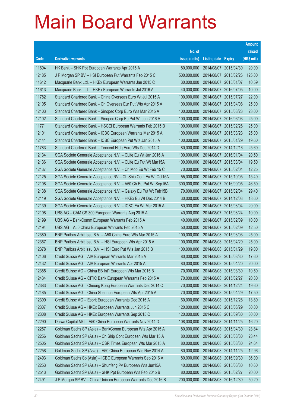|       |                                                                |               |                            | <b>Amount</b> |
|-------|----------------------------------------------------------------|---------------|----------------------------|---------------|
|       |                                                                | No. of        |                            | raised        |
| Code  | <b>Derivative warrants</b>                                     | issue (units) | <b>Listing date Expiry</b> | (HK\$ mil.)   |
| 11694 | HK Bank – SHK Ppt European Warrants Apr 2015 A                 | 80,000,000    | 2014/08/07 2015/04/30      | 20.00         |
| 12185 | J P Morgan SP BV - HSI European Put Warrants Feb 2015 C        | 500,000,000   | 2014/08/07 2015/02/26      | 125.00        |
| 11612 | Macquarie Bank Ltd. - HKEx European Warrants Jan 2015 C        | 30,000,000    | 2014/08/07 2015/01/07      | 10.59         |
| 11613 | Macquarie Bank Ltd. - HKEx European Warrants Jul 2016 A        | 40,000,000    | 2014/08/07 2016/07/05      | 10.00         |
| 11782 | Standard Chartered Bank - China Overseas Euro Wt Jul 2015 A    | 100,000,000   | 2014/08/07 2015/07/27      | 22.00         |
| 12105 | Standard Chartered Bank – Ch Overseas Eur Put Wts Apr 2015 A   | 100,000,000   | 2014/08/07 2015/04/08      | 25.00         |
| 12103 | Standard Chartered Bank - Sinopec Corp Euro Wts Mar 2015 A     | 100,000,000   | 2014/08/07 2015/03/23      | 23.00         |
| 12102 | Standard Chartered Bank – Sinopec Corp Eu Put Wt Jun 2016 A    | 100,000,000   | 2014/08/07 2016/06/03      | 25.00         |
| 11771 | Standard Chartered Bank - HSCEI European Warrants Feb 2015 B   | 100,000,000   | 2014/08/07 2015/02/26      | 25.00         |
| 12101 | Standard Chartered Bank - ICBC European Warrants Mar 2015 A    | 100,000,000   | 2014/08/07 2015/03/23      | 25.00         |
| 12141 | Standard Chartered Bank - ICBC European Put Wts Jan 2015 A     | 100,000,000   | 2014/08/07 2015/01/29      | 19.60         |
| 11783 | Standard Chartered Bank – Tencent Hidg Euro Wts Dec 2014 D     | 80,000,000    | 2014/08/07 2014/12/16      | 25.60         |
| 12134 | SGA Societe Generale Acceptance N.V. - CLife Eu Wt Jan 2016 A  | 100,000,000   | 2014/08/07 2016/01/04      | 20.50         |
| 12136 | SGA Societe Generale Acceptance N.V. - CLife Eu Put Wt Mar15A  | 100,000,000   | 2014/08/07 2015/03/04      | 19.50         |
| 12137 | SGA Societe Generale Acceptance N.V. - Ch Mob Eu Wt Feb 15 C   | 70,000,000    | 2014/08/07 2015/02/04      | 12.25         |
| 12125 | SGA Societe Generale Acceptance NV - Ch Ship Cont Eu Wt Oct15A | 55,000,000    | 2014/08/07 2015/10/05      | 15.40         |
| 12108 | SGA Societe Generale Acceptance N.V. - A50 Ch Eu Put Wt Sep16A | 300,000,000   | 2014/08/07 2016/09/05      | 46.50         |
| 12138 | SGA Societe Generale Acceptance N.V. - Galaxy Eu Put Wt Feb15B | 70,000,000    | 2014/08/07 2015/02/04      | 29.40         |
| 12119 | SGA Societe Generale Acceptance N.V. - HKEx Eu Wt Dec 2014 B   | 30,000,000    | 2014/08/07 2014/12/03      | 18.60         |
| 12139 | SGA Societe Generale Acceptance N.V. - ICBC Eu Wt Mar 2015 A   | 80,000,000    | 2014/08/07 2015/03/04      | 20.00         |
| 12198 | UBS AG - CAM CSI300 European Warrants Aug 2015 A               | 40,000,000    | 2014/08/07 2015/08/24      | 10.00         |
| 12199 | UBS AG - BankComm European Warrants Feb 2015 A                 | 40,000,000    | 2014/08/07 2015/02/09      | 10.00         |
| 12194 | UBS AG - A50 China European Warrants Feb 2015 A                | 50,000,000    | 2014/08/07 2015/02/09      | 12.50         |
| 12380 | BNP Paribas Arbit Issu B.V. - A50 China Euro Wts Mar 2015 A    | 100,000,000   | 2014/08/08 2015/03/03      | 25.00         |
| 12367 | BNP Paribas Arbit Issu B.V. - HSI European Wts Apr 2015 A      | 100,000,000   | 2014/08/08 2015/04/29      | 25.00         |
| 12378 | BNP Paribas Arbit Issu B.V. - HSI Euro Put Wts Jan 2015 B      | 100,000,000   | 2014/08/08 2015/01/29      | 19.00         |
| 12406 | Credit Suisse AG – AIA European Warrants Mar 2015 A            | 80,000,000    | 2014/08/08 2015/03/30      | 17.60         |
| 12432 | Credit Suisse AG - AIA European Warrants Apr 2015 A            | 80,000,000    | 2014/08/08 2015/04/20      | 20.00         |
| 12385 | Credit Suisse AG - China EB Int'l European Wts Mar 2015 B      | 70,000,000    | 2014/08/08 2015/03/30      | 10.50         |
| 12434 | Credit Suisse AG - CITIC Bank European Warrants Feb 2015 A     | 70,000,000    | 2014/08/08 2015/02/27      | 20.30         |
| 12383 | Credit Suisse AG - Cheung Kong European Warrants Dec 2014 C    | 70,000,000    | 2014/08/08 2014/12/24      | 19.60         |
| 12485 | Credit Suisse AG - China Shenhua European Wts Apr 2015 A       | 70,000,000    | 2014/08/08 2015/04/29      | 17.50         |
| 12399 | Credit Suisse AG - Esprit European Warrants Dec 2015 A         | 60,000,000    | 2014/08/08 2015/12/28      | 13.80         |
| 12307 | Credit Suisse AG - HKEx European Warrants Jun 2015 C           | 120,000,000   | 2014/08/08 2015/06/29      | 30.00         |
| 12308 | Credit Suisse AG - HKEx European Warrants Sep 2015 C           | 120,000,000   | 2014/08/08 2015/09/30      | 30.00         |
| 12290 | Daiwa Capital Mkt - A50 China European Warrants Nov 2014 D     | 108,000,000   | 2014/08/08 2014/11/25      | 16.20         |
| 12257 | Goldman Sachs SP (Asia) - BankComm European Wts Apr 2015 A     | 80,000,000    | 2014/08/08 2015/04/30      | 23.84         |
| 12256 | Goldman Sachs SP (Asia) - Ch Ship Cont European Wts Mar 15 A   | 80,000,000    | 2014/08/08 2015/03/30      | 23.44         |
| 12505 | Goldman Sachs SP (Asia) - CSR Times European Wts Mar 2015 A    | 80,000,000    | 2014/08/08 2015/03/30      | 24.64         |
| 12258 | Goldman Sachs SP (Asia) - A50 China European Wts Nov 2014 A    | 80,000,000    | 2014/08/08 2014/11/25      | 12.96         |
| 12493 | Goldman Sachs Sp (Asia) - ICBC European Warrants Sep 2016 A    | 80,000,000    | 2014/08/08 2016/09/30      | 36.00         |
| 12253 | Goldman Sachs SP (Asia) - Shunfeng Pv European Wts Jun15A      | 40,000,000    | 2014/08/08 2015/06/30      | 10.60         |
| 12513 | Goldman Sachs SP (Asia) - SHK Ppt European Wts Feb 2015 B      | 80,000,000    | 2014/08/08 2015/02/27      | 20.00         |
| 12491 | J P Morgan SP BV - China Unicom European Warrants Dec 2016 B   | 200,000,000   | 2014/08/08 2016/12/30      | 50.20         |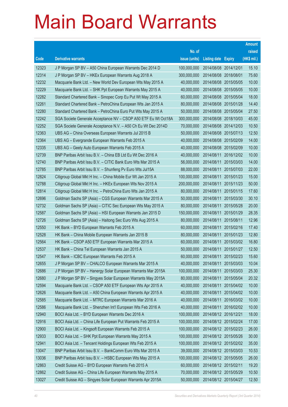|       |                                                                |               |                       |                       | <b>Amount</b> |
|-------|----------------------------------------------------------------|---------------|-----------------------|-----------------------|---------------|
|       |                                                                | No. of        |                       |                       | raised        |
| Code  | <b>Derivative warrants</b>                                     | issue (units) | Listing date Expiry   |                       | (HK\$ mil.)   |
| 12323 | J P Morgan SP BV - A50 China European Warrants Dec 2014 D      | 100,000,000   | 2014/08/08 2014/12/01 |                       | 15.10         |
| 12314 | J P Morgan SP BV - HKEx European Warrants Aug 2018 A           | 300,000,000   | 2014/08/08 2018/08/01 |                       | 75.60         |
| 12232 | Macquarie Bank Ltd. - New World Dev European Wts May 2015 A    | 40,000,000    | 2014/08/08 2015/05/05 |                       | 10.00         |
| 12229 | Macquarie Bank Ltd. - SHK Ppt European Warrants May 2015 A     | 40,000,000    |                       | 2014/08/08 2015/05/05 | 10.00         |
| 12282 | Standard Chartered Bank - Sinopec Corp Eu Put Wt May 2015 A    | 60,000,000    |                       | 2014/08/08 2015/05/04 | 18.00         |
| 12261 | Standard Chartered Bank - PetroChina European Wts Jan 2015 A   | 80,000,000    |                       | 2014/08/08 2015/01/28 | 14.40         |
| 12280 | Standard Chartered Bank - PetroChina Euro Put Wts May 2015 A   | 50,000,000    | 2014/08/08 2015/05/04 |                       | 27.50         |
| 12242 | SGA Societe Generale Acceptance NV - CSOP A50 ETF Eu Wt Oct18A | 300,000,000   |                       | 2014/08/08 2018/10/03 | 45.00         |
| 12252 | SGA Societe Generale Acceptance N.V. - A50 Ch Eu Wt Dec 2014D  | 70,000,000    |                       | 2014/08/08 2014/12/03 | 10.50         |
| 12363 | UBS AG - China Overseas European Warrants Jul 2015 B           | 50,000,000    |                       | 2014/08/08 2015/07/13 | 12.50         |
| 12364 | UBS AG - Evergrande European Warrants Feb 2015 A               | 40,000,000    | 2014/08/08 2015/02/09 |                       | 14.00         |
| 12335 | UBS AG - Geely Auto European Warrants Feb 2015 A               | 40,000,000    |                       | 2014/08/08 2015/02/09 | 10.00         |
| 12739 | BNP Paribas Arbit Issu B.V. - China EB Ltd Eu Wt Dec 2016 A    | 40,000,000    | 2014/08/11            | 2016/12/02            | 10.00         |
| 12740 | BNP Paribas Arbit Issu B.V. - CITIC Bank Euro Wts Mar 2015 A   | 56,000,000    | 2014/08/11            | 2015/03/03            | 14.00         |
| 12785 | BNP Paribas Arbit Issu B.V. - Shunfeng Pv Euro Wts Jul15A      | 88,000,000    | 2014/08/11            | 2015/07/03            | 22.00         |
| 12824 | Citigroup Global Mkt H Inc. - China Mobile Eur Wt Jan 2015 A   | 100,000,000   | 2014/08/11            | 2015/01/23            | 15.00         |
| 12788 | Citigroup Global Mkt H Inc. - HKEx European Wts Nov 2015 A     | 200,000,000   | 2014/08/11            | 2015/11/23            | 50.00         |
| 12814 | Citigroup Global Mkt H Inc. - PetroChina Euro Wts Jan 2015 A   | 80,000,000    | 2014/08/11            | 2015/01/15            | 17.60         |
| 12696 | Goldman Sachs SP (Asia) - CGS European Warrants Mar 2015 A     | 50,000,000    | 2014/08/11            | 2015/03/30            | 30.10         |
| 12732 | Goldman Sachs SP (Asia) - CITIC Sec European Wts May 2015 A    | 80,000,000    | 2014/08/11            | 2015/05/28            | 20.00         |
| 12587 | Goldman Sachs SP (Asia) - HSI European Warrants Jan 2015 D     | 150,000,000   | 2014/08/11            | 2015/01/29            | 28.35         |
| 12726 | Goldman Sachs SP (Asia) - Haitong Sec Euro Wts Aug 2015 A      | 80,000,000    | 2014/08/11            | 2015/08/11            | 12.96         |
| 12550 | HK Bank - BYD European Warrants Feb 2015 A                     | 60,000,000    | 2014/08/11            | 2015/02/16            | 17.40         |
| 12528 | HK Bank - China Mobile European Warrants Jan 2015 B            | 80,000,000    | 2014/08/11            | 2015/01/23            | 12.80         |
| 12564 | HK Bank - CSOP A50 ETF European Warrants Mar 2015 A            | 60,000,000    | 2014/08/11            | 2015/03/02            | 16.80         |
| 12537 | HK Bank - China Tel European Warrants Jan 2015 A               | 50,000,000    | 2014/08/11            | 2015/01/27            | 12.50         |
| 12547 | HK Bank – ICBC European Warrants Feb 2015 A                    | 60,000,000    | 2014/08/11            | 2015/02/23            | 15.60         |
| 12655 | J P Morgan SP BV - CHALCO European Warrants Mar 2015 A         | 40,000,000    | 2014/08/11            | 2015/03/03            | 10.04         |
| 12686 | J P Morgan SP BV - Hanergy Solar European Warrants Mar 2015A   | 100,000,000   | 2014/08/11            | 2015/03/03            | 25.30         |
| 12680 | J P Morgan SP BV - Singyes Solar European Warrants May 2015A   | 80,000,000    | 2014/08/11            | 2015/05/04            | 20.32         |
| 12594 | Macquarie Bank Ltd. - CSOP A50 ETF European Wts Apr 2015 A     | 40,000,000    | 2014/08/11            | 2015/04/02            | 10.00         |
| 12626 | Macquarie Bank Ltd. - A50 China European Warrants Apr 2015 A   | 40,000,000    | 2014/08/11            | 2015/04/02            | 10.00         |
| 12585 | Macquarie Bank Ltd. - MTRC European Warrants Mar 2016 A        | 40,000,000    | 2014/08/11            | 2016/03/02            | 10.00         |
| 12586 | Macquarie Bank Ltd. - Shenzhen Int'l European Wts Feb 2016 A   | 40,000,000    | 2014/08/11            | 2016/02/02            | 10.00         |
| 12940 | BOCI Asia Ltd. - BYD European Warrants Dec 2016 A              | 100,000,000   | 2014/08/12 2016/12/21 |                       | 18.00         |
| 12916 | BOCI Asia Ltd. - China Life European Put Warrants Feb 2015 A   | 100,000,000   | 2014/08/12 2015/02/24 |                       | 17.00         |
| 12900 | BOCI Asia Ltd. - Kingsoft European Warrants Feb 2015 A         | 100,000,000   | 2014/08/12 2015/02/23 |                       | 26.00         |
| 12933 | BOCI Asia Ltd. - SHK Ppt European Warrants May 2015 A          | 100,000,000   | 2014/08/12 2015/05/26 |                       | 30.00         |
| 12941 | BOCI Asia Ltd. - Tencent Holdings European Wts Feb 2015 A      | 100,000,000   |                       | 2014/08/12 2015/02/02 | 35.00         |
| 13047 | BNP Paribas Arbit Issu B.V. - BankComm Euro Wts Mar 2015 A     | 39,000,000    | 2014/08/12 2015/03/03 |                       | 10.53         |
| 13036 | BNP Paribas Arbit Issu B.V. - HSBC European Wts May 2015 A     | 100,000,000   | 2014/08/12 2015/05/05 |                       | 26.00         |
| 12863 | Credit Suisse AG - BYD European Warrants Feb 2015 A            | 60,000,000    | 2014/08/12 2015/02/11 |                       | 19.20         |
| 12862 | Credit Suisse AG - China Life European Warrants May 2015 A     | 70,000,000    | 2014/08/12 2015/05/29 |                       | 10.50         |
| 13027 | Credit Suisse AG - Singyes Solar European Warrants Apr 2015A   | 50,000,000    | 2014/08/12 2015/04/27 |                       | 12.50         |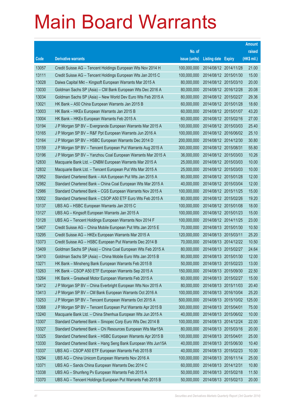|       |                                                              |               |                       |                       | <b>Amount</b> |
|-------|--------------------------------------------------------------|---------------|-----------------------|-----------------------|---------------|
|       |                                                              | No. of        |                       |                       | raised        |
| Code  | <b>Derivative warrants</b>                                   | issue (units) | Listing date Expiry   |                       | (HK\$ mil.)   |
| 13057 | Credit Suisse AG - Tencent Holdings European Wts Nov 2014 H  | 100,000,000   | 2014/08/12 2014/11/28 |                       | 21.00         |
| 13111 | Credit Suisse AG - Tencent Holdings European Wts Jan 2015 C  | 100,000,000   | 2014/08/12 2015/01/30 |                       | 15.00         |
| 13028 | Daiwa Capital Mkt - Kingsoft European Warrants Mar 2015 A    | 80,000,000    | 2014/08/12 2015/03/10 |                       | 20.00         |
| 13030 | Goldman Sachs SP (Asia) - CM Bank European Wts Dec 2016 A    | 80,000,000    | 2014/08/12 2016/12/28 |                       | 20.08         |
| 13034 | Goldman Sachs SP (Asia) - New World Dev Euro Wts Feb 2015 A  | 80,000,000    |                       | 2014/08/12 2015/02/27 | 29.36         |
| 13021 | HK Bank - A50 China European Warrants Jan 2015 B             | 60,000,000    | 2014/08/12 2015/01/28 |                       | 18.60         |
| 13003 | HK Bank - HKEx European Warrants Jan 2015 B                  | 60,000,000    | 2014/08/12 2015/01/07 |                       | 43.20         |
| 13004 | HK Bank – HKEx European Warrants Feb 2015 A                  | 60,000,000    | 2014/08/12 2015/02/16 |                       | 27.00         |
| 13194 | J P Morgan SP BV - Evergrande European Warrants Mar 2015 A   | 100,000,000   |                       | 2014/08/12 2015/03/03 | 25.40         |
| 13165 | J P Morgan SP BV - R&F Ppt European Warrants Jun 2016 A      | 100,000,000   |                       | 2014/08/12 2016/06/02 | 25.10         |
| 13164 | J P Morgan SP BV - HSBC European Warrants Dec 2014 D         | 200,000,000   | 2014/08/12 2014/12/30 |                       | 30.80         |
| 13159 | J P Morgan SP BV – Tencent European Put Warrants Aug 2015 A  | 300,000,000   | 2014/08/12 2015/08/31 |                       | 55.80         |
| 13196 | J P Morgan SP BV - Yanzhou Coal European Warrants Mar 2015 A | 36,000,000    |                       | 2014/08/12 2015/03/03 | 10.26         |
| 12830 | Macquarie Bank Ltd. - CNBM European Warrants Mar 2015 A      | 25,000,000    | 2014/08/12 2015/03/03 |                       | 10.00         |
| 12832 | Macquarie Bank Ltd. - Tencent European Put Wts Mar 2015 A    | 25,000,000    |                       | 2014/08/12 2015/03/03 | 10.00         |
| 12952 | Standard Chartered Bank - AIA European Put Wts Jan 2015 A    | 80,000,000    | 2014/08/12 2015/01/28 |                       | 12.00         |
| 12982 | Standard Chartered Bank - China Coal European Wts Mar 2015 A | 40,000,000    |                       | 2014/08/12 2015/03/04 | 12.00         |
| 12986 | Standard Chartered Bank - CGS European Warrants Nov 2015 A   | 100,000,000   | 2014/08/12 2015/11/25 |                       | 15.00         |
| 13002 | Standard Chartered Bank - CSOP A50 ETF Euro Wts Feb 2015 A   | 80,000,000    |                       | 2014/08/12 2015/02/26 | 19.20         |
| 13137 | UBS AG - HSBC European Warrants Jan 2015 C                   | 100,000,000   | 2014/08/12 2015/01/08 |                       | 18.00         |
| 13127 | UBS AG - Kingsoft European Warrants Jan 2015 A               | 100,000,000   |                       | 2014/08/12 2015/01/23 | 15.00         |
| 13128 | UBS AG - Tencent Holdings European Warrants Nov 2014 F       | 100,000,000   | 2014/08/12 2014/11/25 |                       | 23.00         |
| 13407 | Credit Suisse AG - China Mobile European Put Wts Jan 2015 E  | 70,000,000    |                       | 2014/08/13 2015/01/30 | 10.50         |
| 13295 | Credit Suisse AG - HKEx European Warrants Mar 2015 A         | 120,000,000   | 2014/08/13 2015/03/11 |                       | 25.20         |
| 13373 | Credit Suisse AG - HSBC European Put Warrants Dec 2014 B     | 70,000,000    |                       | 2014/08/13 2014/12/22 | 10.50         |
| 13409 | Goldman Sachs SP (Asia) - China Coal European Wts Feb 2015 A | 80.000.000    | 2014/08/13 2015/02/27 |                       | 24.64         |
| 13410 | Goldman Sachs SP (Asia) - China Mobile Euro Wts Jan 2015 B   | 80,000,000    | 2014/08/13 2015/01/30 |                       | 12.00         |
| 13271 | HK Bank - Minsheng Bank European Warrants Feb 2015 B         | 50,000,000    | 2014/08/13 2015/02/23 |                       | 13.00         |
| 13263 | HK Bank - CSOP A50 ETF European Warrants Sep 2015 A          | 150,000,000   | 2014/08/13 2015/09/30 |                       | 22.50         |
| 13264 | HK Bank - Greatwall Motor European Warrants Feb 2015 A       | 60,000,000    | 2014/08/13 2015/02/27 |                       | 15.00         |
| 13412 | J P Morgan SP BV - China Everbright European Wts Nov 2015 A  | 80,000,000    | 2014/08/13 2015/11/03 |                       | 20.40         |
| 13413 | J P Morgan SP BV - CM Bank European Warrants Oct 2016 A      | 100,000,000   | 2014/08/13 2016/10/04 |                       | 25.20         |
| 13253 | J P Morgan SP BV - Tencent European Warrants Oct 2015 A      | 500,000,000   |                       | 2014/08/13 2015/10/02 | 125.00        |
| 13368 | J P Morgan SP BV - Tencent European Put Warrants Apr 2015 B  | 300,000,000   | 2014/08/13 2015/04/01 |                       | 75.00         |
| 13240 | Macquarie Bank Ltd. - China Shenhua European Wts Jun 2015 A  | 40,000,000    | 2014/08/13 2015/06/02 |                       | 10.00         |
| 13307 | Standard Chartered Bank - Sinopec Corp Euro Wts Dec 2014 B   | 100,000,000   | 2014/08/13 2014/12/24 |                       | 22.00         |
| 13327 | Standard Chartered Bank - Chi Resources European Wts Mar15A  | 80,000,000    | 2014/08/13 2015/03/16 |                       | 20.00         |
| 13325 | Standard Chartered Bank - HSBC European Warrants Apr 2015 B  | 100,000,000   | 2014/08/13 2015/04/01 |                       | 25.00         |
| 13330 | Standard Chartered Bank - Hang Seng Bank European Wts Jun15A | 40,000,000    | 2014/08/13 2015/06/30 |                       | 10.40         |
| 13337 | UBS AG - CSOP A50 ETF European Warrants Feb 2015 B           | 40,000,000    | 2014/08/13 2015/02/23 |                       | 10.00         |
| 13294 | UBS AG - China Unicom European Warrants Nov 2016 A           | 100,000,000   | 2014/08/13 2016/11/14 |                       | 25.00         |
| 13371 | UBS AG - Sands China European Warrants Dec 2014 C            | 60,000,000    | 2014/08/13 2014/12/31 |                       | 10.80         |
| 13338 | UBS AG - Shunfeng Pv European Warrants Feb 2015 A            | 50,000,000    | 2014/08/13 2015/02/18 |                       | 11.50         |
| 13370 | UBS AG - Tencent Holdings European Put Warrants Feb 2015 B   | 50,000,000    | 2014/08/13 2015/02/13 |                       | 20.00         |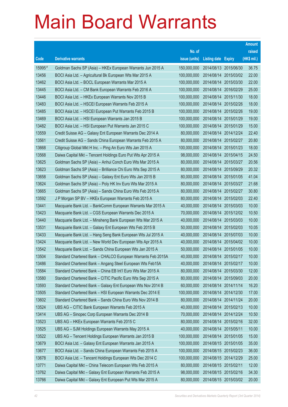|        |                                                              |               |                            |            | <b>Amount</b> |
|--------|--------------------------------------------------------------|---------------|----------------------------|------------|---------------|
|        |                                                              | No. of        |                            |            | raised        |
| Code   | <b>Derivative warrants</b>                                   | issue (units) | <b>Listing date Expiry</b> |            | (HK\$ mil.)   |
| 15995# | Goldman Sachs SP (Asia) – HKEx European Warrants Jun 2015 A  | 150,000,000   | 2014/08/13 2015/06/30      |            | 36.75         |
| 13456  | BOCI Asia Ltd. - Agricultural Bk European Wts Mar 2015 A     | 100,000,000   | 2014/08/14                 | 2015/03/02 | 22.00         |
| 13462  | BOCI Asia Ltd. - BOCL European Warrants Mar 2015 A           | 100,000,000   | 2014/08/14                 | 2015/03/30 | 22.00         |
| 13445  | BOCI Asia Ltd. - CM Bank European Warrants Feb 2016 A        | 100,000,000   | 2014/08/14 2016/02/29      |            | 25.00         |
| 13446  | BOCI Asia Ltd. - HKEx European Warrants Nov 2015 B           | 100,000,000   | 2014/08/14                 | 2015/11/30 | 18.00         |
| 13483  | BOCI Asia Ltd. - HSCEI European Warrants Feb 2015 A          | 100,000,000   | 2014/08/14 2015/02/26      |            | 18.00         |
| 13485  | BOCI Asia Ltd. - HSCEI European Put Warrants Feb 2015 B      | 100,000,000   | 2014/08/14                 | 2015/02/26 | 19.00         |
| 13469  | BOCI Asia Ltd. - HSI European Warrants Jan 2015 B            | 100,000,000   | 2014/08/14 2015/01/29      |            | 19.00         |
| 13482  | BOCI Asia Ltd. - HSI European Put Warrants Jan 2015 C        | 100,000,000   | 2014/08/14 2015/01/29      |            | 15.00         |
| 13559  | Credit Suisse AG - Galaxy Ent European Warrants Dec 2014 A   | 80,000,000    | 2014/08/14 2014/12/24      |            | 22.40         |
| 13561  | Credit Suisse AG - Sands China European Warrants Feb 2015 A  | 80,000,000    | 2014/08/14                 | 2015/02/27 | 20.80         |
| 13668  | Citigroup Global Mkt H Inc. - Ping An Euro Wts Jan 2015 A    | 100,000,000   | 2014/08/14 2015/01/23      |            | 18.00         |
| 13568  | Daiwa Capital Mkt - Tencent Holdings Euro Put Wts Apr 2015 A | 98,000,000    | 2014/08/14 2015/04/15      |            | 24.50         |
| 13625  | Goldman Sachs SP (Asia) - Anhui Conch Euro Wts Mar 2015 A    | 80,000,000    | 2014/08/14 2015/03/27      |            | 20.56         |
| 13623  | Goldman Sachs SP (Asia) – Brilliance Chi Euro Wts Sep 2015 A | 80,000,000    | 2014/08/14                 | 2015/09/29 | 20.32         |
| 13658  | Goldman Sachs SP (Asia) – Galaxy Ent Euro Wts Jan 2015 B     | 80,000,000    | 2014/08/14 2015/01/05      |            | 41.04         |
| 13624  | Goldman Sachs SP (Asia) – Poly HK Inv Euro Wts Mar 2015 A    | 80,000,000    | 2014/08/14                 | 2015/03/27 | 21.68         |
| 13665  | Goldman Sachs SP (Asia) - Sands China Euro Wts Feb 2015 A    | 80,000,000    | 2014/08/14 2015/02/27      |            | 30.80         |
| 13592  | J P Morgan SP BV - HKEx European Warrants Feb 2015 A         | 80,000,000    | 2014/08/14                 | 2015/02/03 | 22.40         |
| 13441  | Macquarie Bank Ltd. - BankComm European Warrants Mar 2015 A  | 40,000,000    | 2014/08/14 2015/03/03      |            | 10.00         |
| 13423  | Macquarie Bank Ltd. - CGS European Warrants Dec 2015 A       | 70,000,000    | 2014/08/14                 | 2015/12/02 | 10.50         |
| 13440  | Macquarie Bank Ltd. - Minsheng Bank European Wts Mar 2015 A  | 40,000,000    | 2014/08/14 2015/03/03      |            | 10.00         |
| 13531  | Macquarie Bank Ltd. - Galaxy Ent European Wts Feb 2015 B     | 50,000,000    | 2014/08/14                 | 2015/02/03 | 10.05         |
| 13433  | Macquarie Bank Ltd. - Hang Seng Bank European Wts Jul 2015 A | 40,000,000    | 2014/08/14 2015/07/03      |            | 10.00         |
| 13424  | Macquarie Bank Ltd. - New World Dev European Wts Apr 2015 A  | 40,000,000    | 2014/08/14 2015/04/02      |            | 10.00         |
| 13542  | Macquarie Bank Ltd. - Sands China European Wts Jan 2015 A    | 50,000,000    | 2014/08/14 2015/01/05      |            | 10.00         |
| 13504  | Standard Chartered Bank - CHALCO European Warrants Feb 2015A | 40,000,000    | 2014/08/14 2015/02/17      |            | 10.00         |
| 13486  | Standard Chartered Bank - Angang Steel European Wts Feb15A   | 40,000,000    | 2014/08/14 2015/02/17      |            | 10.00         |
| 13584  | Standard Chartered Bank - China EB Int'l Euro Wts Mar 2015 A | 80,000,000    | 2014/08/14                 | 2015/03/30 | 12.00         |
| 13580  | Standard Chartered Bank - CITIC Pacific Euro Wts Sep 2015 A  | 80,000,000    | 2014/08/14 2015/09/03      |            | 20.00         |
| 13593  | Standard Chartered Bank - Galaxy Ent European Wts Nov 2014 B | 60,000,000    | 2014/08/14 2014/11/14      |            | 16.20         |
| 13505  | Standard Chartered Bank - HSI European Warrants Dec 2014 E   | 100,000,000   | 2014/08/14 2014/12/30      |            | 17.00         |
| 13602  | Standard Chartered Bank - Sands China Euro Wts Nov 2014 B    | 80,000,000    | 2014/08/14                 | 2014/11/24 | 20.00         |
| 13524  | UBS AG - CITIC Bank European Warrants Feb 2015 A             | 40,000,000    | 2014/08/14 2015/02/13      |            | 10.00         |
| 13414  | UBS AG - Sinopec Corp European Warrants Dec 2014 B           | 70,000,000    | 2014/08/14 2014/12/24      |            | 10.50         |
| 13523  | UBS AG - HKEx European Warrants Feb 2015 C                   | 80,000,000    | 2014/08/14 2015/02/16      |            | 32.00         |
| 13525  | UBS AG - SJM Holdings European Warrants May 2015 A           | 40,000,000    | 2014/08/14                 | 2015/05/11 | 10.00         |
| 13522  | UBS AG - Tencent Holdings European Warrants Jan 2015 B       | 100,000,000   | 2014/08/14 2015/01/05      |            | 15.00         |
| 13679  | BOCI Asia Ltd. - Galaxy Ent European Warrants Jan 2015 A     | 100,000,000   | 2014/08/15 2015/01/05      |            | 35.00         |
| 13677  | BOCI Asia Ltd. - Sands China European Warrants Feb 2015 A    | 100,000,000   | 2014/08/15 2015/02/23      |            | 36.00         |
| 13678  | BOCI Asia Ltd. - Tencent Holdings European Wts Dec 2014 C    | 100,000,000   | 2014/08/15 2014/12/29      |            | 25.00         |
| 13771  | Daiwa Capital Mkt - China Telecom European Wts Feb 2015 A    | 80,000,000    | 2014/08/15 2015/02/11      |            | 12.00         |
| 13762  | Daiwa Capital Mkt - Galaxy Ent European Warrants Feb 2015 A  | 98,000,000    | 2014/08/15 2015/02/16      |            | 34.30         |
| 13766  | Daiwa Capital Mkt - Galaxy Ent European Put Wts Mar 2015 A   | 80,000,000    | 2014/08/15 2015/03/02      |            | 20.00         |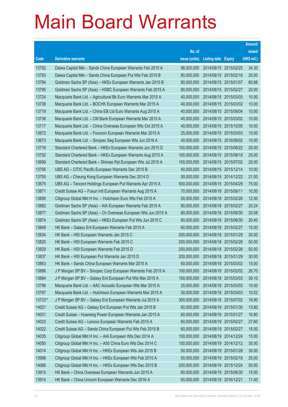|        |                                                                |               |                            |                       | <b>Amount</b> |
|--------|----------------------------------------------------------------|---------------|----------------------------|-----------------------|---------------|
|        |                                                                | No. of        |                            |                       | raised        |
| Code   | <b>Derivative warrants</b>                                     | issue (units) | <b>Listing date Expiry</b> |                       | (HK\$ mil.)   |
| 13792  | Daiwa Capital Mkt - Sands China European Warrants Feb 2015 A   | 98,000,000    | 2014/08/15 2015/02/25      |                       | 34.30         |
| 13793  | Daiwa Capital Mkt - Sands China European Put Wts Feb 2015 B    | 80,000,000    | 2014/08/15 2015/02/16      |                       | 20.00         |
| 13794  | Goldman Sachs SP (Asia) - HKEx European Warrants Jan 2015 B    | 80,000,000    | 2014/08/15 2015/01/07      |                       | 60.88         |
| 13795  | Goldman Sachs SP (Asia) - HSBC European Warrants Feb 2015 A    | 80,000,000    | 2014/08/15 2015/02/27      |                       | 20.00         |
| 13724  | Macquarie Bank Ltd. - Agricultural Bk Euro Warrants Mar 2015 A | 40,000,000    |                            | 2014/08/15 2015/03/03 | 10.00         |
| 13738  | Macquarie Bank Ltd. - BOCHK European Warrants Mar 2015 A       | 40,000,000    |                            | 2014/08/15 2015/03/02 | 10.00         |
| 13719  | Macquarie Bank Ltd. - China EB Ltd Euro Warrants Aug 2015 A    | 40,000,000    |                            | 2014/08/15 2015/08/04 | 10.00         |
| 13736  | Macquarie Bank Ltd. - CM Bank European Warrants Mar 2015 A     | 40,000,000    |                            | 2014/08/15 2015/03/02 | 10.00         |
| 13717  | Macquarie Bank Ltd. - China Overseas European Wts Oct 2015 A   | 40,000,000    |                            | 2014/08/15 2015/10/05 | 10.00         |
| 13672  | Macquarie Bank Ltd. - Foxconn European Warrants Mar 2015 A     | 25,000,000    | 2014/08/15 2015/03/03      |                       | 10.00         |
| 13673  | Macquarie Bank Ltd. - Sinopec Seg European Wts Jun 2016 A      | 40,000,000    | 2014/08/15 2016/06/02      |                       | 10.00         |
| 13716  | Standard Chartered Bank - HKEx European Warrants Jun 2015 D    | 100,000,000   |                            | 2014/08/15 2015/06/22 | 25.00         |
| 13702  | Standard Chartered Bank - HKEx European Warrants Aug 2015 A    | 100,000,000   | 2014/08/15 2015/08/18      |                       | 25.00         |
| 13699  | Standard Chartered Bank - Shimao Ppt European Wts Jul 2015 A   | 100,000,000   | 2014/08/15 2015/07/02      |                       | 25.00         |
| 13756  | UBS AG - CITIC Pacific European Warrants Dec 2015 B            | 40,000,000    |                            | 2014/08/15 2015/12/14 | 10.00         |
| 13755  | UBS AG - Cheung Kong European Warrants Dec 2014 D              | 50,000,000    |                            | 2014/08/15 2014/12/22 | 21.00         |
| 13675  | UBS AG - Tencent Holdings European Put Warrants Apr 2015 A     | 500,000,000   |                            | 2014/08/15 2015/04/29 | 75.00         |
| 13871  | Credit Suisse AG - Fosun Intl European Warrants Aug 2015 A     | 70,000,000    | 2014/08/18 2015/08/11      |                       | 10.50         |
| 13895  | Citigroup Global Mkt H Inc. - Hutchison Euro Wts Feb 2015 A    | 50,000,000    | 2014/08/18 2015/02/26      |                       | 12.50         |
| 13882  | Goldman Sachs SP (Asia) - AIA European Warrants Feb 2015 A     | 80,000,000    | 2014/08/18 2015/02/27      |                       | 20.24         |
| 13877  | Goldman Sachs SP (Asia) - Ch Overseas European Wts Jun 2015 A  | 80,000,000    |                            | 2014/08/18 2015/06/30 | 20.08         |
| 13874  | Goldman Sachs SP (Asia) - HKEx European Put Wts Jun 2015 C     | 80,000,000    |                            | 2014/08/18 2015/06/30 | 20.40         |
| 13848  | HK Bank - Galaxy Ent European Warrants Feb 2015 A              | 60,000,000    | 2014/08/18 2015/02/27      |                       | 15.00         |
| 13834  | HK Bank - HSI European Warrants Jan 2015 C                     | 200,000,000   | 2014/08/18 2015/01/29      |                       | 30.00         |
| 13820  | HK Bank - HSI European Warrants Feb 2015 C                     | 200,000,000   |                            | 2014/08/18 2015/02/26 | 50.00         |
| 13829  | HK Bank - HSI European Warrants Feb 2015 D                     | 200,000,000   | 2014/08/18 2015/02/26      |                       | 50.00         |
| 13837  | HK Bank – HSI European Put Warrants Jan 2015 D                 | 200,000,000   | 2014/08/18 2015/01/29      |                       | 30.00         |
| 13863  | HK Bank - Sands China European Warrants Mar 2015 A             | 60,000,000    | 2014/08/18 2015/03/02      |                       | 15.00         |
| 13886  | J P Morgan SP BV - Sinopec Corp European Warrants Feb 2015 A   | 100,000,000   |                            | 2014/08/18 2015/02/02 | 26.70         |
| 13884  | J P Morgan SP BV - Galaxy Ent European Put Wts Mar 2015 A      | 100,000,000   | 2014/08/18 2015/03/03      |                       | 39.10         |
| 13796  | Macquarie Bank Ltd. - AAC Acoustic European Wts Mar 2015 A     | 25,000,000    | 2014/08/18 2015/03/03      |                       | 10.00         |
| 13797  | Macquarie Bank Ltd. - Hutchison European Warrants Mar 2015 A   | 30,000,000    | 2014/08/18 2015/03/03      |                       | 10.02         |
| 13733# | J P Morgan SP BV - Galaxy Ent European Warrants Jul 2015 A     | 300,000,000   |                            | 2014/08/18 2015/07/02 | 18.90         |
| 14021  | Credit Suisse AG - Galaxy Ent European Put Wts Jan 2015 B      | 60,000,000    | 2014/08/19 2015/01/30      |                       | 13.80         |
| 14031  | Credit Suisse - Huaneng Power European Warrants Jan 2015 A     | 60,000,000    | 2014/08/19 2015/01/27      |                       | 16.80         |
| 14023  | Credit Suisse AG - Lenovo European Warrants Feb 2015 A         | 60,000,000    | 2014/08/19 2015/02/27      |                       | 27.60         |
| 14022  | Credit Suisse AG - Sands China European Put Wts Feb 2015 B     | 60,000,000    | 2014/08/19 2015/02/27      |                       | 15.00         |
| 14035  | Citigroup Global Mkt H Inc. - AIA European Wts Dec 2014 A      | 100,000,000   |                            | 2014/08/19 2014/12/24 | 15.00         |
| 14050  | Citigroup Global Mkt H Inc. - A50 China Euro Wts Dec 2014 C    | 100,000,000   |                            | 2014/08/19 2014/12/12 | 35.00         |
| 14014  | Citigroup Global Mkt H Inc. - HKEx European Wts Jan 2015 B     | 50,000,000    | 2014/08/19 2015/01/28      |                       | 30.00         |
| 13998  | Citigroup Global Mkt H Inc. - HKEx European Wts Feb 2015 A     | 50,000,000    | 2014/08/19                 | 2015/02/18            | 25.00         |
| 14066  | Citigroup Global Mkt H Inc. - HKEx European Wts Dec 2015 B     | 200,000,000   | 2014/08/19 2015/12/24      |                       | 50.00         |
| 13915  | HK Bank - China Overseas European Warrants Jun 2015 A          | 60,000,000    | 2014/08/19                 | 2015/06/30            | 15.00         |
| 13914  | HK Bank - China Unicom European Warrants Dec 2016 A            | 60,000,000    | 2014/08/19 2016/12/21      |                       | 11.40         |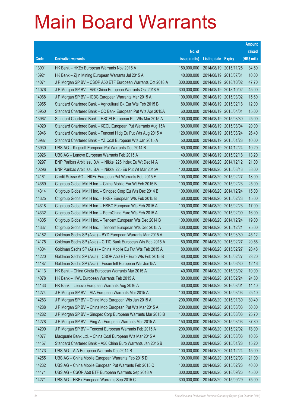|       |                                                               |               |                            |            | <b>Amount</b> |
|-------|---------------------------------------------------------------|---------------|----------------------------|------------|---------------|
|       |                                                               | No. of        |                            |            | raised        |
| Code  | <b>Derivative warrants</b>                                    | issue (units) | <b>Listing date Expiry</b> |            | (HK\$ mil.)   |
| 13901 | HK Bank – HKEx European Warrants Nov 2015 A                   | 150,000,000   | 2014/08/19 2015/11/25      |            | 34.50         |
| 13921 | HK Bank – Zijin Mining European Warrants Jul 2015 A           | 40,000,000    | 2014/08/19 2015/07/31      |            | 10.00         |
| 14071 | J P Morgan SP BV - CSOP A50 ETF European Warrants Oct 2018 A  | 300,000,000   | 2014/08/19                 | 2018/10/02 | 47.70         |
| 14076 | J P Morgan SP BV - A50 China European Warrants Oct 2018 A     | 300,000,000   | 2014/08/19 2018/10/02      |            | 45.00         |
| 14068 | J P Morgan SP BV - ICBC European Warrants Mar 2015 A          | 100,000,000   | 2014/08/19 2015/03/02      |            | 15.60         |
| 13955 | Standard Chartered Bank - Agricultural Bk Eur Wts Feb 2015 B  | 80,000,000    | 2014/08/19 2015/02/18      |            | 12.00         |
| 13950 | Standard Chartered Bank - CC Bank European Put Wts Apr 2015A  | 60,000,000    | 2014/08/19                 | 2015/04/01 | 15.00         |
| 13967 | Standard Chartered Bank - HSCEI European Put Wts Mar 2015 A   | 100,000,000   | 2014/08/19 2015/03/30      |            | 25.00         |
| 14020 | Standard Chartered Bank - KECL European Put Warrants Aug 15A  | 80,000,000    | 2014/08/19 2015/08/04      |            | 20.00         |
| 13946 | Standard Chartered Bank – Tencent Hidg Eu Put Wts Aug 2015 A  | 120,000,000   | 2014/08/19 2015/08/24      |            | 26.40         |
| 13987 | Standard Chartered Bank - YZ Coal European Wts Jan 2015 A     | 50,000,000    | 2014/08/19 2015/01/28      |            | 10.00         |
| 13930 | UBS AG - Kingsoft European Put Warrants Dec 2014 B            | 60,000,000    | 2014/08/19 2014/12/24      |            | 10.20         |
| 13926 | UBS AG - Lenovo European Warrants Feb 2015 A                  | 40,000,000    | 2014/08/19 2015/02/18      |            | 13.20         |
| 10297 | BNP Paribas Arbit Issu B.V. - Nikkei 225 Index Eu Wt Dec14 A  | 100,000,000   | 2014/08/20 2014/12/12      |            | 21.00         |
| 10296 | BNP Paribas Arbit Issu B.V. - Nikkei 225 Eu Put Wt Mar 2015A  | 100,000,000   | 2014/08/20 2015/03/13      |            | 38.00         |
| 14161 | Credit Suisse AG - HKEx European Put Warrants Feb 2015 F      | 100,000,000   | 2014/08/20 2015/02/27      |            | 18.00         |
| 14369 | Citigroup Global Mkt H Inc. - China Mobile Eur Wt Feb 2015 B  | 100,000,000   | 2014/08/20 2015/02/23      |            | 25.00         |
| 14314 | Citigroup Global Mkt H Inc. - Sinopec Corp Eu Wts Dec 2014 B  | 100,000,000   | 2014/08/20 2014/12/24      |            | 15.00         |
| 14325 | Citigroup Global Mkt H Inc. - HKEx European Wts Feb 2015 B    | 60,000,000    | 2014/08/20 2015/02/23      |            | 15.00         |
| 14318 | Citigroup Global Mkt H Inc. - HSBC European Wts Feb 2015 A    | 100,000,000   | 2014/08/20 2015/02/23      |            | 17.00         |
| 14332 | Citigroup Global Mkt H Inc. - PetroChina Euro Wts Feb 2015 A  | 80,000,000    | 2014/08/20 2015/02/09      |            | 16.00         |
| 14305 | Citigroup Global Mkt H Inc. - Tencent European Wts Dec 2014 B | 100,000,000   | 2014/08/20 2014/12/24      |            | 19.00         |
| 14337 | Citigroup Global Mkt H Inc. - Tencent European Wts Dec 2015 A | 300,000,000   | 2014/08/20 2015/12/21      |            | 75.00         |
| 14182 | Goldman Sachs SP (Asia) - BYD European Warrants Mar 2015 A    | 80,000,000    | 2014/08/20 2015/03/30      |            | 45.12         |
| 14175 | Goldman Sachs SP (Asia) - CITIC Bank European Wts Feb 2015 A  | 80,000,000    | 2014/08/20 2015/02/27      |            | 20.56         |
| 14304 | Goldman Sachs SP (Asia) - China Mobile Eu Put Wts Feb 2015 A  | 80,000,000    | 2014/08/20 2015/02/27      |            | 28.48         |
| 14220 | Goldman Sachs SP (Asia) - CSOP A50 ETF Euro Wts Feb 2015 B    | 80,000,000    | 2014/08/20 2015/02/27      |            | 23.20         |
| 14187 | Goldman Sachs SP (Asia) - Fosun Intl European Wts Jun15A      | 80,000,000    | 2014/08/20 2015/06/30      |            | 12.16         |
| 14113 | HK Bank - China Cinda European Warrants Mar 2015 A            | 40,000,000    | 2014/08/20 2015/03/02      |            | 10.00         |
| 14078 | HK Bank - HWL European Warrants Feb 2015 A                    | 80,000,000    | 2014/08/20 2015/02/24      |            | 24.80         |
| 14133 | HK Bank - Lenovo European Warrants Aug 2016 A                 | 60,000,000    | 2014/08/20 2016/08/01      |            | 14.40         |
| 14274 | J P Morgan SP BV - AIA European Warrants Mar 2015 A           | 100,000,000   | 2014/08/20 2015/03/03      |            | 25.40         |
| 14283 | J P Morgan SP BV - China Mob European Wts Jan 2015 A          | 200,000,000   | 2014/08/20 2015/01/30      |            | 30.40         |
| 14288 | J P Morgan SP BV - China Mob European Put Wts Mar 2015 A      | 200,000,000   | 2014/08/20 2015/03/03      |            | 50.00         |
| 14282 | J P Morgan SP BV - Sinopec Corp European Warrants Mar 2015 B  | 100,000,000   | 2014/08/20 2015/03/03      |            | 25.70         |
| 14278 | J P Morgan SP BV - Ping An European Warrants Mar 2015 A       | 150,000,000   | 2014/08/20 2015/03/03      |            | 37.80         |
| 14299 | J P Morgan SP BV - Tencent European Warrants Feb 2015 A       | 200,000,000   | 2014/08/20 2015/02/02      |            | 78.00         |
| 14077 | Macquarie Bank Ltd. - China Coal European Wts Mar 2015 A      | 30,000,000    | 2014/08/20 2015/03/03      |            | 10.05         |
| 14157 | Standard Chartered Bank - A50 China Euro Warrants Jan 2015 B  | 80,000,000    | 2014/08/20 2015/01/28      |            | 15.20         |
| 14173 | UBS AG - AIA European Warrants Dec 2014 B                     | 100,000,000   | 2014/08/20 2014/12/24      |            | 15.00         |
| 14255 | UBS AG - China Mobile European Warrants Feb 2015 D            | 100,000,000   | 2014/08/20 2015/02/03      |            | 21.00         |
| 14232 | UBS AG - China Mobile European Put Warrants Feb 2015 C        | 100,000,000   | 2014/08/20 2015/02/23      |            | 40.00         |
| 14171 | UBS AG - CSOP A50 ETF European Warrants Sep 2018 A            | 300,000,000   | 2014/08/20 2018/09/26      |            | 45.00         |
| 14271 | UBS AG - HKEx European Warrants Sep 2015 C                    | 300,000,000   | 2014/08/20 2015/09/29      |            | 75.00         |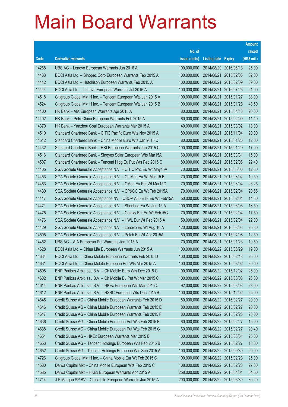|       |                                                                |               |                            |            | <b>Amount</b> |
|-------|----------------------------------------------------------------|---------------|----------------------------|------------|---------------|
|       |                                                                | No. of        |                            |            | raised        |
| Code  | <b>Derivative warrants</b>                                     | issue (units) | <b>Listing date Expiry</b> |            | (HK\$ mil.)   |
| 14268 | UBS AG - Lenovo European Warrants Jun 2016 A                   | 100,000,000   | 2014/08/20 2016/06/13      |            | 25.00         |
| 14433 | BOCI Asia Ltd. - Sinopec Corp European Warrants Feb 2015 A     | 100,000,000   | 2014/08/21                 | 2015/02/06 | 32.00         |
| 14442 | BOCI Asia Ltd. - Hutchison European Warrants Feb 2015 A        | 100,000,000   | 2014/08/21                 | 2015/02/09 | 39.00         |
| 14444 | BOCI Asia Ltd. - Lenovo European Warrants Jul 2016 A           | 100,000,000   | 2014/08/21                 | 2016/07/25 | 21.00         |
| 14518 | Citigroup Global Mkt H Inc. - Tencent European Wts Jan 2015 A  | 100,000,000   | 2014/08/21                 | 2015/01/27 | 38.00         |
| 14524 | Citigroup Global Mkt H Inc. - Tencent European Wts Jan 2015 B  | 100,000,000   | 2014/08/21                 | 2015/01/28 | 48.50         |
| 14400 | HK Bank - AIA European Warrants Apr 2015 A                     | 80,000,000    | 2014/08/21                 | 2015/04/13 | 20.00         |
| 14402 | HK Bank - PetroChina European Warrants Feb 2015 A              | 60,000,000    | 2014/08/21                 | 2015/02/09 | 11.40         |
| 14370 | HK Bank - Yanzhou Coal European Warrants Mar 2015 A            | 40,000,000    | 2014/08/21                 | 2015/03/02 | 18.00         |
| 14510 | Standard Chartered Bank - CITIC Pacific Euro Wts Nov 2015 A    | 80,000,000    | 2014/08/21                 | 2015/11/04 | 20.00         |
| 14512 | Standard Chartered Bank - China Mobile Euro Wts Jan 2015 C     | 80,000,000    | 2014/08/21                 | 2015/01/26 | 12.00         |
| 14432 | Standard Chartered Bank - HSI European Warrants Jan 2015 C     | 100,000,000   | 2014/08/21                 | 2015/01/29 | 17.00         |
| 14516 | Standard Chartered Bank - Singyes Solar European Wts Mar15A    | 60,000,000    | 2014/08/21                 | 2015/03/31 | 15.00         |
| 14507 | Standard Chartered Bank - Tencent Hidg Eu Put Wts Feb 2015 C   | 80,000,000    | 2014/08/21                 | 2015/02/06 | 22.40         |
| 14405 | SGA Societe Generale Acceptance N.V. - CITIC Pac Eu Wt May15A  | 70,000,000    | 2014/08/21                 | 2015/05/06 | 12.60         |
| 14453 | SGA Societe Generale Acceptance N.V. - Ch Mob Eu Wt Mar 15 B   | 70,000,000    | 2014/08/21                 | 2015/03/04 | 10.50         |
| 14463 | SGA Societe Generale Acceptance N.V. - CMob Eu Put Wt Mar15C   | 70,000,000    | 2014/08/21                 | 2015/03/04 | 26.25         |
| 14430 | SGA Societe Generale Acceptance N.V. - CP&CC Eu Wt Feb 2015A   | 70,000,000    | 2014/08/21                 | 2015/02/04 | 20.65         |
| 14417 | SGA Societe Generale Acceptance NV - CSOP A50 ETF Eu Wt Feb15A | 50,000,000    | 2014/08/21                 | 2015/02/04 | 14.50         |
| 14471 | SGA Societe Generale Acceptance N.V. - Shenhua Eu Wt Jun 15 A  | 100,000,000   | 2014/08/21                 | 2015/06/03 | 18.50         |
| 14475 | SGA Societe Generale Acceptance N.V. - Galaxy Ent Eu Wt Feb15C | 70,000,000    | 2014/08/21                 | 2015/02/04 | 17.50         |
| 14476 | SGA Societe Generale Acceptance N.V. - HWL Eur Wt Feb 2015 A   | 50,000,000    | 2014/08/21                 | 2015/02/04 | 22.00         |
| 14429 | SGA Societe Generale Acceptance N.V. - Lenovo Eu Wt Aug 16 A   | 120,000,000   | 2014/08/21                 | 2016/08/03 | 25.80         |
| 14505 | SGA Societe Generale Acceptance N.V. - Petch Eu Wt Apr 2015A   | 50,000,000    | 2014/08/21                 | 2015/04/08 | 12.50         |
| 14452 | UBS AG - AIA European Put Warrants Jan 2015 A                  | 70,000,000    | 2014/08/21                 | 2015/01/23 | 10.50         |
| 14628 | BOCI Asia Ltd. - China Life European Warrants Jun 2015 A       | 100,000,000   | 2014/08/22 2015/06/29      |            | 19.00         |
| 14634 | BOCI Asia Ltd. – China Mobile European Warrants Feb 2015 D     | 100,000,000   | 2014/08/22 2015/02/18      |            | 25.00         |
| 14631 | BOCI Asia Ltd. - China Mobile European Put Wts Mar 2015 A      | 100,000,000   | 2014/08/22 2015/03/02      |            | 30.00         |
| 14598 | BNP Paribas Arbit Issu B.V. - Ch Mobile Euro Wts Dec 2015 C    | 100,000,000   | 2014/08/22 2015/12/02      |            | 25.00         |
| 14602 | BNP Paribas Arbit Issu B.V. - Ch Mobile Eu Put Wt Mar 2015 C   | 100,000,000   | 2014/08/22 2015/03/03      |            | 26.00         |
| 14614 | BNP Paribas Arbit Issu B.V. - HKEx European Wts Mar 2015 C     | 92,000,000    | 2014/08/22 2015/03/03      |            | 23.00         |
| 14612 | BNP Paribas Arbit Issu B.V. - HSBC European Wts Dec 2015 B     | 100,000,000   | 2014/08/22 2015/12/02      |            | 25.00         |
| 14645 | Credit Suisse AG - China Mobile European Warrants Feb 2015 D   | 80,000,000    | 2014/08/22 2015/02/27      |            | 20.00         |
| 14646 | Credit Suisse AG - China Mobile European Warrants Feb 2015 E   | 80,000,000    | 2014/08/22 2015/02/27      |            | 20.00         |
| 14647 | Credit Suisse AG - China Mobile European Warrants Feb 2015 F   | 80,000,000    | 2014/08/22 2015/02/23      |            | 28.00         |
| 14636 | Credit Suisse AG - China Mobile European Put Wts Feb 2015 B    | 60,000,000    | 2014/08/22 2015/02/27      |            | 15.00         |
| 14638 | Credit Suisse AG - China Mobile European Put Wts Feb 2015 C    | 60,000,000    | 2014/08/22 2015/02/27      |            | 20.40         |
| 14651 | Credit Suisse AG - HKEx European Warrants Mar 2015 B           | 100,000,000   | 2014/08/22 2015/03/31      |            | 25.00         |
| 14653 | Credit Suisse AG - Tencent Holdings European Wts Feb 2015 B    | 100,000,000   | 2014/08/22 2015/02/27      |            | 18.00         |
| 14652 | Credit Suisse AG - Tencent Holdings European Wts Sep 2015 A    | 100,000,000   | 2014/08/22 2015/09/30      |            | 20.00         |
| 14726 | Citigroup Global Mkt H Inc. - China Mobile Eur Wt Feb 2015 C   | 100,000,000   | 2014/08/22 2015/02/23      |            | 25.00         |
| 14580 | Daiwa Capital Mkt - China Mobile European Wts Feb 2015 C       | 108,000,000   | 2014/08/22 2015/02/23      |            | 27.00         |
| 14585 | Daiwa Capital Mkt - HKEx European Warrants Apr 2015 A          | 258,000,000   | 2014/08/22 2015/04/01      |            | 64.50         |
| 14714 | J P Morgan SP BV - China Life European Warrants Jun 2015 A     | 200,000,000   | 2014/08/22 2015/06/30      |            | 30.20         |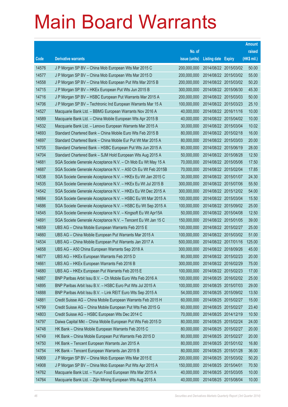|       |                                                               |               |                            |                       | <b>Amount</b> |
|-------|---------------------------------------------------------------|---------------|----------------------------|-----------------------|---------------|
|       |                                                               | No. of        |                            |                       | raised        |
| Code  | <b>Derivative warrants</b>                                    | issue (units) | <b>Listing date Expiry</b> |                       | (HK\$ mil.)   |
| 14576 | J P Morgan SP BV - China Mob European Wts Mar 2015 C          | 200,000,000   |                            | 2014/08/22 2015/03/02 | 50.00         |
| 14577 | J P Morgan SP BV - China Mob European Wts Mar 2015 D          | 200,000,000   |                            | 2014/08/22 2015/03/02 | 55.00         |
| 14558 | J P Morgan SP BV - China Mob European Put Wts Mar 2015 B      | 200,000,000   |                            | 2014/08/22 2015/03/02 | 50.20         |
| 14715 | J P Morgan SP BV - HKEx European Put Wts Jun 2015 B           | 300,000,000   |                            | 2014/08/22 2015/06/30 | 45.30         |
| 14716 | J P Morgan SP BV - HSBC European Put Warrants Mar 2015 A      | 200,000,000   |                            | 2014/08/22 2015/03/03 | 50.00         |
| 14706 | J P Morgan SP BV - Techtronic Ind European Warrants Mar 15 A  | 100,000,000   |                            | 2014/08/22 2015/03/23 | 25.10         |
| 14527 | Macquarie Bank Ltd. - BBMG European Warrants Nov 2016 A       | 40,000,000    | 2014/08/22 2016/11/16      |                       | 10.00         |
| 14589 | Macquarie Bank Ltd. - China Mobile European Wts Apr 2015 B    | 40,000,000    | 2014/08/22 2015/04/02      |                       | 10.00         |
| 14532 | Macquarie Bank Ltd. - Lenovo European Warrants Mar 2015 A     | 30,000,000    |                            | 2014/08/22 2015/03/04 | 10.02         |
| 14693 | Standard Chartered Bank - China Mobile Euro Wts Feb 2015 B    | 80,000,000    |                            | 2014/08/22 2015/02/18 | 16.00         |
| 14697 | Standard Chartered Bank - China Mobile Eur Put Wt Mar 2015 A  | 80,000,000    | 2014/08/22 2015/03/03      |                       | 20.00         |
| 14705 | Standard Chartered Bank - HSBC European Put Wts Jun 2015 A    | 80,000,000    | 2014/08/22 2015/06/19      |                       | 28.00         |
| 14704 | Standard Chartered Bank - SJM Hold European Wts Aug 2015 A    | 50,000,000    | 2014/08/22 2015/08/28      |                       | 12.50         |
| 14681 | SGA Societe Generale Acceptance N.V. - Ch Mob Eu Wt May 15 A  | 70,000,000    |                            | 2014/08/22 2015/05/06 | 17.50         |
| 14687 | SGA Societe Generale Acceptance N.V. - A50 Ch Eu Wt Feb 2015B | 70,000,000    | 2014/08/22 2015/02/04      |                       | 17.85         |
| 14538 | SGA Societe Generale Acceptance N.V. - HKEx Eu Wt Jan 2015 C  | 30,000,000    | 2014/08/22 2015/01/07      |                       | 24.30         |
| 14535 | SGA Societe Generale Acceptance N.V. - HKEx Eu Wt Jul 2015 B  | 300,000,000   |                            | 2014/08/22 2015/07/06 | 55.50         |
| 14542 | SGA Societe Generale Acceptance N.V. - HKEx Eu Wt Dec 2015 A  | 300,000,000   |                            | 2014/08/22 2015/12/02 | 54.00         |
| 14684 | SGA Societe Generale Acceptance N.V. - HSBC Eu Wt Mar 2015 A  | 100,000,000   | 2014/08/22 2015/03/04      |                       | 15.50         |
| 14686 | SGA Societe Generale Acceptance N.V. - HSBC Eu Wt Sep 2015 A  | 100,000,000   |                            | 2014/08/22 2015/09/02 | 25.00         |
| 14545 | SGA Societe Generale Acceptance N.V. - Kingsoft Eu Wt Apr15A  | 50,000,000    |                            | 2014/08/22 2015/04/08 | 12.50         |
| 14691 | SGA Societe Generale Acceptance N.V. - Tencent Eu Wt Jan 15 C | 150,000,000   |                            | 2014/08/22 2015/01/05 | 39.00         |
| 14659 | UBS AG - China Mobile European Warrants Feb 2015 E            | 100,000,000   | 2014/08/22 2015/02/27      |                       | 25.00         |
| 14660 | UBS AG - China Mobile European Put Warrants Mar 2015 A        | 100,000,000   |                            | 2014/08/22 2015/03/02 | 51.00         |
| 14534 | UBS AG - China Mobile European Put Warrants Jan 2017 A        | 500,000,000   |                            | 2014/08/22 2017/01/16 | 125.00        |
| 14658 | UBS AG - A50 China European Warrants Sep 2018 A               | 300,000,000   | 2014/08/22 2018/09/26      |                       | 45.00         |
| 14677 | UBS AG - HKEx European Warrants Feb 2015 D                    | 80,000,000    |                            | 2014/08/22 2015/02/23 | 20.00         |
| 14661 | UBS AG - HKEx European Warrants Feb 2016 B                    | 300,000,000   | 2014/08/22 2016/02/29      |                       | 75.00         |
| 14680 | UBS AG - HKEx European Put Warrants Feb 2015 E                | 100,000,000   | 2014/08/22 2015/02/23      |                       | 17.00         |
| 14887 | BNP Paribas Arbit Issu B.V. - Ch Mobile Euro Wts Feb 2016 A   | 100,000,000   |                            | 2014/08/25 2016/02/02 | 25.00         |
| 14895 | BNP Paribas Arbit Issu B.V. - HSBC Euro Put Wts Jul 2015 A    | 100,000,000   | 2014/08/25 2015/07/03      |                       | 29.00         |
| 14888 | BNP Paribas Arbit Issu B.V. - Link REIT Euro Wts Sep 2015 A   | 54,000,000    |                            | 2014/08/25 2015/09/02 | 13.50         |
| 14881 | Credit Suisse AG - China Mobile European Warrants Feb 2015 H  | 60,000,000    | 2014/08/25 2015/02/27      |                       | 15.00         |
| 14799 | Credit Suisse AG - China Mobile European Put Wts Feb 2015 G   | 60,000,000    | 2014/08/25 2015/02/27      |                       | 23.40         |
| 14803 | Credit Suisse AG - HSBC European Wts Dec 2014 C               | 70,000,000    | 2014/08/25 2014/12/19      |                       | 10.50         |
| 14797 | Daiwa Capital Mkt - China Mobile European Put Wts Feb 2015 D  | 80,000,000    | 2014/08/25 2015/02/24      |                       | 24.00         |
| 14748 | HK Bank - China Mobile European Warrants Feb 2015 C           | 80,000,000    | 2014/08/25 2015/02/27      |                       | 20.00         |
| 14749 | HK Bank - China Mobile European Put Warrants Feb 2015 D       | 80,000,000    | 2014/08/25 2015/02/27      |                       | 20.00         |
| 14750 | HK Bank - Tencent European Warrants Jan 2015 A                | 80,000,000    |                            | 2014/08/25 2015/01/02 | 16.80         |
| 14754 | HK Bank - Tencent European Warrants Jan 2015 B                | 80,000,000    | 2014/08/25 2015/01/28      |                       | 36.00         |
| 14909 | J P Morgan SP BV - China Mob European Wts Mar 2015 E          | 200,000,000   | 2014/08/25 2015/03/02      |                       | 50.20         |
| 14908 | J P Morgan SP BV - China Mob European Put Wts Apr 2015 A      | 150,000,000   | 2014/08/25 2015/04/01      |                       | 70.50         |
| 14762 | Macquarie Bank Ltd. - Yurun Food European Wts Mar 2015 A      | 40,000,000    | 2014/08/25 2015/03/05      |                       | 10.00         |
| 14764 | Macquarie Bank Ltd. - Zijin Mining European Wts Aug 2015 A    | 40,000,000    | 2014/08/25 2015/08/04      |                       | 10.00         |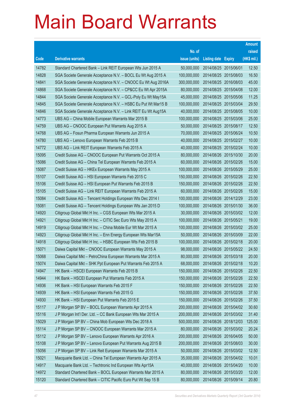|       |                                                               |               |                            | <b>Amount</b> |
|-------|---------------------------------------------------------------|---------------|----------------------------|---------------|
|       |                                                               | No. of        |                            | raised        |
| Code  | <b>Derivative warrants</b>                                    | issue (units) | <b>Listing date Expiry</b> | (HK\$ mil.)   |
| 14782 | Standard Chartered Bank - Link REIT European Wts Jun 2015 A   | 50,000,000    | 2014/08/25 2015/06/01      | 12.50         |
| 14828 | SGA Societe Generale Acceptance N.V. - BOCL Eu Wt Aug 2015 A  | 100,000,000   | 2014/08/25 2015/08/03      | 16.50         |
| 14841 | SGA Societe Generale Acceptance N.V. - CNOOC Eu Wt Aug 2016A  | 300,000,000   | 2014/08/25 2016/08/03      | 45.00         |
| 14868 | SGA Societe Generale Acceptance N.V. - CP&CC Eu Wt Apr 2015A  | 80,000,000    | 2014/08/25 2015/04/08      | 12.00         |
| 14844 | SGA Societe Generale Acceptance N.V. - GCL-Poly Eu Wt May15A  | 45,000,000    | 2014/08/25 2015/05/06      | 11.25         |
| 14845 | SGA Societe Generale Acceptance N.V. - HSBC Eu Put Wt Mar15 B | 100,000,000   | 2014/08/25 2015/03/04      | 29.50         |
| 14846 | SGA Societe Generale Acceptance N.V. - Link REIT Eu Wt Aug15A | 40,000,000    | 2014/08/25 2015/08/05      | 10.00         |
| 14773 | UBS AG - China Mobile European Warrants Mar 2015 B            | 100,000,000   | 2014/08/25 2015/03/06      | 25.00         |
| 14759 | UBS AG - CNOOC European Put Warrants Aug 2015 A               | 50,000,000    | 2014/08/25 2015/08/17      | 12.50         |
| 14768 | UBS AG - Fosun Pharma European Warrants Jun 2015 A            | 70,000,000    | 2014/08/25 2015/06/24      | 10.50         |
| 14780 | UBS AG - Lenovo European Warrants Feb 2015 B                  | 40,000,000    | 2014/08/25 2015/02/27      | 10.00         |
| 14772 | UBS AG - Link REIT European Warrants Feb 2015 A               | 40,000,000    | 2014/08/25 2015/02/24      | 10.00         |
| 15095 | Credit Suisse AG - CNOOC European Put Warrants Oct 2015 A     | 80,000,000    | 2014/08/26 2015/10/30      | 20.00         |
| 15086 | Credit Suisse AG - China Tel European Warrants Feb 2015 A     | 60,000,000    | 2014/08/26 2015/02/26      | 15.00         |
| 15087 | Credit Suisse AG - HKEx European Warrants May 2015 A          | 100,000,000   | 2014/08/26 2015/05/29      | 25.00         |
| 15107 | Credit Suisse AG - HSI European Warrants Feb 2015 C           | 150,000,000   | 2014/08/26 2015/02/26      | 22.50         |
| 15106 | Credit Suisse AG - HSI European Put Warrants Feb 2015 B       | 150,000,000   | 2014/08/26 2015/02/26      | 22.50         |
| 15105 | Credit Suisse AG - Link REIT European Warrants Feb 2015 A     | 60,000,000    | 2014/08/26 2015/02/26      | 15.00         |
| 15084 | Credit Suisse AG - Tencent Holdings European Wts Dec 2014 I   | 100,000,000   | 2014/08/26 2014/12/29      | 23.00         |
| 15081 | Credit Suisse AG - Tencent Holdings European Wts Jan 2015 D   | 100,000,000   | 2014/08/26 2015/01/30      | 36.00         |
| 14920 | Citigroup Global Mkt H Inc. - CGS European Wts Mar 2015 A     | 30,000,000    | 2014/08/26 2015/03/02      | 12.00         |
| 14921 | Citigroup Global Mkt H Inc. - CITIC Sec Euro Wts May 2015 A   | 100,000,000   | 2014/08/26 2015/05/21      | 19.00         |
| 14919 | Citigroup Global Mkt H Inc. - China Mobile Eur Wt Mar 2015 A  | 100,000,000   | 2014/08/26 2015/03/02      | 25.00         |
| 14923 | Citigroup Global Mkt H Inc. - Enn Energy European Wts Mar15A  | 50,000,000    | 2014/08/26 2015/03/09      | 22.00         |
| 14918 | Citigroup Global Mkt H Inc. - HSBC European Wts Feb 2015 B    | 100,000,000   | 2014/08/26 2015/02/18      | 20.00         |
| 15071 | Daiwa Capital Mkt - CNOOC European Warrants May 2015 A        | 98,000,000    | 2014/08/26 2015/05/22      | 24.50         |
| 15068 | Daiwa Capital Mkt - PetroChina European Warrants Mar 2015 A   | 80,000,000    | 2014/08/26 2015/03/18      | 20.00         |
| 15074 | Daiwa Capital Mkt - SHK Ppt European Put Warrants Feb 2015 A  | 68,000,000    | 2014/08/26 2015/02/18      | 10.20         |
| 14947 | HK Bank - HSCEI European Warrants Feb 2015 B                  | 150,000,000   | 2014/08/26 2015/02/26      | 22.50         |
| 14944 | HK Bank - HSCEI European Put Warrants Feb 2015 A              | 150,000,000   | 2014/08/26 2015/02/26      | 22.50         |
| 14936 | HK Bank - HSI European Warrants Feb 2015 F                    | 150,000,000   | 2014/08/26 2015/02/26      | 22.50         |
| 14939 | HK Bank - HSI European Warrants Feb 2015 G                    | 150,000,000   | 2014/08/26 2015/02/26      | 37.50         |
| 14930 | HK Bank - HSI European Put Warrants Feb 2015 E                | 150,000,000   | 2014/08/26 2015/02/26      | 37.50         |
| 15117 | J P Morgan SP BV - BOCL European Warrants Apr 2015 A          | 200,000,000   | 2014/08/26 2015/04/02      | 30.60         |
| 15116 | J P Morgan Int'l Der. Ltd. - CC Bank European Wts Mar 2015 A  | 200,000,000   | 2014/08/26 2015/03/02      | 31.40         |
| 15029 | J P Morgan SP BV - China Mob European Wts Dec 2018 A          | 500,000,000   | 2014/08/26 2018/12/03      | 125.00        |
| 15114 | J P Morgan SP BV - CNOOC European Warrants Mar 2015 A         | 80,000,000    | 2014/08/26 2015/03/02      | 20.24         |
| 15112 | J P Morgan SP BV - Lenovo European Warrants Apr 2016 A        | 200,000,000   | 2014/08/26 2016/04/05      | 50.00         |
| 15108 | J P Morgan SP BV - Lenovo European Put Warrants Aug 2015 B    | 200,000,000   | 2014/08/26 2015/08/03      | 30.00         |
| 15056 | J P Morgan SP BV - Link Reit European Warrants Mar 2015 A     | 50,000,000    | 2014/08/26 2015/03/02      | 12.50         |
| 15021 | Macquarie Bank Ltd. - China Tel European Warrants Apr 2015 A  | 35,000,000    | 2014/08/26 2015/04/02      | 10.01         |
| 14917 | Macquarie Bank Ltd. - Techtronic Ind European Wts Apr15A      | 40,000,000    | 2014/08/26 2015/04/20      | 10.00         |
| 14972 | Standard Chartered Bank - BOCL European Warrants Mar 2015 A   | 80,000,000    | 2014/08/26 2015/03/20      | 12.00         |
| 15120 | Standard Chartered Bank - CITIC Pacific Euro Put Wt Sep 15 B  | 80,000,000    | 2014/08/26 2015/09/14      | 20.80         |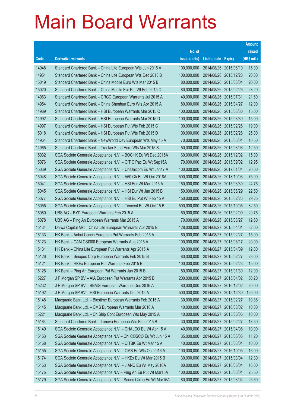|       |                                                                |               |                       |            | <b>Amount</b> |
|-------|----------------------------------------------------------------|---------------|-----------------------|------------|---------------|
|       |                                                                | No. of        |                       |            | raised        |
| Code  | <b>Derivative warrants</b>                                     | issue (units) | Listing date Expiry   |            | $(HK$$ mil.)  |
| 14948 | Standard Chartered Bank - China Life European Wts Jun 2015 A   | 100,000,000   | 2014/08/26 2015/06/10 |            | 15.00         |
| 14951 | Standard Chartered Bank - China Life European Wts Dec 2015 B   | 100,000,000   | 2014/08/26 2015/12/28 |            | 20.00         |
| 15019 | Standard Chartered Bank - China Mobile Euro Wts Mar 2015 B     | 80,000,000    | 2014/08/26 2015/03/04 |            | 20.00         |
| 15020 | Standard Chartered Bank - China Mobile Eur Put Wt Feb 2015 C   | 80,000,000    | 2014/08/26 2015/02/26 |            | 23.20         |
| 14963 | Standard Chartered Bank – CRCC European Warrants Jul 2015 A    | 40,000,000    | 2014/08/26 2015/07/31 |            | 21.60         |
| 14954 | Standard Chartered Bank – China Shenhua Euro Wts Apr 2015 A    | 80,000,000    | 2014/08/26 2015/04/27 |            | 12.00         |
| 14989 | Standard Chartered Bank - HSI European Warrants Mar 2015 C     | 100,000,000   | 2014/08/26 2015/03/30 |            | 15.00         |
| 14992 | Standard Chartered Bank - HSI European Warrants Mar 2015 D     | 100,000,000   | 2014/08/26 2015/03/30 |            | 15.00         |
| 14997 | Standard Chartered Bank - HSI European Put Wts Feb 2015 C      | 100,000,000   | 2014/08/26 2015/02/26 |            | 19.00         |
| 15018 | Standard Chartered Bank - HSI European Put Wts Feb 2015 D      | 100,000,000   | 2014/08/26 2015/02/26 |            | 25.00         |
| 14964 | Standard Chartered Bank - NewWorld Dev European Wts May 15 A   | 70,000,000    | 2014/08/26 2015/05/04 |            | 10.50         |
| 14965 | Standard Chartered Bank – Tracker Fund Euro Wts Mar 2015 B     | 50,000,000    | 2014/08/26 2015/03/06 |            | 12.50         |
| 15032 | SGA Societe Generale Acceptance N.V. - BOCHK Eu Wt Dec 2015A   | 60,000,000    | 2014/08/26 2015/12/02 |            | 15.00         |
| 15076 | SGA Societe Generale Acceptance N.V. - CITIC Pac Eu Wt Sep15A  | 70,000,000    | 2014/08/26 2015/09/02 |            | 12.95         |
| 15039 | SGA Societe Generale Acceptance N.V. - ChiUnicom Eu Wt Jan17 A | 100,000,000   | 2014/08/26 2017/01/04 |            | 20.00         |
| 15048 | SGA Societe Generale Acceptance N.V. - A50 Ch Eu Wt Oct 2018A  | 500,000,000   | 2014/08/26 2018/10/03 |            | 75.00         |
| 15041 | SGA Societe Generale Acceptance N.V. - HSI Eur Wt Mar 2015 A   | 150,000,000   | 2014/08/26 2015/03/30 |            | 24.75         |
| 15045 | SGA Societe Generale Acceptance N.V. - HSI Eur Wt Jun 2015 B   | 150,000,000   | 2014/08/26 2015/06/29 |            | 22.50         |
| 15077 | SGA Societe Generale Acceptance N.V. - HSI Eu Put Wt Feb 15 A  | 150,000,000   | 2014/08/26 2015/02/26 |            | 29.25         |
| 15055 | SGA Societe Generale Acceptance N.V. - Tencent Eu Wt Oct 15 B  | 500,000,000   | 2014/08/26 2015/10/05 |            | 82.50         |
| 15080 | UBS AG - BYD European Warrants Feb 2015 A                      | 50,000,000    | 2014/08/26 2015/02/09 |            | 20.75         |
| 15078 | UBS AG - Ping An European Warrants Mar 2015 A                  | 70,000,000    | 2014/08/26 2015/03/27 |            | 12.60         |
| 15134 | Daiwa Capital Mkt - China Life European Warrants Apr 2015 B    | 128,000,000   | 2014/08/27 2015/04/01 |            | 32.00         |
| 15133 | HK Bank – Anhui Conch European Put Warrants Feb 2015 A         | 60,000,000    | 2014/08/27 2015/02/27 |            | 15.00         |
| 15123 | HK Bank – CAM CSI300 European Warrants Aug 2015 A              | 100,000,000   | 2014/08/27 2015/08/17 |            | 20.00         |
| 15131 | HK Bank - China Life European Put Warrants Apr 2015 A          | 80,000,000    | 2014/08/27 2015/04/09 |            | 12.80         |
| 15126 | HK Bank - Sinopec Corp European Warrants Feb 2015 B            | 80,000,000    | 2014/08/27 2015/02/27 |            | 28.00         |
| 15121 | HK Bank - HKEx European Put Warrants Feb 2015 B                | 100,000,000   | 2014/08/27 2015/02/23 |            | 15.00         |
| 15128 | HK Bank - Ping An European Put Warrants Jan 2015 B             | 80,000,000    | 2014/08/27            | 2015/01/30 | 12.00         |
| 15227 | J P Morgan SP BV - AIA European Put Warrants Apr 2015 B        | 200,000,000   | 2014/08/27 2015/04/02 |            | 50.20         |
| 15232 | J P Morgan SP BV - BBMG European Warrants Dec 2016 A           | 80,000,000    | 2014/08/27            | 2016/12/02 | 20.00         |
| 15192 | J P Morgan SP BV - HSI European Warrants Dec 2015 A            | 500,000,000   | 2014/08/27 2015/12/30 |            | 125.00        |
| 15148 | Macquarie Bank Ltd. - Biostime European Warrants Feb 2015 A    | 30,000,000    | 2014/08/27            | 2015/02/27 | 10.38         |
| 15145 | Macquarie Bank Ltd. - CMS European Warrants Mar 2016 A         | 40,000,000    | 2014/08/27 2016/03/02 |            | 10.00         |
| 15221 | Macquarie Bank Ltd. - Ch Ship Cont European Wts May 2015 A     | 40,000,000    | 2014/08/27            | 2015/05/05 | 10.00         |
| 15184 | Standard Chartered Bank - Lenovo European Wts Feb 2015 B       | 30,000,000    | 2014/08/27 2015/02/27 |            | 13.50         |
| 15149 | SGA Societe Generale Acceptance N.V. - CHALCO Eu Wt Apr 15 A   | 40,000,000    | 2014/08/27            | 2015/04/08 | 10.00         |
| 15153 | SGA Societe Generale Acceptance N.V - Chi COSCO Eu Wt Jun 15 A | 35,000,000    | 2014/08/27 2015/06/03 |            | 11.20         |
| 15168 | SGA Societe Generale Acceptance N.V. - CITBK Eu Wt Mar 15 A    | 40,000,000    | 2014/08/27            | 2015/03/04 | 10.00         |
| 15155 | SGA Societe Generale Acceptance N.V. - CMB Eu Wts Oct 2016 A   | 100,000,000   | 2014/08/27 2016/10/05 |            | 16.00         |
| 15174 | SGA Societe Generale Acceptance N.V. - HKEx Eu Wt Mar 2015 B   | 30,000,000    | 2014/08/27            | 2015/03/04 | 12.30         |
| 15163 | SGA Societe Generale Acceptance N.V. - JIANC Eu Wt May 2016A   | 80,000,000    | 2014/08/27 2016/05/04 |            | 16.00         |
| 15175 | SGA Societe Generale Acceptance N.V - Ping An Eu Put Wt Mar15A | 100,000,000   | 2014/08/27            | 2015/03/04 | 25.50         |
| 15179 | SGA Societe Generale Acceptance N.V - Sands China Eu Wt Mar15A | 80,000,000    | 2014/08/27 2015/03/04 |            | 25.60         |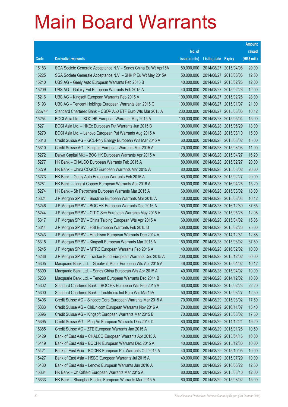|        |                                                                |               |                            |                       | <b>Amount</b> |
|--------|----------------------------------------------------------------|---------------|----------------------------|-----------------------|---------------|
|        |                                                                | No. of        |                            |                       | raised        |
| Code   | <b>Derivative warrants</b>                                     | issue (units) | <b>Listing date Expiry</b> |                       | (HK\$ mil.)   |
| 15183  | SGA Societe Generale Acceptance N.V - Sands China Eu Wt Apr15A | 80,000,000    | 2014/08/27 2015/04/08      |                       | 20.00         |
| 15225  | SGA Societe Generale Acceptance N.V. - SHK P Eu Wt May 2015A   | 50,000,000    | 2014/08/27 2015/05/06      |                       | 12.50         |
| 15210  | UBS AG - Geely Auto European Warrants Feb 2015 B               | 40,000,000    | 2014/08/27 2015/02/26      |                       | 12.00         |
| 15209  | UBS AG - Galaxy Ent European Warrants Feb 2015 A               | 40,000,000    | 2014/08/27 2015/02/26      |                       | 12.00         |
| 15216  | UBS AG - Kingsoft European Warrants Feb 2015 A                 | 100,000,000   | 2014/08/27 2015/02/26      |                       | 28.00         |
| 15193  | UBS AG - Tencent Holdings European Warrants Jan 2015 C         | 100,000,000   | 2014/08/27 2015/01/07      |                       | 21.00         |
| 22674# | Standard Chartered Bank - CSOP A50 ETF Euro Wts Mar 2015 A     | 230,000,000   | 2014/08/27 2015/03/06      |                       | 10.12         |
| 15254  | BOCI Asia Ltd. - BOC HK European Warrants May 2015 A           | 100,000,000   | 2014/08/28 2015/05/04      |                       | 15.00         |
| 15271  | BOCI Asia Ltd. - HKEx European Put Warrants Jun 2015 B         | 100,000,000   | 2014/08/28 2015/06/29      |                       | 18.00         |
| 15270  | BOCI Asia Ltd. - Lenovo European Put Warrants Aug 2015 A       | 100,000,000   | 2014/08/28 2015/08/10      |                       | 15.00         |
| 15313  | Credit Suisse AG - GCL-Poly Energy European Wts Mar 2015 A     | 60,000,000    | 2014/08/28 2015/03/02      |                       | 15.00         |
| 15310  | Credit Suisse AG - Kingsoft European Warrants Mar 2015 A       | 70,000,000    | 2014/08/28 2015/03/03      |                       | 11.90         |
| 15272  | Daiwa Capital Mkt - BOC HK European Warrants Apr 2015 A        | 108,000,000   | 2014/08/28 2015/04/27      |                       | 16.20         |
| 15277  | HK Bank - CHALCO European Warrants Feb 2015 A                  | 80,000,000    | 2014/08/28 2015/02/27      |                       | 20.00         |
| 15279  | HK Bank - China COSCO European Warrants Mar 2015 A             | 80,000,000    | 2014/08/28 2015/03/02      |                       | 20.00         |
| 15273  | HK Bank - Geely Auto European Warrants Feb 2015 A              | 80,000,000    | 2014/08/28 2015/02/27      |                       | 20.00         |
| 15281  | HK Bank - Jiangxi Copper European Warrants Apr 2016 A          | 80,000,000    | 2014/08/28 2016/04/26      |                       | 15.20         |
| 15274  | HK Bank - Sh Petrochem European Warrants Mar 2015 A            | 60,000,000    | 2014/08/28 2015/03/02      |                       | 18.00         |
| 15324  | J P Morgan SP BV - Biostime European Warrants Mar 2015 A       | 40,000,000    | 2014/08/28 2015/03/03      |                       | 10.12         |
| 15246  | J P Morgan SP BV - BOC HK European Warrants Dec 2016 A         | 150,000,000   | 2014/08/28 2016/12/30      |                       | 37.65         |
| 15244  | J P Morgan SP BV - CITIC Sec European Warrants May 2015 A      | 80,000,000    | 2014/08/28 2015/05/28      |                       | 12.08         |
| 15317  | J P Morgan SP BV - China Taiping European Wts Apr 2015 A       | 60,000,000    |                            | 2014/08/28 2015/04/02 | 15.06         |
| 15314  | J P Morgan SP BV - HSI European Warrants Feb 2015 D            | 500,000,000   | 2014/08/28 2015/02/26      |                       | 75.00         |
| 15243  | J P Morgan SP BV - Hutchison European Warrants Dec 2014 A      | 80,000,000    | 2014/08/28 2014/12/31      |                       | 12.88         |
| 15315  | J P Morgan SP BV - Kingsoft European Warrants Mar 2015 A       | 150,000,000   | 2014/08/28 2015/03/02      |                       | 37.50         |
| 15245  | J P Morgan SP BV - MTRC European Warrants Feb 2016 A           | 40,000,000    | 2014/08/28 2016/02/02      |                       | 10.00         |
| 15236  | J P Morgan SP BV - Tracker Fund European Warrants Dec 2015 A   | 200,000,000   | 2014/08/28 2015/12/02      |                       | 50.00         |
| 15305  | Macquarie Bank Ltd. - Greatwall Motor European Wts Apr 2015 A  | 46,000,000    | 2014/08/28 2015/04/02      |                       | 10.12         |
| 15309  | Macquarie Bank Ltd. - Sands China European Wts Apr 2015 A      | 40,000,000    | 2014/08/28 2015/04/02      |                       | 10.00         |
| 15233  | Macquarie Bank Ltd. - Tencent European Warrants Dec 2014 B     | 40,000,000    | 2014/08/28 2014/12/02      |                       | 10.00         |
| 15302  | Standard Chartered Bank - BOC HK European Wts Feb 2015 A       | 60,000,000    | 2014/08/28 2015/02/23      |                       | 22.20         |
| 15300  | Standard Chartered Bank - Techtronic Ind Euro Wts Mar15A       | 50,000,000    | 2014/08/28 2015/03/27      |                       | 12.50         |
| 15406  | Credit Suisse AG - Sinopec Corp European Warrants Mar 2015 A   | 70,000,000    | 2014/08/29 2015/03/02      |                       | 17.50         |
| 15383  | Credit Suisse AG - ChiUnicom European Warrants Nov 2016 A      | 70,000,000    | 2014/08/29 2016/11/07      |                       | 15.40         |
| 15396  | Credit Suisse AG - Kingsoft European Warrants Mar 2015 B       | 70,000,000    | 2014/08/29 2015/03/02      |                       | 17.50         |
| 15395  | Credit Suisse AG - Ping An European Warrants Dec 2014 D        | 80,000,000    | 2014/08/29 2014/12/24      |                       | 19.20         |
| 15385  | Credit Suisse AG - ZTE European Warrants Jan 2015 A            | 70,000,000    | 2014/08/29 2015/01/26      |                       | 10.50         |
| 15429  | Bank of East Asia - CHALCO European Warrants Apr 2015 A        | 40,000,000    | 2014/08/29 2015/04/16      |                       | 10.00         |
| 15419  | Bank of East Asia - BOCHK European Warrants Dec 2015 A         | 40,000,000    | 2014/08/29 2015/12/30      |                       | 10.00         |
| 15421  | Bank of East Asia - BOCHK European Put Warrants Oct 2015 A     | 40,000,000    | 2014/08/29 2015/10/05      |                       | 10.00         |
| 15427  | Bank of East Asia - HSBC European Warrants Jul 2015 A          | 40,000,000    | 2014/08/29 2015/07/29      |                       | 10.00         |
| 15430  | Bank of East Asia - Lenovo European Warrants Jun 2016 A        | 50,000,000    | 2014/08/29 2016/06/22      |                       | 12.50         |
| 15334  | HK Bank - Ch Oilfield European Warrants Mar 2015 A             | 80,000,000    | 2014/08/29 2015/03/10      |                       | 12.00         |
| 15333  | HK Bank - Shanghai Electric European Warrants Mar 2015 A       | 60,000,000    | 2014/08/29 2015/03/02      |                       | 15.00         |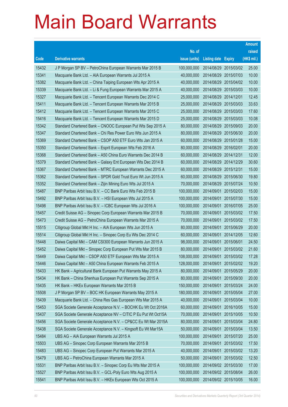|       |                                                               |               |                       |                       | <b>Amount</b> |
|-------|---------------------------------------------------------------|---------------|-----------------------|-----------------------|---------------|
|       |                                                               | No. of        |                       |                       | raised        |
| Code  | <b>Derivative warrants</b>                                    | issue (units) | Listing date Expiry   |                       | (HK\$ mil.)   |
| 15432 | J P Morgan SP BV - PetroChina European Warrants Mar 2015 B    | 100,000,000   |                       | 2014/08/29 2015/03/02 | 25.00         |
| 15341 | Macquarie Bank Ltd. - AIA European Warrants Jul 2015 A        | 40,000,000    |                       | 2014/08/29 2015/07/03 | 10.00         |
| 15382 | Macquarie Bank Ltd. - China Taiping European Wts Apr 2015 A   | 40,000,000    | 2014/08/29            | 2015/04/02            | 10.00         |
| 15339 | Macquarie Bank Ltd. - Li & Fung European Warrants Mar 2015 A  | 40,000,000    |                       | 2014/08/29 2015/03/03 | 10.00         |
| 15327 | Macquarie Bank Ltd. - Tencent European Warrants Dec 2014 C    | 25,000,000    | 2014/08/29 2014/12/01 |                       | 12.45         |
| 15411 | Macquarie Bank Ltd. - Tencent European Warrants Mar 2015 B    | 25,000,000    |                       | 2014/08/29 2015/03/03 | 33.63         |
| 15412 | Macquarie Bank Ltd. - Tencent European Warrants Mar 2015 C    | 25,000,000    | 2014/08/29            | 2015/03/03            | 17.60         |
| 15416 | Macquarie Bank Ltd. - Tencent European Warrants Mar 2015 D    | 25,000,000    | 2014/08/29 2015/03/03 |                       | 10.08         |
| 15342 | Standard Chartered Bank - CNOOC European Put Wts Sep 2015 A   | 80,000,000    | 2014/08/29            | 2015/09/03            | 20.00         |
| 15347 | Standard Chartered Bank - Chi Res Power Euro Wts Jun 2015 A   | 80,000,000    |                       | 2014/08/29 2015/06/30 | 20.00         |
| 15369 | Standard Chartered Bank - CSOP A50 ETF Euro Wts Jan 2015 A    | 60,000,000    | 2014/08/29            | 2015/01/28            | 15.00         |
| 15350 | Standard Chartered Bank - Esprit European Wts Feb 2016 A      | 80,000,000    | 2014/08/29 2016/02/01 |                       | 20.00         |
| 15368 | Standard Chartered Bank - A50 China Euro Warrants Dec 2014 B  | 60,000,000    | 2014/08/29 2014/12/31 |                       | 12.00         |
| 15379 | Standard Chartered Bank - Galaxy Ent European Wts Dec 2014 B  | 60,000,000    |                       | 2014/08/29 2014/12/29 | 30.60         |
| 15367 | Standard Chartered Bank - MTRC European Warrants Dec 2015 A   | 60,000,000    | 2014/08/29            | 2015/12/31            | 15.00         |
| 15362 | Standard Chartered Bank - SPDR Gold Trust Euro Wt Jun 2015 A  | 60,000,000    |                       | 2014/08/29 2015/06/30 | 19.80         |
| 15352 | Standard Chartered Bank - Zijin Mining Euro Wts Jul 2015 A    | 70,000,000    |                       | 2014/08/29 2015/07/24 | 10.50         |
| 15487 | BNP Paribas Arbit Issu B.V. - CC Bank Euro Wts Feb 2015 B     | 100,000,000   | 2014/09/01            | 2015/02/03            | 15.00         |
| 15492 | BNP Paribas Arbit Issu B.V. - HSI European Wts Jul 2015 A     | 100,000,000   | 2014/09/01            | 2015/07/30            | 15.00         |
| 15498 | BNP Paribas Arbit Issu B.V. - ICBC European Wts Jul 2016 A    | 100,000,000   | 2014/09/01            | 2016/07/05            | 25.00         |
| 15457 | Credit Suisse AG - Sinopec Corp European Warrants Mar 2015 B  | 70,000,000    | 2014/09/01            | 2015/03/02            | 17.50         |
| 15473 | Credit Suisse AG - PetroChina European Warrants Mar 2015 A    | 70,000,000    | 2014/09/01            | 2015/03/02            | 17.50         |
| 15515 | Citigroup Global Mkt H Inc. - AIA European Wts Jun 2015 A     | 80,000,000    | 2014/09/01            | 2015/06/29            | 20.00         |
| 15514 | Citigroup Global Mkt H Inc. - Sinopec Corp Eu Wts Dec 2014 C  | 60,000,000    |                       | 2014/09/01 2014/12/05 | 12.60         |
| 15448 | Daiwa Capital Mkt - CAM CSI300 European Warrants Jun 2015 A   | 98,000,000    | 2014/09/01            | 2015/06/01            | 24.50         |
| 15452 | Daiwa Capital Mkt - Sinopec Corp European Put Wts Mar 2015 B  | 80,000,000    | 2014/09/01            | 2015/03/02            | 21.60         |
| 15449 | Daiwa Capital Mkt - CSOP A50 ETF European Wts Mar 2015 A      | 108,000,000   | 2014/09/01            | 2015/03/02            | 17.28         |
| 15446 | Daiwa Capital Mkt - A50 China European Warrants Feb 2015 A    | 128,000,000   | 2014/09/01 2015/02/02 |                       | 19.20         |
| 15433 | HK Bank - Agricultural Bank European Put Warrants May 2015 A  | 80,000,000    | 2014/09/01            | 2015/05/29            | 20.00         |
| 15434 | HK Bank - China Shenhua European Put Warrants Sep 2015 A      | 80,000,000    | 2014/09/01            | 2015/09/30            | 20.00         |
| 15435 | HK Bank - HKEx European Warrants Mar 2015 B                   | 150,000,000   | 2014/09/01            | 2015/03/24            | 24.00         |
| 15508 | J P Morgan SP BV - BOC HK European Warrants May 2015 A        | 180,000,000   | 2014/09/01            | 2015/05/04            | 27.00         |
| 15439 | Macquarie Bank Ltd. - China Res Gas European Wts Mar 2015 A   | 40,000,000    | 2014/09/01            | 2015/03/04            | 10.00         |
| 15453 | SGA Societe Generale Acceptance N.V. - BOCHK Eu Wt Oct 2016A  | 60,000,000    | 2014/09/01            | 2016/10/05            | 15.00         |
| 15437 | SGA Societe Generale Acceptance NV - CITIC P Eu Put Wt Oct15A | 70,000,000    | 2014/09/01            | 2015/10/05            | 10.50         |
| 15456 | SGA Societe Generale Acceptance N.V. - CP&CC Eu Wt Mar 2015A  | 80,000,000    | 2014/09/01            | 2015/03/04            | 24.80         |
| 15438 | SGA Societe Generale Acceptance N.V. - Kingsoft Eu Wt Mar15A  | 50,000,000    | 2014/09/01            | 2015/03/04            | 13.50         |
| 15484 | UBS AG - AIA European Warrants Jul 2015 A                     | 100,000,000   | 2014/09/01            | 2015/07/20            | 25.00         |
| 15503 | UBS AG - Sinopec Corp European Warrants Mar 2015 B            | 70,000,000    | 2014/09/01            | 2015/03/02            | 17.50         |
| 15483 | UBS AG - Sinopec Corp European Put Warrants Mar 2015 A        | 40,000,000    | 2014/09/01            | 2015/03/02            | 13.20         |
| 15479 | UBS AG - PetroChina European Warrants Mar 2015 A              | 50,000,000    | 2014/09/01            | 2015/03/02            | 12.50         |
| 15531 | BNP Paribas Arbit Issu B.V. - Sinopec Corp Eu Wts Mar 2015 A  | 100,000,000   | 2014/09/02 2015/03/30 |                       | 17.00         |
| 15527 | BNP Paribas Arbit Issu B.V. - GCL-Poly Euro Wts Aug 2015 A    | 100,000,000   | 2014/09/02 2015/08/04 |                       | 26.00         |
| 15541 | BNP Paribas Arbit Issu B.V. - HKEx European Wts Oct 2015 A    | 100,000,000   | 2014/09/02 2015/10/05 |                       | 16.00         |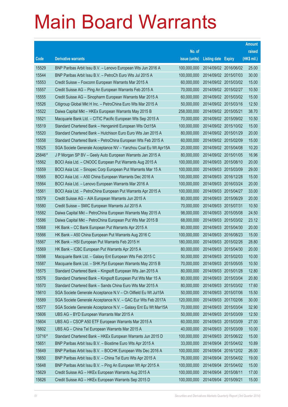|        |                                                                |               |                            |                       | <b>Amount</b> |
|--------|----------------------------------------------------------------|---------------|----------------------------|-----------------------|---------------|
|        |                                                                | No. of        |                            |                       | raised        |
| Code   | <b>Derivative warrants</b>                                     | issue (units) | <b>Listing date Expiry</b> |                       | (HK\$ mil.)   |
| 15529  | BNP Paribas Arbit Issu B.V. - Lenovo European Wts Jun 2016 A   | 100,000,000   |                            | 2014/09/02 2016/06/02 | 25.00         |
| 15544  | BNP Paribas Arbit Issu B.V. - PetroCh Euro Wts Jul 2015 A      | 100,000,000   |                            | 2014/09/02 2015/07/03 | 30.00         |
| 15553  | Credit Suisse - Foxconn European Warrants Mar 2015 A           | 60,000,000    |                            | 2014/09/02 2015/03/02 | 15.00         |
| 15557  | Credit Suisse AG - Ping An European Warrants Feb 2015 A        | 70,000,000    |                            | 2014/09/02 2015/02/27 | 10.50         |
| 15555  | Credit Suisse AG - Sinopharm European Warrants Mar 2015 A      | 60,000,000    |                            | 2014/09/02 2015/03/02 | 15.00         |
| 15526  | Citigroup Global Mkt H Inc. - PetroChina Euro Wts Mar 2015 A   | 50,000,000    |                            | 2014/09/02 2015/03/16 | 12.50         |
| 15522  | Daiwa Capital Mkt - HKEx European Warrants May 2015 B          | 258,000,000   | 2014/09/02 2015/05/21      |                       | 38.70         |
| 15521  | Macquarie Bank Ltd. - CITIC Pacific European Wts Sep 2015 A    | 70,000,000    |                            | 2014/09/02 2015/09/02 | 10.50         |
| 15519  | Standard Chartered Bank - Henganintl European Wts Oct15A       | 100,000,000   |                            | 2014/09/02 2015/10/02 | 15.00         |
| 15520  | Standard Chartered Bank - Hutchison Euro Euro Wts Jan 2015 A   | 80,000,000    |                            | 2014/09/02 2015/01/29 | 20.00         |
| 15558  | Standard Chartered Bank - PetroChina European Wts Feb 2015 A   | 60,000,000    | 2014/09/02 2015/02/09      |                       | 15.00         |
| 15525  | SGA Societe Generale Acceptance NV - Yanzhou Coal Eu Wt Apr15A | 20,000,000    |                            | 2014/09/02 2015/04/08 | 10.20         |
| 25846# | J P Morgan SP BV - Geely Auto European Warrants Jan 2015 A     | 80,000,000    |                            | 2014/09/02 2015/01/05 | 16.96         |
| 15562  | BOCI Asia Ltd. - CNOOC European Put Warrants Aug 2015 A        | 100,000,000   |                            | 2014/09/03 2015/08/10 | 20.00         |
| 15559  | BOCI Asia Ltd. - Sinopec Corp European Put Warrants Mar 15 A   | 100,000,000   | 2014/09/03 2015/03/09      |                       | 29.00         |
| 15565  | BOCI Asia Ltd. - A50 China European Warrants Dec 2016 A        | 100,000,000   |                            | 2014/09/03 2016/12/28 | 15.00         |
| 15564  | BOCI Asia Ltd. - Lenovo European Warrants Mar 2016 A           | 100,000,000   |                            | 2014/09/03 2016/03/24 | 20.00         |
| 15561  | BOCI Asia Ltd. - PetroChina European Put Warrants Apr 2015 A   | 100,000,000   |                            | 2014/09/03 2015/04/27 | 33.00         |
| 15579  | Credit Suisse AG - AIA European Warrants Jun 2015 A            | 80,000,000    | 2014/09/03 2015/06/29      |                       | 20.00         |
| 15580  | Credit Suisse - SMIC European Warrants Jul 2015 A              | 70,000,000    | 2014/09/03 2015/07/31      |                       | 10.50         |
| 15582  | Daiwa Capital Mkt - PetroChina European Warrants May 2015 A    | 98,000,000    |                            | 2014/09/03 2015/05/08 | 24.50         |
| 15586  | Daiwa Capital Mkt - PetroChina European Put Wts Mar 2015 B     | 68,000,000    |                            | 2014/09/03 2015/03/02 | 23.12         |
| 15568  | HK Bank - CC Bank European Put Warrants Apr 2015 A             | 80,000,000    | 2014/09/03 2015/04/30      |                       | 20.00         |
| 15566  | HK Bank - A50 China European Put Warrants Aug 2016 C           | 100,000,000   |                            | 2014/09/03 2016/08/23 | 15.00         |
| 15567  | HK Bank - HSI European Put Warrants Feb 2015 H                 | 180,000,000   |                            | 2014/09/03 2015/02/26 | 28.80         |
| 15569  | HK Bank - ICBC European Put Warrants Apr 2015 A                | 80,000,000    | 2014/09/03 2015/04/30      |                       | 20.00         |
| 15598  | Macquarie Bank Ltd. - Galaxy Ent European Wts Feb 2015 C       | 50,000,000    |                            | 2014/09/03 2015/02/03 | 10.00         |
| 15587  | Macquarie Bank Ltd. - SHK Ppt European Warrants May 2015 B     | 70,000,000    | 2014/09/03 2015/05/05      |                       | 10.50         |
| 15575  | Standard Chartered Bank - Kingsoft European Wts Jan 2015 A     | 80,000,000    | 2014/09/03 2015/01/28      |                       | 12.80         |
| 15576  | Standard Chartered Bank - Kingsoft European Put Wts Mar 15 A   | 80,000,000    | 2014/09/03 2015/03/04      |                       | 20.80         |
| 15570  | Standard Chartered Bank - Sands China Euro Wts Mar 2015 A      | 80,000,000    | 2014/09/03 2015/03/02      |                       | 17.60         |
| 15610  | SGA Societe Generale Acceptance N.V - Ch Oilfield Eu Wt Jul15A | 50,000,000    | 2014/09/03 2015/07/06      |                       | 15.50         |
| 15589  | SGA Societe Generale Acceptance N.V. - GAC Eur Wts Feb 2017A   | 120,000,000   | 2014/09/03 2017/02/06      |                       | 30.00         |
| 15577  | SGA Societe Generale Acceptance N.V. - Galaxy Ent Eu Wt Mar15A | 70,000,000    | 2014/09/03 2015/03/04      |                       | 32.90         |
| 15606  | UBS AG - BYD European Warrants Mar 2015 A                      | 50,000,000    | 2014/09/03 2015/03/09      |                       | 12.50         |
| 15604  | UBS AG - CSOP A50 ETF European Warrants Mar 2015 A             | 60,000,000    | 2014/09/03 2015/03/09      |                       | 27.00         |
| 15602  | UBS AG - China Tel European Warrants Mar 2015 A                | 40,000,000    | 2014/09/03 2015/03/09      |                       | 10.00         |
| 13716# | Standard Chartered Bank - HKEx European Warrants Jun 2015 D    | 100,000,000   |                            | 2014/09/03 2015/06/22 | 15.00         |
| 15651  | BNP Paribas Arbit Issu B.V. - Biostime Euro Wts Apr 2015 A     | 33,000,000    | 2014/09/04                 | 2015/04/02            | 10.89         |
| 15649  | BNP Paribas Arbit Issu B.V. - BOCHK European Wts Dec 2016 A    | 100,000,000   |                            | 2014/09/04 2016/12/02 | 26.00         |
| 15650  | BNP Paribas Arbit Issu B.V. - China Tel Euro Wts Apr 2015 A    | 76,000,000    | 2014/09/04                 | 2015/04/02            | 19.00         |
| 15648  | BNP Paribas Arbit Issu B.V. - Ping An European Wt Apr 2015 A   | 100,000,000   |                            | 2014/09/04 2015/04/02 | 15.00         |
| 15629  | Credit Suisse AG - HKEx European Warrants Aug 2015 A           | 100,000,000   | 2014/09/04                 | 2015/08/11            | 17.00         |
| 15626  | Credit Suisse AG - HKEx European Warrants Sep 2015 D           | 100,000,000   | 2014/09/04 2015/09/21      |                       | 15.00         |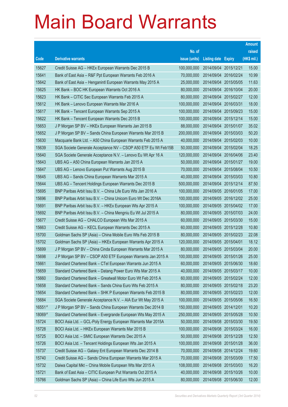|        |                                                                |               |                       |            | <b>Amount</b> |
|--------|----------------------------------------------------------------|---------------|-----------------------|------------|---------------|
|        |                                                                | No. of        |                       |            | raised        |
| Code   | <b>Derivative warrants</b>                                     | issue (units) | Listing date Expiry   |            | $(HK$$ mil.)  |
| 15627  | Credit Suisse AG - HKEx European Warrants Dec 2015 B           | 100,000,000   | 2014/09/04            | 2015/12/21 | 15.00         |
| 15641  | Bank of East Asia – R&F Ppt European Warrants Feb 2016 A       | 70,000,000    | 2014/09/04 2016/02/24 |            | 10.99         |
| 15642  | Bank of East Asia - Henganintl European Warrants May 2015 A    | 25,000,000    | 2014/09/04            | 2015/05/05 | 11.63         |
| 15625  | HK Bank – BOC HK European Warrants Oct 2016 A                  | 80,000,000    | 2014/09/04 2016/10/04 |            | 20.00         |
| 15623  | HK Bank - CITIC Sec European Warrants Feb 2015 A               | 80,000,000    | 2014/09/04 2015/02/27 |            | 12.00         |
| 15612  | HK Bank - Lenovo European Warrants Mar 2016 A                  | 100,000,000   | 2014/09/04 2016/03/31 |            | 18.00         |
| 15617  | HK Bank - Tencent European Warrants Sep 2015 A                 | 100,000,000   | 2014/09/04            | 2015/09/23 | 15.00         |
| 15622  | HK Bank - Tencent European Warrants Dec 2015 B                 | 100,000,000   | 2014/09/04 2015/12/14 |            | 15.00         |
| 15653  | J P Morgan SP BV - HKEx European Warrants Jan 2015 B           | 88,000,000    | 2014/09/04 2015/01/07 |            | 35.02         |
| 15652  | J P Morgan SP BV - Sands China European Warrants Mar 2015 B    | 200,000,000   | 2014/09/04 2015/03/03 |            | 50.20         |
| 15630  | Macquarie Bank Ltd. - A50 China European Warrants Feb 2015 A   | 40,000,000    | 2014/09/04            | 2015/02/03 | 10.00         |
| 15639  | SGA Societe Generale Acceptance NV - CSOP A50 ETF Eu Wt Feb15B | 50,000,000    | 2014/09/04 2015/02/04 |            | 18.25         |
| 15640  | SGA Societe Generale Acceptance N.V. - Lenovo Eu Wt Apr 16 A   | 120,000,000   | 2014/09/04 2016/04/06 |            | 23.40         |
| 15643  | UBS AG - A50 China European Warrants Jan 2015 A                | 50,000,000    | 2014/09/04 2015/01/27 |            | 19.00         |
| 15647  | UBS AG - Lenovo European Put Warrants Aug 2015 B               | 70,000,000    | 2014/09/04            | 2015/08/04 | 10.50         |
| 15645  | UBS AG - Sands China European Warrants Mar 2015 A              | 40,000,000    | 2014/09/04 2015/03/03 |            | 10.80         |
| 15644  | UBS AG - Tencent Holdings European Warrants Dec 2015 B         | 500,000,000   | 2014/09/04 2015/12/14 |            | 87.50         |
| 15695  | BNP Paribas Arbit Issu B.V. - China Life Euro Wts Jan 2016 A   | 100,000,000   | 2014/09/05 2016/01/05 |            | 17.00         |
| 15696  | BNP Paribas Arbit Issu B.V. - China Unicom Euro Wt Dec 2016A   | 100,000,000   | 2014/09/05 2016/12/02 |            | 25.00         |
| 15691  | BNP Paribas Arbit Issu B.V. - HKEx European Wts Apr 2015 A     | 100,000,000   | 2014/09/05 2015/04/02 |            | 17.00         |
| 15692  | BNP Paribas Arbit Issu B.V. - China Mengniu Eu Wt Jul 2015 A   | 80,000,000    | 2014/09/05 2015/07/03 |            | 24.00         |
| 15677  | Credit Suisse AG - CHALCO European Wts Mar 2015 A              | 60,000,000    | 2014/09/05 2015/03/30 |            | 15.00         |
| 15663  | Credit Suisse AG - KECL European Warrants Dec 2015 A           | 60,000,000    | 2014/09/05 2015/12/28 |            | 10.80         |
| 15700  | Goldman Sachs SP (Asia) - China Mobile Euro Wts Feb 2015 B     | 80,000,000    | 2014/09/05 2015/02/23 |            | 22.08         |
| 15702  | Goldman Sachs SP (Asia) - HKEx European Warrants Apr 2015 A    | 120,000,000   | 2014/09/05 2015/04/01 |            | 18.12         |
| 15699  | J P Morgan SP BV - China Cinda European Warrants Mar 2015 A    | 80,000,000    | 2014/09/05 2015/03/04 |            | 20.00         |
| 15698  | J P Morgan SP BV - CSOP A50 ETF European Warrants Jan 2015 A   | 100,000,000   | 2014/09/05 2015/01/26 |            | 25.00         |
| 15661  | Standard Chartered Bank - CTel European Warrants Jun 2015 A    | 60,000,000    | 2014/09/05 2015/06/30 |            | 18.60         |
| 15659  | Standard Chartered Bank - Datang Power Euro Wts Mar 2015 A     | 40,000,000    | 2014/09/05 2015/03/17 |            | 10.00         |
| 15660  | Standard Chartered Bank - Greatwall Motor Euro Wt Feb 2015 A   | 60,000,000    | 2014/09/05 2015/02/24 |            | 12.00         |
| 15658  | Standard Chartered Bank - Sands China Euro Wts Feb 2015 A      | 80,000,000    | 2014/09/05 2015/02/18 |            | 23.20         |
| 15654  | Standard Chartered Bank - SHK P European Warrants Feb 2015 B   | 80,000,000    | 2014/09/05 2015/02/23 |            | 12.00         |
| 15684  | SGA Societe Generale Acceptance N.V. - AIA Eur Wt May 2015 A   | 100,000,000   | 2014/09/05 2015/05/06 |            | 16.50         |
| 16551# | J P Morgan SP BV - Sands China European Warrants Dec 2014 B    | 150,000,000   | 2014/09/05 2014/12/01 |            | 10.20         |
| 18069# | Standard Chartered Bank - Evergrande European Wts May 2015 A   | 250,000,000   | 2014/09/05 2015/05/28 |            | 10.50         |
| 15724  | BOCI Asia Ltd. - GCL-Poly Energy European Warrants Mar 2015A   | 50,000,000    | 2014/09/08 2015/03/30 |            | 19.50         |
| 15728  | BOCI Asia Ltd. - HKEx European Warrants Mar 2015 B             | 100,000,000   | 2014/09/08            | 2015/03/24 | 16.00         |
| 15725  | BOCI Asia Ltd. - SMIC European Warrants Dec 2015 A             | 50,000,000    | 2014/09/08 2015/12/28 |            | 12.50         |
| 15726  | BOCI Asia Ltd. - Tencent Holdings European Wts Jan 2015 A      | 100,000,000   | 2014/09/08 2015/01/28 |            | 36.00         |
| 15737  | Credit Suisse AG - Galaxy Ent European Warrants Dec 2014 B     | 70,000,000    | 2014/09/08 2014/12/24 |            | 19.60         |
| 15740  | Credit Suisse AG - Sands China European Warrants Mar 2015 A    | 70,000,000    | 2014/09/08            | 2015/03/09 | 17.50         |
| 15732  | Daiwa Capital Mkt - China Mobile European Wts Mar 2015 A       | 108,000,000   | 2014/09/08 2015/03/03 |            | 16.20         |
| 15721  | Bank of East Asia - CITIC European Put Warrants Oct 2015 A     | 40,000,000    | 2014/09/08            | 2015/10/26 | 10.00         |
| 15766  | Goldman Sachs SP (Asia) - China Life Euro Wts Jun 2015 A       | 80,000,000    | 2014/09/08 2015/06/30 |            | 12.00         |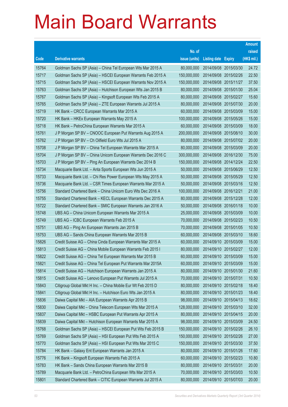|       |                                                              |               |                            | <b>Amount</b> |
|-------|--------------------------------------------------------------|---------------|----------------------------|---------------|
|       |                                                              | No. of        |                            | raised        |
| Code  | <b>Derivative warrants</b>                                   | issue (units) | <b>Listing date Expiry</b> | (HK\$ mil.)   |
| 15764 | Goldman Sachs SP (Asia) – China Tel European Wts Mar 2015 A  | 80,000,000    | 2014/09/08 2015/03/30      | 24.72         |
| 15717 | Goldman Sachs SP (Asia) – HSCEI European Warrants Feb 2015 A | 150,000,000   | 2014/09/08 2015/02/26      | 22.50         |
| 15715 | Goldman Sachs SP (Asia) - HSCEI European Warrants Nov 2015 A | 150,000,000   | 2014/09/08 2015/11/27      | 37.50         |
| 15763 | Goldman Sachs SP (Asia) - Hutchison European Wts Jan 2015 B  | 80,000,000    | 2014/09/08 2015/01/30      | 25.04         |
| 15767 | Goldman Sachs SP (Asia) - Kingsoft European Wts Feb 2015 A   | 80,000,000    | 2014/09/08 2015/02/27      | 15.60         |
| 15765 | Goldman Sachs SP (Asia) - ZTE European Warrants Jul 2015 A   | 80,000,000    | 2014/09/08 2015/07/30      | 20.00         |
| 15719 | HK Bank – CRCC European Warrants Mar 2015 A                  | 60,000,000    | 2014/09/08 2015/03/09      | 15.00         |
| 15720 | HK Bank – HKEx European Warrants May 2015 A                  | 100,000,000   | 2014/09/08 2015/05/26      | 15.00         |
| 15718 | HK Bank - PetroChina European Warrants Mar 2015 A            | 60,000,000    | 2014/09/08 2015/03/09      | 18.00         |
| 15761 | J P Morgan SP BV - CNOOC European Put Warrants Aug 2015 A    | 200,000,000   | 2014/09/08 2015/08/10      | 30.00         |
| 15762 | J P Morgan SP BV - Ch Oilfield Euro Wts Jul 2015 A           | 80,000,000    | 2014/09/08 2015/07/02      | 20.00         |
| 15708 | J P Morgan SP BV - China Tel European Warrants Mar 2015 A    | 80,000,000    | 2014/09/08 2015/03/09      | 20.00         |
| 15704 | J P Morgan SP BV - China Unicom European Warrants Dec 2016 C | 300,000,000   | 2014/09/08 2016/12/30      | 75.00         |
| 15703 | J P Morgan SP BV - Ping An European Warrants Dec 2014 B      | 150,000,000   | 2014/09/08 2014/12/24      | 22.50         |
| 15734 | Macquarie Bank Ltd. - Anta Sports European Wts Jun 2015 A    | 50,000,000    | 2014/09/08 2015/06/29      | 12.50         |
| 15733 | Macquarie Bank Ltd. - Chi Res Power European Wts May 2015 A  | 50,000,000    | 2014/09/08 2015/05/29      | 12.50         |
| 15736 | Macquarie Bank Ltd. - CSR Times European Warrants Mar 2015 A | 50,000,000    | 2014/09/08 2015/03/16      | 12.50         |
| 15756 | Standard Chartered Bank – China Unicom Euro Wts Dec 2016 A   | 100,000,000   | 2014/09/08 2016/12/21      | 21.00         |
| 15755 | Standard Chartered Bank - KECL European Warrants Dec 2015 A  | 80,000,000    | 2014/09/08 2015/12/28      | 12.00         |
| 15722 | Standard Chartered Bank - SMIC European Warrants Jan 2016 A  | 50,000,000    | 2014/09/08 2016/01/18      | 10.00         |
| 15748 | UBS AG - China Unicom European Warrants Mar 2015 A           | 25,000,000    | 2014/09/08 2015/03/09      | 10.00         |
| 15749 | UBS AG - ICBC European Warrants Feb 2015 A                   | 70,000,000    | 2014/09/08 2015/02/23      | 10.50         |
| 15751 | UBS AG - Ping An European Warrants Jan 2015 B                | 70,000,000    | 2014/09/08 2015/01/05      | 10.50         |
| 15753 | UBS AG - Sands China European Warrants Mar 2015 B            | 60,000,000    | 2014/09/08 2015/03/10      | 18.60         |
| 15826 | Credit Suisse AG - China Cinda European Warrants Mar 2015 A  | 60,000,000    | 2014/09/10 2015/03/09      | 15.00         |
| 15813 | Credit Suisse AG - China Mobile European Warrants Feb 2015 I | 80,000,000    | 2014/09/10 2015/02/27      | 12.00         |
| 15822 | Credit Suisse AG - China Tel European Warrants Mar 2015 B    | 60,000,000    | 2014/09/10 2015/03/09      | 15.00         |
| 15821 | Credit Suisse AG - China Tel European Put Warrants Mar 2015A | 60,000,000    | 2014/09/10 2015/03/09      | 15.00         |
| 15814 | Credit Suisse AG - Hutchison European Warrants Jan 2015 A    | 80,000,000    | 2014/09/10 2015/01/30      | 21.60         |
| 15815 | Credit Suisse AG - Lenovo European Put Warrants Jul 2015 A   | 70,000,000    | 2014/09/10 2015/07/31      | 10.50         |
| 15843 | Citigroup Global Mkt H Inc. - China Mobile Eur Wt Feb 2015 D | 80,000,000    | 2014/09/10 2015/02/18      | 18.40         |
| 15841 | Citigroup Global Mkt H Inc. - Hutchison Euro Wts Jan 2015 A  | 80,000,000    | 2014/09/10 2015/01/23      | 18.40         |
| 15836 | Daiwa Capital Mkt - AIA European Warrants Apr 2015 B         | 98,000,000    | 2014/09/10 2015/04/13      | 18.62         |
| 15830 | Daiwa Capital Mkt - China Telecom European Wts Mar 2015 A    | 128,000,000   | 2014/09/10 2015/03/10      | 32.00         |
| 15837 | Daiwa Capital Mkt - HSBC European Put Warrants Apr 2015 A    | 80,000,000    | 2014/09/10 2015/04/15      | 20.00         |
| 15839 | Daiwa Capital Mkt - Hutchison European Warrants Mar 2015 A   | 98,000,000    | 2014/09/10 2015/03/09      | 24.50         |
| 15768 | Goldman Sachs SP (Asia) - HSCEI European Put Wts Feb 2015 B  | 150,000,000   | 2014/09/10 2015/02/26      | 26.10         |
| 15769 | Goldman Sachs SP (Asia) - HSI European Put Wts Feb 2015 A    | 150,000,000   | 2014/09/10 2015/02/26      | 27.00         |
| 15770 | Goldman Sachs SP (Asia) - HSI European Put Wts Mar 2015 C    | 150,000,000   | 2014/09/10 2015/03/30      | 37.50         |
| 15784 | HK Bank - Galaxy Ent European Warrants Jan 2015 A            | 80,000,000    | 2014/09/10 2015/01/26      | 17.60         |
| 15776 | HK Bank - Kingsoft European Warrants Feb 2015 A              | 60,000,000    | 2014/09/10 2015/02/23      | 10.80         |
| 15783 | HK Bank - Sands China European Warrants Mar 2015 B           | 80,000,000    | 2014/09/10 2015/03/31      | 20.00         |
| 15789 | Macquarie Bank Ltd. - PetroChina European Wts Mar 2015 A     | 70,000,000    | 2014/09/10 2015/03/03      | 10.50         |
| 15801 | Standard Chartered Bank - CITIC European Warrants Jul 2015 A | 80,000,000    | 2014/09/10 2015/07/03      | 20.00         |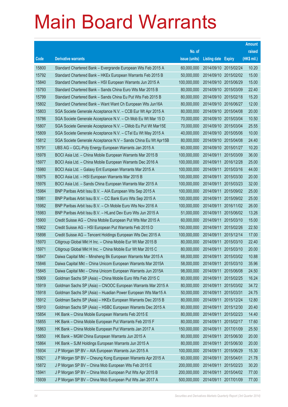|       |                                                                |               |                       |            | <b>Amount</b> |
|-------|----------------------------------------------------------------|---------------|-----------------------|------------|---------------|
|       |                                                                | No. of        |                       |            | raised        |
| Code  | <b>Derivative warrants</b>                                     | issue (units) | Listing date Expiry   |            | (HK\$ mil.)   |
| 15800 | Standard Chartered Bank - Evergrande European Wts Feb 2015 A   | 60,000,000    | 2014/09/10 2015/02/24 |            | 10.20         |
| 15792 | Standard Chartered Bank - HKEx European Warrants Feb 2015 B    | 50,000,000    | 2014/09/10 2015/02/02 |            | 15.00         |
| 15840 | Standard Chartered Bank - HSI European Warrants Jun 2015 A     | 100,000,000   | 2014/09/10 2015/06/29 |            | 15.00         |
| 15793 | Standard Chartered Bank - Sands China Euro Wts Mar 2015 B      | 80,000,000    | 2014/09/10 2015/03/09 |            | 22.40         |
| 15799 | Standard Chartered Bank - Sands China Eu Put Wts Feb 2015 B    | 80,000,000    | 2014/09/10 2015/02/18 |            | 15.20         |
| 15802 | Standard Chartered Bank - Want Want Ch European Wts Jun16A     | 80,000,000    | 2014/09/10 2016/06/27 |            | 12.00         |
| 15803 | SGA Societe Generale Acceptance N.V. - CCB Eur Wt Apr 2015 A   | 80,000,000    | 2014/09/10 2015/04/08 |            | 20.00         |
| 15786 | SGA Societe Generale Acceptance N.V. - Ch Mob Eu Wt Mar 15 D   | 70,000,000    | 2014/09/10 2015/03/04 |            | 10.50         |
| 15807 | SGA Societe Generale Acceptance N.V. - CMob Eu Put Wt Mar15E   | 70,000,000    | 2014/09/10 2015/03/04 |            | 25.55         |
| 15809 | SGA Societe Generale Acceptance N.V. - CTel Eu Wt May 2015 A   | 40,000,000    | 2014/09/10 2015/05/06 |            | 10.00         |
| 15812 | SGA Societe Generale Acceptance N.V - Sands China Eu Wt Apr15B | 80,000,000    | 2014/09/10 2015/04/08 |            | 24.40         |
| 15791 | UBS AG - GCL-Poly Energy European Warrants Jan 2015 A          | 60,000,000    | 2014/09/10 2015/01/27 |            | 10.20         |
| 15978 | BOCI Asia Ltd. - China Mobile European Warrants Mar 2015 B     | 100,000,000   | 2014/09/11            | 2015/03/09 | 36.00         |
| 15977 | BOCI Asia Ltd. - China Mobile European Warrants Dec 2016 A     | 100,000,000   | 2014/09/11            | 2016/12/28 | 25.00         |
| 15980 | BOCI Asia Ltd. - Galaxy Ent European Warrants Mar 2015 A       | 100,000,000   | 2014/09/11            | 2015/03/16 | 44.00         |
| 15975 | BOCI Asia Ltd. - HSI European Warrants Mar 2015 B              | 100,000,000   | 2014/09/11            | 2015/03/30 | 20.00         |
| 15976 | BOCI Asia Ltd. - Sands China European Warrants Mar 2015 A      | 100,000,000   | 2014/09/11            | 2015/03/23 | 32.00         |
| 15984 | BNP Paribas Arbit Issu B.V. - AIA European Wts Sep 2015 A      | 100,000,000   | 2014/09/11            | 2015/09/02 | 25.00         |
| 15981 | BNP Paribas Arbit Issu B.V. - CC Bank Euro Wts Sep 2015 A      | 100,000,000   | 2014/09/11            | 2015/09/02 | 25.00         |
| 15982 | BNP Paribas Arbit Issu B.V. - Ch Mobile Euro Wts Nov 2016 A    | 100,000,000   | 2014/09/11            | 2016/11/02 | 26.00         |
| 15983 | BNP Paribas Arbit Issu B.V. - HLand Dev Euro Wts Jun 2015 A    | 51,000,000    | 2014/09/11            | 2015/06/02 | 13.26         |
| 15900 | Credit Suisse AG - China Mobile European Put Wts Mar 2015 A    | 60,000,000    | 2014/09/11            | 2015/03/10 | 15.00         |
| 15902 | Credit Suisse AG - HSI European Put Warrants Feb 2015 D        | 150,000,000   | 2014/09/11            | 2015/02/26 | 22.50         |
| 15898 | Credit Suisse AG - Tencent Holdings European Wts Dec 2015 A    | 100,000,000   | 2014/09/11            | 2015/12/14 | 17.00         |
| 15970 | Citigroup Global Mkt H Inc. - China Mobile Eur Wt Mar 2015 B   | 80,000,000    | 2014/09/11            | 2015/03/10 | 22.40         |
| 15971 | Citigroup Global Mkt H Inc. - China Mobile Eur Wt Mar 2015 C   | 80,000,000    | 2014/09/11            | 2015/03/10 | 20.00         |
| 15847 | Daiwa Capital Mkt – Minsheng Bk European Warrants Mar 2015 A   | 68,000,000    | 2014/09/11            | 2015/03/02 | 10.88         |
| 15846 | Daiwa Capital Mkt - China Unicom European Warrants Mar 2015A   | 58,000,000    | 2014/09/11 2015/03/10 |            | 35.96         |
| 15845 | Daiwa Capital Mkt - China Unicom European Warrants Jun 2015A   | 98,000,000    | 2014/09/11            | 2015/06/08 | 24.50         |
| 15909 | Goldman Sachs SP (Asia) - China Mobile Euro Wts Feb 2015 C     | 80,000,000    | 2014/09/11            | 2015/02/25 | 16.24         |
| 15919 | Goldman Sachs SP (Asia) - CNOOC European Warrants Mar 2015 A   | 80,000,000    | 2014/09/11            | 2015/03/02 | 34.72         |
| 15918 | Goldman Sachs SP (Asia) - Huadian Power European Wts Mar15 A   | 50,000,000    | 2014/09/11            | 2015/03/31 | 24.75         |
| 15912 | Goldman Sachs SP (Asia) - HKEx European Warrants Dec 2015 B    | 80,000,000    | 2014/09/11            | 2015/12/24 | 12.80         |
| 15910 | Goldman Sachs SP (Asia) - HSBC European Warrants Dec 2015 A    | 80,000,000    | 2014/09/11            | 2015/12/30 | 20.40         |
| 15854 | HK Bank - China Mobile European Warrants Feb 2015 E            | 80,000,000    | 2014/09/11            | 2015/02/23 | 14.40         |
| 15855 | HK Bank - China Mobile European Put Warrants Feb 2015 F        | 80,000,000    | 2014/09/11            | 2015/02/17 | 17.60         |
| 15863 | HK Bank - China Mobile European Put Warrants Jan 2017 A        | 150,000,000   | 2014/09/11            | 2017/01/09 | 25.50         |
| 15850 | HK Bank - MGM China European Warrants Jun 2015 A               | 80,000,000    | 2014/09/11            | 2015/06/30 | 20.00         |
| 15864 | HK Bank - SJM Holdings European Warrants Jun 2015 A            | 80,000,000    | 2014/09/11            | 2015/06/30 | 20.00         |
| 15934 | J P Morgan SP BV - AIA European Warrants Jun 2015 A            | 100,000,000   | 2014/09/11            | 2015/06/29 | 15.30         |
| 15921 | J P Morgan SP BV - Cheung Kong European Warrants Apr 2015 A    | 60,000,000    | 2014/09/11            | 2015/04/01 | 21.78         |
| 15872 | J P Morgan SP BV - China Mob European Wts Feb 2015 E           | 200,000,000   | 2014/09/11            | 2015/02/23 | 30.20         |
| 15941 | J P Morgan SP BV - China Mob European Put Wts Apr 2015 B       | 200,000,000   | 2014/09/11            | 2015/04/02 | 77.00         |
| 15939 | J P Morgan SP BV - China Mob European Put Wts Jan 2017 A       | 500,000,000   | 2014/09/11            | 2017/01/09 | 77.00         |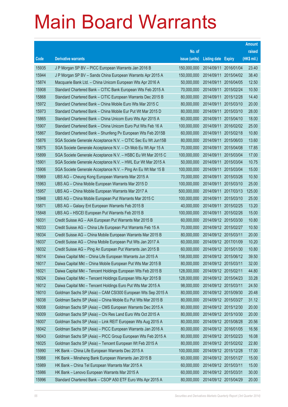|       |                                                               |               |                            |                       | <b>Amount</b> |
|-------|---------------------------------------------------------------|---------------|----------------------------|-----------------------|---------------|
|       |                                                               | No. of        |                            |                       | raised        |
| Code  | <b>Derivative warrants</b>                                    | issue (units) | <b>Listing date Expiry</b> |                       | (HK\$ mil.)   |
| 15935 | J P Morgan SP BV - PICC European Warrants Jan 2016 B          | 150,000,000   | 2014/09/11                 | 2016/01/04            | 23.40         |
| 15944 | J P Morgan SP BV - Sands China European Warrants Apr 2015 A   | 150,000,000   | 2014/09/11                 | 2015/04/02            | 38.40         |
| 15874 | Macquarie Bank Ltd. - China Unicom European Wts Apr 2016 A    | 50,000,000    | 2014/09/11                 | 2016/04/05            | 12.50         |
| 15908 | Standard Chartered Bank - CITIC Bank European Wts Feb 2015 A  | 70,000,000    | 2014/09/11                 | 2015/02/24            | 10.50         |
| 15868 | Standard Chartered Bank - CITIC European Warrants Dec 2015 B  | 80,000,000    | 2014/09/11                 | 2015/12/28            | 14.40         |
| 15972 | Standard Chartered Bank - China Mobile Euro Wts Mar 2015 C    | 80,000,000    | 2014/09/11                 | 2015/03/10            | 20.00         |
| 15973 | Standard Chartered Bank - China Mobile Eur Put Wt Mar 2015 D  | 80,000,000    | 2014/09/11                 | 2015/03/10            | 28.00         |
| 15865 | Standard Chartered Bank - China Unicom Euro Wts Apr 2015 A    | 60,000,000    | 2014/09/11                 | 2015/04/10            | 18.00         |
| 15907 | Standard Chartered Bank - China Unicom Euro Put Wts Feb 16 A  | 100,000,000   | 2014/09/11                 | 2016/02/02            | 25.00         |
| 15867 | Standard Chartered Bank - Shunfeng Pv European Wts Feb 2015B  | 60,000,000    | 2014/09/11                 | 2015/02/18            | 10.80         |
| 15876 | SGA Societe Generale Acceptance N.V. - CITIC Sec Eu Wt Jun15B | 80,000,000    | 2014/09/11                 | 2015/06/03            | 13.60         |
| 15875 | SGA Societe Generale Acceptance N.V. - Ch Mob Eu Wt Apr 15 A  | 70,000,000    | 2014/09/11                 | 2015/04/08            | 17.85         |
| 15899 | SGA Societe Generale Acceptance N.V. - HSBC Eu Wt Mar 2015 C  | 100,000,000   | 2014/09/11                 | 2015/03/04            | 17.00         |
| 15901 | SGA Societe Generale Acceptance N.V. - HWL Eur Wt Mar 2015 A  | 50,000,000    | 2014/09/11                 | 2015/03/04            | 10.75         |
| 15906 | SGA Societe Generale Acceptance N.V. - Ping An Eu Wt Mar 15 B | 100,000,000   | 2014/09/11                 | 2015/03/04            | 15.00         |
| 15969 | UBS AG - Cheung Kong European Warrants Mar 2015 A             | 70,000,000    | 2014/09/11                 | 2015/03/26            | 10.50         |
| 15963 | UBS AG - China Mobile European Warrants Mar 2015 D            | 100,000,000   | 2014/09/11                 | 2015/03/10            | 25.00         |
| 15957 | UBS AG - China Mobile European Warrants Mar 2017 A            | 500,000,000   | 2014/09/11                 | 2017/03/13            | 125.00        |
| 15948 | UBS AG - China Mobile European Put Warrants Mar 2015 C        | 100,000,000   | 2014/09/11                 | 2015/03/10            | 25.00         |
| 15871 | UBS AG - Galaxy Ent European Warrants Feb 2015 B              | 40,000,000    |                            | 2014/09/11 2015/02/25 | 13.20         |
| 15848 | UBS AG - HSCEI European Put Warrants Feb 2015 B               | 100,000,000   |                            | 2014/09/11 2015/02/26 | 15.00         |
| 16031 | Credit Suisse AG - AIA European Put Warrants Mar 2015 B       | 60,000,000    |                            | 2014/09/12 2015/03/30 | 10.80         |
| 16033 | Credit Suisse AG - China Life European Put Warrants Feb 15 A  | 70,000,000    |                            | 2014/09/12 2015/02/27 | 10.50         |
| 16034 | Credit Suisse AG - China Mobile European Warrants Mar 2015 B  | 80,000,000    | 2014/09/12 2015/03/11      |                       | 20.00         |
| 16037 | Credit Suisse AG - China Mobile European Put Wts Jan 2017 A   | 60,000,000    |                            | 2014/09/12 2017/01/09 | 10.20         |
| 16032 | Credit Suisse AG - Ping An European Put Warrants Jan 2015 B   | 60,000,000    |                            | 2014/09/12 2015/01/30 | 10.80         |
| 16014 | Daiwa Capital Mkt - China Life European Warrants Jun 2015 A   | 158,000,000   |                            | 2014/09/12 2015/06/12 | 39.50         |
| 16017 | Daiwa Capital Mkt - China Mobile European Put Wts Mar 2015 B  | 80,000,000    | 2014/09/12 2015/03/11      |                       | 32.00         |
| 16021 | Daiwa Capital Mkt - Tencent Holdings European Wts Feb 2015 B  | 128,000,000   | 2014/09/12 2015/02/11      |                       | 44.80         |
| 16024 | Daiwa Capital Mkt - Tencent Holdings European Wts Apr 2015 B  | 128,000,000   |                            | 2014/09/12 2015/04/23 | 33.28         |
| 16012 | Daiwa Capital Mkt - Tencent Holdings Euro Put Wts Mar 2015 A  | 98,000,000    | 2014/09/12 2015/03/11      |                       | 24.50         |
| 16010 | Goldman Sachs SP (Asia) - CAM CSI300 European Wts Sep 2015 A  | 80,000,000    |                            | 2014/09/12 2015/09/30 | 20.48         |
| 16038 | Goldman Sachs SP (Asia) - China Mobile Eu Put Wts Mar 2015 B  | 80,000,000    |                            | 2014/09/12 2015/03/27 | 31.12         |
| 16008 | Goldman Sachs SP (Asia) - CMS European Warrants Dec 2015 A    | 80,000,000    |                            | 2014/09/12 2015/12/30 | 20.00         |
| 16009 | Goldman Sachs SP (Asia) - Chi Res Land Euro Wts Oct 2015 A    | 80,000,000    |                            | 2014/09/12 2015/10/30 | 20.00         |
| 16007 | Goldman Sachs SP (Asia) - Link REIT European Wts Aug 2015 A   | 80,000,000    |                            | 2014/09/12 2015/08/28 | 20.56         |
| 16042 | Goldman Sachs SP (Asia) - PICC European Warrants Jan 2016 A   | 80,000,000    |                            | 2014/09/12 2016/01/05 | 16.56         |
| 16043 | Goldman Sachs SP (Asia) - PICC Group European Wts Feb 2015 A  | 80,000,000    |                            | 2014/09/12 2015/02/23 | 16.08         |
| 16025 | Goldman Sachs SP (Asia) - Tencent European Wt Feb 2015 A      | 80,000,000    |                            | 2014/09/12 2015/02/02 | 22.80         |
| 15990 | HK Bank - China Life European Warrants Dec 2015 A             | 100,000,000   |                            | 2014/09/12 2015/12/28 | 17.00         |
| 15988 | HK Bank - Minsheng Bank European Warrants Jan 2015 B          | 60,000,000    |                            | 2014/09/12 2015/01/27 | 15.00         |
| 15989 | HK Bank - China Tel European Warrants Mar 2015 A              | 60,000,000    | 2014/09/12 2015/03/11      |                       | 15.00         |
| 15986 | HK Bank - Lenovo European Warrants Mar 2015 A                 | 60,000,000    |                            | 2014/09/12 2015/03/31 | 30.00         |
| 15996 | Standard Chartered Bank - CSOP A50 ETF Euro Wts Apr 2015 A    | 80,000,000    |                            | 2014/09/12 2015/04/29 | 20.00         |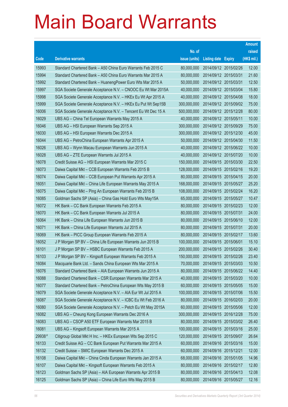|        |                                                               |               |                            |                       | <b>Amount</b> |
|--------|---------------------------------------------------------------|---------------|----------------------------|-----------------------|---------------|
|        |                                                               | No. of        |                            |                       | raised        |
| Code   | <b>Derivative warrants</b>                                    | issue (units) | <b>Listing date Expiry</b> |                       | (HK\$ mil.)   |
| 15993  | Standard Chartered Bank - A50 China Euro Warrants Feb 2015 C  | 80,000,000    |                            | 2014/09/12 2015/02/26 | 12.00         |
| 15994  | Standard Chartered Bank - A50 China Euro Warrants Mar 2015 A  | 80,000,000    | 2014/09/12 2015/03/31      |                       | 21.60         |
| 15992  | Standard Chartered Bank - HuanengPower Euro Wts Mar 2015 A    | 50,000,000    | 2014/09/12 2015/03/31      |                       | 12.50         |
| 15997  | SGA Societe Generale Acceptance N.V. - CNOOC Eu Wt Mar 2015A  | 40,000,000    |                            | 2014/09/12 2015/03/04 | 15.80         |
| 15998  | SGA Societe Generale Acceptance N.V. - HKEx Eu Wt Apr 2015 A  | 40,000,000    |                            | 2014/09/12 2015/04/08 | 18.00         |
| 15999  | SGA Societe Generale Acceptance N.V. - HKEx Eu Put Wt Sep15B  | 300,000,000   |                            | 2014/09/12 2015/09/02 | 75.00         |
| 16006  | SGA Societe Generale Acceptance N.V. - Tencent Eu Wt Dec 15 A | 500,000,000   |                            | 2014/09/12 2015/12/28 | 80.00         |
| 16029  | UBS AG - China Tel European Warrants May 2015 A               | 40,000,000    | 2014/09/12 2015/05/11      |                       | 10.00         |
| 16046  | UBS AG - HSI European Warrants Sep 2015 A                     | 300,000,000   |                            | 2014/09/12 2015/09/29 | 75.00         |
| 16030  | UBS AG - HSI European Warrants Dec 2015 A                     | 300,000,000   |                            | 2014/09/12 2015/12/30 | 45.00         |
| 16044  | UBS AG - PetroChina European Warrants Apr 2015 A              | 50,000,000    |                            | 2014/09/12 2015/04/30 | 11.50         |
| 16026  | UBS AG - Wynn Macau European Warrants Jun 2015 A              | 40,000,000    |                            | 2014/09/12 2015/06/22 | 10.00         |
| 16028  | UBS AG - ZTE European Warrants Jul 2015 A                     | 40,000,000    |                            | 2014/09/12 2015/07/20 | 10.00         |
| 16078  | Credit Suisse AG - HSI European Warrants Mar 2015 C           | 150,000,000   |                            | 2014/09/15 2015/03/30 | 22.50         |
| 16073  | Daiwa Capital Mkt - CCB European Warrants Feb 2015 B          | 128,000,000   |                            | 2014/09/15 2015/02/16 | 19.20         |
| 16074  | Daiwa Capital Mkt - CCB European Put Warrants Apr 2015 A      | 80,000,000    |                            | 2014/09/15 2015/04/15 | 20.00         |
| 16051  | Daiwa Capital Mkt - China Life European Warrants May 2015 A   | 168,000,000   |                            | 2014/09/15 2015/05/27 | 25.20         |
| 16075  | Daiwa Capital Mkt - Ping An European Warrants Feb 2015 B      | 108,000,000   |                            | 2014/09/15 2015/02/24 | 16.20         |
| 16085  | Goldman Sachs SP (Asia) - China Gas Hold Euro Wts May15A      | 65,000,000    |                            | 2014/09/15 2015/05/27 | 10.47         |
| 16072  | HK Bank - CC Bank European Warrants Feb 2015 A                | 80,000,000    |                            | 2014/09/15 2015/02/23 | 12.00         |
| 16070  | HK Bank - CC Bank European Warrants Jul 2015 A                | 80,000,000    | 2014/09/15 2015/07/31      |                       | 24.00         |
| 16064  | HK Bank - China Life European Warrants Jun 2015 B             | 80,000,000    |                            | 2014/09/15 2015/06/10 | 12.00         |
| 16071  | HK Bank - China Life European Warrants Jul 2015 A             | 80,000,000    | 2014/09/15 2015/07/31      |                       | 20.00         |
| 16069  | HK Bank - PICC Group European Warrants Feb 2015 A             | 80,000,000    |                            | 2014/09/15 2015/02/17 | 13.60         |
| 16052  | J P Morgan SP BV - China Life European Warrants Jun 2015 B    | 100,000,000   |                            | 2014/09/15 2015/06/01 | 15.10         |
| 16101  | J P Morgan SP BV - HSBC European Warrants Feb 2015 A          | 200,000,000   |                            | 2014/09/15 2015/02/26 | 30.40         |
| 16103  | J P Morgan SP BV - Kingsoft European Warrants Feb 2015 A      | 150,000,000   |                            | 2014/09/15 2015/02/26 | 23.40         |
| 16084  | Macquarie Bank Ltd. - Sands China European Wts Mar 2015 A     | 70,000,000    | 2014/09/15 2015/03/03      |                       | 10.50         |
| 16076  | Standard Chartered Bank - AIA European Warrants Jun 2015 A    | 80,000,000    |                            | 2014/09/15 2015/06/22 | 14.40         |
| 16088  | Standard Chartered Bank - CSR European Warrants Mar 2015 A    | 40,000,000    |                            | 2014/09/15 2015/03/20 | 10.00         |
| 16077  | Standard Chartered Bank - PetroChina European Wts May 2015 B  | 60,000,000    |                            | 2014/09/15 2015/05/05 | 15.00         |
| 16079  | SGA Societe Generale Acceptance N.V. - AIA Eur Wt Jul 2015 A  | 100,000,000   |                            | 2014/09/15 2015/07/06 | 15.50         |
| 16087  | SGA Societe Generale Acceptance N.V. - ICBC Eu Wt Feb 2016 A  | 80,000,000    |                            | 2014/09/15 2016/02/03 | 20.00         |
| 16080  | SGA Societe Generale Acceptance N.V. - Petch Eu Wt May 2015A  | 60,000,000    |                            | 2014/09/15 2015/05/06 | 12.00         |
| 16082  | UBS AG - Cheung Kong European Warrants Dec 2016 A             | 300,000,000   |                            | 2014/09/15 2016/12/28 | 75.00         |
| 16083  | UBS AG - CSOP A50 ETF European Warrants Mar 2015 B            | 80,000,000    |                            | 2014/09/15 2015/03/02 | 26.40         |
| 16081  | UBS AG - Kingsoft European Warrants Mar 2015 A                | 100,000,000   |                            | 2014/09/15 2015/03/16 | 25.00         |
| 29938# | Citigroup Global Mkt H Inc. - HKEx European Wts Sep 2015 C    | 120,000,000   |                            | 2014/09/15 2015/09/07 | 26.64         |
| 16133  | Credit Suisse AG - CC Bank European Put Warrants Mar 2015 A   | 60,000,000    |                            | 2014/09/16 2015/03/16 | 15.00         |
| 16132  | Credit Suisse - SMIC European Warrants Dec 2015 A             | 60,000,000    | 2014/09/16 2015/12/21      |                       | 12.00         |
| 16108  | Daiwa Capital Mkt - China Cinda European Warrants Jan 2015 A  | 68,000,000    |                            | 2014/09/16 2015/01/05 | 14.96         |
| 16107  | Daiwa Capital Mkt - Kingsoft European Warrants Feb 2015 A     | 80,000,000    |                            | 2014/09/16 2015/02/17 | 12.80         |
| 16123  | Goldman Sachs SP (Asia) - AIA European Warrants Apr 2015 B    | 80,000,000    |                            | 2014/09/16 2015/04/13 | 12.08         |
| 16125  | Goldman Sachs SP (Asia) - China Life Euro Wts May 2015 B      | 80,000,000    |                            | 2014/09/16 2015/05/27 | 12.16         |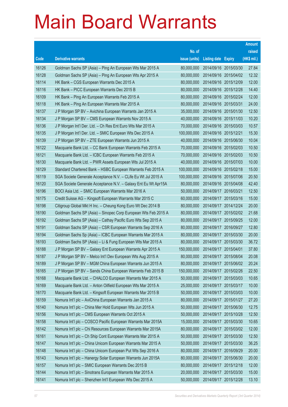|       |                                                                |               |                            |            | <b>Amount</b> |
|-------|----------------------------------------------------------------|---------------|----------------------------|------------|---------------|
|       |                                                                | No. of        |                            |            | raised        |
| Code  | <b>Derivative warrants</b>                                     | issue (units) | <b>Listing date Expiry</b> |            | (HK\$ mil.)   |
| 16126 | Goldman Sachs SP (Asia) - Ping An European Wts Mar 2015 A      | 80,000,000    | 2014/09/16 2015/03/30      |            | 27.84         |
| 16128 | Goldman Sachs SP (Asia) - Ping An European Wts Apr 2015 A      | 80,000,000    | 2014/09/16 2015/04/02      |            | 12.32         |
| 16114 | HK Bank – CGS European Warrants Dec 2015 A                     | 80,000,000    | 2014/09/16 2015/12/09      |            | 12.00         |
| 16116 | HK Bank - PICC European Warrants Dec 2015 B                    | 80,000,000    | 2014/09/16 2015/12/28      |            | 14.40         |
| 16109 | HK Bank - Ping An European Warrants Feb 2015 A                 | 80,000,000    | 2014/09/16 2015/02/24      |            | 12.00         |
| 16118 | HK Bank - Ping An European Warrants Mar 2015 A                 | 80,000,000    | 2014/09/16 2015/03/31      |            | 24.00         |
| 16137 | J P Morgan SP BV - Avichina European Warrants Jan 2015 A       | 35,000,000    | 2014/09/16 2015/01/30      |            | 12.50         |
| 16134 | J P Morgan SP BV - CMS European Warrants Nov 2015 A            | 40,000,000    | 2014/09/16 2015/11/03      |            | 10.20         |
| 16136 | J P Morgan Int'l Der. Ltd. - Ch Res Ent Euro Wts Mar 2015 A    | 70,000,000    | 2014/09/16 2015/03/03      |            | 10.57         |
| 16135 | J P Morgan Int'l Der. Ltd. - SMIC European Wts Dec 2015 A      | 100,000,000   | 2014/09/16 2015/12/21      |            | 15.30         |
| 16139 | J P Morgan SP BV - ZTE European Warrants Jun 2015 A            | 40,000,000    | 2014/09/16 2015/06/30      |            | 10.04         |
| 16122 | Macquarie Bank Ltd. - CC Bank European Warrants Feb 2015 A     | 70,000,000    | 2014/09/16 2015/02/03      |            | 10.50         |
| 16121 | Macquarie Bank Ltd. - ICBC European Warrants Feb 2015 A        | 70,000,000    | 2014/09/16 2015/02/03      |            | 10.50         |
| 16130 | Macquarie Bank Ltd. - PWR Assets European Wts Jul 2015 A       | 40,000,000    | 2014/09/16 2015/07/03      |            | 10.00         |
| 16129 | Standard Chartered Bank - HSBC European Warrants Feb 2015 A    | 100,000,000   | 2014/09/16 2015/02/18      |            | 15.00         |
| 16119 | SGA Societe Generale Acceptance N.V. - CLife Eu Wt Jul 2015 A  | 100,000,000   | 2014/09/16 2015/07/06      |            | 20.50         |
| 16120 | SGA Societe Generale Acceptance N.V. - Galaxy Ent Eu Wt Apr15A | 80,000,000    | 2014/09/16 2015/04/08      |            | 42.40         |
| 16196 | BOCI Asia Ltd. - SMIC European Warrants Mar 2016 A             | 50,000,000    | 2014/09/17 2016/03/21      |            | 12.50         |
| 16175 | Credit Suisse AG - Kingsoft European Warrants Mar 2015 C       | 60,000,000    | 2014/09/17                 | 2015/03/16 | 15.00         |
| 16198 | Citigroup Global Mkt H Inc. - Cheung Kong Euro Wt Dec 2014 B   | 80,000,000    | 2014/09/17 2014/12/24      |            | 20.00         |
| 16190 | Goldman Sachs SP (Asia) - Sinopec Corp European Wts Feb 2015 A | 80,000,000    | 2014/09/17 2015/02/02      |            | 21.68         |
| 16192 | Goldman Sachs SP (Asia) - Cathay Pacific Euro Wts Sep 2015 A   | 80,000,000    | 2014/09/17 2015/09/25      |            | 12.00         |
| 16191 | Goldman Sachs SP (Asia) - CSR European Warrants Sep 2016 A     | 80,000,000    | 2014/09/17                 | 2016/09/27 | 12.80         |
| 16194 | Goldman Sachs Sp (Asia) - ICBC European Warrants Mar 2015 A    | 80,000,000    | 2014/09/17 2015/03/30      |            | 20.00         |
| 16193 | Goldman Sachs SP (Asia) - Li & Fung European Wts Mar 2015 A    | 80,000,000    | 2014/09/17 2015/03/30      |            | 36.72         |
| 16188 | J P Morgan SP BV - Galaxy Ent European Warrants Apr 2015 A     | 150,000,000   | 2014/09/17 2015/04/01      |            | 37.80         |
| 16187 | J P Morgan SP BV - Melco Int'l Dev European Wts Aug 2015 A     | 80,000,000    | 2014/09/17 2015/08/04      |            | 20.08         |
| 16189 | J P Morgan SP BV - MGM China European Warrants Jun 2015 A      | 80,000,000    | 2014/09/17 2015/06/02      |            | 20.24         |
| 16165 | J P Morgan SP BV - Sands China European Warrants Feb 2015 B    | 150,000,000   | 2014/09/17 2015/02/26      |            | 22.50         |
| 16168 | Macquarie Bank Ltd. - CHALCO European Warrants Mar 2015 A      | 50,000,000    | 2014/09/17 2015/03/03      |            | 10.65         |
| 16169 | Macquarie Bank Ltd. - Anton Oilfield European Wts Mar 2015 A   | 25,000,000    | 2014/09/17 2015/03/17      |            | 10.00         |
| 16170 | Macquarie Bank Ltd. - Kingsoft European Warrants Mar 2015 B    | 50,000,000    | 2014/09/17 2015/03/03      |            | 10.00         |
| 16159 | Nomura Int'l plc - AviChina European Warrants Jan 2015 A       | 80,000,000    | 2014/09/17                 | 2015/01/27 | 27.20         |
| 16140 | Nomura Int'l plc - China Mer Hold European Wts Jun 2015 A      | 50,000,000    | 2014/09/17 2015/06/30      |            | 12.75         |
| 16156 | Nomura Int'l plc - CMS European Warrants Oct 2015 A            | 50,000,000    | 2014/09/17 2015/10/28      |            | 12.50         |
| 16158 | Nomura Int'l plc - COSCO Pacific European Warrants Mar 2015A   | 15,000,000    | 2014/09/17 2015/03/30      |            | 10.65         |
| 16142 | Nomura Int'l plc - Chi Resources European Warrants Mar 2015A   | 80,000,000    | 2014/09/17                 | 2015/03/02 | 12.00         |
| 16161 | Nomura Int'l plc - Ch Ship Cont European Warrants Mar 2015 A   | 50,000,000    | 2014/09/17 2015/03/30      |            | 12.50         |
| 16147 | Nomura Int'l plc - China Unicom European Warrants Mar 2015 A   | 50,000,000    | 2014/09/17 2015/03/30      |            | 36.25         |
| 16148 | Nomura Int'l plc - China Unicom European Put Wts Sep 2016 A    | 80,000,000    | 2014/09/17 2016/09/29      |            | 20.00         |
| 16143 | Nomura Int'l plc - Hanergy Solar European Warrants Jun 2015A   | 80,000,000    | 2014/09/17                 | 2015/06/30 | 20.00         |
| 16157 | Nomura Int'l plc - SMIC European Warrants Dec 2015 B           | 80,000,000    | 2014/09/17 2015/12/18      |            | 12.00         |
| 16144 | Nomura Int'l plc - Sinotrans European Warrants Mar 2015 A      | 20,000,000    | 2014/09/17                 | 2015/03/30 | 15.00         |
| 16141 | Nomura Int'l plc - Shenzhen Int'l European Wts Dec 2015 A      | 50,000,000    | 2014/09/17 2015/12/28      |            | 13.10         |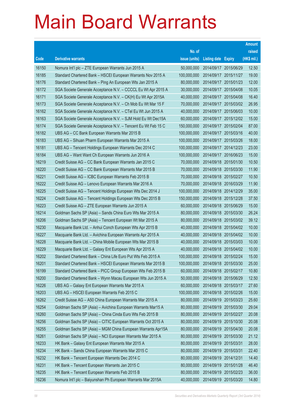|       |                                                               |               |                            |            | <b>Amount</b> |
|-------|---------------------------------------------------------------|---------------|----------------------------|------------|---------------|
|       |                                                               | No. of        |                            |            | raised        |
| Code  | <b>Derivative warrants</b>                                    | issue (units) | <b>Listing date Expiry</b> |            | (HK\$ mil.)   |
| 16150 | Nomura Int'l plc - ZTE European Warrants Jun 2015 A           | 50,000,000    | 2014/09/17 2015/06/29      |            | 12.50         |
| 16185 | Standard Chartered Bank - HSCEI European Warrants Nov 2015 A  | 100,000,000   | 2014/09/17 2015/11/27      |            | 19.00         |
| 16176 | Standard Chartered Bank – Ping An European Wts Jan 2015 A     | 80,000,000    | 2014/09/17 2015/01/23      |            | 12.00         |
| 16172 | SGA Societe Generale Acceptance N.V. - CCCCL Eu Wt Apr 2015 A | 30,000,000    | 2014/09/17 2015/04/08      |            | 10.05         |
| 16171 | SGA Societe Generale Acceptance N.V. - CK(H) Eu Wt Apr 2015A  | 40,000,000    | 2014/09/17 2015/04/08      |            | 16.40         |
| 16173 | SGA Societe Generale Acceptance N.V. - Ch Mob Eu Wt Mar 15 F  | 70,000,000    | 2014/09/17 2015/03/02      |            | 26.95         |
| 16162 | SGA Societe Generale Acceptance N.V. - CTel Eu Wt Jun 2015 A  | 40,000,000    | 2014/09/17 2015/06/03      |            | 10.00         |
| 16163 | SGA Societe Generale Acceptance N.V. - SJM Hold Eu Wt Dec15A  | 60,000,000    | 2014/09/17 2015/12/02      |            | 15.00         |
| 16174 | SGA Societe Generale Acceptance N.V. - Tencent Eu Wt Feb 15 C | 150,000,000   | 2014/09/17 2015/02/04      |            | 87.00         |
| 16182 | UBS AG - CC Bank European Warrants Mar 2015 B                 | 100,000,000   | 2014/09/17 2015/03/16      |            | 40.00         |
| 16183 | UBS AG - Sihuan Pharm European Warrants Mar 2015 A            | 100,000,000   | 2014/09/17 2015/03/26      |            | 18.00         |
| 16181 | UBS AG - Tencent Holdings European Warrants Dec 2014 C        | 100,000,000   | 2014/09/17 2014/12/23      |            | 23.00         |
| 16184 | UBS AG - Want Want Ch European Warrants Jun 2016 A            | 100,000,000   | 2014/09/17 2016/06/23      |            | 15.00         |
| 16219 | Credit Suisse AG - CC Bank European Warrants Jan 2015 C       | 70,000,000    | 2014/09/18 2015/01/30      |            | 10.50         |
| 16220 | Credit Suisse AG - CC Bank European Warrants Mar 2015 B       | 70,000,000    | 2014/09/18 2015/03/30      |            | 11.90         |
| 16221 | Credit Suisse AG - ICBC European Warrants Feb 2015 B          | 70,000,000    | 2014/09/18 2015/02/27      |            | 10.50         |
| 16222 | Credit Suisse AG - Lenovo European Warrants Mar 2016 A        | 70,000,000    | 2014/09/18 2016/03/29      |            | 11.90         |
| 16225 | Credit Suisse AG - Tencent Holdings European Wts Dec 2014 J   | 100,000,000   | 2014/09/18 2014/12/29      |            | 35.00         |
| 16224 | Credit Suisse AG - Tencent Holdings European Wts Dec 2015 B   | 150,000,000   | 2014/09/18 2015/12/28      |            | 37.50         |
| 16223 | Credit Suisse AG - ZTE European Warrants Jun 2015 A           | 60,000,000    | 2014/09/18 2015/06/29      |            | 15.00         |
| 16214 | Goldman Sachs SP (Asia) - Sands China Euro Wts Mar 2015 A     | 80,000,000    | 2014/09/18 2015/03/30      |            | 26.24         |
| 16206 | Goldman Sachs SP (Asia) - Tencent European Wt Mar 2015 A      | 80,000,000    | 2014/09/18 2015/03/02      |            | 39.12         |
| 16230 | Macquarie Bank Ltd. - Anhui Conch European Wts Apr 2015 B     | 40,000,000    | 2014/09/18 2015/04/02      |            | 10.00         |
| 16227 | Macquarie Bank Ltd. - Avichina European Warrants Apr 2015 A   | 40,000,000    | 2014/09/18 2015/04/02      |            | 10.00         |
| 16228 | Macquarie Bank Ltd. - China Mobile European Wts Mar 2015 B    | 40,000,000    | 2014/09/18 2015/03/03      |            | 10.00         |
| 16229 | Macquarie Bank Ltd. - Galaxy Ent European Wts Apr 2015 A      | 40,000,000    | 2014/09/18 2015/04/02      |            | 10.00         |
| 16202 | Standard Chartered Bank - China Life Euro Put Wts Feb 2015 A  | 100,000,000   | 2014/09/18 2015/02/24      |            | 15.00         |
| 16201 | Standard Chartered Bank - HSCEI European Warrants Mar 2015 B  | 100,000,000   | 2014/09/18 2015/03/30      |            | 25.00         |
| 16199 | Standard Chartered Bank - PICC Group European Wts Feb 2015 B  | 60,000,000    | 2014/09/18 2015/02/17      |            | 10.80         |
| 16200 | Standard Chartered Bank - Wynn Macau European Wts Jun 2015 A  | 50,000,000    | 2014/09/18 2015/06/29      |            | 12.50         |
| 16226 | UBS AG - Galaxy Ent European Warrants Mar 2015 A              | 60,000,000    | 2014/09/18 2015/03/17      |            | 27.60         |
| 16203 | UBS AG - HSCEI European Warrants Feb 2015 C                   | 100,000,000   | 2014/09/18 2015/02/26      |            | 15.00         |
| 16262 | Credit Suisse AG - A50 China European Warrants Mar 2015 A     | 80,000,000    | 2014/09/19                 | 2015/03/23 | 25.60         |
| 16254 | Goldman Sachs SP (Asia) - Avichina European Warrants Mar15 A  | 80,000,000    | 2014/09/19                 | 2015/03/30 | 29.04         |
| 16260 | Goldman Sachs SP (Asia) - China Cinda Euro Wts Feb 2015 B     | 80,000,000    | 2014/09/19 2015/02/27      |            | 20.08         |
| 16256 | Goldman Sachs SP (Asia) - CITIC European Warrants Oct 2015 A  | 80,000,000    | 2014/09/19 2015/10/30      |            | 20.08         |
| 16255 | Goldman Sachs SP (Asia) - MGM China European Warrants Apr15A  | 80,000,000    | 2014/09/19                 | 2015/04/30 | 20.08         |
| 16261 | Goldman Sachs SP (Asia) - NCI European Warrants Mar 2015 A    | 80,000,000    | 2014/09/19                 | 2015/03/30 | 21.12         |
| 16233 | HK Bank - Galaxy Ent European Warrants Mar 2015 A             | 80,000,000    | 2014/09/19 2015/03/31      |            | 28.00         |
| 16234 | HK Bank - Sands China European Warrants Mar 2015 C            | 80,000,000    | 2014/09/19 2015/03/31      |            | 22.40         |
| 16232 | HK Bank - Tencent European Warrants Dec 2014 C                | 80,000,000    | 2014/09/19                 | 2014/12/31 | 14.40         |
| 16231 | HK Bank - Tencent European Warrants Jan 2015 C                | 80,000,000    | 2014/09/19 2015/01/28      |            | 46.40         |
| 16235 | HK Bank - Tencent European Warrants Feb 2015 B                | 80,000,000    | 2014/09/19 2015/02/23      |            | 36.00         |
| 16236 | Nomura Int'l plc - Baiyunshan Ph European Warrants Mar 2015A  | 40,000,000    | 2014/09/19 2015/03/20      |            | 14.80         |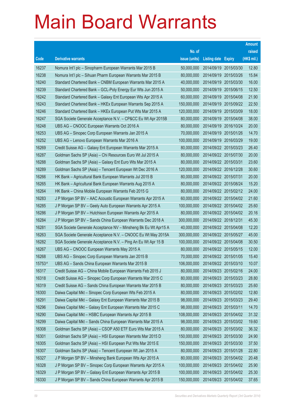|        |                                                                |               |                            |                       | <b>Amount</b> |
|--------|----------------------------------------------------------------|---------------|----------------------------|-----------------------|---------------|
|        |                                                                | No. of        |                            |                       | raised        |
| Code   | <b>Derivative warrants</b>                                     | issue (units) | <b>Listing date Expiry</b> |                       | (HK\$ mil.)   |
| 16237  | Nomura Int'l plc - Sinopharm European Warrants Mar 2015 B      | 50,000,000    | 2014/09/19 2015/03/30      |                       | 12.80         |
| 16238  | Nomura Int'l plc - Sihuan Pharm European Warrants Mar 2015 B   | 80,000,000    |                            | 2014/09/19 2015/03/26 | 15.84         |
| 16240  | Standard Chartered Bank - CNBM European Warrants Mar 2015 A    | 40,000,000    |                            | 2014/09/19 2015/03/30 | 16.00         |
| 16239  | Standard Chartered Bank - GCL-Poly Energy Eur Wts Jun 2015 A   | 50,000,000    |                            | 2014/09/19 2015/06/15 | 12.50         |
| 16242  | Standard Chartered Bank - Galaxy Ent European Wts Apr 2015 A   | 60,000,000    |                            | 2014/09/19 2015/04/08 | 21.90         |
| 16243  | Standard Chartered Bank - HKEx European Warrants Sep 2015 A    | 150,000,000   |                            | 2014/09/19 2015/09/22 | 22.50         |
| 16246  | Standard Chartered Bank - HKEx European Put Wts Mar 2015 A     | 120,000,000   | 2014/09/19 2015/03/09      |                       | 18.00         |
| 16247  | SGA Societe Generale Acceptance N.V. - CP&CC Eu Wt Apr 2015B   | 80,000,000    |                            | 2014/09/19 2015/04/08 | 38.00         |
| 16248  | UBS AG - CNOOC European Warrants Oct 2016 A                    | 80,000,000    |                            | 2014/09/19 2016/10/24 | 20.00         |
| 16253  | UBS AG - Sinopec Corp European Warrants Jan 2015 A             | 70,000,000    |                            | 2014/09/19 2015/01/26 | 14.70         |
| 16252  | UBS AG - Lenovo European Warrants Mar 2016 A                   | 100,000,000   | 2014/09/19 2016/03/29      |                       | 19.00         |
| 16269  | Credit Suisse AG - Galaxy Ent European Warrants Mar 2015 A     | 80,000,000    |                            | 2014/09/22 2015/03/23 | 26.40         |
| 16287  | Goldman Sachs SP (Asia) - Chi Resources Euro Wt Jul 2015 A     | 80,000,000    |                            | 2014/09/22 2015/07/30 | 20.00         |
| 16288  | Goldman Sachs SP (Asia) - Galaxy Ent Euro Wts Mar 2015 A       | 80,000,000    | 2014/09/22 2015/03/31      |                       | 23.60         |
| 16289  | Goldman Sachs SP (Asia) - Tencent European Wt Dec 2016 A       | 120,000,000   | 2014/09/22 2016/12/28      |                       | 30.60         |
| 16266  | HK Bank - Agricultural Bank European Warrants Jul 2015 B       | 80,000,000    | 2014/09/22 2015/07/31      |                       | 20.00         |
| 16265  | HK Bank - Agricultural Bank European Warrants Aug 2015 A       | 80,000,000    |                            | 2014/09/22 2015/08/24 | 15.20         |
| 16264  | HK Bank - China Mobile European Warrants Feb 2015 G            | 80,000,000    |                            | 2014/09/22 2015/02/12 | 24.00         |
| 16283  | J P Morgan SP BV - AAC Acoustic European Warrants Apr 2015 A   | 60,000,000    |                            | 2014/09/22 2015/04/02 | 21.60         |
| 16285  | J P Morgan SP BV - Geely Auto European Warrants Apr 2015 A     | 100,000,000   |                            | 2014/09/22 2015/04/02 | 25.60         |
| 16286  | J P Morgan SP BV - Hutchison European Warrants Apr 2015 A      | 80,000,000    |                            | 2014/09/22 2015/04/02 | 20.16         |
| 16284  | J P Morgan SP BV - Sands China European Warrants Dec 2018 A    | 300,000,000   | 2014/09/22 2018/12/31      |                       | 45.30         |
| 16281  | SGA Societe Generale Acceptance NV - Minsheng Bk Eu Wt Apr15 A | 40,000,000    | 2014/09/22 2015/04/08      |                       | 12.20         |
| 16263  | SGA Societe Generale Acceptance N.V. - CNOOC Eu Wt May 2015A   | 300,000,000   |                            | 2014/09/22 2015/05/27 | 45.00         |
| 16282  | SGA Societe Generale Acceptance N.V. - Ping An Eu Wt Apr 15 B  | 100,000,000   | 2014/09/22 2015/04/08      |                       | 30.50         |
| 16267  | UBS AG - CNOOC European Warrants May 2015 A                    | 80,000,000    | 2014/09/22 2015/05/15      |                       | 12.00         |
| 16268  | UBS AG - Sinopec Corp European Warrants Jan 2015 B             | 70,000,000    | 2014/09/22 2015/01/05      |                       | 15.40         |
| 15753# | UBS AG - Sands China European Warrants Mar 2015 B              | 106,000,000   | 2014/09/22 2015/03/10      |                       | 10.07         |
| 16317  | Credit Suisse AG - China Mobile European Warrants Feb 2015 J   | 80,000,000    | 2014/09/23 2015/02/16      |                       | 24.00         |
| 16318  | Credit Suisse AG - Sinopec Corp European Warrants Mar 2015 C   | 80,000,000    | 2014/09/23 2015/03/23      |                       | 28.80         |
| 16319  | Credit Suisse AG - Sands China European Warrants Mar 2015 B    | 80,000,000    | 2014/09/23 2015/03/23      |                       | 25.60         |
| 16300  | Daiwa Capital Mkt - Sinopec Corp European Wts Feb 2015 A       | 80,000,000    |                            | 2014/09/23 2015/02/02 | 12.80         |
| 16291  | Daiwa Capital Mkt - Galaxy Ent European Warrants Mar 2015 B    | 98,000,000    | 2014/09/23 2015/03/23      |                       | 29.40         |
| 16296  | Daiwa Capital Mkt - Galaxy Ent European Warrants Mar 2015 C    | 98,000,000    | 2014/09/23 2015/03/11      |                       | 14.70         |
| 16290  | Daiwa Capital Mkt - HSBC European Warrants Apr 2015 B          | 108,000,000   | 2014/09/23 2015/04/02      |                       | 31.32         |
| 16299  | Daiwa Capital Mkt - Sands China European Warrants Mar 2015 A   | 98,000,000    |                            | 2014/09/23 2015/03/02 | 19.60         |
| 16308  | Goldman Sachs SP (Asia) - CSOP A50 ETF Euro Wts Mar 2015 A     | 80,000,000    | 2014/09/23 2015/03/02      |                       | 36.32         |
| 16301  | Goldman Sachs SP (Asia) - HSI European Warrants Mar 2015 D     | 150,000,000   | 2014/09/23 2015/03/30      |                       | 24.90         |
| 16305  | Goldman Sachs SP (Asia) - HSI European Put Wts Mar 2015 E      | 150,000,000   | 2014/09/23 2015/03/30      |                       | 37.50         |
| 16307  | Goldman Sachs SP (Asia) - Tencent European Wt Jan 2015 A       | 80,000,000    | 2014/09/23 2015/01/28      |                       | 22.80         |
| 16327  | J P Morgan SP BV - Minsheng Bank European Wts Apr 2015 A       | 80,000,000    | 2014/09/23                 | 2015/04/02            | 20.48         |
| 16328  | J P Morgan SP BV - Sinopec Corp European Warrants Apr 2015 A   | 100,000,000   | 2014/09/23 2015/04/02      |                       | 25.90         |
| 16329  | J P Morgan SP BV - Galaxy Ent European Warrants Apr 2015 B     | 100,000,000   | 2014/09/23 2015/04/02      |                       | 25.30         |
| 16330  | J P Morgan SP BV - Sands China European Warrants Apr 2015 B    | 150,000,000   | 2014/09/23 2015/04/02      |                       | 37.65         |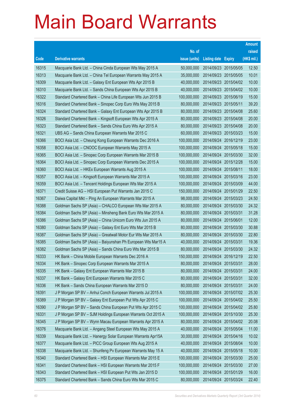|       |                                                              |               |                            |            | <b>Amount</b> |
|-------|--------------------------------------------------------------|---------------|----------------------------|------------|---------------|
|       |                                                              | No. of        |                            |            | raised        |
| Code  | <b>Derivative warrants</b>                                   | issue (units) | <b>Listing date Expiry</b> |            | (HK\$ mil.)   |
| 16315 | Macquarie Bank Ltd. - China Cinda European Wts May 2015 A    | 50,000,000    | 2014/09/23 2015/05/05      |            | 12.50         |
| 16313 | Macquarie Bank Ltd. - China Tel European Warrants May 2015 A | 35,000,000    | 2014/09/23 2015/05/05      |            | 10.01         |
| 16309 | Macquarie Bank Ltd. - Galaxy Ent European Wts Apr 2015 B     | 40,000,000    | 2014/09/23 2015/04/02      |            | 10.00         |
| 16310 | Macquarie Bank Ltd. - Sands China European Wts Apr 2015 B    | 40,000,000    | 2014/09/23 2015/04/02      |            | 10.00         |
| 16322 | Standard Chartered Bank - China Life European Wts Jun 2015 B | 100,000,000   | 2014/09/23 2015/06/19      |            | 15.00         |
| 16316 | Standard Chartered Bank – Sinopec Corp Euro Wts May 2015 B   | 80,000,000    | 2014/09/23 2015/05/11      |            | 39.20         |
| 16324 | Standard Chartered Bank – Galaxy Ent European Wts Apr 2015 B | 80,000,000    | 2014/09/23 2015/04/08      |            | 25.60         |
| 16326 | Standard Chartered Bank – Kingsoft European Wts Apr 2015 A   | 80,000,000    | 2014/09/23 2015/04/08      |            | 20.00         |
| 16323 | Standard Chartered Bank - Sands China Euro Wts Apr 2015 A    | 80,000,000    | 2014/09/23 2015/04/08      |            | 20.00         |
| 16321 | UBS AG - Sands China European Warrants Mar 2015 C            | 60,000,000    | 2014/09/23 2015/03/23      |            | 15.00         |
| 16366 | BOCI Asia Ltd. - Cheung Kong European Warrants Dec 2016 A    | 100,000,000   | 2014/09/24                 | 2016/12/19 | 23.00         |
| 16358 | BOCI Asia Ltd. - CNOOC European Warrants May 2015 A          | 100,000,000   | 2014/09/24 2015/05/18      |            | 15.00         |
| 16365 | BOCI Asia Ltd. - Sinopec Corp European Warrants Mar 2015 B   | 100,000,000   | 2014/09/24 2015/03/30      |            | 32.00         |
| 16364 | BOCI Asia Ltd. - Sinopec Corp European Warrants Dec 2015 A   | 100,000,000   | 2014/09/24 2015/12/28      |            | 15.00         |
| 16360 | BOCI Asia Ltd. - HKEx European Warrants Aug 2015 A           | 100,000,000   | 2014/09/24                 | 2015/08/11 | 18.00         |
| 16357 | BOCI Asia Ltd. - Kingsoft European Warrants Mar 2015 A       | 100,000,000   | 2014/09/24 2015/03/16      |            | 23.00         |
| 16359 | BOCI Asia Ltd. – Tencent Holdings European Wts Mar 2015 A    | 100,000,000   | 2014/09/24 2015/03/09      |            | 44.00         |
| 16371 | Credit Suisse AG - HSI European Put Warrants Jan 2015 C      | 150,000,000   | 2014/09/24 2015/01/29      |            | 22.50         |
| 16367 | Daiwa Capital Mkt - Ping An European Warrants Mar 2015 A     | 98,000,000    | 2014/09/24                 | 2015/03/23 | 24.50         |
| 16388 | Goldman Sachs SP (Asia) – CHALCO European Wts Mar 2015 A     | 80,000,000    | 2014/09/24 2015/03/30      |            | 24.32         |
| 16384 | Goldman Sachs SP (Asia) – Minsheng Bank Euro Wts Mar 2015 A  | 80,000,000    | 2014/09/24 2015/03/31      |            | 31.28         |
| 16386 | Goldman Sachs SP (Asia) - China Unicom Euro Wts Jun 2015 A   | 80,000,000    | 2014/09/24 2015/06/01      |            | 12.00         |
| 16380 | Goldman Sachs SP (Asia) - Galaxy Ent Euro Wts Mar 2015 B     | 80,000,000    | 2014/09/24                 | 2015/03/30 | 30.88         |
| 16387 | Goldman Sachs SP (Asia) - Greatwall Motor Eur Wts Mar 2015 A | 80,000,000    | 2014/09/24 2015/03/30      |            | 22.80         |
| 16385 | Goldman Sachs SP (Asia) - Baiyunshan Ph European Wts Mar15 A | 40,000,000    | 2014/09/24 2015/03/31      |            | 19.36         |
| 16382 | Goldman Sachs SP (Asia) – Sands China Euro Wts Mar 2015 B    | 80.000.000    | 2014/09/24 2015/03/30      |            | 24.32         |
| 16333 | HK Bank – China Mobile European Warrants Dec 2016 A          | 150,000,000   | 2014/09/24 2016/12/19      |            | 22.50         |
| 16334 | HK Bank - Sinopec Corp European Warrants Mar 2015 A          | 80,000,000    | 2014/09/24 2015/03/31      |            | 28.00         |
| 16335 | HK Bank - Galaxy Ent European Warrants Mar 2015 B            | 80,000,000    | 2014/09/24 2015/03/31      |            | 24.00         |
| 16337 | HK Bank - Galaxy Ent European Warrants Mar 2015 C            | 80,000,000    | 2014/09/24 2015/03/31      |            | 32.00         |
| 16336 | HK Bank - Sands China European Warrants Mar 2015 D           | 80,000,000    | 2014/09/24 2015/03/31      |            | 24.00         |
| 16391 | J P Morgan SP BV - Anhui Conch European Warrants Jul 2015 A  | 100,000,000   | 2014/09/24 2015/07/02      |            | 25.30         |
| 16389 | J P Morgan SP BV - Galaxy Ent European Put Wts Apr 2015 C    | 100,000,000   | 2014/09/24                 | 2015/04/02 | 25.50         |
| 16390 | J P Morgan SP BV - Sands China European Put Wts Apr 2015 C   | 100,000,000   | 2014/09/24 2015/04/02      |            | 25.80         |
| 16331 | J P Morgan SP BV - SJM Holdings European Warrants Oct 2015 A | 100,000,000   | 2014/09/24 2015/10/30      |            | 25.30         |
| 16345 | J P Morgan SP BV - Wynn Macau European Warrants Apr 2015 A   | 80,000,000    | 2014/09/24 2015/04/02      |            | 20.08         |
| 16376 | Macquarie Bank Ltd. - Angang Steel European Wts May 2015 A   | 40,000,000    | 2014/09/24                 | 2015/05/04 | 11.00         |
| 16339 | Macquarie Bank Ltd. - Hanergy Solar European Warrants Apr15A | 30,000,000    | 2014/09/24 2015/04/16      |            | 10.02         |
| 16377 | Macquarie Bank Ltd. - PICC Group European Wts Aug 2015 A     | 40,000,000    | 2014/09/24                 | 2015/08/04 | 10.00         |
| 16338 | Macquarie Bank Ltd. - Shunfeng Pv European Warrants May 15 A | 40,000,000    | 2014/09/24 2015/05/18      |            | 10.00         |
| 16340 | Standard Chartered Bank - HSI European Warrants Mar 2015 E   | 100,000,000   | 2014/09/24                 | 2015/03/30 | 25.00         |
| 16341 | Standard Chartered Bank - HSI European Warrants Mar 2015 F   | 100,000,000   | 2014/09/24 2015/03/30      |            | 27.00         |
| 16343 | Standard Chartered Bank - HSI European Put Wts Jan 2015 D    | 100,000,000   | 2014/09/24 2015/01/29      |            | 16.00         |
| 16375 | Standard Chartered Bank - Sands China Euro Wts Mar 2015 C    | 80,000,000    | 2014/09/24 2015/03/24      |            | 22.40         |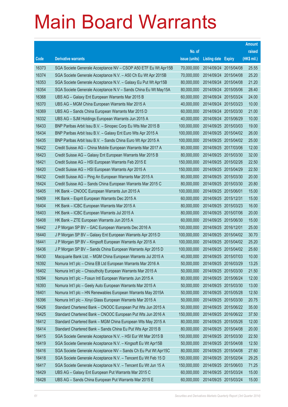|       |                                                                |               |                            |            | <b>Amount</b> |
|-------|----------------------------------------------------------------|---------------|----------------------------|------------|---------------|
|       |                                                                | No. of        |                            |            | raised        |
| Code  | <b>Derivative warrants</b>                                     | issue (units) | <b>Listing date Expiry</b> |            | (HK\$ mil.)   |
| 16373 | SGA Societe Generale Acceptance NV - CSOP A50 ETF Eu Wt Apr15B | 70,000,000    | 2014/09/24 2015/04/08      |            | 25.55         |
| 16374 | SGA Societe Generale Acceptance N.V. - A50 Ch Eu Wt Apr 2015B  | 70,000,000    | 2014/09/24 2015/04/08      |            | 25.20         |
| 16353 | SGA Societe Generale Acceptance N.V. - Galaxy Eu Put Wt Apr15B | 80,000,000    | 2014/09/24                 | 2015/04/08 | 21.20         |
| 16354 | SGA Societe Generale Acceptance N.V - Sands China Eu Wt May15A | 80,000,000    | 2014/09/24 2015/05/06      |            | 28.40         |
| 16368 | UBS AG - Galaxy Ent European Warrants Mar 2015 B               | 60,000,000    | 2014/09/24 2015/03/24      |            | 24.00         |
| 16370 | UBS AG - MGM China European Warrants Mar 2015 A                | 40,000,000    | 2014/09/24 2015/03/23      |            | 10.00         |
| 16369 | UBS AG - Sands China European Warrants Mar 2015 D              | 60,000,000    | 2014/09/24 2015/03/30      |            | 21.00         |
| 16332 | UBS AG - SJM Holdings European Warrants Jun 2015 A             | 40,000,000    | 2014/09/24 2015/06/29      |            | 10.00         |
| 16433 | BNP Paribas Arbit Issu B.V. - Sinopec Corp Eu Wts Mar 2015 B   | 100,000,000   | 2014/09/25 2015/03/03      |            | 19.00         |
| 16434 | BNP Paribas Arbit Issu B.V. - Galaxy Ent Euro Wts Apr 2015 A   | 100,000,000   | 2014/09/25 2015/04/02      |            | 26.00         |
| 16435 | BNP Paribas Arbit Issu B.V. - Sands China Euro Wt Apr 2015 A   | 100,000,000   | 2014/09/25 2015/04/02      |            | 25.00         |
| 16422 | Credit Suisse AG - China Mobile European Warrants Mar 2017 A   | 80,000,000    | 2014/09/25 2017/03/06      |            | 12.00         |
| 16423 | Credit Suisse AG - Galaxy Ent European Warrants Mar 2015 B     | 80,000,000    | 2014/09/25 2015/03/30      |            | 32.00         |
| 16421 | Credit Suisse AG - HSI European Warrants Feb 2015 E            | 150,000,000   | 2014/09/25 2015/02/26      |            | 22.50         |
| 16420 | Credit Suisse AG - HSI European Warrants Apr 2015 A            | 150,000,000   | 2014/09/25 2015/04/29      |            | 22.50         |
| 16432 | Credit Suisse AG - Ping An European Warrants Mar 2015 A        | 80,000,000    | 2014/09/25 2015/03/30      |            | 20.00         |
| 16424 | Credit Suisse AG - Sands China European Warrants Mar 2015 C    | 80,000,000    | 2014/09/25 2015/03/30      |            | 20.80         |
| 16405 | HK Bank - CNOOC European Warrants Jun 2015 A                   | 100,000,000   | 2014/09/25 2015/06/01      |            | 15.00         |
| 16409 | HK Bank - Esprit European Warrants Dec 2015 A                  | 60,000,000    | 2014/09/25 2015/12/31      |            | 15.00         |
| 16404 | HK Bank - ICBC European Warrants Mar 2015 A                    | 80,000,000    | 2014/09/25 2015/03/23      |            | 16.00         |
| 16403 | HK Bank - ICBC European Warrants Jul 2015 A                    | 80,000,000    | 2014/09/25 2015/07/06      |            | 20.00         |
| 16408 | HK Bank - ZTE European Warrants Jun 2015 A                     | 60,000,000    | 2014/09/25 2015/06/30      |            | 15.00         |
| 16442 | J P Morgan SP BV - GAC European Warrants Dec 2016 A            | 100,000,000   | 2014/09/25 2016/12/01      |            | 25.00         |
| 16440 | J P Morgan SP BV - Galaxy Ent European Warrants Apr 2015 D     | 100,000,000   | 2014/09/25 2015/04/02      |            | 30.70         |
| 16441 | J P Morgan SP BV - Kingsoft European Warrants Apr 2015 A       | 100,000,000   | 2014/09/25 2015/04/02      |            | 25.20         |
| 16436 | J P Morgan SP BV - Sands China European Warrants Apr 2015 D    | 100,000,000   | 2014/09/25 2015/04/02      |            | 25.60         |
| 16430 | Macquarie Bank Ltd. - MGM China European Warrants Jul 2015 A   | 40,000,000    | 2014/09/25 2015/07/03      |            | 10.00         |
| 16392 | Nomura Int'l plc - China EB Ltd European Warrants Mar 2016 A   | 50,000,000    | 2014/09/25 2016/03/29      |            | 13.25         |
| 16402 | Nomura Int'l plc - Chsouthcity European Warrants Mar 2015 A    | 50,000,000    | 2014/09/25 2015/03/30      |            | 21.50         |
| 16394 | Nomura Int'l plc - Fosun Intl European Warrants Jun 2015 A     | 80,000,000    | 2014/09/25 2015/06/24      |            | 12.00         |
| 16393 | Nomura Int'l plc - Geely Auto European Warrants Mar 2015 A     | 50,000,000    | 2014/09/25 2015/03/30      |            | 13.00         |
| 16401 | Nomura Int'l plc - HN Renewables European Warrants May 2015A   | 50,000,000    | 2014/09/25 2015/05/28      |            | 12.50         |
| 16396 | Nomura Int'l plc - Xinyi Glass European Warrants Mar 2015 A    | 50,000,000    | 2014/09/25 2015/03/30      |            | 20.75         |
| 16426 | Standard Chartered Bank - CNOOC European Put Wts Jun 2015 A    | 50,000,000    | 2014/09/25 2015/06/22      |            | 35.00         |
| 16425 | Standard Chartered Bank - CNOOC European Put Wts Jun 2016 A    | 150,000,000   | 2014/09/25 2016/06/22      |            | 37.50         |
| 16412 | Standard Chartered Bank - MGM China European Wts May 2015 A    | 80,000,000    | 2014/09/25 2015/05/26      |            | 12.00         |
| 16414 | Standard Chartered Bank - Sands China Eu Put Wts Apr 2015 B    | 80,000,000    | 2014/09/25 2015/04/08      |            | 20.00         |
| 16415 | SGA Societe Generale Acceptance N.V. - HSI Eur Wt Mar 2015 B   | 150,000,000   | 2014/09/25 2015/03/30      |            | 22.50         |
| 16419 | SGA Societe Generale Acceptance N.V. - Kingsoft Eu Wt Apr15B   | 50,000,000    | 2014/09/25 2015/04/08      |            | 12.50         |
| 16416 | SGA Societe Generale Acceptance NV - Sands Ch Eu Put Wt Apr15C | 80,000,000    | 2014/09/25 2015/04/08      |            | 27.60         |
| 16418 | SGA Societe Generale Acceptance N.V. - Tencent Eu Wt Feb 15 D  | 150,000,000   | 2014/09/25 2015/02/04      |            | 29.25         |
| 16417 | SGA Societe Generale Acceptance N.V. - Tencent Eu Wt Jun 15 A  | 150,000,000   | 2014/09/25 2015/06/03      |            | 71.25         |
| 16429 | UBS AG - Galaxy Ent European Put Warrants Mar 2015 C           | 60,000,000    | 2014/09/25 2015/03/24      |            | 15.00         |
| 16428 | UBS AG - Sands China European Put Warrants Mar 2015 E          | 60,000,000    | 2014/09/25 2015/03/24      |            | 15.00         |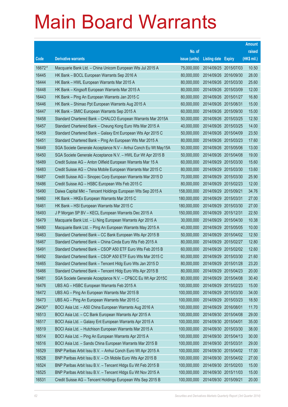|        |                                                                |               |                            |            | <b>Amount</b> |
|--------|----------------------------------------------------------------|---------------|----------------------------|------------|---------------|
|        |                                                                | No. of        |                            |            | raised        |
| Code   | <b>Derivative warrants</b>                                     | issue (units) | <b>Listing date Expiry</b> |            | (HK\$ mil.)   |
| 16672# | Macquarie Bank Ltd. - China Unicom European Wts Jul 2015 A     | 75,000,000    | 2014/09/25 2015/07/03      |            | 10.50         |
| 16445  | HK Bank – BOCL European Warrants Sep 2016 A                    | 80,000,000    | 2014/09/26 2016/09/30      |            | 28.00         |
| 16444  | HK Bank – HWL European Warrants Mar 2015 A                     | 80,000,000    | 2014/09/26 2015/03/30      |            | 25.60         |
| 16448  | HK Bank – Kingsoft European Warrants Mar 2015 A                | 80,000,000    | 2014/09/26 2015/03/09      |            | 12.00         |
| 16443  | HK Bank - Ping An European Warrants Jan 2015 C                 | 80,000,000    | 2014/09/26 2015/01/27      |            | 16.80         |
| 16446  | HK Bank - Shimao Ppt European Warrants Aug 2015 A              | 60,000,000    | 2014/09/26 2015/08/31      |            | 15.00         |
| 16447  | HK Bank - SMIC European Warrants Sep 2015 A                    | 60,000,000    | 2014/09/26 2015/09/30      |            | 15.00         |
| 16458  | Standard Chartered Bank – CHALCO European Warrants Mar 2015A   | 50,000,000    | 2014/09/26 2015/03/25      |            | 12.50         |
| 16457  | Standard Chartered Bank - Cheung Kong Euro Wts Mar 2015 A      | 40,000,000    | 2014/09/26 2015/03/25      |            | 14.00         |
| 16459  | Standard Chartered Bank - Galaxy Ent European Wts Apr 2015 C   | 50,000,000    | 2014/09/26 2015/04/09      |            | 23.50         |
| 16451  | Standard Chartered Bank - Ping An European Wts Mar 2015 A      | 80,000,000    | 2014/09/26 2015/03/23      |            | 17.60         |
| 16449  | SGA Societe Generale Acceptance N.V - Anhui Conch Eu Wt May15A | 50,000,000    | 2014/09/26 2015/05/06      |            | 13.00         |
| 16450  | SGA Societe Generale Acceptance N.V. - HWL Eur Wt Apr 2015 B   | 50,000,000    | 2014/09/26 2015/04/08      |            | 19.00         |
| 16489  | Credit Suisse AG - Anton Oilfield European Warrants Mar 15 A   | 60,000,000    | 2014/09/29 2015/03/30      |            | 15.60         |
| 16483  | Credit Suisse AG - China Mobile European Warrants Mar 2015 C   | 80,000,000    | 2014/09/29                 | 2015/03/30 | 13.60         |
| 16487  | Credit Suisse AG – Sinopec Corp European Warrants Mar 2015 D   | 70,000,000    | 2014/09/29 2015/03/30      |            | 25.90         |
| 16486  | Credit Suisse AG - HSBC European Wts Feb 2015 C                | 80,000,000    | 2014/09/29                 | 2015/02/23 | 12.00         |
| 16490  | Daiwa Capital Mkt - Tencent Holdings European Wts Sep 2015 A   | 158,000,000   | 2014/09/29 2015/09/21      |            | 34.76         |
| 16460  | HK Bank – HKEx European Warrants Mar 2015 C                    | 180,000,000   | 2014/09/29                 | 2015/03/31 | 27.00         |
| 16461  | HK Bank – HSI European Warrants Mar 2015 C                     | 180,000,000   | 2014/09/29 2015/03/30      |            | 27.00         |
| 16493  | J P Morgan SP BV - KECL European Warrants Dec 2015 A           | 150,000,000   | 2014/09/29                 | 2015/12/31 | 22.50         |
| 16479  | Macquarie Bank Ltd. - Li Ning European Warrants Apr 2015 A     | 30,000,000    | 2014/09/29                 | 2015/04/30 | 10.38         |
| 16480  | Macquarie Bank Ltd. - Ping An European Warrants May 2015 A     | 40,000,000    | 2014/09/29                 | 2015/05/05 | 10.00         |
| 16463  | Standard Chartered Bank – CC Bank European Wts Apr 2015 B      | 50,000,000    | 2014/09/29 2015/04/02      |            | 12.50         |
| 16467  | Standard Chartered Bank – China Cinda Euro Wts Feb 2015 A      | 80,000,000    | 2014/09/29 2015/02/27      |            | 12.80         |
| 16491  | Standard Chartered Bank - CSOP A50 ETF Euro Wts Feb 2015 B     | 60,000,000    | 2014/09/29 2015/02/02      |            | 12.60         |
| 16492  | Standard Chartered Bank - CSOP A50 ETF Euro Wts Mar 2015 C     | 60,000,000    | 2014/09/29 2015/03/30      |            | 21.60         |
| 16465  | Standard Chartered Bank - Tencent Hidg Euro Wts Jan 2015 D     | 80,000,000    | 2014/09/29 2015/01/28      |            | 23.20         |
| 16466  | Standard Chartered Bank - Tencent Hidg Euro Wts Apr 2015 B     | 80,000,000    | 2014/09/29                 | 2015/04/23 | 20.00         |
| 16481  | SGA Societe Generale Acceptance N.V. - CP&CC Eu Wt Apr 2015C   | 80,000,000    | 2014/09/29 2015/04/08      |            | 30.40         |
| 16476  | UBS AG - HSBC European Warrants Feb 2015 A                     | 100,000,000   | 2014/09/29                 | 2015/02/23 | 15.00         |
| 16472  | UBS AG - Ping An European Warrants Mar 2015 B                  | 100,000,000   | 2014/09/29                 | 2015/03/30 | 34.00         |
| 16473  | UBS AG - Ping An European Warrants Mar 2015 C                  | 100,000,000   | 2014/09/29                 | 2015/03/23 | 18.50         |
| 29430# | BOCI Asia Ltd. - A50 China European Warrants Aug 2016 A        | 100,000,000   | 2014/09/29 2016/08/01      |            | 11.70         |
| 16513  | BOCI Asia Ltd. - CC Bank European Warrants Apr 2015 A          | 100,000,000   | 2014/09/30                 | 2015/04/08 | 29.00         |
| 16517  | BOCI Asia Ltd. - Galaxy Ent European Warrants Apr 2015 A       | 100,000,000   | 2014/09/30 2015/04/01      |            | 35.00         |
| 16519  | BOCI Asia Ltd. - Hutchison European Warrants Mar 2015 A        | 100,000,000   | 2014/09/30                 | 2015/03/30 | 38.00         |
| 16514  | BOCI Asia Ltd. - Ping An European Warrants Apr 2015 A          | 100,000,000   | 2014/09/30 2015/04/13      |            | 30.00         |
| 16516  | BOCI Asia Ltd. - Sands China European Warrants Mar 2015 B      | 100,000,000   | 2014/09/30                 | 2015/03/31 | 29.00         |
| 16529  | BNP Paribas Arbit Issu B.V. - Anhui Conch Euro Wt Apr 2015 A   | 100,000,000   | 2014/09/30 2015/04/02      |            | 17.00         |
| 16528  | BNP Paribas Arbit Issu B.V. - Ch Mobile Euro Wts Apr 2015 B    | 100,000,000   | 2014/09/30                 | 2015/04/02 | 27.00         |
| 16524  | BNP Paribas Arbit Issu B.V. - Tencent HIdgs Eu Wt Feb 2015 B   | 100,000,000   | 2014/09/30 2015/02/03      |            | 15.00         |
| 16525  | BNP Paribas Arbit Issu B.V. - Tencent HIdgs Eu Wt Nov 2015 A   | 100,000,000   | 2014/09/30                 | 2015/11/03 | 15.00         |
| 16531  | Credit Suisse AG - Tencent Holdings European Wts Sep 2015 B    | 100,000,000   | 2014/09/30 2015/09/21      |            | 20.00         |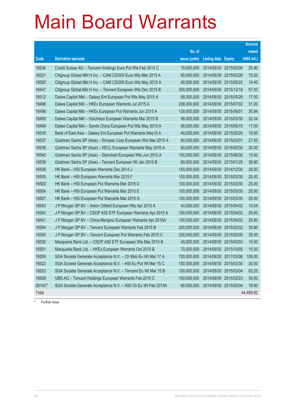|                                                                |               |            |             | <b>Amount</b>                                                                                                                                                                                                                                                                                                                                                                                                                                                                                                                                                                                                                                                                                                                                                                                               |
|----------------------------------------------------------------|---------------|------------|-------------|-------------------------------------------------------------------------------------------------------------------------------------------------------------------------------------------------------------------------------------------------------------------------------------------------------------------------------------------------------------------------------------------------------------------------------------------------------------------------------------------------------------------------------------------------------------------------------------------------------------------------------------------------------------------------------------------------------------------------------------------------------------------------------------------------------------|
|                                                                | No. of        |            |             | raised                                                                                                                                                                                                                                                                                                                                                                                                                                                                                                                                                                                                                                                                                                                                                                                                      |
| <b>Derivative warrants</b>                                     | issue (units) |            |             | $(HK$$ mil.)                                                                                                                                                                                                                                                                                                                                                                                                                                                                                                                                                                                                                                                                                                                                                                                                |
| Credit Suisse AG - Tencent Holdings Euro Put Wts Feb 2015 C    | 70,000,000    | 2014/09/30 |             | 25.90                                                                                                                                                                                                                                                                                                                                                                                                                                                                                                                                                                                                                                                                                                                                                                                                       |
| Citigroup Global Mkt H Inc. - CAM CSI300 Euro Wts Mar 2015 A   | 80,000,000    | 2014/09/30 |             | 15.20                                                                                                                                                                                                                                                                                                                                                                                                                                                                                                                                                                                                                                                                                                                                                                                                       |
| Citigroup Global Mkt H Inc. - CAM CSI300 Euro Wts May 2015 A   | 80,000,000    |            |             | 14.40                                                                                                                                                                                                                                                                                                                                                                                                                                                                                                                                                                                                                                                                                                                                                                                                       |
| Citigroup Global Mkt H Inc. - Tencent European Wts Dec 2015 B  | 300,000,000   |            |             | 57.00                                                                                                                                                                                                                                                                                                                                                                                                                                                                                                                                                                                                                                                                                                                                                                                                       |
| Daiwa Capital Mkt - Galaxy Ent European Put Wts May 2015 A     | 68,000,000    |            |             | 17.00                                                                                                                                                                                                                                                                                                                                                                                                                                                                                                                                                                                                                                                                                                                                                                                                       |
| Daiwa Capital Mkt - HKEx European Warrants Jul 2015 A          | 208,000,000   |            |             | 31.20                                                                                                                                                                                                                                                                                                                                                                                                                                                                                                                                                                                                                                                                                                                                                                                                       |
| Daiwa Capital Mkt - HKEx European Put Warrants Jun 2015 A      | 128,000,000   |            |             | 35.84                                                                                                                                                                                                                                                                                                                                                                                                                                                                                                                                                                                                                                                                                                                                                                                                       |
| Daiwa Capital Mkt - Hutchison European Warrants Mar 2015 B     | 98,000,000    |            |             | 32.34                                                                                                                                                                                                                                                                                                                                                                                                                                                                                                                                                                                                                                                                                                                                                                                                       |
| Daiwa Capital Mkt - Sands China European Put Wts May 2015 A    | 68,000,000    |            |             | 17.00                                                                                                                                                                                                                                                                                                                                                                                                                                                                                                                                                                                                                                                                                                                                                                                                       |
| Bank of East Asia - Galaxy Ent European Put Warrants May15 A   | 40,000,000    |            |             | 10.00                                                                                                                                                                                                                                                                                                                                                                                                                                                                                                                                                                                                                                                                                                                                                                                                       |
| Goldman Sachs SP (Asia) - Sinopec Corp European Wts Mar 2015 A | 80,000,000    |            |             | 27.92                                                                                                                                                                                                                                                                                                                                                                                                                                                                                                                                                                                                                                                                                                                                                                                                       |
| Goldman Sachs SP (Asia) – KECL European Warrants May 2016 A    | 80,000,000    |            |             | 20.00                                                                                                                                                                                                                                                                                                                                                                                                                                                                                                                                                                                                                                                                                                                                                                                                       |
| Goldman Sachs SP (Asia) – Stanchart European Wts Jun 2015 A    | 100,000,000   |            |             | 15.00                                                                                                                                                                                                                                                                                                                                                                                                                                                                                                                                                                                                                                                                                                                                                                                                       |
| Goldman Sachs SP (Asia) - Tencent European Wt Jan 2015 B       | 80,000,000    |            |             | 38.80                                                                                                                                                                                                                                                                                                                                                                                                                                                                                                                                                                                                                                                                                                                                                                                                       |
| HK Bank - HSI European Warrants Dec 2014 J                     | 150,000,000   |            |             | 28.50                                                                                                                                                                                                                                                                                                                                                                                                                                                                                                                                                                                                                                                                                                                                                                                                       |
| HK Bank - HSI European Warrants Mar 2015 F                     | 100,000,000   |            |             | 25.00                                                                                                                                                                                                                                                                                                                                                                                                                                                                                                                                                                                                                                                                                                                                                                                                       |
| HK Bank – HSI European Put Warrants Mar 2015 D                 | 100,000,000   |            |             | 25.00                                                                                                                                                                                                                                                                                                                                                                                                                                                                                                                                                                                                                                                                                                                                                                                                       |
| HK Bank – HSI European Put Warrants Mar 2015 E                 | 100,000,000   |            |             | 25.00                                                                                                                                                                                                                                                                                                                                                                                                                                                                                                                                                                                                                                                                                                                                                                                                       |
| HK Bank - HSI European Put Warrants Mar 2015 G                 | 100,000,000   |            |             | 25.00                                                                                                                                                                                                                                                                                                                                                                                                                                                                                                                                                                                                                                                                                                                                                                                                       |
| J P Morgan SP BV - Anton Oilfield European Wts Apr 2015 A      | 40,000,000    |            |             | 10.04                                                                                                                                                                                                                                                                                                                                                                                                                                                                                                                                                                                                                                                                                                                                                                                                       |
| J P Morgan SP BV - CSOP A50 ETF European Warrants Apr 2015 A   | 100,000,000   |            |             | 25.60                                                                                                                                                                                                                                                                                                                                                                                                                                                                                                                                                                                                                                                                                                                                                                                                       |
| J P Morgan SP BV - China Mengniu European Warrants Apr 2015A   | 100,000,000   |            |             | 25.80                                                                                                                                                                                                                                                                                                                                                                                                                                                                                                                                                                                                                                                                                                                                                                                                       |
| J P Morgan SP BV - Tencent European Warrants Feb 2015 B        | 200,000,000   |            |             | 30.80                                                                                                                                                                                                                                                                                                                                                                                                                                                                                                                                                                                                                                                                                                                                                                                                       |
| J P Morgan SP BV - Tencent European Put Warrants Feb 2015 C    | 200,000,000   |            |             | 35.00                                                                                                                                                                                                                                                                                                                                                                                                                                                                                                                                                                                                                                                                                                                                                                                                       |
| Macquarie Bank Ltd. - CSOP A50 ETF European Wts Mar 2015 B     | 40,000,000    |            |             | 10.00                                                                                                                                                                                                                                                                                                                                                                                                                                                                                                                                                                                                                                                                                                                                                                                                       |
| Macquarie Bank Ltd. - HKEx European Warrants Oct 2015 B        | 70,000,000    |            |             | 10.50                                                                                                                                                                                                                                                                                                                                                                                                                                                                                                                                                                                                                                                                                                                                                                                                       |
| SGA Societe Generale Acceptance N.V. - Ch Mob Eu Wt Mar 17 A   |               |            |             | 105.00                                                                                                                                                                                                                                                                                                                                                                                                                                                                                                                                                                                                                                                                                                                                                                                                      |
| SGA Societe Generale Acceptance N.V. - HSI Eu Put Wt Mar 15 C  | 150,000,000   |            |             | 30.00                                                                                                                                                                                                                                                                                                                                                                                                                                                                                                                                                                                                                                                                                                                                                                                                       |
| SGA Societe Generale Acceptance N.V. - Tencent Eu Wt Mar 15 B  | 150,000,000   |            |             | 62.25                                                                                                                                                                                                                                                                                                                                                                                                                                                                                                                                                                                                                                                                                                                                                                                                       |
| UBS AG - Tencent Holdings European Warrants Feb 2015 C         | 100,000,000   |            |             | 39.50                                                                                                                                                                                                                                                                                                                                                                                                                                                                                                                                                                                                                                                                                                                                                                                                       |
| SGA Societe Generale Acceptance N.V. - A50 Ch Eu Wt Feb 2015A  | 60,000,000    |            |             | 16.80                                                                                                                                                                                                                                                                                                                                                                                                                                                                                                                                                                                                                                                                                                                                                                                                       |
|                                                                |               |            |             | 44,489.92                                                                                                                                                                                                                                                                                                                                                                                                                                                                                                                                                                                                                                                                                                                                                                                                   |
|                                                                |               |            | 700,000,000 | <b>Listing date Expiry</b><br>2015/02/06<br>2015/03/26<br>2014/09/30 2015/05/22<br>2014/09/30 2015/12/18<br>2014/09/30 2015/05/29<br>2014/09/30 2015/07/02<br>2014/09/30 2015/06/01<br>2014/09/30 2015/03/30<br>2014/09/30 2015/05/15<br>2014/09/30 2015/05/29<br>2014/09/30 2015/03/31<br>2014/09/30 2016/05/30<br>2014/09/30 2015/06/30<br>2014/09/30 2015/01/29<br>2014/09/30 2014/12/30<br>2014/09/30 2015/03/30<br>2014/09/30 2015/03/30<br>2014/09/30 2015/03/30<br>2014/09/30 2015/03/30<br>2014/09/30 2015/04/02<br>2014/09/30 2015/04/02<br>2014/09/30 2015/04/02<br>2014/09/30 2015/02/02<br>2014/09/30 2015/02/06<br>2014/09/30 2015/03/03<br>2014/09/30 2015/10/05<br>2014/09/30 2017/03/06<br>2014/09/30 2015/03/30<br>2014/09/30 2015/03/04<br>2014/09/30 2015/02/23<br>2014/09/30 2015/02/04 |

# Further issue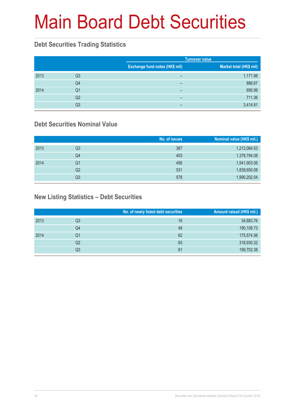# Main Board Debt Securities

#### **Debt Securities Trading Statistics**

|      |                |                                | <b>Turnover value</b>   |
|------|----------------|--------------------------------|-------------------------|
|      |                | Exchange fund notes (HK\$ mil) | Market total (HK\$ mil) |
| 2013 | Q3             | -                              | 1,171.98                |
|      | Q4             | -                              | 886.67                  |
| 2014 | Q1             | -                              | 695.99                  |
|      | Q <sub>2</sub> | -                              | 711.36                  |
|      | Q3             | -                              | 3,414.81                |

#### **Debt Securities Nominal Value**

|      |    | No. of issues | Nominal value (HK\$ mil.) |
|------|----|---------------|---------------------------|
| 2013 | Q3 | 367           | 1,212,064.53              |
|      | Q4 | 403           | 1,378,794.08              |
| 2014 | Q1 | 456           | 1,541,903.06              |
|      | Q2 | 531           | 1,839,650.08              |
|      | Q3 | 578           | 1,990,202.04              |

#### **New Listing Statistics – Debt Securities**

|      |    | No. of newly listed debt securities | Amount raised (HK\$ mil.) |
|------|----|-------------------------------------|---------------------------|
| 2013 | Q3 | 16                                  | 34,683.76                 |
|      | Q4 | 48                                  | 190,108.73                |
| 2014 | Q1 | 62                                  | 175,574.56                |
|      | Q2 | 83                                  | 318,930.32                |
|      | Q3 | 61                                  | 199,702.38                |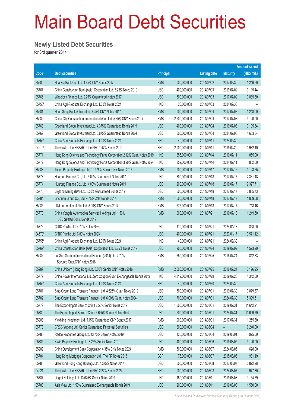# Main Board Debt Securities

#### **Newly Listed Debt Securities**

for 3rd quarter 2014

|        |                                                                                        |                  |               |                     |                 | <b>Amount raised</b> |
|--------|----------------------------------------------------------------------------------------|------------------|---------------|---------------------|-----------------|----------------------|
| Code   | <b>Debt securities</b>                                                                 | <b>Principal</b> |               | <b>Listing date</b> | <b>Maturity</b> | (HK\$ mil.)          |
| 85980  | Hua Xia Bank Co., Ltd. 4.95% CNY Bonds 2017                                            | <b>RMB</b>       | 1,000,000,000 | 2014/07/02          | 2017/06/30      | 1,246.50             |
| 05767  | China Construction Bank (Asia) Corporation Ltd. 3.25% Notes 2019                       | <b>USD</b>       | 400,000,000   | 2014/07/03          | 2019/07/02      | 3,115.44             |
| 05766  | Wheelock Finance Ltd. 2.75% Guaranteed Notes 2017                                      | <b>USD</b>       | 500,000,000   | 2014/07/03          | 2017/07/02      | 3,885.30             |
| 05755# | China Agri-Products Exchange Ltd. 1.00% Notes 2024                                     | <b>HKD</b>       | 20,000,000    | 2014/07/03          | 2024/09/30      |                      |
| 85981  | Hang Seng Bank (China) Ltd. 3.25% CNY Notes 2017                                       | <b>RMB</b>       | 1,000,000,000 | 2014/07/04          | 2017/07/03      | 1,248.00             |
| 85982  | China City Construction (International) Co., Ltd. 5.35% CNY Bonds 2017                 | <b>RMB</b>       | 2,500,000,000 | 2014/07/04          | 2017/07/03      | 3,120.00             |
| 05768  | Greenland Global Investment Ltd. 4.375% Guaranteed Bonds 2019                          | <b>USD</b>       | 400,000,000   | 2014/07/04          | 2019/07/03      | 3,105.34             |
| 05769  | Greenland Global Investment Ltd. 5.875% Guaranteed Bonds 2024                          | <b>USD</b>       | 600,000,000   | 2014/07/04          | 2024/07/03      | 4,653.84             |
| 05755# | China Agri-Products Exchange Ltd. 1.00% Notes 2024                                     | <b>HKD</b>       | 40,000,000    | 2014/07/11          | 2024/09/30      | -                    |
| 04219# | The Govt of the HKSAR of the PRC 1.47% Bonds 2019                                      | <b>HKD</b>       | 2,000,000,000 | 2014/07/11          | 2019/02/20      | 1,982.40             |
| 05771  | Hong Kong Science and Technology Parks Corporation 2.12% Guar. Notes 2019              | <b>HKD</b>       | 855,000,000   | 2014/07/14          | 2019/07/11      | 855.00               |
| 05772  | Hong Kong Science and Technology Parks Corporation 3.20% Guar. Notes 2024              | <b>HKD</b>       | 852,000,000   | 2014/07/14          | 2024/07/11      | 852.00               |
| 85983  | Times Property Holdings Ltd. 10.375% Senior CNY Notes 2017                             | <b>RMB</b>       | 900,000,000   | 2014/07/17          | 2017/07/16      | 1,123.65             |
| 05773  | Huarong Finance Co., Ltd. 3.00% Guaranteed Notes 2017                                  | <b>USD</b>       | 300,000,000   | 2014/07/18          | 2017/07/17      | 2,331.48             |
| 05774  | Huarong Finance Co., Ltd. 4.00% Guaranteed Notes 2019                                  | <b>USD</b>       | 1,200,000,000 | 2014/07/18          | 2019/07/17      | 9,327.71             |
| 05775  | Skyland Mining (BVI) Ltd. 3.50% Guaranteed Bonds 2017                                  | <b>USD</b>       | 500,000,000   | 2014/07/18          | 2017/07/17      | 3,885.73             |
| 85984  | Jinchuan Group Co., Ltd. 4.75% CNY Bonds 2017                                          | <b>RMB</b>       | 1,500,000,000 | 2014/07/18          | 2017/07/17      | 1,869.08             |
| 85985  | ITNL International Pte. Ltd. 8.00% CNY Bonds 2017                                      | <b>RMB</b>       | 575,000,000   | 2014/07/18          | 2017/07/17      | 718.46               |
| 05770  | China Yongda Automobiles Services Holdings Ltd. 1.50%<br>USD Settled Conv. Bonds 2019  | <b>RMB</b>       | 1,000,000,000 | 2014/07/21          | 2019/07/18      | 1,249.50             |
| 05776  | CITIC Pacific Ltd. 4.70% Notes 2024                                                    | <b>USD</b>       | 110,000,000   | 2014/07/21          | 2024/01/18      | 858.00               |
| 04570# | CITIC Pacific Ltd. 6.80% Notes 2023                                                    | <b>USD</b>       | 400,000,000   | 2014/07/21          | 2023/01/17      | 3,571.12             |
| 05755# | China Agri-Products Exchange Ltd. 1.00% Notes 2024                                     | <b>HKD</b>       | 40,000,000    | 2014/07/21          | 2024/09/30      |                      |
| 05767# | China Construction Bank (Asia) Corporation Ltd. 3.25% Notes 2019                       | <b>USD</b>       | 200,000,000   | 2014/07/24          | 2019/07/02      | 1,573.90             |
| 85986  | Lai Sun Garment International Finance (2014) Ltd. 7.70%<br>Secured Guar.CNY Notes 2018 | <b>RMB</b>       | 650,000,000   | 2014/07/25          | 2018/07/24      | 812.83               |
| 85987  | China Unicom (Hong Kong) Ltd. 3.80% Senior CNY Notes 2016                              | <b>RMB</b>       | 2,500,000,000 | 2014/07/25          | 2016/07/24      | 3,126.25             |
| 05777  | Shine Power International Ltd. Zero Coupon Guar. Exchangeable Bonds 2019               | <b>HKD</b>       | 4,312,000,000 | 2014/07/29          | 2019/07/28      | 4,312.00             |
| 05755# | China Agri-Products Exchange Ltd. 1.00% Notes 2024                                     | <b>HKD</b>       | 40,000,000    | 2014/07/30          | 2024/09/30      |                      |
| 05781  | Sino-Ocean Land Treasure Finance I Ltd. 4.625% Guar. Notes 2019                        | <b>USD</b>       | 500,000,000   | 2014/07/31          | 2019/07/30      | 3,879.37             |
| 05782  | Sino-Ocean Land Treasure Finance I Ltd. 6.00% Guar. Notes 2024                         | <b>USD</b>       | 700,000,000   | 2014/07/31          | 2024/07/30      | 5,399.51             |
| 05779  | The Export-Import Bank of China 2.50% Senior Notes 2019                                | <b>USD</b>       | 1,500,000,000 | 2014/08/01          | 2019/07/31      | 11,642.21            |
| 05780  | The Export-Import Bank of China 3.625% Senior Notes 2024                               | <b>USD</b>       | 1,500,000,000 | 2014/08/01          | 2024/07/31      | 11,609.79            |
| 85988  | Yieldking Investment Ltd. 5.15% Guaranteed CNY Bonds 2017                              | <b>RMB</b>       | 1,000,000,000 | 2014/08/01          | 2017/07/31      | 1,255.80             |
| 05778  | CRCC Yupeng Ltd. Senior Guaranteed Perpetual Securities                                | <b>USD</b>       | 800,000,000   | 2014/08/04          | -               | 6,240.00             |
| 05783  | Redco Properties Group Ltd. 13.75% Senior Notes 2019                                   | <b>USD</b>       | 125,000,000   | 2014/08/04          | 2019/08/01      | 975.00               |
| 05785  | KWG Property Holding Ltd. 8.25% Senior Notes 2019                                      | <b>USD</b>       | 400,000,000   | 2014/08/06          | 2019/08/05      | 3,120.00             |
| 85989  | China Development Bank Corporation 4.35% CNY Notes 2024                                | <b>RMB</b>       | 500,000,000   | 2014/08/07          | 2024/08/06      | 628.00               |
| 05784  | Hong Kong Mortgage Corporation Ltd., The FR Notes 2015                                 | <b>GBP</b>       | 75,000,000    | 2014/08/07          | 2015/08/06      | 981.19               |
| 05786  | Greenland Hong Kong Holdings Ltd. 4.375% Notes 2017                                    | <b>USD</b>       | 500,000,000   | 2014/08/08          | 2017/08/07      | 3,872.98             |
| 04221  | The Govt of the HKSAR of the PRC 2.22% Bonds 2024                                      | <b>HKD</b>       | 1,000,000,000 | 2014/08/08          | 2024/08/07      | 977.80               |
| 05787  | Jingrui Holdings Ltd. 13.625% Senior Notes 2019                                        | <b>USD</b>       | 150,000,000   | 2014/08/11          | 2019/08/08      | 1,154.59             |
| 05788  | Asia View Ltd. 1.50% Guaranteed Exchangeable Bonds 2019                                | <b>USD</b>       | 200,000,000   | 2014/08/11          | 2019/08/08      | 1,560.00             |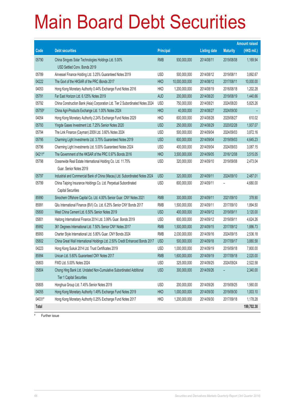# Main Board Debt Securities

|        |                                                                                |                  |                |                     |                 | <b>Amount raised</b> |
|--------|--------------------------------------------------------------------------------|------------------|----------------|---------------------|-----------------|----------------------|
| Code   | <b>Debt securities</b>                                                         | <b>Principal</b> |                | <b>Listing date</b> | <b>Maturity</b> | $(HK$$ mil.)         |
| 05790  | China Singyes Solar Technologies Holdings Ltd. 5.00%                           | <b>RMB</b>       | 930,000,000    | 2014/08/11          | 2019/08/08      | 1,169.94             |
|        | USD Settled Conv. Bonds 2019                                                   |                  |                |                     |                 |                      |
| 05789  | Airvessel Finance Holding Ltd. 3.25% Guaranteed Notes 2019                     | <b>USD</b>       | 500,000,000    | 2014/08/12          | 2019/08/11      | 3,892.67             |
| 04222  | The Govt of the HKSAR of the PRC iBonds 2017                                   | <b>HKD</b>       | 10,000,000,000 | 2014/08/12          | 2017/08/11      | 10,000.00            |
| 04053  | Hong Kong Monetary Authority 0.44% Exchange Fund Notes 2016                    | <b>HKD</b>       | 1,200,000,000  | 2014/08/19          | 2016/08/18      | 1,202.28             |
| 05791  | Far East Horizon Ltd. 6.125% Notes 2019                                        | <b>AUD</b>       | 200,000,000    | 2014/08/20          | 2019/08/19      | 1,440.66             |
| 05792  | China Construction Bank (Asia) Corporation Ltd. Tier 2 Subordinated Notes 2024 | <b>USD</b>       | 750,000,000    | 2014/08/21          | 2024/08/20      | 5,825.26             |
| 05755# | China Agri-Products Exchange Ltd. 1.00% Notes 2024                             | <b>HKD</b>       | 40,000,000     | 2014/08/27          | 2024/09/30      |                      |
| 04054  | Hong Kong Monetary Authority 2.24% Exchange Fund Notes 2029                    | <b>HKD</b>       | 600,000,000    | 2014/08/28          | 2029/08/27      | 610.02               |
| 05793  | Yingde Gases Investment Ltd. 7.25% Senior Notes 2020                           | <b>USD</b>       | 250,000,000    | 2014/08/29          | 2020/02/28      | 1,937.07             |
| 05794  | The Link Finance (Cayman) 2009 Ltd. 3.60% Notes 2024                           | <b>USD</b>       | 500,000,000    | 2014/09/04          | 2024/09/03      | 3,872.16             |
| 05795  | Charming Light Investments Ltd. 3.75% Guaranteed Notes 2019                    | <b>USD</b>       | 600,000,000    | 2014/09/04          | 2019/09/03      | 4,645.23             |
| 05796  | Charming Light Investments Ltd. 5.00% Guaranteed Notes 2024                    | <b>USD</b>       | 400,000,000    | 2014/09/04          | 2024/09/03      | 3,087.15             |
| 04211# | The Government of the HKSAR of the PRC 0.97% Bonds 2016                        | <b>HKD</b>       | 3,500,000,000  | 2014/09/05          | 2016/12/08      | 3,515.05             |
| 05798  | Oceanwide Real Estate International Holding Co. Ltd. 11.75%                    | <b>USD</b>       | 320,000,000    | 2014/09/10          | 2019/09/08      | 2,473.04             |
|        | Guar, Senior Notes 2019                                                        |                  |                |                     |                 |                      |
| 05797  | Industrial and Commercial Bank of China (Macau) Ltd. Subordinated Notes 2024   | <b>USD</b>       | 320,000,000    | 2014/09/11          | 2024/09/10      | 2,487.01             |
| 05799  | China Taiping Insurance Holdings Co. Ltd. Perpetual Subordinated               | <b>USD</b>       | 600,000,000    | 2014/09/11          |                 | 4,680.00             |
|        | <b>Capital Securities</b>                                                      |                  |                |                     |                 |                      |
| 85990  | Sinochem Offshore Capital Co. Ltd. 4.00% Senior Guar. CNY Notes 2021           | <b>RMB</b>       | 300,000,000    | 2014/09/11          | 2021/09/10      | 378.90               |
| 85991  | Qilu International Finance (BVI) Co. Ltd. 6.25% Senior CNY Bonds 2017          | <b>RMB</b>       | 1,500,000,000  | 2014/09/11          | 2017/09/10      | 1,894.50             |
| 05800  | West China Cement Ltd. 6.50% Senior Notes 2019                                 | <b>USD</b>       | 400,000,000    | 2014/09/12          | 2019/09/11      | 3,120.00             |
| 05801  | Haitong International Finance 2014 Ltd. 3.99% Guar. Bonds 2019                 | <b>USD</b>       | 600,000,000    | 2014/09/12          | 2019/09/11      | 4,624.26             |
| 85992  | 361 Degrees International Ltd. 7.50% Senior CNY Notes 2017                     | <b>RMB</b>       | 1,500,000,000  | 2014/09/15          | 2017/09/12      | 1,886.73             |
| 85993  | Charter Style International Ltd. 5.80% Guar. CNY Bonds 2024                    | <b>RMB</b>       | 2,030,000,000  | 2014/09/16          | 2024/09/15      | 2,536.18             |
| 05802  | China Great Wall International Holdings Ltd. 2.50% Credit Enhanced Bonds 2017  | <b>USD</b>       | 500,000,000    | 2014/09/18          | 2017/09/17      | 3,880.58             |
| 04223  | Hong Kong Sukuk 2014 Ltd. Trust Certificates 2019                              | <b>USD</b>       | 1,000,000,000  | 2014/09/19          | 2019/09/18      | 7,800.00             |
| 85994  | Unican Ltd. 5.60% Guaranteed CNY Notes 2017                                    | RMB              | 1,600,000,000  | 2014/09/19          | 2017/09/18      | 2,020.00             |
| 05803  | FWD Ltd. 5.00% Notes 2024                                                      | <b>USD</b>       | 325,000,000    | 2014/09/25          | 2024/09/24      | 2,522.58             |
| 05804  | Chong Hing Bank Ltd. Undated Non-Cumulative Subordinated Additional            | <b>USD</b>       | 300,000,000    | 2014/09/26          |                 | 2,340.00             |
|        | <b>Tier 1 Capital Securities</b>                                               |                  |                |                     |                 |                      |
| 05805  | Honghua Group Ltd. 7.45% Senior Notes 2019                                     | <b>USD</b>       | 200,000,000    | 2014/09/26          | 2019/09/25      | 1,560.00             |
| 04055  | Hong Kong Monetary Authority 1.49% Exchange Fund Notes 2019                    | <b>HKD</b>       | 1,000,000,000  | 2014/09/30          | 2019/09/30      | 1,003.10             |
| 04031# | Hong Kong Monetary Authority 0.25% Exchange Fund Notes 2017                    | <b>HKD</b>       | 1,200,000,000  | 2014/09/30          | 2017/09/18      | 1,178.28             |
| Total  |                                                                                |                  |                |                     |                 | 199,702.38           |

# Further issue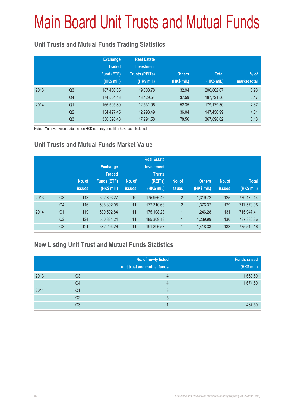# Main Board Unit Trusts and Mutual Funds

#### **Unit Trusts and Mutual Funds Trading Statistics**

|      |                | <b>Exchange</b><br><b>Traded</b><br>Fund (ETF)<br>(HK\$ mil.) | <b>Real Estate</b><br><b>Investment</b><br><b>Trusts (REITs)</b><br>(HK\$ mil.) | <b>Others</b><br>(HK\$ mil.) | <b>Total</b><br>(HK\$ mil.) | $%$ of<br>market total |
|------|----------------|---------------------------------------------------------------|---------------------------------------------------------------------------------|------------------------------|-----------------------------|------------------------|
| 2013 | Q <sub>3</sub> | 187,460.35                                                    | 19,308.78                                                                       | 32.94                        | 206,802.07                  | 5.98                   |
|      | Q4             | 174,554.43                                                    | 13,129.54                                                                       | 37.59                        | 187,721.56                  | 5.17                   |
| 2014 | Q <sub>1</sub> | 166,595.89                                                    | 12,531.06                                                                       | 52.35                        | 179,179.30                  | 4.37                   |
|      | Q <sub>2</sub> | 134,427.45                                                    | 12,993.49                                                                       | 36.04                        | 147,456.99                  | 4.31                   |
|      | Q <sub>3</sub> | 350,528.48                                                    | 17,291.58                                                                       | 78.56                        | 367,898.62                  | 8.18                   |

Note: Turnover value traded in non-HKD currency securities have been included

#### **Unit Trusts and Mutual Funds Market Value**

|      |                | No. of<br><b>issues</b> | <b>Exchange</b><br><b>Traded</b><br><b>Funds (ETF)</b><br>(HK\$ mil.) | No. of<br><b>issues</b> | <b>Real Estate</b><br><b>Investment</b><br><b>Trusts</b><br>(REITs)<br>(HK\$ mil.) | No. of<br><b>issues</b> | <b>Others</b><br>(HK\$ mil.) | No. of<br><b>issues</b> | <b>Total</b><br>(HK\$ mil.) |
|------|----------------|-------------------------|-----------------------------------------------------------------------|-------------------------|------------------------------------------------------------------------------------|-------------------------|------------------------------|-------------------------|-----------------------------|
| 2013 | Q <sub>3</sub> | 113                     | 592,893.27                                                            | 10                      | 175,966.45                                                                         | $\overline{2}$          | 1.319.72                     | 125                     | 770,179.44                  |
|      | Q4             | 116                     | 538,892.05                                                            | 11                      | 177,310.63                                                                         | $\overline{2}$          | 1,376.37                     | 129                     | 717,579.05                  |
| 2014 | Q <sub>1</sub> | 119                     | 539,592.84                                                            | 11                      | 175,108.28                                                                         | 1                       | 1.246.28                     | 131                     | 715,947.41                  |
|      | Q <sub>2</sub> | 124                     | 550,831.24                                                            | 11                      | 185,309.13                                                                         | 1                       | 1.239.99                     | 136                     | 737,380.36                  |
|      | Q <sub>3</sub> | 121                     | 582,204.26                                                            | 11                      | 191,896.58                                                                         | 1                       | 1,418.33                     | 133                     | 775,519.16                  |

#### **New Listing Unit Trust and Mutual Funds Statistics**

|      |    | No. of newly listed<br>unit trust and mutual funds | <b>Funds raised</b><br>(HK\$ mil.) |
|------|----|----------------------------------------------------|------------------------------------|
| 2013 | Q3 |                                                    | 1,650.50                           |
|      | Q4 |                                                    | 1,674.50                           |
| 2014 | Q1 | 3                                                  |                                    |
|      | Q2 | 5                                                  |                                    |
|      | Q3 |                                                    | 487.50                             |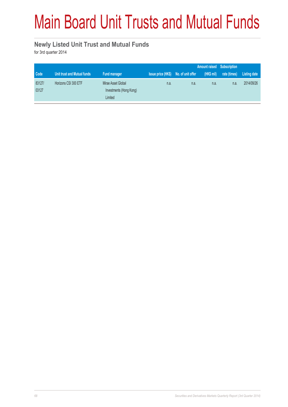# Main Board Unit Trusts and Mutual Funds

#### **Newly Listed Unit Trust and Mutual Funds**

for 3rd quarter 2014

|                 |                             |                                                          |                                      |      |           | Amount raised Subscription |              |
|-----------------|-----------------------------|----------------------------------------------------------|--------------------------------------|------|-----------|----------------------------|--------------|
| Code            | Unit trust and Mutual funds | Fund manager                                             | Issue price (HK\$) No. of unit offer |      | (HK\$ mi) | rate (times)               | Listing date |
| 83127/<br>03127 | Horizons CSI 300 ETF        | Mirae Asset Global<br>Investments (Hong Kong)<br>Limited | n.a.                                 | n.a. | n.a.      | n.a.                       | 2014/09/26   |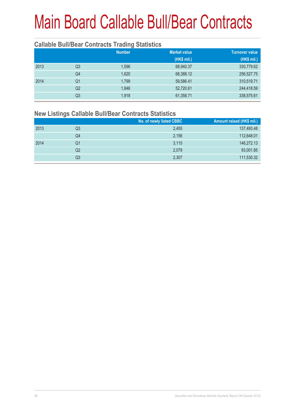# Main Board Callable Bull/Bear Contracts

#### **Callable Bull/Bear Contracts Trading Statistics**

|                | <b>Number</b> | <b>Market value</b> | <b>Turnover value</b> |  |
|----------------|---------------|---------------------|-----------------------|--|
|                |               | (HK\$ mil.)         | (HK\$ mil.)           |  |
| Q3             | 1,596         | 68,940.37           | 330,779.62            |  |
| Q <sub>4</sub> | 1,620         | 68,388.12           | 256,527.75            |  |
| Q1             | 1,799         | 59,586.41           | 310,519.71            |  |
| Q2             | 1,846         | 52,720.61           | 244,418.59            |  |
| Q3             | 1,918         | 61,358.71           | 338,575.61            |  |
|                |               |                     |                       |  |

#### **New Listings Callable Bull/Bear Contracts Statistics**

|      |    | No. of newly listed CBBC | Amount raised (HK\$ mil.) |
|------|----|--------------------------|---------------------------|
| 2013 | Q3 | 2,455                    | 137,493.48                |
|      | Q4 | 2,156                    | 112,648.01                |
| 2014 | Q1 | 3,115                    | 146,272.13                |
|      | Q2 | 2,079                    | 93,001.85                 |
|      | Q3 | 2,307                    | 111,530.32                |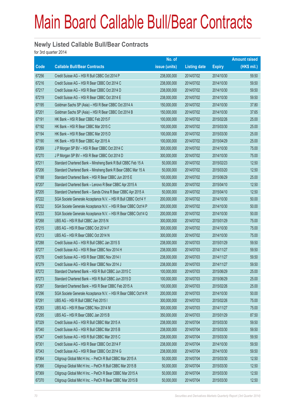## Main Board Callable Bull/Bear Contracts

#### **Newly Listed Callable Bull/Bear Contracts**

for 3rd quarter 2014

|       |                                                                | No. of        |                     |               | <b>Amount raised</b> |  |
|-------|----------------------------------------------------------------|---------------|---------------------|---------------|----------------------|--|
| Code  | <b>Callable Bull/Bear Contracts</b>                            | issue (units) | <b>Listing date</b> | <b>Expiry</b> | (HK\$ mil.)          |  |
| 67256 | Credit Suisse AG - HSI R Bull CBBC Oct 2014 P                  | 238,000,000   | 2014/07/02          | 2014/10/30    | 59.50                |  |
| 67216 | Credit Suisse AG - HSI R Bear CBBC Oct 2014 C                  | 238,000,000   | 2014/07/02          | 2014/10/30    | 59.50                |  |
| 67217 | Credit Suisse AG - HSI R Bear CBBC Oct 2014 D                  | 238,000,000   | 2014/07/02          | 2014/10/30    | 59.50                |  |
| 67219 | Credit Suisse AG - HSI R Bear CBBC Oct 2014 E                  | 238,000,000   | 2014/07/02          | 2014/10/30    | 59.50                |  |
| 67195 | Goldman Sachs SP (Asia) - HSI R Bear CBBC Oct 2014 A           | 150,000,000   | 2014/07/02          | 2014/10/30    | 37.80                |  |
| 67201 | Goldman Sachs SP (Asia) - HSI R Bear CBBC Oct 2014 B           | 150,000,000   | 2014/07/02          | 2014/10/30    | 37.65                |  |
| 67191 | HK Bank - HSI R Bear CBBC Feb 2015 F                           | 100,000,000   | 2014/07/02          | 2015/02/26    | 25.00                |  |
| 67192 | HK Bank - HSI R Bear CBBC Mar 2015 C                           | 100,000,000   | 2014/07/02          | 2015/03/30    | 25.00                |  |
| 67194 | HK Bank - HSI R Bear CBBC Mar 2015 D                           | 100,000,000   | 2014/07/02          | 2015/03/30    | 25.00                |  |
| 67190 | HK Bank - HSI R Bear CBBC Apr 2015 A                           | 100,000,000   | 2014/07/02          | 2015/04/29    | 25.00                |  |
| 67269 | J P Morgan SP BV - HSI R Bear CBBC Oct 2014 C                  | 300,000,000   | 2014/07/02          | 2014/10/30    | 75.00                |  |
| 67270 | J P Morgan SP BV - HSI R Bear CBBC Oct 2014 D                  | 300,000,000   | 2014/07/02          | 2014/10/30    | 75.00                |  |
| 67211 | Standard Chartered Bank - Minsheng Bank R Bull CBBC Feb 15 A   | 50,000,000    | 2014/07/02          | 2015/02/23    | 12.50                |  |
| 67206 | Standard Chartered Bank - Minsheng Bank R Bear CBBC Mar 15 A   | 50,000,000    | 2014/07/02          | 2015/03/20    | 12.50                |  |
| 67188 | Standard Chartered Bank - HSI R Bear CBBC Jun 2015 E           | 100,000,000   | 2014/07/02          | 2015/06/29    | 25.00                |  |
| 67207 | Standard Chartered Bank - Lenovo R Bear CBBC Apr 2015 A        | 50,000,000    | 2014/07/02          | 2015/04/10    | 12.50                |  |
| 67205 | Standard Chartered Bank - Sands China R Bear CBBC Apr 2015 A   | 50,000,000    | 2014/07/02          | 2015/04/10    | 12.50                |  |
| 67222 | SGA Societe Generale Acceptance N.V. - HSI R Bull CBBC Oct14 Y | 200,000,000   | 2014/07/02          | 2014/10/30    | 50.00                |  |
| 67232 | SGA Societe Generale Acceptance N.V. - HSI R Bear CBBC Oct14 P | 200,000,000   | 2014/07/02          | 2014/10/30    | 50.00                |  |
| 67233 | SGA Societe Generale Acceptance N.V. - HSI R Bear CBBC Oct14 Q | 200,000,000   | 2014/07/02          | 2014/10/30    | 50.00                |  |
| 67268 | UBS AG - HSI R Bull CBBC Jan 2015 N                            | 300,000,000   | 2014/07/02          | 2015/01/29    | 75.00                |  |
| 67215 | UBS AG - HSI R Bear CBBC Oct 2014 F                            | 300,000,000   | 2014/07/02          | 2014/10/30    | 75.00                |  |
| 67213 | UBS AG - HSI R Bear CBBC Oct 2014 N                            | 300,000,000   | 2014/07/02          | 2014/10/30    | 75.00                |  |
| 67288 | Credit Suisse AG - HSI R Bull CBBC Jan 2015 S                  | 238,000,000   | 2014/07/03          | 2015/01/29    | 59.50                |  |
| 67277 | Credit Suisse AG - HSI R Bear CBBC Nov 2014 H                  | 238,000,000   | 2014/07/03          | 2014/11/27    | 59.50                |  |
| 67278 | Credit Suisse AG - HSI R Bear CBBC Nov 2014 I                  | 238,000,000   | 2014/07/03          | 2014/11/27    | 59.50                |  |
| 67279 | Credit Suisse AG - HSI R Bear CBBC Nov 2014 J                  | 238,000,000   | 2014/07/03          | 2014/11/27    | 59.50                |  |
| 67272 | Standard Chartered Bank - HSI R Bull CBBC Jun 2015 C           | 100,000,000   | 2014/07/03          | 2015/06/29    | 25.00                |  |
| 67273 | Standard Chartered Bank - HSI R Bull CBBC Jun 2015 D           | 100,000,000   | 2014/07/03          | 2015/06/29    | 25.00                |  |
| 67287 | Standard Chartered Bank - HSI R Bear CBBC Feb 2015 A           | 100,000,000   | 2014/07/03          | 2015/02/26    | 25.00                |  |
| 67296 | SGA Societe Generale Acceptance N.V. - HSI R Bear CBBC Oct14 R | 200,000,000   | 2014/07/03          | 2014/10/30    | 50.00                |  |
| 67291 | UBS AG - HSI R Bull CBBC Feb 2015 I                            | 300,000,000   | 2014/07/03          | 2015/02/26    | 75.00                |  |
| 67283 | UBS AG - HSI R Bear CBBC Nov 2014 M                            | 300,000,000   | 2014/07/03          | 2014/11/27    | 75.00                |  |
| 67295 | UBS AG - HSI R Bear CBBC Jan 2015 B                            | 350,000,000   | 2014/07/03          | 2015/01/29    | 87.50                |  |
| 67329 | Credit Suisse AG - HSI R Bull CBBC Mar 2015 A                  | 238,000,000   | 2014/07/04          | 2015/03/30    | 59.50                |  |
| 67340 | Credit Suisse AG - HSI R Bull CBBC Mar 2015 B                  | 238,000,000   | 2014/07/04          | 2015/03/30    | 59.50                |  |
| 67347 | Credit Suisse AG - HSI R Bull CBBC Mar 2015 C                  | 238,000,000   | 2014/07/04          | 2015/03/30    | 59.50                |  |
| 67301 | Credit Suisse AG - HSI R Bear CBBC Oct 2014 F                  | 238,000,000   | 2014/07/04          | 2014/10/30    | 59.50                |  |
| 67343 | Credit Suisse AG - HSI R Bear CBBC Oct 2014 G                  | 238,000,000   | 2014/07/04          | 2014/10/30    | 59.50                |  |
| 67364 | Citigroup Global Mkt H Inc. - PetCh R Bull CBBC Mar 2015 A     | 50,000,000    | 2014/07/04          | 2015/03/30    | 12.50                |  |
| 67366 | Citigroup Global Mkt H Inc. - PetCh R Bull CBBC Mar 2015 B     | 50,000,000    | 2014/07/04          | 2015/03/30    | 12.50                |  |
| 67369 | Citigroup Global Mkt H Inc. - PetCh R Bear CBBC Mar 2015 A     | 50,000,000    | 2014/07/04          | 2015/03/30    | 12.50                |  |
| 67370 | Citigroup Global Mkt H Inc. - PetCh R Bear CBBC Mar 2015 B     | 50,000,000    | 2014/07/04          | 2015/03/30    | 12.50                |  |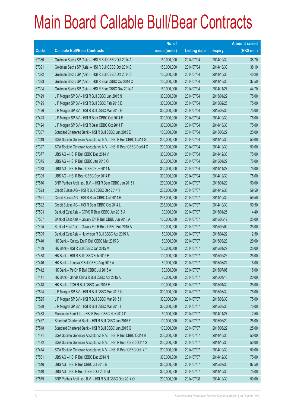## Main Board Callable Bull/Bear Contracts

|       |                                                                | No. of        |                     |               | <b>Amount raised</b> |
|-------|----------------------------------------------------------------|---------------|---------------------|---------------|----------------------|
| Code  | <b>Callable Bull/Bear Contracts</b>                            | issue (units) | <b>Listing date</b> | <b>Expiry</b> | $(HK$$ mil.)         |
| 67380 | Goldman Sachs SP (Asia) - HSI R Bull CBBC Oct 2014 A           | 150,000,000   | 2014/07/04          | 2014/10/30    | 38.70                |
| 67391 | Goldman Sachs SP (Asia) - HSI R Bull CBBC Oct 2014 B           | 150,000,000   | 2014/07/04          | 2014/10/30    | 38.10                |
| 67392 | Goldman Sachs SP (Asia) - HSI R Bull CBBC Oct 2014 C           | 150,000,000   | 2014/07/04          | 2014/10/30    | 40.20                |
| 67393 | Goldman Sachs SP (Asia) - HSI R Bear CBBC Oct 2014 C           | 150,000,000   | 2014/07/04          | 2014/10/30    | 37.50                |
| 67394 | Goldman Sachs SP (Asia) - HSI R Bear CBBC Nov 2014 A           | 150,000,000   | 2014/07/04          | 2014/11/27    | 44.70                |
| 67429 | J P Morgan SP BV - HSI R Bull CBBC Jan 2015 N                  | 300,000,000   | 2014/07/04          | 2015/01/29    | 75.00                |
| 67425 | J P Morgan SP BV - HSI R Bull CBBC Feb 2015 E                  | 300,000,000   | 2014/07/04          | 2015/02/26    | 75.00                |
| 67426 | J P Morgan SP BV - HSI R Bull CBBC Mar 2015 F                  | 300,000,000   | 2014/07/04          | 2015/03/30    | 75.00                |
| 67423 | J P Morgan SP BV - HSI R Bear CBBC Oct 2014 E                  | 300,000,000   | 2014/07/04          | 2014/10/30    | 75.00                |
| 67424 | J P Morgan SP BV - HSI R Bear CBBC Oct 2014 F                  | 300,000,000   | 2014/07/04          | 2014/10/30    | 75.00                |
| 67307 | Standard Chartered Bank - HSI R Bull CBBC Jun 2015 E           | 100,000,000   | 2014/07/04          | 2015/06/29    | 25.00                |
| 67319 | SGA Societe Generale Acceptance N.V. - HSI R Bull CBBC Oct14 G | 200,000,000   | 2014/07/04          | 2014/10/30    | 50.00                |
| 67327 | SGA Societe Generale Acceptance N.V. - HSI R Bear CBBC Dec14 C | 200,000,000   | 2014/07/04          | 2014/12/30    | 50.00                |
| 67377 | UBS AG - HSI R Bull CBBC Dec 2014 V                            | 300,000,000   | 2014/07/04          | 2014/12/30    | 75.00                |
| 67375 | UBS AG - HSI R Bull CBBC Jan 2015 O                            | 300,000,000   | 2014/07/04          | 2015/01/29    | 75.00                |
| 67373 | UBS AG - HSI R Bear CBBC Nov 2014 N                            | 300,000,000   | 2014/07/04          | 2014/11/27    | 75.00                |
| 67305 | UBS AG - HSI R Bear CBBC Dec 2014 F                            | 300,000,000   | 2014/07/04          | 2014/12/30    | 75.00                |
| 67516 | BNP Paribas Arbit Issu B.V. - HSI R Bear CBBC Jan 2015 I       | 200,000,000   | 2014/07/07          | 2015/01/29    | 50.00                |
| 67523 | Credit Suisse AG - HSI R Bull CBBC Dec 2014 Y                  | 238,000,000   | 2014/07/07          | 2014/12/30    | 59.50                |
| 67521 | Credit Suisse AG - HSI R Bear CBBC Oct 2014 H                  | 238,000,000   | 2014/07/07          | 2014/10/30    | 59.50                |
| 67522 | Credit Suisse AG - HSI R Bear CBBC Oct 2014 L                  | 238,000,000   | 2014/07/07          | 2014/10/30    | 59.50                |
| 67503 | Bank of East Asia - COVS R Bear CBBC Jan 2015 A                | 30,000,000    | 2014/07/07          | 2015/01/26    | 14.40                |
| 67507 | Bank of East Asia - Galaxy Ent R Bull CBBC Jun 2015 A          | 100,000,000   | 2014/07/07          | 2015/06/12    | 25.00                |
| 67495 | Bank of East Asia - Galaxy Ent R Bear CBBC Feb 2015 A          | 100,000,000   | 2014/07/07          | 2015/02/02    | 25.00                |
| 67505 | Bank of East Asia - Hutchison R Bull CBBC Apr 2015 A           | 50,000,000    | 2014/07/07          | 2015/04/22    | 12.50                |
| 67440 | HK Bank - Galaxy Ent R Bull CBBC Mar 2015 B                    | 80,000,000    | 2014/07/07          | 2015/03/23    | 20.00                |
| 67439 | HK Bank - HSI R Bull CBBC Jan 2015 M                           | 100,000,000   | 2014/07/07          | 2015/01/29    | 25.00                |
| 67438 | HK Bank - HSI R Bull CBBC Feb 2015 E                           | 100,000,000   | 2014/07/07          | 2015/02/26    | 25.00                |
| 67446 | HK Bank - Lenovo R Bull CBBC Aug 2015 A                        | 60,000,000    | 2014/07/07          | 2015/08/24    | 15.00                |
| 67442 | HK Bank - PetCh R Bull CBBC Jul 2015 A                         | 60,000,000    | 2014/07/07          | 2015/07/06    | 15.00                |
| 67441 | HK Bank - Sands China R Bull CBBC Apr 2015 A                   | 80,000,000    | 2014/07/07          | 2015/04/13    | 20.00                |
| 67448 | HK Bank - TCH R Bull CBBC Jan 2015 E                           | 100,000,000   | 2014/07/07          | 2015/01/30    | 25.00                |
| 67524 | J P Morgan SP BV - HSI R Bull CBBC Mar 2015 G                  | 300,000,000   | 2014/07/07          | 2015/03/30    | 75.00                |
| 67525 | J P Morgan SP BV - HSI R Bull CBBC Mar 2015 H                  | 300,000,000   | 2014/07/07          | 2015/03/30    | 75.00                |
| 67529 | J P Morgan SP BV - HSI R Bull CBBC Mar 2015 I                  | 300,000,000   | 2014/07/07          | 2015/03/30    | 75.00                |
| 67483 | Macquarie Bank Ltd. - HSI R Bear CBBC Nov 2014 D               | 50,000,000    | 2014/07/07          | 2014/11/27    | 12.50                |
| 67467 | Standard Chartered Bank - HSI R Bull CBBC Jun 2015 F           | 100,000,000   | 2014/07/07          | 2015/06/29    | 25.00                |
| 67518 | Standard Chartered Bank - HSI R Bull CBBC Jun 2015 G           | 100,000,000   | 2014/07/07          | 2015/06/29    | 25.00                |
| 67471 | SGA Societe Generale Acceptance N.V. - HSI R Bull CBBC Oct14 H | 200,000,000   | 2014/07/07          | 2014/10/30    | 50.00                |
| 67472 | SGA Societe Generale Acceptance N.V. - HSI R Bear CBBC Oct14 S | 200,000,000   | 2014/07/07          | 2014/10/30    | 50.00                |
| 67474 | SGA Societe Generale Acceptance N.V. - HSI R Bear CBBC Oct14 T | 200,000,000   | 2014/07/07          | 2014/10/30    | 50.00                |
| 67531 | UBS AG - HSI R Bull CBBC Dec 2014 N                            | 300,000,000   | 2014/07/07          | 2014/12/30    | 75.00                |
| 67546 | UBS AG - HSI R Bull CBBC Jul 2015 B                            | 350,000,000   | 2014/07/07          | 2015/07/30    | 87.50                |
| 67540 | UBS AG - HSI R Bear CBBC Oct 2014 M                            | 300,000,000   | 2014/07/07          | 2014/10/30    | 75.00                |
| 67579 | BNP Paribas Arbit Issu B.V. - HSI R Bull CBBC Dec 2014 O       | 200,000,000   | 2014/07/08          | 2014/12/30    | 50.00                |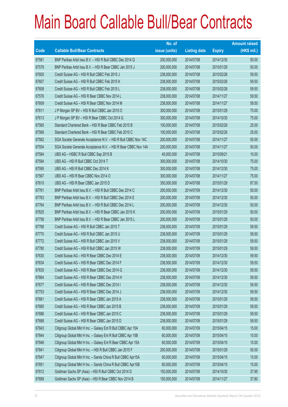|       |                                                                | No. of        |                     |               | <b>Amount raised</b> |
|-------|----------------------------------------------------------------|---------------|---------------------|---------------|----------------------|
| Code  | <b>Callable Bull/Bear Contracts</b>                            | issue (units) | <b>Listing date</b> | <b>Expiry</b> | (HK\$ mil.)          |
| 67581 | BNP Paribas Arbit Issu B.V. - HSI R Bull CBBC Dec 2014 Q       | 200,000,000   | 2014/07/08          | 2014/12/30    | 50.00                |
| 67578 | BNP Paribas Arbit Issu B.V. - HSI R Bear CBBC Jan 2015 J       | 200,000,000   | 2014/07/08          | 2015/01/29    | 50.00                |
| 67605 | Credit Suisse AG - HSI R Bull CBBC Feb 2015 J                  | 238,000,000   | 2014/07/08          | 2015/02/26    | 59.50                |
| 67607 | Credit Suisse AG - HSI R Bull CBBC Feb 2015 K                  | 238,000,000   | 2014/07/08          | 2015/02/26    | 59.50                |
| 67608 | Credit Suisse AG - HSI R Bull CBBC Feb 2015 L                  | 238,000,000   | 2014/07/08          | 2015/02/26    | 59.50                |
| 67576 | Credit Suisse AG - HSI R Bear CBBC Nov 2014 L                  | 238,000,000   | 2014/07/08          | 2014/11/27    | 59.50                |
| 67609 | Credit Suisse AG - HSI R Bear CBBC Nov 2014 M                  | 238,000,000   | 2014/07/08          | 2014/11/27    | 59.50                |
| 67611 | J P Morgan SP BV - HSI R Bull CBBC Jan 2015 O                  | 300,000,000   | 2014/07/08          | 2015/01/29    | 75.00                |
| 67613 | J P Morgan SP BV - HSI R Bear CBBC Oct 2014 G                  | 300,000,000   | 2014/07/08          | 2014/10/30    | 75.00                |
| 67565 | Standard Chartered Bank - HSI R Bear CBBC Feb 2015 B           | 100,000,000   | 2014/07/08          | 2015/02/26    | 25.00                |
| 67566 | Standard Chartered Bank - HSI R Bear CBBC Feb 2015 C           | 100,000,000   | 2014/07/08          | 2015/02/26    | 25.00                |
| 67582 | SGA Societe Generale Acceptance N.V. - HSI R Bull CBBC Nov 14C | 200,000,000   | 2014/07/08          | 2014/11/27    | 50.00                |
| 67554 | SGA Societe Generale Acceptance N.V. - HSI R Bear CBBC Nov 14A | 200,000,000   | 2014/07/08          | 2014/11/27    | 50.00                |
| 67584 | UBS AG - HSBC R Bull CBBC Sep 2015 B                           | 40,000,000    | 2014/07/08          | 2015/09/21    | 10.00                |
| 67594 | UBS AG - HSI R Bull CBBC Oct 2014 T                            | 300,000,000   | 2014/07/08          | 2014/10/30    | 75.00                |
| 67595 | UBS AG - HSI R Bull CBBC Dec 2014 K                            | 300,000,000   | 2014/07/08          | 2014/12/30    | 75.00                |
| 67567 | UBS AG - HSI R Bear CBBC Nov 2014 O                            | 300,000,000   | 2014/07/08          | 2014/11/27    | 75.00                |
| 67610 | UBS AG - HSI R Bear CBBC Jan 2015 D                            | 350,000,000   | 2014/07/08          | 2015/01/29    | 87.50                |
| 67761 | BNP Paribas Arbit Issu B.V. - HSI R Bull CBBC Dec 2014 C       | 200,000,000   | 2014/07/09          | 2014/12/30    | 50.00                |
| 67763 | BNP Paribas Arbit Issu B.V. - HSI R Bull CBBC Dec 2014 E       | 200,000,000   | 2014/07/09          | 2014/12/30    | 50.00                |
| 67764 | BNP Paribas Arbit Issu B.V. - HSI R Bull CBBC Dec 2014 L       | 200,000,000   | 2014/07/09          | 2014/12/30    | 50.00                |
| 67625 | BNP Paribas Arbit Issu B.V. - HSI R Bear CBBC Jan 2015 K       | 200,000,000   | 2014/07/09          | 2015/01/29    | 50.00                |
| 67758 | BNP Paribas Arbit Issu B.V. - HSI R Bear CBBC Jan 2015 L       | 200,000,000   | 2014/07/09          | 2015/01/29    | 50.00                |
| 67768 | Credit Suisse AG - HSI R Bull CBBC Jan 2015 T                  | 238,000,000   | 2014/07/09          | 2015/01/29    | 59.50                |
| 67770 | Credit Suisse AG - HSI R Bull CBBC Jan 2015 U                  | 238,000,000   | 2014/07/09          | 2015/01/29    | 59.50                |
| 67772 | Credit Suisse AG - HSI R Bull CBBC Jan 2015 V                  | 238,000,000   | 2014/07/09          | 2015/01/29    | 59.50                |
| 67780 | Credit Suisse AG - HSI R Bull CBBC Jan 2015 W                  | 238,000,000   | 2014/07/09          | 2015/01/29    | 59.50                |
| 67630 | Credit Suisse AG - HSI R Bear CBBC Dec 2014 E                  | 238,000,000   | 2014/07/09          | 2014/12/30    | 59.50                |
| 67634 | Credit Suisse AG - HSI R Bear CBBC Dec 2014 F                  | 238,000,000   | 2014/07/09          | 2014/12/30    | 59.50                |
| 67635 | Credit Suisse AG - HSI R Bear CBBC Dec 2014 G                  | 238,000,000   | 2014/07/09          | 2014/12/30    | 59.50                |
| 67664 | Credit Suisse AG - HSI R Bear CBBC Dec 2014 H                  | 238,000,000   | 2014/07/09          | 2014/12/30    | 59.50                |
| 67677 | Credit Suisse AG - HSI R Bear CBBC Dec 2014 I                  | 238,000,000   | 2014/07/09          | 2014/12/30    | 59.50                |
| 67753 | Credit Suisse AG - HSI R Bear CBBC Dec 2014 J                  | 238,000,000   | 2014/07/09          | 2014/12/30    | 59.50                |
| 67681 | Credit Suisse AG - HSI R Bear CBBC Jan 2015 A                  | 238,000,000   | 2014/07/09          | 2015/01/29    | 59.50                |
| 67685 | Credit Suisse AG - HSI R Bear CBBC Jan 2015 B                  | 238,000,000   | 2014/07/09          | 2015/01/29    | 59.50                |
| 67686 | Credit Suisse AG - HSI R Bear CBBC Jan 2015 C                  | 238,000,000   | 2014/07/09          | 2015/01/29    | 59.50                |
| 67688 | Credit Suisse AG - HSI R Bear CBBC Jan 2015 D                  | 238,000,000   | 2014/07/09          | 2015/01/29    | 59.50                |
| 67843 | Citigroup Global Mkt H Inc. - Galaxy Ent R Bull CBBC Apr 15A   | 60,000,000    | 2014/07/09          | 2015/04/15    | 15.00                |
| 67844 | Citigroup Global Mkt H Inc. - Galaxy Ent R Bull CBBC Apr 15B   | 60,000,000    | 2014/07/09          | 2015/04/15    | 15.00                |
| 67846 | Citigroup Global Mkt H Inc. - Galaxy Ent R Bear CBBC Apr 15A   | 60,000,000    | 2014/07/09          | 2015/04/15    | 15.00                |
| 67841 | Citigroup Global Mkt H Inc. - HSI R Bull CBBC Jan 2015 F       | 200,000,000   | 2014/07/09          | 2015/01/29    | 50.00                |
| 67847 | Citigroup Global Mkt H Inc. - Sands China R Bull CBBC Apr15A   | 60,000,000    | 2014/07/09          | 2015/04/15    | 15.00                |
| 67851 | Citigroup Global Mkt H Inc. - Sands China R Bull CBBC Apr15B   | 60,000,000    | 2014/07/09          | 2015/04/15    | 15.00                |
| 67812 | Goldman Sachs SP (Asia) - HSI R Bull CBBC Oct 2014 D           | 150,000,000   | 2014/07/09          | 2014/10/30    | 37.95                |
| 67689 | Goldman Sachs SP (Asia) - HSI R Bear CBBC Nov 2014 B           | 150,000,000   | 2014/07/09          | 2014/11/27    | 37.80                |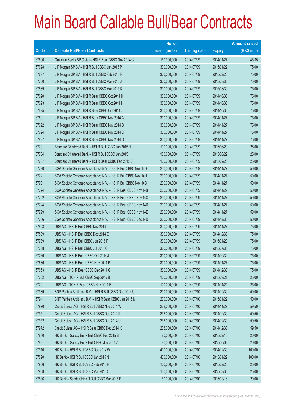|       |                                                                | No. of        |                     |               | <b>Amount raised</b> |
|-------|----------------------------------------------------------------|---------------|---------------------|---------------|----------------------|
| Code  | <b>Callable Bull/Bear Contracts</b>                            | issue (units) | <b>Listing date</b> | <b>Expiry</b> | (HK\$ mil.)          |
| 67690 | Goldman Sachs SP (Asia) - HSI R Bear CBBC Nov 2014 C           | 150,000,000   | 2014/07/09          | 2014/11/27    | 46.35                |
| 67698 | J P Morgan SP BV - HSI R Bull CBBC Jan 2015 P                  | 300,000,000   | 2014/07/09          | 2015/01/29    | 75.00                |
| 67697 | J P Morgan SP BV - HSI R Bull CBBC Feb 2015 F                  | 300,000,000   | 2014/07/09          | 2015/02/26    | 75.00                |
| 67700 | J P Morgan SP BV - HSI R Bull CBBC Mar 2015 J                  | 300,000,000   | 2014/07/09          | 2015/03/30    | 75.00                |
| 67839 | J P Morgan SP BV - HSI R Bull CBBC Mar 2015 K                  | 300,000,000   | 2014/07/09          | 2015/03/30    | 75.00                |
| 67620 | J P Morgan SP BV - HSI R Bear CBBC Oct 2014 H                  | 300,000,000   | 2014/07/09          | 2014/10/30    | 75.00                |
| 67623 | J P Morgan SP BV - HSI R Bear CBBC Oct 2014 I                  | 300,000,000   | 2014/07/09          | 2014/10/30    | 75.00                |
| 67695 | J P Morgan SP BV - HSI R Bear CBBC Oct 2014 J                  | 300,000,000   | 2014/07/09          | 2014/10/30    | 75.00                |
| 67691 | J P Morgan SP BV - HSI R Bear CBBC Nov 2014 A                  | 300,000,000   | 2014/07/09          | 2014/11/27    | 75.00                |
| 67692 | J P Morgan SP BV - HSI R Bear CBBC Nov 2014 B                  | 300,000,000   | 2014/07/09          | 2014/11/27    | 75.00                |
| 67694 | J P Morgan SP BV - HSI R Bear CBBC Nov 2014 C                  | 300,000,000   | 2014/07/09          | 2014/11/27    | 75.00                |
| 67837 | J P Morgan SP BV - HSI R Bear CBBC Nov 2014 D                  | 300,000,000   | 2014/07/09          | 2014/11/27    | 75.00                |
| 67731 | Standard Chartered Bank - HSI R Bull CBBC Jun 2015 H           | 100,000,000   | 2014/07/09          | 2015/06/29    | 25.00                |
| 67734 | Standard Chartered Bank - HSI R Bull CBBC Jun 2015 I           | 100,000,000   | 2014/07/09          | 2015/06/29    | 25.00                |
| 67737 | Standard Chartered Bank - HSI R Bear CBBC Feb 2015 D           | 100,000,000   | 2014/07/09          | 2015/02/26    | 25.00                |
| 67720 | SGA Societe Generale Acceptance N.V. - HSI R Bull CBBC Nov 14D | 200,000,000   | 2014/07/09          | 2014/11/27    | 50.00                |
| 67721 | SGA Societe Generale Acceptance N.V. - HSI R Bull CBBC Nov 14H | 200,000,000   | 2014/07/09          | 2014/11/27    | 50.00                |
| 67781 | SGA Societe Generale Acceptance N.V. - HSI R Bull CBBC Nov 14O | 200,000,000   | 2014/07/09          | 2014/11/27    | 50.00                |
| 67624 | SGA Societe Generale Acceptance N.V. - HSI R Bear CBBC Nov 14B | 200,000,000   | 2014/07/09          | 2014/11/27    | 50.00                |
| 67722 | SGA Societe Generale Acceptance N.V. - HSI R Bear CBBC Nov 14C | 200,000,000   | 2014/07/09          | 2014/11/27    | 50.00                |
| 67724 | SGA Societe Generale Acceptance N.V. - HSI R Bear CBBC Nov 14D | 200,000,000   | 2014/07/09          | 2014/11/27    | 50.00                |
| 67729 | SGA Societe Generale Acceptance N.V. - HSI R Bear CBBC Nov 14E | 200,000,000   | 2014/07/09          | 2014/11/27    | 50.00                |
| 67786 | SGA Societe Generale Acceptance N.V. - HSI R Bear CBBC Dec 14D | 200,000,000   | 2014/07/09          | 2014/12/30    | 50.00                |
| 67808 | UBS AG - HSI R Bull CBBC Nov 2014 L                            | 300,000,000   | 2014/07/09          | 2014/11/27    | 75.00                |
| 67809 | UBS AG - HSI R Bull CBBC Dec 2014 G                            | 300,000,000   | 2014/07/09          | 2014/12/30    | 75.00                |
| 67789 | UBS AG - HSI R Bull CBBC Jan 2015 P                            | 300,000,000   | 2014/07/09          | 2015/01/29    | 75.00                |
| 67788 | UBS AG - HSI R Bull CBBC Jul 2015 C                            | 300,000,000   | 2014/07/09          | 2015/07/30    | 75.00                |
| 67766 | UBS AG - HSI R Bear CBBC Oct 2014 J                            | 300,000,000   | 2014/07/09          | 2014/10/30    | 75.00                |
| 67636 | UBS AG - HSI R Bear CBBC Nov 2014 P                            | 300,000,000   | 2014/07/09          | 2014/11/27    | 75.00                |
| 67653 | UBS AG - HSI R Bear CBBC Dec 2014 G                            | 300,000,000   | 2014/07/09          | 2014/12/30    | 75.00                |
| 67702 | UBS AG - TCH R Bull CBBC Sep 2015 B                            | 100,000,000   | 2014/07/09          | 2015/09/21    | 25.00                |
| 67701 | UBS AG - TCH R Bear CBBC Nov 2014 E                            | 100,000,000   | 2014/07/09          | 2014/11/24    | 25.00                |
| 67939 | BNP Paribas Arbit Issu B.V. - HSI R Bull CBBC Dec 2014 U       | 200,000,000   | 2014/07/10          | 2014/12/30    | 50.00                |
| 67941 | BNP Paribas Arbit Issu B.V. - HSI R Bear CBBC Jan 2015 M       | 200,000,000   | 2014/07/10          | 2015/01/29    | 50.00                |
| 67970 | Credit Suisse AG - HSI R Bull CBBC Nov 2014 W                  | 238,000,000   | 2014/07/10          | 2014/11/27    | 59.50                |
| 67951 | Credit Suisse AG - HSI R Bull CBBC Dec 2014 K                  | 238,000,000   | 2014/07/10          | 2014/12/30    | 59.50                |
| 67952 | Credit Suisse AG - HSI R Bull CBBC Dec 2014 U                  | 238,000,000   | 2014/07/10          | 2014/12/30    | 59.50                |
| 67972 | Credit Suisse AG - HSI R Bear CBBC Dec 2014 K                  | 238,000,000   | 2014/07/10          | 2014/12/30    | 59.50                |
| 67880 | HK Bank - Galaxy Ent R Bull CBBC Feb 2015 B                    | 80,000,000    | 2014/07/10          | 2015/02/16    | 20.00                |
| 67881 | HK Bank - Galaxy Ent R Bull CBBC Jun 2015 A                    | 80,000,000    | 2014/07/10          | 2015/06/08    | 20.00                |
| 67910 | HK Bank - HSI R Bull CBBC Dec 2014 W                           | 400,000,000   | 2014/07/10          | 2014/12/30    | 100.00               |
| 67890 | HK Bank - HSI R Bull CBBC Jan 2015 N                           | 400,000,000   | 2014/07/10          | 2015/01/29    | 100.00               |
| 67906 | HK Bank - HSI R Bull CBBC Feb 2015 F                           | 100,000,000   | 2014/07/10          | 2015/02/26    | 25.00                |
| 67908 | HK Bank - HSI R Bull CBBC Mar 2015 C                           | 100,000,000   | 2014/07/10          | 2015/03/30    | 25.00                |
| 67886 | HK Bank - Sands China R Bull CBBC Mar 2015 B                   | 80,000,000    | 2014/07/10          | 2015/03/16    | 20.00                |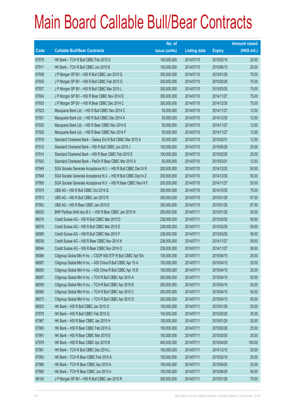|       |                                                                | No. of        |                     |               | <b>Amount raised</b> |
|-------|----------------------------------------------------------------|---------------|---------------------|---------------|----------------------|
| Code  | <b>Callable Bull/Bear Contracts</b>                            | issue (units) | <b>Listing date</b> | <b>Expiry</b> | $(HK$$ mil.)         |
| 67879 | HK Bank - TCH R Bull CBBC Feb 2015 D                           | 100,000,000   | 2014/07/10          | 2015/02/16    | 25.00                |
| 67911 | HK Bank - TCH R Bull CBBC Jun 2015 B                           | 100,000,000   | 2014/07/10          | 2015/06/15    | 25.00                |
| 67938 | J P Morgan SP BV - HSI R Bull CBBC Jan 2015 Q                  | 300,000,000   | 2014/07/10          | 2015/01/29    | 75.00                |
| 67935 | J P Morgan SP BV - HSI R Bull CBBC Feb 2015 G                  | 300,000,000   | 2014/07/10          | 2015/02/26    | 75.00                |
| 67937 | J P Morgan SP BV - HSI R Bull CBBC Mar 2015 L                  | 300,000,000   | 2014/07/10          | 2015/03/30    | 75.00                |
| 67934 | J P Morgan SP BV - HSI R Bear CBBC Nov 2014 E                  | 300,000,000   | 2014/07/10          | 2014/11/27    | 75.00                |
| 67933 | J P Morgan SP BV - HSI R Bear CBBC Dec 2014 C                  | 300,000,000   | 2014/07/10          | 2014/12/30    | 75.00                |
| 67923 | Macquarie Bank Ltd. - HSI R Bull CBBC Nov 2014 C               | 50,000,000    | 2014/07/10          | 2014/11/27    | 12.50                |
| 67931 | Macquarie Bank Ltd. - HSI R Bull CBBC Dec 2014 A               | 50,000,000    | 2014/07/10          | 2014/12/30    | 12.50                |
| 67925 | Macquarie Bank Ltd. - HSI R Bear CBBC Nov 2014 E               | 50,000,000    | 2014/07/10          | 2014/11/27    | 12.50                |
| 67929 | Macquarie Bank Ltd. - HSI R Bear CBBC Nov 2014 F               | 50,000,000    | 2014/07/10          | 2014/11/27    | 12.50                |
| 67918 | Standard Chartered Bank - Galaxy Ent R Bull CBBC Mar 2015 A    | 50,000,000    | 2014/07/10          | 2015/03/31    | 12.50                |
| 67912 | Standard Chartered Bank - HSI R Bull CBBC Jun 2015 J           | 100,000,000   | 2014/07/10          | 2015/06/29    | 25.00                |
| 67914 | Standard Chartered Bank - HSI R Bear CBBC Feb 2015 E           | 100,000,000   | 2014/07/10          | 2015/02/26    | 25.00                |
| 67920 | Standard Chartered Bank - PetCh R Bear CBBC Mar 2015 A         | 50,000,000    | 2014/07/10          | 2015/03/31    | 12.50                |
| 67949 | SGA Societe Generale Acceptance N.V. - HSI R Bull CBBC Dec14 R | 200,000,000   | 2014/07/10          | 2014/12/30    | 50.00                |
| 67948 | SGA Societe Generale Acceptance N.V. - HSI R Bull CBBC Dec14 Z | 200,000,000   | 2014/07/10          | 2014/12/30    | 50.00                |
| 67950 | SGA Societe Generale Acceptance N.V. - HSI R Bear CBBC Nov14 F | 200,000,000   | 2014/07/10          | 2014/11/27    | 50.00                |
| 67974 | UBS AG - HSI R Bull CBBC Oct 2014 Q                            | 300,000,000   | 2014/07/10          | 2014/10/30    | 75.00                |
| 67973 | UBS AG - HSI R Bull CBBC Jan 2015 R                            | 350,000,000   | 2014/07/10          | 2015/01/29    | 87.50                |
| 67953 | UBS AG - HSI R Bear CBBC Jan 2015 E                            | 350,000,000   | 2014/07/10          | 2015/01/29    | 87.50                |
| 68035 | BNP Paribas Arbit Issu B.V. - HSI R Bear CBBC Jan 2015 N       | 200,000,000   | 2014/07/11          | 2015/01/29    | 50.00                |
| 68074 | Credit Suisse AG - HSI R Bull CBBC Mar 2015 D                  | 238,000,000   | 2014/07/11          | 2015/03/30    | 59.50                |
| 68078 | Credit Suisse AG - HSI R Bull CBBC Mar 2015 E                  | 238,000,000   | 2014/07/11          | 2015/03/30    | 59.50                |
| 68085 | Credit Suisse AG - HSI R Bull CBBC Mar 2015 F                  | 238,000,000   | 2014/07/11          | 2015/03/30    | 59.50                |
| 68036 | Credit Suisse AG - HSI R Bear CBBC Nov 2014 N                  | 238,000,000   | 2014/07/11          | 2014/11/27    | 59.50                |
| 68044 | Credit Suisse AG - HSI R Bear CBBC Nov 2014 O                  | 238,000,000   | 2014/07/11          | 2014/11/27    | 59.50                |
| 68086 | Citigroup Global Mkt H Inc. - CSOP A50 ETF R Bull CBBC Apr15A  | 100,000,000   | 2014/07/11          | 2015/04/15    | 25.00                |
| 68087 | Citigroup Global Mkt H Inc. - A50 China R Bull CBBC Apr 15 A   | 100,000,000   | 2014/07/11          | 2015/04/15    | 25.00                |
| 68090 | Citigroup Global Mkt H Inc. - A50 China R Bull CBBC Apr 15 B   | 100,000,000   | 2014/07/11          | 2015/04/15    | 25.00                |
| 68057 | Citigroup Global Mkt H Inc. - TCH R Bull CBBC Apr 2015 A       | 200,000,000   | 2014/07/11          | 2015/04/15    | 50.00                |
| 68059 | Citigroup Global Mkt H Inc. - TCH R Bull CBBC Apr 2015 B       | 200,000,000   | 2014/07/11          | 2015/04/15    | 50.00                |
| 68060 | Citigroup Global Mkt H Inc. - TCH R Bull CBBC Apr 2015 C       | 200,000,000   | 2014/07/11          | 2015/04/15    | 50.00                |
| 68073 | Citigroup Global Mkt H Inc. - TCH R Bull CBBC Apr 2015 D       | 200,000,000   | 2014/07/11          | 2015/04/15    | 50.00                |
| 68003 | HK Bank - HSI R Bull CBBC Jan 2015 O                           | 100,000,000   | 2014/07/11          | 2015/01/29    | 25.00                |
| 67978 | HK Bank - HSI R Bull CBBC Feb 2015 G                           | 100,000,000   | 2014/07/11          | 2015/02/26    | 25.00                |
| 67987 | HK Bank - HSI R Bear CBBC Jan 2015 H                           | 100,000,000   | 2014/07/11          | 2015/01/29    | 25.00                |
| 67983 | HK Bank - HSI R Bear CBBC Feb 2015 G                           | 100,000,000   | 2014/07/11          | 2015/02/26    | 25.00                |
| 67991 | HK Bank - HSI R Bear CBBC Mar 2015 E                           | 100,000,000   | 2014/07/11          | 2015/03/30    | 25.00                |
| 67979 | HK Bank - HSI R Bear CBBC Apr 2015 B                           | 400,000,000   | 2014/07/11          | 2015/04/29    | 100.00               |
| 67981 | HK Bank - TCH R Bull CBBC Dec 2014 L                           | 100,000,000   | 2014/07/11          | 2014/12/15    | 25.00                |
| 67993 | HK Bank - TCH R Bear CBBC Feb 2015 A                           | 100,000,000   | 2014/07/11          | 2015/02/16    | 25.00                |
| 67986 | HK Bank - TCH R Bear CBBC Apr 2015 A                           | 100,000,000   | 2014/07/11          | 2015/04/20    | 25.00                |
| 67990 | HK Bank - TCH R Bear CBBC Jun 2015 A                           | 100,000,000   | 2014/07/11          | 2015/06/29    | 40.00                |
| 68105 | J P Morgan SP BV - HSI R Bull CBBC Jan 2015 R                  | 300,000,000   | 2014/07/11          | 2015/01/29    | 75.00                |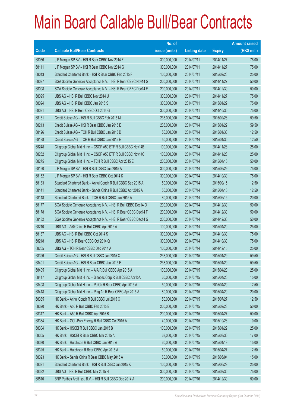|       |                                                                | No. of        |                     |               | <b>Amount raised</b> |
|-------|----------------------------------------------------------------|---------------|---------------------|---------------|----------------------|
| Code  | <b>Callable Bull/Bear Contracts</b>                            | issue (units) | <b>Listing date</b> | <b>Expiry</b> | $(HK$$ mil.)         |
| 68056 | J P Morgan SP BV - HSI R Bear CBBC Nov 2014 F                  | 300,000,000   | 2014/07/11          | 2014/11/27    | 75.00                |
| 68111 | J P Morgan SP BV - HSI R Bear CBBC Nov 2014 G                  | 300,000,000   | 2014/07/11          | 2014/11/27    | 75.00                |
| 68013 | Standard Chartered Bank - HSI R Bear CBBC Feb 2015 F           | 100,000,000   | 2014/07/11          | 2015/02/26    | 25.00                |
| 68097 | SGA Societe Generale Acceptance N.V. - HSI R Bear CBBC Nov14 G | 200,000,000   | 2014/07/11          | 2014/11/27    | 50.00                |
| 68098 | SGA Societe Generale Acceptance N.V. - HSI R Bear CBBC Dec14 E | 200,000,000   | 2014/07/11          | 2014/12/30    | 50.00                |
| 68095 | UBS AG - HSI R Bull CBBC Nov 2014 U                            | 300,000,000   | 2014/07/11          | 2014/11/27    | 75.00                |
| 68094 | UBS AG - HSI R Bull CBBC Jan 2015 S                            | 300,000,000   | 2014/07/11          | 2015/01/29    | 75.00                |
| 68091 | UBS AG - HSI R Bear CBBC Oct 2014 G                            | 300,000,000   | 2014/07/11          | 2014/10/30    | 75.00                |
| 68131 | Credit Suisse AG - HSI R Bull CBBC Feb 2015 M                  | 238,000,000   | 2014/07/14          | 2015/02/26    | 59.50                |
| 68213 | Credit Suisse AG - HSI R Bear CBBC Jan 2015 E                  | 238,000,000   | 2014/07/14          | 2015/01/29    | 59.50                |
| 68126 | Credit Suisse AG - TCH R Bull CBBC Jan 2015 D                  | 50,000,000    | 2014/07/14          | 2015/01/30    | 12.50                |
| 68128 | Credit Suisse AG - TCH R Bull CBBC Jan 2015 E                  | 50,000,000    | 2014/07/14          | 2015/01/30    | 12.50                |
| 68248 | Citigroup Global Mkt H Inc. - CSOP A50 ETF R Bull CBBC Nov14B  | 100,000,000   | 2014/07/14          | 2014/11/28    | 25.00                |
| 68252 | Citigroup Global Mkt H Inc. - CSOP A50 ETF R Bull CBBC Nov14C  | 100,000,000   | 2014/07/14          | 2014/11/28    | 25.00                |
| 68275 | Citigroup Global Mkt H Inc. - TCH R Bull CBBC Apr 2015 E       | 200,000,000   | 2014/07/14          | 2015/04/15    | 50.00                |
| 68150 | J P Morgan SP BV - HSI R Bull CBBC Jun 2015 A                  | 300,000,000   | 2014/07/14          | 2015/06/29    | 75.00                |
| 68152 | J P Morgan SP BV - HSI R Bear CBBC Oct 2014 K                  | 300,000,000   | 2014/07/14          | 2014/10/30    | 75.00                |
| 68133 | Standard Chartered Bank - Anhui Conch R Bull CBBC Sep 2015 A   | 50,000,000    | 2014/07/14          | 2015/09/15    | 12.50                |
| 68141 | Standard Chartered Bank - Sands China R Bull CBBC Apr 2015 A   | 50,000,000    | 2014/07/14          | 2015/04/15    | 12.50                |
| 68148 | Standard Chartered Bank - TCH R Bull CBBC Jun 2015 A           | 80,000,000    | 2014/07/14          | 2015/06/15    | 20.00                |
| 68177 | SGA Societe Generale Acceptance N.V. - HSI R Bull CBBC Dec14 O | 200,000,000   | 2014/07/14          | 2014/12/30    | 50.00                |
| 68178 | SGA Societe Generale Acceptance N.V. - HSI R Bear CBBC Dec14 F | 200,000,000   | 2014/07/14          | 2014/12/30    | 50.00                |
| 68182 | SGA Societe Generale Acceptance N.V. - HSI R Bear CBBC Dec14 G | 200,000,000   | 2014/07/14          | 2014/12/30    | 50.00                |
| 68210 | UBS AG - A50 China R Bull CBBC Apr 2015 A                      | 100,000,000   | 2014/07/14          | 2015/04/20    | 25.00                |
| 68187 | UBS AG - HSI R Bull CBBC Oct 2014 S                            | 300,000,000   | 2014/07/14          | 2014/10/30    | 75.00                |
| 68218 | UBS AG - HSI R Bear CBBC Oct 2014 Q                            | 300,000,000   | 2014/07/14          | 2014/10/30    | 75.00                |
| 68205 | UBS AG - TCH R Bear CBBC Dec 2014 A                            | 100,000,000   | 2014/07/14          | 2014/12/15    | 25.00                |
| 68396 | Credit Suisse AG - HSI R Bull CBBC Jan 2015 X                  | 238,000,000   | 2014/07/15          | 2015/01/29    | 59.50                |
| 68401 | Credit Suisse AG - HSI R Bear CBBC Jan 2015 F                  | 238,000,000   | 2014/07/15          | 2015/01/29    | 59.50                |
| 68405 | Citigroup Global Mkt H Inc. - AIA R Bull CBBC Apr 2015 A       | 100,000,000   | 2014/07/15          | 2015/04/20    | 25.00                |
| 68417 | Citigroup Global Mkt H Inc. - Sinopec Corp R Bull CBBC Apr15A  | 60,000,000    | 2014/07/15          | 2015/04/20    | 15.00                |
| 68408 | Citigroup Global Mkt H Inc. - PetCh R Bear CBBC Apr 2015 A     | 50,000,000    | 2014/07/15          | 2015/04/20    | 12.50                |
| 68418 | Citigroup Global Mkt H Inc. - Ping An R Bear CBBC Apr 2015 A   | 80,000,000    | 2014/07/15          | 2015/04/20    | 20.00                |
| 68335 | HK Bank - Anhui Conch R Bull CBBC Jul 2015 C                   | 50,000,000    | 2014/07/15          | 2015/07/27    | 12.50                |
| 68320 | HK Bank - A50 R Bull CBBC Feb 2015 E                           | 200,000,000   | 2014/07/15          | 2015/02/23    | 50.00                |
| 68317 | HK Bank - A50 R Bull CBBC Apr 2015 B                           | 200,000,000   | 2014/07/15          | 2015/04/27    | 50.00                |
| 68384 | HK Bank - GCL-Poly Energy R Bull CBBC Oct 2015 A               | 40,000,000    | 2014/07/15          | 2015/10/26    | 10.00                |
| 68304 | HK Bank - HSCEI R Bull CBBC Jan 2015 B                         | 100,000,000   | 2014/07/15          | 2015/01/29    | 25.00                |
| 68305 | HK Bank - HSCEI R Bear CBBC Mar 2015 A                         | 68,000,000    | 2014/07/15          | 2015/03/30    | 17.00                |
| 68330 | HK Bank - Hutchison R Bull CBBC Jan 2015 A                     | 60,000,000    | 2014/07/15          | 2015/01/19    | 15.00                |
| 68325 | HK Bank - Hutchison R Bear CBBC Apr 2015 A                     | 50,000,000    | 2014/07/15          | 2015/04/27    | 12.50                |
| 68323 | HK Bank - Sands China R Bear CBBC May 2015 A                   | 60,000,000    | 2014/07/15          | 2015/05/04    | 15.00                |
| 68391 | Standard Chartered Bank - HSI R Bull CBBC Jun 2015 K           | 100,000,000   | 2014/07/15          | 2015/06/29    | 25.00                |
| 68392 | UBS AG - HSI R Bull CBBC Mar 2015 H                            | 300,000,000   | 2014/07/15          | 2015/03/30    | 75.00                |
| 68510 | BNP Paribas Arbit Issu B.V. - HSI R Bull CBBC Dec 2014 A       | 200,000,000   | 2014/07/16          | 2014/12/30    | 50.00                |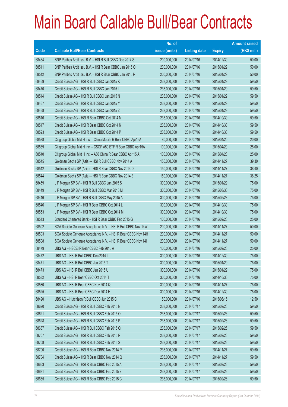|       |                                                                | No. of        |                     |               | <b>Amount raised</b> |
|-------|----------------------------------------------------------------|---------------|---------------------|---------------|----------------------|
| Code  | <b>Callable Bull/Bear Contracts</b>                            | issue (units) | <b>Listing date</b> | <b>Expiry</b> | $(HK$$ mil.)         |
| 68464 | BNP Paribas Arbit Issu B.V. - HSI R Bull CBBC Dec 2014 S       | 200,000,000   | 2014/07/16          | 2014/12/30    | 50.00                |
| 68511 | BNP Paribas Arbit Issu B.V. - HSI R Bear CBBC Jan 2015 O       | 200,000,000   | 2014/07/16          | 2015/01/29    | 50.00                |
| 68512 | BNP Paribas Arbit Issu B.V. - HSI R Bear CBBC Jan 2015 P       | 200,000,000   | 2014/07/16          | 2015/01/29    | 50.00                |
| 68469 | Credit Suisse AG - HSI R Bull CBBC Jan 2015 K                  | 238,000,000   | 2014/07/16          | 2015/01/29    | 59.50                |
| 68470 | Credit Suisse AG - HSI R Bull CBBC Jan 2015 L                  | 238,000,000   | 2014/07/16          | 2015/01/29    | 59.50                |
| 68514 | Credit Suisse AG - HSI R Bull CBBC Jan 2015 N                  | 238,000,000   | 2014/07/16          | 2015/01/29    | 59.50                |
| 68467 | Credit Suisse AG - HSI R Bull CBBC Jan 2015 Y                  | 238,000,000   | 2014/07/16          | 2015/01/29    | 59.50                |
| 68468 | Credit Suisse AG - HSI R Bull CBBC Jan 2015 Z                  | 238,000,000   | 2014/07/16          | 2015/01/29    | 59.50                |
| 68516 | Credit Suisse AG - HSI R Bear CBBC Oct 2014 M                  | 238,000,000   | 2014/07/16          | 2014/10/30    | 59.50                |
| 68517 | Credit Suisse AG - HSI R Bear CBBC Oct 2014 N                  | 238,000,000   | 2014/07/16          | 2014/10/30    | 59.50                |
| 68523 | Credit Suisse AG - HSI R Bear CBBC Oct 2014 P                  | 238,000,000   | 2014/07/16          | 2014/10/30    | 59.50                |
| 68538 | Citigroup Global Mkt H Inc. - China Mobile R Bear CBBC Apr15A  | 80,000,000    | 2014/07/16          | 2015/04/20    | 20.00                |
| 68539 | Citigroup Global Mkt H Inc. - CSOP A50 ETF R Bear CBBC Apr15A  | 100,000,000   | 2014/07/16          | 2015/04/20    | 25.00                |
| 68540 | Citigroup Global Mkt H Inc. - A50 China R Bear CBBC Apr 15 A   | 100,000,000   | 2014/07/16          | 2015/04/20    | 25.00                |
| 68545 | Goldman Sachs SP (Asia) - HSI R Bull CBBC Nov 2014 A           | 150,000,000   | 2014/07/16          | 2014/11/27    | 39.30                |
| 68542 | Goldman Sachs SP (Asia) - HSI R Bear CBBC Nov 2014 D           | 150,000,000   | 2014/07/16          | 2014/11/27    | 38.40                |
| 68544 | Goldman Sachs SP (Asia) - HSI R Bear CBBC Nov 2014 E           | 150,000,000   | 2014/07/16          | 2014/11/27    | 38.25                |
| 68459 | J P Morgan SP BV - HSI R Bull CBBC Jan 2015 S                  | 300,000,000   | 2014/07/16          | 2015/01/29    | 75.00                |
| 68449 | J P Morgan SP BV - HSI R Bull CBBC Mar 2015 M                  | 300,000,000   | 2014/07/16          | 2015/03/30    | 75.00                |
| 68446 | J P Morgan SP BV - HSI R Bull CBBC May 2015 A                  | 300,000,000   | 2014/07/16          | 2015/05/28    | 75.00                |
| 68546 | J P Morgan SP BV - HSI R Bear CBBC Oct 2014 L                  | 300,000,000   | 2014/07/16          | 2014/10/30    | 75.00                |
| 68553 | J P Morgan SP BV - HSI R Bear CBBC Oct 2014 M                  | 300,000,000   | 2014/07/16          | 2014/10/30    | 75.00                |
| 68513 | Standard Chartered Bank - HSI R Bear CBBC Feb 2015 G           | 100,000,000   | 2014/07/16          | 2015/02/26    | 25.00                |
| 68502 | SGA Societe Generale Acceptance N.V. - HSI R Bull CBBC Nov 14W | 200,000,000   | 2014/07/16          | 2014/11/27    | 50.00                |
| 68503 | SGA Societe Generale Acceptance N.V. - HSI R Bear CBBC Nov 14H | 200,000,000   | 2014/07/16          | 2014/11/27    | 50.00                |
| 68508 | SGA Societe Generale Acceptance N.V. - HSI R Bear CBBC Nov 141 | 200,000,000   | 2014/07/16          | 2014/11/27    | 50.00                |
| 68479 | UBS AG - HSCEI R Bear CBBC Feb 2015 A                          | 100,000,000   | 2014/07/16          | 2015/02/26    | 25.00                |
| 68472 | UBS AG - HSI R Bull CBBC Dec 2014 I                            | 300,000,000   | 2014/07/16          | 2014/12/30    | 75.00                |
| 68471 | UBS AG - HSI R Bull CBBC Jan 2015 T                            | 300,000,000   | 2014/07/16          | 2015/01/29    | 75.00                |
| 68473 | UBS AG - HSI R Bull CBBC Jan 2015 U                            | 300,000,000   | 2014/07/16          | 2015/01/29    | 75.00                |
| 68532 | UBS AG - HSI R Bear CBBC Oct 2014 T                            | 300,000,000   | 2014/07/16          | 2014/10/30    | 75.00                |
| 68530 | UBS AG - HSI R Bear CBBC Nov 2014 Q                            | 300,000,000   | 2014/07/16          | 2014/11/27    | 75.00                |
| 68525 | UBS AG - HSI R Bear CBBC Dec 2014 H                            | 300,000,000   | 2014/07/16          | 2014/12/30    | 75.00                |
| 68490 | UBS AG - Hutchison R Bull CBBC Jun 2015 C                      | 50,000,000    | 2014/07/16          | 2015/06/15    | 12.50                |
| 68620 | Credit Suisse AG - HSI R Bull CBBC Feb 2015 N                  | 238,000,000   | 2014/07/17          | 2015/02/26    | 59.50                |
| 68621 | Credit Suisse AG - HSI R Bull CBBC Feb 2015 O                  | 238,000,000   | 2014/07/17          | 2015/02/26    | 59.50                |
| 68628 | Credit Suisse AG - HSI R Bull CBBC Feb 2015 P                  | 238,000,000   | 2014/07/17          | 2015/02/26    | 59.50                |
| 68637 | Credit Suisse AG - HSI R Bull CBBC Feb 2015 Q                  | 238,000,000   | 2014/07/17          | 2015/02/26    | 59.50                |
| 68707 | Credit Suisse AG - HSI R Bull CBBC Feb 2015 R                  | 238,000,000   | 2014/07/17          | 2015/02/26    | 59.50                |
| 68708 | Credit Suisse AG - HSI R Bull CBBC Feb 2015 S                  | 238,000,000   | 2014/07/17          | 2015/02/26    | 59.50                |
| 68700 | Credit Suisse AG - HSI R Bear CBBC Nov 2014 P                  | 238,000,000   | 2014/07/17          | 2014/11/27    | 59.50                |
| 68704 | Credit Suisse AG - HSI R Bear CBBC Nov 2014 Q                  | 238,000,000   | 2014/07/17          | 2014/11/27    | 59.50                |
| 68663 | Credit Suisse AG - HSI R Bear CBBC Feb 2015 A                  | 238,000,000   | 2014/07/17          | 2015/02/26    | 59.50                |
| 68681 | Credit Suisse AG - HSI R Bear CBBC Feb 2015 B                  | 238,000,000   | 2014/07/17          | 2015/02/26    | 59.50                |
| 68685 | Credit Suisse AG - HSI R Bear CBBC Feb 2015 C                  | 238,000,000   | 2014/07/17          | 2015/02/26    | 59.50                |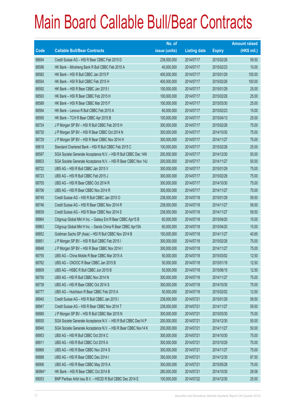|        |                                                                | No. of        |                     |               | <b>Amount raised</b> |
|--------|----------------------------------------------------------------|---------------|---------------------|---------------|----------------------|
| Code   | <b>Callable Bull/Bear Contracts</b>                            | issue (units) | <b>Listing date</b> | <b>Expiry</b> | $(HK$$ mil.)         |
| 68694  | Credit Suisse AG - HSI R Bear CBBC Feb 2015 D                  | 238,000,000   | 2014/07/17          | 2015/02/26    | 59.50                |
| 68596  | HK Bank - Minsheng Bank R Bull CBBC Feb 2015 A                 | 40,000,000    | 2014/07/17          | 2015/02/23    | 10.00                |
| 68582  | HK Bank - HSI R Bull CBBC Jan 2015 P                           | 400,000,000   | 2014/07/17          | 2015/01/29    | 100.00               |
| 68554  | HK Bank - HSI R Bull CBBC Feb 2015 H                           | 400,000,000   | 2014/07/17          | 2015/02/26    | 100.00               |
| 68592  | HK Bank - HSI R Bear CBBC Jan 2015 I                           | 100,000,000   | 2014/07/17          | 2015/01/29    | 25.00                |
| 68593  | HK Bank - HSI R Bear CBBC Feb 2015 H                           | 100,000,000   | 2014/07/17          | 2015/02/26    | 25.00                |
| 68589  | HK Bank - HSI R Bear CBBC Mar 2015 F                           | 100,000,000   | 2014/07/17          | 2015/03/30    | 25.00                |
| 68594  | HK Bank - Lenovo R Bull CBBC Feb 2015 A                        | 60,000,000    | 2014/07/17          | 2015/02/23    | 15.00                |
| 68595  | HK Bank - TCH R Bear CBBC Apr 2015 B                           | 100,000,000   | 2014/07/17          | 2015/04/13    | 25.00                |
| 68724  | J P Morgan SP BV - HSI R Bull CBBC Feb 2015 H                  | 300,000,000   | 2014/07/17          | 2015/02/26    | 75.00                |
| 68730  | J P Morgan SP BV - HSI R Bear CBBC Oct 2014 N                  | 300,000,000   | 2014/07/17          | 2014/10/30    | 75.00                |
| 68729  | J P Morgan SP BV - HSI R Bear CBBC Nov 2014 H                  | 300,000,000   | 2014/07/17          | 2014/11/27    | 75.00                |
| 68618  | Standard Chartered Bank - HSI R Bull CBBC Feb 2015 C           | 100,000,000   | 2014/07/17          | 2015/02/26    | 25.00                |
| 68597  | SGA Societe Generale Acceptance N.V. - HSI R Bull CBBC Dec 14N | 200,000,000   | 2014/07/17          | 2014/12/30    | 50.00                |
| 68603  | SGA Societe Generale Acceptance N.V. - HSI R Bear CBBC Nov 14J | 200,000,000   | 2014/07/17          | 2014/11/27    | 50.00                |
| 68722  | UBS AG - HSI R Bull CBBC Jan 2015 V                            | 300,000,000   | 2014/07/17          | 2015/01/29    | 75.00                |
| 68723  | UBS AG - HSI R Bull CBBC Feb 2015 J                            | 300,000,000   | 2014/07/17          | 2015/02/26    | 75.00                |
| 68705  | UBS AG - HSI R Bear CBBC Oct 2014 R                            | 300,000,000   | 2014/07/17          | 2014/10/30    | 75.00                |
| 68706  | UBS AG - HSI R Bear CBBC Nov 2014 R                            | 300,000,000   | 2014/07/17          | 2014/11/27    | 75.00                |
| 68745  | Credit Suisse AG - HSI R Bull CBBC Jan 2015 O                  | 238,000,000   | 2014/07/18          | 2015/01/29    | 59.50                |
| 68746  | Credit Suisse AG - HSI R Bear CBBC Nov 2014 R                  | 238,000,000   | 2014/07/18          | 2014/11/27    | 59.50                |
| 68839  | Credit Suisse AG - HSI R Bear CBBC Nov 2014 S                  | 238,000,000   | 2014/07/18          | 2014/11/27    | 59.50                |
| 68864  | Citigroup Global Mkt H Inc. - Galaxy Ent R Bear CBBC Apr15 B   | 60,000,000    | 2014/07/18          | 2015/04/20    | 15.00                |
| 68863  | Citigroup Global Mkt H Inc. - Sands China R Bear CBBC Apr15A   | 60,000,000    | 2014/07/18          | 2015/04/20    | 15.00                |
| 68852  | Goldman Sachs SP (Asia) - HSI R Bull CBBC Nov 2014 B           | 150,000,000   | 2014/07/18          | 2014/11/27    | 40.65                |
| 68851  | J P Morgan SP BV - HSI R Bull CBBC Feb 2015 I                  | 300,000,000   | 2014/07/18          | 2015/02/26    | 75.00                |
| 68848  | J P Morgan SP BV - HSI R Bear CBBC Nov 2014 I                  | 300,000,000   | 2014/07/18          | 2014/11/27    | 75.00                |
| 68755  | UBS AG - China Mobile R Bear CBBC Mar 2015 A                   | 50,000,000    | 2014/07/18          | 2015/03/02    | 12.50                |
| 68762  | UBS AG - CNOOC R Bear CBBC Jan 2015 B                          | 50,000,000    | 2014/07/18          | 2015/01/19    | 12.50                |
| 68809  | UBS AG - HSBC R Bull CBBC Jun 2015 B                           | 50,000,000    | 2014/07/18          | 2015/06/15    | 12.50                |
| 68750  | UBS AG - HSI R Bull CBBC Nov 2014 N                            | 300,000,000   | 2014/07/18          | 2014/11/27    | 75.00                |
| 68739  | UBS AG - HSI R Bear CBBC Oct 2014 S                            | 300,000,000   | 2014/07/18          | 2014/10/30    | 75.00                |
| 68777  | UBS AG - Hutchison R Bear CBBC Feb 2015 A                      | 50,000,000    | 2014/07/18          | 2015/02/02    | 12.50                |
| 68945  | Credit Suisse AG - HSI R Bull CBBC Jan 2015 I                  | 238,000,000   | 2014/07/21          | 2015/01/29    | 59.50                |
| 68947  | Credit Suisse AG - HSI R Bear CBBC Nov 2014 T                  | 238,000,000   | 2014/07/21          | 2014/11/27    | 59.50                |
| 68889  | J P Morgan SP BV - HSI R Bull CBBC Mar 2015 N                  | 300,000,000   | 2014/07/21          | 2015/03/30    | 75.00                |
| 68930  | SGA Societe Generale Acceptance N.V. - HSI R Bull CBBC Dec14 P | 200,000,000   | 2014/07/21          | 2014/12/30    | 50.00                |
| 68940  | SGA Societe Generale Acceptance N.V. - HSI R Bear CBBC Nov14 K | 200,000,000   | 2014/07/21          | 2014/11/27    | 50.00                |
| 68953  | UBS AG - HSI R Bull CBBC Oct 2014 C                            | 300,000,000   | 2014/07/21          | 2014/10/30    | 75.00                |
| 68911  | UBS AG - HSI R Bull CBBC Oct 2015 A                            | 300,000,000   | 2014/07/21          | 2015/10/29    | 75.00                |
| 68868  | UBS AG - HSI R Bear CBBC Nov 2014 S                            | 300,000,000   | 2014/07/21          | 2014/11/27    | 75.00                |
| 68888  | UBS AG - HSI R Bear CBBC Dec 2014 I                            | 350,000,000   | 2014/07/21          | 2014/12/30    | 87.50                |
| 68906  | UBS AG - HSI R Bear CBBC May 2015 A                            | 300,000,000   | 2014/07/21          | 2015/05/28    | 75.00                |
| 66994# | HK Bank - HSI R Bear CBBC Oct 2014 B                           | 280,000,000   | 2014/07/21          | 2014/10/30    | 28.56                |
| 69053  | BNP Paribas Arbit Issu B.V. - HSCEI R Bull CBBC Dec 2014 E     | 100,000,000   | 2014/07/22          | 2014/12/30    | 25.00                |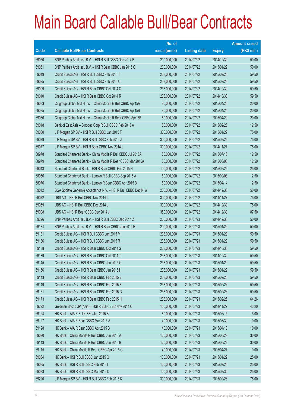|             |                                                                | No. of        |                     |               | <b>Amount raised</b> |
|-------------|----------------------------------------------------------------|---------------|---------------------|---------------|----------------------|
| <b>Code</b> | <b>Callable Bull/Bear Contracts</b>                            | issue (units) | <b>Listing date</b> | <b>Expiry</b> | $(HK$$ mil.)         |
| 69050       | BNP Paribas Arbit Issu B.V. - HSI R Bull CBBC Dec 2014 B       | 200,000,000   | 2014/07/22          | 2014/12/30    | 50.00                |
| 69051       | BNP Paribas Arbit Issu B.V. - HSI R Bear CBBC Jan 2015 Q       | 200,000,000   | 2014/07/22          | 2015/01/29    | 50.00                |
| 69019       | Credit Suisse AG - HSI R Bull CBBC Feb 2015 T                  | 238,000,000   | 2014/07/22          | 2015/02/26    | 59.50                |
| 69025       | Credit Suisse AG - HSI R Bull CBBC Feb 2015 U                  | 238,000,000   | 2014/07/22          | 2015/02/26    | 59.50                |
| 69009       | Credit Suisse AG - HSI R Bear CBBC Oct 2014 Q                  | 238,000,000   | 2014/07/22          | 2014/10/30    | 59.50                |
| 69010       | Credit Suisse AG - HSI R Bear CBBC Oct 2014 R                  | 238,000,000   | 2014/07/22          | 2014/10/30    | 59.50                |
| 69033       | Citigroup Global Mkt H Inc. - China Mobile R Bull CBBC Apr15A  | 80,000,000    | 2014/07/22          | 2015/04/20    | 20.00                |
| 69035       | Citigroup Global Mkt H Inc. - China Mobile R Bull CBBC Apr15B  | 80,000,000    | 2014/07/22          | 2015/04/20    | 20.00                |
| 69036       | Citigroup Global Mkt H Inc. - China Mobile R Bear CBBC Apr15B  | 80,000,000    | 2014/07/22          | 2015/04/20    | 20.00                |
| 69018       | Bank of East Asia - Sinopec Corp R Bull CBBC Feb 2015 A        | 50,000,000    | 2014/07/22          | 2015/02/26    | 12.50                |
| 69080       | J P Morgan SP BV - HSI R Bull CBBC Jan 2015 T                  | 300,000,000   | 2014/07/22          | 2015/01/29    | 75.00                |
| 69079       | J P Morgan SP BV - HSI R Bull CBBC Feb 2015 J                  | 300,000,000   | 2014/07/22          | 2015/02/26    | 75.00                |
| 69077       | J P Morgan SP BV - HSI R Bear CBBC Nov 2014 J                  | 300,000,000   | 2014/07/22          | 2014/11/27    | 75.00                |
| 68978       | Standard Chartered Bank - China Mobile R Bull CBBC Jul 2015A   | 50,000,000    | 2014/07/22          | 2015/07/16    | 12.50                |
| 68979       | Standard Chartered Bank - China Mobile R Bear CBBC Mar 2015A   | 50,000,000    | 2014/07/22          | 2015/03/06    | 12.50                |
| 69013       | Standard Chartered Bank - HSI R Bear CBBC Feb 2015 H           | 100,000,000   | 2014/07/22          | 2015/02/26    | 25.00                |
| 68956       | Standard Chartered Bank - Lenovo R Bull CBBC Sep 2015 A        | 50,000,000    | 2014/07/22          | 2015/09/08    | 12.50                |
| 68976       | Standard Chartered Bank - Lenovo R Bear CBBC Apr 2015 B        | 50,000,000    | 2014/07/22          | 2015/04/14    | 12.50                |
| 69012       | SGA Societe Generale Acceptance N.V. - HSI R Bull CBBC Dec14 W | 200,000,000   | 2014/07/22          | 2014/12/30    | 50.00                |
| 69072       | UBS AG - HSI R Bull CBBC Nov 2014 I                            | 300,000,000   | 2014/07/22          | 2014/11/27    | 75.00                |
| 69059       | UBS AG - HSI R Bull CBBC Dec 2014 L                            | 300,000,000   | 2014/07/22          | 2014/12/30    | 75.00                |
| 69008       | UBS AG - HSI R Bear CBBC Dec 2014 J                            | 350,000,000   | 2014/07/22          | 2014/12/30    | 87.50                |
| 69226       | BNP Paribas Arbit Issu B.V. - HSI R Bull CBBC Dec 2014 Z       | 200,000,000   | 2014/07/23          | 2014/12/30    | 50.00                |
| 69134       | BNP Paribas Arbit Issu B.V. - HSI R Bear CBBC Jan 2015 R       | 200,000,000   | 2014/07/23          | 2015/01/29    | 50.00                |
| 69181       | Credit Suisse AG - HSI R Bull CBBC Jan 2015 M                  | 238,000,000   | 2014/07/23          | 2015/01/29    | 59.50                |
| 69186       | Credit Suisse AG - HSI R Bull CBBC Jan 2015 R                  | 238,000,000   | 2014/07/23          | 2015/01/29    | 59.50                |
| 69138       | Credit Suisse AG - HSI R Bear CBBC Oct 2014 S                  | 238,000,000   | 2014/07/23          | 2014/10/30    | 59.50                |
| 69139       | Credit Suisse AG - HSI R Bear CBBC Oct 2014 T                  | 238,000,000   | 2014/07/23          | 2014/10/30    | 59.50                |
| 69145       | Credit Suisse AG - HSI R Bear CBBC Jan 2015 G                  | 238,000,000   | 2014/07/23          | 2015/01/29    | 59.50                |
| 69156       | Credit Suisse AG - HSI R Bear CBBC Jan 2015 H                  | 238,000,000   | 2014/07/23          | 2015/01/29    | 59.50                |
| 69143       | Credit Suisse AG - HSI R Bear CBBC Feb 2015 E                  | 238,000,000   | 2014/07/23          | 2015/02/26    | 59.50                |
| 69149       | Credit Suisse AG - HSI R Bear CBBC Feb 2015 F                  | 238,000,000   | 2014/07/23          | 2015/02/26    | 59.50                |
| 69161       | Credit Suisse AG - HSI R Bear CBBC Feb 2015 G                  | 238,000,000   | 2014/07/23          | 2015/02/26    | 59.50                |
| 69173       | Credit Suisse AG - HSI R Bear CBBC Feb 2015 H                  | 238,000,000   | 2014/07/23          | 2015/02/26    | 64.26                |
| 69222       | Goldman Sachs SP (Asia) - HSI R Bull CBBC Nov 2014 C           | 150,000,000   | 2014/07/23          | 2014/11/27    | 43.20                |
| 69124       | HK Bank - AIA R Bull CBBC Jun 2015 B                           | 60,000,000    | 2014/07/23          | 2015/06/15    | 15.00                |
| 69127       | HK Bank - AIA R Bear CBBC Mar 2015 A                           | 40,000,000    | 2014/07/23          | 2015/03/30    | 10.00                |
| 69128       | HK Bank - AIA R Bear CBBC Apr 2015 B                           | 40,000,000    | 2014/07/23          | 2015/04/13    | 10.00                |
| 69090       | HK Bank - China Mobile R Bull CBBC Jun 2015 A                  | 120,000,000   | 2014/07/23          | 2015/06/29    | 30.00                |
| 69113       | HK Bank - China Mobile R Bull CBBC Jun 2015 B                  | 120,000,000   | 2014/07/23          | 2015/06/22    | 30.00                |
| 69115       | HK Bank - China Mobile R Bear CBBC Apr 2015 C                  | 40,000,000    | 2014/07/23          | 2015/04/27    | 10.00                |
| 69084       | HK Bank - HSI R Bull CBBC Jan 2015 Q                           | 100,000,000   | 2014/07/23          | 2015/01/29    | 25.00                |
| 69085       | HK Bank - HSI R Bull CBBC Feb 2015 I                           | 100,000,000   | 2014/07/23          | 2015/02/26    | 25.00                |
| 69083       | HK Bank - HSI R Bull CBBC Mar 2015 D                           | 100,000,000   | 2014/07/23          | 2015/03/30    | 25.00                |
| 69220       | J P Morgan SP BV - HSI R Bull CBBC Feb 2015 K                  | 300,000,000   | 2014/07/23          | 2015/02/26    | 75.00                |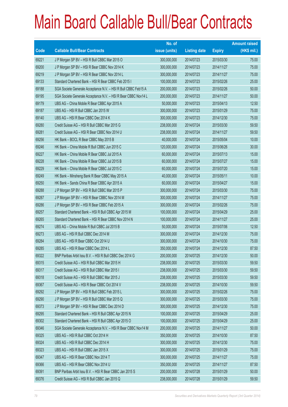|       |                                                                | No. of        |                     |               | <b>Amount raised</b> |
|-------|----------------------------------------------------------------|---------------|---------------------|---------------|----------------------|
| Code  | <b>Callable Bull/Bear Contracts</b>                            | issue (units) | <b>Listing date</b> | <b>Expiry</b> | $(HK$$ mil.)         |
| 69221 | J P Morgan SP BV - HSI R Bull CBBC Mar 2015 O                  | 300,000,000   | 2014/07/23          | 2015/03/30    | 75.00                |
| 69200 | J P Morgan SP BV - HSI R Bear CBBC Nov 2014 K                  | 300,000,000   | 2014/07/23          | 2014/11/27    | 75.00                |
| 69219 | J P Morgan SP BV - HSI R Bear CBBC Nov 2014 L                  | 300,000,000   | 2014/07/23          | 2014/11/27    | 75.00                |
| 69133 | Standard Chartered Bank - HSI R Bear CBBC Feb 2015 I           | 100,000,000   | 2014/07/23          | 2015/02/26    | 25.00                |
| 69188 | SGA Societe Generale Acceptance N.V. - HSI R Bull CBBC Feb15 A | 200,000,000   | 2014/07/23          | 2015/02/26    | 50.00                |
| 69195 | SGA Societe Generale Acceptance N.V. - HSI R Bear CBBC Nov14 L | 200,000,000   | 2014/07/23          | 2014/11/27    | 50.00                |
| 69179 | UBS AG - China Mobile R Bear CBBC Apr 2015 A                   | 50,000,000    | 2014/07/23          | 2015/04/13    | 12.50                |
| 69187 | UBS AG - HSI R Bull CBBC Jan 2015 W                            | 300,000,000   | 2014/07/23          | 2015/01/29    | 75.00                |
| 69140 | UBS AG - HSI R Bear CBBC Dec 2014 K                            | 300,000,000   | 2014/07/23          | 2014/12/30    | 75.00                |
| 69280 | Credit Suisse AG - HSI R Bull CBBC Mar 2015 G                  | 238,000,000   | 2014/07/24          | 2015/03/30    | 59.50                |
| 69281 | Credit Suisse AG - HSI R Bear CBBC Nov 2014 U                  | 238,000,000   | 2014/07/24          | 2014/11/27    | 59.50                |
| 69256 | HK Bank - BOCL R Bear CBBC May 2015 B                          | 40,000,000    | 2014/07/24          | 2015/05/04    | 10.00                |
| 69246 | HK Bank - China Mobile R Bull CBBC Jun 2015 C                  | 120,000,000   | 2014/07/24          | 2015/06/26    | 30.00                |
| 69227 | HK Bank - China Mobile R Bear CBBC Jul 2015 A                  | 60,000,000    | 2014/07/24          | 2015/07/13    | 15.00                |
| 69228 | HK Bank - China Mobile R Bear CBBC Jul 2015 B                  | 60,000,000    | 2014/07/24          | 2015/07/27    | 15.00                |
| 69229 | HK Bank - China Mobile R Bear CBBC Jul 2015 C                  | 60,000,000    | 2014/07/24          | 2015/07/20    | 15.00                |
| 69249 | HK Bank - Minsheng Bank R Bear CBBC May 2015 A                 | 40,000,000    | 2014/07/24          | 2015/05/11    | 10.00                |
| 69250 | HK Bank - Sands China R Bear CBBC Apr 2015 A                   | 60,000,000    | 2014/07/24          | 2015/04/27    | 15.00                |
| 69288 | J P Morgan SP BV - HSI R Bull CBBC Mar 2015 P                  | 300,000,000   | 2014/07/24          | 2015/03/30    | 75.00                |
| 69287 | J P Morgan SP BV - HSI R Bear CBBC Nov 2014 M                  | 300,000,000   | 2014/07/24          | 2014/11/27    | 75.00                |
| 69286 | J P Morgan SP BV - HSI R Bear CBBC Feb 2015 A                  | 300,000,000   | 2014/07/24          | 2015/02/26    | 75.00                |
| 69257 | Standard Chartered Bank - HSI R Bull CBBC Apr 2015 M           | 100,000,000   | 2014/07/24          | 2015/04/29    | 25.00                |
| 69265 | Standard Chartered Bank - HSI R Bear CBBC Nov 2014 N           | 100,000,000   | 2014/07/24          | 2014/11/27    | 25.00                |
| 69274 | UBS AG - China Mobile R Bull CBBC Jul 2015 B                   | 50,000,000    | 2014/07/24          | 2015/07/06    | 12.50                |
| 69273 | UBS AG - HSI R Bull CBBC Dec 2014 M                            | 300,000,000   | 2014/07/24          | 2014/12/30    | 75.00                |
| 69284 | UBS AG - HSI R Bear CBBC Oct 2014 U                            | 300,000,000   | 2014/07/24          | 2014/10/30    | 75.00                |
| 69285 | UBS AG - HSI R Bear CBBC Dec 2014 L                            | 350,000,000   | 2014/07/24          | 2014/12/30    | 87.50                |
| 69322 | BNP Paribas Arbit Issu B.V. - HSI R Bull CBBC Dec 2014 G       | 200,000,000   | 2014/07/25          | 2014/12/30    | 50.00                |
| 69315 | Credit Suisse AG - HSI R Bull CBBC Mar 2015 H                  | 238,000,000   | 2014/07/25          | 2015/03/30    | 59.50                |
| 69317 | Credit Suisse AG - HSI R Bull CBBC Mar 2015 I                  | 238,000,000   | 2014/07/25          | 2015/03/30    | 59.50                |
| 69318 | Credit Suisse AG - HSI R Bull CBBC Mar 2015 J                  | 238,000,000   | 2014/07/25          | 2015/03/30    | 59.50                |
| 69367 | Credit Suisse AG - HSI R Bear CBBC Oct 2014 V                  | 238,000,000   | 2014/07/25          | 2014/10/30    | 59.50                |
| 69292 | J P Morgan SP BV - HSI R Bull CBBC Feb 2015 L                  | 300,000,000   | 2014/07/25          | 2015/02/26    | 75.00                |
| 69290 | J P Morgan SP BV - HSI R Bull CBBC Mar 2015 Q                  | 300,000,000   | 2014/07/25          | 2015/03/30    | 75.00                |
| 69373 | J P Morgan SP BV - HSI R Bear CBBC Dec 2014 D                  | 300,000,000   | 2014/07/25          | 2014/12/30    | 75.00                |
| 69295 | Standard Chartered Bank - HSI R Bull CBBC Apr 2015 N           | 100,000,000   | 2014/07/25          | 2015/04/29    | 25.00                |
| 69302 | Standard Chartered Bank - HSI R Bull CBBC Apr 2015 O           | 100,000,000   | 2014/07/25          | 2015/04/29    | 25.00                |
| 69346 | SGA Societe Generale Acceptance N.V. - HSI R Bear CBBC Nov14 M | 200,000,000   | 2014/07/25          | 2014/11/27    | 50.00                |
| 69325 | UBS AG - HSI R Bull CBBC Oct 2014 H                            | 350,000,000   | 2014/07/25          | 2014/10/30    | 87.50                |
| 69324 | UBS AG - HSI R Bull CBBC Dec 2014 H                            | 300,000,000   | 2014/07/25          | 2014/12/30    | 75.00                |
| 69323 | UBS AG - HSI R Bull CBBC Jan 2015 X                            | 300,000,000   | 2014/07/25          | 2015/01/29    | 75.00                |
| 69347 | UBS AG - HSI R Bear CBBC Nov 2014 T                            | 300,000,000   | 2014/07/25          | 2014/11/27    | 75.00                |
| 69366 | UBS AG - HSI R Bear CBBC Nov 2014 U                            | 350,000,000   | 2014/07/25          | 2014/11/27    | 87.50                |
| 69391 | BNP Paribas Arbit Issu B.V. - HSI R Bear CBBC Jan 2015 S       | 200,000,000   | 2014/07/28          | 2015/01/29    | 50.00                |
| 69376 | Credit Suisse AG - HSI R Bull CBBC Jan 2015 Q                  | 238,000,000   | 2014/07/28          | 2015/01/29    | 59.50                |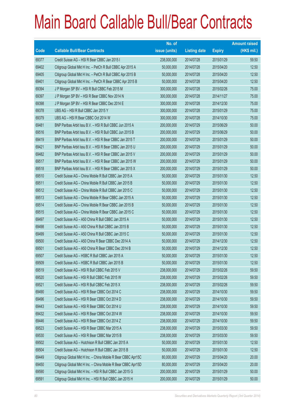|       |                                                               | No. of        |                     |               | <b>Amount raised</b> |
|-------|---------------------------------------------------------------|---------------|---------------------|---------------|----------------------|
| Code  | <b>Callable Bull/Bear Contracts</b>                           | issue (units) | <b>Listing date</b> | <b>Expiry</b> | $(HK$$ mil.)         |
| 69377 | Credit Suisse AG - HSI R Bear CBBC Jan 2015 I                 | 238,000,000   | 2014/07/28          | 2015/01/29    | 59.50                |
| 69402 | Citigroup Global Mkt H Inc. - PetCh R Bull CBBC Apr 2015 A    | 50,000,000    | 2014/07/28          | 2015/04/20    | 12.50                |
| 69405 | Citigroup Global Mkt H Inc. - PetCh R Bull CBBC Apr 2015 B    | 50,000,000    | 2014/07/28          | 2015/04/20    | 12.50                |
| 69401 | Citigroup Global Mkt H Inc. - PetCh R Bear CBBC Apr 2015 B    | 50,000,000    | 2014/07/28          | 2015/04/20    | 12.50                |
| 69394 | J P Morgan SP BV - HSI R Bull CBBC Feb 2015 M                 | 300,000,000   | 2014/07/28          | 2015/02/26    | 75.00                |
| 69397 | J P Morgan SP BV - HSI R Bear CBBC Nov 2014 N                 | 300,000,000   | 2014/07/28          | 2014/11/27    | 75.00                |
| 69398 | JP Morgan SP BV - HSI R Bear CBBC Dec 2014 E                  | 300,000,000   | 2014/07/28          | 2014/12/30    | 75.00                |
| 69378 | UBS AG - HSI R Bull CBBC Jan 2015 Y                           | 300,000,000   | 2014/07/28          | 2015/01/29    | 75.00                |
| 69379 | UBS AG - HSI R Bear CBBC Oct 2014 W                           | 300,000,000   | 2014/07/28          | 2014/10/30    | 75.00                |
| 69481 | BNP Paribas Arbit Issu B.V. - HSI R Bull CBBC Jun 2015 A      | 200,000,000   | 2014/07/29          | 2015/06/29    | 50.00                |
| 69516 | BNP Paribas Arbit Issu B.V. - HSI R Bull CBBC Jun 2015 B      | 200,000,000   | 2014/07/29          | 2015/06/29    | 50.00                |
| 69419 | BNP Paribas Arbit Issu B.V. - HSI R Bear CBBC Jan 2015 T      | 200,000,000   | 2014/07/29          | 2015/01/29    | 50.00                |
| 69421 | BNP Paribas Arbit Issu B.V. - HSI R Bear CBBC Jan 2015 U      | 200,000,000   | 2014/07/29          | 2015/01/29    | 50.00                |
| 69482 | BNP Paribas Arbit Issu B.V. - HSI R Bear CBBC Jan 2015 V      | 200,000,000   | 2014/07/29          | 2015/01/29    | 50.00                |
| 69517 | BNP Paribas Arbit Issu B.V. - HSI R Bear CBBC Jan 2015 W      | 200,000,000   | 2014/07/29          | 2015/01/29    | 50.00                |
| 69518 | BNP Paribas Arbit Issu B.V. - HSI R Bear CBBC Jan 2015 X      | 200,000,000   | 2014/07/29          | 2015/01/29    | 50.00                |
| 69510 | Credit Suisse AG - China Mobile R Bull CBBC Jan 2015 A        | 50,000,000    | 2014/07/29          | 2015/01/30    | 12.50                |
| 69511 | Credit Suisse AG - China Mobile R Bull CBBC Jan 2015 B        | 50,000,000    | 2014/07/29          | 2015/01/30    | 12.50                |
| 69512 | Credit Suisse AG - China Mobile R Bull CBBC Jan 2015 C        | 50,000,000    | 2014/07/29          | 2015/01/30    | 12.50                |
| 69513 | Credit Suisse AG - China Mobile R Bear CBBC Jan 2015 A        | 50,000,000    | 2014/07/29          | 2015/01/30    | 12.50                |
| 69514 | Credit Suisse AG - China Mobile R Bear CBBC Jan 2015 B        | 50,000,000    | 2014/07/29          | 2015/01/30    | 12.50                |
| 69515 | Credit Suisse AG - China Mobile R Bear CBBC Jan 2015 C        | 50,000,000    | 2014/07/29          | 2015/01/30    | 12.50                |
| 69497 | Credit Suisse AG - A50 China R Bull CBBC Jan 2015 A           | 50,000,000    | 2014/07/29          | 2015/01/30    | 12.50                |
| 69498 | Credit Suisse AG - A50 China R Bull CBBC Jan 2015 B           | 50,000,000    | 2014/07/29          | 2015/01/30    | 12.50                |
| 69499 | Credit Suisse AG - A50 China R Bull CBBC Jan 2015 C           | 50,000,000    | 2014/07/29          | 2015/01/30    | 12.50                |
| 69500 | Credit Suisse AG - A50 China R Bear CBBC Dec 2014 A           | 50,000,000    | 2014/07/29          | 2014/12/30    | 12.50                |
| 69501 | Credit Suisse AG - A50 China R Bear CBBC Dec 2014 B           | 50,000,000    | 2014/07/29          | 2014/12/30    | 12.50                |
| 69507 | Credit Suisse AG - HSBC R Bull CBBC Jan 2015 A                | 50,000,000    | 2014/07/29          | 2015/01/30    | 12.50                |
| 69509 | Credit Suisse AG - HSBC R Bull CBBC Jan 2015 B                | 50,000,000    | 2014/07/29          | 2015/01/30    | 12.50                |
| 69519 | Credit Suisse AG - HSI R Bull CBBC Feb 2015 V                 | 238,000,000   | 2014/07/29          | 2015/02/26    | 59.50                |
| 69520 | Credit Suisse AG - HSI R Bull CBBC Feb 2015 W                 | 238,000,000   | 2014/07/29          | 2015/02/26    | 59.50                |
| 69521 | Credit Suisse AG - HSI R Bull CBBC Feb 2015 X                 | 238,000,000   | 2014/07/29          | 2015/02/26    | 59.50                |
| 69490 | Credit Suisse AG - HSI R Bear CBBC Oct 2014 C                 | 238,000,000   | 2014/07/29          | 2014/10/30    | 59.50                |
| 69496 | Credit Suisse AG - HSI R Bear CBBC Oct 2014 D                 | 238,000,000   | 2014/07/29          | 2014/10/30    | 59.50                |
| 69443 | Credit Suisse AG - HSI R Bear CBBC Oct 2014 U                 | 238,000,000   | 2014/07/29          | 2014/10/30    | 59.50                |
| 69432 | Credit Suisse AG - HSI R Bear CBBC Oct 2014 W                 | 238,000,000   | 2014/07/29          | 2014/10/30    | 59.50                |
| 69446 | Credit Suisse AG - HSI R Bear CBBC Oct 2014 Z                 | 238,000,000   | 2014/07/29          | 2014/10/30    | 59.50                |
| 69523 | Credit Suisse AG - HSI R Bear CBBC Mar 2015 A                 | 238,000,000   | 2014/07/29          | 2015/03/30    | 59.50                |
| 69530 | Credit Suisse AG - HSI R Bear CBBC Mar 2015 B                 | 238,000,000   | 2014/07/29          | 2015/03/30    | 59.50                |
| 69502 | Credit Suisse AG - Hutchison R Bull CBBC Jan 2015 A           | 50,000,000    | 2014/07/29          | 2015/01/30    | 12.50                |
| 69504 | Credit Suisse AG - Hutchison R Bull CBBC Jan 2015 B           | 50,000,000    | 2014/07/29          | 2015/01/30    | 12.50                |
| 69449 | Citigroup Global Mkt H Inc. - China Mobile R Bear CBBC Apr15C | 80,000,000    | 2014/07/29          | 2015/04/20    | 20.00                |
| 69450 | Citigroup Global Mkt H Inc. - China Mobile R Bear CBBC Apr15D | 80,000,000    | 2014/07/29          | 2015/04/20    | 20.00                |
| 69590 | Citigroup Global Mkt H Inc. - HSI R Bull CBBC Jan 2015 G      | 200,000,000   | 2014/07/29          | 2015/01/29    | 50.00                |
| 69591 | Citigroup Global Mkt H Inc. - HSI R Bull CBBC Jan 2015 H      | 200,000,000   | 2014/07/29          | 2015/01/29    | 50.00                |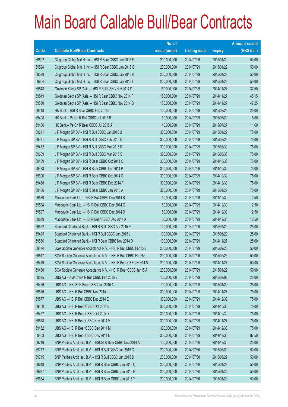|       |                                                                | No. of        |                     |               | <b>Amount raised</b> |
|-------|----------------------------------------------------------------|---------------|---------------------|---------------|----------------------|
| Code  | <b>Callable Bull/Bear Contracts</b>                            | issue (units) | <b>Listing date</b> | <b>Expiry</b> | $(HK$$ mil.)         |
| 69592 | Citigroup Global Mkt H Inc. - HSI R Bear CBBC Jan 2015 F       | 200,000,000   | 2014/07/29          | 2015/01/29    | 50.00                |
| 69594 | Citigroup Global Mkt H Inc. - HSI R Bear CBBC Jan 2015 G       | 200,000,000   | 2014/07/29          | 2015/01/29    | 50.00                |
| 69599 | Citigroup Global Mkt H Inc. - HSI R Bear CBBC Jan 2015 H       | 200,000,000   | 2014/07/29          | 2015/01/29    | 50.00                |
| 69604 | Citigroup Global Mkt H Inc. - HSI R Bear CBBC Jan 2015 I       | 200,000,000   | 2014/07/29          | 2015/01/29    | 50.00                |
| 69548 | Goldman Sachs SP (Asia) - HSI R Bull CBBC Nov 2014 D           | 150,000,000   | 2014/07/29          | 2014/11/27    | 37.50                |
| 69549 | Goldman Sachs SP (Asia) - HSI R Bear CBBC Nov 2014 F           | 150,000,000   | 2014/07/29          | 2014/11/27    | 45.15                |
| 69550 | Goldman Sachs SP (Asia) - HSI R Bear CBBC Nov 2014 G           | 150,000,000   | 2014/07/29          | 2014/11/27    | 47.25                |
| 69418 | HK Bank - HSI R Bear CBBC Feb 2015 I                           | 100,000,000   | 2014/07/29          | 2015/02/26    | 25.00                |
| 69408 | HK Bank - PetCh R Bull CBBC Jul 2015 B                         | 60,000,000    | 2014/07/29          | 2015/07/20    | 15.00                |
| 69406 | HK Bank - PetCh R Bear CBBC Jul 2015 A                         | 40,000,000    | 2014/07/29          | 2015/07/27    | 11.60                |
| 69611 | J P Morgan SP BV - HSI R Bull CBBC Jan 2015 U                  | 300,000,000   | 2014/07/29          | 2015/01/29    | 75.00                |
| 69471 | J P Morgan SP BV - HSI R Bull CBBC Feb 2015 N                  | 300,000,000   | 2014/07/29          | 2015/02/26    | 75.00                |
| 69472 | J P Morgan SP BV - HSI R Bull CBBC Mar 2015 R                  | 300,000,000   | 2014/07/29          | 2015/03/30    | 75.00                |
| 69609 | J P Morgan SP BV - HSI R Bull CBBC Mar 2015 S                  | 300,000,000   | 2014/07/29          | 2015/03/30    | 75.00                |
| 69469 | J P Morgan SP BV - HSI R Bear CBBC Oct 2014 O                  | 300,000,000   | 2014/07/29          | 2014/10/30    | 75.00                |
| 69473 | J P Morgan SP BV - HSI R Bear CBBC Oct 2014 P                  | 300,000,000   | 2014/07/29          | 2014/10/30    | 75.00                |
| 69606 | J P Morgan SP BV - HSI R Bear CBBC Oct 2014 Q                  | 300,000,000   | 2014/07/29          | 2014/10/30    | 75.00                |
| 69468 | J P Morgan SP BV - HSI R Bear CBBC Dec 2014 F                  | 300,000,000   | 2014/07/29          | 2014/12/30    | 75.00                |
| 69466 | J P Morgan SP BV - HSI R Bear CBBC Jan 2015 A                  | 300,000,000   | 2014/07/29          | 2015/01/29    | 75.00                |
| 69580 | Macquarie Bank Ltd. - HSI R Bull CBBC Dec 2014 B               | 50,000,000    | 2014/07/29          | 2014/12/30    | 12.50                |
| 69584 | Macquarie Bank Ltd. - HSI R Bull CBBC Dec 2014 C               | 50,000,000    | 2014/07/29          | 2014/12/30    | 12.50                |
| 69587 | Macquarie Bank Ltd. - HSI R Bull CBBC Dec 2014 D               | 50,000,000    | 2014/07/29          | 2014/12/30    | 12.50                |
| 69579 | Macquarie Bank Ltd. - HSI R Bear CBBC Dec 2014 A               | 50,000,000    | 2014/07/29          | 2014/12/30    | 12.50                |
| 69552 | Standard Chartered Bank - HSI R Bull CBBC Apr 2015 P           | 100,000,000   | 2014/07/29          | 2015/04/29    | 25.00                |
| 69425 | Standard Chartered Bank - HSI R Bull CBBC Jun 2015 L           | 100,000,000   | 2014/07/29          | 2015/06/29    | 25.00                |
| 69566 | Standard Chartered Bank - HSI R Bear CBBC Nov 2014 O           | 100,000,000   | 2014/07/29          | 2014/11/27    | 25.00                |
| 69474 | SGA Societe Generale Acceptance N.V. - HSI R Bull CBBC Feb15 B | 200,000,000   | 2014/07/29          | 2015/02/26    | 50.00                |
| 69547 | SGA Societe Generale Acceptance N.V. - HSI R Bull CBBC Feb15 C | 200,000,000   | 2014/07/29          | 2015/02/26    | 50.00                |
| 69479 | SGA Societe Generale Acceptance N.V. - HSI R Bear CBBC Nov14 N | 200,000,000   | 2014/07/29          | 2014/11/27    | 50.00                |
| 69480 | SGA Societe Generale Acceptance N.V. - HSI R Bear CBBC Jan15 A | 200,000,000   | 2014/07/29          | 2015/01/29    | 50.00                |
| 69575 | UBS AG - A50 China R Bull CBBC Feb 2015 E                      | 100,000,000   | 2014/07/29          | 2015/02/09    | 25.00                |
| 69456 | UBS AG - HSCEI R Bear CBBC Jan 2015 A                          | 100,000,000   | 2014/07/29          | 2015/01/29    | 25.00                |
| 69576 | UBS AG - HSI R Bull CBBC Nov 2014 L                            | 300,000,000   | 2014/07/29          | 2014/11/27    | 75.00                |
| 69577 | UBS AG - HSI R Bull CBBC Dec 2014 E                            | 300,000,000   | 2014/07/29          | 2014/12/30    | 75.00                |
| 69460 | UBS AG - HSI R Bear CBBC Oct 2014 B                            | 300,000,000   | 2014/07/29          | 2014/10/30    | 75.00                |
| 69457 | UBS AG - HSI R Bear CBBC Oct 2014 X                            | 300,000,000   | 2014/07/29          | 2014/10/30    | 75.00                |
| 69578 | UBS AG - HSI R Bear CBBC Nov 2014 V                            | 300,000,000   | 2014/07/29          | 2014/11/27    | 75.00                |
| 69452 | UBS AG - HSI R Bear CBBC Dec 2014 M                            | 300,000,000   | 2014/07/29          | 2014/12/30    | 75.00                |
| 69463 | UBS AG - HSI R Bear CBBC Dec 2014 N                            | 350,000,000   | 2014/07/29          | 2014/12/30    | 87.50                |
| 69716 | BNP Paribas Arbit Issu B.V. - HSCEI R Bear CBBC Dec 2014 A     | 100,000,000   | 2014/07/30          | 2014/12/30    | 25.00                |
| 69712 | BNP Paribas Arbit Issu B.V. - HSI R Bull CBBC Jun 2015 C       | 200,000,000   | 2014/07/30          | 2015/06/29    | 50.00                |
| 69715 | BNP Paribas Arbit Issu B.V. - HSI R Bull CBBC Jun 2015 D       | 200,000,000   | 2014/07/30          | 2015/06/29    | 50.00                |
| 69648 | BNP Paribas Arbit Issu B.V. - HSI R Bear CBBC Jan 2015 C       | 200,000,000   | 2014/07/30          | 2015/01/29    | 50.00                |
| 69637 | BNP Paribas Arbit Issu B.V. - HSI R Bear CBBC Jan 2015 E       | 200,000,000   | 2014/07/30          | 2015/01/29    | 50.00                |
| 69634 | BNP Paribas Arbit Issu B.V. - HSI R Bear CBBC Jan 2015 Y       | 200,000,000   | 2014/07/30          | 2015/01/29    | 50.00                |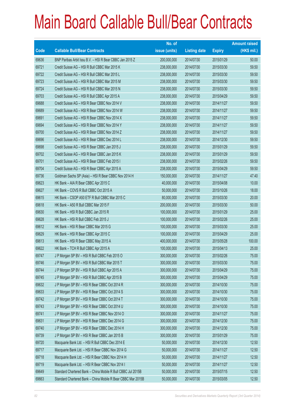|       |                                                              | No. of        |                     |               | <b>Amount raised</b> |
|-------|--------------------------------------------------------------|---------------|---------------------|---------------|----------------------|
| Code  | <b>Callable Bull/Bear Contracts</b>                          | issue (units) | <b>Listing date</b> | <b>Expiry</b> | $(HK$$ mil.)         |
| 69636 | BNP Paribas Arbit Issu B.V. - HSI R Bear CBBC Jan 2015 Z     | 200,000,000   | 2014/07/30          | 2015/01/29    | 50.00                |
| 69721 | Credit Suisse AG - HSI R Bull CBBC Mar 2015 K                | 238,000,000   | 2014/07/30          | 2015/03/30    | 59.50                |
| 69722 | Credit Suisse AG - HSI R Bull CBBC Mar 2015 L                | 238,000,000   | 2014/07/30          | 2015/03/30    | 59.50                |
| 69723 | Credit Suisse AG - HSI R Bull CBBC Mar 2015 M                | 238,000,000   | 2014/07/30          | 2015/03/30    | 59.50                |
| 69724 | Credit Suisse AG - HSI R Bull CBBC Mar 2015 N                | 238,000,000   | 2014/07/30          | 2015/03/30    | 59.50                |
| 69703 | Credit Suisse AG - HSI R Bull CBBC Apr 2015 A                | 238,000,000   | 2014/07/30          | 2015/04/29    | 59.50                |
| 69688 | Credit Suisse AG - HSI R Bear CBBC Nov 2014 V                | 238,000,000   | 2014/07/30          | 2014/11/27    | 59.50                |
| 69689 | Credit Suisse AG - HSI R Bear CBBC Nov 2014 W                | 238,000,000   | 2014/07/30          | 2014/11/27    | 59.50                |
| 69691 | Credit Suisse AG - HSI R Bear CBBC Nov 2014 X                | 238,000,000   | 2014/07/30          | 2014/11/27    | 59.50                |
| 69694 | Credit Suisse AG - HSI R Bear CBBC Nov 2014 Y                | 238,000,000   | 2014/07/30          | 2014/11/27    | 59.50                |
| 69700 | Credit Suisse AG - HSI R Bear CBBC Nov 2014 Z                | 238,000,000   | 2014/07/30          | 2014/11/27    | 59.50                |
| 69696 | Credit Suisse AG - HSI R Bear CBBC Dec 2014 L                | 238,000,000   | 2014/07/30          | 2014/12/30    | 59.50                |
| 69698 | Credit Suisse AG - HSI R Bear CBBC Jan 2015 J                | 238,000,000   | 2014/07/30          | 2015/01/29    | 59.50                |
| 69702 | Credit Suisse AG - HSI R Bear CBBC Jan 2015 K                | 238,000,000   | 2014/07/30          | 2015/01/29    | 59.50                |
| 69701 | Credit Suisse AG - HSI R Bear CBBC Feb 2015 I                | 238,000,000   | 2014/07/30          | 2015/02/26    | 59.50                |
| 69704 | Credit Suisse AG - HSI R Bear CBBC Apr 2015 A                | 238,000,000   | 2014/07/30          | 2015/04/29    | 59.50                |
| 69736 | Goldman Sachs SP (Asia) - HSI R Bear CBBC Nov 2014 H         | 150,000,000   | 2014/07/30          | 2014/11/27    | 47.40                |
| 69623 | HK Bank - AIA R Bear CBBC Apr 2015 C                         | 40,000,000    | 2014/07/30          | 2015/04/08    | 10.00                |
| 69627 | HK Bank - COVS R Bull CBBC Oct 2015 A                        | 50,000,000    | 2014/07/30          | 2015/10/26    | 18.00                |
| 69615 | HK Bank - CSOP A50 ETF R Bull CBBC Mar 2015 C                | 80,000,000    | 2014/07/30          | 2015/03/30    | 20.00                |
| 69618 | HK Bank - A50 R Bull CBBC Mar 2015 F                         | 200,000,000   | 2014/07/30          | 2015/03/30    | 50.00                |
| 69630 | HK Bank - HSI R Bull CBBC Jan 2015 R                         | 100,000,000   | 2014/07/30          | 2015/01/29    | 25.00                |
| 69628 | HK Bank - HSI R Bull CBBC Feb 2015 J                         | 100,000,000   | 2014/07/30          | 2015/02/26    | 25.00                |
| 69612 | HK Bank - HSI R Bear CBBC Mar 2015 G                         | 100,000,000   | 2014/07/30          | 2015/03/30    | 25.00                |
| 69629 | HK Bank - HSI R Bear CBBC Apr 2015 C                         | 100,000,000   | 2014/07/30          | 2015/04/29    | 25.00                |
| 69613 | HK Bank - HSI R Bear CBBC May 2015 A                         | 400,000,000   | 2014/07/30          | 2015/05/28    | 100.00               |
| 69622 | HK Bank - TCH R Bull CBBC Apr 2015 A                         | 100,000,000   | 2014/07/30          | 2015/04/13    | 25.00                |
| 69747 | J P Morgan SP BV - HSI R Bull CBBC Feb 2015 O                | 300,000,000   | 2014/07/30          | 2015/02/26    | 75.00                |
| 69746 | J P Morgan SP BV - HSI R Bull CBBC Mar 2015 T                | 300,000,000   | 2014/07/30          | 2015/03/30    | 75.00                |
| 69744 | J P Morgan SP BV - HSI R Bull CBBC Apr 2015 A                | 300,000,000   | 2014/07/30          | 2015/04/29    | 75.00                |
| 69745 | J P Morgan SP BV - HSI R Bull CBBC Apr 2015 B                | 300,000,000   | 2014/07/30          | 2015/04/29    | 75.00                |
| 69632 | J P Morgan SP BV - HSI R Bear CBBC Oct 2014 R                | 300,000,000   | 2014/07/30          | 2014/10/30    | 75.00                |
| 69633 | J P Morgan SP BV - HSI R Bear CBBC Oct 2014 S                | 300,000,000   | 2014/07/30          | 2014/10/30    | 75.00                |
| 69742 | J P Morgan SP BV - HSI R Bear CBBC Oct 2014 T                | 300,000,000   | 2014/07/30          | 2014/10/30    | 75.00                |
| 69743 | J P Morgan SP BV - HSI R Bear CBBC Oct 2014 U                | 300,000,000   | 2014/07/30          | 2014/10/30    | 75.00                |
| 69741 | J P Morgan SP BV - HSI R Bear CBBC Nov 2014 O                | 300,000,000   | 2014/07/30          | 2014/11/27    | 75.00                |
| 69631 | J P Morgan SP BV - HSI R Bear CBBC Dec 2014 G                | 300,000,000   | 2014/07/30          | 2014/12/30    | 75.00                |
| 69740 | J P Morgan SP BV - HSI R Bear CBBC Dec 2014 H                | 300,000,000   | 2014/07/30          | 2014/12/30    | 75.00                |
| 69739 | J P Morgan SP BV - HSI R Bear CBBC Jan 2015 B                | 300,000,000   | 2014/07/30          | 2015/01/29    | 75.00                |
| 69720 | Macquarie Bank Ltd. - HSI R Bull CBBC Dec 2014 E             | 50,000,000    | 2014/07/30          | 2014/12/30    | 12.50                |
| 69717 | Macquarie Bank Ltd. - HSI R Bear CBBC Nov 2014 G             | 50,000,000    | 2014/07/30          | 2014/11/27    | 12.50                |
| 69718 | Macquarie Bank Ltd. - HSI R Bear CBBC Nov 2014 H             | 50,000,000    | 2014/07/30          | 2014/11/27    | 12.50                |
| 69719 | Macquarie Bank Ltd. - HSI R Bear CBBC Nov 2014 I             | 50,000,000    | 2014/07/30          | 2014/11/27    | 12.50                |
| 69649 | Standard Chartered Bank - China Mobile R Bull CBBC Jul 2015B | 50,000,000    | 2014/07/30          | 2015/07/15    | 12.50                |
| 69663 | Standard Chartered Bank - China Mobile R Bear CBBC Mar 2015B | 50,000,000    | 2014/07/30          | 2015/03/05    | 12.50                |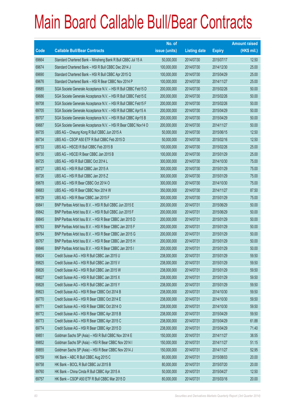|             |                                                                | No. of        |                     |               | <b>Amount raised</b> |
|-------------|----------------------------------------------------------------|---------------|---------------------|---------------|----------------------|
| <b>Code</b> | <b>Callable Bull/Bear Contracts</b>                            | issue (units) | <b>Listing date</b> | <b>Expiry</b> | $(HK$$ mil.)         |
| 69664       | Standard Chartered Bank - Minsheng Bank R Bull CBBC Jul 15 A   | 50,000,000    | 2014/07/30          | 2015/07/17    | 12.50                |
| 69674       | Standard Chartered Bank - HSI R Bull CBBC Dec 2014 J           | 100,000,000   | 2014/07/30          | 2014/12/30    | 25.00                |
| 69690       | Standard Chartered Bank - HSI R Bull CBBC Apr 2015 Q           | 100,000,000   | 2014/07/30          | 2015/04/29    | 25.00                |
| 69676       | Standard Chartered Bank - HSI R Bear CBBC Nov 2014 P           | 100,000,000   | 2014/07/30          | 2014/11/27    | 25.00                |
| 69685       | SGA Societe Generale Acceptance N.V. - HSI R Bull CBBC Feb15 D | 200,000,000   | 2014/07/30          | 2015/02/26    | 50.00                |
| 69686       | SGA Societe Generale Acceptance N.V. - HSI R Bull CBBC Feb15 E | 200,000,000   | 2014/07/30          | 2015/02/26    | 50.00                |
| 69708       | SGA Societe Generale Acceptance N.V. - HSI R Bull CBBC Feb15 F | 200,000,000   | 2014/07/30          | 2015/02/26    | 50.00                |
| 69705       | SGA Societe Generale Acceptance N.V. - HSI R Bull CBBC Apr15 A | 200,000,000   | 2014/07/30          | 2015/04/29    | 50.00                |
| 69707       | SGA Societe Generale Acceptance N.V. - HSI R Bull CBBC Apr15 B | 200,000,000   | 2014/07/30          | 2015/04/29    | 50.00                |
| 69687       | SGA Societe Generale Acceptance N.V. - HSI R Bear CBBC Nov14 O | 200,000,000   | 2014/07/30          | 2014/11/27    | 50.00                |
| 69735       | UBS AG - Cheung Kong R Bull CBBC Jun 2015 A                    | 50,000,000    | 2014/07/30          | 2015/06/15    | 12.50                |
| 69734       | UBS AG - CSOP A50 ETF R Bull CBBC Feb 2015 D                   | 50,000,000    | 2014/07/30          | 2015/02/16    | 12.50                |
| 69733       | UBS AG - HSCEI R Bull CBBC Feb 2015 B                          | 100,000,000   | 2014/07/30          | 2015/02/26    | 25.00                |
| 69730       | UBS AG - HSCEI R Bear CBBC Jan 2015 B                          | 100,000,000   | 2014/07/30          | 2015/01/29    | 25.00                |
| 69725       | UBS AG - HSI R Bull CBBC Oct 2014 L                            | 300,000,000   | 2014/07/30          | 2014/10/30    | 75.00                |
| 69727       | UBS AG - HSI R Bull CBBC Jan 2015 A                            | 300,000,000   | 2014/07/30          | 2015/01/29    | 75.00                |
| 69726       | UBS AG - HSI R Bull CBBC Jan 2015 Z                            | 300,000,000   | 2014/07/30          | 2015/01/29    | 75.00                |
| 69678       | UBS AG - HSI R Bear CBBC Oct 2014 O                            | 300,000,000   | 2014/07/30          | 2014/10/30    | 75.00                |
| 69683       | UBS AG - HSI R Bear CBBC Nov 2014 W                            | 350,000,000   | 2014/07/30          | 2014/11/27    | 87.50                |
| 69729       | UBS AG - HSI R Bear CBBC Jan 2015 F                            | 300,000,000   | 2014/07/30          | 2015/01/29    | 75.00                |
| 69841       | BNP Paribas Arbit Issu B.V. - HSI R Bull CBBC Jun 2015 E       | 200,000,000   | 2014/07/31          | 2015/06/29    | 50.00                |
| 69842       | BNP Paribas Arbit Issu B.V. - HSI R Bull CBBC Jun 2015 F       | 200,000,000   | 2014/07/31          | 2015/06/29    | 50.00                |
| 69845       | BNP Paribas Arbit Issu B.V. - HSI R Bear CBBC Jan 2015 D       | 200,000,000   | 2014/07/31          | 2015/01/29    | 50.00                |
| 69763       | BNP Paribas Arbit Issu B.V. - HSI R Bear CBBC Jan 2015 F       | 200,000,000   | 2014/07/31          | 2015/01/29    | 50.00                |
| 69764       | BNP Paribas Arbit Issu B.V. - HSI R Bear CBBC Jan 2015 G       | 200,000,000   | 2014/07/31          | 2015/01/29    | 50.00                |
| 69767       | BNP Paribas Arbit Issu B.V. - HSI R Bear CBBC Jan 2015 H       | 200,000,000   | 2014/07/31          | 2015/01/29    | 50.00                |
| 69846       | BNP Paribas Arbit Issu B.V. - HSI R Bear CBBC Jan 2015 I       | 200,000,000   | 2014/07/31          | 2015/01/29    | 50.00                |
| 69824       | Credit Suisse AG - HSI R Bull CBBC Jan 2015 U                  | 238,000,000   | 2014/07/31          | 2015/01/29    | 59.50                |
| 69825       | Credit Suisse AG - HSI R Bull CBBC Jan 2015 V                  | 238,000,000   | 2014/07/31          | 2015/01/29    | 59.50                |
| 69826       | Credit Suisse AG - HSI R Bull CBBC Jan 2015 W                  | 238,000,000   | 2014/07/31          | 2015/01/29    | 59.50                |
| 69827       | Credit Suisse AG - HSI R Bull CBBC Jan 2015 X                  | 238,000,000   | 2014/07/31          | 2015/01/29    | 59.50                |
| 69828       | Credit Suisse AG - HSI R Bull CBBC Jan 2015 Y                  | 238,000,000   | 2014/07/31          | 2015/01/29    | 59.50                |
| 69823       | Credit Suisse AG - HSI R Bear CBBC Oct 2014 B                  | 238,000,000   | 2014/07/31          | 2014/10/30    | 59.50                |
| 69770       | Credit Suisse AG - HSI R Bear CBBC Oct 2014 E                  | 238,000,000   | 2014/07/31          | 2014/10/30    | 59.50                |
| 69771       | Credit Suisse AG - HSI R Bear CBBC Oct 2014 O                  | 238,000,000   | 2014/07/31          | 2014/10/30    | 59.50                |
| 69772       | Credit Suisse AG - HSI R Bear CBBC Apr 2015 B                  | 238,000,000   | 2014/07/31          | 2015/04/29    | 59.50                |
| 69773       | Credit Suisse AG - HSI R Bear CBBC Apr 2015 C                  | 238,000,000   | 2014/07/31          | 2015/04/29    | 61.88                |
| 69774       | Credit Suisse AG - HSI R Bear CBBC Apr 2015 D                  | 238,000,000   | 2014/07/31          | 2015/04/29    | 71.40                |
| 69851       | Goldman Sachs SP (Asia) - HSI R Bull CBBC Nov 2014 E           | 150,000,000   | 2014/07/31          | 2014/11/27    | 38.55                |
| 69852       | Goldman Sachs SP (Asia) - HSI R Bear CBBC Nov 2014 I           | 150,000,000   | 2014/07/31          | 2014/11/27    | 51.15                |
| 69855       | Goldman Sachs SP (Asia) - HSI R Bear CBBC Nov 2014 J           | 150,000,000   | 2014/07/31          | 2014/11/27    | 52.95                |
| 69759       | HK Bank - ABC R Bull CBBC Aug 2015 C                           | 80,000,000    | 2014/07/31          | 2015/08/03    | 20.00                |
| 69758       | HK Bank - BOCL R Bull CBBC Jul 2015 B                          | 80,000,000    | 2014/07/31          | 2015/07/20    | 20.00                |
| 69760       | HK Bank - China Cinda R Bull CBBC Apr 2015 A                   | 50,000,000    | 2014/07/31          | 2015/04/27    | 12.50                |
| 69757       | HK Bank - CSOP A50 ETF R Bull CBBC Mar 2015 D                  | 80,000,000    | 2014/07/31          | 2015/03/16    | 20.00                |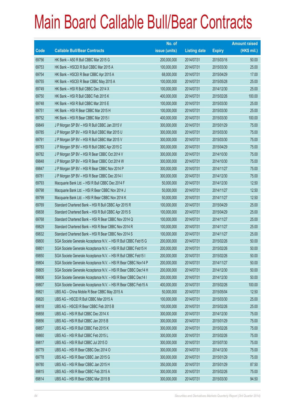|       |                                                                | No. of        |                     |               | <b>Amount raised</b> |
|-------|----------------------------------------------------------------|---------------|---------------------|---------------|----------------------|
| Code  | <b>Callable Bull/Bear Contracts</b>                            | issue (units) | <b>Listing date</b> | <b>Expiry</b> | (HK\$ mil.)          |
| 69756 | HK Bank - A50 R Bull CBBC Mar 2015 G                           | 200,000,000   | 2014/07/31          | 2015/03/16    | 50.00                |
| 69753 | HK Bank - HSCEI R Bull CBBC Mar 2015 A                         | 100,000,000   | 2014/07/31          | 2015/03/30    | 25.00                |
| 69754 | HK Bank - HSCEI R Bear CBBC Apr 2015 A                         | 68,000,000    | 2014/07/31          | 2015/04/29    | 17.00                |
| 69755 | HK Bank - HSCEI R Bear CBBC May 2015 A                         | 100,000,000   | 2014/07/31          | 2015/05/28    | 25.00                |
| 69749 | HK Bank - HSI R Bull CBBC Dec 2014 X                           | 100,000,000   | 2014/07/31          | 2014/12/30    | 25.00                |
| 69750 | HK Bank - HSI R Bull CBBC Feb 2015 K                           | 400,000,000   | 2014/07/31          | 2015/02/26    | 100.00               |
| 69748 | HK Bank - HSI R Bull CBBC Mar 2015 E                           | 100,000,000   | 2014/07/31          | 2015/03/30    | 25.00                |
| 69751 | HK Bank - HSI R Bear CBBC Mar 2015 H                           | 100,000,000   | 2014/07/31          | 2015/03/30    | 25.00                |
| 69752 | HK Bank - HSI R Bear CBBC Mar 2015 I                           | 400,000,000   | 2014/07/31          | 2015/03/30    | 100.00               |
| 69849 | J P Morgan SP BV - HSI R Bull CBBC Jan 2015 V                  | 300,000,000   | 2014/07/31          | 2015/01/29    | 75.00                |
| 69785 | J P Morgan SP BV - HSI R Bull CBBC Mar 2015 U                  | 300,000,000   | 2014/07/31          | 2015/03/30    | 75.00                |
| 69791 | J P Morgan SP BV - HSI R Bull CBBC Mar 2015 V                  | 300,000,000   | 2014/07/31          | 2015/03/30    | 75.00                |
| 69783 | J P Morgan SP BV - HSI R Bull CBBC Apr 2015 C                  | 300,000,000   | 2014/07/31          | 2015/04/29    | 75.00                |
| 69782 | J P Morgan SP BV - HSI R Bear CBBC Oct 2014 V                  | 300,000,000   | 2014/07/31          | 2014/10/30    | 75.00                |
| 69848 | J P Morgan SP BV - HSI R Bear CBBC Oct 2014 W                  | 300,000,000   | 2014/07/31          | 2014/10/30    | 75.00                |
| 69847 | J P Morgan SP BV - HSI R Bear CBBC Nov 2014 P                  | 300,000,000   | 2014/07/31          | 2014/11/27    | 75.00                |
| 69781 | J P Morgan SP BV - HSI R Bear CBBC Dec 2014 I                  | 300,000,000   | 2014/07/31          | 2014/12/30    | 75.00                |
| 69793 | Macquarie Bank Ltd. - HSI R Bull CBBC Dec 2014 F               | 50,000,000    | 2014/07/31          | 2014/12/30    | 12.50                |
| 69798 | Macquarie Bank Ltd. - HSI R Bear CBBC Nov 2014 J               | 50,000,000    | 2014/07/31          | 2014/11/27    | 12.50                |
| 69799 | Macquarie Bank Ltd. - HSI R Bear CBBC Nov 2014 K               | 50,000,000    | 2014/07/31          | 2014/11/27    | 12.50                |
| 69769 | Standard Chartered Bank - HSI R Bull CBBC Apr 2015 R           | 100,000,000   | 2014/07/31          | 2015/04/29    | 25.00                |
| 69838 | Standard Chartered Bank - HSI R Bull CBBC Apr 2015 S           | 100,000,000   | 2014/07/31          | 2015/04/29    | 25.00                |
| 69768 | Standard Chartered Bank - HSI R Bear CBBC Nov 2014 Q           | 100,000,000   | 2014/07/31          | 2014/11/27    | 25.00                |
| 69829 | Standard Chartered Bank - HSI R Bear CBBC Nov 2014 R           | 100,000,000   | 2014/07/31          | 2014/11/27    | 25.00                |
| 69832 | Standard Chartered Bank - HSI R Bear CBBC Nov 2014 S           | 100,000,000   | 2014/07/31          | 2014/11/27    | 25.00                |
| 69800 | SGA Societe Generale Acceptance N.V. - HSI R Bull CBBC Feb15 G | 200,000,000   | 2014/07/31          | 2015/02/26    | 50.00                |
| 69801 | SGA Societe Generale Acceptance N.V. - HSI R Bull CBBC Feb15 H | 200,000,000   | 2014/07/31          | 2015/02/26    | 50.00                |
| 69850 | SGA Societe Generale Acceptance N.V. - HSI R Bull CBBC Feb15 I | 200,000,000   | 2014/07/31          | 2015/02/26    | 50.00                |
| 69804 | SGA Societe Generale Acceptance N.V. - HSI R Bear CBBC Nov14 P | 200,000,000   | 2014/07/31          | 2014/11/27    | 50.00                |
| 69805 | SGA Societe Generale Acceptance N.V. - HSI R Bear CBBC Dec14 H | 200,000,000   | 2014/07/31          | 2014/12/30    | 50.00                |
| 69806 | SGA Societe Generale Acceptance N.V. - HSI R Bear CBBC Dec14 I | 200,000,000   | 2014/07/31          | 2014/12/30    | 50.00                |
| 69807 | SGA Societe Generale Acceptance N.V. - HSI R Bear CBBC Feb15 A | 400,000,000   | 2014/07/31          | 2015/02/26    | 100.00               |
| 69821 | UBS AG - China Mobile R Bear CBBC May 2015 A                   | 50,000,000    | 2014/07/31          | 2015/05/04    | 12.50                |
| 69820 | UBS AG - HSCEI R Bull CBBC Mar 2015 A                          | 100,000,000   | 2014/07/31          | 2015/03/30    | 25.00                |
| 69818 | UBS AG - HSCEI R Bear CBBC Feb 2015 B                          | 100,000,000   | 2014/07/31          | 2015/02/26    | 25.00                |
| 69858 | UBS AG - HSI R Bull CBBC Dec 2014 X                            | 300,000,000   | 2014/07/31          | 2014/12/30    | 75.00                |
| 69856 | UBS AG - HSI R Bull CBBC Jan 2015 B                            | 300,000,000   | 2014/07/31          | 2015/01/29    | 75.00                |
| 69857 | UBS AG - HSI R Bull CBBC Feb 2015 K                            | 300,000,000   | 2014/07/31          | 2015/02/26    | 75.00                |
| 69860 | UBS AG - HSI R Bull CBBC Feb 2015 L                            | 300,000,000   | 2014/07/31          | 2015/02/26    | 75.00                |
| 69817 | UBS AG - HSI R Bull CBBC Jul 2015 D                            | 300,000,000   | 2014/07/31          | 2015/07/30    | 75.00                |
| 69779 | UBS AG - HSI R Bear CBBC Dec 2014 O                            | 300,000,000   | 2014/07/31          | 2014/12/30    | 75.00                |
| 69778 | UBS AG - HSI R Bear CBBC Jan 2015 G                            | 300,000,000   | 2014/07/31          | 2015/01/29    | 75.00                |
| 69780 | UBS AG - HSI R Bear CBBC Jan 2015 H                            | 350,000,000   | 2014/07/31          | 2015/01/29    | 87.50                |
| 69815 | UBS AG - HSI R Bear CBBC Feb 2015 A                            | 300,000,000   | 2014/07/31          | 2015/02/26    | 75.00                |
| 69814 | UBS AG - HSI R Bear CBBC Mar 2015 B                            | 300,000,000   | 2014/07/31          | 2015/03/30    | 94.50                |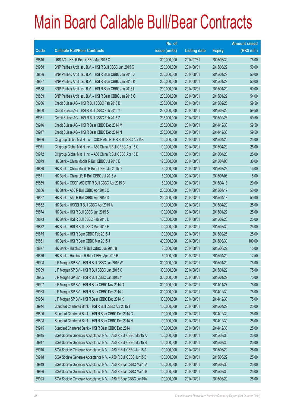|       |                                                                | No. of        |                     |               | <b>Amount raised</b> |
|-------|----------------------------------------------------------------|---------------|---------------------|---------------|----------------------|
| Code  | <b>Callable Bull/Bear Contracts</b>                            | issue (units) | <b>Listing date</b> | <b>Expiry</b> | (HK\$ mil.)          |
| 69816 | UBS AG - HSI R Bear CBBC Mar 2015 C                            | 300,000,000   | 2014/07/31          | 2015/03/30    | 75.00                |
| 69958 | BNP Paribas Arbit Issu B.V. - HSI R Bull CBBC Jun 2015 G       | 200,000,000   | 2014/08/01          | 2015/06/29    | 50.00                |
| 69886 | BNP Paribas Arbit Issu B.V. - HSI R Bear CBBC Jan 2015 J       | 200,000,000   | 2014/08/01          | 2015/01/29    | 50.00                |
| 69887 | BNP Paribas Arbit Issu B.V. - HSI R Bear CBBC Jan 2015 K       | 200,000,000   | 2014/08/01          | 2015/01/29    | 50.00                |
| 69888 | BNP Paribas Arbit Issu B.V. - HSI R Bear CBBC Jan 2015 L       | 200,000,000   | 2014/08/01          | 2015/01/29    | 50.00                |
| 69889 | BNP Paribas Arbit Issu B.V. - HSI R Bear CBBC Jan 2015 O       | 200,000,000   | 2014/08/01          | 2015/01/29    | 54.00                |
| 69956 | Credit Suisse AG - HSI R Bull CBBC Feb 2015 B                  | 238,000,000   | 2014/08/01          | 2015/02/26    | 59.50                |
| 69950 | Credit Suisse AG - HSI R Bull CBBC Feb 2015 Y                  | 238,000,000   | 2014/08/01          | 2015/02/26    | 59.50                |
| 69951 | Credit Suisse AG - HSI R Bull CBBC Feb 2015 Z                  | 238,000,000   | 2014/08/01          | 2015/02/26    | 59.50                |
| 69946 | Credit Suisse AG - HSI R Bear CBBC Dec 2014 M                  | 238,000,000   | 2014/08/01          | 2014/12/30    | 59.50                |
| 69947 | Credit Suisse AG - HSI R Bear CBBC Dec 2014 N                  | 238,000,000   | 2014/08/01          | 2014/12/30    | 59.50                |
| 69966 | Citigroup Global Mkt H Inc. - CSOP A50 ETF R Bull CBBC Apr15B  | 100,000,000   | 2014/08/01          | 2015/04/20    | 25.00                |
| 69971 | Citigroup Global Mkt H Inc. - A50 China R Bull CBBC Apr 15 C   | 100,000,000   | 2014/08/01          | 2015/04/20    | 25.00                |
| 69972 | Citigroup Global Mkt H Inc. - A50 China R Bull CBBC Apr 15 D   | 100,000,000   | 2014/08/01          | 2015/04/20    | 25.00                |
| 69879 | HK Bank - China Mobile R Bull CBBC Jul 2015 E                  | 120,000,000   | 2014/08/01          | 2015/07/06    | 30.00                |
| 69880 | HK Bank - China Mobile R Bear CBBC Jul 2015 D                  | 60,000,000    | 2014/08/01          | 2015/07/23    | 15.00                |
| 69871 | HK Bank - China Life R Bull CBBC Jul 2015 A                    | 60,000,000    | 2014/08/01          | 2015/07/06    | 15.00                |
| 69869 | HK Bank - CSOP A50 ETF R Bull CBBC Apr 2015 B                  | 80,000,000    | 2014/08/01          | 2015/04/13    | 20.00                |
| 69866 | HK Bank - A50 R Bull CBBC Apr 2015 C                           | 200,000,000   | 2014/08/01          | 2015/04/17    | 50.00                |
| 69867 | HK Bank - A50 R Bull CBBC Apr 2015 D                           | 200,000,000   | 2014/08/01          | 2015/04/13    | 50.00                |
| 69862 | HK Bank - HSCEI R Bull CBBC Apr 2015 A                         | 100,000,000   | 2014/08/01          | 2015/04/29    | 25.00                |
| 69874 | HK Bank - HSI R Bull CBBC Jan 2015 S                           | 100,000,000   | 2014/08/01          | 2015/01/29    | 25.00                |
| 69873 | HK Bank - HSI R Bull CBBC Feb 2015 L                           | 100,000,000   | 2014/08/01          | 2015/02/26    | 25.00                |
| 69872 | HK Bank - HSI R Bull CBBC Mar 2015 F                           | 100,000,000   | 2014/08/01          | 2015/03/30    | 25.00                |
| 69875 | HK Bank - HSI R Bear CBBC Feb 2015 J                           | 100,000,000   | 2014/08/01          | 2015/02/26    | 25.00                |
| 69861 | HK Bank - HSI R Bear CBBC Mar 2015 J                           | 400,000,000   | 2014/08/01          | 2015/03/30    | 100.00               |
| 69877 | HK Bank - Hutchison R Bull CBBC Jun 2015 B                     | 60,000,000    | 2014/08/01          | 2015/06/22    | 15.00                |
| 69876 | HK Bank - Hutchison R Bear CBBC Apr 2015 B                     | 50,000,000    | 2014/08/01          | 2015/04/20    | 12.50                |
| 69908 | J P Morgan SP BV - HSI R Bull CBBC Jan 2015 W                  | 300,000,000   | 2014/08/01          | 2015/01/29    | 75.00                |
| 69909 | J P Morgan SP BV - HSI R Bull CBBC Jan 2015 X                  | 300,000,000   | 2014/08/01          | 2015/01/29    | 75.00                |
| 69965 | J P Morgan SP BV - HSI R Bull CBBC Jan 2015 Y                  | 300,000,000   | 2014/08/01          | 2015/01/29    | 75.00                |
| 69907 | J P Morgan SP BV - HSI R Bear CBBC Nov 2014 Q                  | 300,000,000   | 2014/08/01          | 2014/11/27    | 75.00                |
| 69963 | J P Morgan SP BV - HSI R Bear CBBC Dec 2014 J                  | 300,000,000   | 2014/08/01          | 2014/12/30    | 75.00                |
| 69964 | JP Morgan SP BV - HSI R Bear CBBC Dec 2014 K                   | 300,000,000   | 2014/08/01          | 2014/12/30    | 75.00                |
| 69944 | Standard Chartered Bank - HSI R Bull CBBC Apr 2015 T           | 100,000,000   | 2014/08/01          | 2015/04/29    | 25.00                |
| 69896 | Standard Chartered Bank - HSI R Bear CBBC Dec 2014 G           | 100,000,000   | 2014/08/01          | 2014/12/30    | 25.00                |
| 69898 | Standard Chartered Bank - HSI R Bear CBBC Dec 2014 H           | 100,000,000   | 2014/08/01          | 2014/12/30    | 25.00                |
| 69945 | Standard Chartered Bank - HSI R Bear CBBC Dec 2014 I           | 100,000,000   | 2014/08/01          | 2014/12/30    | 25.00                |
| 69915 | SGA Societe Generale Acceptance N.V. - A50 R Bull CBBC Mar15 A | 100,000,000   | 2014/08/01          | 2015/03/30    | 25.00                |
| 69917 | SGA Societe Generale Acceptance N.V. - A50 R Bull CBBC Mar15 B | 100,000,000   | 2014/08/01          | 2015/03/30    | 25.00                |
| 69910 | SGA Societe Generale Acceptance N.V. - A50 R Bull CBBC Jun15 A | 100,000,000   | 2014/08/01          | 2015/06/29    | 25.00                |
| 69918 | SGA Societe Generale Acceptance N.V. - A50 R Bull CBBC Jun15 B | 100,000,000   | 2014/08/01          | 2015/06/29    | 25.00                |
| 69919 | SGA Societe Generale Acceptance N.V. - A50 R Bear CBBC Mar15A  | 100,000,000   | 2014/08/01          | 2015/03/30    | 25.00                |
| 69926 | SGA Societe Generale Acceptance N.V. - A50 R Bear CBBC Mar15B  | 100,000,000   | 2014/08/01          | 2015/03/30    | 25.00                |
| 69923 | SGA Societe Generale Acceptance N.V. - A50 R Bear CBBC Jun15A  | 100,000,000   | 2014/08/01          | 2015/06/29    | 25.00                |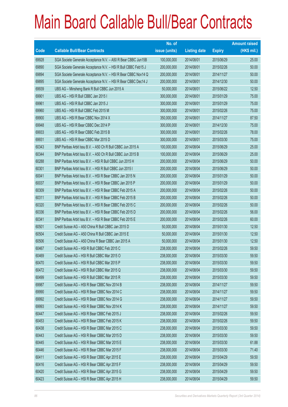|       |                                                                | No. of        |                     |               | <b>Amount raised</b> |
|-------|----------------------------------------------------------------|---------------|---------------------|---------------|----------------------|
| Code  | <b>Callable Bull/Bear Contracts</b>                            | issue (units) | <b>Listing date</b> | <b>Expiry</b> | (HK\$ mil.)          |
| 69928 | SGA Societe Generale Acceptance N.V. - A50 R Bear CBBC Jun15B  | 100,000,000   | 2014/08/01          | 2015/06/29    | 25.00                |
| 69890 | SGA Societe Generale Acceptance N.V. - HSI R Bull CBBC Feb15 J | 200,000,000   | 2014/08/01          | 2015/02/26    | 50.00                |
| 69894 | SGA Societe Generale Acceptance N.V. - HSI R Bear CBBC Nov14 Q | 200,000,000   | 2014/08/01          | 2014/11/27    | 50.00                |
| 69895 | SGA Societe Generale Acceptance N.V. - HSI R Bear CBBC Dec14 J | 200,000,000   | 2014/08/01          | 2014/12/30    | 50.00                |
| 69939 | UBS AG - Minsheng Bank R Bull CBBC Jun 2015 A                  | 50,000,000    | 2014/08/01          | 2015/06/22    | 12.50                |
| 69901 | UBS AG - HSI R Bull CBBC Jan 2015 I                            | 300,000,000   | 2014/08/01          | 2015/01/29    | 75.00                |
| 69961 | UBS AG - HSI R Bull CBBC Jan 2015 J                            | 300,000,000   | 2014/08/01          | 2015/01/29    | 75.00                |
| 69960 | UBS AG - HSI R Bull CBBC Feb 2015 M                            | 300,000,000   | 2014/08/01          | 2015/02/26    | 75.00                |
| 69900 | UBS AG - HSI R Bear CBBC Nov 2014 X                            | 350,000,000   | 2014/08/01          | 2014/11/27    | 87.50                |
| 69948 | UBS AG - HSI R Bear CBBC Dec 2014 P                            | 300,000,000   | 2014/08/01          | 2014/12/30    | 75.00                |
| 69933 | UBS AG - HSI R Bear CBBC Feb 2015 B                            | 300,000,000   | 2014/08/01          | 2015/02/26    | 78.00                |
| 69931 | UBS AG - HSI R Bear CBBC Mar 2015 D                            | 300,000,000   | 2014/08/01          | 2015/03/30    | 75.00                |
| 60343 | BNP Paribas Arbit Issu B.V. - A50 Ch R Bull CBBC Jun 2015 A    | 100,000,000   | 2014/08/04          | 2015/06/29    | 25.00                |
| 60344 | BNP Paribas Arbit Issu B.V. - A50 Ch R Bull CBBC Jun 2015 B    | 100,000,000   | 2014/08/04          | 2015/06/29    | 25.00                |
| 60288 | BNP Paribas Arbit Issu B.V. - HSI R Bull CBBC Jun 2015 H       | 200,000,000   | 2014/08/04          | 2015/06/29    | 50.00                |
| 60301 | BNP Paribas Arbit Issu B.V. - HSI R Bull CBBC Jun 2015 I       | 200,000,000   | 2014/08/04          | 2015/06/29    | 50.00                |
| 60041 | BNP Paribas Arbit Issu B.V. - HSI R Bear CBBC Jan 2015 N       | 200,000,000   | 2014/08/04          | 2015/01/29    | 50.00                |
| 60037 | BNP Paribas Arbit Issu B.V. - HSI R Bear CBBC Jan 2015 P       | 200,000,000   | 2014/08/04          | 2015/01/29    | 50.00                |
| 60309 | BNP Paribas Arbit Issu B.V. - HSI R Bear CBBC Feb 2015 A       | 200,000,000   | 2014/08/04          | 2015/02/26    | 50.00                |
| 60311 | BNP Paribas Arbit Issu B.V. - HSI R Bear CBBC Feb 2015 B       | 200,000,000   | 2014/08/04          | 2015/02/26    | 50.00                |
| 60320 | BNP Paribas Arbit Issu B.V. - HSI R Bear CBBC Feb 2015 C       | 200,000,000   | 2014/08/04          | 2015/02/26    | 50.00                |
| 60336 | BNP Paribas Arbit Issu B.V. - HSI R Bear CBBC Feb 2015 D       | 200,000,000   | 2014/08/04          | 2015/02/26    | 56.00                |
| 60341 | BNP Paribas Arbit Issu B.V. - HSI R Bear CBBC Feb 2015 E       | 200,000,000   | 2014/08/04          | 2015/02/26    | 60.00                |
| 60501 | Credit Suisse AG - A50 China R Bull CBBC Jan 2015 D            | 50,000,000    | 2014/08/04          | 2015/01/30    | 12.50                |
| 60504 | Credit Suisse AG - A50 China R Bull CBBC Jan 2015 E            | 50,000,000    | 2014/08/04          | 2015/01/30    | 12.50                |
| 60506 | Credit Suisse AG - A50 China R Bear CBBC Jan 2015 A            | 50,000,000    | 2014/08/04          | 2015/01/30    | 12.50                |
| 60467 | Credit Suisse AG - HSI R Bull CBBC Feb 2015 C                  | 238,000,000   | 2014/08/04          | 2015/02/26    | 59.50                |
| 60469 | Credit Suisse AG - HSI R Bull CBBC Mar 2015 O                  | 238,000,000   | 2014/08/04          | 2015/03/30    | 59.50                |
| 60470 | Credit Suisse AG - HSI R Bull CBBC Mar 2015 P                  | 238,000,000   | 2014/08/04          | 2015/03/30    | 59.50                |
| 60472 | Credit Suisse AG - HSI R Bull CBBC Mar 2015 Q                  | 238,000,000   | 2014/08/04          | 2015/03/30    | 59.50                |
| 60499 | Credit Suisse AG - HSI R Bull CBBC Mar 2015 R                  | 238,000,000   | 2014/08/04          | 2015/03/30    | 59.50                |
| 69987 | Credit Suisse AG - HSI R Bear CBBC Nov 2014 B                  | 238,000,000   | 2014/08/04          | 2014/11/27    | 59.50                |
| 69990 | Credit Suisse AG - HSI R Bear CBBC Nov 2014 C                  | 238,000,000   | 2014/08/04          | 2014/11/27    | 59.50                |
| 69992 | Credit Suisse AG - HSI R Bear CBBC Nov 2014 G                  | 238,000,000   | 2014/08/04          | 2014/11/27    | 59.50                |
| 69993 | Credit Suisse AG - HSI R Bear CBBC Nov 2014 K                  | 238,000,000   | 2014/08/04          | 2014/11/27    | 59.50                |
| 60447 | Credit Suisse AG - HSI R Bear CBBC Feb 2015 J                  | 238,000,000   | 2014/08/04          | 2015/02/26    | 59.50                |
| 60453 | Credit Suisse AG - HSI R Bear CBBC Feb 2015 K                  | 238,000,000   | 2014/08/04          | 2015/02/26    | 59.50                |
| 60438 | Credit Suisse AG - HSI R Bear CBBC Mar 2015 C                  | 238,000,000   | 2014/08/04          | 2015/03/30    | 59.50                |
| 60443 | Credit Suisse AG - HSI R Bear CBBC Mar 2015 D                  | 238,000,000   | 2014/08/04          | 2015/03/30    | 59.50                |
| 60445 | Credit Suisse AG - HSI R Bear CBBC Mar 2015 E                  | 238,000,000   | 2014/08/04          | 2015/03/30    | 61.88                |
| 60446 | Credit Suisse AG - HSI R Bear CBBC Mar 2015 F                  | 238,000,000   | 2014/08/04          | 2015/03/30    | 71.40                |
| 60411 | Credit Suisse AG - HSI R Bear CBBC Apr 2015 E                  | 238,000,000   | 2014/08/04          | 2015/04/29    | 59.50                |
| 60416 | Credit Suisse AG - HSI R Bear CBBC Apr 2015 F                  | 238,000,000   | 2014/08/04          | 2015/04/29    | 59.50                |
| 60420 | Credit Suisse AG - HSI R Bear CBBC Apr 2015 G                  | 238,000,000   | 2014/08/04          | 2015/04/29    | 59.50                |
| 60423 | Credit Suisse AG - HSI R Bear CBBC Apr 2015 H                  | 238,000,000   | 2014/08/04          | 2015/04/29    | 59.50                |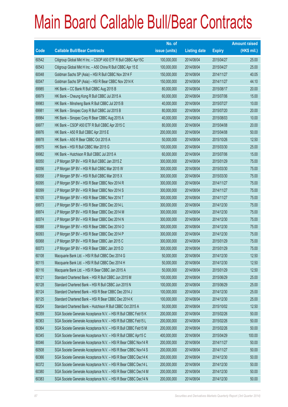|       |                                                                | No. of        |                     |               | <b>Amount raised</b> |
|-------|----------------------------------------------------------------|---------------|---------------------|---------------|----------------------|
| Code  | <b>Callable Bull/Bear Contracts</b>                            | issue (units) | <b>Listing date</b> | <b>Expiry</b> | $(HK$$ mil.)         |
| 60542 | Citigroup Global Mkt H Inc. - CSOP A50 ETF R Bull CBBC Apr15C  | 100,000,000   | 2014/08/04          | 2015/04/27    | 25.00                |
| 60543 | Citigroup Global Mkt H Inc. - A50 China R Bull CBBC Apr 15 E   | 100,000,000   | 2014/08/04          | 2015/04/27    | 25.00                |
| 60048 | Goldman Sachs SP (Asia) - HSI R Bull CBBC Nov 2014 F           | 150,000,000   | 2014/08/04          | 2014/11/27    | 40.05                |
| 60047 | Goldman Sachs SP (Asia) - HSI R Bear CBBC Nov 2014 K           | 150,000,000   | 2014/08/04          | 2014/11/27    | 44.10                |
| 69985 | HK Bank - CC Bank R Bull CBBC Aug 2015 B                       | 80,000,000    | 2014/08/04          | 2015/08/17    | 20.00                |
| 69979 | HK Bank - Cheung Kong R Bull CBBC Jul 2015 A                   | 60,000,000    | 2014/08/04          | 2015/07/06    | 15.00                |
| 69983 | HK Bank - Minsheng Bank R Bull CBBC Jul 2015 B                 | 40,000,000    | 2014/08/04          | 2015/07/27    | 10.00                |
| 69981 | HK Bank - Sinopec Corp R Bull CBBC Jul 2015 B                  | 80,000,000    | 2014/08/04          | 2015/07/20    | 20.00                |
| 69984 | HK Bank - Sinopec Corp R Bear CBBC Aug 2015 A                  | 40,000,000    | 2014/08/04          | 2015/08/03    | 10.00                |
| 69977 | HK Bank - CSOP A50 ETF R Bull CBBC Apr 2015 C                  | 80,000,000    | 2014/08/04          | 2015/04/08    | 20.00                |
| 69976 | HK Bank - A50 R Bull CBBC Apr 2015 E                           | 200,000,000   | 2014/08/04          | 2015/04/08    | 50.00                |
| 69978 | HK Bank - A50 R Bear CBBC Oct 2015 A                           | 50,000,000    | 2014/08/04          | 2015/10/26    | 12.50                |
| 69975 | HK Bank - HSI R Bull CBBC Mar 2015 G                           | 100,000,000   | 2014/08/04          | 2015/03/30    | 25.00                |
| 69982 | HK Bank - Hutchison R Bull CBBC Jul 2015 A                     | 60,000,000    | 2014/08/04          | 2015/07/06    | 15.00                |
| 60050 | J P Morgan SP BV - HSI R Bull CBBC Jan 2015 Z                  | 300,000,000   | 2014/08/04          | 2015/01/29    | 75.00                |
| 60056 | J P Morgan SP BV - HSI R Bull CBBC Mar 2015 W                  | 300,000,000   | 2014/08/04          | 2015/03/30    | 75.00                |
| 60058 | J P Morgan SP BV - HSI R Bull CBBC Mar 2015 X                  | 300,000,000   | 2014/08/04          | 2015/03/30    | 75.00                |
| 60095 | J P Morgan SP BV - HSI R Bear CBBC Nov 2014 R                  | 300,000,000   | 2014/08/04          | 2014/11/27    | 75.00                |
| 60099 | J P Morgan SP BV - HSI R Bear CBBC Nov 2014 S                  | 300,000,000   | 2014/08/04          | 2014/11/27    | 75.00                |
| 60105 | J P Morgan SP BV - HSI R Bear CBBC Nov 2014 T                  | 300,000,000   | 2014/08/04          | 2014/11/27    | 75.00                |
| 69973 | J P Morgan SP BV - HSI R Bear CBBC Dec 2014 L                  | 300,000,000   | 2014/08/04          | 2014/12/30    | 75.00                |
| 69974 | J P Morgan SP BV - HSI R Bear CBBC Dec 2014 M                  | 300,000,000   | 2014/08/04          | 2014/12/30    | 75.00                |
| 60074 | J P Morgan SP BV - HSI R Bear CBBC Dec 2014 N                  | 300,000,000   | 2014/08/04          | 2014/12/30    | 75.00                |
| 60088 | J P Morgan SP BV - HSI R Bear CBBC Dec 2014 O                  | 300,000,000   | 2014/08/04          | 2014/12/30    | 75.00                |
| 60093 | J P Morgan SP BV - HSI R Bear CBBC Dec 2014 P                  | 300,000,000   | 2014/08/04          | 2014/12/30    | 75.00                |
| 60068 | J P Morgan SP BV - HSI R Bear CBBC Jan 2015 C                  | 300,000,000   | 2014/08/04          | 2015/01/29    | 75.00                |
| 60073 | J P Morgan SP BV - HSI R Bear CBBC Jan 2015 D                  | 300,000,000   | 2014/08/04          | 2015/01/29    | 75.00                |
| 60108 | Macquarie Bank Ltd. - HSI R Bull CBBC Dec 2014 G               | 50,000,000    | 2014/08/04          | 2014/12/30    | 12.50                |
| 60115 | Macquarie Bank Ltd. - HSI R Bull CBBC Dec 2014 H               | 50,000,000    | 2014/08/04          | 2014/12/30    | 12.50                |
| 60116 | Macquarie Bank Ltd. - HSI R Bear CBBC Jan 2015 A               | 50,000,000    | 2014/08/04          | 2015/01/29    | 12.50                |
| 60121 | Standard Chartered Bank - HSI R Bull CBBC Jun 2015 M           | 100,000,000   | 2014/08/04          | 2015/06/29    | 25.00                |
| 60128 | Standard Chartered Bank - HSI R Bull CBBC Jun 2015 N           | 100,000,000   | 2014/08/04          | 2015/06/29    | 25.00                |
| 60124 | Standard Chartered Bank - HSI R Bear CBBC Dec 2014 J           | 100,000,000   | 2014/08/04          | 2014/12/30    | 25.00                |
| 60125 | Standard Chartered Bank - HSI R Bear CBBC Dec 2014 K           | 100,000,000   | 2014/08/04          | 2014/12/30    | 25.00                |
| 60204 | Standard Chartered Bank - Hutchison R Bull CBBC Oct 2015 A     | 50,000,000    | 2014/08/04          | 2015/10/02    | 12.50                |
| 60359 | SGA Societe Generale Acceptance N.V. - HSI R Bull CBBC Feb15 K | 200,000,000   | 2014/08/04          | 2015/02/26    | 50.00                |
| 60363 | SGA Societe Generale Acceptance N.V. - HSI R Bull CBBC Feb15 L | 200,000,000   | 2014/08/04          | 2015/02/26    | 50.00                |
| 60364 | SGA Societe Generale Acceptance N.V. - HSI R Bull CBBC Feb15 M | 200,000,000   | 2014/08/04          | 2015/02/26    | 50.00                |
| 60345 | SGA Societe Generale Acceptance N.V. - HSI R Bull CBBC Apr15 C | 400,000,000   | 2014/08/04          | 2015/04/29    | 100.00               |
| 60046 | SGA Societe Generale Acceptance N.V. - HSI R Bear CBBC Nov14 R | 200,000,000   | 2014/08/04          | 2014/11/27    | 50.00                |
| 60508 | SGA Societe Generale Acceptance N.V. - HSI R Bear CBBC Nov14 S | 200,000,000   | 2014/08/04          | 2014/11/27    | 50.00                |
| 60366 | SGA Societe Generale Acceptance N.V. - HSI R Bear CBBC Dec14 K | 200,000,000   | 2014/08/04          | 2014/12/30    | 50.00                |
| 60372 | SGA Societe Generale Acceptance N.V. - HSI R Bear CBBC Dec14 L | 200,000,000   | 2014/08/04          | 2014/12/30    | 50.00                |
| 60380 | SGA Societe Generale Acceptance N.V. - HSI R Bear CBBC Dec14 M | 200,000,000   | 2014/08/04          | 2014/12/30    | 50.00                |
| 60383 | SGA Societe Generale Acceptance N.V. - HSI R Bear CBBC Dec14 N | 200,000,000   | 2014/08/04          | 2014/12/30    | 50.00                |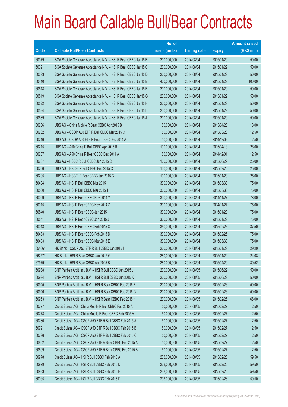|        |                                                                | No. of        |                     |               | <b>Amount raised</b> |
|--------|----------------------------------------------------------------|---------------|---------------------|---------------|----------------------|
| Code   | <b>Callable Bull/Bear Contracts</b>                            | issue (units) | <b>Listing date</b> | <b>Expiry</b> | $(HK$$ mil.)         |
| 60379  | SGA Societe Generale Acceptance N.V. - HSI R Bear CBBC Jan15 B | 200,000,000   | 2014/08/04          | 2015/01/29    | 50.00                |
| 60391  | SGA Societe Generale Acceptance N.V. - HSI R Bear CBBC Jan15 C | 200,000,000   | 2014/08/04          | 2015/01/29    | 50.00                |
| 60393  | SGA Societe Generale Acceptance N.V. - HSI R Bear CBBC Jan15 D | 200,000,000   | 2014/08/04          | 2015/01/29    | 50.00                |
| 60410  | SGA Societe Generale Acceptance N.V. - HSI R Bear CBBC Jan15 E | 400,000,000   | 2014/08/04          | 2015/01/29    | 100.00               |
| 60518  | SGA Societe Generale Acceptance N.V. - HSI R Bear CBBC Jan15 F | 200,000,000   | 2014/08/04          | 2015/01/29    | 50.00                |
| 60519  | SGA Societe Generale Acceptance N.V. - HSI R Bear CBBC Jan15 G | 200,000,000   | 2014/08/04          | 2015/01/29    | 50.00                |
| 60522  | SGA Societe Generale Acceptance N.V. - HSI R Bear CBBC Jan15 H | 200,000,000   | 2014/08/04          | 2015/01/29    | 50.00                |
| 60534  | SGA Societe Generale Acceptance N.V. - HSI R Bear CBBC Jan15 I | 200,000,000   | 2014/08/04          | 2015/01/29    | 50.00                |
| 60539  | SGA Societe Generale Acceptance N.V. - HSI R Bear CBBC Jan15 J | 200,000,000   | 2014/08/04          | 2015/01/29    | 50.00                |
| 60286  | UBS AG - China Mobile R Bear CBBC Apr 2015 B                   | 50,000,000    | 2014/08/04          | 2015/04/20    | 13.00                |
| 60232  | UBS AG - CSOP A50 ETF R Bull CBBC Mar 2015 C                   | 50,000,000    | 2014/08/04          | 2015/03/23    | 12.50                |
| 60216  | UBS AG - CSOP A50 ETF R Bear CBBC Dec 2014 A                   | 50,000,000    | 2014/08/04          | 2014/12/08    | 12.50                |
| 60215  | UBS AG - A50 China R Bull CBBC Apr 2015 B                      | 100,000,000   | 2014/08/04          | 2015/04/13    | 26.00                |
| 60207  | UBS AG - A50 China R Bear CBBC Dec 2014 A                      | 50,000,000    | 2014/08/04          | 2014/12/01    | 12.50                |
| 60287  | UBS AG - HSBC R Bull CBBC Jun 2015 C                           | 100,000,000   | 2014/08/04          | 2015/06/29    | 25.00                |
| 60206  | UBS AG - HSCEI R Bull CBBC Feb 2015 C                          | 100,000,000   | 2014/08/04          | 2015/02/26    | 25.00                |
| 60205  | UBS AG - HSCEI R Bear CBBC Jan 2015 C                          | 100,000,000   | 2014/08/04          | 2015/01/29    | 25.00                |
| 60494  | UBS AG - HSI R Bull CBBC Mar 2015 I                            | 300,000,000   | 2014/08/04          | 2015/03/30    | 75.00                |
| 60500  | UBS AG - HSI R Bull CBBC Mar 2015 J                            | 300,000,000   | 2014/08/04          | 2015/03/30    | 75.00                |
| 60009  | UBS AG - HSI R Bear CBBC Nov 2014 Y                            | 300,000,000   | 2014/08/04          | 2014/11/27    | 78.00                |
| 60015  | UBS AG - HSI R Bear CBBC Nov 2014 Z                            | 300,000,000   | 2014/08/04          | 2014/11/27    | 75.00                |
| 60540  | UBS AG - HSI R Bear CBBC Jan 2015 I                            | 300,000,000   | 2014/08/04          | 2015/01/29    | 75.00                |
| 60541  | UBS AG - HSI R Bear CBBC Jan 2015 J                            | 300,000,000   | 2014/08/04          | 2015/01/29    | 75.00                |
| 60018  | UBS AG - HSI R Bear CBBC Feb 2015 C                            | 350,000,000   | 2014/08/04          | 2015/02/26    | 87.50                |
| 60483  | UBS AG - HSI R Bear CBBC Feb 2015 D                            | 300,000,000   | 2014/08/04          | 2015/02/26    | 75.00                |
| 60493  | UBS AG - HSI R Bear CBBC Mar 2015 E                            | 300,000,000   | 2014/08/04          | 2015/03/30    | 75.00                |
| 65466# | HK Bank - CSOP A50 ETF R Bull CBBC Jan 2015 I                  | 200,000,000   | 2014/08/04          | 2015/01/29    | 29.20                |
| 66257# | HK Bank - HSI R Bear CBBC Jan 2015 G                           | 280,000,000   | 2014/08/04          | 2015/01/29    | 24.08                |
| 67979# | HK Bank - HSI R Bear CBBC Apr 2015 B                           | 280,000,000   | 2014/08/04          | 2015/04/29    | 30.52                |
| 60988  | BNP Paribas Arbit Issu B.V. - HSI R Bull CBBC Jun 2015 J       | 200,000,000   | 2014/08/05          | 2015/06/29    | 50.00                |
| 60994  | BNP Paribas Arbit Issu B.V. - HSI R Bull CBBC Jun 2015 K       | 200,000,000   | 2014/08/05          | 2015/06/29    | 50.00                |
| 60945  | BNP Paribas Arbit Issu B.V. - HSI R Bear CBBC Feb 2015 F       | 200,000,000   | 2014/08/05          | 2015/02/26    | 50.00                |
| 60946  | BNP Paribas Arbit Issu B.V. - HSI R Bear CBBC Feb 2015 G       | 200,000,000   | 2014/08/05          | 2015/02/26    | 50.00                |
| 60953  | BNP Paribas Arbit Issu B.V. - HSI R Bear CBBC Feb 2015 H       | 200,000,000   | 2014/08/05          | 2015/02/26    | 66.00                |
| 60777  | Credit Suisse AG - China Mobile R Bull CBBC Feb 2015 A         | 50,000,000    | 2014/08/05          | 2015/02/27    | 12.50                |
| 60778  | Credit Suisse AG - China Mobile R Bear CBBC Feb 2015 A         | 50,000,000    | 2014/08/05          | 2015/02/27    | 12.50                |
| 60780  | Credit Suisse AG - CSOP A50 ETF R Bull CBBC Feb 2015 A         | 50,000,000    | 2014/08/05          | 2015/02/27    | 12.50                |
| 60791  | Credit Suisse AG - CSOP A50 ETF R Bull CBBC Feb 2015 B         | 50,000,000    | 2014/08/05          | 2015/02/27    | 12.50                |
| 60796  | Credit Suisse AG - CSOP A50 ETF R Bull CBBC Feb 2015 C         | 50,000,000    | 2014/08/05          | 2015/02/27    | 12.50                |
| 60802  | Credit Suisse AG - CSOP A50 ETF R Bear CBBC Feb 2015 A         | 50,000,000    | 2014/08/05          | 2015/02/27    | 12.50                |
| 60809  | Credit Suisse AG - CSOP A50 ETF R Bear CBBC Feb 2015 B         | 50,000,000    | 2014/08/05          | 2015/02/27    | 12.50                |
| 60978  | Credit Suisse AG - HSI R Bull CBBC Feb 2015 A                  | 238,000,000   | 2014/08/05          | 2015/02/26    | 59.50                |
| 60979  | Credit Suisse AG - HSI R Bull CBBC Feb 2015 D                  | 238,000,000   | 2014/08/05          | 2015/02/26    | 59.50                |
| 60983  | Credit Suisse AG - HSI R Bull CBBC Feb 2015 E                  | 238,000,000   | 2014/08/05          | 2015/02/26    | 59.50                |
| 60985  | Credit Suisse AG - HSI R Bull CBBC Feb 2015 F                  | 238,000,000   | 2014/08/05          | 2015/02/26    | 59.50                |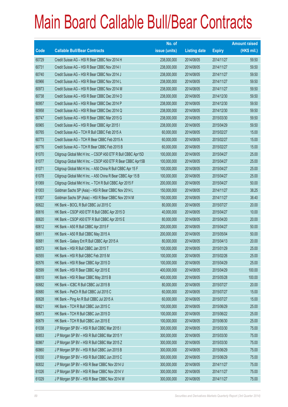|             |                                                               | No. of        |                     |               | <b>Amount raised</b> |
|-------------|---------------------------------------------------------------|---------------|---------------------|---------------|----------------------|
| <b>Code</b> | <b>Callable Bull/Bear Contracts</b>                           | issue (units) | <b>Listing date</b> | <b>Expiry</b> | $(HK$$ mil.)         |
| 60729       | Credit Suisse AG - HSI R Bear CBBC Nov 2014 H                 | 238,000,000   | 2014/08/05          | 2014/11/27    | 59.50                |
| 60731       | Credit Suisse AG - HSI R Bear CBBC Nov 2014 I                 | 238,000,000   | 2014/08/05          | 2014/11/27    | 59.50                |
| 60740       | Credit Suisse AG - HSI R Bear CBBC Nov 2014 J                 | 238,000,000   | 2014/08/05          | 2014/11/27    | 59.50                |
| 60966       | Credit Suisse AG - HSI R Bear CBBC Nov 2014 L                 | 238,000,000   | 2014/08/05          | 2014/11/27    | 59.50                |
| 60973       | Credit Suisse AG - HSI R Bear CBBC Nov 2014 M                 | 238,000,000   | 2014/08/05          | 2014/11/27    | 59.50                |
| 60738       | Credit Suisse AG - HSI R Bear CBBC Dec 2014 O                 | 238,000,000   | 2014/08/05          | 2014/12/30    | 59.50                |
| 60957       | Credit Suisse AG - HSI R Bear CBBC Dec 2014 P                 | 238,000,000   | 2014/08/05          | 2014/12/30    | 59.50                |
| 60958       | Credit Suisse AG - HSI R Bear CBBC Dec 2014 Q                 | 238,000,000   | 2014/08/05          | 2014/12/30    | 59.50                |
| 60747       | Credit Suisse AG - HSI R Bear CBBC Mar 2015 G                 | 238,000,000   | 2014/08/05          | 2015/03/30    | 59.50                |
| 60965       | Credit Suisse AG - HSI R Bear CBBC Apr 2015 I                 | 238,000,000   | 2014/08/05          | 2015/04/29    | 59.50                |
| 60765       | Credit Suisse AG - TCH R Bull CBBC Feb 2015 A                 | 60,000,000    | 2014/08/05          | 2015/02/27    | 15.00                |
| 60773       | Credit Suisse AG - TCH R Bear CBBC Feb 2015 A                 | 60,000,000    | 2014/08/05          | 2015/02/27    | 15.00                |
| 60776       | Credit Suisse AG - TCH R Bear CBBC Feb 2015 B                 | 60,000,000    | 2014/08/05          | 2015/02/27    | 15.00                |
| 61070       | Citigroup Global Mkt H Inc. - CSOP A50 ETF R Bull CBBC Apr15D | 100,000,000   | 2014/08/05          | 2015/04/27    | 25.00                |
| 61077       | Citigroup Global Mkt H Inc. - CSOP A50 ETF R Bear CBBC Apr15B | 100,000,000   | 2014/08/05          | 2015/04/27    | 25.00                |
| 61071       | Citigroup Global Mkt H Inc. - A50 China R Bull CBBC Apr 15 F  | 100,000,000   | 2014/08/05          | 2015/04/27    | 25.00                |
| 61078       | Citigroup Global Mkt H Inc. - A50 China R Bear CBBC Apr 15 B  | 100,000,000   | 2014/08/05          | 2015/04/27    | 25.00                |
| 61069       | Citigroup Global Mkt H Inc. - TCH R Bull CBBC Apr 2015 F      | 200,000,000   | 2014/08/05          | 2015/04/27    | 50.00                |
| 61003       | Goldman Sachs SP (Asia) - HSI R Bear CBBC Nov 2014 L          | 150,000,000   | 2014/08/05          | 2014/11/27    | 38.25                |
| 61007       | Goldman Sachs SP (Asia) - HSI R Bear CBBC Nov 2014 M          | 150,000,000   | 2014/08/05          | 2014/11/27    | 38.40                |
| 60622       | HK Bank - BOCL R Bull CBBC Jul 2015 C                         | 80,000,000    | 2014/08/05          | 2015/07/27    | 20.00                |
| 60616       | HK Bank - CSOP A50 ETF R Bull CBBC Apr 2015 D                 | 40,000,000    | 2014/08/05          | 2015/04/27    | 10.00                |
| 60620       | HK Bank - CSOP A50 ETF R Bull CBBC Apr 2015 E                 | 80,000,000    | 2014/08/05          | 2015/04/20    | 20.00                |
| 60612       | HK Bank - A50 R Bull CBBC Apr 2015 F                          | 200,000,000   | 2014/08/05          | 2015/04/27    | 50.00                |
| 60611       | HK Bank - A50 R Bull CBBC May 2015 A                          | 200,000,000   | 2014/08/05          | 2015/05/04    | 50.00                |
| 60681       | HK Bank - Galaxy Ent R Bull CBBC Apr 2015 A                   | 80,000,000    | 2014/08/05          | 2015/04/13    | 20.00                |
| 60573       | HK Bank - HSI R Bull CBBC Jan 2015 T                          | 100,000,000   | 2014/08/05          | 2015/01/29    | 25.00                |
| 60555       | HK Bank - HSI R Bull CBBC Feb 2015 M                          | 100,000,000   | 2014/08/05          | 2015/02/26    | 25.00                |
| 60576       | HK Bank - HSI R Bear CBBC Apr 2015 D                          | 100,000,000   | 2014/08/05          | 2015/04/29    | 25.00                |
| 60599       | HK Bank - HSI R Bear CBBC Apr 2015 E                          | 400,000,000   | 2014/08/05          | 2015/04/29    | 100.00               |
| 60610       | HK Bank - HSI R Bear CBBC May 2015 B                          | 400,000,000   | 2014/08/05          | 2015/05/28    | 100.00               |
| 60682       | HK Bank - ICBC R Bull CBBC Jul 2015 B                         | 80,000,000    | 2014/08/05          | 2015/07/27    | 20.00                |
| 60680       | HK Bank - PetCh R Bull CBBC Jul 2015 C                        | 60,000,000    | 2014/08/05          | 2015/07/27    | 15.00                |
| 60628       | HK Bank - Ping An R Bull CBBC Jul 2015 A                      | 60,000,000    | 2014/08/05          | 2015/07/27    | 15.00                |
| 60621       | HK Bank - TCH R Bull CBBC Jun 2015 C                          | 100,000,000   | 2014/08/05          | 2015/06/29    | 25.00                |
| 60673       | HK Bank - TCH R Bull CBBC Jun 2015 D                          | 100,000,000   | 2014/08/05          | 2015/06/22    | 25.00                |
| 60679       | HK Bank - TCH R Bull CBBC Jun 2015 E                          | 100,000,000   | 2014/08/05          | 2015/06/30    | 25.00                |
| 61038       | J P Morgan SP BV - HSI R Bull CBBC Mar 2015 I                 | 300,000,000   | 2014/08/05          | 2015/03/30    | 75.00                |
| 60853       | J P Morgan SP BV - HSI R Bull CBBC Mar 2015 Y                 | 300,000,000   | 2014/08/05          | 2015/03/30    | 75.00                |
| 60867       | J P Morgan SP BV - HSI R Bull CBBC Mar 2015 Z                 | 300,000,000   | 2014/08/05          | 2015/03/30    | 75.00                |
| 60860       | J P Morgan SP BV - HSI R Bull CBBC Jun 2015 B                 | 300,000,000   | 2014/08/05          | 2015/06/29    | 75.00                |
| 61030       | J P Morgan SP BV - HSI R Bull CBBC Jun 2015 C                 | 300,000,000   | 2014/08/05          | 2015/06/29    | 75.00                |
| 60832       | J P Morgan SP BV - HSI R Bear CBBC Nov 2014 U                 | 300,000,000   | 2014/08/05          | 2014/11/27    | 75.00                |
| 61026       | J P Morgan SP BV - HSI R Bear CBBC Nov 2014 V                 | 300,000,000   | 2014/08/05          | 2014/11/27    | 75.00                |
| 61029       | J P Morgan SP BV - HSI R Bear CBBC Nov 2014 W                 | 300,000,000   | 2014/08/05          | 2014/11/27    | 75.00                |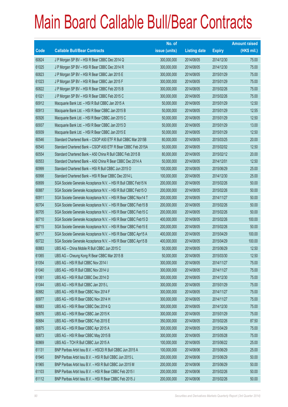|             |                                                                | No. of        |                     |               | <b>Amount raised</b> |
|-------------|----------------------------------------------------------------|---------------|---------------------|---------------|----------------------|
| <b>Code</b> | <b>Callable Bull/Bear Contracts</b>                            | issue (units) | <b>Listing date</b> | <b>Expiry</b> | (HK\$ mil.)          |
| 60824       | J P Morgan SP BV - HSI R Bear CBBC Dec 2014 Q                  | 300,000,000   | 2014/08/05          | 2014/12/30    | 75.00                |
| 61025       | J P Morgan SP BV - HSI R Bear CBBC Dec 2014 R                  | 300,000,000   | 2014/08/05          | 2014/12/30    | 75.00                |
| 60823       | J P Morgan SP BV - HSI R Bear CBBC Jan 2015 E                  | 300,000,000   | 2014/08/05          | 2015/01/29    | 75.00                |
| 61023       | J P Morgan SP BV - HSI R Bear CBBC Jan 2015 F                  | 300,000,000   | 2014/08/05          | 2015/01/29    | 75.00                |
| 60822       | JP Morgan SP BV - HSI R Bear CBBC Feb 2015 B                   | 300,000,000   | 2014/08/05          | 2015/02/26    | 75.00                |
| 61021       | J P Morgan SP BV - HSI R Bear CBBC Feb 2015 C                  | 300,000,000   | 2014/08/05          | 2015/02/26    | 75.00                |
| 60912       | Macquarie Bank Ltd. - HSI R Bull CBBC Jan 2015 A               | 50,000,000    | 2014/08/05          | 2015/01/29    | 12.50                |
| 60913       | Macquarie Bank Ltd. - HSI R Bear CBBC Jan 2015 B               | 50,000,000    | 2014/08/05          | 2015/01/29    | 12.55                |
| 60926       | Macquarie Bank Ltd. - HSI R Bear CBBC Jan 2015 C               | 50,000,000    | 2014/08/05          | 2015/01/29    | 12.50                |
| 60937       | Macquarie Bank Ltd. - HSI R Bear CBBC Jan 2015 D               | 50,000,000    | 2014/08/05          | 2015/01/29    | 13.00                |
| 60939       | Macquarie Bank Ltd. - HSI R Bear CBBC Jan 2015 E               | 50,000,000    | 2014/08/05          | 2015/01/29    | 12.50                |
| 60546       | Standard Chartered Bank - CSOP A50 ETF R Bull CBBC Mar 2015B   | 80,000,000    | 2014/08/05          | 2015/03/25    | 20.00                |
| 60545       | Standard Chartered Bank - CSOP A50 ETF R Bear CBBC Feb 2015A   | 50,000,000    | 2014/08/05          | 2015/02/02    | 12.50                |
| 60554       | Standard Chartered Bank - A50 China R Bull CBBC Feb 2015 B     | 80,000,000    | 2014/08/05          | 2015/02/12    | 20.00                |
| 60553       | Standard Chartered Bank - A50 China R Bear CBBC Dec 2014 A     | 50,000,000    | 2014/08/05          | 2014/12/01    | 12.50                |
| 60999       | Standard Chartered Bank - HSI R Bull CBBC Jun 2015 O           | 100,000,000   | 2014/08/05          | 2015/06/29    | 25.00                |
| 60998       | Standard Chartered Bank - HSI R Bear CBBC Dec 2014 L           | 100,000,000   | 2014/08/05          | 2014/12/30    | 25.00                |
| 60699       | SGA Societe Generale Acceptance N.V. - HSI R Bull CBBC Feb15 N | 200,000,000   | 2014/08/05          | 2015/02/26    | 50.00                |
| 60887       | SGA Societe Generale Acceptance N.V. - HSI R Bull CBBC Feb15 O | 200,000,000   | 2014/08/05          | 2015/02/26    | 50.00                |
| 60911       | SGA Societe Generale Acceptance N.V. - HSI R Bear CBBC Nov14 T | 200,000,000   | 2014/08/05          | 2014/11/27    | 50.00                |
| 60704       | SGA Societe Generale Acceptance N.V. - HSI R Bear CBBC Feb15 B | 200,000,000   | 2014/08/05          | 2015/02/26    | 50.00                |
| 60705       | SGA Societe Generale Acceptance N.V. - HSI R Bear CBBC Feb15 C | 200,000,000   | 2014/08/05          | 2015/02/26    | 50.00                |
| 60710       | SGA Societe Generale Acceptance N.V. - HSI R Bear CBBC Feb15 D | 400,000,000   | 2014/08/05          | 2015/02/26    | 100.00               |
| 60715       | SGA Societe Generale Acceptance N.V. - HSI R Bear CBBC Feb15 E | 200,000,000   | 2014/08/05          | 2015/02/26    | 50.00                |
| 60717       | SGA Societe Generale Acceptance N.V. - HSI R Bear CBBC Apr15 A | 400,000,000   | 2014/08/05          | 2015/04/29    | 100.00               |
| 60722       | SGA Societe Generale Acceptance N.V. - HSI R Bear CBBC Apr15 B | 400,000,000   | 2014/08/05          | 2015/04/29    | 100.00               |
| 60883       | UBS AG - China Mobile R Bull CBBC Jun 2015 C                   | 50,000,000    | 2014/08/05          | 2015/06/29    | 12.50                |
| 61065       | UBS AG - Cheung Kong R Bear CBBC Mar 2015 B                    | 50,000,000    | 2014/08/05          | 2015/03/30    | 12.50                |
| 61054       | UBS AG - HSI R Bull CBBC Nov 2014 I                            | 300,000,000   | 2014/08/05          | 2014/11/27    | 75.00                |
| 61040       | UBS AG - HSI R Bull CBBC Nov 2014 U                            | 300,000,000   | 2014/08/05          | 2014/11/27    | 75.00                |
| 61061       | UBS AG - HSI R Bull CBBC Dec 2014 D                            | 300,000,000   | 2014/08/05          | 2014/12/30    | 75.00                |
| 61044       | UBS AG - HSI R Bull CBBC Jan 2015 L                            | 300,000,000   | 2014/08/05          | 2015/01/29    | 75.00                |
| 60882       | UBS AG - HSI R Bear CBBC Nov 2014 F                            | 300,000,000   | 2014/08/05          | 2014/11/27    | 75.00                |
| 60977       | UBS AG - HSI R Bear CBBC Nov 2014 H                            | 300,000,000   | 2014/08/05          | 2014/11/27    | 75.00                |
| 60683       | UBS AG - HSI R Bear CBBC Dec 2014 Q                            | 300,000,000   | 2014/08/05          | 2014/12/30    | 75.00                |
| 60876       | UBS AG - HSI R Bear CBBC Jan 2015 K                            | 300,000,000   | 2014/08/05          | 2015/01/29    | 75.00                |
| 60684       | UBS AG - HSI R Bear CBBC Feb 2015 E                            | 350,000,000   | 2014/08/05          | 2015/02/26    | 87.50                |
| 60875       | UBS AG - HSI R Bear CBBC Apr 2015 A                            | 300,000,000   | 2014/08/05          | 2015/04/29    | 75.00                |
| 60873       | UBS AG - HSI R Bear CBBC May 2015 B                            | 300,000,000   | 2014/08/05          | 2015/05/28    | 75.00                |
| 60869       | UBS AG - TCH R Bull CBBC Jun 2015 A                            | 100,000,000   | 2014/08/05          | 2015/06/22    | 25.00                |
| 61131       | BNP Paribas Arbit Issu B.V. - HSCEI R Bull CBBC Jun 2015 A     | 100,000,000   | 2014/08/06          | 2015/06/29    | 25.00                |
| 61945       | BNP Paribas Arbit Issu B.V. - HSI R Bull CBBC Jun 2015 L       | 200,000,000   | 2014/08/06          | 2015/06/29    | 50.00                |
| 61965       | BNP Paribas Arbit Issu B.V. - HSI R Bull CBBC Jun 2015 M       | 200,000,000   | 2014/08/06          | 2015/06/29    | 50.00                |
| 61103       | BNP Paribas Arbit Issu B.V. - HSI R Bear CBBC Feb 2015 I       | 200,000,000   | 2014/08/06          | 2015/02/26    | 50.00                |
| 61112       | BNP Paribas Arbit Issu B.V. - HSI R Bear CBBC Feb 2015 J       | 200,000,000   | 2014/08/06          | 2015/02/26    | 50.00                |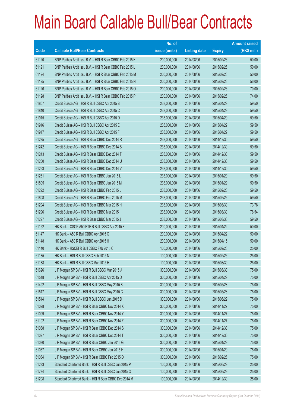|       |                                                          | No. of        |                     |               | <b>Amount raised</b> |
|-------|----------------------------------------------------------|---------------|---------------------|---------------|----------------------|
| Code  | <b>Callable Bull/Bear Contracts</b>                      | issue (units) | <b>Listing date</b> | <b>Expiry</b> | $(HK$$ mil.)         |
| 61120 | BNP Paribas Arbit Issu B.V. - HSI R Bear CBBC Feb 2015 K | 200,000,000   | 2014/08/06          | 2015/02/26    | 50.00                |
| 61121 | BNP Paribas Arbit Issu B.V. - HSI R Bear CBBC Feb 2015 L | 200,000,000   | 2014/08/06          | 2015/02/26    | 50.00                |
| 61124 | BNP Paribas Arbit Issu B.V. - HSI R Bear CBBC Feb 2015 M | 200,000,000   | 2014/08/06          | 2015/02/26    | 50.00                |
| 61125 | BNP Paribas Arbit Issu B.V. - HSI R Bear CBBC Feb 2015 N | 200,000,000   | 2014/08/06          | 2015/02/26    | 56.00                |
| 61126 | BNP Paribas Arbit Issu B.V. - HSI R Bear CBBC Feb 2015 O | 200,000,000   | 2014/08/06          | 2015/02/26    | 70.00                |
| 61128 | BNP Paribas Arbit Issu B.V. - HSI R Bear CBBC Feb 2015 P | 200,000,000   | 2014/08/06          | 2015/02/26    | 74.00                |
| 61807 | Credit Suisse AG - HSI R Bull CBBC Apr 2015 B            | 238,000,000   | 2014/08/06          | 2015/04/29    | 59.50                |
| 61840 | Credit Suisse AG - HSI R Bull CBBC Apr 2015 C            | 238,000,000   | 2014/08/06          | 2015/04/29    | 59.50                |
| 61915 | Credit Suisse AG - HSI R Bull CBBC Apr 2015 D            | 238,000,000   | 2014/08/06          | 2015/04/29    | 59.50                |
| 61916 | Credit Suisse AG - HSI R Bull CBBC Apr 2015 E            | 238,000,000   | 2014/08/06          | 2015/04/29    | 59.50                |
| 61917 | Credit Suisse AG - HSI R Bull CBBC Apr 2015 F            | 238,000,000   | 2014/08/06          | 2015/04/29    | 59.50                |
| 61235 | Credit Suisse AG - HSI R Bear CBBC Dec 2014 R            | 238,000,000   | 2014/08/06          | 2014/12/30    | 59.50                |
| 61242 | Credit Suisse AG - HSI R Bear CBBC Dec 2014 S            | 238,000,000   | 2014/08/06          | 2014/12/30    | 59.50                |
| 61243 | Credit Suisse AG - HSI R Bear CBBC Dec 2014 T            | 238,000,000   | 2014/08/06          | 2014/12/30    | 59.50                |
| 61250 | Credit Suisse AG - HSI R Bear CBBC Dec 2014 U            | 238,000,000   | 2014/08/06          | 2014/12/30    | 59.50                |
| 61253 | Credit Suisse AG - HSI R Bear CBBC Dec 2014 V            | 238,000,000   | 2014/08/06          | 2014/12/30    | 59.50                |
| 61261 | Credit Suisse AG - HSI R Bear CBBC Jan 2015 L            | 238,000,000   | 2014/08/06          | 2015/01/29    | 59.50                |
| 61805 | Credit Suisse AG - HSI R Bear CBBC Jan 2015 M            | 238,000,000   | 2014/08/06          | 2015/01/29    | 59.50                |
| 61292 | Credit Suisse AG - HSI R Bear CBBC Feb 2015 L            | 238,000,000   | 2014/08/06          | 2015/02/26    | 59.50                |
| 61808 | Credit Suisse AG - HSI R Bear CBBC Feb 2015 M            | 238,000,000   | 2014/08/06          | 2015/02/26    | 59.50                |
| 61294 | Credit Suisse AG - HSI R Bear CBBC Mar 2015 H            | 238,000,000   | 2014/08/06          | 2015/03/30    | 73.78                |
| 61296 | Credit Suisse AG - HSI R Bear CBBC Mar 2015 I            | 238,000,000   | 2014/08/06          | 2015/03/30    | 78.54                |
| 61297 | Credit Suisse AG - HSI R Bear CBBC Mar 2015 J            | 238,000,000   | 2014/08/06          | 2015/03/30    | 59.50                |
| 61152 | HK Bank - CSOP A50 ETF R Bull CBBC Apr 2015 F            | 200,000,000   | 2014/08/06          | 2015/04/22    | 50.00                |
| 61147 | HK Bank - A50 R Bull CBBC Apr 2015 G                     | 200,000,000   | 2014/08/06          | 2015/04/22    | 50.00                |
| 61148 | HK Bank - A50 R Bull CBBC Apr 2015 H                     | 200,000,000   | 2014/08/06          | 2015/04/15    | 50.00                |
| 61140 | HK Bank - HSCEI R Bull CBBC Feb 2015 C                   | 100,000,000   | 2014/08/06          | 2015/02/26    | 25.00                |
| 61135 | HK Bank - HSI R Bull CBBC Feb 2015 N                     | 100,000,000   | 2014/08/06          | 2015/02/26    | 25.00                |
| 61138 | HK Bank - HSI R Bull CBBC Mar 2015 H                     | 100,000,000   | 2014/08/06          | 2015/03/30    | 25.00                |
| 61626 | J P Morgan SP BV - HSI R Bull CBBC Mar 2015 J            | 300,000,000   | 2014/08/06          | 2015/03/30    | 75.00                |
| 61518 | J P Morgan SP BV - HSI R Bull CBBC Apr 2015 D            | 300,000,000   | 2014/08/06          | 2015/04/29    | 75.00                |
| 61492 | J P Morgan SP BV - HSI R Bull CBBC May 2015 B            | 300,000,000   | 2014/08/06          | 2015/05/28    | 75.00                |
| 61517 | J P Morgan SP BV - HSI R Bull CBBC May 2015 C            | 300,000,000   | 2014/08/06          | 2015/05/28    | 75.00                |
| 61514 | J P Morgan SP BV - HSI R Bull CBBC Jun 2015 D            | 300,000,000   | 2014/08/06          | 2015/06/29    | 75.00                |
| 61098 | J P Morgan SP BV - HSI R Bear CBBC Nov 2014 X            | 300,000,000   | 2014/08/06          | 2014/11/27    | 75.00                |
| 61099 | J P Morgan SP BV - HSI R Bear CBBC Nov 2014 Y            | 300,000,000   | 2014/08/06          | 2014/11/27    | 75.00                |
| 61102 | J P Morgan SP BV - HSI R Bear CBBC Nov 2014 Z            | 300,000,000   | 2014/08/06          | 2014/11/27    | 75.00                |
| 61088 | J P Morgan SP BV - HSI R Bear CBBC Dec 2014 S            | 300,000,000   | 2014/08/06          | 2014/12/30    | 75.00                |
| 61097 | J P Morgan SP BV - HSI R Bear CBBC Dec 2014 T            | 300,000,000   | 2014/08/06          | 2014/12/30    | 75.00                |
| 61080 | J P Morgan SP BV - HSI R Bear CBBC Jan 2015 G            | 300,000,000   | 2014/08/06          | 2015/01/29    | 75.00                |
| 61087 | J P Morgan SP BV - HSI R Bear CBBC Jan 2015 H            | 300,000,000   | 2014/08/06          | 2015/01/29    | 75.00                |
| 61084 | J P Morgan SP BV - HSI R Bear CBBC Feb 2015 D            | 300,000,000   | 2014/08/06          | 2015/02/26    | 75.00                |
| 61233 | Standard Chartered Bank - HSI R Bull CBBC Jun 2015 P     | 100,000,000   | 2014/08/06          | 2015/06/29    | 25.00                |
| 61734 | Standard Chartered Bank - HSI R Bull CBBC Jun 2015 Q     | 100,000,000   | 2014/08/06          | 2015/06/29    | 25.00                |
| 61208 | Standard Chartered Bank - HSI R Bear CBBC Dec 2014 M     | 100,000,000   | 2014/08/06          | 2014/12/30    | 25.00                |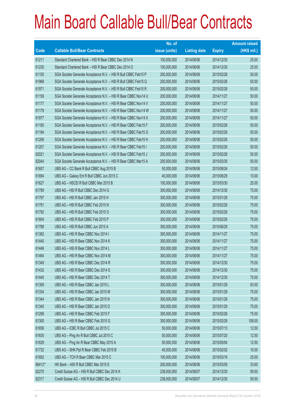|             |                                                                | No. of        |                     |               | <b>Amount raised</b> |
|-------------|----------------------------------------------------------------|---------------|---------------------|---------------|----------------------|
| <b>Code</b> | <b>Callable Bull/Bear Contracts</b>                            | issue (units) | <b>Listing date</b> | <b>Expiry</b> | $(HK$$ mil.)         |
| 61211       | Standard Chartered Bank - HSI R Bear CBBC Dec 2014 N           | 100,000,000   | 2014/08/06          | 2014/12/30    | 25.00                |
| 61230       | Standard Chartered Bank - HSI R Bear CBBC Dec 2014 O           | 100,000,000   | 2014/08/06          | 2014/12/30    | 25.00                |
| 61155       | SGA Societe Generale Acceptance N.V. - HSI R Bull CBBC Feb15 P | 200,000,000   | 2014/08/06          | 2015/02/26    | 50.00                |
| 61968       | SGA Societe Generale Acceptance N.V. - HSI R Bull CBBC Feb15 Q | 200,000,000   | 2014/08/06          | 2015/02/26    | 50.00                |
| 61971       | SGA Societe Generale Acceptance N.V. - HSI R Bull CBBC Feb15 R | 200,000,000   | 2014/08/06          | 2015/02/26    | 50.00                |
| 61159       | SGA Societe Generale Acceptance N.V. - HSI R Bear CBBC Nov14 U | 200,000,000   | 2014/08/06          | 2014/11/27    | 50.00                |
| 61177       | SGA Societe Generale Acceptance N.V. - HSI R Bear CBBC Nov14 V | 200,000,000   | 2014/08/06          | 2014/11/27    | 50.00                |
| 61179       | SGA Societe Generale Acceptance N.V. - HSI R Bear CBBC Nov14 W | 200,000,000   | 2014/08/06          | 2014/11/27    | 50.00                |
| 61977       | SGA Societe Generale Acceptance N.V. - HSI R Bear CBBC Nov14 X | 200,000,000   | 2014/08/06          | 2014/11/27    | 50.00                |
| 61185       | SGA Societe Generale Acceptance N.V. - HSI R Bear CBBC Feb15 F | 200,000,000   | 2014/08/06          | 2015/02/26    | 50.00                |
| 61194       | SGA Societe Generale Acceptance N.V. - HSI R Bear CBBC Feb15 G | 200,000,000   | 2014/08/06          | 2015/02/26    | 50.00                |
| 61206       | SGA Societe Generale Acceptance N.V. - HSI R Bear CBBC Feb15 H | 200,000,000   | 2014/08/06          | 2015/02/26    | 50.00                |
| 61207       | SGA Societe Generale Acceptance N.V. - HSI R Bear CBBC Feb15 I | 200,000,000   | 2014/08/06          | 2015/02/26    | 50.00                |
| 62021       | SGA Societe Generale Acceptance N.V. - HSI R Bear CBBC Feb15 J | 200,000,000   | 2014/08/06          | 2015/02/26    | 50.00                |
| 62044       | SGA Societe Generale Acceptance N.V. - HSI R Bear CBBC Mar15 A | 200,000,000   | 2014/08/06          | 2015/03/30    | 50.00                |
| 61657       | UBS AG - CC Bank R Bull CBBC Aug 2015 B                        | 50,000,000    | 2014/08/06          | 2015/08/24    | 12.50                |
| 61694       | UBS AG - Galaxy Ent R Bull CBBC Jun 2015 C                     | 40,000,000    | 2014/08/06          | 2015/06/29    | 10.00                |
| 61627       | UBS AG - HSCEI R Bull CBBC Mar 2015 B                          | 100,000,000   | 2014/08/06          | 2015/03/30    | 25.00                |
| 61789       | UBS AG - HSI R Bull CBBC Dec 2014 G                            | 300,000,000   | 2014/08/06          | 2014/12/30    | 75.00                |
| 61797       | UBS AG - HSI R Bull CBBC Jan 2015 H                            | 300,000,000   | 2014/08/06          | 2015/01/29    | 75.00                |
| 61791       | UBS AG - HSI R Bull CBBC Feb 2015 N                            | 300,000,000   | 2014/08/06          | 2015/02/26    | 75.00                |
| 61792       | UBS AG - HSI R Bull CBBC Feb 2015 O                            | 300,000,000   | 2014/08/06          | 2015/02/26    | 75.00                |
| 61804       | UBS AG - HSI R Bull CBBC Feb 2015 P                            | 300,000,000   | 2014/08/06          | 2015/02/26    | 75.00                |
| 61788       | UBS AG - HSI R Bull CBBC Jun 2015 A                            | 300,000,000   | 2014/08/06          | 2015/06/29    | 75.00                |
| 61382       | UBS AG - HSI R Bear CBBC Nov 2014 I                            | 300,000,000   | 2014/08/06          | 2014/11/27    | 75.00                |
| 61440       | UBS AG - HSI R Bear CBBC Nov 2014 K                            | 300,000,000   | 2014/08/06          | 2014/11/27    | 75.00                |
| 61446       | UBS AG - HSI R Bear CBBC Nov 2014 L                            | 300,000,000   | 2014/08/06          | 2014/11/27    | 75.00                |
| 61464       | UBS AG - HSI R Bear CBBC Nov 2014 M                            | 300,000,000   | 2014/08/06          | 2014/11/27    | 75.00                |
| 61349       | UBS AG - HSI R Bear CBBC Dec 2014 R                            | 300,000,000   | 2014/08/06          | 2014/12/30    | 75.00                |
| 61432       | UBS AG - HSI R Bear CBBC Dec 2014 S                            | 300,000,000   | 2014/08/06          | 2014/12/30    | 75.00                |
| 61445       | UBS AG - HSI R Bear CBBC Dec 2014 T                            | 300,000,000   | 2014/08/06          | 2014/12/30    | 75.00                |
| 61309       | UBS AG - HSI R Bear CBBC Jan 2015 L                            | 300,000,000   | 2014/08/06          | 2015/01/29    | 93.00                |
| 61334       | UBS AG - HSI R Bear CBBC Jan 2015 M                            | 300,000,000   | 2014/08/06          | 2015/01/29    | 75.00                |
| 61344       | UBS AG - HSI R Bear CBBC Jan 2015 N                            | 300,000,000   | 2014/08/06          | 2015/01/29    | 75.00                |
| 61345       | UBS AG - HSI R Bear CBBC Jan 2015 O                            | 300,000,000   | 2014/08/06          | 2015/01/29    | 75.00                |
| 61298       | UBS AG - HSI R Bear CBBC Feb 2015 F                            | 300,000,000   | 2014/08/06          | 2015/02/26    | 75.00                |
| 61300       | UBS AG - HSI R Bear CBBC Feb 2015 G                            | 300,000,000   | 2014/08/06          | 2015/02/26    | 108.00               |
| 61656       | UBS AG - ICBC R Bull CBBC Jul 2015 C                           | 50,000,000    | 2014/08/06          | 2015/07/13    | 12.50                |
| 61630       | UBS AG - Ping An R Bull CBBC Jul 2015 C                        | 50,000,000    | 2014/08/06          | 2015/07/20    | 12.50                |
| 61629       | UBS AG - Ping An R Bear CBBC May 2015 A                        | 50,000,000    | 2014/08/06          | 2015/05/04    | 12.50                |
| 61732       | UBS AG - SHK Ppt R Bear CBBC Feb 2015 B                        | 40,000,000    | 2014/08/06          | 2015/02/02    | 10.00                |
| 61692       | UBS AG - TCH R Bear CBBC Mar 2015 C                            | 100,000,000   | 2014/08/06          | 2015/03/16    | 25.00                |
| 66412#      | HK Bank - A50 R Bull CBBC Mar 2015 E                           | 200,000,000   | 2014/08/06          | 2015/03/09    | 33.60                |
| 62270       | Credit Suisse AG - HSI R Bull CBBC Dec 2014 K                  | 238,000,000   | 2014/08/07          | 2014/12/30    | 59.50                |
| 62317       | Credit Suisse AG - HSI R Bull CBBC Dec 2014 U                  | 238,000,000   | 2014/08/07          | 2014/12/30    | 59.50                |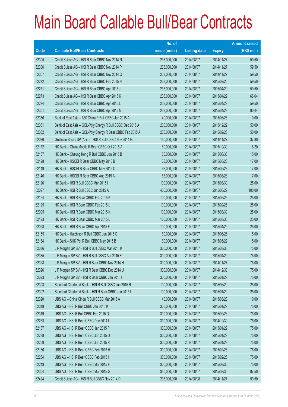|       |                                                            | No. of        |                     |               | <b>Amount raised</b> |
|-------|------------------------------------------------------------|---------------|---------------------|---------------|----------------------|
| Code  | <b>Callable Bull/Bear Contracts</b>                        | issue (units) | <b>Listing date</b> | <b>Expiry</b> | $(HK$$ mil.)         |
| 62305 | Credit Suisse AG - HSI R Bear CBBC Nov 2014 N              | 238,000,000   | 2014/08/07          | 2014/11/27    | 59.50                |
| 62306 | Credit Suisse AG - HSI R Bear CBBC Nov 2014 P              | 238,000,000   | 2014/08/07          | 2014/11/27    | 59.50                |
| 62307 | Credit Suisse AG - HSI R Bear CBBC Nov 2014 Q              | 238,000,000   | 2014/08/07          | 2014/11/27    | 59.50                |
| 62272 | Credit Suisse AG - HSI R Bear CBBC Feb 2015 N              | 238,000,000   | 2014/08/07          | 2015/02/26    | 59.50                |
| 62271 | Credit Suisse AG - HSI R Bear CBBC Apr 2015 J              | 238,000,000   | 2014/08/07          | 2015/04/29    | 59.50                |
| 62273 | Credit Suisse AG - HSI R Bear CBBC Apr 2015 K              | 238,000,000   | 2014/08/07          | 2015/04/29    | 66.64                |
| 62274 | Credit Suisse AG - HSI R Bear CBBC Apr 2015 L              | 238,000,000   | 2014/08/07          | 2015/04/29    | 59.50                |
| 62301 | Credit Suisse AG - HSI R Bear CBBC Apr 2015 M              | 238,000,000   | 2014/08/07          | 2015/04/29    | 90.44                |
| 62356 | Bank of East Asia - A50 China R Bull CBBC Jun 2015 A       | 40,000,000    | 2014/08/07          | 2015/06/26    | 10.00                |
| 62361 | Bank of East Asia - GCL-Poly Energy R Bull CBBC Dec 2015 A | 200,000,000   | 2014/08/07          | 2015/12/22    | 50.00                |
| 62362 | Bank of East Asia - GCL-Poly Energy R Bear CBBC Feb 2015 A | 200,000,000   | 2014/08/07          | 2015/02/26    | 50.00                |
| 62086 | Goldman Sachs SP (Asia) - HSI R Bull CBBC Nov 2014 G       | 150,000,000   | 2014/08/07          | 2014/11/27    | 37.80                |
| 62172 | HK Bank - China Mobile R Bear CBBC Oct 2015 A              | 60,000,000    | 2014/08/07          | 2015/10/30    | 16.20                |
| 62157 | HK Bank - Cheung Kong R Bull CBBC Jun 2015 B               | 60,000,000    | 2014/08/07          | 2015/06/30    | 15.00                |
| 62128 | HK Bank - HSCEI R Bear CBBC May 2015 B                     | 68,000,000    | 2014/08/07          | 2015/05/28    | 17.00                |
| 62149 | HK Bank - HSCEI R Bear CBBC May 2015 C                     | 68,000,000    | 2014/08/07          | 2015/05/28    | 17.00                |
| 62140 | HK Bank - HSCEI R Bear CBBC Aug 2015 A                     | 68,000,000    | 2014/08/07          | 2015/08/28    | 17.00                |
| 62126 | HK Bank - HSI R Bull CBBC Mar 2015 I                       | 100,000,000   | 2014/08/07          | 2015/03/30    | 25.00                |
| 62097 | HK Bank - HSI R Bull CBBC Jun 2015 A                       | 400,000,000   | 2014/08/07          | 2015/06/29    | 100.00               |
| 62124 | HK Bank - HSI R Bear CBBC Feb 2015 K                       | 100,000,000   | 2014/08/07          | 2015/02/26    | 25.00                |
| 62125 | HK Bank - HSI R Bear CBBC Feb 2015 L                       | 100,000,000   | 2014/08/07          | 2015/02/26    | 25.00                |
| 62095 | HK Bank - HSI R Bear CBBC Mar 2015 K                       | 100,000,000   | 2014/08/07          | 2015/03/30    | 25.00                |
| 62123 | HK Bank - HSI R Bear CBBC Mar 2015 L                       | 100,000,000   | 2014/08/07          | 2015/03/30    | 25.00                |
| 62098 | HK Bank - HSI R Bear CBBC Apr 2015 F                       | 100,000,000   | 2014/08/07          | 2015/04/29    | 25.00                |
| 62155 | HK Bank - Hutchison R Bull CBBC Jun 2015 C                 | 60,000,000    | 2014/08/07          | 2015/06/26    | 15.00                |
| 62154 | HK Bank - SHK Ppt R Bull CBBC May 2015 B                   | 60,000,000    | 2014/08/07          | 2015/05/29    | 15.00                |
| 62336 | J P Morgan SP BV - HSI R Bull CBBC Mar 2015 K              | 300,000,000   | 2014/08/07          | 2015/03/30    | 75.00                |
| 62335 | J P Morgan SP BV - HSI R Bull CBBC Apr 2015 E              | 300,000,000   | 2014/08/07          | 2015/04/29    | 75.00                |
| 62328 | J P Morgan SP BV - HSI R Bear CBBC Nov 2014 H              | 300,000,000   | 2014/08/07          | 2014/11/27    | 75.00                |
| 62326 | J P Morgan SP BV - HSI R Bear CBBC Dec 2014 U              | 300,000,000   | 2014/08/07          | 2014/12/30    | 75.00                |
| 62323 | J P Morgan SP BV - HSI R Bear CBBC Jan 2015 I              | 300,000,000   | 2014/08/07          | 2015/01/29    | 75.00                |
| 62303 | Standard Chartered Bank - HSI R Bull CBBC Jun 2015 R       | 100,000,000   | 2014/08/07          | 2015/06/29    | 25.00                |
| 62302 | Standard Chartered Bank - HSI R Bear CBBC Jan 2015 L       | 100,000,000   | 2014/08/07          | 2015/01/29    | 25.00                |
| 62320 | UBS AG - China Cinda R Bull CBBC Mar 2015 A                | 40,000,000    | 2014/08/07          | 2015/03/23    | 10.00                |
| 62318 | UBS AG - HSI R Bull CBBC Jan 2015 K                        | 300,000,000   | 2014/08/07          | 2015/01/29    | 75.00                |
| 62319 | UBS AG - HSI R Bull CBBC Feb 2015 Q                        | 300,000,000   | 2014/08/07          | 2015/02/26    | 75.00                |
| 62263 | UBS AG - HSI R Bear CBBC Dec 2014 U                        | 300,000,000   | 2014/08/07          | 2014/12/30    | 75.00                |
| 62187 | UBS AG - HSI R Bear CBBC Jan 2015 P                        | 300,000,000   | 2014/08/07          | 2015/01/29    | 75.00                |
| 62238 | UBS AG - HSI R Bear CBBC Jan 2015 Q                        | 300,000,000   | 2014/08/07          | 2015/01/29    | 75.00                |
| 62259 | UBS AG - HSI R Bear CBBC Jan 2015 R                        | 300,000,000   | 2014/08/07          | 2015/01/29    | 75.00                |
| 62186 | UBS AG - HSI R Bear CBBC Feb 2015 H                        | 300,000,000   | 2014/08/07          | 2015/02/26    | 75.00                |
| 62254 | UBS AG - HSI R Bear CBBC Feb 2015 I                        | 300,000,000   | 2014/08/07          | 2015/02/26    | 75.00                |
| 62243 | UBS AG - HSI R Bear CBBC Mar 2015 F                        | 300,000,000   | 2014/08/07          | 2015/03/30    | 75.00                |
| 62304 | UBS AG - HSI R Bear CBBC Mar 2015 G                        | 350,000,000   | 2014/08/07          | 2015/03/30    | 87.50                |
| 62424 | Credit Suisse AG - HSI R Bull CBBC Nov 2014 D              | 238,000,000   | 2014/08/08          | 2014/11/27    | 59.50                |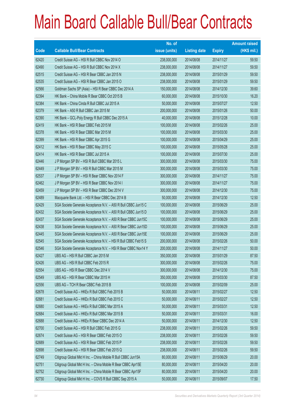|             |                                                                | No. of        |                     |               | <b>Amount raised</b> |
|-------------|----------------------------------------------------------------|---------------|---------------------|---------------|----------------------|
| <b>Code</b> | <b>Callable Bull/Bear Contracts</b>                            | issue (units) | <b>Listing date</b> | <b>Expiry</b> | $(HK$$ mil.)         |
| 62420       | Credit Suisse AG - HSI R Bull CBBC Nov 2014 O                  | 238,000,000   | 2014/08/08          | 2014/11/27    | 59.50                |
| 62490       | Credit Suisse AG - HSI R Bull CBBC Nov 2014 X                  | 238,000,000   | 2014/08/08          | 2014/11/27    | 59.50                |
| 62515       | Credit Suisse AG - HSI R Bear CBBC Jan 2015 N                  | 238,000,000   | 2014/08/08          | 2015/01/29    | 59.50                |
| 62535       | Credit Suisse AG - HSI R Bear CBBC Jan 2015 O                  | 238,000,000   | 2014/08/08          | 2015/01/29    | 59.50                |
| 62566       | Goldman Sachs SP (Asia) - HSI R Bear CBBC Dec 2014 A           | 150,000,000   | 2014/08/08          | 2014/12/30    | 39.60                |
| 62394       | HK Bank - China Mobile R Bear CBBC Oct 2015 B                  | 60,000,000    | 2014/08/08          | 2015/10/30    | 16.20                |
| 62384       | HK Bank - China Cinda R Bull CBBC Jul 2015 A                   | 50,000,000    | 2014/08/08          | 2015/07/27    | 12.50                |
| 62379       | HK Bank - A50 R Bull CBBC Jan 2015 M                           | 200,000,000   | 2014/08/08          | 2015/01/26    | 50.00                |
| 62390       | HK Bank - GCL-Poly Energy R Bull CBBC Dec 2015 A               | 40,000,000    | 2014/08/08          | 2015/12/28    | 10.00                |
| 62419       | HK Bank - HSI R Bear CBBC Feb 2015 M                           | 100,000,000   | 2014/08/08          | 2015/02/26    | 25.00                |
| 62378       | HK Bank - HSI R Bear CBBC Mar 2015 M                           | 100,000,000   | 2014/08/08          | 2015/03/30    | 25.00                |
| 62399       | HK Bank - HSI R Bear CBBC Apr 2015 G                           | 100,000,000   | 2014/08/08          | 2015/04/29    | 25.00                |
| 62412       | HK Bank - HSI R Bear CBBC May 2015 C                           | 100,000,000   | 2014/08/08          | 2015/05/28    | 25.00                |
| 62414       | HK Bank - HSI R Bear CBBC Jul 2015 A                           | 100,000,000   | 2014/08/08          | 2015/07/30    | 25.00                |
| 62446       | J P Morgan SP BV - HSI R Bull CBBC Mar 2015 L                  | 300,000,000   | 2014/08/08          | 2015/03/30    | 75.00                |
| 62449       | J P Morgan SP BV - HSI R Bull CBBC Mar 2015 M                  | 300,000,000   | 2014/08/08          | 2015/03/30    | 75.00                |
| 62537       | J P Morgan SP BV - HSI R Bear CBBC Nov 2014 F                  | 300,000,000   | 2014/08/08          | 2014/11/27    | 75.00                |
| 62462       | J P Morgan SP BV - HSI R Bear CBBC Nov 2014 I                  | 300,000,000   | 2014/08/08          | 2014/11/27    | 75.00                |
| 62459       | J P Morgan SP BV - HSI R Bear CBBC Dec 2014 V                  | 300,000,000   | 2014/08/08          | 2014/12/30    | 75.00                |
| 62489       | Macquarie Bank Ltd. - HSI R Bear CBBC Dec 2014 B               | 50,000,000    | 2014/08/08          | 2014/12/30    | 12.50                |
| 62429       | SGA Societe Generale Acceptance N.V. - A50 R Bull CBBC Jun15 C | 100,000,000   | 2014/08/08          | 2015/06/29    | 25.00                |
| 62432       | SGA Societe Generale Acceptance N.V. - A50 R Bull CBBC Jun15 D | 100,000,000   | 2014/08/08          | 2015/06/29    | 25.00                |
| 62437       | SGA Societe Generale Acceptance N.V. - A50 R Bear CBBC Jun15C  | 100,000,000   | 2014/08/08          | 2015/06/29    | 25.00                |
| 62438       | SGA Societe Generale Acceptance N.V. - A50 R Bear CBBC Jun15D  | 100,000,000   | 2014/08/08          | 2015/06/29    | 25.00                |
| 62445       | SGA Societe Generale Acceptance N.V. - A50 R Bear CBBC Jun15E  | 100,000,000   | 2014/08/08          | 2015/06/29    | 25.00                |
| 62545       | SGA Societe Generale Acceptance N.V. - HSI R Bull CBBC Feb15 S | 200,000,000   | 2014/08/08          | 2015/02/26    | 50.00                |
| 62546       | SGA Societe Generale Acceptance N.V. - HSI R Bear CBBC Nov14 Y | 200,000,000   | 2014/08/08          | 2014/11/27    | 50.00                |
| 62427       | UBS AG - HSI R Bull CBBC Jan 2015 M                            | 350,000,000   | 2014/08/08          | 2015/01/29    | 87.50                |
| 62426       | UBS AG - HSI R Bull CBBC Feb 2015 R                            | 300,000,000   | 2014/08/08          | 2015/02/26    | 75.00                |
| 62554       | UBS AG - HSI R Bear CBBC Dec 2014 V                            | 300,000,000   | 2014/08/08          | 2014/12/30    | 75.00                |
| 62549       | UBS AG - HSI R Bear CBBC Mar 2015 H                            | 350,000,000   | 2014/08/08          | 2015/03/30    | 87.50                |
| 62556       | UBS AG - TCH R Bear CBBC Feb 2015 B                            | 100,000,000   | 2014/08/08          | 2015/02/09    | 25.00                |
| 62678       | Credit Suisse AG - HKEx R Bull CBBC Feb 2015 B                 | 50,000,000    | 2014/08/11          | 2015/02/27    | 12.50                |
| 62681       | Credit Suisse AG - HKEx R Bull CBBC Feb 2015 C                 | 50,000,000    | 2014/08/11          | 2015/02/27    | 12.50                |
| 62680       | Credit Suisse AG - HKEx R Bull CBBC Mar 2015 A                 | 50,000,000    | 2014/08/11          | 2015/03/31    | 12.50                |
| 62684       | Credit Suisse AG - HKEx R Bull CBBC Mar 2015 B                 | 50,000,000    | 2014/08/11          | 2015/03/31    | 16.00                |
| 62688       | Credit Suisse AG - HKEx R Bear CBBC Dec 2014 A                 | 50,000,000    | 2014/08/11          | 2014/12/30    | 12.50                |
| 62700       | Credit Suisse AG - HSI R Bull CBBC Feb 2015 G                  | 238,000,000   | 2014/08/11          | 2015/02/26    | 59.50                |
| 62674       | Credit Suisse AG - HSI R Bear CBBC Feb 2015 O                  | 238,000,000   | 2014/08/11          | 2015/02/26    | 59.50                |
| 62689       | Credit Suisse AG - HSI R Bear CBBC Feb 2015 P                  | 238,000,000   | 2014/08/11          | 2015/02/26    | 59.50                |
| 62698       | Credit Suisse AG - HSI R Bear CBBC Feb 2015 Q                  | 238,000,000   | 2014/08/11          | 2015/02/26    | 59.50                |
| 62749       | Citigroup Global Mkt H Inc. - China Mobile R Bull CBBC Jun15A  | 80,000,000    | 2014/08/11          | 2015/06/29    | 20.00                |
| 62751       | Citigroup Global Mkt H Inc. - China Mobile R Bear CBBC Apr15E  | 80,000,000    | 2014/08/11          | 2015/04/20    | 20.00                |
| 62752       | Citigroup Global Mkt H Inc. - China Mobile R Bear CBBC Apr15F  | 80,000,000    | 2014/08/11          | 2015/04/20    | 20.00                |
| 62730       | Citigroup Global Mkt H Inc. - COVS R Bull CBBC Sep 2015 A      | 50,000,000    | 2014/08/11          | 2015/09/07    | 17.50                |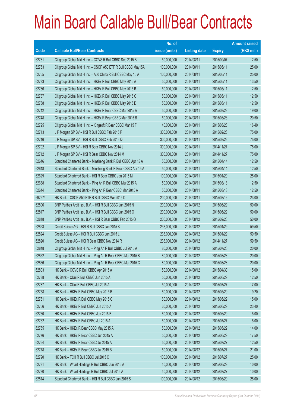|        |                                                               | No. of        |                     |               | <b>Amount raised</b> |
|--------|---------------------------------------------------------------|---------------|---------------------|---------------|----------------------|
| Code   | <b>Callable Bull/Bear Contracts</b>                           | issue (units) | <b>Listing date</b> | <b>Expiry</b> | (HK\$ mil.)          |
| 62731  | Citigroup Global Mkt H Inc. - COVS R Bull CBBC Sep 2015 B     | 50,000,000    | 2014/08/11          | 2015/09/07    | 12.50                |
| 62753  | Citigroup Global Mkt H Inc. - CSOP A50 ETF R Bull CBBC May15A | 100,000,000   | 2014/08/11          | 2015/05/11    | 25.00                |
| 62755  | Citigroup Global Mkt H Inc. - A50 China R Bull CBBC May 15 A  | 100,000,000   | 2014/08/11          | 2015/05/11    | 25.00                |
| 62733  | Citigroup Global Mkt H Inc. - HKEx R Bull CBBC May 2015 A     | 50,000,000    | 2014/08/11          | 2015/05/11    | 13.50                |
| 62736  | Citigroup Global Mkt H Inc. - HKEx R Bull CBBC May 2015 B     | 50,000,000    | 2014/08/11          | 2015/05/11    | 12.50                |
| 62737  | Citigroup Global Mkt H Inc. - HKEx R Bull CBBC May 2015 C     | 50,000,000    | 2014/08/11          | 2015/05/11    | 12.50                |
| 62738  | Citigroup Global Mkt H Inc. - HKEx R Bull CBBC May 2015 D     | 50,000,000    | 2014/08/11          | 2015/05/11    | 12.50                |
| 62742  | Citigroup Global Mkt H Inc. - HKEx R Bear CBBC Mar 2015 A     | 50,000,000    | 2014/08/11          | 2015/03/23    | 19.00                |
| 62748  | Citigroup Global Mkt H Inc. - HKEx R Bear CBBC Mar 2015 B     | 50,000,000    | 2014/08/11          | 2015/03/23    | 20.50                |
| 62725  | Citigroup Global Mkt H Inc. - Kingsoft R Bear CBBC Mar 15 F   | 40,000,000    | 2014/08/11          | 2015/03/23    | 16.40                |
| 62713  | J P Morgan SP BV - HSI R Bull CBBC Feb 2015 P                 | 300,000,000   | 2014/08/11          | 2015/02/26    | 75.00                |
| 62716  | J P Morgan SP BV - HSI R Bull CBBC Feb 2015 Q                 | 300,000,000   | 2014/08/11          | 2015/02/26    | 75.00                |
| 62702  | J P Morgan SP BV - HSI R Bear CBBC Nov 2014 J                 | 300,000,000   | 2014/08/11          | 2014/11/27    | 75.00                |
| 62712  | J P Morgan SP BV - HSI R Bear CBBC Nov 2014 M                 | 300,000,000   | 2014/08/11          | 2014/11/27    | 75.00                |
| 62646  | Standard Chartered Bank - Minsheng Bank R Bull CBBC Apr 15 A  | 50,000,000    | 2014/08/11          | 2015/04/14    | 12.50                |
| 62648  | Standard Chartered Bank - Minsheng Bank R Bear CBBC Apr 15 A  | 50,000,000    | 2014/08/11          | 2015/04/14    | 12.50                |
| 62629  | Standard Chartered Bank - HSI R Bear CBBC Jan 2015 M          | 100,000,000   | 2014/08/11          | 2015/01/29    | 25.00                |
| 62638  | Standard Chartered Bank - Ping An R Bull CBBC Mar 2015 A      | 50,000,000    | 2014/08/11          | 2015/03/18    | 12.50                |
| 62644  | Standard Chartered Bank - Ping An R Bear CBBC Mar 2015 A      | 50,000,000    | 2014/08/11          | 2015/03/18    | 12.50                |
| 69757# | HK Bank - CSOP A50 ETF R Bull CBBC Mar 2015 D                 | 200,000,000   | 2014/08/11          | 2015/03/16    | 23.00                |
| 62806  | BNP Paribas Arbit Issu B.V. - HSI R Bull CBBC Jun 2015 N      | 200,000,000   | 2014/08/12          | 2015/06/29    | 50.00                |
| 62817  | BNP Paribas Arbit Issu B.V. - HSI R Bull CBBC Jun 2015 O      | 200,000,000   | 2014/08/12          | 2015/06/29    | 50.00                |
| 62818  | BNP Paribas Arbit Issu B.V. - HSI R Bear CBBC Feb 2015 Q      | 200,000,000   | 2014/08/12          | 2015/02/26    | 50.00                |
| 62823  | Credit Suisse AG - HSI R Bull CBBC Jan 2015 K                 | 238,000,000   | 2014/08/12          | 2015/01/29    | 59.50                |
| 62824  | Credit Suisse AG - HSI R Bull CBBC Jan 2015 L                 | 238,000,000   | 2014/08/12          | 2015/01/29    | 59.50                |
| 62820  | Credit Suisse AG - HSI R Bear CBBC Nov 2014 R                 | 238,000,000   | 2014/08/12          | 2014/11/27    | 59.50                |
| 62848  | Citigroup Global Mkt H Inc. - Ping An R Bull CBBC Jul 2015 A  | 80,000,000    | 2014/08/12          | 2015/07/20    | 20.00                |
| 62862  | Citigroup Global Mkt H Inc. - Ping An R Bear CBBC Mar 2015 B  | 80,000,000    | 2014/08/12          | 2015/03/23    | 20.00                |
| 62866  | Citigroup Global Mkt H Inc. - Ping An R Bear CBBC Mar 2015 C  | 80,000,000    | 2014/08/12          | 2015/03/23    | 20.00                |
| 62803  | HK Bank - COVS R Bull CBBC Apr 2015 A                         | 50,000,000    | 2014/08/12          | 2015/04/30    | 15.00                |
| 62788  | HK Bank - CUni R Bull CBBC Jun 2015 A                         | 50,000,000    | 2014/08/12          | 2015/06/29    | 12.50                |
| 62787  | HK Bank - CUni R Bull CBBC Jul 2015 A                         | 50,000,000    | 2014/08/12          | 2015/07/27    | 17.00                |
| 62758  | HK Bank - HKEx R Bull CBBC May 2015 B                         | 60,000,000    | 2014/08/12          | 2015/05/29    | 19.20                |
| 62761  | HK Bank - HKEx R Bull CBBC May 2015 C                         | 60,000,000    | 2014/08/12          | 2015/05/29    | 15.00                |
| 62756  | HK Bank - HKEx R Bull CBBC Jun 2015 A                         | 60,000,000    | 2014/08/12          | 2015/06/29    | 23.40                |
| 62760  | HK Bank - HKEx R Bull CBBC Jun 2015 B                         | 60,000,000    | 2014/08/12          | 2015/06/29    | 15.00                |
| 62762  | HK Bank - HKEx R Bull CBBC Jul 2015 A                         | 60,000,000    | 2014/08/12          | 2015/07/27    | 15.00                |
| 62765  | HK Bank - HKEx R Bear CBBC May 2015 A                         | 50,000,000    | 2014/08/12          | 2015/05/29    | 14.00                |
| 62776  | HK Bank - HKEx R Bear CBBC Jun 2015 A                         | 50,000,000    | 2014/08/12          | 2015/06/29    | 17.50                |
| 62764  | HK Bank - HKEx R Bear CBBC Jul 2015 A                         | 50,000,000    | 2014/08/12          | 2015/07/27    | 12.50                |
| 62778  | HK Bank - HKEx R Bear CBBC Jul 2015 B                         | 50,000,000    | 2014/08/12          | 2015/07/27    | 21.00                |
| 62790  | HK Bank - TCH R Bull CBBC Jul 2015 C                          | 100,000,000   | 2014/08/12          | 2015/07/27    | 25.00                |
| 62781  | HK Bank - Wharf Holdings R Bull CBBC Jun 2015 A               | 40,000,000    | 2014/08/12          | 2015/06/29    | 10.00                |
| 62780  | HK Bank - Wharf Holdings R Bull CBBC Jul 2015 A               | 40,000,000    | 2014/08/12          | 2015/07/27    | 10.00                |
| 62814  | Standard Chartered Bank - HSI R Bull CBBC Jun 2015 S          | 100,000,000   | 2014/08/12          | 2015/06/29    | 25.00                |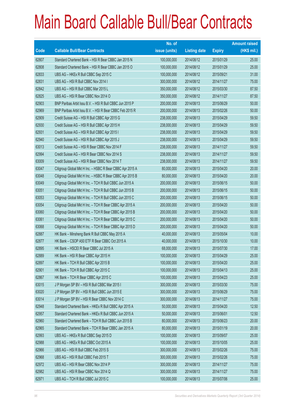|       |                                                           | No. of        |                     |               | <b>Amount raised</b> |
|-------|-----------------------------------------------------------|---------------|---------------------|---------------|----------------------|
| Code  | <b>Callable Bull/Bear Contracts</b>                       | issue (units) | <b>Listing date</b> | <b>Expiry</b> | (HK\$ mil.)          |
| 62807 | Standard Chartered Bank - HSI R Bear CBBC Jan 2015 N      | 100,000,000   | 2014/08/12          | 2015/01/29    | 25.00                |
| 62808 | Standard Chartered Bank - HSI R Bear CBBC Jan 2015 O      | 100,000,000   | 2014/08/12          | 2015/01/29    | 25.00                |
| 62833 | UBS AG - HKEx R Bull CBBC Sep 2015 C                      | 100,000,000   | 2014/08/12          | 2015/09/21    | 31.00                |
| 62831 | UBS AG - HSI R Bull CBBC Nov 2014 I                       | 300,000,000   | 2014/08/12          | 2014/11/27    | 75.00                |
| 62842 | UBS AG - HSI R Bull CBBC Mar 2015 L                       | 350,000,000   | 2014/08/12          | 2015/03/30    | 87.50                |
| 62825 | UBS AG - HSI R Bear CBBC Nov 2014 O                       | 350,000,000   | 2014/08/12          | 2014/11/27    | 87.50                |
| 62903 | BNP Paribas Arbit Issu B.V. - HSI R Bull CBBC Jun 2015 P  | 200,000,000   | 2014/08/13          | 2015/06/29    | 50.00                |
| 62969 | BNP Paribas Arbit Issu B.V. - HSI R Bear CBBC Feb 2015 R  | 200,000,000   | 2014/08/13          | 2015/02/26    | 50.00                |
| 62909 | Credit Suisse AG - HSI R Bull CBBC Apr 2015 G             | 238,000,000   | 2014/08/13          | 2015/04/29    | 59.50                |
| 62930 | Credit Suisse AG - HSI R Bull CBBC Apr 2015 H             | 238,000,000   | 2014/08/13          | 2015/04/29    | 59.50                |
| 62931 | Credit Suisse AG - HSI R Bull CBBC Apr 2015 I             | 238,000,000   | 2014/08/13          | 2015/04/29    | 59.50                |
| 62940 | Credit Suisse AG - HSI R Bull CBBC Apr 2015 J             | 238,000,000   | 2014/08/13          | 2015/04/29    | 59.50                |
| 63013 | Credit Suisse AG - HSI R Bear CBBC Nov 2014 F             | 238,000,000   | 2014/08/13          | 2014/11/27    | 59.50                |
| 62994 | Credit Suisse AG - HSI R Bear CBBC Nov 2014 S             | 238,000,000   | 2014/08/13          | 2014/11/27    | 59.50                |
| 63009 | Credit Suisse AG - HSI R Bear CBBC Nov 2014 T             | 238,000,000   | 2014/08/13          | 2014/11/27    | 59.50                |
| 63047 | Citigroup Global Mkt H Inc. - HSBC R Bear CBBC Apr 2015 A | 80,000,000    | 2014/08/13          | 2015/04/20    | 20.00                |
| 63048 | Citigroup Global Mkt H Inc. - HSBC R Bear CBBC Apr 2015 B | 80,000,000    | 2014/08/13          | 2015/04/20    | 20.00                |
| 63049 | Citigroup Global Mkt H Inc. - TCH R Bull CBBC Jun 2015 A  | 200,000,000   | 2014/08/13          | 2015/06/15    | 50.00                |
| 63051 | Citigroup Global Mkt H Inc. - TCH R Bull CBBC Jun 2015 B  | 200,000,000   | 2014/08/13          | 2015/06/15    | 50.00                |
| 63053 | Citigroup Global Mkt H Inc. - TCH R Bull CBBC Jun 2015 C  | 200,000,000   | 2014/08/13          | 2015/06/15    | 50.00                |
| 63054 | Citigroup Global Mkt H Inc. - TCH R Bear CBBC Apr 2015 A  | 200,000,000   | 2014/08/13          | 2015/04/20    | 50.00                |
| 63060 | Citigroup Global Mkt H Inc. - TCH R Bear CBBC Apr 2015 B  | 200,000,000   | 2014/08/13          | 2015/04/20    | 50.00                |
| 63061 | Citigroup Global Mkt H Inc. - TCH R Bear CBBC Apr 2015 C  | 200,000,000   | 2014/08/13          | 2015/04/20    | 50.00                |
| 63068 | Citigroup Global Mkt H Inc. - TCH R Bear CBBC Apr 2015 D  | 200,000,000   | 2014/08/13          | 2015/04/20    | 50.00                |
| 62887 | HK Bank - Minsheng Bank R Bull CBBC May 2015 A            | 40,000,000    | 2014/08/13          | 2015/05/04    | 10.00                |
| 62877 | HK Bank - CSOP A50 ETF R Bear CBBC Oct 2015 A             | 40,000,000    | 2014/08/13          | 2015/10/30    | 10.00                |
| 62895 | HK Bank - HSCEI R Bear CBBC Jul 2015 A                    | 68,000,000    | 2014/08/13          | 2015/07/30    | 17.00                |
| 62889 | HK Bank - HSI R Bear CBBC Apr 2015 H                      | 100,000,000   | 2014/08/13          | 2015/04/29    | 25.00                |
| 62897 | HK Bank - TCH R Bull CBBC Apr 2015 B                      | 100,000,000   | 2014/08/13          | 2015/04/20    | 25.00                |
| 62901 | HK Bank - TCH R Bull CBBC Apr 2015 C                      | 100,000,000   | 2014/08/13          | 2015/04/13    | 25.00                |
| 62867 | HK Bank - TCH R Bear CBBC Apr 2015 C                      | 100,000,000   | 2014/08/13          | 2015/04/23    | 25.00                |
| 63015 | J P Morgan SP BV - HSI R Bull CBBC Mar 2015 I             | 300,000,000   | 2014/08/13          | 2015/03/30    | 75.00                |
| 63020 | J P Morgan SP BV - HSI R Bull CBBC Jun 2015 E             | 300,000,000   | 2014/08/13          | 2015/06/29    | 75.00                |
| 63014 | J P Morgan SP BV - HSI R Bear CBBC Nov 2014 C             | 300,000,000   | 2014/08/13          | 2014/11/27    | 75.00                |
| 62948 | Standard Chartered Bank - HKEx R Bull CBBC Apr 2015 A     | 50,000,000    | 2014/08/13          | 2015/04/20    | 12.50                |
| 62957 | Standard Chartered Bank - HKEx R Bull CBBC Jun 2015 A     | 50,000,000    | 2014/08/13          | 2015/06/01    | 12.50                |
| 62960 | Standard Chartered Bank - TCH R Bull CBBC Jun 2015 B      | 80,000,000    | 2014/08/13          | 2015/06/23    | 20.00                |
| 62965 | Standard Chartered Bank - TCH R Bear CBBC Jan 2015 A      | 80,000,000    | 2014/08/13          | 2015/01/19    | 20.00                |
| 62993 | UBS AG - HKEx R Bull CBBC Sep 2015 D                      | 100,000,000   | 2014/08/13          | 2015/09/07    | 25.00                |
| 62988 | UBS AG - HKEx R Bull CBBC Oct 2015 A                      | 100,000,000   | 2014/08/13          | 2015/10/05    | 25.00                |
| 62966 | UBS AG - HSI R Bull CBBC Feb 2015 S                       | 300,000,000   | 2014/08/13          | 2015/02/26    | 75.00                |
| 62968 | UBS AG - HSI R Bull CBBC Feb 2015 T                       | 300,000,000   | 2014/08/13          | 2015/02/26    | 75.00                |
| 62972 | UBS AG - HSI R Bear CBBC Nov 2014 P                       | 300,000,000   | 2014/08/13          | 2014/11/27    | 75.00                |
| 62982 | UBS AG - HSI R Bear CBBC Nov 2014 Q                       | 300,000,000   | 2014/08/13          | 2014/11/27    | 75.00                |
| 62971 | UBS AG - TCH R Bull CBBC Jul 2015 C                       | 100,000,000   | 2014/08/13          | 2015/07/06    | 25.00                |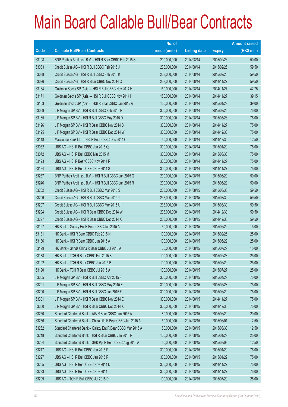|       |                                                             | No. of        |                     |               | <b>Amount raised</b> |
|-------|-------------------------------------------------------------|---------------|---------------------|---------------|----------------------|
| Code  | <b>Callable Bull/Bear Contracts</b>                         | issue (units) | <b>Listing date</b> | <b>Expiry</b> | $(HK$$ mil.)         |
| 63108 | BNP Paribas Arbit Issu B.V. - HSI R Bear CBBC Feb 2015 S    | 200,000,000   | 2014/08/14          | 2015/02/26    | 50.00                |
| 63083 | Credit Suisse AG - HSI R Bull CBBC Feb 2015 J               | 238,000,000   | 2014/08/14          | 2015/02/26    | 59.50                |
| 63088 | Credit Suisse AG - HSI R Bull CBBC Feb 2015 K               | 238,000,000   | 2014/08/14          | 2015/02/26    | 59.50                |
| 63096 | Credit Suisse AG - HSI R Bear CBBC Nov 2014 O               | 238,000,000   | 2014/08/14          | 2014/11/27    | 59.50                |
| 63164 | Goldman Sachs SP (Asia) - HSI R Bull CBBC Nov 2014 H        | 150,000,000   | 2014/08/14          | 2014/11/27    | 42.75                |
| 63171 | Goldman Sachs SP (Asia) - HSI R Bull CBBC Nov 2014 I        | 150,000,000   | 2014/08/14          | 2014/11/27    | 39.15                |
| 63153 | Goldman Sachs SP (Asia) - HSI R Bear CBBC Jan 2015 A        | 150,000,000   | 2014/08/14          | 2015/01/29    | 39.00                |
| 63069 | J P Morgan SP BV - HSI R Bull CBBC Feb 2015 R               | 300,000,000   | 2014/08/14          | 2015/02/26    | 75.00                |
| 63135 | J P Morgan SP BV - HSI R Bull CBBC May 2015 D               | 300,000,000   | 2014/08/14          | 2015/05/28    | 75.00                |
| 63126 | J P Morgan SP BV - HSI R Bear CBBC Nov 2014 B               | 300,000,000   | 2014/08/14          | 2014/11/27    | 75.00                |
| 63125 | J P Morgan SP BV - HSI R Bear CBBC Dec 2014 W               | 300,000,000   | 2014/08/14          | 2014/12/30    | 75.00                |
| 63118 | Macquarie Bank Ltd. - HSI R Bear CBBC Dec 2014 C            | 50,000,000    | 2014/08/14          | 2014/12/30    | 12.50                |
| 63082 | UBS AG - HSI R Bull CBBC Jan 2015 Q                         | 300,000,000   | 2014/08/14          | 2015/01/29    | 75.00                |
| 63072 | UBS AG - HSI R Bull CBBC Mar 2015 M                         | 300,000,000   | 2014/08/14          | 2015/03/30    | 75.00                |
| 63123 | UBS AG - HSI R Bear CBBC Nov 2014 R                         | 300,000,000   | 2014/08/14          | 2014/11/27    | 75.00                |
| 63124 | UBS AG - HSI R Bear CBBC Nov 2014 S                         | 300,000,000   | 2014/08/14          | 2014/11/27    | 75.00                |
| 63237 | BNP Paribas Arbit Issu B.V. - HSI R Bull CBBC Jun 2015 Q    | 200,000,000   | 2014/08/15          | 2015/06/29    | 50.00                |
| 63246 | BNP Paribas Arbit Issu B.V. - HSI R Bull CBBC Jun 2015 R    | 200,000,000   | 2014/08/15          | 2015/06/29    | 50.00                |
| 63202 | Credit Suisse AG - HSI R Bull CBBC Mar 2015 S               | 238,000,000   | 2014/08/15          | 2015/03/30    | 59.50                |
| 63206 | Credit Suisse AG - HSI R Bull CBBC Mar 2015 T               | 238,000,000   | 2014/08/15          | 2015/03/30    | 59.50                |
| 63207 | Credit Suisse AG - HSI R Bull CBBC Mar 2015 U               | 238,000,000   | 2014/08/15          | 2015/03/30    | 59.50                |
| 63294 | Credit Suisse AG - HSI R Bear CBBC Dec 2014 W               | 238,000,000   | 2014/08/15          | 2014/12/30    | 59.50                |
| 63297 | Credit Suisse AG - HSI R Bear CBBC Dec 2014 X               | 238,000,000   | 2014/08/15          | 2014/12/30    | 59.50                |
| 63197 | HK Bank - Galaxy Ent R Bear CBBC Jun 2015 A                 | 60,000,000    | 2014/08/15          | 2015/06/29    | 15.00                |
| 63181 | HK Bank - HSI R Bear CBBC Feb 2015 N                        | 100,000,000   | 2014/08/15          | 2015/02/26    | 25.00                |
| 63186 | HK Bank - HSI R Bear CBBC Jun 2015 A                        | 100,000,000   | 2014/08/15          | 2015/06/29    | 25.00                |
| 63199 | HK Bank - Sands China R Bear CBBC Jul 2015 A                | 60,000,000    | 2014/08/15          | 2015/07/29    | 15.00                |
| 63188 | HK Bank - TCH R Bear CBBC Feb 2015 B                        | 100,000,000   | 2014/08/15          | 2015/02/23    | 25.00                |
| 63192 | HK Bank - TCH R Bear CBBC Jun 2015 B                        | 100,000,000   | 2014/08/15          | 2015/06/29    | 25.00                |
| 63190 | HK Bank - TCH R Bear CBBC Jul 2015 A                        | 100,000,000   | 2014/08/15          | 2015/07/27    | 25.00                |
| 63305 | J P Morgan SP BV - HSI R Bull CBBC Apr 2015 F               | 300,000,000   | 2014/08/15          | 2015/04/29    | 75.00                |
| 63201 | J P Morgan SP BV - HSI R Bull CBBC May 2015 E               | 300,000,000   | 2014/08/15          | 2015/05/28    | 75.00                |
| 63200 | J P Morgan SP BV - HSI R Bull CBBC Jun 2015 F               | 300,000,000   | 2014/08/15          | 2015/06/29    | 75.00                |
| 63301 | J P Morgan SP BV - HSI R Bear CBBC Nov 2014 E               | 300,000,000   | 2014/08/15          | 2014/11/27    | 75.00                |
| 63300 | J P Morgan SP BV - HSI R Bear CBBC Dec 2014 X               | 300,000,000   | 2014/08/15          | 2014/12/30    | 75.00                |
| 63250 | Standard Chartered Bank - AIA R Bear CBBC Jun 2015 A        | 80,000,000    | 2014/08/15          | 2015/06/29    | 20.00                |
| 63256 | Standard Chartered Bank - China Life R Bear CBBC Jun 2015 A | 50,000,000    | 2014/08/15          | 2015/06/01    | 12.50                |
| 63262 | Standard Chartered Bank - Galaxy Ent R Bear CBBC Mar 2015 A | 50,000,000    | 2014/08/15          | 2015/03/30    | 12.50                |
| 63248 | Standard Chartered Bank - HSI R Bear CBBC Jan 2015 P        | 100,000,000   | 2014/08/15          | 2015/01/29    | 25.00                |
| 63254 | Standard Chartered Bank - SHK Ppt R Bear CBBC Aug 2015 A    | 50,000,000    | 2014/08/15          | 2015/08/03    | 12.50                |
| 63217 | UBS AG - HSI R Bull CBBC Jan 2015 P                         | 300,000,000   | 2014/08/15          | 2015/01/29    | 75.00                |
| 63227 | UBS AG - HSI R Bull CBBC Jan 2015 R                         | 300,000,000   | 2014/08/15          | 2015/01/29    | 75.00                |
| 63265 | UBS AG - HSI R Bear CBBC Nov 2014 D                         | 300,000,000   | 2014/08/15          | 2014/11/27    | 75.00                |
| 63293 | UBS AG - HSI R Bear CBBC Nov 2014 T                         | 300,000,000   | 2014/08/15          | 2014/11/27    | 75.00                |
| 63209 | UBS AG - TCH R Bull CBBC Jul 2015 D                         | 100,000,000   | 2014/08/15          | 2015/07/20    | 25.00                |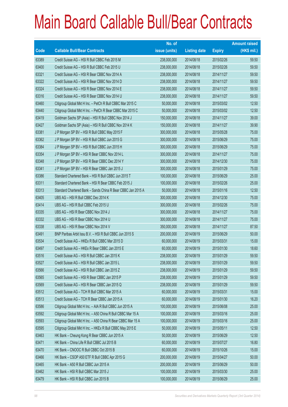|       |                                                              | No. of        |                     |               | <b>Amount raised</b> |
|-------|--------------------------------------------------------------|---------------|---------------------|---------------|----------------------|
| Code  | <b>Callable Bull/Bear Contracts</b>                          | issue (units) | <b>Listing date</b> | <b>Expiry</b> | (HK\$ mil.)          |
| 63389 | Credit Suisse AG - HSI R Bull CBBC Feb 2015 M                | 238,000,000   | 2014/08/18          | 2015/02/26    | 59.50                |
| 63400 | Credit Suisse AG - HSI R Bull CBBC Feb 2015 U                | 238,000,000   | 2014/08/18          | 2015/02/26    | 59.50                |
| 63321 | Credit Suisse AG - HSI R Bear CBBC Nov 2014 A                | 238,000,000   | 2014/08/18          | 2014/11/27    | 59.50                |
| 63322 | Credit Suisse AG - HSI R Bear CBBC Nov 2014 D                | 238,000,000   | 2014/08/18          | 2014/11/27    | 59.50                |
| 63324 | Credit Suisse AG - HSI R Bear CBBC Nov 2014 E                | 238,000,000   | 2014/08/18          | 2014/11/27    | 59.50                |
| 63316 | Credit Suisse AG - HSI R Bear CBBC Nov 2014 U                | 238,000,000   | 2014/08/18          | 2014/11/27    | 59.50                |
| 63460 | Citigroup Global Mkt H Inc. - PetCh R Bull CBBC Mar 2015 C   | 50,000,000    | 2014/08/18          | 2015/03/02    | 12.50                |
| 63440 | Citigroup Global Mkt H Inc. - PetCh R Bear CBBC Mar 2015 C   | 50,000,000    | 2014/08/18          | 2015/03/02    | 12.50                |
| 63419 | Goldman Sachs SP (Asia) - HSI R Bull CBBC Nov 2014 J         | 150,000,000   | 2014/08/18          | 2014/11/27    | 39.00                |
| 63427 | Goldman Sachs SP (Asia) - HSI R Bull CBBC Nov 2014 K         | 150,000,000   | 2014/08/18          | 2014/11/27    | 39.90                |
| 63381 | J P Morgan SP BV - HSI R Bull CBBC May 2015 F                | 300,000,000   | 2014/08/18          | 2015/05/28    | 75.00                |
| 63362 | J P Morgan SP BV - HSI R Bull CBBC Jun 2015 G                | 300,000,000   | 2014/08/18          | 2015/06/29    | 75.00                |
| 63384 | J P Morgan SP BV - HSI R Bull CBBC Jun 2015 H                | 300,000,000   | 2014/08/18          | 2015/06/29    | 75.00                |
| 63354 | J P Morgan SP BV - HSI R Bear CBBC Nov 2014 L                | 300,000,000   | 2014/08/18          | 2014/11/27    | 75.00                |
| 63348 | JP Morgan SP BV - HSI R Bear CBBC Dec 2014 Y                 | 300,000,000   | 2014/08/18          | 2014/12/30    | 75.00                |
| 63341 | J P Morgan SP BV - HSI R Bear CBBC Jan 2015 J                | 300,000,000   | 2014/08/18          | 2015/01/29    | 75.00                |
| 63386 | Standard Chartered Bank - HSI R Bull CBBC Jun 2015 T         | 100,000,000   | 2014/08/18          | 2015/06/29    | 25.00                |
| 63311 | Standard Chartered Bank - HSI R Bear CBBC Feb 2015 J         | 100,000,000   | 2014/08/18          | 2015/02/26    | 25.00                |
| 63313 | Standard Chartered Bank - Sands China R Bear CBBC Jan 2015 A | 50,000,000    | 2014/08/18          | 2015/01/16    | 12.50                |
| 63405 | UBS AG - HSI R Bull CBBC Dec 2014 K                          | 300,000,000   | 2014/08/18          | 2014/12/30    | 75.00                |
| 63414 | UBS AG - HSI R Bull CBBC Feb 2015 U                          | 300,000,000   | 2014/08/18          | 2015/02/26    | 75.00                |
| 63335 | UBS AG - HSI R Bear CBBC Nov 2014 J                          | 300,000,000   | 2014/08/18          | 2014/11/27    | 75.00                |
| 63332 | UBS AG - HSI R Bear CBBC Nov 2014 U                          | 300,000,000   | 2014/08/18          | 2014/11/27    | 75.00                |
| 63338 | UBS AG - HSI R Bear CBBC Nov 2014 V                          | 350,000,000   | 2014/08/18          | 2014/11/27    | 87.50                |
| 63491 | BNP Paribas Arbit Issu B.V. - HSI R Bull CBBC Jun 2015 S     | 200,000,000   | 2014/08/19          | 2015/06/29    | 50.00                |
| 63534 | Credit Suisse AG - HKEx R Bull CBBC Mar 2015 D               | 60,000,000    | 2014/08/19          | 2015/03/31    | 15.00                |
| 63497 | Credit Suisse AG - HKEx R Bear CBBC Jan 2015 E               | 60,000,000    | 2014/08/19          | 2015/01/30    | 18.60                |
| 63516 | Credit Suisse AG - HSI R Bull CBBC Jan 2015 K                | 238,000,000   | 2014/08/19          | 2015/01/29    | 59.50                |
| 63527 | Credit Suisse AG - HSI R Bull CBBC Jan 2015 L                | 238,000,000   | 2014/08/19          | 2015/01/29    | 59.50                |
| 63566 | Credit Suisse AG - HSI R Bull CBBC Jan 2015 Z                | 238,000,000   | 2014/08/19          | 2015/01/29    | 59.50                |
| 63565 | Credit Suisse AG - HSI R Bear CBBC Jan 2015 P                | 238,000,000   | 2014/08/19          | 2015/01/29    | 59.50                |
| 63569 | Credit Suisse AG - HSI R Bear CBBC Jan 2015 Q                | 238,000,000   | 2014/08/19          | 2015/01/29    | 59.50                |
| 63512 | Credit Suisse AG - TCH R Bull CBBC Mar 2015 A                | 60,000,000    | 2014/08/19          | 2015/03/31    | 15.00                |
| 63513 | Credit Suisse AG - TCH R Bear CBBC Jan 2015 A                | 60,000,000    | 2014/08/19          | 2015/01/30    | 16.20                |
| 63586 | Citigroup Global Mkt H Inc. - AIA R Bull CBBC Jun 2015 A     | 100,000,000   | 2014/08/19          | 2015/06/08    | 25.00                |
| 63592 | Citigroup Global Mkt H Inc. - A50 China R Bull CBBC Mar 15 A | 100,000,000   | 2014/08/19          | 2015/03/16    | 25.00                |
| 63593 | Citigroup Global Mkt H Inc. - A50 China R Bear CBBC Mar 15 A | 100,000,000   | 2014/08/19          | 2015/03/16    | 25.00                |
| 63595 | Citigroup Global Mkt H Inc. - HKEx R Bull CBBC May 2015 E    | 50,000,000    | 2014/08/19          | 2015/05/11    | 12.50                |
| 63463 | HK Bank - Cheung Kong R Bear CBBC Jun 2015 A                 | 50,000,000    | 2014/08/19          | 2015/06/29    | 12.50                |
| 63471 | HK Bank - China Life R Bull CBBC Jul 2015 B                  | 60,000,000    | 2014/08/19          | 2015/07/27    | 16.80                |
| 63470 | HK Bank - CNOOC R Bull CBBC Oct 2015 B                       | 60,000,000    | 2014/08/19          | 2015/10/26    | 15.00                |
| 63466 | HK Bank - CSOP A50 ETF R Bull CBBC Apr 2015 G                | 200,000,000   | 2014/08/19          | 2015/04/27    | 50.00                |
| 63465 | HK Bank - A50 R Bull CBBC Jun 2015 A                         | 200,000,000   | 2014/08/19          | 2015/06/29    | 50.00                |
| 63462 | HK Bank - HSI R Bull CBBC Mar 2015 J                         | 100,000,000   | 2014/08/19          | 2015/03/30    | 25.00                |
| 63479 | HK Bank - HSI R Bull CBBC Jun 2015 B                         | 100,000,000   | 2014/08/19          | 2015/06/29    | 25.00                |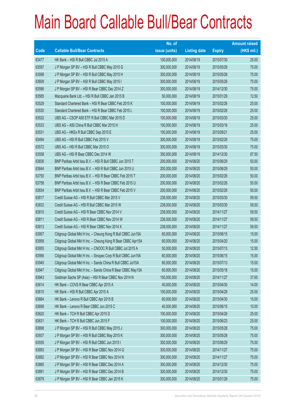|       |                                                               | No. of        |                     |               | <b>Amount raised</b> |
|-------|---------------------------------------------------------------|---------------|---------------------|---------------|----------------------|
| Code  | <b>Callable Bull/Bear Contracts</b>                           | issue (units) | <b>Listing date</b> | <b>Expiry</b> | (HK\$ mil.)          |
| 63477 | HK Bank - HSI R Bull CBBC Jul 2015 A                          | 100,000,000   | 2014/08/19          | 2015/07/30    | 25.00                |
| 63597 | J P Morgan SP BV - HSI R Bull CBBC May 2015 G                 | 300,000,000   | 2014/08/19          | 2015/05/28    | 75.00                |
| 63598 | J P Morgan SP BV - HSI R Bull CBBC May 2015 H                 | 300,000,000   | 2014/08/19          | 2015/05/28    | 75.00                |
| 63609 | J P Morgan SP BV - HSI R Bull CBBC May 2015 I                 | 300,000,000   | 2014/08/19          | 2015/05/28    | 75.00                |
| 63596 | J P Morgan SP BV - HSI R Bear CBBC Dec 2014 Z                 | 300,000,000   | 2014/08/19          | 2014/12/30    | 75.00                |
| 63585 | Macquarie Bank Ltd. - HSI R Bull CBBC Jan 2015 B              | 50,000,000    | 2014/08/19          | 2015/01/29    | 12.50                |
| 63529 | Standard Chartered Bank - HSI R Bear CBBC Feb 2015 K          | 100,000,000   | 2014/08/19          | 2015/02/26    | 25.00                |
| 63530 | Standard Chartered Bank - HSI R Bear CBBC Feb 2015 L          | 100,000,000   | 2014/08/19          | 2015/02/26    | 25.00                |
| 63532 | UBS AG - CSOP A50 ETF R Bull CBBC Mar 2015 D                  | 100,000,000   | 2014/08/19          | 2015/03/30    | 25.00                |
| 63533 | UBS AG - A50 China R Bull CBBC Mar 2015 H                     | 100,000,000   | 2014/08/19          | 2015/03/16    | 25.00                |
| 63531 | UBS AG - HKEx R Bull CBBC Sep 2015 E                          | 100,000,000   | 2014/08/19          | 2015/09/21    | 25.00                |
| 63494 | UBS AG - HSI R Bull CBBC Feb 2015 V                           | 300,000,000   | 2014/08/19          | 2015/02/26    | 75.00                |
| 63572 | UBS AG - HSI R Bull CBBC Mar 2015 O                           | 300,000,000   | 2014/08/19          | 2015/03/30    | 75.00                |
| 63558 | UBS AG - HSI R Bear CBBC Dec 2014 W                           | 350,000,000   | 2014/08/19          | 2014/12/30    | 87.50                |
| 63836 | BNP Paribas Arbit Issu B.V. - HSI R Bull CBBC Jun 2015 T      | 200,000,000   | 2014/08/20          | 2015/06/29    | 50.00                |
| 63844 | BNP Paribas Arbit Issu B.V. - HSI R Bull CBBC Jun 2015 U      | 200,000,000   | 2014/08/20          | 2015/06/29    | 50.00                |
| 63750 | BNP Paribas Arbit Issu B.V. - HSI R Bear CBBC Feb 2015 T      | 200,000,000   | 2014/08/20          | 2015/02/26    | 50.00                |
| 63758 | BNP Paribas Arbit Issu B.V. - HSI R Bear CBBC Feb 2015 U      | 200,000,000   | 2014/08/20          | 2015/02/26    | 50.00                |
| 63834 | BNP Paribas Arbit Issu B.V. - HSI R Bear CBBC Feb 2015 V      | 200,000,000   | 2014/08/20          | 2015/02/26    | 50.00                |
| 63817 | Credit Suisse AG - HSI R Bull CBBC Mar 2015 V                 | 238,000,000   | 2014/08/20          | 2015/03/30    | 59.50                |
| 63832 | Credit Suisse AG - HSI R Bull CBBC Mar 2015 W                 | 238,000,000   | 2014/08/20          | 2015/03/30    | 59.50                |
| 63810 | Credit Suisse AG - HSI R Bear CBBC Nov 2014 V                 | 238,000,000   | 2014/08/20          | 2014/11/27    | 59.50                |
| 63811 | Credit Suisse AG - HSI R Bear CBBC Nov 2014 W                 | 238,000,000   | 2014/08/20          | 2014/11/27    | 59.50                |
| 63813 | Credit Suisse AG - HSI R Bear CBBC Nov 2014 X                 | 238,000,000   | 2014/08/20          | 2014/11/27    | 59.50                |
| 63957 | Citigroup Global Mkt H Inc. - Cheung Kong R Bull CBBC Jun15A  | 60,000,000    | 2014/08/20          | 2015/06/15    | 15.00                |
| 63958 | Citigroup Global Mkt H Inc. - Cheung Kong R Bear CBBC Apr15A  | 60,000,000    | 2014/08/20          | 2015/04/20    | 15.00                |
| 63955 | Citigroup Global Mkt H Inc. - CNOOC R Bull CBBC Jul 2015 A    | 50,000,000    | 2014/08/20          | 2015/07/13    | 12.50                |
| 63956 | Citigroup Global Mkt H Inc. - Sinopec Corp R Bull CBBC Jun15A | 60,000,000    | 2014/08/20          | 2015/06/15    | 15.00                |
| 63945 | Citigroup Global Mkt H Inc. - Sands China R Bull CBBC Jul15A  | 60,000,000    | 2014/08/20          | 2015/07/13    | 15.00                |
| 63947 | Citigroup Global Mkt H Inc. - Sands China R Bear CBBC May15A  | 60,000,000    | 2014/08/20          | 2015/05/18    | 15.00                |
| 63943 | Goldman Sachs SP (Asia) - HSI R Bear CBBC Nov 2014 N          | 150,000,000   | 2014/08/20          | 2014/11/27    | 37.65                |
| 63614 | HK Bank - COVS R Bear CBBC Apr 2015 A                         | 40,000,000    | 2014/08/20          | 2015/04/30    | 14.00                |
| 63610 | HK Bank - HSI R Bull CBBC Apr 2015 A                          | 100,000,000   | 2014/08/20          | 2015/04/29    | 25.00                |
| 63664 | HK Bank - Lenovo R Bull CBBC Apr 2015 B                       | 60,000,000    | 2014/08/20          | 2015/04/30    | 15.00                |
| 63688 | HK Bank - Lenovo R Bear CBBC Jun 2015 C                       | 40,000,000    | 2014/08/20          | 2015/06/15    | 10.00                |
| 63620 | HK Bank - TCH R Bull CBBC Apr 2015 D                          | 100,000,000   | 2014/08/20          | 2015/04/28    | 25.00                |
| 63631 | HK Bank - TCH R Bull CBBC Jun 2015 F                          | 100,000,000   | 2014/08/20          | 2015/06/23    | 25.00                |
| 63898 | J P Morgan SP BV - HSI R Bull CBBC May 2015 J                 | 300,000,000   | 2014/08/20          | 2015/05/28    | 75.00                |
| 63937 | J P Morgan SP BV - HSI R Bull CBBC May 2015 K                 | 300,000,000   | 2014/08/20          | 2015/05/28    | 75.00                |
| 63935 | J P Morgan SP BV - HSI R Bull CBBC Jun 2015 I                 | 300,000,000   | 2014/08/20          | 2015/06/29    | 75.00                |
| 63893 | J P Morgan SP BV - HSI R Bear CBBC Nov 2014 G                 | 300,000,000   | 2014/08/20          | 2014/11/27    | 75.00                |
| 63892 | J P Morgan SP BV - HSI R Bear CBBC Nov 2014 N                 | 300,000,000   | 2014/08/20          | 2014/11/27    | 75.00                |
| 63885 | J P Morgan SP BV - HSI R Bear CBBC Dec 2014 A                 | 300,000,000   | 2014/08/20          | 2014/12/30    | 75.00                |
| 63891 | J P Morgan SP BV - HSI R Bear CBBC Dec 2014 B                 | 300,000,000   | 2014/08/20          | 2014/12/30    | 75.00                |
| 63879 | J P Morgan SP BV - HSI R Bear CBBC Jan 2015 K                 | 300,000,000   | 2014/08/20          | 2015/01/29    | 75.00                |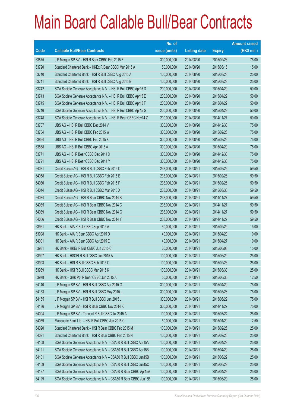|       |                                                                | No. of        |                     |               | <b>Amount raised</b> |
|-------|----------------------------------------------------------------|---------------|---------------------|---------------|----------------------|
| Code  | <b>Callable Bull/Bear Contracts</b>                            | issue (units) | <b>Listing date</b> | <b>Expiry</b> | (HK\$ mil.)          |
| 63875 | J P Morgan SP BV - HSI R Bear CBBC Feb 2015 E                  | 300,000,000   | 2014/08/20          | 2015/02/26    | 75.00                |
| 63720 | Standard Chartered Bank - HKEx R Bear CBBC Mar 2015 A          | 50,000,000    | 2014/08/20          | 2015/03/16    | 15.00                |
| 63740 | Standard Chartered Bank - HSI R Bull CBBC Aug 2015 A           | 100,000,000   | 2014/08/20          | 2015/08/28    | 25.00                |
| 63741 | Standard Chartered Bank - HSI R Bull CBBC Aug 2015 B           | 100,000,000   | 2014/08/20          | 2015/08/28    | 25.00                |
| 63742 | SGA Societe Generale Acceptance N.V. - HSI R Bull CBBC Apr15 D | 200,000,000   | 2014/08/20          | 2015/04/29    | 50.00                |
| 63743 | SGA Societe Generale Acceptance N.V. - HSI R Bull CBBC Apr15 E | 200,000,000   | 2014/08/20          | 2015/04/29    | 50.00                |
| 63745 | SGA Societe Generale Acceptance N.V. - HSI R Bull CBBC Apr15 F | 200,000,000   | 2014/08/20          | 2015/04/29    | 50.00                |
| 63746 | SGA Societe Generale Acceptance N.V. - HSI R Bull CBBC Apr15 G | 200,000,000   | 2014/08/20          | 2015/04/29    | 50.00                |
| 63748 | SGA Societe Generale Acceptance N.V. - HSI R Bear CBBC Nov14 Z | 200,000,000   | 2014/08/20          | 2014/11/27    | 50.00                |
| 63707 | UBS AG - HSI R Bull CBBC Dec 2014 V                            | 300,000,000   | 2014/08/20          | 2014/12/30    | 75.00                |
| 63704 | UBS AG - HSI R Bull CBBC Feb 2015 W                            | 300,000,000   | 2014/08/20          | 2015/02/26    | 75.00                |
| 63864 | UBS AG - HSI R Bull CBBC Feb 2015 X                            | 300,000,000   | 2014/08/20          | 2015/02/26    | 75.00                |
| 63868 | UBS AG - HSI R Bull CBBC Apr 2015 A                            | 300,000,000   | 2014/08/20          | 2015/04/29    | 75.00                |
| 63771 | UBS AG - HSI R Bear CBBC Dec 2014 X                            | 300,000,000   | 2014/08/20          | 2014/12/30    | 75.00                |
| 63791 | UBS AG - HSI R Bear CBBC Dec 2014 Y                            | 300,000,000   | 2014/08/20          | 2014/12/30    | 75.00                |
| 64081 | Credit Suisse AG - HSI R Bull CBBC Feb 2015 D                  | 238,000,000   | 2014/08/21          | 2015/02/26    | 59.50                |
| 64058 | Credit Suisse AG - HSI R Bull CBBC Feb 2015 E                  | 238,000,000   | 2014/08/21          | 2015/02/26    | 59.50                |
| 64080 | Credit Suisse AG - HSI R Bull CBBC Feb 2015 F                  | 238,000,000   | 2014/08/21          | 2015/02/26    | 59.50                |
| 64044 | Credit Suisse AG - HSI R Bull CBBC Mar 2015 X                  | 238,000,000   | 2014/08/21          | 2015/03/30    | 59.50                |
| 64084 | Credit Suisse AG - HSI R Bear CBBC Nov 2014 B                  | 238,000,000   | 2014/08/21          | 2014/11/27    | 59.50                |
| 64085 | Credit Suisse AG - HSI R Bear CBBC Nov 2014 C                  | 238,000,000   | 2014/08/21          | 2014/11/27    | 59.50                |
| 64089 | Credit Suisse AG - HSI R Bear CBBC Nov 2014 G                  | 238,000,000   | 2014/08/21          | 2014/11/27    | 59.50                |
| 64056 | Credit Suisse AG - HSI R Bear CBBC Nov 2014 Y                  | 238,000,000   | 2014/08/21          | 2014/11/27    | 59.50                |
| 63961 | HK Bank - AIA R Bull CBBC Sep 2015 A                           | 60,000,000    | 2014/08/21          | 2015/09/29    | 15.00                |
| 63998 | HK Bank - AIA R Bear CBBC Apr 2015 D                           | 40,000,000    | 2014/08/21          | 2015/04/20    | 10.00                |
| 64001 | HK Bank - AIA R Bear CBBC Apr 2015 E                           | 40,000,000    | 2014/08/21          | 2015/04/27    | 10.00                |
| 63981 | HK Bank - HKEx R Bull CBBC Jun 2015 C                          | 60,000,000    | 2014/08/21          | 2015/06/08    | 15.00                |
| 63997 | HK Bank - HSCEI R Bull CBBC Jun 2015 A                         | 100,000,000   | 2014/08/21          | 2015/06/29    | 25.00                |
| 63993 | HK Bank - HSI R Bull CBBC Feb 2015 O                           | 100,000,000   | 2014/08/21          | 2015/02/26    | 25.00                |
| 63989 | HK Bank - HSI R Bull CBBC Mar 2015 K                           | 100,000,000   | 2014/08/21          | 2015/03/30    | 25.00                |
| 63978 | HK Bank - SHK Ppt R Bear CBBC Jun 2015 A                       | 50,000,000    | 2014/08/21          | 2015/06/30    | 12.50                |
| 64140 | J P Morgan SP BV - HSI R Bull CBBC Apr 2015 G                  | 300,000,000   | 2014/08/21          | 2015/04/29    | 75.00                |
| 64153 | J P Morgan SP BV - HSI R Bull CBBC May 2015 L                  | 300,000,000   | 2014/08/21          | 2015/05/28    | 75.00                |
| 64155 | J P Morgan SP BV - HSI R Bull CBBC Jun 2015 J                  | 300,000,000   | 2014/08/21          | 2015/06/29    | 75.00                |
| 64136 | J P Morgan SP BV - HSI R Bear CBBC Nov 2014 K                  | 300,000,000   | 2014/08/21          | 2014/11/27    | 75.00                |
| 64004 | J P Morgan SP BV - Tencent R Bull CBBC Jul 2015 A              | 100,000,000   | 2014/08/21          | 2015/07/24    | 25.00                |
| 64059 | Macquarie Bank Ltd. - HSI R Bull CBBC Jan 2015 C               | 50,000,000    | 2014/08/21          | 2015/01/29    | 12.50                |
| 64020 | Standard Chartered Bank - HSI R Bear CBBC Feb 2015 M           | 100,000,000   | 2014/08/21          | 2015/02/26    | 25.00                |
| 64021 | Standard Chartered Bank - HSI R Bear CBBC Feb 2015 N           | 100,000,000   | 2014/08/21          | 2015/02/26    | 25.00                |
| 64108 | SGA Societe Generale Acceptance N.V - CSA50 R Bull CBBC Apr15A | 100,000,000   | 2014/08/21          | 2015/04/29    | 25.00                |
| 64121 | SGA Societe Generale Acceptance N.V - CSA50 R Bull CBBC Apr15B | 100,000,000   | 2014/08/21          | 2015/04/29    | 25.00                |
| 64101 | SGA Societe Generale Acceptance N.V - CSA50 R Bull CBBC Jun15B | 100,000,000   | 2014/08/21          | 2015/06/29    | 25.00                |
| 64109 | SGA Societe Generale Acceptance N.V - CSA50 R Bull CBBC Jun15C | 100,000,000   | 2014/08/21          | 2015/06/29    | 25.00                |
| 64127 | SGA Societe Generale Acceptance N.V - CSA50 R Bear CBBC Apr15A | 100,000,000   | 2014/08/21          | 2015/04/29    | 25.00                |
| 64129 | SGA Societe Generale Acceptance N.V - CSA50 R Bear CBBC Jun15B | 100,000,000   | 2014/08/21          | 2015/06/29    | 25.00                |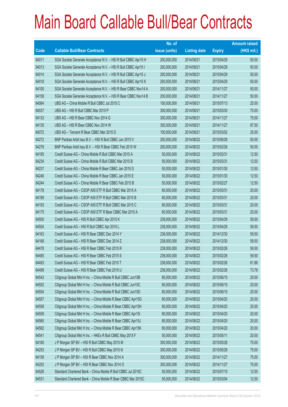|       |                                                                | No. of        |                     |               | <b>Amount raised</b> |
|-------|----------------------------------------------------------------|---------------|---------------------|---------------|----------------------|
| Code  | <b>Callable Bull/Bear Contracts</b>                            | issue (units) | <b>Listing date</b> | <b>Expiry</b> | (HK\$ mil.)          |
| 64011 | SGA Societe Generale Acceptance N.V. - HSI R Bull CBBC Apr15 H | 200,000,000   | 2014/08/21          | 2015/04/29    | 50.00                |
| 64013 | SGA Societe Generale Acceptance N.V. - HSI R Bull CBBC Apr15 I | 200,000,000   | 2014/08/21          | 2015/04/29    | 50.00                |
| 64014 | SGA Societe Generale Acceptance N.V. - HSI R Bull CBBC Apr15 J | 200,000,000   | 2014/08/21          | 2015/04/29    | 50.00                |
| 64018 | SGA Societe Generale Acceptance N.V. - HSI R Bull CBBC Apr15 K | 200,000,000   | 2014/08/21          | 2015/04/29    | 50.00                |
| 64100 | SGA Societe Generale Acceptance N.V. - HSI R Bear CBBC Nov14 A | 200,000,000   | 2014/08/21          | 2014/11/27    | 50.00                |
| 64158 | SGA Societe Generale Acceptance N.V. - HSI R Bear CBBC Nov14 B | 200,000,000   | 2014/08/21          | 2014/11/27    | 50.00                |
| 64064 | UBS AG - China Mobile R Bull CBBC Jul 2015 C                   | 100,000,000   | 2014/08/21          | 2015/07/13    | 25.00                |
| 64037 | UBS AG - HSI R Bull CBBC Mar 2015 P                            | 300,000,000   | 2014/08/21          | 2015/03/30    | 75.00                |
| 64133 | UBS AG - HSI R Bear CBBC Nov 2014 G                            | 300,000,000   | 2014/08/21          | 2014/11/27    | 75.00                |
| 64135 | UBS AG - HSI R Bear CBBC Nov 2014 W                            | 350,000,000   | 2014/08/21          | 2014/11/27    | 87.50                |
| 64072 | UBS AG - Tencent R Bear CBBC Mar 2015 D                        | 100,000,000   | 2014/08/21          | 2015/03/02    | 25.00                |
| 64272 | BNP Paribas Arbit Issu B.V. - HSI R Bull CBBC Jun 2015 V       | 200,000,000   | 2014/08/22          | 2015/06/29    | 50.00                |
| 64279 | BNP Paribas Arbit Issu B.V. - HSI R Bear CBBC Feb 2015 W       | 200,000,000   | 2014/08/22          | 2015/02/26    | 50.00                |
| 64195 | Credit Suisse AG - China Mobile R Bull CBBC Mar 2015 A         | 50,000,000    | 2014/08/22          | 2015/03/31    | 12.50                |
| 64234 | Credit Suisse AG - China Mobile R Bull CBBC Mar 2015 B         | 50,000,000    | 2014/08/22          | 2015/03/31    | 12.50                |
| 64237 | Credit Suisse AG - China Mobile R Bear CBBC Jan 2015 D         | 50,000,000    | 2014/08/22          | 2015/01/30    | 12.50                |
| 64246 | Credit Suisse AG - China Mobile R Bear CBBC Jan 2015 E         | 50,000,000    | 2014/08/22          | 2015/01/30    | 12.50                |
| 64244 | Credit Suisse AG - China Mobile R Bear CBBC Feb 2015 B         | 50,000,000    | 2014/08/22          | 2015/02/27    | 12.50                |
| 64178 | Credit Suisse AG - CSOP A50 ETF R Bull CBBC Mar 2015 A         | 80,000,000    | 2014/08/22          | 2015/03/31    | 20.00                |
| 64189 | Credit Suisse AG - CSOP A50 ETF R Bull CBBC Mar 2015 B         | 80,000,000    | 2014/08/22          | 2015/03/31    | 20.00                |
| 64193 | Credit Suisse AG - CSOP A50 ETF R Bull CBBC Mar 2015 C         | 80,000,000    | 2014/08/22          | 2015/03/31    | 20.00                |
| 64175 | Credit Suisse AG - CSOP A50 ETF R Bear CBBC Mar 2015 A         | 80,000,000    | 2014/08/22          | 2015/03/31    | 20.00                |
| 64500 | Credit Suisse AG - HSI R Bull CBBC Apr 2015 K                  | 238,000,000   | 2014/08/22          | 2015/04/29    | 59.50                |
| 64504 | Credit Suisse AG - HSI R Bull CBBC Apr 2015 L                  | 238,000,000   | 2014/08/22          | 2015/04/29    | 59.50                |
| 64163 | Credit Suisse AG - HSI R Bear CBBC Dec 2014 Y                  | 238,000,000   | 2014/08/22          | 2014/12/30    | 59.50                |
| 64168 | Credit Suisse AG - HSI R Bear CBBC Dec 2014 Z                  | 238,000,000   | 2014/08/22          | 2014/12/30    | 59.50                |
| 64478 | Credit Suisse AG - HSI R Bear CBBC Feb 2015 R                  | 238,000,000   | 2014/08/22          | 2015/02/26    | 59.50                |
| 64485 | Credit Suisse AG - HSI R Bear CBBC Feb 2015 S                  | 238,000,000   | 2014/08/22          | 2015/02/26    | 59.50                |
| 64493 | Credit Suisse AG - HSI R Bear CBBC Feb 2015 T                  | 238,000,000   | 2014/08/22          | 2015/02/26    | 61.88                |
| 64499 | Credit Suisse AG - HSI R Bear CBBC Feb 2015 U                  | 238,000,000   | 2014/08/22          | 2015/02/26    | 73.78                |
| 64543 | Citigroup Global Mkt H Inc. - China Mobile R Bull CBBC Jun15B  | 80,000,000    | 2014/08/22          | 2015/06/15    | 20.00                |
| 64552 | Citigroup Global Mkt H Inc. - China Mobile R Bull CBBC Jun15C  | 80,000,000    | 2014/08/22          | 2015/06/15    | 20.00                |
| 64554 | Citigroup Global Mkt H Inc. - China Mobile R Bull CBBC Jun15D  | 80,000,000    | 2014/08/22          | 2015/06/15    | 20.00                |
| 64557 | Citigroup Global Mkt H Inc. - China Mobile R Bear CBBC Apr15G  | 80,000,000    | 2014/08/22          | 2015/04/20    | 20.00                |
| 64558 | Citigroup Global Mkt H Inc. - China Mobile R Bear CBBC Apr15H  | 80,000,000    | 2014/08/22          | 2015/04/20    | 20.00                |
| 64559 | Citigroup Global Mkt H Inc. - China Mobile R Bear CBBC Apr15I  | 80,000,000    | 2014/08/22          | 2015/04/20    | 20.00                |
| 64560 | Citigroup Global Mkt H Inc. - China Mobile R Bear CBBC Apr15J  | 80,000,000    | 2014/08/22          | 2015/04/20    | 20.00                |
| 64562 | Citigroup Global Mkt H Inc. - China Mobile R Bear CBBC Apr15K  | 80,000,000    | 2014/08/22          | 2015/04/20    | 20.00                |
| 64541 | Citigroup Global Mkt H Inc. - HKEx R Bull CBBC May 2015 F      | 50,000,000    | 2014/08/22          | 2015/05/11    | 20.00                |
| 64160 | J P Morgan SP BV - HSI R Bull CBBC May 2015 M                  | 300,000,000   | 2014/08/22          | 2015/05/28    | 75.00                |
| 64253 | J P Morgan SP BV - HSI R Bull CBBC May 2015 N                  | 300,000,000   | 2014/08/22          | 2015/05/28    | 75.00                |
| 64159 | J P Morgan SP BV - HSI R Bear CBBC Nov 2014 A                  | 300,000,000   | 2014/08/22          | 2014/11/27    | 75.00                |
| 64252 | J P Morgan SP BV - HSI R Bear CBBC Nov 2014 O                  | 300,000,000   | 2014/08/22          | 2014/11/27    | 75.00                |
| 64526 | Standard Chartered Bank - China Mobile R Bull CBBC Jul 2015C   | 50,000,000    | 2014/08/22          | 2015/07/15    | 12.50                |
| 64531 | Standard Chartered Bank - China Mobile R Bear CBBC Mar 2015C   | 50,000,000    | 2014/08/22          | 2015/03/04    | 12.50                |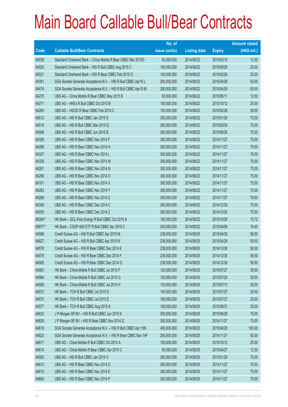|        |                                                                | No. of        |                     |               | <b>Amount raised</b> |
|--------|----------------------------------------------------------------|---------------|---------------------|---------------|----------------------|
| Code   | <b>Callable Bull/Bear Contracts</b>                            | issue (units) | <b>Listing date</b> | <b>Expiry</b> | (HK\$ mil.)          |
| 64539  | Standard Chartered Bank - China Mobile R Bear CBBC Mar 2015D   | 50,000,000    | 2014/08/22          | 2015/03/10    | 12.50                |
| 64525  | Standard Chartered Bank - HSI R Bull CBBC Aug 2015 C           | 100,000,000   | 2014/08/22          | 2015/08/28    | 25.00                |
| 64521  | Standard Chartered Bank - HSI R Bear CBBC Feb 2015 O           | 100,000,000   | 2014/08/22          | 2015/02/26    | 25.00                |
| 64351  | SGA Societe Generale Acceptance N.V. - HSI R Bull CBBC Apr15 L | 200,000,000   | 2014/08/22          | 2015/04/29    | 50.00                |
| 64474  | SGA Societe Generale Acceptance N.V. - HSI R Bull CBBC Apr15 M | 200,000,000   | 2014/08/22          | 2015/04/29    | 50.00                |
| 64270  | UBS AG - China Mobile R Bear CBBC May 2015 B                   | 50,000,000    | 2014/08/22          | 2015/05/11    | 12.50                |
| 64271  | UBS AG - HKEx R Bull CBBC Oct 2015 B                           | 100,000,000   | 2014/08/22          | 2015/10/12    | 25.00                |
| 64265  | UBS AG - HSCEIR Bear CBBC Feb 2015 C                           | 100,000,000   | 2014/08/22          | 2015/02/26    | 26.00                |
| 64512  | UBS AG - HSI R Bull CBBC Jan 2015 S                            | 300,000,000   | 2014/08/22          | 2015/01/29    | 75.00                |
| 64519  | UBS AG - HSI R Bull CBBC Mar 2015 Q                            | 300,000,000   | 2014/08/22          | 2015/03/30    | 75.00                |
| 64508  | UBS AG - HSI R Bull CBBC Jun 2015 B                            | 300,000,000   | 2014/08/22          | 2015/06/29    | 75.00                |
| 64326  | UBS AG - HSI R Bear CBBC Nov 2014 F                            | 300,000,000   | 2014/08/22          | 2014/11/27    | 75.00                |
| 64296  | UBS AG - HSI R Bear CBBC Nov 2014 H                            | 300,000,000   | 2014/08/22          | 2014/11/27    | 75.00                |
| 64337  | UBS AG - HSI R Bear CBBC Nov 2014 L                            | 300,000,000   | 2014/08/22          | 2014/11/27    | 75.00                |
| 64338  | UBS AG - HSI R Bear CBBC Nov 2014 M                            | 300,000,000   | 2014/08/22          | 2014/11/27    | 75.00                |
| 64261  | UBS AG - HSI R Bear CBBC Nov 2014 N                            | 300,000,000   | 2014/08/22          | 2014/11/27    | 75.00                |
| 64298  | UBS AG - HSI R Bear CBBC Nov 2014 O                            | 300,000,000   | 2014/08/22          | 2014/11/27    | 75.00                |
| 64161  | UBS AG - HSI R Bear CBBC Nov 2014 X                            | 300,000,000   | 2014/08/22          | 2014/11/27    | 75.00                |
| 64263  | UBS AG - HSI R Bear CBBC Nov 2014 Y                            | 300,000,000   | 2014/08/22          | 2014/11/27    | 75.00                |
| 64286  | UBS AG - HSI R Bear CBBC Nov 2014 Z                            | 300,000,000   | 2014/08/22          | 2014/11/27    | 79.50                |
| 64349  | UBS AG - HSI R Bear CBBC Dec 2014 C                            | 300,000,000   | 2014/08/22          | 2014/12/30    | 75.00                |
| 64255  | UBS AG - HSI R Bear CBBC Dec 2014 Z                            | 300,000,000   | 2014/08/22          | 2014/12/30    | 75.00                |
| 68384# | HK Bank - GCL-Poly Energy R Bull CBBC Oct 2015 A               | 160,000,000   | 2014/08/22          | 2015/10/26    | 10.72                |
| 69977# | HK Bank - CSOP A50 ETF R Bull CBBC Apr 2015 C                  | 200,000,000   | 2014/08/22          | 2015/04/08    | 18.40                |
| 64586  | Credit Suisse AG - HSI R Bull CBBC Apr 2015 M                  | 238,000,000   | 2014/08/25          | 2015/04/29    | 59.50                |
| 64627  | Credit Suisse AG - HSI R Bull CBBC Apr 2015 N                  | 238,000,000   | 2014/08/25          | 2015/04/29    | 59.50                |
| 64578  | Credit Suisse AG - HSI R Bear CBBC Dec 2014 E                  | 238,000,000   | 2014/08/25          | 2014/12/30    | 59.50                |
| 64579  | Credit Suisse AG - HSI R Bear CBBC Dec 2014 F                  | 238,000,000   | 2014/08/25          | 2014/12/30    | 59.50                |
| 64585  | Credit Suisse AG - HSI R Bear CBBC Dec 2014 G                  | 238,000,000   | 2014/08/25          | 2014/12/30    | 59.50                |
| 64563  | HK Bank - China Mobile R Bull CBBC Jul 2015 F                  | 120,000,000   | 2014/08/25          | 2015/07/27    | 30.00                |
| 64564  | HK Bank - China Mobile R Bull CBBC Jul 2015 G                  | 120,000,000   | 2014/08/25          | 2015/07/20    | 30.00                |
| 64568  | HK Bank - China Mobile R Bull CBBC Jul 2015 H                  | 120,000,000   | 2014/08/25          | 2015/07/13    | 30.00                |
| 64572  | HK Bank - TCH R Bull CBBC Jul 2015 D                           | 100,000,000   | 2014/08/25          | 2015/07/27    | 25.00                |
| 64575  | HK Bank - TCH R Bull CBBC Jul 2015 E                           | 100,000,000   | 2014/08/25          | 2015/07/27    | 25.00                |
| 64577  | HK Bank - TCH R Bull CBBC Aug 2015 A                           | 100,000,000   | 2014/08/25          | 2015/08/31    | 25.00                |
| 64632  | J P Morgan SP BV - HSI R Bull CBBC Jun 2015 K                  | 300,000,000   | 2014/08/25          | 2015/06/29    | 75.00                |
| 64629  | J P Morgan SP BV - HSI R Bear CBBC Nov 2014 Q                  | 300,000,000   | 2014/08/25          | 2014/11/27    | 75.00                |
| 64619  | SGA Societe Generale Acceptance N.V. - HSI R Bull CBBC Apr 15N | 400,000,000   | 2014/08/25          | 2015/04/29    | 100.00               |
| 64623  | SGA Societe Generale Acceptance N.V. - HSI R Bear CBBC Nov 14F | 200,000,000   | 2014/08/25          | 2014/11/27    | 50.00                |
| 64617  | UBS AG - China Mobile R Bull CBBC Oct 2015 A                   | 100,000,000   | 2014/08/25          | 2015/10/12    | 25.00                |
| 64616  | UBS AG - China Mobile R Bear CBBC Apr 2015 C                   | 50,000,000    | 2014/08/25          | 2015/04/27    | 12.50                |
| 64593  | UBS AG - HSI R Bull CBBC Jan 2015 U                            | 300,000,000   | 2014/08/25          | 2015/01/29    | 75.00                |
| 64612  | UBS AG - HSI R Bear CBBC Nov 2014 D                            | 300,000,000   | 2014/08/25          | 2014/11/27    | 75.00                |
| 64615  | UBS AG - HSI R Bear CBBC Nov 2014 E                            | 300,000,000   | 2014/08/25          | 2014/11/27    | 75.00                |
| 64600  | UBS AG - HSI R Bear CBBC Nov 2014 P                            | 300,000,000   | 2014/08/25          | 2014/11/27    | 75.00                |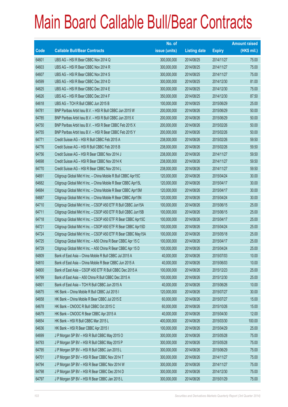|       |                                                               | No. of        |                     |               | <b>Amount raised</b> |
|-------|---------------------------------------------------------------|---------------|---------------------|---------------|----------------------|
| Code  | <b>Callable Bull/Bear Contracts</b>                           | issue (units) | <b>Listing date</b> | <b>Expiry</b> | $(HK$$ mil.)         |
| 64601 | UBS AG - HSI R Bear CBBC Nov 2014 Q                           | 300,000,000   | 2014/08/25          | 2014/11/27    | 75.00                |
| 64603 | UBS AG - HSI R Bear CBBC Nov 2014 R                           | 300,000,000   | 2014/08/25          | 2014/11/27    | 75.00                |
| 64607 | UBS AG - HSI R Bear CBBC Nov 2014 S                           | 300,000,000   | 2014/08/25          | 2014/11/27    | 75.00                |
| 64599 | UBS AG - HSI R Bear CBBC Dec 2014 D                           | 300,000,000   | 2014/08/25          | 2014/12/30    | 81.00                |
| 64625 | UBS AG - HSI R Bear CBBC Dec 2014 E                           | 300,000,000   | 2014/08/25          | 2014/12/30    | 75.00                |
| 64626 | UBS AG - HSI R Bear CBBC Dec 2014 F                           | 350,000,000   | 2014/08/25          | 2014/12/30    | 87.50                |
| 64618 | UBS AG - TCH R Bull CBBC Jun 2015 B                           | 100,000,000   | 2014/08/25          | 2015/06/29    | 25.00                |
| 64781 | BNP Paribas Arbit Issu B.V. - HSI R Bull CBBC Jun 2015 W      | 200,000,000   | 2014/08/26          | 2015/06/29    | 50.00                |
| 64785 | BNP Paribas Arbit Issu B.V. - HSI R Bull CBBC Jun 2015 X      | 200,000,000   | 2014/08/26          | 2015/06/29    | 50.00                |
| 64750 | BNP Paribas Arbit Issu B.V. - HSI R Bear CBBC Feb 2015 X      | 200,000,000   | 2014/08/26          | 2015/02/26    | 50.00                |
| 64755 | BNP Paribas Arbit Issu B.V. - HSI R Bear CBBC Feb 2015 Y      | 200,000,000   | 2014/08/26          | 2015/02/26    | 50.00                |
| 64771 | Credit Suisse AG - HSI R Bull CBBC Feb 2015 A                 | 238,000,000   | 2014/08/26          | 2015/02/26    | 59.50                |
| 64776 | Credit Suisse AG - HSI R Bull CBBC Feb 2015 B                 | 238,000,000   | 2014/08/26          | 2015/02/26    | 59.50                |
| 64756 | Credit Suisse AG - HSI R Bear CBBC Nov 2014 J                 | 238,000,000   | 2014/08/26          | 2014/11/27    | 59.50                |
| 64698 | Credit Suisse AG - HSI R Bear CBBC Nov 2014 K                 | 238,000,000   | 2014/08/26          | 2014/11/27    | 59.50                |
| 64770 | Credit Suisse AG - HSI R Bear CBBC Nov 2014 L                 | 238,000,000   | 2014/08/26          | 2014/11/27    | 59.50                |
| 64691 | Citigroup Global Mkt H Inc. - China Mobile R Bull CBBC Apr15C | 120,000,000   | 2014/08/26          | 2015/04/24    | 30.00                |
| 64682 | Citigroup Global Mkt H Inc. - China Mobile R Bear CBBC Apr15L | 120,000,000   | 2014/08/26          | 2015/04/17    | 30.00                |
| 64684 | Citigroup Global Mkt H Inc. - China Mobile R Bear CBBC Apr15M | 120,000,000   | 2014/08/26          | 2015/04/17    | 30.00                |
| 64687 | Citigroup Global Mkt H Inc. - China Mobile R Bear CBBC Apr15N | 120,000,000   | 2014/08/26          | 2015/04/24    | 30.00                |
| 64710 | Citigroup Global Mkt H Inc. - CSOP A50 ETF R Bull CBBC Jun15A | 100,000,000   | 2014/08/26          | 2015/06/15    | 25.00                |
| 64711 | Citigroup Global Mkt H Inc. - CSOP A50 ETF R Bull CBBC Jun15B | 100,000,000   | 2014/08/26          | 2015/06/15    | 25.00                |
| 64718 | Citigroup Global Mkt H Inc. - CSOP A50 ETF R Bear CBBC Apr15C | 100,000,000   | 2014/08/26          | 2015/04/17    | 25.00                |
| 64721 | Citigroup Global Mkt H Inc. - CSOP A50 ETF R Bear CBBC Apr15D | 100,000,000   | 2014/08/26          | 2015/04/24    | 25.00                |
| 64724 | Citigroup Global Mkt H Inc. - CSOP A50 ETF R Bear CBBC May15A | 100,000,000   | 2014/08/26          | 2015/05/18    | 25.00                |
| 64725 | Citigroup Global Mkt H Inc. - A50 China R Bear CBBC Apr 15 C  | 100,000,000   | 2014/08/26          | 2015/04/17    | 25.00                |
| 64729 | Citigroup Global Mkt H Inc. - A50 China R Bear CBBC Apr 15 D  | 100,000,000   | 2014/08/26          | 2015/04/24    | 25.00                |
| 64809 | Bank of East Asia - China Mobile R Bull CBBC Jul 2015 A       | 40,000,000    | 2014/08/26          | 2015/07/03    | 10.00                |
| 64810 | Bank of East Asia – China Mobile R Bear CBBC Jun 2015 A       | 40,000,000    | 2014/08/26          | 2015/06/03    | 10.00                |
| 64800 | Bank of East Asia - CSOP A50 ETF R Bull CBBC Dec 2015 A       | 100,000,000   | 2014/08/26          | 2015/12/23    | 25.00                |
| 64799 | Bank of East Asia - A50 China R Bull CBBC Dec 2015 A          | 100,000,000   | 2014/08/26          | 2015/12/30    | 25.00                |
| 64801 | Bank of East Asia - TCH R Bull CBBC Jun 2015 A                | 40,000,000    | 2014/08/26          | 2015/06/26    | 10.00                |
| 64675 | HK Bank - China Mobile R Bull CBBC Jul 2015 I                 | 120,000,000   | 2014/08/26          | 2015/07/27    | 30.00                |
| 64658 | HK Bank - China Mobile R Bear CBBC Jul 2015 E                 | 60,000,000    | 2014/08/26          | 2015/07/27    | 15.00                |
| 64678 | HK Bank - CNOOC R Bull CBBC Oct 2015 C                        | 60,000,000    | 2014/08/26          | 2015/10/26    | 15.00                |
| 64679 | HK Bank - CNOOC R Bear CBBC Apr 2015 A                        | 40,000,000    | 2014/08/26          | 2015/04/30    | 12.00                |
| 64654 | HK Bank - HSI R Bull CBBC Mar 2015 L                          | 400,000,000   | 2014/08/26          | 2015/03/30    | 100.00               |
| 64636 | HK Bank - HSI R Bear CBBC Apr 2015 I                          | 100,000,000   | 2014/08/26          | 2015/04/29    | 25.00                |
| 64699 | J P Morgan SP BV - HSI R Bull CBBC May 2015 O                 | 300,000,000   | 2014/08/26          | 2015/05/28    | 75.00                |
| 64793 | J P Morgan SP BV - HSI R Bull CBBC May 2015 P                 | 300,000,000   | 2014/08/26          | 2015/05/28    | 75.00                |
| 64795 | J P Morgan SP BV - HSI R Bull CBBC Jun 2015 L                 | 300,000,000   | 2014/08/26          | 2015/06/29    | 75.00                |
| 64701 | J P Morgan SP BV - HSI R Bear CBBC Nov 2014 T                 | 300,000,000   | 2014/08/26          | 2014/11/27    | 75.00                |
| 64794 | J P Morgan SP BV - HSI R Bear CBBC Nov 2014 W                 | 300,000,000   | 2014/08/26          | 2014/11/27    | 75.00                |
| 64798 | J P Morgan SP BV - HSI R Bear CBBC Dec 2014 D                 | 300,000,000   | 2014/08/26          | 2014/12/30    | 75.00                |
| 64797 | J P Morgan SP BV - HSI R Bear CBBC Jan 2015 L                 | 300,000,000   | 2014/08/26          | 2015/01/29    | 75.00                |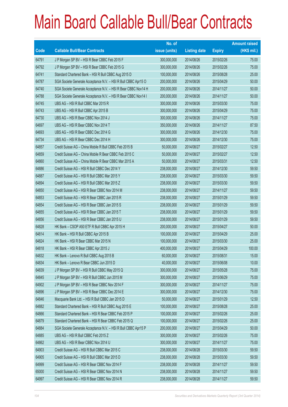|       |                                                                | No. of        |                     |               | <b>Amount raised</b> |
|-------|----------------------------------------------------------------|---------------|---------------------|---------------|----------------------|
| Code  | <b>Callable Bull/Bear Contracts</b>                            | issue (units) | <b>Listing date</b> | <b>Expiry</b> | $(HK$$ mil.)         |
| 64791 | J P Morgan SP BV - HSI R Bear CBBC Feb 2015 F                  | 300,000,000   | 2014/08/26          | 2015/02/26    | 75.00                |
| 64792 | J P Morgan SP BV - HSI R Bear CBBC Feb 2015 G                  | 300,000,000   | 2014/08/26          | 2015/02/26    | 75.00                |
| 64741 | Standard Chartered Bank - HSI R Bull CBBC Aug 2015 D           | 100,000,000   | 2014/08/26          | 2015/08/28    | 25.00                |
| 64787 | SGA Societe Generale Acceptance N.V. - HSI R Bull CBBC Apr15 O | 200,000,000   | 2014/08/26          | 2015/04/29    | 50.00                |
| 64740 | SGA Societe Generale Acceptance N.V. - HSI R Bear CBBC Nov14 H | 200,000,000   | 2014/08/26          | 2014/11/27    | 50.00                |
| 64788 | SGA Societe Generale Acceptance N.V. - HSI R Bear CBBC Nov14 I | 200,000,000   | 2014/08/26          | 2014/11/27    | 50.00                |
| 64745 | UBS AG - HSI R Bull CBBC Mar 2015 R                            | 300,000,000   | 2014/08/26          | 2015/03/30    | 75.00                |
| 64743 | UBS AG - HSI R Bull CBBC Apr 2015 B                            | 300,000,000   | 2014/08/26          | 2015/04/29    | 75.00                |
| 64730 | UBS AG - HSI R Bear CBBC Nov 2014 J                            | 300,000,000   | 2014/08/26          | 2014/11/27    | 75.00                |
| 64697 | UBS AG - HSI R Bear CBBC Nov 2014 T                            | 350,000,000   | 2014/08/26          | 2014/11/27    | 87.50                |
| 64693 | UBS AG - HSI R Bear CBBC Dec 2014 G                            | 300,000,000   | 2014/08/26          | 2014/12/30    | 75.00                |
| 64734 | UBS AG - HSI R Bear CBBC Dec 2014 H                            | 300,000,000   | 2014/08/26          | 2014/12/30    | 75.00                |
| 64857 | Credit Suisse AG - China Mobile R Bull CBBC Feb 2015 B         | 50,000,000    | 2014/08/27          | 2015/02/27    | 12.50                |
| 64859 | Credit Suisse AG - China Mobile R Bear CBBC Feb 2015 C         | 50,000,000    | 2014/08/27          | 2015/02/27    | 12.50                |
| 64860 | Credit Suisse AG - China Mobile R Bear CBBC Mar 2015 A         | 50,000,000    | 2014/08/27          | 2015/03/31    | 12.50                |
| 64886 | Credit Suisse AG - HSI R Bull CBBC Dec 2014 Y                  | 238,000,000   | 2014/08/27          | 2014/12/30    | 59.50                |
| 64887 | Credit Suisse AG - HSI R Bull CBBC Mar 2015 Y                  | 238,000,000   | 2014/08/27          | 2015/03/30    | 59.50                |
| 64894 | Credit Suisse AG - HSI R Bull CBBC Mar 2015 Z                  | 238,000,000   | 2014/08/27          | 2015/03/30    | 59.50                |
| 64850 | Credit Suisse AG - HSI R Bear CBBC Nov 2014 M                  | 238,000,000   | 2014/08/27          | 2014/11/27    | 59.50                |
| 64853 | Credit Suisse AG - HSI R Bear CBBC Jan 2015 R                  | 238,000,000   | 2014/08/27          | 2015/01/29    | 59.50                |
| 64854 | Credit Suisse AG - HSI R Bear CBBC Jan 2015 S                  | 238,000,000   | 2014/08/27          | 2015/01/29    | 59.50                |
| 64855 | Credit Suisse AG - HSI R Bear CBBC Jan 2015 T                  | 238,000,000   | 2014/08/27          | 2015/01/29    | 59.50                |
| 64856 | Credit Suisse AG - HSI R Bear CBBC Jan 2015 U                  | 238,000,000   | 2014/08/27          | 2015/01/29    | 59.50                |
| 64828 | HK Bank - CSOP A50 ETF R Bull CBBC Apr 2015 H                  | 200,000,000   | 2014/08/27          | 2015/04/27    | 50.00                |
| 64814 | HK Bank - HSI R Bull CBBC Apr 2015 B                           | 100,000,000   | 2014/08/27          | 2015/04/29    | 25.00                |
| 64824 | HK Bank - HSI R Bear CBBC Mar 2015 N                           | 100,000,000   | 2014/08/27          | 2015/03/30    | 25.00                |
| 64818 | HK Bank - HSI R Bear CBBC Apr 2015 J                           | 400,000,000   | 2014/08/27          | 2015/04/29    | 100.00               |
| 64832 | HK Bank - Lenovo R Bull CBBC Aug 2015 B                        | 60,000,000    | 2014/08/27          | 2015/08/31    | 15.00                |
| 64834 | HK Bank - Lenovo R Bear CBBC Jun 2015 D                        | 40,000,000    | 2014/08/27          | 2015/06/08    | 10.00                |
| 64839 | J P Morgan SP BV - HSI R Bull CBBC May 2015 Q                  | 300,000,000   | 2014/08/27          | 2015/05/28    | 75.00                |
| 64845 | J P Morgan SP BV - HSI R Bull CBBC Jun 2015 M                  | 300,000,000   | 2014/08/27          | 2015/06/29    | 75.00                |
| 64902 | J P Morgan SP BV - HSI R Bear CBBC Nov 2014 F                  | 300,000,000   | 2014/08/27          | 2014/11/27    | 75.00                |
| 64896 | J P Morgan SP BV - HSI R Bear CBBC Dec 2014 E                  | 300,000,000   | 2014/08/27          | 2014/12/30    | 75.00                |
| 64846 | Macquarie Bank Ltd. - HSI R Bull CBBC Jan 2015 D               | 50,000,000    | 2014/08/27          | 2015/01/29    | 12.50                |
| 64882 | Standard Chartered Bank - HSI R Bull CBBC Aug 2015 E           | 100,000,000   | 2014/08/27          | 2015/08/28    | 25.00                |
| 64866 | Standard Chartered Bank - HSI R Bear CBBC Feb 2015 P           | 100,000,000   | 2014/08/27          | 2015/02/26    | 25.00                |
| 64879 | Standard Chartered Bank - HSI R Bear CBBC Feb 2015 Q           | 100,000,000   | 2014/08/27          | 2015/02/26    | 25.00                |
| 64884 | SGA Societe Generale Acceptance N.V. - HSI R Bull CBBC Apr15 P | 200,000,000   | 2014/08/27          | 2015/04/29    | 50.00                |
| 64885 | UBS AG - HSI R Bull CBBC Feb 2015 Z                            | 300,000,000   | 2014/08/27          | 2015/02/26    | 75.00                |
| 64862 | UBS AG - HSI R Bear CBBC Nov 2014 U                            | 300,000,000   | 2014/08/27          | 2014/11/27    | 75.00                |
| 64903 | Credit Suisse AG - HSI R Bull CBBC Mar 2015 C                  | 238,000,000   | 2014/08/28          | 2015/03/30    | 59.50                |
| 64905 | Credit Suisse AG - HSI R Bull CBBC Mar 2015 D                  | 238,000,000   | 2014/08/28          | 2015/03/30    | 59.50                |
| 64999 | Credit Suisse AG - HSI R Bear CBBC Nov 2014 F                  | 238,000,000   | 2014/08/28          | 2014/11/27    | 59.50                |
| 65000 | Credit Suisse AG - HSI R Bear CBBC Nov 2014 N                  | 238,000,000   | 2014/08/28          | 2014/11/27    | 59.50                |
| 64997 | Credit Suisse AG - HSI R Bear CBBC Nov 2014 R                  | 238,000,000   | 2014/08/28          | 2014/11/27    | 59.50                |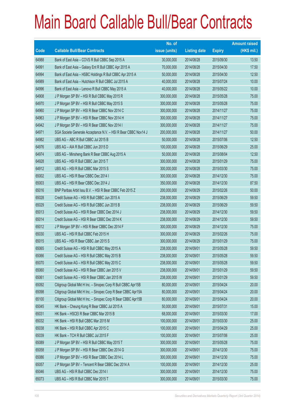|             |                                                                | No. of        |                     |               | <b>Amount raised</b> |
|-------------|----------------------------------------------------------------|---------------|---------------------|---------------|----------------------|
| <b>Code</b> | <b>Callable Bull/Bear Contracts</b>                            | issue (units) | <b>Listing date</b> | <b>Expiry</b> | $(HK$$ mil.)         |
| 64988       | Bank of East Asia - COVS R Bull CBBC Sep 2015 A                | 30,000,000    | 2014/08/28          | 2015/09/30    | 13.50                |
| 64991       | Bank of East Asia - Galaxy Ent R Bull CBBC Apr 2015 A          | 70,000,000    | 2014/08/28          | 2015/04/30    | 17.50                |
| 64994       | Bank of East Asia - HSBC Holdings R Bull CBBC Apr 2015 A       | 50,000,000    | 2014/08/28          | 2015/04/30    | 12.50                |
| 64989       | Bank of East Asia - Hutchison R Bull CBBC Jul 2015 A           | 40,000,000    | 2014/08/28          | 2015/07/24    | 10.00                |
| 64996       | Bank of East Asia - Lenovo R Bull CBBC May 2015 A              | 40,000,000    | 2014/08/28          | 2015/05/22    | 10.00                |
| 64908       | J P Morgan SP BV - HSI R Bull CBBC May 2015 R                  | 300,000,000   | 2014/08/28          | 2015/05/28    | 75.00                |
| 64970       | J P Morgan SP BV - HSI R Bull CBBC May 2015 S                  | 300,000,000   | 2014/08/28          | 2015/05/28    | 75.00                |
| 64960       | J P Morgan SP BV - HSI R Bear CBBC Nov 2014 C                  | 300,000,000   | 2014/08/28          | 2014/11/27    | 75.00                |
| 64963       | J P Morgan SP BV - HSI R Bear CBBC Nov 2014 H                  | 300,000,000   | 2014/08/28          | 2014/11/27    | 75.00                |
| 64942       | J P Morgan SP BV - HSI R Bear CBBC Nov 2014 I                  | 300,000,000   | 2014/08/28          | 2014/11/27    | 75.00                |
| 64971       | SGA Societe Generale Acceptance N.V. - HSI R Bear CBBC Nov14 J | 200,000,000   | 2014/08/28          | 2014/11/27    | 50.00                |
| 64982       | UBS AG - ABC R Bull CBBC Jul 2015 B                            | 50,000,000    | 2014/08/28          | 2015/07/06    | 12.50                |
| 64976       | UBS AG - AIA R Bull CBBC Jun 2015 D                            | 100,000,000   | 2014/08/28          | 2015/06/29    | 25.00                |
| 64974       | UBS AG - Minsheng Bank R Bear CBBC Aug 2015 A                  | 50,000,000    | 2014/08/28          | 2015/08/04    | 12.50                |
| 64928       | UBS AG - HSI R Bull CBBC Jan 2015 T                            | 300,000,000   | 2014/08/28          | 2015/01/29    | 75.00                |
| 64912       | UBS AG - HSI R Bull CBBC Mar 2015 S                            | 300,000,000   | 2014/08/28          | 2015/03/30    | 75.00                |
| 65002       | UBS AG - HSI R Bear CBBC Dec 2014 I                            | 300,000,000   | 2014/08/28          | 2014/12/30    | 75.00                |
| 65003       | UBS AG - HSI R Bear CBBC Dec 2014 J                            | 350,000,000   | 2014/08/28          | 2014/12/30    | 87.50                |
| 65016       | BNP Paribas Arbit Issu B.V. - HSI R Bear CBBC Feb 2015 Z       | 200,000,000   | 2014/08/29          | 2015/02/26    | 50.00                |
| 65028       | Credit Suisse AG - HSI R Bull CBBC Jun 2015 A                  | 238,000,000   | 2014/08/29          | 2015/06/29    | 59.50                |
| 65029       | Credit Suisse AG - HSI R Bull CBBC Jun 2015 B                  | 238,000,000   | 2014/08/29          | 2015/06/29    | 59.50                |
| 65013       | Credit Suisse AG - HSI R Bear CBBC Dec 2014 J                  | 238,000,000   | 2014/08/29          | 2014/12/30    | 59.50                |
| 65014       | Credit Suisse AG - HSI R Bear CBBC Dec 2014 K                  | 238,000,000   | 2014/08/29          | 2014/12/30    | 59.50                |
| 65012       | J P Morgan SP BV - HSI R Bear CBBC Dec 2014 F                  | 300,000,000   | 2014/08/29          | 2014/12/30    | 75.00                |
| 65030       | UBS AG - HSI R Bull CBBC Feb 2015 H                            | 300,000,000   | 2014/08/29          | 2015/02/26    | 75.00                |
| 65015       | UBS AG - HSI R Bear CBBC Jan 2015 S                            | 300,000,000   | 2014/08/29          | 2015/01/29    | 75.00                |
| 65065       | Credit Suisse AG - HSI R Bull CBBC May 2015 A                  | 238,000,000   | 2014/09/01          | 2015/05/28    | 59.50                |
| 65066       | Credit Suisse AG - HSI R Bull CBBC May 2015 B                  | 238,000,000   | 2014/09/01          | 2015/05/28    | 59.50                |
| 65070       | Credit Suisse AG - HSI R Bull CBBC May 2015 C                  | 238,000,000   | 2014/09/01          | 2015/05/28    | 59.50                |
| 65060       | Credit Suisse AG - HSI R Bear CBBC Jan 2015 V                  | 238,000,000   | 2014/09/01          | 2015/01/29    | 59.50                |
| 65061       | Credit Suisse AG - HSI R Bear CBBC Jan 2015 W                  | 238,000,000   | 2014/09/01          | 2015/01/29    | 59.50                |
| 65092       | Citigroup Global Mkt H Inc. - Sinopec Corp R Bull CBBC Apr15B  | 80,000,000    | 2014/09/01          | 2015/04/24    | 20.00                |
| 65098       | Citigroup Global Mkt H Inc. - Sinopec Corp R Bear CBBC Apr15A  | 80,000,000    | 2014/09/01          | 2015/04/24    | 20.00                |
| 65100       | Citigroup Global Mkt H Inc. - Sinopec Corp R Bear CBBC Apr15B  | 80,000,000    | 2014/09/01          | 2015/04/24    | 20.00                |
| 65045       | HK Bank - Cheung Kong R Bear CBBC Jul 2015 A                   | 50,000,000    | 2014/09/01          | 2015/07/31    | 15.00                |
| 65031       | HK Bank - HSCEI R Bear CBBC Mar 2015 B                         | 68,000,000    | 2014/09/01          | 2015/03/30    | 17.00                |
| 65032       | HK Bank - HSI R Bull CBBC Mar 2015 M                           | 100,000,000   | 2014/09/01          | 2015/03/30    | 25.00                |
| 65038       | HK Bank - HSI R Bull CBBC Apr 2015 C                           | 100,000,000   | 2014/09/01          | 2015/04/29    | 25.00                |
| 65039       | HK Bank - TCH R Bull CBBC Jul 2015 F                           | 100,000,000   | 2014/09/01          | 2015/07/06    | 25.00                |
| 65089       | J P Morgan SP BV - HSI R Bull CBBC May 2015 T                  | 300,000,000   | 2014/09/01          | 2015/05/28    | 75.00                |
| 65058       | J P Morgan SP BV - HSI R Bear CBBC Dec 2014 G                  | 300,000,000   | 2014/09/01          | 2014/12/30    | 75.00                |
| 65086       | J P Morgan SP BV - HSI R Bear CBBC Dec 2014 L                  | 300,000,000   | 2014/09/01          | 2014/12/30    | 75.00                |
| 65057       | J P Morgan SP BV - Tencent R Bear CBBC Dec 2014 A              | 100,000,000   | 2014/09/01          | 2014/12/30    | 25.00                |
| 65046       | UBS AG - HSI R Bull CBBC Dec 2014 I                            | 300,000,000   | 2014/09/01          | 2014/12/30    | 75.00                |
| 65073       | UBS AG - HSI R Bull CBBC Mar 2015 T                            | 300,000,000   | 2014/09/01          | 2015/03/30    | 75.00                |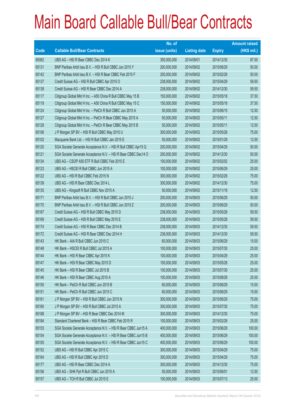|       |                                                                | No. of        |                     |               | <b>Amount raised</b> |
|-------|----------------------------------------------------------------|---------------|---------------------|---------------|----------------------|
| Code  | <b>Callable Bull/Bear Contracts</b>                            | issue (units) | <b>Listing date</b> | <b>Expiry</b> | (HK\$ mil.)          |
| 65082 | UBS AG - HSI R Bear CBBC Dec 2014 K                            | 350,000,000   | 2014/09/01          | 2014/12/30    | 87.50                |
| 65131 | BNP Paribas Arbit Issu B.V. - HSI R Bull CBBC Jun 2015 Y       | 200,000,000   | 2014/09/02          | 2015/06/29    | 50.00                |
| 65142 | BNP Paribas Arbit Issu B.V. - HSI R Bear CBBC Feb 2015 F       | 200,000,000   | 2014/09/02          | 2015/02/26    | 50.00                |
| 65137 | Credit Suisse AG - HSI R Bull CBBC Apr 2015 O                  | 238,000,000   | 2014/09/02          | 2015/04/29    | 59.50                |
| 65138 | Credit Suisse AG - HSI R Bear CBBC Dec 2014 A                  | 238,000,000   | 2014/09/02          | 2014/12/30    | 59.50                |
| 65117 | Citigroup Global Mkt H Inc. - A50 China R Bull CBBC May 15 B   | 150,000,000   | 2014/09/02          | 2015/05/18    | 37.50                |
| 65119 | Citigroup Global Mkt H Inc. - A50 China R Bull CBBC May 15 C   | 150,000,000   | 2014/09/02          | 2015/05/18    | 37.50                |
| 65124 | Citigroup Global Mkt H Inc. - PetCh R Bull CBBC Jun 2015 A     | 50,000,000    | 2014/09/02          | 2015/06/15    | 12.50                |
| 65127 | Citigroup Global Mkt H Inc. - PetCh R Bear CBBC May 2015 A     | 50,000,000    | 2014/09/02          | 2015/05/11    | 12.50                |
| 65128 | Citigroup Global Mkt H Inc. - PetCh R Bear CBBC May 2015 B     | 50,000,000    | 2014/09/02          | 2015/05/11    | 12.50                |
| 65106 | J P Morgan SP BV - HSI R Bull CBBC May 2015 U                  | 300,000,000   | 2014/09/02          | 2015/05/28    | 75.00                |
| 65102 | Macquarie Bank Ltd. - HSI R Bull CBBC Jan 2015 E               | 50,000,000    | 2014/09/02          | 2015/01/29    | 12.50                |
| 65120 | SGA Societe Generale Acceptance N.V. - HSI R Bull CBBC Apr15 Q | 200,000,000   | 2014/09/02          | 2015/04/29    | 50.00                |
| 65121 | SGA Societe Generale Acceptance N.V. - HSI R Bear CBBC Dec14 O | 200,000,000   | 2014/09/02          | 2014/12/30    | 50.00                |
| 65134 | UBS AG - CSOP A50 ETF R Bull CBBC Feb 2015 E                   | 100,000,000   | 2014/09/02          | 2015/02/02    | 25.00                |
| 65123 | UBS AG - HSCEI R Bull CBBC Jun 2015 A                          | 100,000,000   | 2014/09/02          | 2015/06/29    | 25.00                |
| 65122 | UBS AG - HSI R Bull CBBC Feb 2015 N                            | 300,000,000   | 2014/09/02          | 2015/02/26    | 75.00                |
| 65139 | UBS AG - HSI R Bear CBBC Dec 2014 L                            | 300,000,000   | 2014/09/02          | 2014/12/30    | 75.00                |
| 65135 | UBS AG - Kingsoft R Bull CBBC Nov 2015 A                       | 50,000,000    | 2014/09/02          | 2015/11/16    | 12.50                |
| 65171 | BNP Paribas Arbit Issu B.V. - HSI R Bull CBBC Jun 2015 J       | 200,000,000   | 2014/09/03          | 2015/06/29    | 50.00                |
| 65170 | BNP Paribas Arbit Issu B.V. - HSI R Bull CBBC Jun 2015 Z       | 200,000,000   | 2014/09/03          | 2015/06/29    | 50.00                |
| 65167 | Credit Suisse AG - HSI R Bull CBBC May 2015 D                  | 238,000,000   | 2014/09/03          | 2015/05/28    | 59.50                |
| 65169 | Credit Suisse AG - HSI R Bull CBBC May 2015 E                  | 238,000,000   | 2014/09/03          | 2015/05/28    | 59.50                |
| 65174 | Credit Suisse AG - HSI R Bear CBBC Dec 2014 B                  | 238,000,000   | 2014/09/03          | 2014/12/30    | 59.50                |
| 65172 | Credit Suisse AG - HSI R Bear CBBC Dec 2014 H                  | 238,000,000   | 2014/09/03          | 2014/12/30    | 59.50                |
| 65143 | HK Bank - AIA R Bull CBBC Jun 2015 C                           | 60,000,000    | 2014/09/03          | 2015/06/29    | 15.00                |
| 65148 | HK Bank - HSCEI R Bull CBBC Jul 2015 A                         | 100,000,000   | 2014/09/03          | 2015/07/30    | 25.00                |
| 65144 | HK Bank - HSI R Bear CBBC Apr 2015 K                           | 100,000,000   | 2014/09/03          | 2015/04/29    | 25.00                |
| 65147 | HK Bank - HSI R Bear CBBC May 2015 D                           | 100,000,000   | 2014/09/03          | 2015/05/28    | 25.00                |
| 65145 | HK Bank - HSI R Bear CBBC Jul 2015 B                           | 100,000,000   | 2014/09/03          | 2015/07/30    | 25.00                |
| 65146 | HK Bank - HSI R Bear CBBC Aug 2015 A                           | 100,000,000   | 2014/09/03          | 2015/08/28    | 25.00                |
| 65150 | HK Bank - PetCh R Bull CBBC Jun 2015 B                         | 60,000,000    | 2014/09/03          | 2015/06/29    | 15.00                |
| 65151 | HK Bank - PetCh R Bull CBBC Jun 2015 C                         | 60,000,000    | 2014/09/03          | 2015/06/29    | 15.00                |
| 65161 | J P Morgan SP BV - HSI R Bull CBBC Jun 2015 N                  | 300,000,000   | 2014/09/03          | 2015/06/29    | 75.00                |
| 65160 | J P Morgan SP BV - HSI R Bull CBBC Jul 2015 A                  | 300,000,000   | 2014/09/03          | 2015/07/30    | 75.00                |
| 65188 | J P Morgan SP BV - HSI R Bear CBBC Dec 2014 M                  | 300,000,000   | 2014/09/03          | 2014/12/30    | 75.00                |
| 65184 | Standard Chartered Bank - HSI R Bear CBBC Feb 2015 R           | 100,000,000   | 2014/09/03          | 2015/02/26    | 25.00                |
| 65153 | SGA Societe Generale Acceptance N.V. - HSI R Bear CBBC Jun15 A | 400,000,000   | 2014/09/03          | 2015/06/29    | 100.00               |
| 65154 | SGA Societe Generale Acceptance N.V. - HSI R Bear CBBC Jun15 B | 400,000,000   | 2014/09/03          | 2015/06/29    | 100.00               |
| 65155 | SGA Societe Generale Acceptance N.V. - HSI R Bear CBBC Jun15 C | 400,000,000   | 2014/09/03          | 2015/06/29    | 100.00               |
| 65152 | UBS AG - HSI R Bull CBBC Apr 2015 C                            | 300,000,000   | 2014/09/03          | 2015/04/29    | 75.00                |
| 65164 | UBS AG - HSI R Bull CBBC Apr 2015 D                            | 300,000,000   | 2014/09/03          | 2015/04/29    | 75.00                |
| 65177 | UBS AG - HSI R Bear CBBC Dec 2014 A                            | 300,000,000   | 2014/09/03          | 2014/12/30    | 75.00                |
| 65156 | UBS AG - SHK Ppt R Bull CBBC Jun 2015 A                        | 50,000,000    | 2014/09/03          | 2015/06/01    | 12.50                |
| 65157 | UBS AG - TCH R Bull CBBC Jul 2015 E                            | 100,000,000   | 2014/09/03          | 2015/07/13    | 25.00                |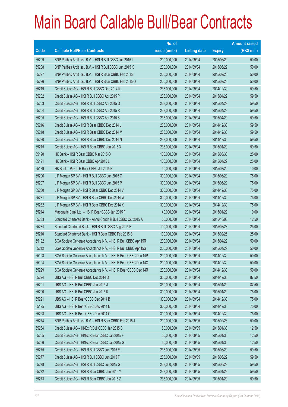|             |                                                                | No. of        |                     |               | <b>Amount raised</b> |
|-------------|----------------------------------------------------------------|---------------|---------------------|---------------|----------------------|
| <b>Code</b> | <b>Callable Bull/Bear Contracts</b>                            | issue (units) | <b>Listing date</b> | <b>Expiry</b> | $(HK$$ mil.)         |
| 65209       | BNP Paribas Arbit Issu B.V. - HSI R Bull CBBC Jun 2015 I       | 200,000,000   | 2014/09/04          | 2015/06/29    | 50.00                |
| 65208       | BNP Paribas Arbit Issu B.V. - HSI R Bull CBBC Jun 2015 K       | 200,000,000   | 2014/09/04          | 2015/06/29    | 50.00                |
| 65227       | BNP Paribas Arbit Issu B.V. - HSI R Bear CBBC Feb 2015 I       | 200,000,000   | 2014/09/04          | 2015/02/26    | 50.00                |
| 65226       | BNP Paribas Arbit Issu B.V. - HSI R Bear CBBC Feb 2015 Q       | 200,000,000   | 2014/09/04          | 2015/02/26    | 50.00                |
| 65219       | Credit Suisse AG - HSI R Bull CBBC Dec 2014 K                  | 238,000,000   | 2014/09/04          | 2014/12/30    | 59.50                |
| 65202       | Credit Suisse AG - HSI R Bull CBBC Apr 2015 P                  | 238,000,000   | 2014/09/04          | 2015/04/29    | 59.50                |
| 65203       | Credit Suisse AG - HSI R Bull CBBC Apr 2015 Q                  | 238,000,000   | 2014/09/04          | 2015/04/29    | 59.50                |
| 65204       | Credit Suisse AG - HSI R Bull CBBC Apr 2015 R                  | 238,000,000   | 2014/09/04          | 2015/04/29    | 59.50                |
| 65205       | Credit Suisse AG - HSI R Bull CBBC Apr 2015 S                  | 238,000,000   | 2014/09/04          | 2015/04/29    | 59.50                |
| 65216       | Credit Suisse AG - HSI R Bear CBBC Dec 2014 L                  | 238,000,000   | 2014/09/04          | 2014/12/30    | 59.50                |
| 65218       | Credit Suisse AG - HSI R Bear CBBC Dec 2014 M                  | 238,000,000   | 2014/09/04          | 2014/12/30    | 59.50                |
| 65220       | Credit Suisse AG - HSI R Bear CBBC Dec 2014 N                  | 238,000,000   | 2014/09/04          | 2014/12/30    | 59.50                |
| 65215       | Credit Suisse AG - HSI R Bear CBBC Jan 2015 X                  | 238,000,000   | 2014/09/04          | 2015/01/29    | 59.50                |
| 65190       | HK Bank - HSI R Bear CBBC Mar 2015 O                           | 100,000,000   | 2014/09/04          | 2015/03/30    | 25.00                |
| 65191       | HK Bank - HSI R Bear CBBC Apr 2015 L                           | 100,000,000   | 2014/09/04          | 2015/04/29    | 25.00                |
| 65189       | HK Bank - PetCh R Bear CBBC Jul 2015 B                         | 40,000,000    | 2014/09/04          | 2015/07/20    | 10.00                |
| 65206       | J P Morgan SP BV - HSI R Bull CBBC Jun 2015 O                  | 300,000,000   | 2014/09/04          | 2015/06/29    | 75.00                |
| 65207       | J P Morgan SP BV - HSI R Bull CBBC Jun 2015 P                  | 300,000,000   | 2014/09/04          | 2015/06/29    | 75.00                |
| 65230       | J P Morgan SP BV - HSI R Bear CBBC Dec 2014 V                  | 300,000,000   | 2014/09/04          | 2014/12/30    | 75.00                |
| 65231       | J P Morgan SP BV - HSI R Bear CBBC Dec 2014 W                  | 300,000,000   | 2014/09/04          | 2014/12/30    | 75.00                |
| 65232       | J P Morgan SP BV - HSI R Bear CBBC Dec 2014 X                  | 300,000,000   | 2014/09/04          | 2014/12/30    | 75.00                |
| 65214       | Macquarie Bank Ltd. - HSI R Bear CBBC Jan 2015 F               | 40,000,000    | 2014/09/04          | 2015/01/29    | 10.00                |
| 65233       | Standard Chartered Bank - Anhui Conch R Bull CBBC Oct 2015 A   | 50,000,000    | 2014/09/04          | 2015/10/08    | 12.50                |
| 65234       | Standard Chartered Bank - HSI R Bull CBBC Aug 2015 F           | 100,000,000   | 2014/09/04          | 2015/08/28    | 25.00                |
| 65210       | Standard Chartered Bank - HSI R Bear CBBC Feb 2015 S           | 100,000,000   | 2014/09/04          | 2015/02/26    | 25.00                |
| 65192       | SGA Societe Generale Acceptance N.V. - HSI R Bull CBBC Apr 15R | 200,000,000   | 2014/09/04          | 2015/04/29    | 50.00                |
| 65212       | SGA Societe Generale Acceptance N.V. - HSI R Bull CBBC Apr 15S | 200,000,000   | 2014/09/04          | 2015/04/29    | 50.00                |
| 65193       | SGA Societe Generale Acceptance N.V. - HSI R Bear CBBC Dec 14P | 200,000,000   | 2014/09/04          | 2014/12/30    | 50.00                |
| 65194       | SGA Societe Generale Acceptance N.V. - HSI R Bear CBBC Dec 14Q | 200,000,000   | 2014/09/04          | 2014/12/30    | 50.00                |
| 65229       | SGA Societe Generale Acceptance N.V. - HSI R Bear CBBC Dec 14R | 200,000,000   | 2014/09/04          | 2014/12/30    | 50.00                |
| 65224       | UBS AG - HSI R Bull CBBC Dec 2014 D                            | 350,000,000   | 2014/09/04          | 2014/12/30    | 87.50                |
| 65201       | UBS AG - HSI R Bull CBBC Jan 2015 J                            | 350,000,000   | 2014/09/04          | 2015/01/29    | 87.50                |
| 65200       | UBS AG - HSI R Bull CBBC Jan 2015 K                            | 300,000,000   | 2014/09/04          | 2015/01/29    | 75.00                |
| 65221       | UBS AG - HSI R Bear CBBC Dec 2014 B                            | 300,000,000   | 2014/09/04          | 2014/12/30    | 75.00                |
| 65195       | UBS AG - HSI R Bear CBBC Dec 2014 N                            | 300,000,000   | 2014/09/04          | 2014/12/30    | 75.00                |
| 65223       | UBS AG - HSI R Bear CBBC Dec 2014 O                            | 300,000,000   | 2014/09/04          | 2014/12/30    | 75.00                |
| 65274       | BNP Paribas Arbit Issu B.V. - HSI R Bear CBBC Feb 2015 J       | 200,000,000   | 2014/09/05          | 2015/02/26    | 50.00                |
| 65264       | Credit Suisse AG - HKEx R Bull CBBC Jan 2015 C                 | 50,000,000    | 2014/09/05          | 2015/01/30    | 12.50                |
| 65265       | Credit Suisse AG - HKEx R Bear CBBC Jan 2015 F                 | 50,000,000    | 2014/09/05          | 2015/01/30    | 12.50                |
| 65266       | Credit Suisse AG - HKEx R Bear CBBC Jan 2015 G                 | 50,000,000    | 2014/09/05          | 2015/01/30    | 12.50                |
| 65275       | Credit Suisse AG - HSI R Bull CBBC Jun 2015 E                  | 238,000,000   | 2014/09/05          | 2015/06/29    | 59.50                |
| 65277       | Credit Suisse AG - HSI R Bull CBBC Jun 2015 F                  | 238,000,000   | 2014/09/05          | 2015/06/29    | 59.50                |
| 65278       | Credit Suisse AG - HSI R Bull CBBC Jun 2015 G                  | 238,000,000   | 2014/09/05          | 2015/06/29    | 59.50                |
| 65272       | Credit Suisse AG - HSI R Bear CBBC Jan 2015 Y                  | 238,000,000   | 2014/09/05          | 2015/01/29    | 59.50                |
| 65273       | Credit Suisse AG - HSI R Bear CBBC Jan 2015 Z                  | 238,000,000   | 2014/09/05          | 2015/01/29    | 59.50                |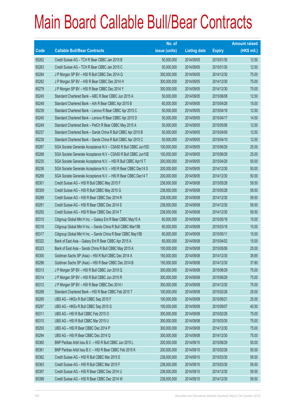|             |                                                                | No. of        |                     |               | <b>Amount raised</b> |
|-------------|----------------------------------------------------------------|---------------|---------------------|---------------|----------------------|
| <b>Code</b> | <b>Callable Bull/Bear Contracts</b>                            | issue (units) | <b>Listing date</b> | <b>Expiry</b> | (HK\$ mil.)          |
| 65262       | Credit Suisse AG - TCH R Bear CBBC Jan 2015 B                  | 50,000,000    | 2014/09/05          | 2015/01/30    | 12.50                |
| 65263       | Credit Suisse AG - TCH R Bear CBBC Jan 2015 C                  | 50,000,000    | 2014/09/05          | 2015/01/30    | 12.50                |
| 65284       | J P Morgan SP BV - HSI R Bull CBBC Dec 2014 Q                  | 300,000,000   | 2014/09/05          | 2014/12/30    | 75.00                |
| 65282       | J P Morgan SP BV - HSI R Bear CBBC Dec 2014 H                  | 300,000,000   | 2014/09/05          | 2014/12/30    | 75.00                |
| 65279       | J P Morgan SP BV - HSI R Bear CBBC Dec 2014 Y                  | 300,000,000   | 2014/09/05          | 2014/12/30    | 75.00                |
| 65245       | Standard Chartered Bank - ABC R Bear CBBC Jun 2015 A           | 50,000,000    | 2014/09/05          | 2015/06/08    | 12.50                |
| 65248       | Standard Chartered Bank - AIA R Bear CBBC Apr 2015 B           | 60,000,000    | 2014/09/05          | 2015/04/28    | 15.00                |
| 65239       | Standard Chartered Bank - Lenovo R Bear CBBC Apr 2015 C        | 50,000,000    | 2014/09/05          | 2015/04/16    | 12.50                |
| 65240       | Standard Chartered Bank - Lenovo R Bear CBBC Apr 2015 D        | 50,000,000    | 2014/09/05          | 2015/04/17    | 14.50                |
| 65249       | Standard Chartered Bank - PetCh R Bear CBBC May 2015 A         | 50,000,000    | 2014/09/05          | 2015/05/06    | 12.50                |
| 65237       | Standard Chartered Bank - Sands China R Bull CBBC Apr 2015 B   | 50,000,000    | 2014/09/05          | 2015/04/09    | 12.50                |
| 65238       | Standard Chartered Bank - Sands China R Bull CBBC Apr 2015 C   | 50,000,000    | 2014/09/05          | 2015/04/10    | 12.50                |
| 65267       | SGA Societe Generale Acceptance N.V - CSA50 R Bull CBBC Jun15D | 100,000,000   | 2014/09/05          | 2015/06/29    | 25.00                |
| 65268       | SGA Societe Generale Acceptance N.V - CSA50 R Bull CBBC Jun15E | 100,000,000   | 2014/09/05          | 2015/06/29    | 25.00                |
| 65235       | SGA Societe Generale Acceptance N.V. - HSI R Bull CBBC Apr15 T | 200,000,000   | 2014/09/05          | 2015/04/29    | 50.00                |
| 65236       | SGA Societe Generale Acceptance N.V. - HSI R Bear CBBC Dec14 S | 200,000,000   | 2014/09/05          | 2014/12/30    | 50.00                |
| 65269       | SGA Societe Generale Acceptance N.V. - HSI R Bear CBBC Dec14 T | 200,000,000   | 2014/09/05          | 2014/12/30    | 50.00                |
| 65301       | Credit Suisse AG - HSI R Bull CBBC May 2015 F                  | 238,000,000   | 2014/09/08          | 2015/05/28    | 59.50                |
| 65309       | Credit Suisse AG - HSI R Bull CBBC May 2015 G                  | 238,000,000   | 2014/09/08          | 2015/05/28    | 59.50                |
| 65289       | Credit Suisse AG - HSI R Bear CBBC Dec 2014 R                  | 238,000,000   | 2014/09/08          | 2014/12/30    | 59.50                |
| 65291       | Credit Suisse AG - HSI R Bear CBBC Dec 2014 S                  | 238,000,000   | 2014/09/08          | 2014/12/30    | 59.50                |
| 65292       | Credit Suisse AG - HSI R Bear CBBC Dec 2014 T                  | 238,000,000   | 2014/09/08          | 2014/12/30    | 59.50                |
| 65315       | Citigroup Global Mkt H Inc. - Galaxy Ent R Bear CBBC May15 A   | 60,000,000    | 2014/09/08          | 2015/05/18    | 15.00                |
| 65316       | Citigroup Global Mkt H Inc. - Sands China R Bull CBBC Mar15B   | 60,000,000    | 2014/09/08          | 2015/03/16    | 15.00                |
| 65317       | Citigroup Global Mkt H Inc. - Sands China R Bear CBBC May15B   | 60,000,000    | 2014/09/08          | 2015/05/11    | 15.00                |
| 65322       | Bank of East Asia - Galaxy Ent R Bear CBBC Apr 2015 A          | 60,000,000    | 2014/09/08          | 2015/04/02    | 15.00                |
| 65323       | Bank of East Asia - Sands China R Bull CBBC May 2015 A         | 100,000,000   | 2014/09/08          | 2015/05/06    | 25.00                |
| 65300       | Goldman Sachs SP (Asia) - HSI R Bull CBBC Dec 2014 A           | 150,000,000   | 2014/09/08          | 2014/12/30    | 38.85                |
| 65298       | Goldman Sachs SP (Asia) – HSI R Bear CBBC Dec 2014 B           | 150,000,000   | 2014/09/08          | 2014/12/30    | 37.80                |
| 65313       | J P Morgan SP BV - HSI R Bull CBBC Jun 2015 Q                  | 300,000,000   | 2014/09/08          | 2015/06/29    | 75.00                |
| 65314       | J P Morgan SP BV - HSI R Bull CBBC Jun 2015 R                  | 300,000,000   | 2014/09/08          | 2015/06/29    | 75.00                |
| 65312       | J P Morgan SP BV - HSI R Bear CBBC Dec 2014 I                  | 300,000,000   | 2014/09/08          | 2014/12/30    | 75.00                |
| 65288       | Standard Chartered Bank - HSI R Bear CBBC Feb 2015 T           | 100,000,000   | 2014/09/08          | 2015/02/26    | 25.00                |
| 65295       | UBS AG - HKEx R Bull CBBC Sep 2015 F                           | 100,000,000   | 2014/09/08          | 2015/09/21    | 25.00                |
| 65297       | UBS AG - HKEx R Bull CBBC Sep 2015 G                           | 100,000,000   | 2014/09/08          | 2015/09/07    | 40.50                |
| 65311       | UBS AG - HSI R Bull CBBC Feb 2015 O                            | 300,000,000   | 2014/09/08          | 2015/02/26    | 75.00                |
| 65310       | UBS AG - HSI R Bull CBBC Mar 2015 U                            | 300,000,000   | 2014/09/08          | 2015/03/30    | 75.00                |
| 65293       | UBS AG - HSI R Bear CBBC Dec 2014 P                            | 300,000,000   | 2014/09/08          | 2014/12/30    | 75.00                |
| 65294       | UBS AG - HSI R Bear CBBC Dec 2014 Q                            | 300,000,000   | 2014/09/08          | 2014/12/30    | 75.00                |
| 65360       | BNP Paribas Arbit Issu B.V. - HSI R Bull CBBC Jun 2015 L       | 200,000,000   | 2014/09/10          | 2015/06/29    | 50.00                |
| 65361       | BNP Paribas Arbit Issu B.V. - HSI R Bear CBBC Feb 2015 K       | 200,000,000   | 2014/09/10          | 2015/02/26    | 50.00                |
| 65362       | Credit Suisse AG - HSI R Bull CBBC Mar 2015 E                  | 238,000,000   | 2014/09/10          | 2015/03/30    | 59.50                |
| 65363       | Credit Suisse AG - HSI R Bull CBBC Mar 2015 F                  | 238,000,000   | 2014/09/10          | 2015/03/30    | 59.50                |
| 65397       | Credit Suisse AG - HSI R Bear CBBC Dec 2014 U                  | 238,000,000   | 2014/09/10          | 2014/12/30    | 59.50                |
| 65399       | Credit Suisse AG - HSI R Bear CBBC Dec 2014 W                  | 238,000,000   | 2014/09/10          | 2014/12/30    | 59.50                |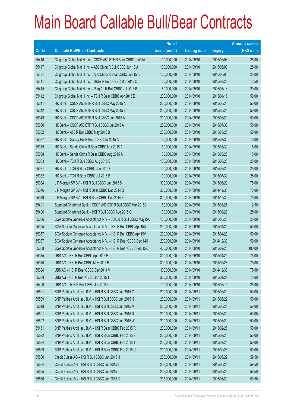|       |                                                                | No. of        |                     |               | <b>Amount raised</b> |
|-------|----------------------------------------------------------------|---------------|---------------------|---------------|----------------------|
| Code  | <b>Callable Bull/Bear Contracts</b>                            | issue (units) | <b>Listing date</b> | <b>Expiry</b> | $(HK$$ mil.)         |
| 65416 | Citigroup Global Mkt H Inc. - CSOP A50 ETF R Bear CBBC Jun15A  | 100,000,000   | 2014/09/10          | 2015/06/08    | 25.00                |
| 65417 | Citigroup Global Mkt H Inc. - A50 China R Bull CBBC Jun 15 A   | 100,000,000   | 2014/09/10          | 2015/06/08    | 25.00                |
| 65421 | Citigroup Global Mkt H Inc. - A50 China R Bear CBBC Jun 15 A   | 100,000,000   | 2014/09/10          | 2015/06/08    | 25.00                |
| 65411 | Citigroup Global Mkt H Inc. - HKEx R Bear CBBC Mar 2015 C      | 50,000,000    | 2014/09/10          | 2015/03/23    | 12.50                |
| 65415 | Citigroup Global Mkt H Inc. - Ping An R Bull CBBC Jul 2015 B   | 80,000,000    | 2014/09/10          | 2015/07/13    | 20.00                |
| 65412 | Citigroup Global Mkt H Inc. - TCH R Bear CBBC Apr 2015 E       | 200,000,000   | 2014/09/10          | 2015/04/15    | 50.00                |
| 65341 | HK Bank - CSOP A50 ETF R Bull CBBC May 2015 A                  | 200,000,000   | 2014/09/10          | 2015/05/28    | 50.00                |
| 65342 | HK Bank - CSOP A50 ETF R Bull CBBC May 2015 B                  | 200,000,000   | 2014/09/10          | 2015/05/28    | 50.00                |
| 65349 | HK Bank - CSOP A50 ETF R Bull CBBC Jun 2015 A                  | 200,000,000   | 2014/09/10          | 2015/06/29    | 50.00                |
| 65350 | HK Bank - CSOP A50 ETF R Bull CBBC Jul 2015 A                  | 200,000,000   | 2014/09/10          | 2015/07/30    | 50.00                |
| 65352 | HK Bank - A50 R Bull CBBC May 2015 B                           | 200,000,000   | 2014/09/10          | 2015/05/28    | 50.00                |
| 65337 | HK Bank - Galaxy Ent R Bear CBBC Jul 2015 A                    | 60,000,000    | 2014/09/10          | 2015/07/30    | 15.00                |
| 65339 | HK Bank - Sands China R Bear CBBC Mar 2015 A                   | 60,000,000    | 2014/09/10          | 2015/03/30    | 15.00                |
| 65338 | HK Bank - Sands China R Bear CBBC Aug 2015 A                   | 60,000,000    | 2014/09/10          | 2015/08/28    | 15.00                |
| 65333 | HK Bank - TCH R Bull CBBC Aug 2015 B                           | 100,000,000   | 2014/09/10          | 2015/08/28    | 25.00                |
| 65331 | HK Bank - TCH R Bear CBBC Jun 2015 C                           | 100,000,000   | 2014/09/10          | 2015/06/29    | 25.00                |
| 65332 | HK Bank - TCH R Bear CBBC Jul 2015 B                           | 100,000,000   | 2014/09/10          | 2015/07/30    | 25.00                |
| 65384 | J P Morgan SP BV - HSI R Bull CBBC Jun 2015 S                  | 300,000,000   | 2014/09/10          | 2015/06/29    | 75.00                |
| 65376 | J P Morgan SP BV - HSI R Bear CBBC Dec 2014 Q                  | 300,000,000   | 2014/09/10          | 2014/12/30    | 75.00                |
| 65379 | J P Morgan SP BV - HSI R Bear CBBC Dec 2014 Z                  | 300,000,000   | 2014/09/10          | 2014/12/30    | 75.00                |
| 65401 | Standard Chartered Bank - CSOP A50 ETF R Bull CBBC Mar 2015C   | 50,000,000    | 2014/09/10          | 2015/03/27    | 12.50                |
| 65406 | Standard Chartered Bank - HSI R Bull CBBC Aug 2015 G           | 100,000,000   | 2014/09/10          | 2015/08/28    | 25.00                |
| 65386 | SGA Societe Generale Acceptance N.V - CSA50 R Bull CBBC May15A | 100,000,000   | 2014/09/10          | 2015/05/28    | 25.00                |
| 65355 | SGA Societe Generale Acceptance N.V. - HSI R Bull CBBC Apr 15U | 200,000,000   | 2014/09/10          | 2015/04/29    | 50.00                |
| 65357 | SGA Societe Generale Acceptance N.V. - HSI R Bull CBBC Apr 15V | 200,000,000   | 2014/09/10          | 2015/04/29    | 50.00                |
| 65387 | SGA Societe Generale Acceptance N.V. - HSI R Bear CBBC Dec 14U | 200,000,000   | 2014/09/10          | 2014/12/30    | 50.00                |
| 65358 | SGA Societe Generale Acceptance N.V. - HSI R Bear CBBC Feb 15K | 400,000,000   | 2014/09/10          | 2015/02/26    | 100.00               |
| 65375 | UBS AG - HSI R Bull CBBC Apr 2015 E                            | 300,000,000   | 2014/09/10          | 2015/04/29    | 75.00                |
| 65370 | UBS AG - HSI R Bull CBBC May 2015 B                            | 300,000,000   | 2014/09/10          | 2015/05/28    | 75.00                |
| 65394 | UBS AG - HSI R Bear CBBC Dec 2014 V                            | 300,000,000   | 2014/09/10          | 2014/12/30    | 75.00                |
| 65389 | UBS AG - HSI R Bear CBBC Jan 2015 T                            | 300,000,000   | 2014/09/10          | 2015/01/29    | 75.00                |
| 65400 | UBS AG - TCH R Bull CBBC Jun 2015 C                            | 100,000,000   | 2014/09/10          | 2015/06/15    | 25.00                |
| 65521 | BNP Paribas Arbit Issu B.V. - HSI R Bull CBBC Jun 2015 G       | 200,000,000   | 2014/09/11          | 2015/06/29    | 50.00                |
| 65589 | BNP Paribas Arbit Issu B.V. - HSI R Bull CBBC Jun 2015 H       | 200,000,000   | 2014/09/11          | 2015/06/29    | 50.00                |
| 65518 | BNP Paribas Arbit Issu B.V. - HSI R Bull CBBC Jun 2015 M       | 200,000,000   | 2014/09/11          | 2015/06/29    | 50.00                |
| 65591 | BNP Paribas Arbit Issu B.V. - HSI R Bull CBBC Jun 2015 N       | 200,000,000   | 2014/09/11          | 2015/06/29    | 50.00                |
| 65592 | BNP Paribas Arbit Issu B.V. - HSI R Bull CBBC Jun 2015 W       | 200,000,000   | 2014/09/11          | 2015/06/29    | 50.00                |
| 65451 | BNP Paribas Arbit Issu B.V. - HSI R Bear CBBC Feb 2015 R       | 200,000,000   | 2014/09/11          | 2015/02/26    | 50.00                |
| 65522 | BNP Paribas Arbit Issu B.V. - HSI R Bear CBBC Feb 2015 S       | 200,000,000   | 2014/09/11          | 2015/02/26    | 50.00                |
| 65524 | BNP Paribas Arbit Issu B.V. - HSI R Bear CBBC Feb 2015 T       | 200,000,000   | 2014/09/11          | 2015/02/26    | 50.00                |
| 65529 | BNP Paribas Arbit Issu B.V. - HSI R Bear CBBC Feb 2015 U       | 200,000,000   | 2014/09/11          | 2015/02/26    | 50.00                |
| 65580 | Credit Suisse AG - HSI R Bull CBBC Jun 2015 H                  | 238,000,000   | 2014/09/11          | 2015/06/29    | 59.50                |
| 65584 | Credit Suisse AG - HSI R Bull CBBC Jun 2015 I                  | 238,000,000   | 2014/09/11          | 2015/06/29    | 59.50                |
| 65585 | Credit Suisse AG - HSI R Bull CBBC Jun 2015 J                  | 238,000,000   | 2014/09/11          | 2015/06/29    | 59.50                |
| 65586 | Credit Suisse AG - HSI R Bull CBBC Jun 2015 K                  | 238,000,000   | 2014/09/11          | 2015/06/29    | 59.50                |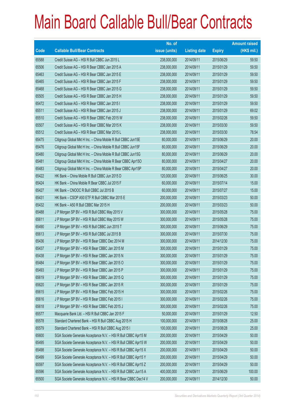|             |                                                                | No. of        |                     |               | <b>Amount raised</b> |
|-------------|----------------------------------------------------------------|---------------|---------------------|---------------|----------------------|
| <b>Code</b> | <b>Callable Bull/Bear Contracts</b>                            | issue (units) | <b>Listing date</b> | <b>Expiry</b> | $(HK$$ mil.)         |
| 65588       | Credit Suisse AG - HSI R Bull CBBC Jun 2015 L                  | 238,000,000   | 2014/09/11          | 2015/06/29    | 59.50                |
| 65506       | Credit Suisse AG - HSI R Bear CBBC Jan 2015 A                  | 238,000,000   | 2014/09/11          | 2015/01/29    | 59.50                |
| 65463       | Credit Suisse AG - HSI R Bear CBBC Jan 2015 E                  | 238,000,000   | 2014/09/11          | 2015/01/29    | 59.50                |
| 65465       | Credit Suisse AG - HSI R Bear CBBC Jan 2015 F                  | 238,000,000   | 2014/09/11          | 2015/01/29    | 59.50                |
| 65468       | Credit Suisse AG - HSI R Bear CBBC Jan 2015 G                  | 238,000,000   | 2014/09/11          | 2015/01/29    | 59.50                |
| 65505       | Credit Suisse AG - HSI R Bear CBBC Jan 2015 H                  | 238,000,000   | 2014/09/11          | 2015/01/29    | 59.50                |
| 65472       | Credit Suisse AG - HSI R Bear CBBC Jan 2015 I                  | 238,000,000   | 2014/09/11          | 2015/01/29    | 59.50                |
| 65511       | Credit Suisse AG - HSI R Bear CBBC Jan 2015 J                  | 238,000,000   | 2014/09/11          | 2015/01/29    | 69.02                |
| 65510       | Credit Suisse AG - HSI R Bear CBBC Feb 2015 W                  | 238,000,000   | 2014/09/11          | 2015/02/26    | 59.50                |
| 65507       | Credit Suisse AG - HSI R Bear CBBC Mar 2015 K                  | 238,000,000   | 2014/09/11          | 2015/03/30    | 59.50                |
| 65512       | Credit Suisse AG - HSI R Bear CBBC Mar 2015 L                  | 238,000,000   | 2014/09/11          | 2015/03/30    | 78.54                |
| 65475       | Citigroup Global Mkt H Inc. - China Mobile R Bull CBBC Jun15E  | 80,000,000    | 2014/09/11          | 2015/06/29    | 20.00                |
| 65476       | Citigroup Global Mkt H Inc. - China Mobile R Bull CBBC Jun15F  | 80,000,000    | 2014/09/11          | 2015/06/29    | 20.00                |
| 65480       | Citigroup Global Mkt H Inc. - China Mobile R Bull CBBC Jun15G  | 80,000,000    | 2014/09/11          | 2015/06/29    | 20.00                |
| 65481       | Citigroup Global Mkt H Inc. - China Mobile R Bear CBBC Apr15O  | 80,000,000    | 2014/09/11          | 2015/04/27    | 20.00                |
| 65483       | Citigroup Global Mkt H Inc. - China Mobile R Bear CBBC Apr15P  | 80,000,000    | 2014/09/11          | 2015/04/27    | 20.00                |
| 65422       | HK Bank - China Mobile R Bull CBBC Jun 2015 D                  | 120,000,000   | 2014/09/11          | 2015/06/25    | 30.00                |
| 65424       | HK Bank - China Mobile R Bear CBBC Jul 2015 F                  | 60,000,000    | 2014/09/11          | 2015/07/14    | 15.00                |
| 65427       | HK Bank - CNOOC R Bull CBBC Jul 2015 B                         | 60,000,000    | 2014/09/11          | 2015/07/27    | 15.00                |
| 65431       | HK Bank - CSOP A50 ETF R Bull CBBC Mar 2015 E                  | 200,000,000   | 2014/09/11          | 2015/03/23    | 50.00                |
| 65432       | HK Bank - A50 R Bull CBBC Mar 2015 H                           | 200,000,000   | 2014/09/11          | 2015/03/23    | 50.00                |
| 65488       | J P Morgan SP BV - HSI R Bull CBBC May 2015 V                  | 300,000,000   | 2014/09/11          | 2015/05/28    | 75.00                |
| 65611       | J P Morgan SP BV - HSI R Bull CBBC May 2015 W                  | 300,000,000   | 2014/09/11          | 2015/05/28    | 75.00                |
| 65490       | J P Morgan SP BV - HSI R Bull CBBC Jun 2015 T                  | 300,000,000   | 2014/09/11          | 2015/06/29    | 75.00                |
| 65613       | J P Morgan SP BV - HSI R Bull CBBC Jul 2015 B                  | 300,000,000   | 2014/09/11          | 2015/07/30    | 75.00                |
| 65436       | J P Morgan SP BV - HSI R Bear CBBC Dec 2014 M                  | 300,000,000   | 2014/09/11          | 2014/12/30    | 75.00                |
| 65437       | J P Morgan SP BV - HSI R Bear CBBC Jan 2015 M                  | 300,000,000   | 2014/09/11          | 2015/01/29    | 75.00                |
| 65438       | J P Morgan SP BV - HSI R Bear CBBC Jan 2015 N                  | 300,000,000   | 2014/09/11          | 2015/01/29    | 75.00                |
| 65484       | J P Morgan SP BV - HSI R Bear CBBC Jan 2015 O                  | 300,000,000   | 2014/09/11          | 2015/01/29    | 75.00                |
| 65493       | J P Morgan SP BV - HSI R Bear CBBC Jan 2015 P                  | 300,000,000   | 2014/09/11          | 2015/01/29    | 75.00                |
| 65619       | J P Morgan SP BV - HSI R Bear CBBC Jan 2015 Q                  | 300,000,000   | 2014/09/11          | 2015/01/29    | 75.00                |
| 65620       | J P Morgan SP BV - HSI R Bear CBBC Jan 2015 R                  | 300,000,000   | 2014/09/11          | 2015/01/29    | 75.00                |
| 65615       | JP Morgan SP BV - HSI R Bear CBBC Feb 2015 H                   | 300,000,000   | 2014/09/11          | 2015/02/26    | 75.00                |
| 65616       | J P Morgan SP BV - HSI R Bear CBBC Feb 2015 I                  | 300,000,000   | 2014/09/11          | 2015/02/26    | 75.00                |
| 65618       | J P Morgan SP BV - HSI R Bear CBBC Feb 2015 J                  | 300,000,000   | 2014/09/11          | 2015/02/26    | 75.00                |
| 65577       | Macquarie Bank Ltd. - HSI R Bull CBBC Jan 2015 F               | 50,000,000    | 2014/09/11          | 2015/01/29    | 12.50                |
| 65578       | Standard Chartered Bank - HSI R Bull CBBC Aug 2015 H           | 100,000,000   | 2014/09/11          | 2015/08/28    | 25.00                |
| 65579       | Standard Chartered Bank - HSI R Bull CBBC Aug 2015 I           | 100,000,000   | 2014/09/11          | 2015/08/28    | 25.00                |
| 65600       | SGA Societe Generale Acceptance N.V. - HSI R Bull CBBC Apr15 M | 200,000,000   | 2014/09/11          | 2015/04/29    | 50.00                |
| 65495       | SGA Societe Generale Acceptance N.V. - HSI R Bull CBBC Apr15 W | 200,000,000   | 2014/09/11          | 2015/04/29    | 50.00                |
| 65498       | SGA Societe Generale Acceptance N.V. - HSI R Bull CBBC Apr15 X | 200,000,000   | 2014/09/11          | 2015/04/29    | 50.00                |
| 65499       | SGA Societe Generale Acceptance N.V. - HSI R Bull CBBC Apr15 Y | 200,000,000   | 2014/09/11          | 2015/04/29    | 50.00                |
| 65597       | SGA Societe Generale Acceptance N.V. - HSI R Bull CBBC Apr15 Z | 200,000,000   | 2014/09/11          | 2015/04/29    | 50.00                |
| 65596       | SGA Societe Generale Acceptance N.V. - HSI R Bull CBBC Jun15 A | 400,000,000   | 2014/09/11          | 2015/06/29    | 100.00               |
| 65500       | SGA Societe Generale Acceptance N.V. - HSI R Bear CBBC Dec14 V | 200,000,000   | 2014/09/11          | 2014/12/30    | 50.00                |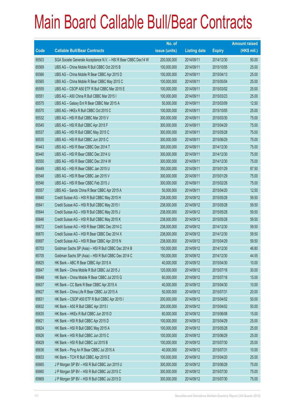|       |                                                                | No. of        |                     |               | <b>Amount raised</b> |
|-------|----------------------------------------------------------------|---------------|---------------------|---------------|----------------------|
| Code  | <b>Callable Bull/Bear Contracts</b>                            | issue (units) | <b>Listing date</b> | <b>Expiry</b> | $(HK$$ mil.)         |
| 65503 | SGA Societe Generale Acceptance N.V. - HSI R Bear CBBC Dec14 W | 200,000,000   | 2014/09/11          | 2014/12/30    | 50.00                |
| 65569 | UBS AG - China Mobile R Bull CBBC Oct 2015 B                   | 100,000,000   | 2014/09/11          | 2015/10/05    | 25.00                |
| 65566 | UBS AG - China Mobile R Bear CBBC Apr 2015 D                   | 100,000,000   | 2014/09/11          | 2015/04/13    | 25.00                |
| 65565 | UBS AG - China Mobile R Bear CBBC May 2015 C                   | 100,000,000   | 2014/09/11          | 2015/05/04    | 25.00                |
| 65555 | UBS AG - CSOP A50 ETF R Bull CBBC Mar 2015 E                   | 100,000,000   | 2014/09/11          | 2015/03/02    | 25.00                |
| 65551 | UBS AG - A50 China R Bull CBBC Mar 2015 I                      | 100,000,000   | 2014/09/11          | 2015/03/23    | 25.00                |
| 65575 | UBS AG - Galaxy Ent R Bear CBBC Mar 2015 A                     | 50,000,000    | 2014/09/11          | 2015/03/09    | 12.50                |
| 65570 | UBS AG - HKEx R Bull CBBC Oct 2015 C                           | 100,000,000   | 2014/09/11          | 2015/10/05    | 25.00                |
| 65532 | UBS AG - HSI R Bull CBBC Mar 2015 V                            | 300,000,000   | 2014/09/11          | 2015/03/30    | 75.00                |
| 65545 | UBS AG - HSI R Bull CBBC Apr 2015 F                            | 300,000,000   | 2014/09/11          | 2015/04/29    | 75.00                |
| 65537 | UBS AG - HSI R Bull CBBC May 2015 C                            | 300,000,000   | 2014/09/11          | 2015/05/28    | 75.00                |
| 65535 | UBS AG - HSI R Bull CBBC Jun 2015 C                            | 300,000,000   | 2014/09/11          | 2015/06/29    | 75.00                |
| 65443 | UBS AG - HSI R Bear CBBC Dec 2014 T                            | 300,000,000   | 2014/09/11          | 2014/12/30    | 75.00                |
| 65440 | UBS AG - HSI R Bear CBBC Dec 2014 U                            | 300,000,000   | 2014/09/11          | 2014/12/30    | 75.00                |
| 65550 | UBS AG - HSI R Bear CBBC Dec 2014 W                            | 300,000,000   | 2014/09/11          | 2014/12/30    | 75.00                |
| 65449 | UBS AG - HSI R Bear CBBC Jan 2015 U                            | 350,000,000   | 2014/09/11          | 2015/01/29    | 87.50                |
| 65548 | UBS AG - HSI R Bear CBBC Jan 2015 V                            | 300,000,000   | 2014/09/11          | 2015/01/29    | 75.00                |
| 65546 | UBS AG - HSI R Bear CBBC Feb 2015 J                            | 300,000,000   | 2014/09/11          | 2015/02/26    | 75.00                |
| 65557 | UBS AG - Sands China R Bear CBBC Apr 2015 A                    | 50,000,000    | 2014/09/11          | 2015/04/20    | 12.50                |
| 65640 | Credit Suisse AG - HSI R Bull CBBC May 2015 H                  | 238,000,000   | 2014/09/12          | 2015/05/28    | 59.50                |
| 65641 | Credit Suisse AG - HSI R Bull CBBC May 2015 I                  | 238,000,000   | 2014/09/12          | 2015/05/28    | 59.50                |
| 65644 | Credit Suisse AG - HSI R Bull CBBC May 2015 J                  | 238,000,000   | 2014/09/12          | 2015/05/28    | 59.50                |
| 65646 | Credit Suisse AG - HSI R Bull CBBC May 2015 K                  | 238,000,000   | 2014/09/12          | 2015/05/28    | 59.50                |
| 65672 | Credit Suisse AG - HSI R Bear CBBC Dec 2014 C                  | 238,000,000   | 2014/09/12          | 2014/12/30    | 59.50                |
| 65670 | Credit Suisse AG - HSI R Bear CBBC Dec 2014 X                  | 238,000,000   | 2014/09/12          | 2014/12/30    | 59.50                |
| 65697 | Credit Suisse AG - HSI R Bear CBBC Apr 2015 N                  | 238,000,000   | 2014/09/12          | 2015/04/29    | 59.50                |
| 65703 | Goldman Sachs SP (Asia) - HSI R Bull CBBC Dec 2014 B           | 150,000,000   | 2014/09/12          | 2014/12/30    | 46.80                |
| 65705 | Goldman Sachs SP (Asia) - HSI R Bull CBBC Dec 2014 C           | 150,000,000   | 2014/09/12          | 2014/12/30    | 44.55                |
| 65625 | HK Bank - ABC R Bear CBBC Apr 2015 A                           | 40,000,000    | 2014/09/12          | 2015/04/30    | 10.00                |
| 65647 | HK Bank - China Mobile R Bull CBBC Jul 2015 J                  | 120,000,000   | 2014/09/12          | 2015/07/16    | 30.00                |
| 65648 | HK Bank - China Mobile R Bear CBBC Jul 2015 G                  | 60,000,000    | 2014/09/12          | 2015/07/16    | 15.00                |
| 65637 | HK Bank - CC Bank R Bear CBBC Apr 2015 A                       | 40,000,000    | 2014/09/12          | 2015/04/30    | 10.00                |
| 65627 | HK Bank - China Life R Bear CBBC Jul 2015 A                    | 50,000,000    | 2014/09/12          | 2015/07/31    | 20.00                |
| 65631 | HK Bank - CSOP A50 ETF R Bull CBBC Apr 2015 I                  | 200,000,000   | 2014/09/12          | 2015/04/02    | 50.00                |
| 65632 | HK Bank - A50 R Bull CBBC Apr 2015 I                           | 200,000,000   | 2014/09/12          | 2015/04/02    | 50.00                |
| 65635 | HK Bank - HKEx R Bull CBBC Jun 2015 D                          | 60,000,000    | 2014/09/12          | 2015/06/08    | 15.00                |
| 65621 | HK Bank - HSI R Bull CBBC Apr 2015 D                           | 100,000,000   | 2014/09/12          | 2015/04/29    | 25.00                |
| 65624 | HK Bank - HSI R Bull CBBC May 2015 A                           | 100,000,000   | 2014/09/12          | 2015/05/28    | 25.00                |
| 65626 | HK Bank - HSI R Bull CBBC Jun 2015 C                           | 100,000,000   | 2014/09/12          | 2015/06/29    | 25.00                |
| 65629 | HK Bank - HSI R Bull CBBC Jul 2015 B                           | 100,000,000   | 2014/09/12          | 2015/07/30    | 25.00                |
| 65636 | HK Bank - Ping An R Bear CBBC Jul 2015 A                       | 40,000,000    | 2014/09/12          | 2015/07/31    | 10.00                |
| 65633 | HK Bank - TCH R Bull CBBC Apr 2015 E                           | 100,000,000   | 2014/09/12          | 2015/04/20    | 25.00                |
| 65665 | J P Morgan SP BV - HSI R Bull CBBC Jun 2015 U                  | 300,000,000   | 2014/09/12          | 2015/06/29    | 75.00                |
| 65660 | J P Morgan SP BV - HSI R Bull CBBC Jul 2015 C                  | 300,000,000   | 2014/09/12          | 2015/07/30    | 75.00                |
| 65669 | J P Morgan SP BV - HSI R Bull CBBC Jul 2015 D                  | 300,000,000   | 2014/09/12          | 2015/07/30    | 75.00                |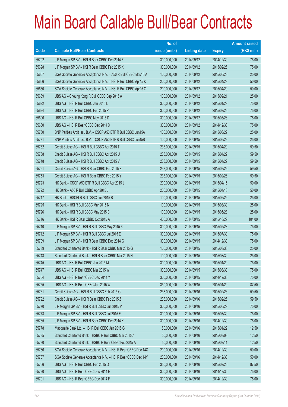|       |                                                                | No. of        |                     |               | <b>Amount raised</b> |
|-------|----------------------------------------------------------------|---------------|---------------------|---------------|----------------------|
| Code  | <b>Callable Bull/Bear Contracts</b>                            | issue (units) | <b>Listing date</b> | <b>Expiry</b> | (HK\$ mil.)          |
| 65702 | J P Morgan SP BV - HSI R Bear CBBC Dec 2014 F                  | 300,000,000   | 2014/09/12          | 2014/12/30    | 75.00                |
| 65698 | J P Morgan SP BV - HSI R Bear CBBC Feb 2015 K                  | 300,000,000   | 2014/09/12          | 2015/02/26    | 75.00                |
| 65657 | SGA Societe Generale Acceptance N.V. - A50 R Bull CBBC May15 A | 100,000,000   | 2014/09/12          | 2015/05/28    | 25.00                |
| 65656 | SGA Societe Generale Acceptance N.V. - HSI R Bull CBBC Apr15 K | 200,000,000   | 2014/09/12          | 2015/04/29    | 50.00                |
| 65650 | SGA Societe Generale Acceptance N.V. - HSI R Bull CBBC Apr15 O | 200,000,000   | 2014/09/12          | 2015/04/29    | 50.00                |
| 65689 | UBS AG - Cheung Kong R Bull CBBC Sep 2015 A                    | 100,000,000   | 2014/09/12          | 2015/09/21    | 25.00                |
| 65692 | UBS AG - HSI R Bull CBBC Jan 2015 L                            | 300,000,000   | 2014/09/12          | 2015/01/29    | 75.00                |
| 65694 | UBS AG - HSI R Bull CBBC Feb 2015 P                            | 300,000,000   | 2014/09/12          | 2015/02/26    | 75.00                |
| 65696 | UBS AG - HSI R Bull CBBC May 2015 D                            | 300,000,000   | 2014/09/12          | 2015/05/28    | 75.00                |
| 65680 | UBS AG - HSI R Bear CBBC Dec 2014 X                            | 300,000,000   | 2014/09/12          | 2014/12/30    | 75.00                |
| 65730 | BNP Paribas Arbit Issu B.V. - CSOP A50 ETF R Bull CBBC Jun15A  | 100,000,000   | 2014/09/15          | 2015/06/29    | 25.00                |
| 65731 | BNP Paribas Arbit Issu B.V. - CSOP A50 ETF R Bull CBBC Jun15B  | 100,000,000   | 2014/09/15          | 2015/06/29    | 25.00                |
| 65732 | Credit Suisse AG - HSI R Bull CBBC Apr 2015 T                  | 238,000,000   | 2014/09/15          | 2015/04/29    | 59.50                |
| 65738 | Credit Suisse AG - HSI R Bull CBBC Apr 2015 U                  | 238,000,000   | 2014/09/15          | 2015/04/29    | 59.50                |
| 65748 | Credit Suisse AG - HSI R Bull CBBC Apr 2015 V                  | 238,000,000   | 2014/09/15          | 2015/04/29    | 59.50                |
| 65751 | Credit Suisse AG - HSI R Bear CBBC Feb 2015 X                  | 238,000,000   | 2014/09/15          | 2015/02/26    | 59.50                |
| 65753 | Credit Suisse AG - HSI R Bear CBBC Feb 2015 Y                  | 238,000,000   | 2014/09/15          | 2015/02/26    | 59.50                |
| 65723 | HK Bank - CSOP A50 ETF R Bull CBBC Apr 2015 J                  | 200,000,000   | 2014/09/15          | 2015/04/15    | 50.00                |
| 65722 | HK Bank - A50 R Bull CBBC Apr 2015 J                           | 200,000,000   | 2014/09/15          | 2015/04/13    | 50.00                |
| 65717 | HK Bank - HSCEI R Bull CBBC Jun 2015 B                         | 100,000,000   | 2014/09/15          | 2015/06/29    | 25.00                |
| 65725 | HK Bank - HSI R Bull CBBC Mar 2015 N                           | 100,000,000   | 2014/09/15          | 2015/03/30    | 25.00                |
| 65726 | HK Bank - HSI R Bull CBBC May 2015 B                           | 100,000,000   | 2014/09/15          | 2015/05/28    | 25.00                |
| 65716 | HK Bank - HSI R Bear CBBC Oct 2015 A                           | 400,000,000   | 2014/09/15          | 2015/10/29    | 104.00               |
| 65710 | J P Morgan SP BV - HSI R Bull CBBC May 2015 X                  | 300,000,000   | 2014/09/15          | 2015/05/28    | 75.00                |
| 65712 | J P Morgan SP BV - HSI R Bull CBBC Jul 2015 E                  | 300,000,000   | 2014/09/15          | 2015/07/30    | 75.00                |
| 65709 | J P Morgan SP BV - HSI R Bear CBBC Dec 2014 G                  | 300,000,000   | 2014/09/15          | 2014/12/30    | 75.00                |
| 65739 | Standard Chartered Bank - HSI R Bear CBBC Mar 2015 G           | 100,000,000   | 2014/09/15          | 2015/03/30    | 25.00                |
| 65743 | Standard Chartered Bank - HSI R Bear CBBC Mar 2015 H           | 100,000,000   | 2014/09/15          | 2015/03/30    | 25.00                |
| 65745 | UBS AG - HSI R Bull CBBC Jan 2015 M                            | 300,000,000   | 2014/09/15          | 2015/01/29    | 75.00                |
| 65747 | UBS AG - HSI R Bull CBBC Mar 2015 W                            | 300,000,000   | 2014/09/15          | 2015/03/30    | 75.00                |
| 65754 | UBS AG - HSI R Bear CBBC Dec 2014 Y                            | 300,000,000   | 2014/09/15          | 2014/12/30    | 75.00                |
| 65755 | UBS AG - HSI R Bear CBBC Jan 2015 W                            | 350,000,000   | 2014/09/15          | 2015/01/29    | 87.50                |
| 65761 | Credit Suisse AG - HSI R Bull CBBC Feb 2015 G                  | 238,000,000   | 2014/09/16          | 2015/02/26    | 59.50                |
| 65792 | Credit Suisse AG - HSI R Bear CBBC Feb 2015 Z                  | 238,000,000   | 2014/09/16          | 2015/02/26    | 59.50                |
| 65770 | J P Morgan SP BV - HSI R Bull CBBC Jun 2015 V                  | 300,000,000   | 2014/09/16          | 2015/06/29    | 75.00                |
| 65773 | J P Morgan SP BV - HSI R Bull CBBC Jul 2015 F                  | 300,000,000   | 2014/09/16          | 2015/07/30    | 75.00                |
| 65765 | J P Morgan SP BV - HSI R Bear CBBC Dec 2014 K                  | 300,000,000   | 2014/09/16          | 2014/12/30    | 75.00                |
| 65778 | Macquarie Bank Ltd. - HSI R Bull CBBC Jan 2015 G               | 50,000,000    | 2014/09/16          | 2015/01/29    | 12.50                |
| 65785 | Standard Chartered Bank - HSBC R Bull CBBC Mar 2015 A          | 50,000,000    | 2014/09/16          | 2015/03/03    | 12.50                |
| 65780 | Standard Chartered Bank - HSBC R Bear CBBC Feb 2015 A          | 50,000,000    | 2014/09/16          | 2015/02/11    | 12.50                |
| 65786 | SGA Societe Generale Acceptance N.V. - HSI R Bear CBBC Dec 14X | 200,000,000   | 2014/09/16          | 2014/12/30    | 50.00                |
| 65787 | SGA Societe Generale Acceptance N.V. - HSI R Bear CBBC Dec 14Y | 200,000,000   | 2014/09/16          | 2014/12/30    | 50.00                |
| 65756 | UBS AG - HSI R Bull CBBC Feb 2015 Q                            | 350,000,000   | 2014/09/16          | 2015/02/26    | 87.50                |
| 65790 | UBS AG - HSI R Bear CBBC Dec 2014 E                            | 300,000,000   | 2014/09/16          | 2014/12/30    | 75.00                |
| 65791 | UBS AG - HSI R Bear CBBC Dec 2014 F                            | 300,000,000   | 2014/09/16          | 2014/12/30    | 75.00                |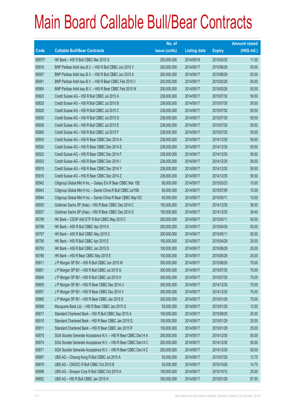|        |                                                                | No. of        |                     |               | <b>Amount raised</b> |
|--------|----------------------------------------------------------------|---------------|---------------------|---------------|----------------------|
| Code   | <b>Callable Bull/Bear Contracts</b>                            | issue (units) | <b>Listing date</b> | <b>Expiry</b> | $(HK$$ mil.)         |
| 69975# | HK Bank - HSI R Bull CBBC Mar 2015 G                           | 250,000,000   | 2014/09/16          | 2015/03/30    | 11.00                |
| 65816  | BNP Paribas Arbit Issu B.V. - HSI R Bull CBBC Jun 2015 V       | 200,000,000   | 2014/09/17          | 2015/06/29    | 50.00                |
| 65907  | BNP Paribas Arbit Issu B.V. - HSI R Bull CBBC Jun 2015 X       | 200,000,000   | 2014/09/17          | 2015/06/29    | 50.00                |
| 65901  | BNP Paribas Arbit Issu B.V. - HSI R Bear CBBC Feb 2015 V       | 200,000,000   | 2014/09/17          | 2015/02/26    | 50.00                |
| 65904  | BNP Paribas Arbit Issu B.V. - HSI R Bear CBBC Feb 2015 W       | 200,000,000   | 2014/09/17          | 2015/02/26    | 50.00                |
| 65823  | Credit Suisse AG - HSI R Bull CBBC Jul 2015 A                  | 238,000,000   | 2014/09/17          | 2015/07/30    | 59.50                |
| 65825  | Credit Suisse AG - HSI R Bull CBBC Jul 2015 B                  | 238,000,000   | 2014/09/17          | 2015/07/30    | 59.50                |
| 65826  | Credit Suisse AG - HSI R Bull CBBC Jul 2015 C                  | 238,000,000   | 2014/09/17          | 2015/07/30    | 59.50                |
| 65830  | Credit Suisse AG - HSI R Bull CBBC Jul 2015 D                  | 238,000,000   | 2014/09/17          | 2015/07/30    | 59.50                |
| 65836  | Credit Suisse AG - HSI R Bull CBBC Jul 2015 E                  | 238,000,000   | 2014/09/17          | 2015/07/30    | 59.50                |
| 65900  | Credit Suisse AG - HSI R Bull CBBC Jul 2015 F                  | 238,000,000   | 2014/09/17          | 2015/07/30    | 59.50                |
| 65934  | Credit Suisse AG - HSI R Bear CBBC Dec 2014 A                  | 238,000,000   | 2014/09/17          | 2014/12/30    | 59.50                |
| 65920  | Credit Suisse AG - HSI R Bear CBBC Dec 2014 E                  | 238,000,000   | 2014/09/17          | 2014/12/30    | 59.50                |
| 65922  | Credit Suisse AG - HSI R Bear CBBC Dec 2014 F                  | 238,000,000   | 2014/09/17          | 2014/12/30    | 59.50                |
| 65933  | Credit Suisse AG - HSI R Bear CBBC Dec 2014 I                  | 238,000,000   | 2014/09/17          | 2014/12/30    | 59.50                |
| 65915  | Credit Suisse AG - HSI R Bear CBBC Dec 2014 Y                  | 238,000,000   | 2014/09/17          | 2014/12/30    | 59.50                |
| 65916  | Credit Suisse AG - HSI R Bear CBBC Dec 2014 Z                  | 238,000,000   | 2014/09/17          | 2014/12/30    | 59.50                |
| 65942  | Citigroup Global Mkt H Inc. - Galaxy Ent R Bear CBBC Mar 15E   | 60,000,000    | 2014/09/17          | 2015/03/23    | 15.00                |
| 65943  | Citigroup Global Mkt H Inc. - Sands China R Bull CBBC Jul15B   | 60,000,000    | 2014/09/17          | 2015/07/09    | 15.00                |
| 65944  | Citigroup Global Mkt H Inc. - Sands China R Bear CBBC May15C   | 60,000,000    | 2014/09/17          | 2015/05/11    | 15.00                |
| 65935  | Goldman Sachs SP (Asia) - HSI R Bear CBBC Dec 2014 C           | 150,000,000   | 2014/09/17          | 2014/12/30    | 38.55                |
| 65937  | Goldman Sachs SP (Asia) - HSI R Bear CBBC Dec 2014 D           | 150,000,000   | 2014/09/17          | 2014/12/30    | 38.40                |
| 65799  | HK Bank - CSOP A50 ETF R Bull CBBC May 2015 C                  | 200,000,000   | 2014/09/17          | 2015/05/11    | 50.00                |
| 65798  | HK Bank - A50 R Bull CBBC Apr 2015 K                           | 200,000,000   | 2014/09/17          | 2015/04/30    | 50.00                |
| 65797  | HK Bank - A50 R Bull CBBC May 2015 C                           | 200,000,000   | 2014/09/17          | 2015/05/11    | 50.00                |
| 65795  | HK Bank - HSI R Bull CBBC Apr 2015 E                           | 100,000,000   | 2014/09/17          | 2015/04/29    | 25.00                |
| 65793  | HK Bank - HSI R Bull CBBC Jun 2015 D                           | 100,000,000   | 2014/09/17          | 2015/06/29    | 25.00                |
| 65796  | HK Bank - HSI R Bear CBBC May 2015 E                           | 100,000,000   | 2014/09/17          | 2015/05/28    | 25.00                |
| 65811  | J P Morgan SP BV - HSI R Bull CBBC Jun 2015 W                  | 300,000,000   | 2014/09/17          | 2015/06/29    | 75.00                |
| 65801  | J P Morgan SP BV - HSI R Bull CBBC Jul 2015 G                  | 300,000,000   | 2014/09/17          | 2015/07/30    | 75.00                |
| 65804  | J P Morgan SP BV - HSI R Bull CBBC Jul 2015 H                  | 300,000,000   | 2014/09/17          | 2015/07/30    | 75.00                |
| 65855  | J P Morgan SP BV - HSI R Bear CBBC Dec 2014 U                  | 300,000,000   | 2014/09/17          | 2014/12/30    | 75.00                |
| 65857  | J P Morgan SP BV - HSI R Bear CBBC Dec 2014 V                  | 300,000,000   | 2014/09/17          | 2014/12/30    | 75.00                |
| 65865  | J P Morgan SP BV - HSI R Bear CBBC Jan 2015 S                  | 300,000,000   | 2014/09/17          | 2015/01/29    | 75.00                |
| 65908  | Macquarie Bank Ltd. - HSI R Bear CBBC Jan 2015 G               | 50,000,000    | 2014/09/17          | 2015/01/29    | 12.50                |
| 65817  | Standard Chartered Bank - HSI R Bull CBBC Sep 2015 A           | 100,000,000   | 2014/09/17          | 2015/09/29    | 25.00                |
| 65910  | Standard Chartered Bank - HSI R Bear CBBC Jan 2015 Q           | 100,000,000   | 2014/09/17          | 2015/01/29    | 25.00                |
| 65911  | Standard Chartered Bank - HSI R Bear CBBC Jan 2015 R           | 100,000,000   | 2014/09/17          | 2015/01/29    | 25.00                |
| 65875  | SGA Societe Generale Acceptance N.V. - HSI R Bear CBBC Dec14 A | 200,000,000   | 2014/09/17          | 2014/12/30    | 50.00                |
| 65874  | SGA Societe Generale Acceptance N.V. - HSI R Bear CBBC Dec14 C | 200,000,000   | 2014/09/17          | 2014/12/30    | 50.00                |
| 65871  | SGA Societe Generale Acceptance N.V. - HSI R Bear CBBC Dec14 Z | 200,000,000   | 2014/09/17          | 2014/12/30    | 50.00                |
| 65897  | UBS AG - Cheung Kong R Bull CBBC Jul 2015 A                    | 50,000,000    | 2014/09/17          | 2015/07/20    | 12.75                |
| 65879  | UBS AG - CNOOC R Bull CBBC Oct 2015 B                          | 50,000,000    | 2014/09/17          | 2015/10/26    | 14.75                |
| 65896  | UBS AG - Sinopec Corp R Bull CBBC Oct 2015 A                   | 100,000,000   | 2014/09/17          | 2015/10/12    | 25.00                |
| 65852  | UBS AG - HSI R Bull CBBC Jan 2015 H                            | 350,000,000   | 2014/09/17          | 2015/01/29    | 87.50                |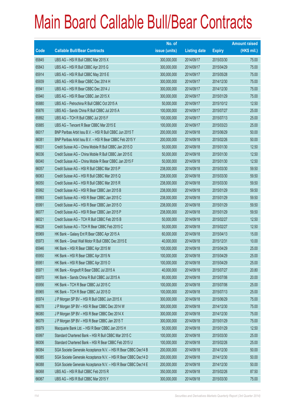|       |                                                                | No. of        |                     |               | <b>Amount raised</b> |
|-------|----------------------------------------------------------------|---------------|---------------------|---------------|----------------------|
| Code  | <b>Callable Bull/Bear Contracts</b>                            | issue (units) | <b>Listing date</b> | <b>Expiry</b> | $(HK$$ mil.)         |
| 65845 | UBS AG - HSI R Bull CBBC Mar 2015 X                            | 300,000,000   | 2014/09/17          | 2015/03/30    | 75.00                |
| 65843 | UBS AG - HSI R Bull CBBC Apr 2015 G                            | 300,000,000   | 2014/09/17          | 2015/04/29    | 75.00                |
| 65914 | UBS AG - HSI R Bull CBBC May 2015 E                            | 300,000,000   | 2014/09/17          | 2015/05/28    | 75.00                |
| 65939 | UBS AG - HSI R Bear CBBC Dec 2014 H                            | 300,000,000   | 2014/09/17          | 2014/12/30    | 75.00                |
| 65941 | UBS AG - HSI R Bear CBBC Dec 2014 J                            | 300,000,000   | 2014/09/17          | 2014/12/30    | 75.00                |
| 65940 | UBS AG - HSI R Bear CBBC Jan 2015 X                            | 300,000,000   | 2014/09/17          | 2015/01/29    | 75.00                |
| 65880 | UBS AG - Petrochina R Bull CBBC Oct 2015 A                     | 50,000,000    | 2014/09/17          | 2015/10/12    | 12.50                |
| 65876 | UBS AG - Sands China R Bull CBBC Jul 2015 A                    | 100,000,000   | 2014/09/17          | 2015/07/27    | 25.00                |
| 65892 | UBS AG - TCH R Bull CBBC Jul 2015 F                            | 100,000,000   | 2014/09/17          | 2015/07/13    | 25.00                |
| 65885 | UBS AG - Tencent R Bear CBBC Mar 2015 E                        | 100,000,000   | 2014/09/17          | 2015/03/23    | 25.00                |
| 66017 | BNP Paribas Arbit Issu B.V. - HSI R Bull CBBC Jun 2015 T       | 200,000,000   | 2014/09/18          | 2015/06/29    | 50.00                |
| 66081 | BNP Paribas Arbit Issu B.V. - HSI R Bear CBBC Feb 2015 Y       | 200,000,000   | 2014/09/18          | 2015/02/26    | 50.00                |
| 66031 | Credit Suisse AG - China Mobile R Bull CBBC Jan 2015 D         | 50,000,000    | 2014/09/18          | 2015/01/30    | 12.50                |
| 66036 | Credit Suisse AG - China Mobile R Bull CBBC Jan 2015 E         | 50,000,000    | 2014/09/18          | 2015/01/30    | 12.50                |
| 66040 | Credit Suisse AG - China Mobile R Bear CBBC Jan 2015 F         | 50,000,000    | 2014/09/18          | 2015/01/30    | 12.50                |
| 66057 | Credit Suisse AG - HSI R Bull CBBC Mar 2015 P                  | 238,000,000   | 2014/09/18          | 2015/03/30    | 59.50                |
| 66063 | Credit Suisse AG - HSI R Bull CBBC Mar 2015 Q                  | 238,000,000   | 2014/09/18          | 2015/03/30    | 59.50                |
| 66050 | Credit Suisse AG - HSI R Bull CBBC Mar 2015 R                  | 238,000,000   | 2014/09/18          | 2015/03/30    | 59.50                |
| 65992 | Credit Suisse AG - HSI R Bear CBBC Jan 2015 B                  | 238,000,000   | 2014/09/18          | 2015/01/29    | 59.50                |
| 65993 | Credit Suisse AG - HSI R Bear CBBC Jan 2015 C                  | 238,000,000   | 2014/09/18          | 2015/01/29    | 59.50                |
| 65991 | Credit Suisse AG - HSI R Bear CBBC Jan 2015 O                  | 238,000,000   | 2014/09/18          | 2015/01/29    | 59.50                |
| 66077 | Credit Suisse AG - HSI R Bear CBBC Jan 2015 P                  | 238,000,000   | 2014/09/18          | 2015/01/29    | 59.50                |
| 66021 | Credit Suisse AG - TCH R Bull CBBC Feb 2015 B                  | 50,000,000    | 2014/09/18          | 2015/02/27    | 12.50                |
| 66028 | Credit Suisse AG - TCH R Bear CBBC Feb 2015 C                  | 50,000,000    | 2014/09/18          | 2015/02/27    | 12.50                |
| 65969 | HK Bank - Galaxy Ent R Bear CBBC Apr 2015 A                    | 60,000,000    | 2014/09/18          | 2015/04/13    | 15.00                |
| 65973 | HK Bank - Great Wall Motor R Bull CBBC Dec 2015 E              | 40,000,000    | 2014/09/18          | 2015/12/31    | 10.00                |
| 65946 | HK Bank - HSI R Bear CBBC Apr 2015 M                           | 100,000,000   | 2014/09/18          | 2015/04/29    | 25.00                |
| 65950 | HK Bank - HSI R Bear CBBC Apr 2015 N                           | 100,000,000   | 2014/09/18          | 2015/04/29    | 25.00                |
| 65951 | HK Bank - HSI R Bear CBBC Apr 2015 O                           | 100,000,000   | 2014/09/18          | 2015/04/29    | 25.00                |
| 65971 | HK Bank - Kingsoft R Bear CBBC Jul 2015 A                      | 40,000,000    | 2014/09/18          | 2015/07/27    | 20.80                |
| 65970 | HK Bank - Sands China R Bull CBBC Jul 2015 A                   | 80,000,000    | 2014/09/18          | 2015/07/06    | 20.00                |
| 65956 | HK Bank - TCH R Bear CBBC Jul 2015 C                           | 100,000,000   | 2014/09/18          | 2015/07/06    | 25.00                |
| 65965 | HK Bank - TCH R Bear CBBC Jul 2015 D                           | 100,000,000   | 2014/09/18          | 2015/07/13    | 25.00                |
| 65974 | J P Morgan SP BV - HSI R Bull CBBC Jun 2015 X                  | 300,000,000   | 2014/09/18          | 2015/06/29    | 75.00                |
| 66078 | J P Morgan SP BV - HSI R Bear CBBC Dec 2014 W                  | 300,000,000   | 2014/09/18          | 2014/12/30    | 75.00                |
| 66080 | J P Morgan SP BV - HSI R Bear CBBC Dec 2014 X                  | 300,000,000   | 2014/09/18          | 2014/12/30    | 75.00                |
| 66079 | J P Morgan SP BV - HSI R Bear CBBC Jan 2015 T                  | 300,000,000   | 2014/09/18          | 2015/01/29    | 75.00                |
| 65979 | Macquarie Bank Ltd. - HSI R Bear CBBC Jan 2015 H               | 50,000,000    | 2014/09/18          | 2015/01/29    | 12.50                |
| 65997 | Standard Chartered Bank - HSI R Bull CBBC Mar 2015 C           | 100,000,000   | 2014/09/18          | 2015/03/30    | 25.00                |
| 66006 | Standard Chartered Bank - HSI R Bear CBBC Feb 2015 U           | 100,000,000   | 2014/09/18          | 2015/02/26    | 25.00                |
| 66084 | SGA Societe Generale Acceptance N.V. - HSI R Bear CBBC Dec14 B | 200,000,000   | 2014/09/18          | 2014/12/30    | 50.00                |
| 66085 | SGA Societe Generale Acceptance N.V. - HSI R Bear CBBC Dec14 D | 200,000,000   | 2014/09/18          | 2014/12/30    | 50.00                |
| 66088 | SGA Societe Generale Acceptance N.V. - HSI R Bear CBBC Dec14 E | 200,000,000   | 2014/09/18          | 2014/12/30    | 50.00                |
| 66068 | UBS AG - HSI R Bull CBBC Feb 2015 R                            | 350,000,000   | 2014/09/18          | 2015/02/26    | 87.50                |
| 66067 | UBS AG - HSI R Bull CBBC Mar 2015 Y                            | 300,000,000   | 2014/09/18          | 2015/03/30    | 75.00                |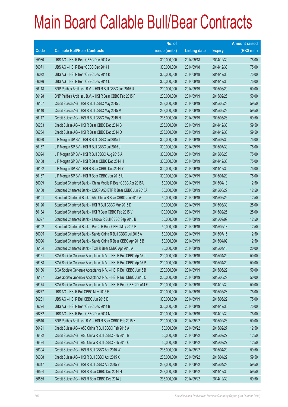|             |                                                                | No. of        |                     |               | <b>Amount raised</b> |
|-------------|----------------------------------------------------------------|---------------|---------------------|---------------|----------------------|
| <b>Code</b> | <b>Callable Bull/Bear Contracts</b>                            | issue (units) | <b>Listing date</b> | <b>Expiry</b> | $(HK$$ mil.)         |
| 65980       | UBS AG - HSI R Bear CBBC Dec 2014 A                            | 300,000,000   | 2014/09/18          | 2014/12/30    | 75.00                |
| 66071       | UBS AG - HSI R Bear CBBC Dec 2014 I                            | 300,000,000   | 2014/09/18          | 2014/12/30    | 75.00                |
| 66072       | UBS AG - HSI R Bear CBBC Dec 2014 K                            | 300,000,000   | 2014/09/18          | 2014/12/30    | 75.00                |
| 66076       | UBS AG - HSI R Bear CBBC Dec 2014 L                            | 300,000,000   | 2014/09/18          | 2014/12/30    | 75.00                |
| 66118       | BNP Paribas Arbit Issu B.V. - HSI R Bull CBBC Jun 2015 U       | 200,000,000   | 2014/09/19          | 2015/06/29    | 50.00                |
| 66198       | BNP Paribas Arbit Issu B.V. - HSI R Bear CBBC Feb 2015 F       | 200,000,000   | 2014/09/19          | 2015/02/26    | 50.00                |
| 66107       | Credit Suisse AG - HSI R Bull CBBC May 2015 L                  | 238,000,000   | 2014/09/19          | 2015/05/28    | 59.50                |
| 66110       | Credit Suisse AG - HSI R Bull CBBC May 2015 M                  | 238,000,000   | 2014/09/19          | 2015/05/28    | 59.50                |
| 66117       | Credit Suisse AG - HSI R Bull CBBC May 2015 N                  | 238,000,000   | 2014/09/19          | 2015/05/28    | 59.50                |
| 66283       | Credit Suisse AG - HSI R Bear CBBC Dec 2014 B                  | 238,000,000   | 2014/09/19          | 2014/12/30    | 59.50                |
| 66284       | Credit Suisse AG - HSI R Bear CBBC Dec 2014 D                  | 238,000,000   | 2014/09/19          | 2014/12/30    | 59.50                |
| 66090       | J P Morgan SP BV - HSI R Bull CBBC Jul 2015 I                  | 300,000,000   | 2014/09/19          | 2015/07/30    | 75.00                |
| 66157       | J P Morgan SP BV - HSI R Bull CBBC Jul 2015 J                  | 300,000,000   | 2014/09/19          | 2015/07/30    | 75.00                |
| 66094       | J P Morgan SP BV - HSI R Bull CBBC Aug 2015 A                  | 300,000,000   | 2014/09/19          | 2015/08/28    | 75.00                |
| 66158       | J P Morgan SP BV - HSI R Bear CBBC Dec 2014 H                  | 300,000,000   | 2014/09/19          | 2014/12/30    | 75.00                |
| 66162       | J P Morgan SP BV - HSI R Bear CBBC Dec 2014 Y                  | 300,000,000   | 2014/09/19          | 2014/12/30    | 75.00                |
| 66167       | J P Morgan SP BV - HSI R Bear CBBC Jan 2015 U                  | 300,000,000   | 2014/09/19          | 2015/01/29    | 75.00                |
| 66099       | Standard Chartered Bank - China Mobile R Bear CBBC Apr 2015A   | 50,000,000    | 2014/09/19          | 2015/04/13    | 12.50                |
| 66100       | Standard Chartered Bank - CSOP A50 ETF R Bear CBBC Jun 2015A   | 50,000,000    | 2014/09/19          | 2015/06/29    | 12.50                |
| 66101       | Standard Chartered Bank - A50 China R Bear CBBC Jun 2015 A     | 50,000,000    | 2014/09/19          | 2015/06/29    | 12.50                |
| 66126       | Standard Chartered Bank - HSI R Bull CBBC Mar 2015 D           | 100,000,000   | 2014/09/19          | 2015/03/30    | 25.00                |
| 66134       | Standard Chartered Bank - HSI R Bear CBBC Feb 2015 V           | 100,000,000   | 2014/09/19          | 2015/02/26    | 25.00                |
| 66097       | Standard Chartered Bank - Lenovo R Bull CBBC Sep 2015 B        | 50,000,000    | 2014/09/19          | 2015/09/09    | 12.50                |
| 66102       | Standard Chartered Bank - PetCh R Bear CBBC May 2015 B         | 50,000,000    | 2014/09/19          | 2015/05/18    | 12.50                |
| 66095       | Standard Chartered Bank - Sands China R Bull CBBC Jul 2015 A   | 50,000,000    | 2014/09/19          | 2015/07/15    | 12.50                |
| 66096       | Standard Chartered Bank - Sands China R Bear CBBC Apr 2015 B   | 50,000,000    | 2014/09/19          | 2015/04/09    | 12.50                |
| 66104       | Standard Chartered Bank - TCH R Bear CBBC Apr 2015 A           | 80,000,000    | 2014/09/19          | 2015/04/15    | 20.00                |
| 66151       | SGA Societe Generale Acceptance N.V. - HSI R Bull CBBC Apr15 J | 200,000,000   | 2014/09/19          | 2015/04/29    | 50.00                |
| 66138       | SGA Societe Generale Acceptance N.V. - HSI R Bull CBBC Apr15 P | 200,000,000   | 2014/09/19          | 2015/04/29    | 50.00                |
| 66136       | SGA Societe Generale Acceptance N.V. - HSI R Bull CBBC Jun15 B | 200,000,000   | 2014/09/19          | 2015/06/29    | 50.00                |
| 66137       | SGA Societe Generale Acceptance N.V. - HSI R Bull CBBC Jun15 C | 200,000,000   | 2014/09/19          | 2015/06/29    | 50.00                |
| 66174       | SGA Societe Generale Acceptance N.V. - HSI R Bear CBBC Dec14 F | 200,000,000   | 2014/09/19          | 2014/12/30    | 50.00                |
| 66277       | UBS AG - HSI R Bull CBBC May 2015 F                            | 300,000,000   | 2014/09/19          | 2015/05/28    | 75.00                |
| 66281       | UBS AG - HSI R Bull CBBC Jun 2015 D                            | 300,000,000   | 2014/09/19          | 2015/06/29    | 75.00                |
| 66224       | UBS AG - HSI R Bear CBBC Dec 2014 B                            | 300,000,000   | 2014/09/19          | 2014/12/30    | 75.00                |
| 66232       | UBS AG - HSI R Bear CBBC Dec 2014 N                            | 300,000,000   | 2014/09/19          | 2014/12/30    | 75.00                |
| 66510       | BNP Paribas Arbit Issu B.V. - HSI R Bear CBBC Feb 2015 X       | 200,000,000   | 2014/09/22          | 2015/02/26    | 50.00                |
| 66491       | Credit Suisse AG - A50 China R Bull CBBC Feb 2015 A            | 50,000,000    | 2014/09/22          | 2015/02/27    | 12.50                |
| 66492       | Credit Suisse AG - A50 China R Bull CBBC Feb 2015 B            | 50,000,000    | 2014/09/22          | 2015/02/27    | 12.50                |
| 66494       | Credit Suisse AG - A50 China R Bull CBBC Feb 2015 C            | 50,000,000    | 2014/09/22          | 2015/02/27    | 12.50                |
| 66304       | Credit Suisse AG - HSI R Bull CBBC Apr 2015 W                  | 238,000,000   | 2014/09/22          | 2015/04/29    | 59.50                |
| 66308       | Credit Suisse AG - HSI R Bull CBBC Apr 2015 X                  | 238,000,000   | 2014/09/22          | 2015/04/29    | 59.50                |
| 66317       | Credit Suisse AG - HSI R Bull CBBC Apr 2015 Y                  | 238,000,000   | 2014/09/22          | 2015/04/29    | 59.50                |
| 66554       | Credit Suisse AG - HSI R Bear CBBC Dec 2014 H                  | 238,000,000   | 2014/09/22          | 2014/12/30    | 59.50                |
| 66565       | Credit Suisse AG - HSI R Bear CBBC Dec 2014 J                  | 238,000,000   | 2014/09/22          | 2014/12/30    | 59.50                |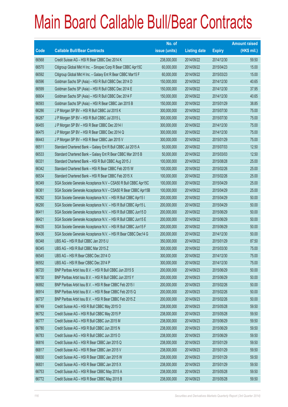|       |                                                                | No. of        |                     |               | <b>Amount raised</b> |
|-------|----------------------------------------------------------------|---------------|---------------------|---------------|----------------------|
| Code  | <b>Callable Bull/Bear Contracts</b>                            | issue (units) | <b>Listing date</b> | <b>Expiry</b> | $(HK$$ mil.)         |
| 66568 | Credit Suisse AG - HSI R Bear CBBC Dec 2014 K                  | 238,000,000   | 2014/09/22          | 2014/12/30    | 59.50                |
| 66570 | Citigroup Global Mkt H Inc. - Sinopec Corp R Bear CBBC Apr15C  | 60,000,000    | 2014/09/22          | 2015/04/23    | 15.00                |
| 66592 | Citigroup Global Mkt H Inc. - Galaxy Ent R Bear CBBC Mar15 F   | 60,000,000    | 2014/09/22          | 2015/03/23    | 15.00                |
| 66596 | Goldman Sachs SP (Asia) - HSI R Bull CBBC Dec 2014 D           | 150,000,000   | 2014/09/22          | 2014/12/30    | 40.65                |
| 66599 | Goldman Sachs SP (Asia) - HSI R Bull CBBC Dec 2014 E           | 150,000,000   | 2014/09/22          | 2014/12/30    | 37.95                |
| 66604 | Goldman Sachs SP (Asia) - HSI R Bull CBBC Dec 2014 F           | 150,000,000   | 2014/09/22          | 2014/12/30    | 40.65                |
| 66593 | Goldman Sachs SP (Asia) - HSI R Bear CBBC Jan 2015 B           | 150,000,000   | 2014/09/22          | 2015/01/29    | 38.85                |
| 66286 | J P Morgan SP BV - HSI R Bull CBBC Jul 2015 K                  | 300,000,000   | 2014/09/22          | 2015/07/30    | 75.00                |
| 66287 | J P Morgan SP BV - HSI R Bull CBBC Jul 2015 L                  | 300,000,000   | 2014/09/22          | 2015/07/30    | 75.00                |
| 66455 | J P Morgan SP BV - HSI R Bear CBBC Dec 2014 I                  | 300,000,000   | 2014/09/22          | 2014/12/30    | 75.00                |
| 66475 | J P Morgan SP BV - HSI R Bear CBBC Dec 2014 Q                  | 300,000,000   | 2014/09/22          | 2014/12/30    | 75.00                |
| 66443 | J P Morgan SP BV - HSI R Bear CBBC Jan 2015 V                  | 300,000,000   | 2014/09/22          | 2015/01/29    | 75.00                |
| 66511 | Standard Chartered Bank - Galaxy Ent R Bull CBBC Jul 2015 A    | 50,000,000    | 2014/09/22          | 2015/07/03    | 12.50                |
| 66533 | Standard Chartered Bank - Galaxy Ent R Bear CBBC Mar 2015 B    | 50,000,000    | 2014/09/22          | 2015/03/03    | 12.50                |
| 66331 | Standard Chartered Bank - HSI R Bull CBBC Aug 2015 J           | 100,000,000   | 2014/09/22          | 2015/08/28    | 25.00                |
| 66342 | Standard Chartered Bank - HSI R Bear CBBC Feb 2015 W           | 100,000,000   | 2014/09/22          | 2015/02/26    | 25.00                |
| 66534 | Standard Chartered Bank - HSI R Bear CBBC Feb 2015 X           | 100,000,000   | 2014/09/22          | 2015/02/26    | 25.00                |
| 66349 | SGA Societe Generale Acceptance N.V - CSA50 R Bull CBBC Apr15C | 100,000,000   | 2014/09/22          | 2015/04/29    | 25.00                |
| 66361 | SGA Societe Generale Acceptance N.V - CSA50 R Bear CBBC Apr15B | 100,000,000   | 2014/09/22          | 2015/04/29    | 25.00                |
| 66292 | SGA Societe Generale Acceptance N.V. - HSI R Bull CBBC Apr15 I | 200,000,000   | 2014/09/22          | 2015/04/29    | 50.00                |
| 66290 | SGA Societe Generale Acceptance N.V. - HSI R Bull CBBC Apr15 L | 200,000,000   | 2014/09/22          | 2015/04/29    | 50.00                |
| 66411 | SGA Societe Generale Acceptance N.V. - HSI R Bull CBBC Jun15 D | 200,000,000   | 2014/09/22          | 2015/06/29    | 50.00                |
| 66421 | SGA Societe Generale Acceptance N.V. - HSI R Bull CBBC Jun15 E | 200,000,000   | 2014/09/22          | 2015/06/29    | 50.00                |
| 66435 | SGA Societe Generale Acceptance N.V. - HSI R Bull CBBC Jun15 F | 200,000,000   | 2014/09/22          | 2015/06/29    | 50.00                |
| 66436 | SGA Societe Generale Acceptance N.V. - HSI R Bear CBBC Dec14 G | 200,000,000   | 2014/09/22          | 2014/12/30    | 50.00                |
| 66348 | UBS AG - HSI R Bull CBBC Jan 2015 U                            | 350,000,000   | 2014/09/22          | 2015/01/29    | 87.50                |
| 66345 | UBS AG - HSI R Bull CBBC Mar 2015 Z                            | 300,000,000   | 2014/09/22          | 2015/03/30    | 75.00                |
| 66545 | UBS AG - HSI R Bear CBBC Dec 2014 O                            | 300,000,000   | 2014/09/22          | 2014/12/30    | 75.00                |
| 66552 | UBS AG - HSI R Bear CBBC Dec 2014 P                            | 300,000,000   | 2014/09/22          | 2014/12/30    | 75.00                |
| 66720 | BNP Paribas Arbit Issu B.V. - HSI R Bull CBBC Jun 2015 S       | 200,000,000   | 2014/09/23          | 2015/06/29    | 50.00                |
| 66730 | BNP Paribas Arbit Issu B.V. - HSI R Bull CBBC Jun 2015 Y       | 200,000,000   | 2014/09/23          | 2015/06/29    | 50.00                |
| 66892 | BNP Paribas Arbit Issu B.V. - HSI R Bear CBBC Feb 2015 I       | 200,000,000   | 2014/09/23          | 2015/02/26    | 50.00                |
| 66914 | BNP Paribas Arbit Issu B.V. - HSI R Bear CBBC Feb 2015 Q       | 200,000,000   | 2014/09/23          | 2015/02/26    | 50.00                |
| 66737 | BNP Paribas Arbit Issu B.V. - HSI R Bear CBBC Feb 2015 Z       | 200,000,000   | 2014/09/23          | 2015/02/26    | 50.00                |
| 66749 | Credit Suisse AG - HSI R Bull CBBC May 2015 O                  | 238,000,000   | 2014/09/23          | 2015/05/28    | 59.50                |
| 66752 | Credit Suisse AG - HSI R Bull CBBC May 2015 P                  | 238,000,000   | 2014/09/23          | 2015/05/28    | 59.50                |
| 66777 | Credit Suisse AG - HSI R Bull CBBC Jun 2015 M                  | 238,000,000   | 2014/09/23          | 2015/06/29    | 59.50                |
| 66780 | Credit Suisse AG - HSI R Bull CBBC Jun 2015 N                  | 238,000,000   | 2014/09/23          | 2015/06/29    | 59.50                |
| 66783 | Credit Suisse AG - HSI R Bull CBBC Jun 2015 O                  | 238,000,000   | 2014/09/23          | 2015/06/29    | 59.50                |
| 66816 | Credit Suisse AG - HSI R Bear CBBC Jan 2015 Q                  | 238,000,000   | 2014/09/23          | 2015/01/29    | 59.50                |
| 66817 | Credit Suisse AG - HSI R Bear CBBC Jan 2015 V                  | 238,000,000   | 2014/09/23          | 2015/01/29    | 59.50                |
| 66830 | Credit Suisse AG - HSI R Bear CBBC Jan 2015 W                  | 238,000,000   | 2014/09/23          | 2015/01/29    | 59.50                |
| 66831 | Credit Suisse AG - HSI R Bear CBBC Jan 2015 X                  | 238,000,000   | 2014/09/23          | 2015/01/29    | 59.50                |
| 66753 | Credit Suisse AG - HSI R Bear CBBC May 2015 A                  | 238,000,000   | 2014/09/23          | 2015/05/28    | 59.50                |
| 66772 | Credit Suisse AG - HSI R Bear CBBC May 2015 B                  | 238,000,000   | 2014/09/23          | 2015/05/28    | 59.50                |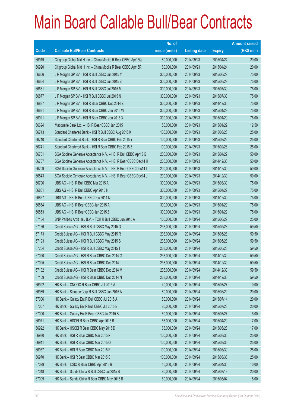|       |                                                                | No. of        |                     |               | <b>Amount raised</b> |
|-------|----------------------------------------------------------------|---------------|---------------------|---------------|----------------------|
| Code  | <b>Callable Bull/Bear Contracts</b>                            | issue (units) | <b>Listing date</b> | <b>Expiry</b> | $(HK$$ mil.)         |
| 66919 | Citigroup Global Mkt H Inc. - China Mobile R Bear CBBC Apr15Q  | 80,000,000    | 2014/09/23          | 2015/04/24    | 20.00                |
| 66920 | Citigroup Global Mkt H Inc. - China Mobile R Bear CBBC Apr15R  | 80,000,000    | 2014/09/23          | 2015/04/24    | 20.00                |
| 66606 | J P Morgan SP BV - HSI R Bull CBBC Jun 2015 Y                  | 300,000,000   | 2014/09/23          | 2015/06/29    | 75.00                |
| 66664 | J P Morgan SP BV - HSI R Bull CBBC Jun 2015 Z                  | 300,000,000   | 2014/09/23          | 2015/06/29    | 75.00                |
| 66681 | J P Morgan SP BV - HSI R Bull CBBC Jul 2015 M                  | 300,000,000   | 2014/09/23          | 2015/07/30    | 75.00                |
| 66877 | J P Morgan SP BV - HSI R Bull CBBC Jul 2015 N                  | 300,000,000   | 2014/09/23          | 2015/07/30    | 75.00                |
| 66887 | J P Morgan SP BV - HSI R Bear CBBC Dec 2014 Z                  | 300,000,000   | 2014/09/23          | 2014/12/30    | 75.00                |
| 66691 | J P Morgan SP BV - HSI R Bear CBBC Jan 2015 W                  | 300,000,000   | 2014/09/23          | 2015/01/29    | 75.00                |
| 66921 | J P Morgan SP BV - HSI R Bear CBBC Jan 2015 X                  | 300,000,000   | 2014/09/23          | 2015/01/29    | 75.00                |
| 66694 | Macquarie Bank Ltd. - HSI R Bear CBBC Jan 2015 I               | 50,000,000    | 2014/09/23          | 2015/01/29    | 12.50                |
| 66743 | Standard Chartered Bank - HSI R Bull CBBC Aug 2015 K           | 100,000,000   | 2014/09/23          | 2015/08/28    | 25.00                |
| 66740 | Standard Chartered Bank - HSI R Bear CBBC Feb 2015 Y           | 100,000,000   | 2014/09/23          | 2015/02/26    | 25.00                |
| 66741 | Standard Chartered Bank - HSI R Bear CBBC Feb 2015 Z           | 100,000,000   | 2014/09/23          | 2015/02/26    | 25.00                |
| 66701 | SGA Societe Generale Acceptance N.V. - HSI R Bull CBBC Apr15 G | 200,000,000   | 2014/09/23          | 2015/04/29    | 50.00                |
| 66707 | SGA Societe Generale Acceptance N.V. - HSI R Bear CBBC Dec14 H | 200,000,000   | 2014/09/23          | 2014/12/30    | 50.00                |
| 66709 | SGA Societe Generale Acceptance N.V. - HSI R Bear CBBC Dec14 I | 200,000,000   | 2014/09/23          | 2014/12/30    | 50.00                |
| 66843 | SGA Societe Generale Acceptance N.V. - HSI R Bear CBBC Dec14 J | 200,000,000   | 2014/09/23          | 2014/12/30    | 50.00                |
| 66796 | UBS AG - HSI R Bull CBBC Mar 2015 A                            | 300,000,000   | 2014/09/23          | 2015/03/30    | 75.00                |
| 66801 | UBS AG - HSI R Bull CBBC Apr 2015 H                            | 300,000,000   | 2014/09/23          | 2015/04/29    | 75.00                |
| 66867 | UBS AG - HSI R Bear CBBC Dec 2014 Q                            | 300,000,000   | 2014/09/23          | 2014/12/30    | 75.00                |
| 66864 | UBS AG - HSI R Bear CBBC Jan 2015 A                            | 300,000,000   | 2014/09/23          | 2015/01/29    | 75.00                |
| 66853 | UBS AG - HSI R Bear CBBC Jan 2015 Z                            | 300,000,000   | 2014/09/23          | 2015/01/29    | 75.00                |
| 67164 | BNP Paribas Arbit Issu B.V. - TCH R Bull CBBC Jun 2015 A       | 100,000,000   | 2014/09/24          | 2015/06/29    | 25.00                |
| 67166 | Credit Suisse AG - HSI R Bull CBBC May 2015 Q                  | 238,000,000   | 2014/09/24          | 2015/05/28    | 59.50                |
| 67173 | Credit Suisse AG - HSI R Bull CBBC May 2015 R                  | 238,000,000   | 2014/09/24          | 2015/05/28    | 59.50                |
| 67193 | Credit Suisse AG - HSI R Bull CBBC May 2015 S                  | 238,000,000   | 2014/09/24          | 2015/05/28    | 59.50                |
| 67204 | Credit Suisse AG - HSI R Bull CBBC May 2015 T                  | 238,000,000   | 2014/09/24          | 2015/05/28    | 59.50                |
| 67090 | Credit Suisse AG - HSI R Bear CBBC Dec 2014 G                  | 238,000,000   | 2014/09/24          | 2014/12/30    | 59.50                |
| 67095 | Credit Suisse AG - HSI R Bear CBBC Dec 2014 L                  | 238,000,000   | 2014/09/24          | 2014/12/30    | 59.50                |
| 67102 | Credit Suisse AG - HSI R Bear CBBC Dec 2014 M                  | 238,000,000   | 2014/09/24          | 2014/12/30    | 59.50                |
| 67109 | Credit Suisse AG - HSI R Bear CBBC Dec 2014 N                  | 238,000,000   | 2014/09/24          | 2014/12/30    | 59.50                |
| 66992 | HK Bank - CNOOC R Bear CBBC Jul 2015 A                         | 40,000,000    | 2014/09/24          | 2015/07/27    | 10.00                |
| 66989 | HK Bank - Sinopec Corp R Bull CBBC Jun 2015 A                  | 80,000,000    | 2014/09/24          | 2015/06/29    | 20.00                |
| 67006 | HK Bank - Galaxy Ent R Bull CBBC Jul 2015 A                    | 80,000,000    | 2014/09/24          | 2015/07/14    | 20.00                |
| 67007 | HK Bank - Galaxy Ent R Bull CBBC Jul 2015 B                    | 80,000,000    | 2014/09/24          | 2015/07/28    | 20.00                |
| 67000 | HK Bank - Galaxy Ent R Bear CBBC Jul 2015 B                    | 60,000,000    | 2014/09/24          | 2015/07/27    | 15.00                |
| 66971 | HK Bank - HSCEI R Bear CBBC Apr 2015 B                         | 68,000,000    | 2014/09/24          | 2015/04/29    | 17.00                |
| 66922 | HK Bank - HSCEI R Bear CBBC May 2015 D                         | 68,000,000    | 2014/09/24          | 2015/05/28    | 17.00                |
| 66930 | HK Bank - HSI R Bear CBBC Mar 2015 P                           | 100,000,000   | 2014/09/24          | 2015/03/30    | 25.00                |
| 66941 | HK Bank - HSI R Bear CBBC Mar 2015 Q                           | 100,000,000   | 2014/09/24          | 2015/03/30    | 25.00                |
| 66957 | HK Bank - HSI R Bear CBBC Mar 2015 R                           | 100,000,000   | 2014/09/24          | 2015/03/30    | 25.00                |
| 66970 | HK Bank - HSI R Bear CBBC Mar 2015 S                           | 100,000,000   | 2014/09/24          | 2015/03/30    | 25.00                |
| 67029 | HK Bank - ICBC R Bear CBBC Apr 2015 B                          | 40,000,000    | 2014/09/24          | 2015/04/30    | 10.00                |
| 67018 | HK Bank - Sands China R Bull CBBC Jul 2015 B                   | 80,000,000    | 2014/09/24          | 2015/07/13    | 20.00                |
| 67009 | HK Bank - Sands China R Bear CBBC May 2015 B                   | 60,000,000    | 2014/09/24          | 2015/05/04    | 15.00                |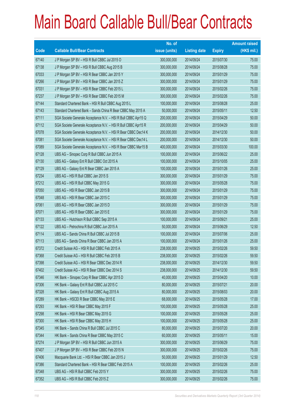|       |                                                                | No. of        |                     |               | <b>Amount raised</b> |
|-------|----------------------------------------------------------------|---------------|---------------------|---------------|----------------------|
| Code  | <b>Callable Bull/Bear Contracts</b>                            | issue (units) | <b>Listing date</b> | <b>Expiry</b> | $(HK$$ mil.)         |
| 67140 | J P Morgan SP BV - HSI R Bull CBBC Jul 2015 O                  | 300,000,000   | 2014/09/24          | 2015/07/30    | 75.00                |
| 67138 | J P Morgan SP BV - HSI R Bull CBBC Aug 2015 B                  | 300,000,000   | 2014/09/24          | 2015/08/28    | 75.00                |
| 67033 | J P Morgan SP BV - HSI R Bear CBBC Jan 2015 Y                  | 300,000,000   | 2014/09/24          | 2015/01/29    | 75.00                |
| 67266 | J P Morgan SP BV - HSI R Bear CBBC Jan 2015 Z                  | 300,000,000   | 2014/09/24          | 2015/01/29    | 75.00                |
| 67031 | J P Morgan SP BV - HSI R Bear CBBC Feb 2015 L                  | 300,000,000   | 2014/09/24          | 2015/02/26    | 75.00                |
| 67237 | J P Morgan SP BV - HSI R Bear CBBC Feb 2015 M                  | 300,000,000   | 2014/09/24          | 2015/02/26    | 75.00                |
| 67144 | Standard Chartered Bank - HSI R Bull CBBC Aug 2015 L           | 100,000,000   | 2014/09/24          | 2015/08/28    | 25.00                |
| 67143 | Standard Chartered Bank - Sands China R Bear CBBC May 2015 A   | 50,000,000    | 2014/09/24          | 2015/05/11    | 12.50                |
| 67111 | SGA Societe Generale Acceptance N.V. - HSI R Bull CBBC Apr15 Q | 200,000,000   | 2014/09/24          | 2015/04/29    | 50.00                |
| 67112 | SGA Societe Generale Acceptance N.V. - HSI R Bull CBBC Apr15 R | 200,000,000   | 2014/09/24          | 2015/04/29    | 50.00                |
| 67078 | SGA Societe Generale Acceptance N.V. - HSI R Bear CBBC Dec14 K | 200,000,000   | 2014/09/24          | 2014/12/30    | 50.00                |
| 67081 | SGA Societe Generale Acceptance N.V. - HSI R Bear CBBC Dec14 L | 200,000,000   | 2014/09/24          | 2014/12/30    | 50.00                |
| 67089 | SGA Societe Generale Acceptance N.V. - HSI R Bear CBBC Mar15 B | 400,000,000   | 2014/09/24          | 2015/03/30    | 100.00               |
| 67128 | UBS AG - Sinopec Corp R Bull CBBC Jun 2015 A                   | 100,000,000   | 2014/09/24          | 2015/06/22    | 25.00                |
| 67130 | UBS AG - Galaxy Ent R Bull CBBC Oct 2015 A                     | 100,000,000   | 2014/09/24          | 2015/10/05    | 25.00                |
| 67129 | UBS AG - Galaxy Ent R Bear CBBC Jan 2015 A                     | 100,000,000   | 2014/09/24          | 2015/01/26    | 25.00                |
| 67234 | UBS AG - HSI R Bull CBBC Jan 2015 S                            | 300,000,000   | 2014/09/24          | 2015/01/29    | 75.00                |
| 67212 | UBS AG - HSI R Bull CBBC May 2015 G                            | 300,000,000   | 2014/09/24          | 2015/05/28    | 75.00                |
| 67050 | UBS AG - HSI R Bear CBBC Jan 2015 B                            | 300,000,000   | 2014/09/24          | 2015/01/29    | 75.00                |
| 67048 | UBS AG - HSI R Bear CBBC Jan 2015 C                            | 300,000,000   | 2014/09/24          | 2015/01/29    | 75.00                |
| 67061 | UBS AG - HSI R Bear CBBC Jan 2015 D                            | 300,000,000   | 2014/09/24          | 2015/01/29    | 75.00                |
| 67071 | UBS AG - HSI R Bear CBBC Jan 2015 E                            | 300,000,000   | 2014/09/24          | 2015/01/29    | 75.00                |
| 67133 | UBS AG - Hutchison R Bull CBBC Sep 2015 A                      | 100,000,000   | 2014/09/24          | 2015/09/21    | 25.00                |
| 67122 | UBS AG - Petrochina R Bull CBBC Jun 2015 A                     | 50,000,000    | 2014/09/24          | 2015/06/29    | 12.50                |
| 67114 | UBS AG - Sands China R Bull CBBC Jul 2015 B                    | 100,000,000   | 2014/09/24          | 2015/07/06    | 25.00                |
| 67113 | UBS AG - Sands China R Bear CBBC Jan 2015 A                    | 100,000,000   | 2014/09/24          | 2015/01/26    | 25.00                |
| 67372 | Credit Suisse AG - HSI R Bull CBBC Feb 2015 A                  | 238,000,000   | 2014/09/25          | 2015/02/26    | 59.50                |
| 67368 | Credit Suisse AG - HSI R Bull CBBC Feb 2015 B                  | 238,000,000   | 2014/09/25          | 2015/02/26    | 59.50                |
| 67398 | Credit Suisse AG - HSI R Bear CBBC Dec 2014 R                  | 238,000,000   | 2014/09/25          | 2014/12/30    | 59.50                |
| 67402 | Credit Suisse AG - HSI R Bear CBBC Dec 2014 S                  | 238,000,000   | 2014/09/25          | 2014/12/30    | 59.50                |
| 67346 | HK Bank - Sinopec Corp R Bear CBBC Apr 2015 D                  | 40,000,000    | 2014/09/25          | 2015/04/20    | 10.00                |
| 67306 | HK Bank - Galaxy Ent R Bull CBBC Jul 2015 C                    | 80,000,000    | 2014/09/25          | 2015/07/21    | 20.00                |
| 67328 | HK Bank - Galaxy Ent R Bull CBBC Aug 2015 A                    | 80,000,000    | 2014/09/25          | 2015/08/03    | 20.00                |
| 67289 | HK Bank - HSCEI R Bear CBBC May 2015 E                         | 68,000,000    | 2014/09/25          | 2015/05/28    | 17.00                |
| 67293 | HK Bank - HSI R Bear CBBC May 2015 F                           | 100,000,000   | 2014/09/25          | 2015/05/28    | 25.00                |
| 67298 | HK Bank - HSI R Bear CBBC May 2015 G                           | 100,000,000   | 2014/09/25          | 2015/05/28    | 25.00                |
| 67300 | HK Bank - HSI R Bear CBBC May 2015 H                           | 100,000,000   | 2014/09/25          | 2015/05/28    | 25.00                |
| 67345 | HK Bank - Sands China R Bull CBBC Jul 2015 C                   | 80,000,000    | 2014/09/25          | 2015/07/20    | 20.00                |
| 67344 | HK Bank - Sands China R Bear CBBC May 2015 C                   | 60,000,000    | 2014/09/25          | 2015/05/11    | 15.00                |
| 67274 | J P Morgan SP BV - HSI R Bull CBBC Jun 2015 A                  | 300,000,000   | 2014/09/25          | 2015/06/29    | 75.00                |
| 67407 | J P Morgan SP BV - HSI R Bear CBBC Feb 2015 N                  | 300,000,000   | 2014/09/25          | 2015/02/26    | 75.00                |
| 67406 | Macquarie Bank Ltd. - HSI R Bear CBBC Jan 2015 J               | 50,000,000    | 2014/09/25          | 2015/01/29    | 12.50                |
| 67386 | Standard Chartered Bank - HSI R Bear CBBC Feb 2015 A           | 100,000,000   | 2014/09/25          | 2015/02/26    | 25.00                |
| 67348 | UBS AG - HSI R Bull CBBC Feb 2015 Y                            | 300,000,000   | 2014/09/25          | 2015/02/26    | 75.00                |
| 67352 | UBS AG - HSI R Bull CBBC Feb 2015 Z                            | 300,000,000   | 2014/09/25          | 2015/02/26    | 75.00                |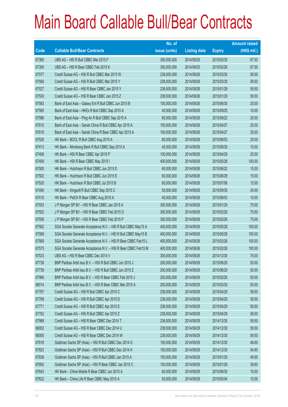|       |                                                                | No. of        |                     |               | <b>Amount raised</b> |
|-------|----------------------------------------------------------------|---------------|---------------------|---------------|----------------------|
| Code  | <b>Callable Bull/Bear Contracts</b>                            | issue (units) | <b>Listing date</b> | <b>Expiry</b> | (HK\$ mil.)          |
| 67365 | UBS AG - HSI R Bull CBBC Mar 2015 F                            | 350,000,000   | 2014/09/25          | 2015/03/30    | 87.50                |
| 67395 | UBS AG - HSI R Bear CBBC Feb 2015 K                            | 350,000,000   | 2014/09/25          | 2015/02/26    | 87.50                |
| 67577 | Credit Suisse AG - HSI R Bull CBBC Mar 2015 W                  | 238,000,000   | 2014/09/26          | 2015/03/30    | 59.50                |
| 67580 | Credit Suisse AG - HSI R Bull CBBC Mar 2015 Y                  | 238,000,000   | 2014/09/26          | 2015/03/30    | 59.50                |
| 67527 | Credit Suisse AG - HSI R Bear CBBC Jan 2015 Y                  | 238,000,000   | 2014/09/26          | 2015/01/29    | 59.50                |
| 67530 | Credit Suisse AG - HSI R Bear CBBC Jan 2015 Z                  | 238,000,000   | 2014/09/26          | 2015/01/29    | 59.50                |
| 67583 | Bank of East Asia - Galaxy Ent R Bull CBBC Jun 2015 B          | 100,000,000   | 2014/09/26          | 2015/06/30    | 25.00                |
| 67585 | Bank of East Asia - HKEx R Bull CBBC Sep 2015 A                | 40,000,000    | 2014/09/26          | 2015/09/25    | 10.00                |
| 67586 | Bank of East Asia - Ping An R Bull CBBC Sep 2015 A             | 80,000,000    | 2014/09/26          | 2015/09/22    | 20.00                |
| 67615 | Bank of East Asia - Sands China R Bull CBBC Apr 2015 A         | 100,000,000   | 2014/09/26          | 2015/04/27    | 25.00                |
| 67616 | Bank of East Asia – Sands China R Bear CBBC Apr 2015 A         | 100,000,000   | 2014/09/26          | 2015/04/27    | 25.00                |
| 67526 | HK Bank - BOCL R Bull CBBC Aug 2015 A                          | 80,000,000    | 2014/09/26          | 2015/08/03    | 20.00                |
| 67413 | HK Bank - Minsheng Bank R Bull CBBC Sep 2015 A                 | 40,000,000    | 2014/09/26          | 2015/09/30    | 10.00                |
| 67408 | HK Bank - HSI R Bear CBBC Apr 2015 P                           | 100,000,000   | 2014/09/26          | 2015/04/29    | 25.00                |
| 67409 | HK Bank - HSI R Bear CBBC May 2015 I                           | 400,000,000   | 2014/09/26          | 2015/05/28    | 100.00               |
| 67500 | HK Bank - Hutchison R Bull CBBC Jun 2015 D                     | 60,000,000    | 2014/09/26          | 2015/06/22    | 15.00                |
| 67502 | HK Bank - Hutchison R Bull CBBC Jun 2015 E                     | 60,000,000    | 2014/09/26          | 2015/06/29    | 15.00                |
| 67520 | HK Bank - Hutchison R Bull CBBC Jul 2015 B                     | 60,000,000    | 2014/09/26          | 2015/07/06    | 15.00                |
| 67490 | HK Bank - Kingsoft R Bull CBBC Sep 2015 C                      | 50,000,000    | 2014/09/26          | 2015/09/30    | 34.00                |
| 67410 | HK Bank - PetCh R Bear CBBC Aug 2015 A                         | 40,000,000    | 2014/09/26          | 2015/08/03    | 10.00                |
| 67553 | J P Morgan SP BV - HSI R Bear CBBC Jan 2015 A                  | 300,000,000   | 2014/09/26          | 2015/01/29    | 75.00                |
| 67552 | J P Morgan SP BV - HSI R Bear CBBC Feb 2015 O                  | 300,000,000   | 2014/09/26          | 2015/02/26    | 75.00                |
| 67559 | J P Morgan SP BV - HSI R Bear CBBC Feb 2015 P                  | 300,000,000   | 2014/09/26          | 2015/02/26    | 75.00                |
| 67562 | SGA Societe Generale Acceptance N.V. - HSI R Bull CBBC May15 A | 400,000,000   | 2014/09/26          | 2015/05/28    | 100.00               |
| 67568 | SGA Societe Generale Acceptance N.V. - HSI R Bull CBBC May15 B | 400,000,000   | 2014/09/26          | 2015/05/28    | 100.00               |
| 67569 | SGA Societe Generale Acceptance N.V. - HSI R Bear CBBC Feb15 L | 400,000,000   | 2014/09/26          | 2015/02/26    | 100.00               |
| 67575 | SGA Societe Generale Acceptance N.V. - HSI R Bear CBBC Feb15 M | 400,000,000   | 2014/09/26          | 2015/02/26    | 100.00               |
| 67533 | UBS AG - HSI R Bear CBBC Dec 2014 V                            | 300,000,000   | 2014/09/26          | 2014/12/30    | 75.00                |
| 67738 | BNP Paribas Arbit Issu B.V. - HSI R Bull CBBC Jun 2015 J       | 200,000,000   | 2014/09/29          | 2015/06/29    | 50.00                |
| 67739 | BNP Paribas Arbit Issu B.V. - HSI R Bull CBBC Jun 2015 Z       | 200,000,000   | 2014/09/29          | 2015/06/29    | 50.00                |
| 67966 | BNP Paribas Arbit Issu B.V. - HSI R Bear CBBC Feb 2015 J       | 200,000,000   | 2014/09/29          | 2015/02/26    | 50.00                |
| 68014 | BNP Paribas Arbit Issu B.V. - HSI R Bear CBBC Mar 2015 A       | 200,000,000   | 2014/09/29          | 2015/03/30    | 50.00                |
| 67767 | Credit Suisse AG - HSI R Bull CBBC Apr 2015 C                  | 238,000,000   | 2014/09/29          | 2015/04/29    | 59.50                |
| 67769 | Credit Suisse AG - HSI R Bull CBBC Apr 2015 D                  | 238,000,000   | 2014/09/29          | 2015/04/29    | 59.50                |
| 67771 | Credit Suisse AG - HSI R Bull CBBC Apr 2015 E                  | 238,000,000   | 2014/09/29          | 2015/04/29    | 59.50                |
| 67762 | Credit Suisse AG - HSI R Bull CBBC Apr 2015 Z                  | 238,000,000   | 2014/09/29          | 2015/04/29    | 59.50                |
| 67989 | Credit Suisse AG - HSI R Bear CBBC Dec 2014 T                  | 238,000,000   | 2014/09/29          | 2014/12/30    | 59.50                |
| 68002 | Credit Suisse AG - HSI R Bear CBBC Dec 2014 U                  | 238,000,000   | 2014/09/29          | 2014/12/30    | 59.50                |
| 68005 | Credit Suisse AG - HSI R Bear CBBC Dec 2014 W                  | 238,000,000   | 2014/09/29          | 2014/12/30    | 59.50                |
| 67818 | Goldman Sachs SP (Asia) - HSI R Bull CBBC Dec 2014 G           | 150,000,000   | 2014/09/29          | 2014/12/30    | 48.60                |
| 67823 | Goldman Sachs SP (Asia) - HSI R Bull CBBC Dec 2014 H           | 150,000,000   | 2014/09/29          | 2014/12/30    | 54.90                |
| 67838 | Goldman Sachs SP (Asia) - HSI R Bull CBBC Jan 2015 A           | 150,000,000   | 2014/09/29          | 2015/01/29    | 49.95                |
| 67892 | Goldman Sachs SP (Asia) - HSI R Bear CBBC Jan 2015 C           | 150,000,000   | 2014/09/29          | 2015/01/29    | 39.60                |
| 67643 | HK Bank - China Mobile R Bear CBBC Jun 2015 A                  | 60,000,000    | 2014/09/29          | 2015/06/30    | 15.00                |
| 67622 | HK Bank - China Life R Bear CBBC May 2015 A                    | 50,000,000    | 2014/09/29          | 2015/05/04    | 15.00                |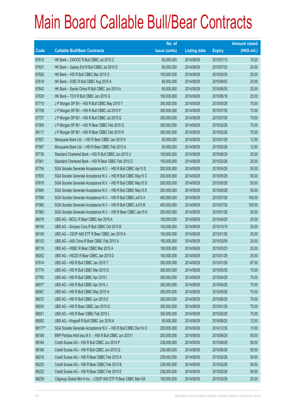|        |                                                                | No. of        |                     |               | <b>Amount raised</b> |
|--------|----------------------------------------------------------------|---------------|---------------------|---------------|----------------------|
| Code   | <b>Callable Bull/Bear Contracts</b>                            | issue (units) | <b>Listing date</b> | <b>Expiry</b> | $(HK$$ mil.)         |
| 67618  | HK Bank - CNOOC R Bull CBBC Jul 2015 C                         | 60,000,000    | 2014/09/29          | 2015/07/13    | 19.20                |
| 67631  | HK Bank - Galaxy Ent R Bull CBBC Jul 2015 D                    | 80,000,000    | 2014/09/29          | 2015/07/23    | 20.00                |
| 67626  | HK Bank - HSI R Bull CBBC Mar 2015 O                           | 100,000,000   | 2014/09/29          | 2015/03/30    | 25.00                |
| 67619  | HK Bank - ICBC R Bull CBBC Aug 2015 A                          | 80,000,000    | 2014/09/29          | 2015/08/03    | 20.00                |
| 67642  | HK Bank - Sands China R Bull CBBC Jun 2015 A                   | 80,000,000    | 2014/09/29          | 2015/06/30    | 20.00                |
| 67629  | HK Bank - TCH R Bull CBBC Jun 2015 G                           | 100,000,000   | 2014/09/29          | 2015/06/18    | 25.00                |
| 67710  | J P Morgan SP BV - HSI R Bull CBBC May 2015 Y                  | 300,000,000   | 2014/09/29          | 2015/05/28    | 75.00                |
| 67706  | J P Morgan SP BV - HSI R Bull CBBC Jul 2015 P                  | 300,000,000   | 2014/09/29          | 2015/07/30    | 75.00                |
| 67727  | J P Morgan SP BV - HSI R Bull CBBC Jul 2015 Q                  | 300,000,000   | 2014/09/29          | 2015/07/30    | 75.00                |
| 67900  | J P Morgan SP BV - HSI R Bear CBBC Feb 2015 Q                  | 300,000,000   | 2014/09/29          | 2015/02/26    | 75.00                |
| 68117  | J P Morgan SP BV - HSI R Bear CBBC Feb 2015 R                  | 300,000,000   | 2014/09/29          | 2015/02/26    | 75.00                |
| 67927  | Macquarie Bank Ltd. - HSI R Bear CBBC Jan 2015 K               | 50,000,000    | 2014/09/29          | 2015/01/29    | 12.50                |
| 67907  | Macquarie Bank Ltd. - HSI R Bear CBBC Feb 2015 A               | 50,000,000    | 2014/09/29          | 2015/02/26    | 12.50                |
| 67736  | Standard Chartered Bank - HSI R Bull CBBC Jun 2015 U           | 100,000,000   | 2014/09/29          | 2015/06/29    | 25.00                |
| 67901  | Standard Chartered Bank - HSI R Bear CBBC Feb 2015 D           | 100,000,000   | 2014/09/29          | 2015/02/26    | 25.00                |
| 67704  | SGA Societe Generale Acceptance N.V. - HSI R Bull CBBC Apr15 S | 200,000,000   | 2014/09/29          | 2015/04/29    | 50.00                |
| 67655  | SGA Societe Generale Acceptance N.V. - HSI R Bull CBBC May15 C | 200,000,000   | 2014/09/29          | 2015/05/28    | 50.00                |
| 67679  | SGA Societe Generale Acceptance N.V. - HSI R Bull CBBC May15 D | 200,000,000   | 2014/09/29          | 2015/05/28    | 50.00                |
| 67684  | SGA Societe Generale Acceptance N.V. - HSI R Bull CBBC May15 E | 200,000,000   | 2014/09/29          | 2015/05/28    | 50.00                |
| 67956  | SGA Societe Generale Acceptance N.V. - HSI R Bull CBBC Jul15 A | 400,000,000   | 2014/09/29          | 2015/07/30    | 100.00               |
| 67960  | SGA Societe Generale Acceptance N.V. - HSI R Bull CBBC Jul15 B | 400,000,000   | 2014/09/29          | 2015/07/30    | 100.00               |
| 67963  | SGA Societe Generale Acceptance N.V. - HSI R Bear CBBC Jan15 K | 200,000,000   | 2014/09/29          | 2015/01/29    | 50.00                |
| 68079  | UBS AG - BOCL R Bear CBBC Apr 2015 A                           | 100,000,000   | 2014/09/29          | 2015/04/20    | 25.00                |
| 68109  | UBS AG - Sinopec Corp R Bull CBBC Oct 2015 B                   | 100,000,000   | 2014/09/29          | 2015/10/19    | 25.00                |
| 68106  | UBS AG - CSOP A50 ETF R Bear CBBC Jan 2015 A                   | 100,000,000   | 2014/09/29          | 2015/01/26    | 25.00                |
| 68103  | UBS AG - A50 China R Bear CBBC Feb 2015 A                      | 100,000,000   | 2014/09/29          | 2015/02/09    | 25.00                |
| 68116  | UBS AG - HSBC R Bear CBBC Mar 2015 A                           | 100,000,000   | 2014/09/29          | 2015/03/23    | 25.00                |
| 68052  | UBS AG - HSCEIR Bear CBBC Jan 2015 D                           | 100,000,000   | 2014/09/29          | 2015/01/29    | 25.00                |
| 67814  | UBS AG - HSI R Bull CBBC Jan 2015 T                            | 350,000,000   | 2014/09/29          | 2015/01/29    | 87.50                |
| 67774  | UBS AG - HSI R Bull CBBC Mar 2015 G                            | 300,000,000   | 2014/09/29          | 2015/03/30    | 75.00                |
| 67783  | UBS AG - HSI R Bull CBBC Apr 2015 I                            | 300,000,000   | 2014/09/29          | 2015/04/29    | 75.00                |
| 68077  | UBS AG - HSI R Bull CBBC Apr 2015 J                            | 300,000,000   | 2014/09/29          | 2015/04/29    | 75.00                |
| 68067  | UBS AG - HSI R Bull CBBC May 2015 H                            | 300,000,000   | 2014/09/29          | 2015/05/28    | 75.00                |
| 68072  | UBS AG - HSI R Bull CBBC Jun 2015 E                            | 300,000,000   | 2014/09/29          | 2015/06/29    | 75.00                |
| 68034  | UBS AG - HSI R Bear CBBC Jan 2015 G                            | 300,000,000   | 2014/09/29          | 2015/01/29    | 75.00                |
| 68051  | UBS AG - HSI R Bear CBBC Feb 2015 L                            | 300,000,000   | 2014/09/29          | 2015/02/26    | 75.00                |
| 68092  | UBS AG - Kingsoft R Bull CBBC Jun 2016 A                       | 50,000,000    | 2014/09/29          | 2016/06/20    | 12.50                |
| 68177# | SGA Societe Generale Acceptance N.V. - HSI R Bull CBBC Dec14 O | 200,000,000   | 2014/09/29          | 2014/12/30    | 13.00                |
| 68188  | BNP Paribas Arbit Issu B.V. - HSI R Bull CBBC Jun 2015 I       | 200,000,000   | 2014/09/30          | 2015/06/29    | 50.00                |
| 68164  | Credit Suisse AG - HSI R Bull CBBC Jun 2015 P                  | 238,000,000   | 2014/09/30          | 2015/06/29    | 59.50                |
| 68166  | Credit Suisse AG - HSI R Bull CBBC Jun 2015 Q                  | 238,000,000   | 2014/09/30          | 2015/06/29    | 59.50                |
| 68216  | Credit Suisse AG - HSI R Bear CBBC Feb 2015 A                  | 238,000,000   | 2014/09/30          | 2015/02/26    | 59.50                |
| 68225  | Credit Suisse AG - HSI R Bear CBBC Feb 2015 B                  | 238,000,000   | 2014/09/30          | 2015/02/26    | 59.50                |
| 68222  | Credit Suisse AG - HSI R Bear CBBC Feb 2015 E                  | 238,000,000   | 2014/09/30          | 2015/02/26    | 59.50                |
| 68239  | Citigroup Global Mkt H Inc. - CSOP A50 ETF R Bear CBBC Mar15A  | 100,000,000   | 2014/09/30          | 2015/03/30    | 25.00                |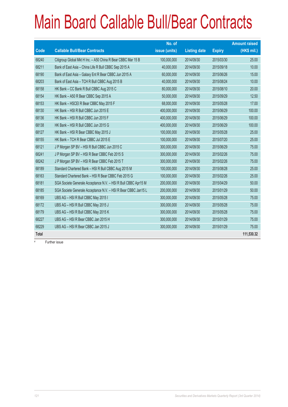|              |                                                                | No. of        |                     |               | <b>Amount raised</b> |
|--------------|----------------------------------------------------------------|---------------|---------------------|---------------|----------------------|
| Code         | <b>Callable Bull/Bear Contracts</b>                            | issue (units) | <b>Listing date</b> | <b>Expiry</b> | (HK\$ mil.)          |
| 68240        | Citigroup Global Mkt H Inc. - A50 China R Bear CBBC Mar 15 B   | 100,000,000   | 2014/09/30          | 2015/03/30    | 25.00                |
| 68211        | Bank of East Asia - China Life R Bull CBBC Sep 2015 A          | 40,000,000    | 2014/09/30          | 2015/09/18    | 10.00                |
| 68190        | Bank of East Asia - Galaxy Ent R Bear CBBC Jun 2015 A          | 60,000,000    | 2014/09/30          | 2015/06/26    | 15.00                |
| 68203        | Bank of East Asia - TCH R Bull CBBC Aug 2015 B                 | 40,000,000    | 2014/09/30          | 2015/08/24    | 10.00                |
| 68158        | HK Bank - CC Bank R Bull CBBC Aug 2015 C                       | 80,000,000    | 2014/09/30          | 2015/08/10    | 20.00                |
| 68154        | HK Bank - A50 R Bear CBBC Sep 2015 A                           | 50,000,000    | 2014/09/30          | 2015/09/29    | 12.50                |
| 68153        | HK Bank - HSCEI R Bear CBBC May 2015 F                         | 68,000,000    | 2014/09/30          | 2015/05/28    | 17.00                |
| 68130        | HK Bank - HSI R Bull CBBC Jun 2015 E                           | 400,000,000   | 2014/09/30          | 2015/06/29    | 100.00               |
| 68136        | HK Bank - HSI R Bull CBBC Jun 2015 F                           | 400,000,000   | 2014/09/30          | 2015/06/29    | 100.00               |
| 68138        | HK Bank - HSI R Bull CBBC Jun 2015 G                           | 400,000,000   | 2014/09/30          | 2015/06/29    | 100.00               |
| 68127        | HK Bank - HSI R Bear CBBC May 2015 J                           | 100,000,000   | 2014/09/30          | 2015/05/28    | 25.00                |
| 68155        | HK Bank - TCH R Bear CBBC Jul 2015 E                           | 100,000,000   | 2014/09/30          | 2015/07/20    | 25.00                |
| 68121        | J P Morgan SP BV - HSI R Bull CBBC Jun 2015 C                  | 300,000,000   | 2014/09/30          | 2015/06/29    | 75.00                |
| 68241        | JP Morgan SP BV - HSI R Bear CBBC Feb 2015 S                   | 300,000,000   | 2014/09/30          | 2015/02/26    | 75.00                |
| 68242        | JP Morgan SP BV - HSI R Bear CBBC Feb 2015 T                   | 300,000,000   | 2014/09/30          | 2015/02/26    | 75.00                |
| 68189        | Standard Chartered Bank - HSI R Bull CBBC Aug 2015 M           | 100,000,000   | 2014/09/30          | 2015/08/28    | 25.00                |
| 68163        | Standard Chartered Bank - HSI R Bear CBBC Feb 2015 G           | 100,000,000   | 2014/09/30          | 2015/02/26    | 25.00                |
| 68181        | SGA Societe Generale Acceptance N.V. - HSI R Bull CBBC Apr15 M | 200,000,000   | 2014/09/30          | 2015/04/29    | 50.00                |
| 68185        | SGA Societe Generale Acceptance N.V. - HSI R Bear CBBC Jan15 L | 200,000,000   | 2014/09/30          | 2015/01/29    | 50.00                |
| 68169        | UBS AG - HSI R Bull CBBC May 2015 I                            | 300,000,000   | 2014/09/30          | 2015/05/28    | 75.00                |
| 68172        | UBS AG - HSI R Bull CBBC May 2015 J                            | 300,000,000   | 2014/09/30          | 2015/05/28    | 75.00                |
| 68179        | UBS AG - HSI R Bull CBBC May 2015 K                            | 300,000,000   | 2014/09/30          | 2015/05/28    | 75.00                |
| 68227        | UBS AG - HSI R Bear CBBC Jan 2015 H                            | 300,000,000   | 2014/09/30          | 2015/01/29    | 75.00                |
| 68229        | UBS AG - HSI R Bear CBBC Jan 2015 J                            | 300,000,000   | 2014/09/30          | 2015/01/29    | 75.00                |
| <b>Total</b> |                                                                |               |                     |               | 111,530.32           |

# Further issue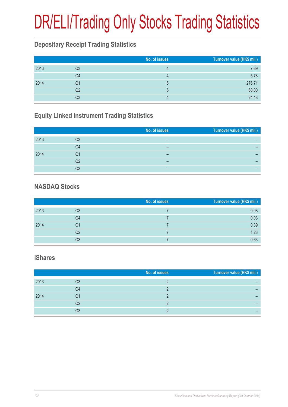# DR/ELI/Trading Only Stocks Trading Statistics

### **Depositary Receipt Trading Statistics**

|      |    | No. of issues | Turnover value (HK\$ mil.) |
|------|----|---------------|----------------------------|
| 2013 | Q3 |               | 7.69                       |
|      | Q4 |               | 5.78                       |
| 2014 | Q1 | ხ             | 276.71                     |
|      | Q2 | $\mathbf b$   | 68.00                      |
|      | Q3 |               | 24.18                      |

### **Equity Linked Instrument Trading Statistics**

|      |    | No. of issues | Turnover value (HK\$ mil.) |
|------|----|---------------|----------------------------|
| 2013 | Q3 | -             | -                          |
|      | Q4 | -             | -                          |
| 2014 | Q1 | -             | -                          |
|      | Q2 | -             | -                          |
|      | Q3 | -             | -                          |

#### **NASDAQ Stocks**

|      |    | No. of issues | Turnover value (HK\$ mil.) |
|------|----|---------------|----------------------------|
| 2013 | Q3 |               | 0.08                       |
|      | Q4 |               | 0.03                       |
| 2014 | Q1 |               | 0.39                       |
|      | Q2 |               | 1.28                       |
|      | Q3 |               | 0.63                       |

#### **iShares**

|      |    | No. of issues | Turnover value (HK\$ mil.) |
|------|----|---------------|----------------------------|
| 2013 | Q3 |               |                            |
|      | Q4 |               |                            |
| 2014 | Q1 |               |                            |
|      | Q2 |               |                            |
|      | Q3 |               |                            |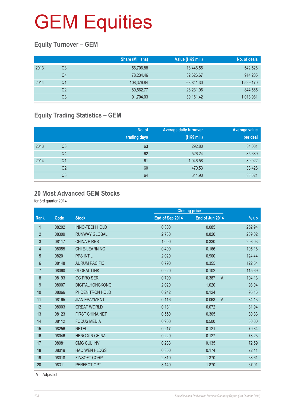### **Equity Turnover – GEM**

|      |                | Share (Mil. shs) | Value (HK\$ mil.) | No. of deals |
|------|----------------|------------------|-------------------|--------------|
| 2013 | Q3             | 56,706.88        | 18,446.55         | 542,526      |
|      | Q4             | 78,234.46        | 32,626.67         | 914,205      |
| 2014 | Q1             | 108,376.84       | 63,841.30         | 1,599,170    |
|      | Q <sub>2</sub> | 80,562.77        | 28,231.96         | 844,565      |
|      | Q3             | 91,704.03        | 39,161.42         | 1,013,981    |

### **Equity Trading Statistics – GEM**

|      |                | No. of<br>trading days | <b>Average daily turnover</b><br>(HK\$ mil.) | Average value<br>per deal |
|------|----------------|------------------------|----------------------------------------------|---------------------------|
| 2013 | Q <sub>3</sub> | 63                     | 292.80                                       | 34,001                    |
|      | Q <sub>4</sub> | 62                     | 526.24                                       | 35,689                    |
| 2014 | Q <sub>1</sub> | 61                     | 1,046.58                                     | 39,922                    |
|      | Q <sub>2</sub> | 60                     | 470.53                                       | 33,428                    |
|      | Q3             | 64                     | 611.90                                       | 38,621                    |

#### **20 Most Advanced GEM Stocks**

for 3rd quarter 2014

|                |       |                        |                 | <b>Closing price</b>    |        |
|----------------|-------|------------------------|-----------------|-------------------------|--------|
| <b>Rank</b>    | Code  | <b>Stock</b>           | End of Sep 2014 | End of Jun 2014         | % up   |
| 1              | 08202 | <b>INNO-TECH HOLD</b>  | 0.300           | 0.085                   | 252.94 |
| $\overline{2}$ | 08309 | <b>RUNWAY GLOBAL</b>   | 2.780           | 0.820                   | 239.02 |
| $\mathfrak{S}$ | 08117 | <b>CHINA P RES</b>     | 1.000           | 0.330                   | 203.03 |
| 4              | 08055 | <b>CHI E-LEARNING</b>  | 0.490           | 0.166                   | 195.18 |
| 5              | 08201 | PPS INT'L              | 2.020           | 0.900                   | 124.44 |
| 6              | 08148 | <b>AURUM PACIFIC</b>   | 0.790           | 0.355                   | 122.54 |
| $\overline{7}$ | 08060 | <b>GLOBAL LINK</b>     | 0.220           | 0.102                   | 115.69 |
| 8              | 08193 | <b>GC PRO SER</b>      | 0.790           | 0.387<br>$\overline{A}$ | 104.13 |
| 9              | 08007 | <b>DIGITALHONGKONG</b> | 2.020           | 1.020                   | 98.04  |
| 10             | 08066 | PHOENITRON HOLD        | 0.242           | 0.124                   | 95.16  |
| 11             | 08165 | <b>JIAN EPAYMENT</b>   | 0.116           | 0.063<br>$\overline{A}$ | 84.13  |
| 12             | 08003 | <b>GREAT WORLD</b>     | 0.131           | 0.072                   | 81.94  |
| 13             | 08123 | FIRST CHINA NET        | 0.550           | 0.305                   | 80.33  |
| 14             | 08112 | <b>FOCUS MEDIA</b>     | 0.900           | 0.500                   | 80.00  |
| 15             | 08256 | <b>NETEL</b>           | 0.217           | 0.121                   | 79.34  |
| 16             | 08046 | <b>HENG XIN CHINA</b>  | 0.220           | 0.127                   | 73.23  |
| 17             | 08081 | <b>CMG CUL INV</b>     | 0.233           | 0.135                   | 72.59  |
| 18             | 08019 | <b>HAO WEN HLDGS</b>   | 0.300           | 0.174                   | 72.41  |
| 19             | 08018 | <b>FINSOFT CORP</b>    | 2.310           | 1.370                   | 68.61  |
| 20             | 08311 | PERFECT OPT            | 3.140           | 1.870                   | 67.91  |
|                |       |                        |                 |                         |        |

A Adjusted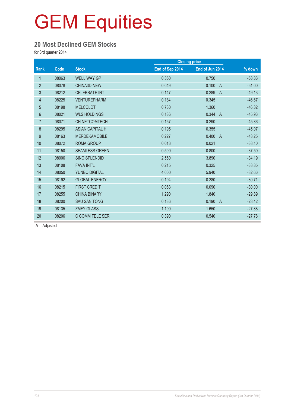#### **20 Most Declined GEM Stocks**

for 3rd quarter 2014

| Code  | <b>Stock</b>           | End of Sep 2014 | End of Jun 2014         | $\frac{9}{6}$ down   |
|-------|------------------------|-----------------|-------------------------|----------------------|
| 08063 | <b>WELL WAY GP</b>     | 0.350           | 0.750                   | $-53.33$             |
| 08078 | CHINA3D-NEW            | 0.049           | 0.100<br>$\overline{A}$ | $-51.00$             |
| 08212 | <b>CELEBRATE INT</b>   | 0.147           | 0.289<br>$\overline{A}$ | $-49.13$             |
| 08225 | <b>VENTUREPHARM</b>    | 0.184           | 0.345                   | $-46.67$             |
| 08198 | <b>MELCOLOT</b>        | 0.730           | 1.360                   | $-46.32$             |
| 08021 | <b>WLS HOLDINGS</b>    | 0.186           | 0.344<br>$\overline{A}$ | $-45.93$             |
| 08071 | CH NETCOMTECH          | 0.157           | 0.290                   | $-45.86$             |
| 08295 | <b>ASIAN CAPITAL H</b> | 0.195           | 0.355                   | $-45.07$             |
| 08163 | <b>MERDEKAMOBILE</b>   | 0.227           | 0.400<br>$\overline{A}$ | $-43.25$             |
| 08072 | <b>ROMA GROUP</b>      | 0.013           | 0.021                   | $-38.10$             |
| 08150 | <b>SEAMLESS GREEN</b>  | 0.500           | 0.800                   | $-37.50$             |
| 08006 | SINO SPLENDID          | 2.560           | 3.890                   | $-34.19$             |
| 08108 | <b>FAVA INT'L</b>      | 0.215           | 0.325                   | $-33.85$             |
| 08050 | YUNBO DIGITAL          | 4.000           | 5.940                   | $-32.66$             |
| 08192 | <b>GLOBAL ENERGY</b>   | 0.194           | 0.280                   | $-30.71$             |
| 08215 | <b>FIRST CREDIT</b>    | 0.063           | 0.090                   | $-30.00$             |
| 08255 | <b>CHINA BINARY</b>    | 1.290           | 1.840                   | $-29.89$             |
| 08200 | <b>SAU SAN TONG</b>    | 0.136           | 0.190<br>$\overline{A}$ | $-28.42$             |
| 08135 | <b>ZMFY GLASS</b>      | 1.190           | 1.650                   | $-27.88$             |
| 08206 | C COMM TELE SER        | 0.390           | 0.540                   | $-27.78$             |
|       |                        |                 |                         | <b>Closing price</b> |

A Adjusted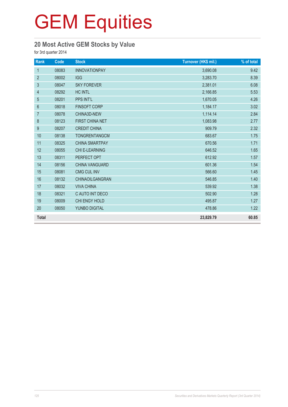### **20 Most Active GEM Stocks by Value**

for 3rd quarter 2014

| Rank             | Code  | <b>Stock</b>           | Turnover (HK\$ mil.) | % of total |
|------------------|-------|------------------------|----------------------|------------|
| $\mathbf{1}$     | 08083 | <b>INNOVATIONPAY</b>   | 3,690.08             | 9.42       |
| $\overline{2}$   | 08002 | <b>IGG</b>             | 3,283.70             | 8.39       |
| 3                | 08047 | <b>SKY FOREVER</b>     | 2,381.01             | 6.08       |
| 4                | 08292 | <b>HC INTL</b>         | 2,166.85             | 5.53       |
| 5                | 08201 | PPS INT'L              | 1,670.05             | 4.26       |
| $6\phantom{1}$   | 08018 | <b>FINSOFT CORP</b>    | 1,184.17             | 3.02       |
| $\overline{7}$   | 08078 | CHINA3D-NEW            | 1,114.14             | 2.84       |
| 8                | 08123 | FIRST CHINA NET        | 1,083.98             | 2.77       |
| $\boldsymbol{9}$ | 08207 | <b>CREDIT CHINA</b>    | 909.79               | 2.32       |
| 10               | 08138 | TONGRENTANGCM          | 683.67               | 1.75       |
| 11               | 08325 | <b>CHINA SMARTPAY</b>  | 670.56               | 1.71       |
| 12               | 08055 | <b>CHI E-LEARNING</b>  | 646.52               | 1.65       |
| 13               | 08311 | PERFECT OPT            | 612.92               | 1.57       |
| 14               | 08156 | <b>CHINA VANGUARD</b>  | 601.36               | 1.54       |
| 15               | 08081 | <b>CMG CUL INV</b>     | 566.60               | 1.45       |
| 16               | 08132 | <b>CHINAOILGANGRAN</b> | 546.85               | 1.40       |
| 17               | 08032 | <b>VIVA CHINA</b>      | 539.92               | 1.38       |
| 18               | 08321 | C AUTO INT DECO        | 502.90               | 1.28       |
| 19               | 08009 | CHI ENGY HOLD          | 495.87               | 1.27       |
| 20               | 08050 | YUNBO DIGITAL          | 478.86               | 1.22       |
| <b>Total</b>     |       |                        | 23,829.79            | 60.85      |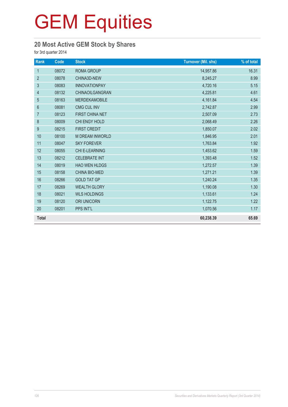### **20 Most Active GEM Stock by Shares**

for 3rd quarter 2014

| Rank             | $\overline{Code}$ | <b>Stock</b>           | <b>Turnover (Mil. shs)</b> | % of total |
|------------------|-------------------|------------------------|----------------------------|------------|
| $\mathbf{1}$     | 08072             | <b>ROMA GROUP</b>      | 14,957.86                  | 16.31      |
| $\overline{2}$   | 08078             | CHINA3D-NEW            | 8,245.27                   | 8.99       |
| $\mathfrak{S}$   | 08083             | <b>INNOVATIONPAY</b>   | 4,720.16                   | 5.15       |
| 4                | 08132             | CHINAOILGANGRAN        | 4,225.81                   | 4.61       |
| 5                | 08163             | <b>MERDEKAMOBILE</b>   | 4,161.84                   | 4.54       |
| 6                | 08081             | <b>CMG CUL INV</b>     | 2,742.87                   | 2.99       |
| $\overline{7}$   | 08123             | <b>FIRST CHINA NET</b> | 2,507.09                   | 2.73       |
| $\,8\,$          | 08009             | CHI ENGY HOLD          | 2,068.49                   | 2.26       |
| $\boldsymbol{9}$ | 08215             | <b>FIRST CREDIT</b>    | 1,850.07                   | 2.02       |
| 10               | 08100             | <b>M DREAM INWORLD</b> | 1,846.95                   | 2.01       |
| 11               | 08047             | <b>SKY FOREVER</b>     | 1,763.84                   | 1.92       |
| 12               | 08055             | <b>CHI E-LEARNING</b>  | 1,453.62                   | 1.59       |
| 13               | 08212             | <b>CELEBRATE INT</b>   | 1,393.48                   | 1.52       |
| 14               | 08019             | <b>HAO WEN HLDGS</b>   | 1,272.57                   | 1.39       |
| 15               | 08158             | CHINA BIO-MED          | 1,271.21                   | 1.39       |
| 16               | 08266             | <b>GOLD TAT GP</b>     | 1,240.24                   | 1.35       |
| 17               | 08269             | <b>WEALTH GLORY</b>    | 1,190.08                   | 1.30       |
| 18               | 08021             | <b>WLS HOLDINGS</b>    | 1,133.61                   | 1.24       |
| 19               | 08120             | <b>ORI UNICORN</b>     | 1,122.75                   | 1.22       |
| 20               | 08201             | PPS INT'L              | 1,070.56                   | 1.17       |
| <b>Total</b>     |                   |                        | 60,238.39                  | 65.69      |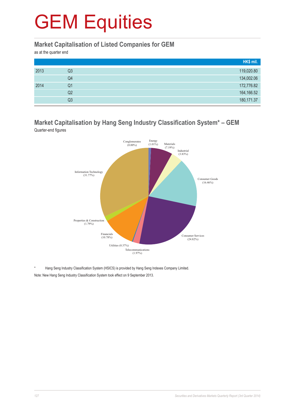#### **Market Capitalisation of Listed Companies for GEM**

as at the quarter end

|      |    | HK\$ mil.   |
|------|----|-------------|
| 2013 | Q3 | 119,020.80  |
|      | Q4 | 134,002.06  |
| 2014 | Q1 | 172,776.82  |
|      | Q2 | 164,166.52  |
|      | Q3 | 180, 171.37 |

#### **Market Capitalisation by Hang Seng Industry Classification System\* – GEM** Quarter-end figures



Hang Seng Industry Classification System (HSICS) is provided by Hang Seng Indexes Company Limited. Note: New Hang Seng Industry Classification System took effect on 9 September 2013.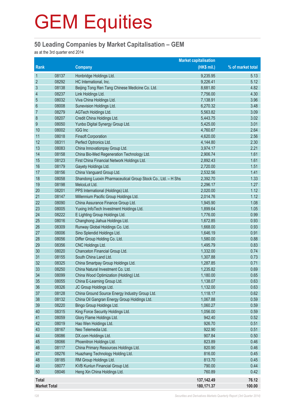#### **50 Leading Companies by Market Capitalisation – GEM**

as at the 3rd quarter end 2014

|                     | <b>Market capitalisation</b> |                                                              |              |                   |
|---------------------|------------------------------|--------------------------------------------------------------|--------------|-------------------|
| Rank                |                              | <b>Company</b>                                               | (HK\$ mil.)  | % of market total |
| $\mathbf{1}$        | 08137                        | Honbridge Holdings Ltd.                                      | 9,235.95     | 5.13              |
| $\overline{2}$      | 08292                        | HC International, Inc.                                       | 9,226.41     | 5.12              |
| $\mathfrak{Z}$      | 08138                        | Beijing Tong Ren Tang Chinese Medicine Co. Ltd.              | 8,681.80     | 4.82              |
| 4                   | 08237                        | Link Holdings Ltd.                                           | 7,756.00     | 4.30              |
| 5                   | 08032                        | Viva China Holdings Ltd.                                     | 7,138.91     | 3.96              |
| $6\phantom{1}6$     | 08008                        | Sunevision Holdings Ltd.                                     | 6,270.32     | 3.48              |
| $\overline{7}$      | 08279                        | AGTech Holdings Ltd.                                         | 5,563.82     | 3.09              |
| 8                   | 08207                        | Credit China Holdings Ltd.                                   | 5,443.75     | 3.02              |
| 9                   | 08050                        | Yunbo Digital Synergy Group Ltd.                             | 5,425.00     | 3.01              |
| 10                  | 08002                        | IGG Inc                                                      | 4,760.67     | 2.64              |
| 11                  | 08018                        | <b>Finsoft Corporation</b>                                   | 4,620.00     | 2.56              |
| 12                  | 08311                        | Perfect Optronics Ltd.                                       | 4,144.80     | 2.30              |
| 13                  | 08083                        | China Innovationpay Group Ltd.                               | 3,974.17     | 2.21              |
| 14                  | 08158                        | China Bio-Med Regeneration Technology Ltd.                   | 2,906.74     | 1.61              |
| 15                  | 08123                        | First China Financial Network Holdings Ltd.                  | 2,892.43     | 1.61              |
| 16                  | 08179                        | Gayety Holdings Ltd.                                         | 2,720.00     | 1.51              |
| 17                  | 08156                        | China Vanguard Group Ltd.                                    | 2,532.56     | 1.41              |
| 18                  | 08058                        | Shandong Luoxin Pharmaceutical Group Stock Co., Ltd. - H Shs | 2,392.70     | 1.33              |
| 19                  | 08198                        | MelcoLot Ltd.                                                | 2,296.17     | 1.27              |
| 20                  | 08201                        | PPS International (Holdings) Ltd.                            | 2,020.00     | 1.12              |
| 21                  | 08147                        | Millennium Pacific Group Holdings Ltd.                       | 2,014.76     | 1.12              |
| 22                  | 08090                        | China Assurance Finance Group Ltd.                           | 1,945.90     | 1.08              |
| 23                  | 08005                        | Yuxing InfoTech Investment Holdings Ltd.                     | 1,899.64     | 1.05              |
| 24                  | 08222                        | E Lighting Group Holdings Ltd.                               | 1,776.00     | 0.99              |
| 25                  | 08016                        | Changhong Jiahua Holdings Ltd.                               | 1,672.85     | 0.93              |
| 26                  | 08309                        | Runway Global Holdings Co. Ltd.                              | 1,668.00     | 0.93              |
| 27                  | 08006                        | Sino Splendid Holdings Ltd.                                  | 1,646.19     | 0.91              |
| 28                  | 08056                        | Differ Group Holding Co. Ltd.                                | 1,580.00     | 0.88              |
| 29                  | 08356                        | CNC Holdings Ltd.                                            | 1,495.79     | 0.83              |
| 30                  | 08020                        | Chanceton Financial Group Ltd.                               | 1,332.00     | 0.74              |
| 31                  | 08155                        | South China Land Ltd.                                        | 1,307.88     | 0.73              |
| 32                  | 08325                        | China Smartpay Group Holdings Ltd.                           | 1,287.85     | 0.71              |
| 33                  | 08250                        | China Natural Investment Co. Ltd.                            | 1,235.82     | 0.69              |
| 34                  | 08099                        | China Wood Optimization (Holding) Ltd.                       | 1,180.00     | 0.65              |
| 35                  | 08055                        | China E-Learning Group Ltd.                                  | 1,138.07     | 0.63              |
| 36                  | 08326                        | JC Group Holdings Ltd.                                       | 1,132.00     | 0.63              |
| 37                  | 08128                        | China Ground Source Energy Industry Group Ltd.               | 1,118.17     | 0.62              |
| 38                  | 08132                        | China Oil Gangran Energy Group Holdings Ltd.                 | 1,067.88     | 0.59              |
| 39                  | 08220                        | Bingo Group Holdings Ltd.                                    | 1,060.27     | 0.59              |
| 40                  | 08315                        | King Force Security Holdings Ltd.                            | 1,056.00     | 0.59              |
| 41                  | 08059                        | Glory Flame Holdings Ltd.                                    | 942.40       | 0.52              |
| 42                  | 08019                        | Hao Wen Holdings Ltd.                                        | 926.70       | 0.51              |
| 43                  | 08167                        | Neo Telemedia Ltd.                                           | 922.90       | 0.51              |
| 44                  | 08086                        | DX.com Holdings Ltd.                                         | 907.84       | 0.50              |
| 45                  | 08066                        | Phoenitron Holdings Ltd.                                     | 823.89       | 0.46              |
| 46                  | 08117                        | China Primary Resources Holdings Ltd.                        | 820.90       | 0.46              |
| 47                  | 08276                        | Huazhang Technology Holding Ltd.                             | 816.00       | 0.45              |
| 48                  | 08185                        | RM Group Holdings Ltd.                                       | 813.70       | 0.45              |
| 49                  | 08077                        | KVB Kunlun Financial Group Ltd.                              | 790.00       | 0.44              |
| 50                  | 08046                        | Heng Xin China Holdings Ltd.                                 | 760.89       | 0.42              |
| <b>Total</b>        |                              |                                                              | 137, 142. 49 | 76.12             |
| <b>Market Total</b> |                              |                                                              | 180, 171.37  | 100.00            |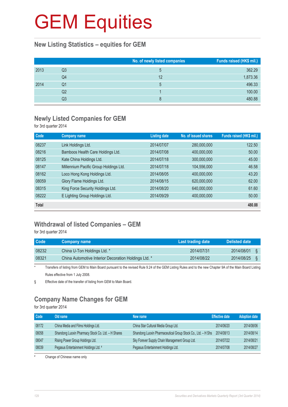#### **New Listing Statistics – equities for GEM**

|      |                | No. of newly listed companies | Funds raised (HK\$ mil.) |
|------|----------------|-------------------------------|--------------------------|
| 2013 | Q3             | $\mathbf b$                   | 362.29                   |
|      | Q4             | 12                            | 1,873.36                 |
| 2014 | Q1             | 5                             | 496.33                   |
|      | Q <sub>2</sub> |                               | 100.00                   |
|      | Q3             | 8                             | 480.88                   |

### **Newly Listed Companies for GEM**

for 3rd quarter 2014

| Code         | <b>Company name</b>                    | <b>Listing date</b> | No. of issued shares | Funds raised (HK\$ mil.) |
|--------------|----------------------------------------|---------------------|----------------------|--------------------------|
| 08237        | Link Holdings Ltd.                     | 2014/07/07          | 280,000,000          | 122.50                   |
| 08216        | Bamboos Health Care Holdings Ltd.      | 2014/07/08          | 400,000,000          | 50.00                    |
| 08125        | Kate China Holdings Ltd.               | 2014/07/18          | 300,000,000          | 45.00                    |
| 08147        | Millennium Pacific Group Holdings Ltd. | 2014/07/18          | 104,556,000          | 46.58                    |
| 08162        | Loco Hong Kong Holdings Ltd.           | 2014/08/05          | 400,000,000          | 43.20                    |
| 08059        | Glory Flame Holdings Ltd.              | 2014/08/15          | 620,000,000          | 62.00                    |
| 08315        | King Force Security Holdings Ltd.      | 2014/08/20          | 640,000,000          | 61.60                    |
| 08222        | E Lighting Group Holdings Ltd.         | 2014/09/29          | 400,000,000          | 50.00                    |
| <b>Total</b> |                                        |                     |                      | 480.88                   |

### **Withdrawal of listed Companies – GEM**

for 3rd quarter 2014

| <b>Code</b> | <b>Company name</b>                                  | Last trading date | Delisted date |  |
|-------------|------------------------------------------------------|-------------------|---------------|--|
| 08232       | China U-Ton Holdings Ltd. *                          | 2014/07/31        | 2014/08/01    |  |
| 08321       | China Automotive Interior Decoration Holdings Ltd. * | 2014/08/22        | 2014/08/25    |  |

\* Transfers of listing from GEM to Main Board pursuant to the revised Rule 9.24 of the GEM Listing Rules and to the new Chapter 9A of the Main Board Listing Rules effective from 1 July 2008.

§ Effective date of the transfer of listing from GEM to Main Board.

### **Company Name Changes for GEM**

for 3rd quarter 2014

| Code  | Old name                                           | New name                                                     | <b>Effective date</b> | <b>Adoption date</b> |
|-------|----------------------------------------------------|--------------------------------------------------------------|-----------------------|----------------------|
| 08172 | China Media and Films Holdings Ltd.                | China Star Cultural Media Group Ltd.                         | 2014/06/20            | 2014/08/06           |
| 08058 | Shandong Luoxin Pharmacy Stock Co. Ltd. - H Shares | Shandong Luoxin Pharmaceutical Group Stock Co., Ltd. - H Shs | 2014/08/13            | 2014/08/14           |
| 08047 | Rising Power Group Holdings Ltd.                   | Sky Forever Supply Chain Management Group Ltd.               | 2014/07/22            | 2014/08/21           |
| 08039 | Pegasus Entertainment Holdings Ltd. #              | Pegasus Entertainment Holdings Ltd.                          | 2014/07/08            | 2014/08/27           |

# Change of Chinese name only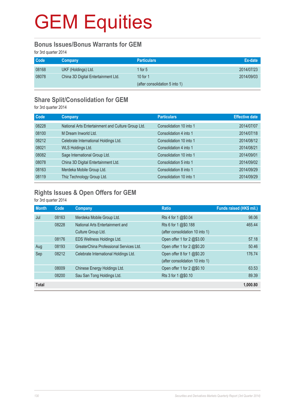#### **Bonus Issues/Bonus Warrants for GEM**

for 3rd quarter 2014

| <b>Code</b> | <b>Company</b>                      | <b>Particulars</b>             | Ex-date    |
|-------------|-------------------------------------|--------------------------------|------------|
| 08168       | UKF (Holdings) Ltd.                 | 1 for $5$                      | 2014/07/23 |
| 08078       | China 3D Digital Entertainment Ltd. | 10 for $1$                     | 2014/09/03 |
|             |                                     | (after consolidation 5 into 1) |            |

### **Share Split/Consolidation for GEM**

for 3rd quarter 2014

| Code  | Company                                            | <b>Particulars</b>      | <b>Effective date</b> |
|-------|----------------------------------------------------|-------------------------|-----------------------|
| 08228 | National Arts Entertainment and Culture Group Ltd. | Consolidation 10 into 1 | 2014/07/07            |
| 08100 | M Dream Inworld Ltd.                               | Consolidation 4 into 1  | 2014/07/18            |
| 08212 | Celebrate International Holdings Ltd.              | Consolidation 10 into 1 | 2014/08/12            |
| 08021 | WLS Holdings Ltd.                                  | Consolidation 4 into 1  | 2014/08/21            |
| 08082 | Sage International Group Ltd.                      | Consolidation 10 into 1 | 2014/09/01            |
| 08078 | China 3D Digital Entertainment Ltd.                | Consolidation 5 into 1  | 2014/09/02            |
| 08163 | Merdeka Mobile Group Ltd.                          | Consolidation 8 into 1  | 2014/09/29            |
| 08119 | Thiz Technology Group Ltd.                         | Consolidation 10 into 1 | 2014/09/29            |

### **Rights Issues & Open Offers for GEM**

for 3rd quarter 2014

| <b>Month</b> | Code  | Company                                 | <b>Ratio</b>                    | Funds raised (HK\$ mil.) |
|--------------|-------|-----------------------------------------|---------------------------------|--------------------------|
| Jul          | 08163 | Merdeka Mobile Group Ltd.               | Rts 4 for 1 @\$0.04             | 98.06                    |
|              | 08228 | National Arts Entertainment and         | Rts 6 for 1 @\$0.188            | 465.44                   |
|              |       | Culture Group Ltd.                      | (after consolidation 10 into 1) |                          |
|              | 08176 | EDS Wellness Holdings Ltd.              | Open offer 1 for 2 @\$3.00      | 57.18                    |
| Aug          | 08193 | GreaterChina Professional Services Ltd. | Open offer 1 for 2 @\$0.20      | 50.46                    |
| Sep          | 08212 | Celebrate International Holdings Ltd.   | Open offer 8 for 1 @\$0.20      | 176.74                   |
|              |       |                                         | (after consolidation 10 into 1) |                          |
|              | 08009 | Chinese Energy Holdings Ltd.            | Open offer 1 for 2 @\$0.10      | 63.53                    |
|              | 08200 | Sau San Tong Holdings Ltd.              | Rts 3 for 1 @\$0.10             | 89.39                    |
| <b>Total</b> |       |                                         |                                 | 1,000.80                 |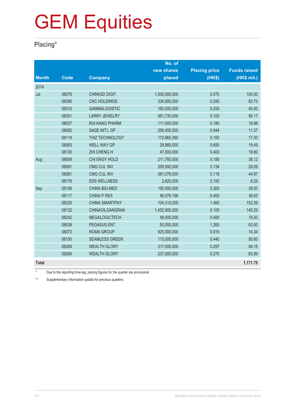### **Placing\***

|              |             |                       | No. of        |                      |                     |
|--------------|-------------|-----------------------|---------------|----------------------|---------------------|
|              |             |                       | new shares    | <b>Placing price</b> | <b>Funds raised</b> |
| <b>Month</b> | <b>Code</b> | <b>Company</b>        | placed        | (HK\$)               | (HK\$ mil.)         |
| 2014         |             |                       |               |                      |                     |
| Jul          | 08078       | <b>CHINA3D DIGIT</b>  | 1,500,000,000 | 0.070                | 105.00              |
|              | 08356       | <b>CNC HOLDINGS</b>   | 334,900,000   | 0.250                | 83.73               |
|              | 08310       | <b>GAMMALOGISTIC</b>  | 160,000,000   | 0.250                | 40.00               |
|              | 08351       | <b>LARRY JEWELRY</b>  | 561,730,000   | 0.100                | 56.17               |
|              | 08037       | <b>RUI KANG PHARM</b> | 111,000,000   | 0.180                | 19.98               |
|              | 08082       | SAGE INT'L GP         | 258,450,000   | 0.044                | 11.37               |
|              | 08119       | THIZ TECHNOLOGY       | 172,965,360   | 0.100                | 17.30               |
|              | 08063       | <b>WELL WAY GP</b>    | 29,980,000    | 0.650                | 19.49               |
|              | 08130       | <b>ZHI CHENG H</b>    | 47,000,000    | 0.400                | 18.80               |
| Aug          | 08009       | CHI ENGY HOLD         | 211,760,000   | 0.180                | 38.12               |
|              | 08081       | <b>CMG CUL INV</b>    | 209,592,000   | 0.134                | 28.09               |
|              | 08081       | <b>CMG CUL INV</b>    | 381,078,000   | 0.118                | 44.97               |
|              | 08176       | <b>EDS WELLNESS</b>   | 2,620,000     | 3.150                | 8.25                |
| Sep          | 08158       | <b>CHINA BIO-MED</b>  | 150,000,000   | 0.260                | 39.00               |
|              | 08117       | <b>CHINA P RES</b>    | 96,576,196    | 0.400                | 38.63               |
|              | 08325       | <b>CHINA SMARTPAY</b> | 104,310,000   | 1.460                | 152.29              |
|              | 08132       | CHINAOILGANGRAN       | 1,452,900,000 | 0.100                | 145.29              |
|              | 08242       | <b>MEGALOGICTECH</b>  | 48,000,000    | 0.400                | 19.20               |
|              | 08039       | <b>PEGASUS ENT</b>    | 50,000,000    | 1.260                | 63.00               |
|              | 08072       | <b>ROMA GROUP</b>     | 925,000,000   | 0.016                | 14.34               |
|              | 08150       | <b>SEAMLESS GREEN</b> | 115,000,000   | 0.440                | 50.60               |
|              | 08269       | <b>WEALTH GLORY</b>   | 317,000,000   | 0.297                | 94.15               |
|              | 08269       | <b>WEALTH GLORY</b>   | 237,000,000   | 0.270                | 63.99               |
| <b>Total</b> |             |                       |               |                      | 1,171.75            |

\* Due to the reporting time-lag, placing figures for the quarter are provisional.

\*\* Supplementary information update for previous quarters.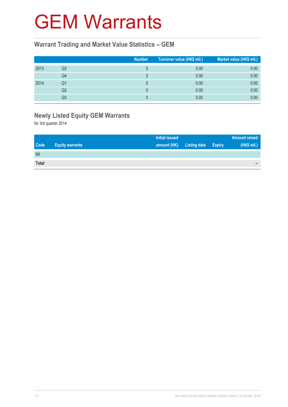### GEM Warrants

#### **Warrant Trading and Market Value Statistics – GEM**

|      |    | <b>Number</b> | Turnover value (HK\$ mil.) | Market value (HK\$ mil.) |
|------|----|---------------|----------------------------|--------------------------|
| 2013 | Q3 |               | 0.00                       | 0.00                     |
|      | Q4 |               | 0.00                       | 0.00                     |
| 2014 | Q1 |               | 0.00                       | 0.00                     |
|      | Q2 |               | 0.00                       | 0.00                     |
|      | Q3 |               | 0.00                       | 0.00                     |

### **Newly Listed Equity GEM Warrants**

for 3rd quarter 2014

|              |                        | <b>Initial issued</b> |                     |               | <b>Amount raised</b> |
|--------------|------------------------|-----------------------|---------------------|---------------|----------------------|
| <b>Code</b>  | <b>Equity warrants</b> | amount (HK)           | <b>Listing date</b> | <b>Expiry</b> | (HK\$ mil.)          |
| Nil          |                        |                       |                     |               |                      |
| <b>Total</b> |                        |                       |                     |               | -                    |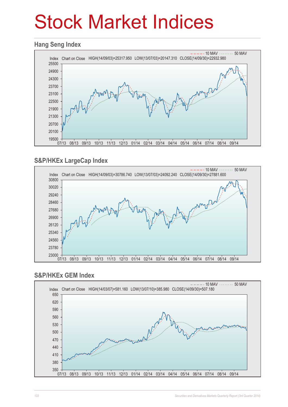## Stock Market Indices

#### **Hang Seng Index**



### **S&P/HKEx LargeCap Index**



### **S&P/HKEx GEM Index**

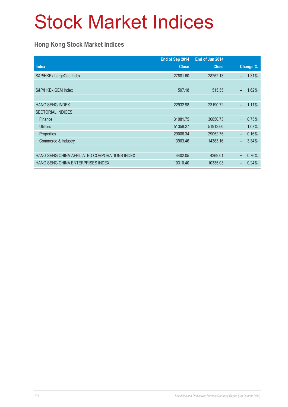## Stock Market Indices

### **Hong Kong Stock Market Indices**

|                                               | End of Sep 2014 | End of Jun 2014 |                          |          |
|-----------------------------------------------|-----------------|-----------------|--------------------------|----------|
| <b>Index</b>                                  | <b>Close</b>    | <b>Close</b>    |                          | Change % |
| S&P/HKEx LargeCap Index                       | 27881.60        | 28252.13        | $\overline{\phantom{0}}$ | 1.31%    |
|                                               |                 |                 |                          |          |
| S&P/HKEx GEM Index                            | 507.18          | 515.55          | $\equiv$                 | 1.62%    |
|                                               |                 |                 |                          |          |
| <b>HANG SENG INDEX</b>                        | 22932.98        | 23190.72        | ÷,                       | 1.11%    |
| <b>SECTORIAL INDICES</b>                      |                 |                 |                          |          |
| Finance                                       | 31081.75        | 30850.73        | $\ddot{}$                | 0.75%    |
| <b>Utilities</b>                              | 51358.27        | 51913.66        | $\overline{\phantom{0}}$ | 1.07%    |
| Properties                                    | 29006.34        | 29052.75        |                          | 0.16%    |
| Commerce & Industry                           | 13903.46        | 14383.16        | -                        | 3.34%    |
|                                               |                 |                 |                          |          |
| HANG SENG CHINA-AFFILIATED CORPORATIONS INDEX | 4402.05         | 4369.01         | $\ddot{}$                | 0.76%    |
| HANG SENG CHINA ENTERPRISES INDEX             | 10310.40        | 10335.03        |                          | 0.24%    |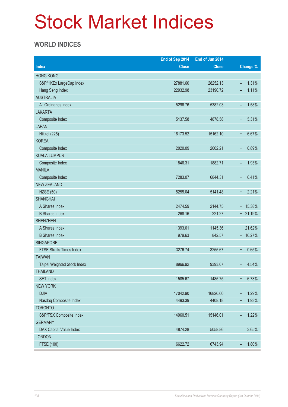## Stock Market Indices

### **WORLD INDICES**

|                                 | End of Sep 2014 | End of Jun 2014 |                                   |  |
|---------------------------------|-----------------|-----------------|-----------------------------------|--|
| <b>Index</b>                    | <b>Close</b>    | <b>Close</b>    | <b>Change %</b>                   |  |
| <b>HONG KONG</b>                |                 |                 |                                   |  |
| S&P/HKEx LargeCap Index         | 27881.60        | 28252.13        | 1.31%<br>$\overline{\phantom{a}}$ |  |
| Hang Seng Index                 | 22932.98        | 23190.72        | 1.11%                             |  |
| <b>AUSTRALIA</b>                |                 |                 |                                   |  |
| All Ordinaries Index            | 5296.76         | 5382.03         | 1.58%<br>-                        |  |
| <b>JAKARTA</b>                  |                 |                 |                                   |  |
| Composite Index                 | 5137.58         | 4878.58         | 5.31%<br>$\ddot{}$                |  |
| <b>JAPAN</b>                    |                 |                 |                                   |  |
| Nikkei (225)                    | 16173.52        | 15162.10        | 6.67%<br>$\ddot{}$                |  |
| <b>KOREA</b>                    |                 |                 |                                   |  |
| Composite Index                 | 2020.09         | 2002.21         | 0.89%<br>$\ddot{}$                |  |
| <b>KUALA LUMPUR</b>             |                 |                 |                                   |  |
| Composite Index                 | 1846.31         | 1882.71         | 1.93%<br>$\qquad \qquad -$        |  |
| <b>MANILA</b>                   |                 |                 |                                   |  |
| Composite Index                 | 7283.07         | 6844.31         | 6.41%<br>$\ddot{}$                |  |
| <b>NEW ZEALAND</b>              |                 |                 |                                   |  |
| <b>NZSE (50)</b>                | 5255.04         | 5141.48         | 2.21%<br>$\ddot{}$                |  |
| <b>SHANGHAI</b>                 |                 |                 |                                   |  |
| A Shares Index                  | 2474.59         | 2144.75         | + 15.38%                          |  |
| <b>B</b> Shares Index           | 268.16          | 221.27          | $+ 21.19%$                        |  |
| <b>SHENZHEN</b>                 |                 |                 |                                   |  |
| A Shares Index                  | 1393.01         | 1145.36         | + 21.62%                          |  |
| <b>B</b> Shares Index           | 979.63          | 842.57          | + 16.27%                          |  |
| <b>SINGAPORE</b>                |                 |                 |                                   |  |
| <b>FTSE Straits Times Index</b> | 3276.74         | 3255.67         | 0.65%<br>$\ddot{}$                |  |
| <b>TAIWAN</b>                   |                 |                 |                                   |  |
| Taipei Weighted Stock Index     | 8966.92         | 9393.07         | 4.54%<br>-                        |  |
| <b>THAILAND</b>                 |                 |                 |                                   |  |
| <b>SET Index</b>                | 1585.67         | 1485.75         | 6.73%<br>$\ddot{}$                |  |
| <b>NEW YORK</b>                 |                 |                 |                                   |  |
| <b>DJIA</b>                     | 17042.90        | 16826.60        | 1.29%<br>$\ddagger$               |  |
| Nasdaq Composite Index          | 4493.39         | 4408.18         | 1.93%<br>$\ddot{}$                |  |
| <b>TORONTO</b>                  |                 |                 |                                   |  |
| S&P/TSX Composite Index         | 14960.51        | 15146.01        | 1.22%<br>$\overline{\phantom{a}}$ |  |
| <b>GERMANY</b>                  |                 |                 |                                   |  |
| DAX Capital Value Index         | 4874.28         | 5058.86         | 3.65%<br>$\overline{\phantom{0}}$ |  |
| <b>LONDON</b>                   |                 |                 |                                   |  |
| FTSE (100)                      | 6622.72         | 6743.94         | 1.80%<br>$\overline{\phantom{0}}$ |  |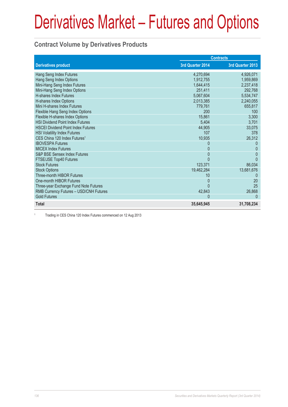#### **Contract Volume by Derivatives Products**

|                                           | <b>Contracts</b> |                  |
|-------------------------------------------|------------------|------------------|
| <b>Derivatives product</b>                | 3rd Quarter 2014 | 3rd Quarter 2013 |
| Hang Seng Index Futures                   | 4,270,694        | 4,926,071        |
| Hang Seng Index Options                   | 1,912,755        | 1,959,869        |
| Mini-Hang Seng Index Futures              | 1,644,415        | 2,237,418        |
| Mini-Hang Seng Index Options              | 251.411          | 292,768          |
| <b>H-shares Index Futures</b>             | 5,067,604        | 5,534,747        |
| H-shares Index Options                    | 2,013,385        | 2,240,055        |
| Mini H-shares Index Futures               | 779,761          | 655,817          |
| Flexible Hang Seng Index Options          | 200              | 100              |
| Flexible H-shares Index Options           | 15,861           | 3,300            |
| <b>HSI Dividend Point Index Futures</b>   | 5,404            | 3,701            |
| <b>HSCEI Dividend Point Index Futures</b> | 44,905           | 33,075           |
| <b>HSI Volatility Index Futures</b>       | 107              | 378              |
| CES China 120 Index Futures <sup>1</sup>  | 10,935           | 26,312           |
| <b>IBOVESPA Futures</b>                   | 0                |                  |
| <b>MICEX Index Futures</b>                | 0                | 0                |
| <b>S&amp;P BSE Sensex Index Futures</b>   | $\Omega$         | $\mathbf{0}$     |
| FTSE/JSE Top40 Futures                    | U                | $\Omega$         |
| <b>Stock Futures</b>                      | 123,371          | 86,034           |
| <b>Stock Options</b>                      | 19,462,284       | 13,681,676       |
| Three-month HIBOR Futures                 | 10               |                  |
| One-month HIBOR Futures                   | $\Omega$         | 20               |
| Three-year Exchange Fund Note Futures     | U                | 25               |
| RMB Currency Futures - USD/CNH Futures    | 42,843           | 26,868           |
| <b>Gold Futures</b>                       | $\Omega$         | $\Omega$         |
| <b>Total</b>                              | 35,645,945       | 31,708,234       |

1 Trading in CES China 120 Index Futures commenced on 12 Aug 2013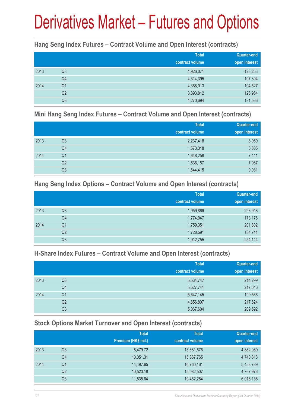#### **Hang Seng Index Futures – Contract Volume and Open Interest (contracts)**

|      |                | <b>Total</b><br>contract volume | <b>Quarter-end</b><br>open interest |
|------|----------------|---------------------------------|-------------------------------------|
| 2013 | Q <sub>3</sub> | 4,926,071                       | 123,253                             |
|      | Q4             | 4,314,395                       | 107,304                             |
| 2014 | Q <sub>1</sub> | 4,368,013                       | 104,527                             |
|      | Q <sub>2</sub> | 3,893,812                       | 126,964                             |
|      | Q <sub>3</sub> | 4,270,694                       | 131,566                             |

#### **Mini Hang Seng Index Futures – Contract Volume and Open Interest (contracts)**

|      |                | <b>Total</b><br>contract volume | <b>Quarter-end</b><br>open interest |
|------|----------------|---------------------------------|-------------------------------------|
| 2013 | Q <sub>3</sub> | 2,237,418                       | 8,969                               |
|      | Q <sub>4</sub> | 1,573,318                       | 5,835                               |
| 2014 | Q <sub>1</sub> | 1,648,258                       | 7,441                               |
|      | Q <sub>2</sub> | 1,536,157                       | 7,067                               |
|      | Q <sub>3</sub> | 1,644,415                       | 9,081                               |

#### **Hang Seng Index Options – Contract Volume and Open Interest (contracts)**

|      |                | <b>Total</b>    | Quarter-end   |
|------|----------------|-----------------|---------------|
|      |                | contract volume | open interest |
| 2013 | Q <sub>3</sub> | 1,959,869       | 293,948       |
|      | Q4             | 1,774,047       | 173,176       |
| 2014 | Q <sub>1</sub> | 1,759,351       | 201,802       |
|      | Q <sub>2</sub> | 1,728,591       | 184,741       |
|      | Q <sub>3</sub> | 1,912,755       | 254,144       |

#### **H-Share Index Futures – Contract Volume and Open Interest (contracts)**

|      |                | <b>Total</b>    | <b>Quarter-end</b> |
|------|----------------|-----------------|--------------------|
|      |                | contract volume | open interest      |
| 2013 | Q3             | 5,534,747       | 214,299            |
|      | Q4             | 5,527,741       | 217,646            |
| 2014 | Q1             | 5,647,145       | 199,566            |
|      | Q <sub>2</sub> | 4,656,807       | 217,624            |
|      | Q3             | 5,067,604       | 209,592            |

### **Stock Options Market Turnover and Open Interest (contracts)**

|      |    | <b>Total</b>        | <b>Total</b>    | Quarter-end   |
|------|----|---------------------|-----------------|---------------|
|      |    | Premium (HK\$ mil.) | contract volume | open interest |
| 2013 | Q3 | 8,479.72            | 13,681,676      | 4,882,089     |
|      | Q4 | 10,051.31           | 15,367,765      | 4,740,818     |
| 2014 | Q1 | 14,497.65           | 16,760,161      | 5,458,789     |
|      | Q2 | 10,523.18           | 15,082,507      | 4,767,976     |
|      | Q3 | 11,835.64           | 19,462,284      | 6,016,138     |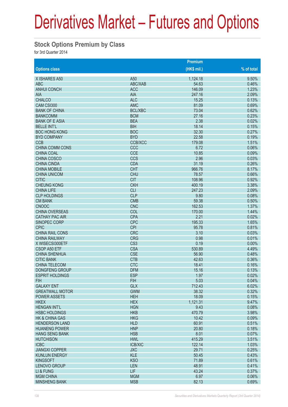#### **Stock Options Premium by Class**

for 3rd Quarter 2014

|                        |                 | <b>Premium</b> |            |
|------------------------|-----------------|----------------|------------|
| <b>Options class</b>   |                 | $(HK$$ mil.)   | % of total |
| X ISHARES A50          | A50             | 1,124.18       | 9.50%      |
| <b>ABC</b>             | ABC/XAB         | 54.63          | 0.46%      |
| <b>ANHUI CONCH</b>     | <b>ACC</b>      | 146.09         | 1.23%      |
| <b>AIA</b>             | <b>AIA</b>      | 247.16         | 2.09%      |
| <b>CHALCO</b>          | <b>ALC</b>      | 15.25          | 0.13%      |
| CAM CSI300             | <b>AMC</b>      | 81.09          | 0.69%      |
| <b>BANK OF CHINA</b>   | <b>BCL/XBC</b>  | 73.04          | 0.62%      |
| <b>BANKCOMM</b>        | <b>BCM</b>      | 27.16          | 0.23%      |
| <b>BANK OF E ASIA</b>  | <b>BEA</b>      | 2.38           | 0.02%      |
| <b>BELLE INT'L</b>     | <b>BIH</b>      | 18.14          | 0.15%      |
| <b>BOC HONG KONG</b>   | <b>BOC</b>      | 32.30          | 0.27%      |
| <b>BYD COMPANY</b>     | <b>BYD</b>      | 22.58          | 0.19%      |
| <b>CCB</b>             | <b>CCB/XCC</b>  | 179.08         | 1.51%      |
| <b>CHINA COMM CONS</b> | CCC             | 6.72           | 0.06%      |
| <b>CHINA COAL</b>      | <b>CCE</b>      | 10.85          | 0.09%      |
| <b>CHINA COSCO</b>     | <b>CCS</b>      | 2.96           | 0.03%      |
| <b>CHINA CINDA</b>     | <b>CDA</b>      | 31.19          | 0.26%      |
| <b>CHINA MOBILE</b>    | <b>CHT</b>      | 966.76         | 8.17%      |
| <b>CHINA UNICOM</b>    | <b>CHU</b>      | 78.57          | 0.66%      |
| <b>CITIC</b>           | <b>CIT</b>      | 108.96         | 0.92%      |
| <b>CHEUNG KONG</b>     | <b>CKH</b>      | 400.19         | 3.38%      |
| <b>CHINA LIFE</b>      | <b>CLI</b>      | 247.23         | 2.09%      |
| <b>CLP HOLDINGS</b>    | <b>CLP</b>      | 9.80           | 0.08%      |
| <b>CM BANK</b>         | <b>CMB</b>      | 59.38          | 0.50%      |
| <b>CNOOC</b>           | <b>CNC</b>      | 162.53         | 1.37%      |
| <b>CHINA OVERSEAS</b>  | COL             | 170.00         | 1.44%      |
| <b>CATHAY PAC AIR</b>  | <b>CPA</b>      | 2.21           | 0.02%      |
| SINOPEC CORP           | <b>CPC</b>      | 195.33         | 1.65%      |
| <b>CPIC</b>            | <b>CPI</b>      | 95.78          | 0.81%      |
| <b>CHINA RAIL CONS</b> | <b>CRC</b>      | 3.10           | 0.03%      |
| <b>CHINA RAILWAY</b>   | <b>CRG</b>      | 0.98           | 0.01%      |
| X WISECSI300ETF        | CS <sub>3</sub> | 0.19           | 0.00%      |
| CSOP A50 ETF           | <b>CSA</b>      | 530.89         | 4.49%      |
| <b>CHINA SHENHUA</b>   | <b>CSE</b>      | 56.90          | 0.48%      |
| <b>CITIC BANK</b>      | <b>CTB</b>      | 42.63          | 0.36%      |
| <b>CHINA TELECOM</b>   | <b>CTC</b>      | 18.41          | 0.16%      |
| <b>DONGFENG GROUP</b>  | <b>DFM</b>      | 15.16          | 0.13%      |
|                        | <b>ESP</b>      | 1.97           | 0.02%      |
| <b>ESPRIT HOLDINGS</b> |                 |                |            |
| <b>FIH</b>             | <b>FIH</b>      | 5.03           | 0.04%      |
| <b>GALAXY ENT</b>      | <b>GLX</b>      | 712.43         | 6.02%      |
| <b>GREATWALL MOTOR</b> | <b>GWM</b>      | 38.32          | 0.32%      |
| <b>POWER ASSETS</b>    | <b>HEH</b>      | 18.09          | 0.15%      |
| <b>HKEX</b>            | <b>HEX</b>      | 1,121.31       | 9.47%      |
| <b>HENGAN INT'L</b>    | <b>HGN</b>      | 9.43           | 0.08%      |
| <b>HSBC HOLDINGS</b>   | <b>HKB</b>      | 470.79         | 3.98%      |
| HK & CHINA GAS         | <b>HKG</b>      | 10.42          | 0.09%      |
| <b>HENDERSON LAND</b>  | <b>HLD</b>      | 60.91          | 0.51%      |
| <b>HUANENG POWER</b>   | <b>HNP</b>      | 20.80          | 0.18%      |
| <b>HANG SENG BANK</b>  | <b>HSB</b>      | 8.01           | 0.07%      |
| <b>HUTCHISON</b>       | <b>HWL</b>      | 415.29         | 3.51%      |
| <b>ICBC</b>            | <b>ICB/XIC</b>  | 122.14         | 1.03%      |
| <b>JIANGXI COPPER</b>  | <b>JXC</b>      | 29.71          | 0.25%      |
| <b>KUNLUN ENERGY</b>   | <b>KLE</b>      | 50.45          | 0.43%      |
| <b>KINGSOFT</b>        | <b>KSO</b>      | 71.89          | 0.61%      |
| <b>LENOVO GROUP</b>    | <b>LEN</b>      | 48.91          | 0.41%      |
| LI & FUNG              | <b>LIF</b>      | 43.24          | 0.37%      |
| <b>MGM CHINA</b>       | <b>MGM</b>      | 6.97           | 0.06%      |
| <b>MINSHENG BANK</b>   | <b>MSB</b>      | 82.13          | 0.69%      |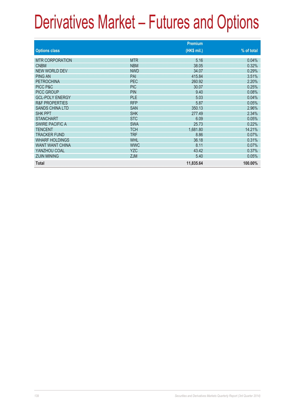|                           |            | <b>Premium</b> |            |
|---------------------------|------------|----------------|------------|
| <b>Options class</b>      |            | (HK\$ mil.)    | % of total |
| <b>MTR CORPORATION</b>    | <b>MTR</b> | 5.16           | 0.04%      |
| <b>CNBM</b>               | <b>NBM</b> | 38.05          | 0.32%      |
| <b>NEW WORLD DEV</b>      | <b>NWD</b> | 34.07          | 0.29%      |
| <b>PING AN</b>            | PAI        | 415.84         | 3.51%      |
| <b>PETROCHINA</b>         | PEC        | 260.92         | 2.20%      |
| PICC P&C                  | <b>PIC</b> | 30.07          | 0.25%      |
| <b>PICC GROUP</b>         | <b>PIN</b> | 9.40           | 0.08%      |
| <b>GCL-POLY ENERGY</b>    | <b>PLE</b> | 5.03           | 0.04%      |
| <b>R&amp;F PROPERTIES</b> | <b>RFP</b> | 5.87           | 0.05%      |
| <b>SANDS CHINA LTD</b>    | <b>SAN</b> | 350.13         | 2.96%      |
| <b>SHK PPT</b>            | <b>SHK</b> | 277.49         | 2.34%      |
| <b>STANCHART</b>          | <b>STC</b> | 6.09           | 0.05%      |
| <b>SWIRE PACIFIC A</b>    | <b>SWA</b> | 25.73          | 0.22%      |
| <b>TENCENT</b>            | <b>TCH</b> | 1,681.80       | 14.21%     |
| <b>TRACKER FUND</b>       | <b>TRF</b> | 8.86           | 0.07%      |
| <b>WHARF HOLDINGS</b>     | <b>WHL</b> | 36.18          | 0.31%      |
| <b>WANT WANT CHINA</b>    | <b>WWC</b> | 8.11           | 0.07%      |
| YANZHOU COAL              | <b>YZC</b> | 43.42          | 0.37%      |
| <b>ZIJIN MINING</b>       | ZJM        | 5.40           | 0.05%      |
| <b>Total</b>              |            | 11,835.64      | 100.00%    |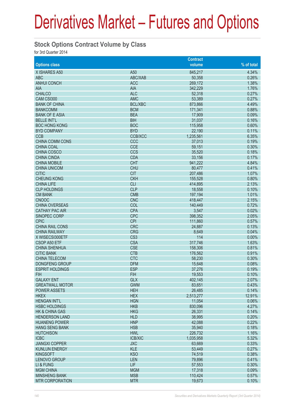#### **Stock Options Contract Volume by Class**

for 3rd Quarter 2014

|                           |                 | <b>Contract</b> |            |
|---------------------------|-----------------|-----------------|------------|
| <b>Options class</b>      |                 | volume          | % of total |
| X ISHARES A50             | A50             | 845,217         | 4.34%      |
| <b>ABC</b>                | ABC/XAB         | 50,358          | 0.26%      |
| <b>ANHUI CONCH</b>        | <b>ACC</b>      | 269,172         | 1.38%      |
| <b>AIA</b>                | <b>AIA</b>      | 342,229         | 1.76%      |
| <b>CHALCO</b>             | <b>ALC</b>      | 52,318          | 0.27%      |
| CAM CSI300                | <b>AMC</b>      | 53,389          | 0.27%      |
| <b>BANK OF CHINA</b>      | <b>BCL/XBC</b>  | 873,866         | 4.49%      |
| <b>BANKCOMM</b>           | <b>BCM</b>      | 171,341         | 0.88%      |
| <b>BANK OF E ASIA</b>     | <b>BEA</b>      | 17,909          | 0.09%      |
| <b>BELLE INT'L</b>        | <b>BIH</b>      | 31,037          | 0.16%      |
| <b>BOC HONG KONG</b>      | <b>BOC</b>      |                 | 0.60%      |
|                           | <b>BYD</b>      | 115,958         | 0.11%      |
| <b>BYD COMPANY</b>        |                 | 22,190          |            |
| <b>CCB</b>                | <b>CCB/XCC</b>  | 1,235,561       | 6.35%      |
| <b>CHINA COMM CONS</b>    | CCC             | 37,013          | 0.19%      |
| <b>CHINA COAL</b>         | <b>CCE</b>      | 59,151          | 0.30%      |
| <b>CHINA COSCO</b>        | <b>CCS</b>      | 35,520          | 0.18%      |
| <b>CHINA CINDA</b>        | <b>CDA</b>      | 33,156          | 0.17%      |
| <b>CHINA MOBILE</b>       | <b>CHT</b>      | 941,222         | 4.84%      |
| <b>CHINA UNICOM</b>       | <b>CHU</b>      | 80,477          | 0.41%      |
| <b>CITIC</b>              | <b>CIT</b>      | 207,486         | 1.07%      |
| <b>CHEUNG KONG</b>        | <b>CKH</b>      | 155,528         | 0.80%      |
| <b>CHINA LIFE</b>         | <b>CLI</b>      | 414,895         | 2.13%      |
| <b>CLP HOLDINGS</b>       | <b>CLP</b>      | 18,558          | 0.10%      |
| <b>CM BANK</b>            | <b>CMB</b>      | 197,194         | 1.01%      |
| <b>CNOOC</b>              | <b>CNC</b>      | 418,447         | 2.15%      |
| <b>CHINA OVERSEAS</b>     | COL             | 140,449         | 0.72%      |
| <b>CATHAY PAC AIR</b>     | <b>CPA</b>      | 3,547           | 0.02%      |
| SINOPEC CORP              | <b>CPC</b>      | 398,352         | 2.05%      |
| <b>CPIC</b>               | <b>CPI</b>      | 111,860         | 0.57%      |
| <b>CHINA RAIL CONS</b>    | <b>CRC</b>      | 24,887          | 0.13%      |
| <b>CHINA RAILWAY</b>      | <b>CRG</b>      | 8,649           | 0.04%      |
| X WISECSI300ETF           | CS <sub>3</sub> | 114             | 0.00%      |
| CSOP A50 ETF              | <b>CSA</b>      | 317,746         | 1.63%      |
| <b>CHINA SHENHUA</b>      | <b>CSE</b>      | 158,306         | 0.81%      |
| <b>CITIC BANK</b>         | <b>CTB</b>      | 176,562         | 0.91%      |
| <b>CHINA TELECOM</b>      | <b>CTC</b>      | 58,230          | 0.30%      |
| <b>DONGFENG GROUP</b>     | <b>DFM</b>      | 15,648          | 0.08%      |
| <b>ESPRIT HOLDINGS</b>    | <b>ESP</b>      | 37,276          | 0.19%      |
| <b>FIH</b>                | <b>FIH</b>      | 19,553          | 0.10%      |
| <b>GALAXY ENT</b>         | <b>GLX</b>      | 402,145         | 2.07%      |
| <b>GREATWALL MOTOR</b>    | <b>GWM</b>      | 83,651          | 0.43%      |
| <b>POWER ASSETS</b>       | <b>HEH</b>      | 26,485          | 0.14%      |
| <b>HKEX</b>               | <b>HEX</b>      | 2,513,277       | 12.91%     |
| <b>HENGAN INT'L</b>       | <b>HGN</b>      | 11,054          | 0.06%      |
| <b>HSBC HOLDINGS</b>      | <b>HKB</b>      | 830,096         | 4.27%      |
| <b>HK &amp; CHINA GAS</b> | <b>HKG</b>      | 26,331          | 0.14%      |
| <b>HENDERSON LAND</b>     | <b>HLD</b>      | 38,995          | 0.20%      |
| <b>HUANENG POWER</b>      | <b>HNP</b>      | 42,088          | 0.22%      |
| <b>HANG SENG BANK</b>     | <b>HSB</b>      | 35,940          | 0.18%      |
| <b>HUTCHISON</b>          | <b>HWL</b>      | 226,732         | 1.16%      |
| <b>ICBC</b>               | <b>ICB/XIC</b>  | 1,035,958       | 5.32%      |
| <b>JIANGXI COPPER</b>     | <b>JXC</b>      | 63,669          | 0.33%      |
| <b>KUNLUN ENERGY</b>      | <b>KLE</b>      | 53,449          | 0.27%      |
|                           |                 |                 | 0.38%      |
| <b>KINGSOFT</b>           | <b>KSO</b>      | 74,519          |            |
| LENOVO GROUP              | <b>LEN</b>      | 79,896          | 0.41%      |
| LI & FUNG                 | <b>LIF</b>      | 57,553          | 0.30%      |
| <b>MGM CHINA</b>          | <b>MGM</b>      | 17,318          | 0.09%      |
| <b>MINSHENG BANK</b>      | <b>MSB</b>      | 110,424         | 0.57%      |
| <b>MTR CORPORATION</b>    | <b>MTR</b>      | 19,673          | 0.10%      |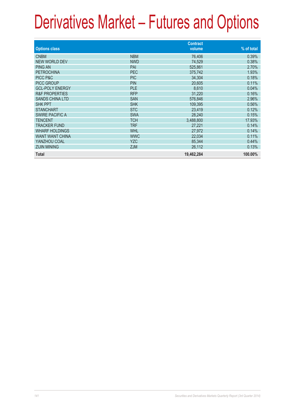| <b>Options class</b>      |            | <b>Contract</b><br>volume | % of total |
|---------------------------|------------|---------------------------|------------|
|                           |            |                           |            |
| <b>CNBM</b>               | <b>NBM</b> | 76,406                    | 0.39%      |
| <b>NEW WORLD DEV</b>      | <b>NWD</b> | 74,529                    | 0.38%      |
| <b>PING AN</b>            | PAI        | 525,861                   | 2.70%      |
| <b>PETROCHINA</b>         | PEC        | 375,742                   | 1.93%      |
| PICC P&C                  | <b>PIC</b> | 34,304                    | 0.18%      |
| <b>PICC GROUP</b>         | <b>PIN</b> | 20,605                    | 0.11%      |
| <b>GCL-POLY ENERGY</b>    | <b>PLE</b> | 8,610                     | 0.04%      |
| <b>R&amp;F PROPERTIES</b> | <b>RFP</b> | 31,220                    | 0.16%      |
| <b>SANDS CHINA LTD</b>    | <b>SAN</b> | 576,846                   | 2.96%      |
| <b>SHK PPT</b>            | <b>SHK</b> | 109,395                   | 0.56%      |
| <b>STANCHART</b>          | <b>STC</b> | 23,419                    | 0.12%      |
| <b>SWIRE PACIFIC A</b>    | <b>SWA</b> | 28,240                    | 0.15%      |
| <b>TENCENT</b>            | <b>TCH</b> | 3,488,800                 | 17.93%     |
| <b>TRACKER FUND</b>       | <b>TRF</b> | 27,221                    | 0.14%      |
| <b>WHARF HOLDINGS</b>     | <b>WHL</b> | 27,972                    | 0.14%      |
| <b>WANT WANT CHINA</b>    | <b>WWC</b> | 22,034                    | 0.11%      |
| YANZHOU COAL              | <b>YZC</b> | 85,344                    | 0.44%      |
| <b>ZIJIN MINING</b>       | ZJM        | 26,112                    | 0.13%      |
| <b>Total</b>              |            | 19,462,284                | 100.00%    |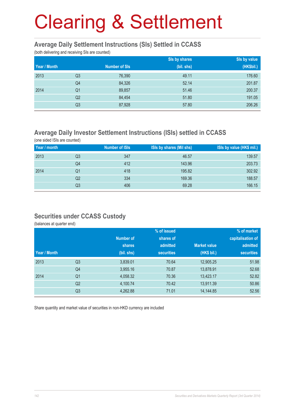# Clearing & Settlement

#### **Average Daily Settlement Instructions (SIs) Settled in CCASS**

(both delivering and receiving SIs are counted)

|              |                |                      | Sis by shares | Sis by value |
|--------------|----------------|----------------------|---------------|--------------|
| Year / Month |                | <b>Number of SIs</b> | (bil. shs)    | (HK\$bil.)   |
| 2013         | Q <sub>3</sub> | 76,390               | 49.11         | 176.60       |
|              | Q4             | 84,326               | 52.14         | 201.87       |
| 2014         | Q <sub>1</sub> | 89,857               | 51.46         | 200.37       |
|              | Q <sub>2</sub> | 84,454               | 51.80         | 191.05       |
|              | Q <sub>3</sub> | 87,928               | 57.80         | 206.26       |

### **Average Daily Investor Settlement Instructions (ISIs) settled in CCASS**

(one sided ISIs are counted)

| Year / month |    | <b>Number of ISIs</b> | ISIs by shares (Mil shs) | ISIs by value (HK\$ mil.) |
|--------------|----|-----------------------|--------------------------|---------------------------|
| 2013         | Q3 | 347                   | 46.57                    | 139.57                    |
|              | Q4 | 412                   | 143.96                   | 203.73                    |
| 2014         | Q1 | 418                   | 195.82                   | 302.92                    |
|              | Q2 | 334                   | 169.36                   | 188.57                    |
|              | Q3 | 406                   | 69.28                    | 166.15                    |

#### **Securities under CCASS Custody**

(balances at quarter end)

|              |                |                  | % of issued       |                     | % of market       |
|--------------|----------------|------------------|-------------------|---------------------|-------------------|
|              |                | <b>Number of</b> | shares of         |                     | capitalisation of |
|              |                | shares           | admitted          | <b>Market value</b> | admitted          |
| Year / Month |                | (bil. shs)       | <b>securities</b> | (HK\$ bil.)         | <b>securities</b> |
| 2013         | Q <sub>3</sub> | 3,839.01         | 70.64             | 12,905.25           | 51.98             |
|              | Q4             | 3,955.16         | 70.87             | 13,878.91           | 52.68             |
| 2014         | Q <sub>1</sub> | 4,058.32         | 70.36             | 13,423.17           | 52.82             |
|              | Q <sub>2</sub> | 4,100.74         | 70.42             | 13,911.39           | 50.86             |
|              | Q <sub>3</sub> | 4,262.88         | 71.01             | 14,144.85           | 52.56             |

Share quantity and market value of securities in non-HKD currency are included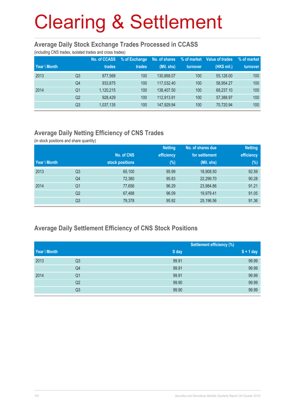# Clearing & Settlement

#### **Average Daily Stock Exchange Trades Processed in CCASS**

(including CNS trades, isolated trades and cross trades)

| Year \ Month |                | <b>No. of CCASS</b><br>trades | % of Exchange<br>trades | No. of shares<br>(Mil. shs) | % of market<br>turnover | Value of trades<br>(HK\$ mil.) | % of market<br>turnover |
|--------------|----------------|-------------------------------|-------------------------|-----------------------------|-------------------------|--------------------------------|-------------------------|
| 2013         | Q3             | 877.568                       | 100                     | 130.868.07                  | 100                     | 55.128.00                      | 100                     |
|              | Q <sub>4</sub> | 933,875                       | 100                     | 117.032.40                  | 100                     | 58.954.27                      | 100                     |
| 2014         | Q1             | 1,120,215                     | 100                     | 138,407.50                  | 100                     | 68.237.10                      | 100                     |
|              | Q <sub>2</sub> | 928.429                       | 100                     | 112.913.91                  | 100                     | 57,388.97                      | 100                     |
|              | Q3             | 1,037,135                     | 100                     | 147.929.94                  | 100                     | 70.720.94                      | 100                     |

### **Average Daily Netting Efficiency of CNS Trades**

(in stock positions and share quantity)

|              |                |                 | <b>Netting</b> | No. of shares due | <b>Netting</b> |
|--------------|----------------|-----------------|----------------|-------------------|----------------|
|              |                | No. of CNS      | efficiency     | for settlement    | efficiency     |
| Year \ Month |                | stock positions | $(\%)$         | $(Mil.$ shs)      | $(\%)$         |
| 2013         | Q3             | 65,100          | 95.99          | 18,908.50         | 92.59          |
|              | Q4             | 72,380          | 95.83          | 22,299.70         | 90.28          |
| 2014         | Q1             | 77,656          | 96.29          | 23,984.86         | 91.21          |
|              | Q <sub>2</sub> | 67,488          | 96.09          | 19,979.41         | 91.05          |
|              | Q3             | 79,378          | 95.92          | 25,196.56         | 91.36          |

### **Average Daily Settlement Efficiency of CNS Stock Positions**

|              |                |       | <b>Settlement efficiency (%)</b> |  |  |
|--------------|----------------|-------|----------------------------------|--|--|
| Year \ Month |                | S day | $S + 1$ day                      |  |  |
| 2013         | Q3             | 99.91 | 99.99                            |  |  |
|              | Q4             | 99.91 | 99.99                            |  |  |
| 2014         | Q <sub>1</sub> | 99.91 | 99.99                            |  |  |
|              | Q2             | 99.90 | 99.99                            |  |  |
|              | Q3             | 99.90 | 99.99                            |  |  |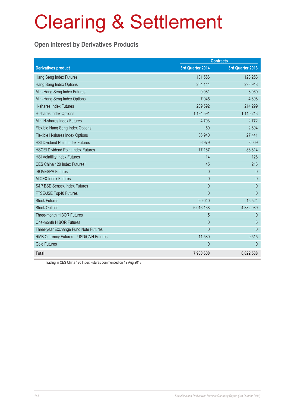### Clearing & Settlement

### **Open Interest by Derivatives Products**

|                                           | <b>Contracts</b> |                  |
|-------------------------------------------|------------------|------------------|
| <b>Derivatives product</b>                | 3rd Quarter 2014 | 3rd Quarter 2013 |
| Hang Seng Index Futures                   | 131,566          | 123,253          |
| Hang Seng Index Options                   | 254,144          | 293,948          |
| Mini-Hang Seng Index Futures              | 9,081            | 8,969            |
| Mini-Hang Seng Index Options              | 7,945            | 4,698            |
| <b>H-shares Index Futures</b>             | 209,592          | 214,299          |
| H-shares Index Options                    | 1,194,591        | 1,140,213        |
| Mini H-shares Index Futures               | 4,703            | 2,772            |
| Flexible Hang Seng Index Options          | 50               | 2,694            |
| Flexible H-shares Index Options           | 36,940           | 27,441           |
| <b>HSI Dividend Point Index Futures</b>   | 6,979            | 8,009            |
| <b>HSCEI Dividend Point Index Futures</b> | 77,187           | 88,814           |
| <b>HSI Volatility Index Futures</b>       | 14               | 128              |
| CES China 120 Index Futures <sup>1</sup>  | 45               | 216              |
| <b>IBOVESPA Futures</b>                   | $\mathbf{0}$     | $\theta$         |
| <b>MICEX Index Futures</b>                | $\overline{0}$   | $\theta$         |
| S&P BSE Sensex Index Futures              | $\mathbf{0}$     | $\mathbf{0}$     |
| FTSE/JSE Top40 Futures                    | $\overline{0}$   | $\mathbf{0}$     |
| <b>Stock Futures</b>                      | 20,040           | 15,524           |
| <b>Stock Options</b>                      | 6,016,138        | 4,882,089        |
| <b>Three-month HIBOR Futures</b>          | 5                | $\theta$         |
| One-month HIBOR Futures                   | $\mathbf{0}$     | $6\phantom{1}6$  |
| Three-year Exchange Fund Note Futures     | $\mathbf{0}$     | $\overline{0}$   |
| RMB Currency Futures - USD/CNH Futures    | 11,580           | 9,515            |
| <b>Gold Futures</b>                       | $\mathbf{0}$     | $\theta$         |
| <b>Total</b>                              | 7,980,600        | 6,822,588        |

Trading in CES China 120 Index Futures commenced on 12 Aug 2013

1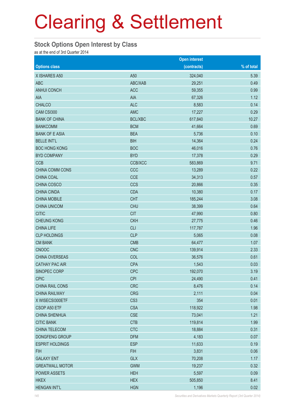### Clearing & Settlement

#### **Stock Options Open Interest by Class**

as at the end of 3rd Quarter 2014

|                        |                 | <b>Open interest</b> |            |
|------------------------|-----------------|----------------------|------------|
| <b>Options class</b>   |                 | (contracts)          | % of total |
| X ISHARES A50          | A50             | 324,040              | 5.39       |
| <b>ABC</b>             | ABC/XAB         | 29,251               | 0.49       |
| <b>ANHUI CONCH</b>     | <b>ACC</b>      | 59,355               | 0.99       |
| AIA                    | <b>AIA</b>      | 67,326               | 1.12       |
| <b>CHALCO</b>          | <b>ALC</b>      | 8,583                | 0.14       |
| CAM CSI300             | <b>AMC</b>      | 17,227               | 0.29       |
| <b>BANK OF CHINA</b>   | <b>BCL/XBC</b>  | 617,840              | 10.27      |
| <b>BANKCOMM</b>        | <b>BCM</b>      | 41,664               | 0.69       |
| <b>BANK OF E ASIA</b>  | <b>BEA</b>      | 5,736                | 0.10       |
| <b>BELLE INT'L</b>     | <b>BIH</b>      | 14,364               | 0.24       |
| <b>BOC HONG KONG</b>   | <b>BOC</b>      | 46,016               | 0.76       |
| <b>BYD COMPANY</b>     | <b>BYD</b>      | 17,378               | 0.29       |
| <b>CCB</b>             | CCB/XCC         | 583,869              | 9.71       |
| CHINA COMM CONS        | CCC             | 13,289               | 0.22       |
| CHINA COAL             | <b>CCE</b>      | 34,313               | 0.57       |
| CHINA COSCO            | <b>CCS</b>      | 20,866               | 0.35       |
| <b>CHINA CINDA</b>     | <b>CDA</b>      | 10,380               | 0.17       |
| <b>CHINA MOBILE</b>    | <b>CHT</b>      | 185,244              | 3.08       |
| <b>CHINA UNICOM</b>    | <b>CHU</b>      | 38,399               | 0.64       |
| <b>CITIC</b>           | <b>CIT</b>      | 47,990               | 0.80       |
| <b>CHEUNG KONG</b>     | <b>CKH</b>      | 27,775               | 0.46       |
| <b>CHINA LIFE</b>      | <b>CLI</b>      | 117,787              | 1.96       |
| <b>CLP HOLDINGS</b>    | <b>CLP</b>      | 5,065                | 0.08       |
| <b>CM BANK</b>         | <b>CMB</b>      | 64,477               | 1.07       |
| <b>CNOOC</b>           | <b>CNC</b>      | 139,914              | 2.33       |
| CHINA OVERSEAS         | COL             | 36,576               | 0.61       |
| <b>CATHAY PAC AIR</b>  | <b>CPA</b>      | 1,543                | 0.03       |
| SINOPEC CORP           | <b>CPC</b>      | 192,070              | 3.19       |
| <b>CPIC</b>            | <b>CPI</b>      | 24,490               | 0.41       |
| CHINA RAIL CONS        | <b>CRC</b>      | 8,476                | 0.14       |
| <b>CHINA RAILWAY</b>   | <b>CRG</b>      | 2,111                | 0.04       |
| X WISECSI300ETF        | CS <sub>3</sub> | 354                  | 0.01       |
| CSOP A50 ETF           | <b>CSA</b>      | 118,922              | 1.98       |
| <b>CHINA SHENHUA</b>   | <b>CSE</b>      | 73,041               | 1.21       |
| <b>CITIC BANK</b>      | <b>CTB</b>      | 119,814              | 1.99       |
| CHINA TELECOM          | <b>CTC</b>      | 18,884               | 0.31       |
| DONGFENG GROUP         | <b>DFM</b>      | 4,183                | 0.07       |
| <b>ESPRIT HOLDINGS</b> | <b>ESP</b>      | 11,633               | 0.19       |
| <b>FIH</b>             | <b>FIH</b>      | 3,831                | 0.06       |
| <b>GALAXY ENT</b>      | <b>GLX</b>      | 70,208               | 1.17       |
| <b>GREATWALL MOTOR</b> | <b>GWM</b>      | 19,237               | 0.32       |
| <b>POWER ASSETS</b>    | <b>HEH</b>      | 5,597                | 0.09       |
| <b>HKEX</b>            | <b>HEX</b>      | 505,850              | 8.41       |
| <b>HENGAN INT'L</b>    | <b>HGN</b>      | 1,196                | 0.02       |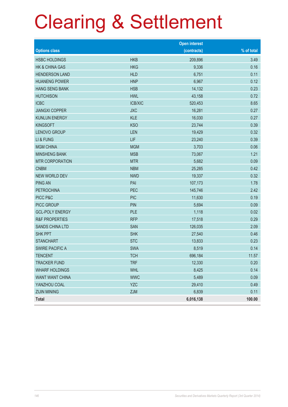# Clearing & Settlement

|                           |                | <b>Open interest</b> |            |
|---------------------------|----------------|----------------------|------------|
| <b>Options class</b>      |                | (contracts)          | % of total |
| <b>HSBC HOLDINGS</b>      | <b>HKB</b>     | 209,896              | 3.49       |
| <b>HK &amp; CHINA GAS</b> | <b>HKG</b>     | 9,336                | 0.16       |
| <b>HENDERSON LAND</b>     | <b>HLD</b>     | 6,751                | 0.11       |
| <b>HUANENG POWER</b>      | <b>HNP</b>     | 6,967                | 0.12       |
| <b>HANG SENG BANK</b>     | <b>HSB</b>     | 14,132               | 0.23       |
| <b>HUTCHISON</b>          | <b>HWL</b>     | 43,158               | 0.72       |
| <b>ICBC</b>               | <b>ICB/XIC</b> | 520,453              | 8.65       |
| <b>JIANGXI COPPER</b>     | <b>JXC</b>     | 16,281               | 0.27       |
| <b>KUNLUN ENERGY</b>      | <b>KLE</b>     | 16,030               | 0.27       |
| <b>KINGSOFT</b>           | <b>KSO</b>     | 23,744               | 0.39       |
| <b>LENOVO GROUP</b>       | LEN            | 19,429               | 0.32       |
| LI & FUNG                 | LIF            | 23,240               | 0.39       |
| <b>MGM CHINA</b>          | <b>MGM</b>     | 3,703                | 0.06       |
| <b>MINSHENG BANK</b>      | <b>MSB</b>     | 73,067               | 1.21       |
| <b>MTR CORPORATION</b>    | <b>MTR</b>     | 5,682                | 0.09       |
| <b>CNBM</b>               | <b>NBM</b>     | 25,285               | 0.42       |
| <b>NEW WORLD DEV</b>      | <b>NWD</b>     | 19,337               | 0.32       |
| <b>PING AN</b>            | PAI            | 107,173              | 1.78       |
| <b>PETROCHINA</b>         | PEC            | 145,746              | 2.42       |
| PICC P&C                  | <b>PIC</b>     | 11,630               | 0.19       |
| PICC GROUP                | <b>PIN</b>     | 5,694                | 0.09       |
| <b>GCL-POLY ENERGY</b>    | PLE            | 1,118                | 0.02       |
| <b>R&amp;F PROPERTIES</b> | <b>RFP</b>     | 17,518               | 0.29       |
| <b>SANDS CHINA LTD</b>    | SAN            | 126,035              | 2.09       |
| <b>SHK PPT</b>            | <b>SHK</b>     | 27,540               | 0.46       |
| <b>STANCHART</b>          | <b>STC</b>     | 13,833               | 0.23       |
| <b>SWIRE PACIFIC A</b>    | <b>SWA</b>     | 8,519                | 0.14       |
| <b>TENCENT</b>            | <b>TCH</b>     | 696,184              | 11.57      |
| <b>TRACKER FUND</b>       | <b>TRF</b>     | 12,330               | 0.20       |
| <b>WHARF HOLDINGS</b>     | <b>WHL</b>     | 8,425                | 0.14       |
| <b>WANT WANT CHINA</b>    | <b>WWC</b>     | 5,489                | 0.09       |
| YANZHOU COAL              | <b>YZC</b>     | 29,410               | 0.49       |
| <b>ZIJIN MINING</b>       | ZJM            | 6,839                | 0.11       |
| Total                     |                | 6,016,138            | 100.00     |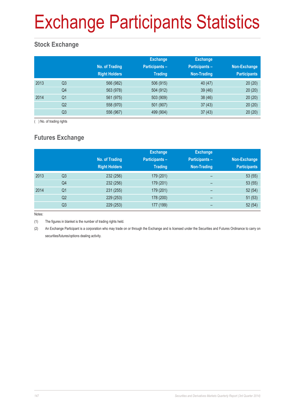### Exchange Participants Statistics

#### **Stock Exchange**

|      |                | No. of Trading<br><b>Right Holders</b> | <b>Exchange</b><br><b>Participants -</b><br><b>Trading</b> | <b>Exchange</b><br><b>Participants -</b><br>Non-Trading | Non-Exchange<br><b>Participants</b> |
|------|----------------|----------------------------------------|------------------------------------------------------------|---------------------------------------------------------|-------------------------------------|
| 2013 | Q <sub>3</sub> | 566 (982)                              | 506 (915)                                                  | 40(47)                                                  | 20(20)                              |
|      | Q4             | 563 (978)                              | 504 (912)                                                  | 39(46)                                                  | 20(20)                              |
| 2014 | Q <sub>1</sub> | 561 (975)                              | 503 (909)                                                  | 38(46)                                                  | 20(20)                              |
|      | Q2             | 558 (970)                              | 501 (907)                                                  | 37(43)                                                  | 20(20)                              |
|      | Q <sub>3</sub> | 556 (967)                              | 499 (904)                                                  | 37(43)                                                  | 20(20)                              |

( ) No. of trading rights

#### **Futures Exchange**

|      |                | No. of Trading<br><b>Right Holders</b> | <b>Exchange</b><br><b>Participants -</b><br><b>Trading</b> | <b>Exchange</b><br><b>Participants -</b><br><b>Non-Trading</b> | Non-Exchange<br><b>Participants</b> |
|------|----------------|----------------------------------------|------------------------------------------------------------|----------------------------------------------------------------|-------------------------------------|
| 2013 | Q <sub>3</sub> | 232 (256)                              | 179 (201)                                                  | -                                                              | 53(55)                              |
|      | Q4             | 232 (256)                              | 179 (201)                                                  | $\overline{\phantom{0}}$                                       | 53(55)                              |
| 2014 | Q <sub>1</sub> | 231 (255)                              | 179 (201)                                                  | $\overline{\phantom{0}}$                                       | 52(54)                              |
|      | Q2             | 229 (253)                              | 178 (200)                                                  | -                                                              | 51(53)                              |
|      | Q3             | 229 (253)                              | 177 (199)                                                  | -                                                              | 52(54)                              |

Notes:

(1) The figures in blanket is the number of trading rights held.

(2) An Exchange Participant is a corporation who may trade on or through the Exchange and is licensed under the Securities and Futures Ordinance to carry on securities/futures/options dealing activity.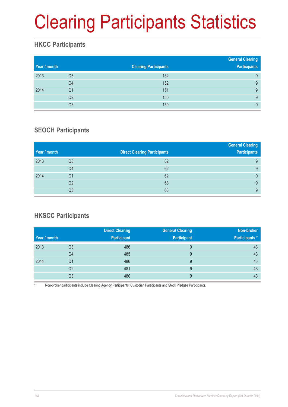# Clearing Participants Statistics

#### **HKCC Participants**

| Year / month |                | <b>Clearing Participants</b> | <b>General Clearing</b><br><b>Participants</b> |
|--------------|----------------|------------------------------|------------------------------------------------|
| 2013         | Q <sub>3</sub> | 152                          | 9                                              |
|              | Q4             | 152                          | 9                                              |
| 2014         | Q1             | 151                          | 9                                              |
|              | Q2             | 150                          | 9                                              |
|              | Q3             | 150                          | 9                                              |

#### **SEOCH Participants**

|              |                |                                     | <b>General Clearing</b> |
|--------------|----------------|-------------------------------------|-------------------------|
| Year / month |                | <b>Direct Clearing Participants</b> | <b>Participants</b>     |
| 2013         | Q3             | 62                                  | 9                       |
|              | Q4             | 62                                  | 9                       |
| 2014         | Q <sub>1</sub> | 62                                  | 9                       |
|              | Q <sub>2</sub> | 63                                  | 9                       |
|              | Q3             | 63                                  | 9                       |

#### **HKSCC Participants**

|              |    | <b>Direct Clearing</b> | <b>General Clearing</b> | Non-broker            |
|--------------|----|------------------------|-------------------------|-----------------------|
| Year / month |    | <b>Participant</b>     | <b>Participant</b>      | <b>Participants</b> * |
| 2013         | Q3 | 486                    | 9                       | 43                    |
|              | Q4 | 485                    | 9                       | 43                    |
| 2014         | Q1 | 486                    | 9                       | 43                    |
|              | Q2 | 481                    | 9                       | 43                    |
|              | Q3 | 480                    | 9                       | 43                    |

Non-broker participants include Clearing Agency Participants, Custodian Participants and Stock Pledgee Participants.